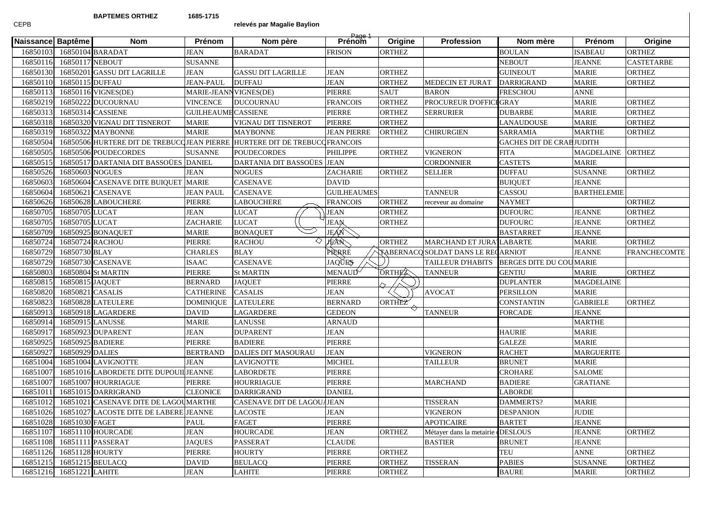## **BAPTEMES ORTHEZ 1685-1715**

CEPB

## **relevés par Magalie Baylion**

|                   |                  |                                        | <b>Prénom</b>              |                                                                            | Page 1<br>Prénom    |               |                                    |                                 | Prénom             |                     |
|-------------------|------------------|----------------------------------------|----------------------------|----------------------------------------------------------------------------|---------------------|---------------|------------------------------------|---------------------------------|--------------------|---------------------|
| Naissance Baptême |                  | <b>Nom</b>                             |                            | Nom père                                                                   |                     | Origine       | <b>Profession</b>                  | Nom mère                        |                    | Origine             |
| 16850103          |                  | 16850104 BARADAT                       | <b>JEAN</b>                | <b>BARADAT</b>                                                             | <b>FRISON</b>       | <b>ORTHEZ</b> |                                    | <b>BOULAN</b>                   | <b>ISABEAU</b>     | <b>ORTHEZ</b>       |
| 16850116          | 16850117 NEBOUT  |                                        | <b>SUSANNE</b>             |                                                                            |                     |               |                                    | <b>NEBOUT</b>                   | <b>JEANNE</b>      | <b>CASTETARBE</b>   |
| 16850130          |                  | 16850201 GASSU DIT LAGRILLE            | <b>JEAN</b>                | <b>GASSU DIT LAGRILLE</b>                                                  | <b>JEAN</b>         | <b>ORTHEZ</b> |                                    | <b>GUINEOUT</b>                 | <b>MARIE</b>       | <b>ORTHEZ</b>       |
| 16850110          | 16850115 DUFFAU  |                                        | <b>JEAN-PAUL</b>           | <b>DUFFAU</b>                                                              | <b>JEAN</b>         | <b>ORTHEZ</b> | MEDECIN ET JURAT                   | <b>DARRIGRAND</b>               | <b>MARIE</b>       | <b>ORTHEZ</b>       |
| 1685011           |                  | 16850116 VIGNES(DE)                    | MARIE-JEANN VIGNES(DE)     |                                                                            | PIERRE              | <b>SAUT</b>   | <b>BARON</b>                       | <b>FRESCHOU</b>                 | <b>ANNE</b>        |                     |
| 16850219          |                  | 16850222 DUCOURNAU                     | <b>VINCENCE</b>            | <b>DUCOURNAU</b>                                                           | <b>FRANCOIS</b>     | <b>ORTHEZ</b> | PROCUREUR D'OFFICI GRAY            |                                 | <b>MARIE</b>       | <b>ORTHEZ</b>       |
| 16850313          |                  | 16850314 CASSIENE                      | <b>GUILHEAUME CASSIENE</b> |                                                                            | <b>PIERRE</b>       | <b>ORTHEZ</b> | SERRURIER                          | <b>DUBARBE</b>                  | <b>MARIE</b>       | <b>ORTHEZ</b>       |
| 1685031           |                  | 16850320 VIGNAU DIT TISNEROT           | <b>MARIE</b>               | VIGNAU DIT TISNEROT                                                        | PIERRE              | <b>ORTHEZ</b> |                                    | <b>LANAUDOUSE</b>               | <b>MARIE</b>       | <b>ORTHEZ</b>       |
| 16850319          |                  | 16850322 MAYBONNE                      | <b>MARIE</b>               | <b>MAYBONNE</b>                                                            | <b>JEAN PIERRE</b>  | ORTHEZ        | <b>CHIRURGIEN</b>                  | <b>SARRAMIA</b>                 | <b>MARTHE</b>      | <b>ORTHEZ</b>       |
| 16850504          |                  |                                        |                            | 16850506 HURTERE DIT DE TREBUCCJIEAN PIERRE HURTERE DIT DE TREBUCCFRANCOIS |                     |               |                                    | <b>GACHES DIT DE CRABJUDITH</b> |                    |                     |
| 16850505          |                  | 16850506 POUDECORDES                   | <b>SUSANNE</b>             | <b>POUDECORDES</b>                                                         | PHILIPPE            | <b>ORTHEZ</b> | VIGNERON                           | <b>FITA</b>                     | <b>MAGDELAINE</b>  | <b>ORTHEZ</b>       |
| 16850515          |                  | 16850517 DARTANIA DIT BASSOÜES DANIEL  |                            | DARTANIA DIT BASSOÜES                                                      | <b>JEAN</b>         |               | CORDONNIER                         | <b>CASTETS</b>                  | <b>MARIE</b>       |                     |
| 16850526          | 16850603 NOGUES  |                                        | <b>JEAN</b>                | <b>NOGUES</b>                                                              | <b>ZACHARIE</b>     | <b>ORTHEZ</b> | SELLIER                            | <b>DUFFAU</b>                   | <b>SUSANNE</b>     | <b>ORTHEZ</b>       |
| 16850603          |                  | 16850604 CASENAVE DITE BUIQUET MARIE   |                            | <b>CASENAVE</b>                                                            | <b>DAVID</b>        |               |                                    | <b>BUIQUET</b>                  | <b>JEANNE</b>      |                     |
| 16850604          |                  | 16850621 CASENAVE                      | <b>JEAN PAUL</b>           | <b>CASENAVE</b>                                                            | <b>GUILHEAUMES</b>  |               | <b>TANNEUR</b>                     | <b>CASSOU</b>                   | <b>BARTHELEMIE</b> |                     |
| 16850626          |                  | 16850628 LABOUCHERE                    | PIERRE                     | <b>LABOUCHERE</b>                                                          | <b>FRANCOIS</b>     | <b>ORTHEZ</b> | receveur au domaine                | <b>NAYMET</b>                   |                    | <b>ORTHEZ</b>       |
| 16850705          | 16850705 LUCAT   |                                        | <b>JEAN</b>                | <b>LUCAT</b>                                                               | <b>JEAN</b>         | <b>ORTHEZ</b> |                                    | <b>DUFOURC</b>                  | <b>JEANNE</b>      | <b>ORTHEZ</b>       |
| 16850705          | 16850705 LUCAT   |                                        | ZACHARIE                   | <b>LUCAT</b>                                                               | <b>JEAN</b>         | <b>ORTHEZ</b> |                                    | <b>DUFOURC</b>                  | <b>JEANNE</b>      | <b>ORTHEZ</b>       |
| 16850709          |                  | 16850925 BONAQUET                      | <b>MARIE</b>               | <b>BONAQUET</b>                                                            | JEAN                |               |                                    | <b>BASTARRET</b>                | <b>JEANNE</b>      |                     |
| 16850724          | 16850724 RACHOU  |                                        | PIERRE                     | ♦<br><b>RACHOU</b>                                                         | JEAN                | <b>ORTHEZ</b> | MARCHAND ET JURA LABARTE           |                                 | <b>MARIE</b>       | <b>ORTHEZ</b>       |
| 16850729          | 16850730 BLAY    |                                        | <b>CHARLES</b>             | <b>BLAY</b>                                                                | PIERRE              |               | TABERNACQ SOLDAT DANS LE RECARNIOT |                                 | <b>JEANNE</b>      | <b>FRANCHECOMTE</b> |
| 16850729          |                  | 16850730 CASENAVE                      | <b>ISAAC</b>               | <b>CASENAVE</b>                                                            | <b>JAQUES</b>       |               | TAILLEUR D'HABITS                  | BERGES DITE DU COUMARIE         |                    |                     |
| 16850803          |                  | 16850804 St MARTIN                     | PIERRE                     | <b>St MARTIN</b>                                                           | MENAUD <sup>√</sup> | ORTHEE        | <b>TANNEUR</b>                     | <b>GENTIU</b>                   | <b>MARIE</b>       | <b>ORTHEZ</b>       |
| 1685081:          | 16850815 JAQUET  |                                        | <b>BERNARD</b>             | <b>JAQUET</b>                                                              | PIERRE              |               |                                    | <b>DUPLANTER</b>                | <b>MAGDELAINE</b>  |                     |
| 16850820          | 16850821 CASALIS |                                        | <b>CATHERINE</b>           | <b>CASALIS</b>                                                             | JEAN                |               | <b>AVOCAT</b>                      | <b>PERSILLON</b>                | <b>MARIE</b>       |                     |
| 16850823          |                  | 16850828 LATEULERE                     | <b>DOMINIQUE</b>           | <b>LATEULERE</b>                                                           | <b>BERNARD</b>      | ORTHEZ        |                                    | <b>CONSTANTIN</b>               | <b>GABRIELE</b>    | <b>ORTHEZ</b>       |
| 16850913          |                  | 16850918 LAGARDERE                     | <b>DAVID</b>               | LAGARDERE                                                                  | <b>GEDEON</b>       |               | <b>TANNEUR</b>                     | <b>FORCADE</b>                  | <b>JEANNE</b>      |                     |
| 16850914          |                  | 16850915 LANUSSE                       | <b>MARIE</b>               | LANUSSE                                                                    | ARNAUD              |               |                                    |                                 | <b>MARTHE</b>      |                     |
| 1685091           |                  | 16850923 DUPARENT                      | <b>JEAN</b>                | <b>DUPARENT</b>                                                            | JEAN                |               |                                    | <b>HAURIE</b>                   | <b>MARIE</b>       |                     |
| 16850925          |                  | 16850925 BADIERE                       | PIERRE                     | <b>BADIERE</b>                                                             | PIERRE              |               |                                    | <b>GALEZE</b>                   | <b>MARIE</b>       |                     |
| 1685092           | 16850929 DALIES  |                                        | <b>BERTRAND</b>            | DALIES DIT MASOURAU                                                        | <b>JEAN</b>         |               | VIGNERON                           | <b>RACHET</b>                   | <b>MARGUERITE</b>  |                     |
| 16851004          |                  | 16851004 LAVIGNOTTE                    | <b>JEAN</b>                | LAVIGNOTTE                                                                 | <b>MICHEL</b>       |               | <b>TAILLEUR</b>                    | <b>BRUNET</b>                   | <b>MARIE</b>       |                     |
| 16851007          |                  | 16851016 LABORDETE DITE DUPOUIL JEANNE |                            | LABORDETE                                                                  | PIERRE              |               |                                    | <b>CROHARE</b>                  | <b>SALOME</b>      |                     |
| 16851007          |                  | 16851007 HOURRIAGUE                    | <b>PIERRE</b>              | <b>HOURRIAGUE</b>                                                          | PIERRE              |               | <b>MARCHAND</b>                    | <b>BADIERE</b>                  | <b>GRATIANE</b>    |                     |
| 1685101           |                  | 16851015 DARRIGRAND                    | <b>CLEONICE</b>            | <b>DARRIGRAND</b>                                                          | <b>DANIEL</b>       |               |                                    | <b>LABORDE</b>                  |                    |                     |
| 16851012          |                  | 16851021 CASENAVE DITE DE LAGOUMARTHE  |                            | CASENAVE DIT DE LAGOU                                                      | <b>JEAN</b>         |               | TISSERAN                           | <b>DAMMERTS?</b>                | <b>MARIE</b>       |                     |
| 16851026          |                  | 16851027 LACOSTE DITE DE LABERE JEANNE |                            | LACOSTE                                                                    | <b>JEAN</b>         |               | <b>VIGNERON</b>                    | <b>DESPANION</b>                | <b>JUDIE</b>       |                     |
| 16851028          | 16851030 FAGET   |                                        | <b>PAUL</b>                | <b>FAGET</b>                                                               | PIERRE              |               | <b>APOTICAIRE</b>                  | <b>BARTET</b>                   | <b>JEANNE</b>      |                     |
| 16851107          |                  | 16851110 HOURCADE                      | JEAN                       | <b>HOURCADE</b>                                                            | <b>JEAN</b>         | <b>ORTHEZ</b> | Métayer dans la metairie (DESLOUS  |                                 | <b>JEANNE</b>      | <b>ORTHEZ</b>       |
| 16851108          |                  | 16851111 PASSERAT                      | <b>JAQUES</b>              | <b>PASSERAT</b>                                                            | <b>CLAUDE</b>       |               | <b>BASTIER</b>                     | <b>BRUNET</b>                   | <b>JEANNE</b>      |                     |
| 16851126          | 16851128 HOURTY  |                                        | <b>PIERRE</b>              | <b>HOURTY</b>                                                              | PIERRE              | <b>ORTHEZ</b> |                                    | TEU                             | <b>ANNE</b>        | <b>ORTHEZ</b>       |
| 16851215          |                  | 16851215 BEULACQ                       | DAVID                      | <b>BEULACQ</b>                                                             | PIERRE              | <b>ORTHEZ</b> | TISSERAN                           | <b>PABIES</b>                   | <b>SUSANNE</b>     | <b>ORTHEZ</b>       |
| 16851216          | 16851221 LAHITE  |                                        | <b>JEAN</b>                | <b>LAHITE</b>                                                              | <b>PIERRE</b>       | <b>ORTHEZ</b> |                                    | <b>BAURE</b>                    | <b>MARIE</b>       | <b>ORTHEZ</b>       |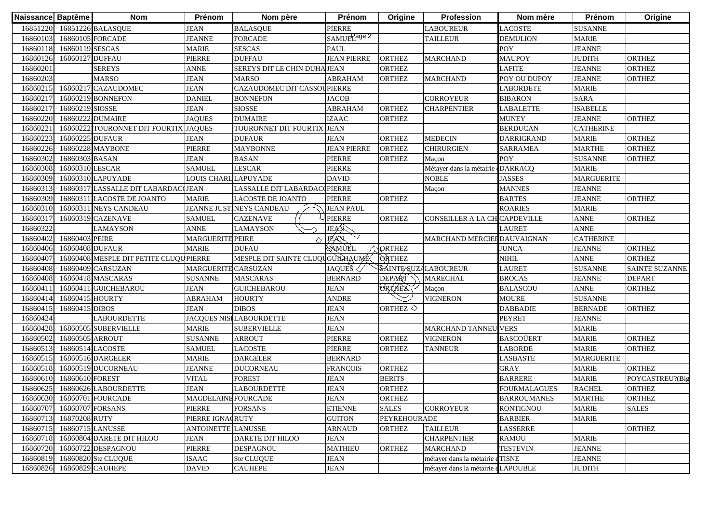| Naissance Baptême |                 | <b>Nom</b>                             | Prénom                     | Nom père                         | Prénom                  | Origine               | <b>Profession</b>                  | Nom mère            | Prénom            | Origine               |
|-------------------|-----------------|----------------------------------------|----------------------------|----------------------------------|-------------------------|-----------------------|------------------------------------|---------------------|-------------------|-----------------------|
| 16851220          |                 | 16851226 BALASQUE                      | <b>JEAN</b>                | <b>BALASQUE</b>                  | <b>PIERRE</b>           |                       | LABOUREUR                          | <b>LACOSTE</b>      | <b>SUSANNE</b>    |                       |
| 16860103          |                 | 16860105 FORCADE                       | <b>JEANNE</b>              | <b>FORCADE</b>                   | SAMUEL <sup>age 2</sup> |                       | <b>TAILLEUR</b>                    | <b>DEMULION</b>     | <b>MARIE</b>      |                       |
| 16860118          | 16860119 SESCAS |                                        | <b>MARIE</b>               | <b>SESCAS</b>                    | <b>PAUL</b>             |                       |                                    | POY                 | <b>JEANNE</b>     |                       |
| 16860126          | 16860127 DUFFAU |                                        | <b>PIERRE</b>              | <b>DUFFAU</b>                    | <b>JEAN PIERRE</b>      | <b>ORTHEZ</b>         | <b>MARCHAND</b>                    | <b>MAUPOY</b>       | <b>JUDITH</b>     | <b>ORTHEZ</b>         |
| 16860201          |                 | <b>SEREYS</b>                          | <b>ANNE</b>                | SEREYS DIT LE CHIN DUHA JEAN     |                         | <b>ORTHEZ</b>         |                                    | <b>LAFITE</b>       | <b>JEANNE</b>     | <b>ORTHEZ</b>         |
| 16860203          |                 | <b>MARSO</b>                           | <b>JEAN</b>                | <b>MARSO</b>                     | <b>ABRAHAM</b>          | <b>ORTHEZ</b>         | <b>MARCHAND</b>                    | POY OU DUPOY        | <b>JEANNE</b>     | ORTHEZ                |
| 16860215          |                 | 16860217 CAZAUDOMEC                    | <b>JEAN</b>                | CAZAUDOMEC DIT CASSOUPIERRE      |                         |                       |                                    | LABORDETE           | <b>MARIE</b>      |                       |
| 16860217          |                 | 16860219 BONNEFON                      | <b>DANIEL</b>              | <b>BONNEFON</b>                  | <b>JACOB</b>            |                       | <b>CORROYEUR</b>                   | <b>BIBARON</b>      | <b>SARA</b>       |                       |
| 16860217          | 16860219 SIOSSE |                                        | <b>JEAN</b>                | <b>SIOSSE</b>                    | <b>ABRAHAM</b>          | <b>ORTHEZ</b>         | <b>CHARPENTIER</b>                 | <b>LABALETTE</b>    | <b>ISABELLE</b>   |                       |
| 16860220          |                 | 16860222 DUMAIRE                       | <b>JAQUES</b>              | <b>DUMAIRE</b>                   | <b>IZAAC</b>            | <b>ORTHEZ</b>         |                                    | <b>MUNEY</b>        | <b>JEANNE</b>     | <b>ORTHEZ</b>         |
| 1686022           |                 | 16860222 TOURONNET DIT FOURTIX         | <b>JAQUES</b>              | TOURONNET DIT FOURTIX            | <b>JEAN</b>             |                       |                                    | <b>BERDUCAN</b>     | <b>CATHERINE</b>  |                       |
| 1686022           | 16860225 DUFAUR |                                        | <b>JEAN</b>                | <b>DUFAUR</b>                    | <b>JEAN</b>             | <b>ORTHEZ</b>         | <b>MEDECIN</b>                     | <b>DARRIGRAND</b>   | <b>MARIE</b>      | <b>ORTHEZ</b>         |
| 1686022           |                 | 16860228 MAYBONE                       | <b>PIERRE</b>              | <b>MAYBONNE</b>                  | <b>JEAN PIERRE</b>      | <b>ORTHEZ</b>         | <b>CHIRURGIEN</b>                  | <b>SARRAMEA</b>     | <b>MARTHE</b>     | <b>ORTHEZ</b>         |
| 16860302          | 16860303 BASAN  |                                        | <b>JEAN</b>                | <b>BASAN</b>                     | PIERRE                  | <b>ORTHEZ</b>         | Maçon                              | <b>POY</b>          | <b>SUSANNE</b>    | <b>ORTHEZ</b>         |
| 16860308          | 16860310 LESCAR |                                        | <b>SAMUEL</b>              | LESCAR                           | PIERRE                  |                       | Métayer dans la métairie           | DARRACQ             | <b>MARIE</b>      |                       |
| 16860309          |                 | 16860310 LAPUYADE                      | LOUIS CHARL LAPUYADE       |                                  | <b>DAVID</b>            |                       | <b>NOBLE</b>                       | <b>JASSES</b>       | <b>MARGUERITE</b> |                       |
| 16860313          |                 | 16860317 LASSALLE DIT LABARDACCJEAN    |                            | LASSALLE DIT LABARDAC(PIERRE     |                         |                       | Maçon                              | <b>MANNES</b>       | <b>JEANNE</b>     |                       |
| 16860309          |                 | 16860311 LACOSTE DE JOANTO             | <b>MARIE</b>               | <b>LACOSTE DE JOANTO</b>         | <b>PIERRE</b>           | <b>ORTHEZ</b>         |                                    | <b>BARTES</b>       | <b>JEANNE</b>     | <b>ORTHEZ</b>         |
| 16860310          |                 | 16860311 NEYS CANDEAU                  |                            | JEANNE JUSTINEYS CANDEAU         | <b>JEAN PAUL</b>        |                       |                                    | <b>ROARIES</b>      | <b>MARIE</b>      |                       |
| 16860317          |                 | 16860319 CAZENAVE                      | <b>SAMUEL</b>              | <b>CAZENAVE</b>                  | <b>PIERRE</b>           | <b>ORTHEZ</b>         | CONSEILLER A LA CH CAPDEVILLE      |                     | <b>ANNE</b>       | ORTHEZ                |
| 16860322          |                 | <b>LAMAYSON</b>                        | <b>ANNE</b>                | <b>LAMAYSON</b>                  | JEAN                    |                       |                                    | <b>LAURET</b>       | <b>ANNE</b>       |                       |
| 16860402          | 16860403 PEIRE  |                                        | <b>MARGUERITE PEIRE</b>    |                                  | <b>JEAN</b>             |                       | MARCHAND MERCIERDAUVAIGNAN         |                     | <b>CATHERINE</b>  |                       |
| 16860406          | 16860408 DUFAUR |                                        | <b>MARIE</b>               | <b>DUFAU</b>                     | SAMUEL                  | ORTHEZ                |                                    | <b>JUNCA</b>        | <b>JEANNE</b>     | <b>ORTHEZ</b>         |
| 16860407          |                 | 16860408 MESPLE DIT PETITE CLUQUPIERRE |                            | MESPLE DIT SAINTE CLUQUGUILHAUME |                         | <b>ORTHEZ</b>         |                                    | <b>NIHIL</b>        | <b>ANNE</b>       | <b>ORTHEZ</b>         |
| 16860408          |                 | 16860409 CARSUZAN                      | <b>MARGUERITE CARSUZAN</b> |                                  | JAQUEŠ $\langle$        |                       | SAINTE SUZALABOUREUR               | <b>LAURET</b>       | <b>SUSANNE</b>    | <b>SAINTE SUZANNE</b> |
| 16860408          |                 | 16860418 MASCARAS                      | <b>SUSANNE</b>             | <b>MASCARAS</b>                  | <b>BERNARD</b>          | DEPART                | <b>MARECHAL</b>                    | <b>BROCAS</b>       | <b>JEANNE</b>     | <b>DEPART</b>         |
| 1686041           |                 | 16860411 GUICHEBAROU                   | <b>JEAN</b>                | <b>GUICHEBAROU</b>               | <b>JEAN</b>             | <b>ORTHEX</b>         | Maçon                              | <b>BALASCOU</b>     | <b>ANNE</b>       | <b>ORTHEZ</b>         |
| 16860414          | 16860415 HOURTY |                                        | <b>ABRAHAM</b>             | <b>HOURTY</b>                    | <b>ANDRE</b>            |                       | <b>VIGNERON</b>                    | <b>MOURE</b>        | <b>SUSANNE</b>    |                       |
| 1686041:          | 16860415 DIBOS  |                                        | <b>JEAN</b>                | <b>DIBOS</b>                     | <b>JEAN</b>             | ORTHEZ $\diamondsuit$ |                                    | <b>DABBADIE</b>     | <b>BERNADE</b>    | <b>ORTHEZ</b>         |
| 16860424          |                 | <b>LABOURDETTE</b>                     |                            | JACQUES NISILABOURDETTE          | <b>JEAN</b>             |                       |                                    | <b>PEYRET</b>       | <b>JEANNE</b>     |                       |
| 16860428          |                 | 16860505 SUBERVIELLE                   | <b>MARIE</b>               | <b>SUBERVIELLE</b>               | <b>JEAN</b>             |                       | <b>MARCHAND TANNEU</b>             | <b>VERS</b>         | <b>MARIE</b>      |                       |
| 16860502          | 16860505 ARROUT |                                        | <b>SUSANNE</b>             | <b>ARROUT</b>                    | PIERRE                  | <b>ORTHEZ</b>         | <b>VIGNERON</b>                    | <b>BASCOÜERT</b>    | <b>MARIE</b>      | <b>ORTHEZ</b>         |
| 16860513          |                 | 16860514 LACOSTE                       | <b>SAMUEL</b>              | <b>LACOSTE</b>                   | PIERRE                  | <b>ORTHEZ</b>         | <b>TANNEUR</b>                     | LABORDE             | <b>MARIE</b>      | <b>ORTHEZ</b>         |
| 16860515          |                 | 16860516 DARGELER                      | <b>MARIE</b>               | <b>DARGELER</b>                  | <b>BERNARD</b>          |                       |                                    | LASBASTE            | <b>MARGUERITE</b> |                       |
| 16860518          |                 | 16860519 DUCORNEAU                     | <b>JEANNE</b>              | <b>DUCORNEAU</b>                 | <b>FRANCOIS</b>         | <b>ORTHEZ</b>         |                                    | <b>GRAY</b>         | <b>MARIE</b>      | <b>ORTHEZ</b>         |
| 16860610          | 16860610 FOREST |                                        | <b>VITAL</b>               | <b>FOREST</b>                    | <b>JEAN</b>             | <b>BERITS</b>         |                                    | <b>BARRERE</b>      | <b>MARIE</b>      | POYCASTREU?(Big       |
| 16860625          |                 | 16860626 LABOURDETTE                   | <b>JEAN</b>                | <b>LABOURDETTE</b>               | <b>JEAN</b>             | <b>ORTHEZ</b>         |                                    | <b>FOURMALAGUES</b> | <b>RACHEL</b>     | ORTHEZ                |
|                   |                 | 16860630 16860701 FOURCADE             | <b>MAGDELAINE FOURCADE</b> |                                  | <b>JEAN</b>             | <b>ORTHEZ</b>         |                                    | <b>BARROUMANES</b>  | <b>MARTHE</b>     | <b>ORTHEZ</b>         |
| 16860707          |                 | 16860707 FORSANS                       | <b>PIERRE</b>              | <b>FORSANS</b>                   | <b>ETIENNE</b>          | <b>SALES</b>          | <b>CORROYEUR</b>                   | <b>RONTIGNOU</b>    | <b>MARIE</b>      | <b>SALES</b>          |
| 16860713          | 16870208 RUTY   |                                        | PIERRE IGNACRUTY           |                                  | <b>GUITON</b>           | PEYREHOURADE          |                                    | <b>BARBIER</b>      | <b>MARIE</b>      |                       |
| 16860715          |                 | 16860715 LANUSSE                       | <b>ANTOINETTE LANUSSE</b>  |                                  | <b>ARNAUD</b>           | <b>ORTHEZ</b>         | <b>TAILLEUR</b>                    | LASSERRE            |                   | ORTHEZ                |
| 16860718          |                 | 16860804 DARETE DIT HILOO              | <b>JEAN</b>                | DARETE DIT HILOO                 | <b>JEAN</b>             |                       | <b>CHARPENTIER</b>                 | <b>RAMOU</b>        | <b>MARIE</b>      |                       |
| 16860720          |                 | 16860722 DESPAGNOU                     | <b>PIERRE</b>              | <b>DESPAGNOU</b>                 | <b>MATHIEU</b>          | <b>ORTHEZ</b>         | <b>MARCHAND</b>                    | <b>TESTEVIN</b>     | <b>JEANNE</b>     |                       |
| 16860819          |                 | 16860820 Ste CLUQUE                    | <b>ISAAC</b>               | Ste CLUQUE                       | <b>JEAN</b>             |                       | métayer dans la métairie           | TISNE               | <b>JEANNE</b>     |                       |
| 16860826          |                 | 16860829 CAUHEPE                       | <b>DAVID</b>               | <b>CAUHEPE</b>                   | <b>JEAN</b>             |                       | métayer dans la métairie dLAPOUBLE |                     | <b>JUDITH</b>     |                       |
|                   |                 |                                        |                            |                                  |                         |                       |                                    |                     |                   |                       |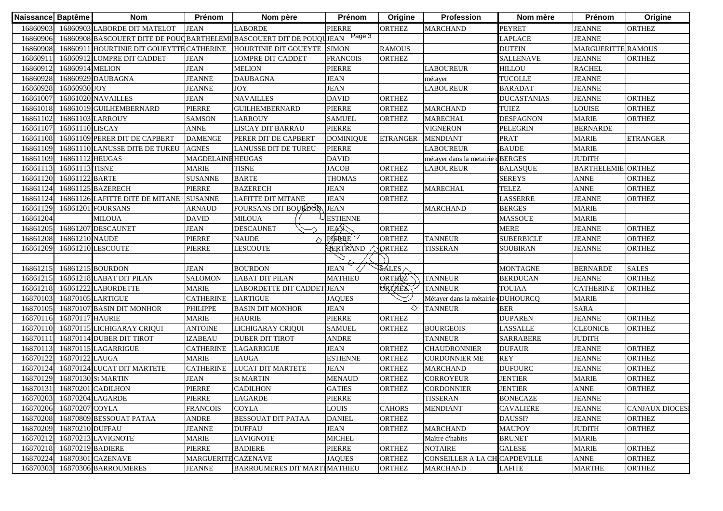| Naissance Baptême |                           | <b>Nom</b>                                | <b>Prénom</b>     | Nom père                                                                    | Prénom           | Origine               | Profession                    | Nom mère           | <b>Prénom</b>             | Origine               |
|-------------------|---------------------------|-------------------------------------------|-------------------|-----------------------------------------------------------------------------|------------------|-----------------------|-------------------------------|--------------------|---------------------------|-----------------------|
| 16860903          |                           | 16860903 LABORDE DIT MATELOT              | <b>JEAN</b>       | <b>LABORDE</b>                                                              | PIERRE           | <b>ORTHEZ</b>         | <b>MARCHAND</b>               | <b>PEYRET</b>      | <b>JEANNE</b>             | <b>ORTHEZ</b>         |
| 16860906          |                           |                                           |                   | 16860908 BASCOUERT DITE DE POUQBARTHELEMI BASCOUERT DIT DE POUQUIEAN Page 3 |                  |                       |                               | LAPLACE            | <b>JEANNE</b>             |                       |
| 16860908          |                           | 16860911 HOURTINIE DIT GOUEYTTE CATHERINE |                   | HOURTINIE DIT GOUEYTE SIMON                                                 |                  | <b>RAMOUS</b>         |                               | <b>DUTEIN</b>      | <b>MARGUERITTE RAMOUS</b> |                       |
| 16860911          |                           | 16860912 LOMPRE DIT CADDET                | <b>JEAN</b>       | <b>LOMPRE DIT CADDET</b>                                                    | <b>FRANCOIS</b>  | <b>ORTHEZ</b>         |                               | <b>SALLENAVE</b>   | <b>JEANNE</b>             | <b>ORTHEZ</b>         |
| 16860912          | 16860914 MELION           |                                           | <b>JEAN</b>       | <b>MELION</b>                                                               | PIERRE           |                       | LABOUREUR                     | <b>HILLOU</b>      | <b>RACHEL</b>             |                       |
| 16860928          |                           | 16860929 DAUBAGNA                         | <b>JEANNE</b>     | <b>DAUBAGNA</b>                                                             | <b>JEAN</b>      |                       | métayer                       | <b>TUCOLLE</b>     | <b>JEANNE</b>             |                       |
| 16860928          | 16860930 JOY              |                                           | <b>JEANNE</b>     | <b>JOY</b>                                                                  | <b>JEAN</b>      |                       | <b>LABOUREUR</b>              | <b>BARADAT</b>     | <b>JEANNE</b>             |                       |
| 16861007          |                           | 16861020 NAVAILLES                        | <b>JEAN</b>       | <b>NAVAILLES</b>                                                            | <b>DAVID</b>     | <b>ORTHEZ</b>         |                               | <b>DUCASTANIAS</b> | <b>JEANNE</b>             | <b>ORTHEZ</b>         |
| 16861018          |                           | 16861019 GUILHEMBERNARD                   | <b>PIERRE</b>     | <b>GUILHEMBERNARD</b>                                                       | PIERRE           | <b>ORTHEZ</b>         | <b>MARCHAND</b>               | <b>TUIEZ</b>       | <b>LOUISE</b>             | <b>ORTHEZ</b>         |
| 16861102          |                           | 16861103 LARROUY                          | <b>SAMSON</b>     | <b>LARROUY</b>                                                              | <b>SAMUEL</b>    | <b>ORTHEZ</b>         | <b>MARECHAL</b>               | <b>DESPAGNON</b>   | <b>MARIE</b>              | <b>ORTHEZ</b>         |
| 16861107          | 16861110 LISCAY           |                                           | <b>ANNE</b>       | LISCAY DIT BARRAU                                                           | PIERRE           |                       | <b>VIGNERON</b>               | <b>PELEGRIN</b>    | <b>BERNARDE</b>           |                       |
| 16861108          |                           | 16861109 PERER DIT DE CAPBERT             | <b>DAMENGE</b>    | PERER DIT DE CAPBERT                                                        | <b>DOMINIQUE</b> | <b>ETRANGER</b>       | <b>MENDIANT</b>               | <b>PRAT</b>        | <b>MARIE</b>              | <b>ETRANGER</b>       |
| 16861109          |                           | 16861110 LANUSSE DITE DE TUREU            | <b>AGNES</b>      | LANUSSE DIT DE TUREU                                                        | PIERRE           |                       | <b>LABOUREUR</b>              | <b>BAUDE</b>       | <b>MARIE</b>              |                       |
| 16861109          | 16861112 HEUGAS           |                                           | MAGDELAINE HEUGAS |                                                                             | DAVID            |                       | métayer dans la metairie      | dBERGES            | <b>JUDITH</b>             |                       |
| 16861113          | 16861113 TISNE            |                                           | <b>MARIE</b>      | <b>TISNE</b>                                                                | <b>JACOB</b>     | <b>ORTHEZ</b>         | <b>LABOUREUR</b>              | <b>BALASQUE</b>    | <b>BARTHELEMIE ORTHEZ</b> |                       |
| 16861120          | 16861122 BARTE            |                                           | <b>SUSANNE</b>    | <b>BARTE</b>                                                                | <b>THOMAS</b>    | <b>ORTHEZ</b>         |                               | <b>SEREYS</b>      | <b>ANNE</b>               | <b>ORTHEZ</b>         |
| 16861124          |                           | 16861125 BAZERECH                         | <b>PIERRE</b>     | <b>BAZERECH</b>                                                             | <b>JEAN</b>      | <b>ORTHEZ</b>         | <b>MARECHAL</b>               | TELEZ              | <b>ANNE</b>               | <b>ORTHEZ</b>         |
| 16861124          |                           | 16861126 LAFITTE DITE DE MITANE           | <b>SUSANNE</b>    | <b>LAFITTE DIT MITANE</b>                                                   | <b>JEAN</b>      | <b>ORTHEZ</b>         |                               | LASSERRE           | <b>JEANNE</b>             | ORTHEZ                |
| 16861129          |                           | 16861201 FOURSANS                         | <b>ARNAUD</b>     | FOURSANS DIT BOURDON                                                        | <b>JEAN</b>      |                       | <b>MARCHAND</b>               | <b>BERGES</b>      | <b>MARIE</b>              |                       |
| 16861204          |                           | <b>MILOUA</b>                             | <b>DAVID</b>      | <b>MILOUA</b>                                                               | <b>ESTIENNE</b>  |                       |                               | <b>MASSOUE</b>     | <b>MARIE</b>              |                       |
| 16861205          |                           | 16861207 DESCAUNET                        | <b>JEAN</b>       | <b>DESCAUNET</b>                                                            | JEAN             | <b>ORTHEZ</b>         |                               | <b>MERE</b>        | <b>JEANNE</b>             | <b>ORTHEZ</b>         |
| 16861208          | 16861210 NAUDE            |                                           | <b>PIERRE</b>     | <b>NAUDE</b><br>△                                                           | PIERRE           | <b>ORTHEZ</b>         | <b>TANNEUR</b>                | <b>SUBERBICLE</b>  | <b>JEANNE</b>             | <b>ORTHEZ</b>         |
| 16861209          |                           | 16861210 LESCOUTE                         | <b>PIERRE</b>     | <b>LESCOUTE</b>                                                             | BERTRAND         | <b>QRTHEZ</b>         | <b>TISSERAN</b>               | <b>SOUBIRAN</b>    | <b>JEANNE</b>             | <b>ORTHEZ</b>         |
|                   |                           |                                           |                   |                                                                             |                  |                       |                               |                    |                           |                       |
| 16861215          |                           | 16861215 BOURDON                          | <b>JEAN</b>       | <b>BOURDON</b>                                                              | JEAN             | $\sqrt{\text{SALES}}$ |                               | <b>MONTAGNE</b>    | <b>BERNARDE</b>           | <b>SALES</b>          |
| 16861215          |                           | 16861218 LABAT DIT PILAN                  | <b>SALOMON</b>    | <b>LABAT DIT PILAN</b>                                                      | <b>MATHIEU</b>   | ORTHEZ                | <b>TANNEUR</b>                | <b>BERDUCAN</b>    | <b>JEANNE</b>             | <b>ORTHEZ</b>         |
| 16861218          |                           | 16861222 LABORDETTE                       | <b>MARIE</b>      | LABORDETTE DIT CADDET JEAN                                                  |                  | <b>ORTHEZ</b>         | <b>TANNEUR</b>                | <b>TOUIAA</b>      | <b>CATHERINE</b>          | <b>ORTHEZ</b>         |
| 16870103          |                           | 16870105 LARTIGUE                         | <b>CATHERINE</b>  | <b>LARTIGUE</b>                                                             | <b>JAQUES</b>    |                       | Métayer dans la métairie      | <b>DUHOURCQ</b>    | <b>MARIE</b>              |                       |
| 16870105          |                           | 16870107 BASIN DIT MONHOR                 | <b>PHILIPPE</b>   | <b>BASIN DIT MONHOR</b>                                                     | <b>JEAN</b>      | ♦                     | <b>TANNEUR</b>                | <b>BER</b>         | <b>SARA</b>               |                       |
| 16870116          | 16870117 HAURIE           |                                           | <b>MARIE</b>      | <b>HAURIE</b>                                                               | PIERRE           | <b>ORTHEZ</b>         |                               | <b>DUPAREN</b>     | <b>JEANNE</b>             | <b>ORTHEZ</b>         |
| 16870110          |                           | 16870115 LICHIGARAY CRIQUI                | <b>ANTOINE</b>    | LICHIGARAY CRIQUI                                                           | <b>SAMUEL</b>    | <b>ORTHEZ</b>         | <b>BOURGEOIS</b>              | <b>LASSALLE</b>    | <b>CLEONICE</b>           | ORTHEZ                |
| 16870111          |                           | 16870114 DUBER DIT TIROT                  | <b>IZABEAU</b>    | <b>DUBER DIT TIROT</b>                                                      | <b>ANDRE</b>     |                       | <b>TANNEUR</b>                | SARRABERE          | <b>JUDITH</b>             |                       |
| 16870113          |                           | 16870115 LAGARRIGUE                       | <b>CATHERINE</b>  | LAGARRIGUE                                                                  | <b>JEAN</b>      | <b>ORTHEZ</b>         | <b>CHAUDRONNIER</b>           | <b>DUFAUR</b>      | <b>JEANNE</b>             | <b>ORTHEZ</b>         |
| 16870122          | 16870122 LAUGA            |                                           | <b>MARIE</b>      | <b>LAUGA</b>                                                                | <b>ESTIENNE</b>  | <b>ORTHEZ</b>         | CORDONNIER ME                 | <b>REY</b>         | <b>JEANNE</b>             | <b>ORTHEZ</b>         |
| 16870124          |                           | 16870124 LUCAT DIT MARTETE                | <b>CATHERINE</b>  | <b>LUCAT DIT MARTETE</b>                                                    | <b>JEAN</b>      | <b>ORTHEZ</b>         | <b>MARCHAND</b>               | <b>DUFOURC</b>     | <b>JEANNE</b>             | <b>ORTHEZ</b>         |
| 16870129          |                           | 16870130 St MARTIN                        | <b>JEAN</b>       | <b>St MARTIN</b>                                                            | <b>MENAUD</b>    | <b>ORTHEZ</b>         | CORROYEUR                     | <b>JENTIER</b>     | <b>MARIE</b>              | <b>ORTHEZ</b>         |
|                   |                           | 16870131 16870201 CADILHON                | <b>PIERRE</b>     | <b>CADILHON</b>                                                             | <b>GATIES</b>    | <b>ORTHEZ</b>         | <b>CORDONNIER</b>             | <b>JENTIER</b>     | <b>ANNE</b>               | <b>ORTHEZ</b>         |
|                   | 16870203 16870204 LAGARDE |                                           | PIERRE            | <b>LAGARDE</b>                                                              | PIERRE           |                       | <b>TISSERAN</b>               | <b>BONECAZE</b>    | <b>JEANNE</b>             |                       |
| 16870206          | 16870207 COYLA            |                                           | <b>FRANCOIS</b>   | COYLA                                                                       | LOUIS            | <b>CAHORS</b>         | <b>MENDIANT</b>               | <b>CAVALIERE</b>   | <b>JEANNE</b>             | <b>CANJAUX DIOCES</b> |
| 16870208          |                           | 16870809 BESSOUAT PATAA                   | <b>ANDRE</b>      | <b>BESSOUAT DIT PATAA</b>                                                   | <b>DANIEL</b>    | <b>ORTHEZ</b>         |                               | DAUSSI?            | <b>JEANNE</b>             | <b>ORTHEZ</b>         |
| 16870209          |                           |                                           |                   | <b>DUFFAU</b>                                                               | <b>JEAN</b>      |                       | <b>MARCHAND</b>               |                    |                           |                       |
|                   | 16870210 DUFFAU           |                                           | <b>JEANNE</b>     |                                                                             |                  | <b>ORTHEZ</b>         |                               | <b>MAUPOY</b>      | <b>JUDITH</b>             | <b>ORTHEZ</b>         |
| 16870212          |                           | 16870213 LAVIGNOTE                        | <b>MARIE</b>      | <b>LAVIGNOTE</b>                                                            | <b>MICHEL</b>    |                       | Maître d'habits               | <b>BRUNET</b>      | <b>MARIE</b>              |                       |
| 16870218          | 16870219 BADIERE          |                                           | PIERRE            | <b>BADIERE</b>                                                              | PIERRE           | <b>ORTHEZ</b>         | NOTAIRE                       | <b>GALESE</b>      | <b>MARIE</b>              | ORTHEZ                |
| 16870224          |                           | 16870301 CAZENAVE                         | <b>MARGUERITE</b> | <b>CAZENAVE</b>                                                             | <b>JAQUES</b>    | <b>ORTHEZ</b>         | CONSEILLER A LA CH CAPDEVILLE |                    | <b>ANNE</b>               | <b>ORTHEZ</b>         |
| 16870303          |                           | 16870306 BARROUMERES                      | <b>JEANNE</b>     | BARROUMERES DIT MARTIMATHIEU                                                |                  | <b>ORTHEZ</b>         | <b>MARCHAND</b>               | <b>LAFITE</b>      | <b>MARTHE</b>             | <b>ORTHEZ</b>         |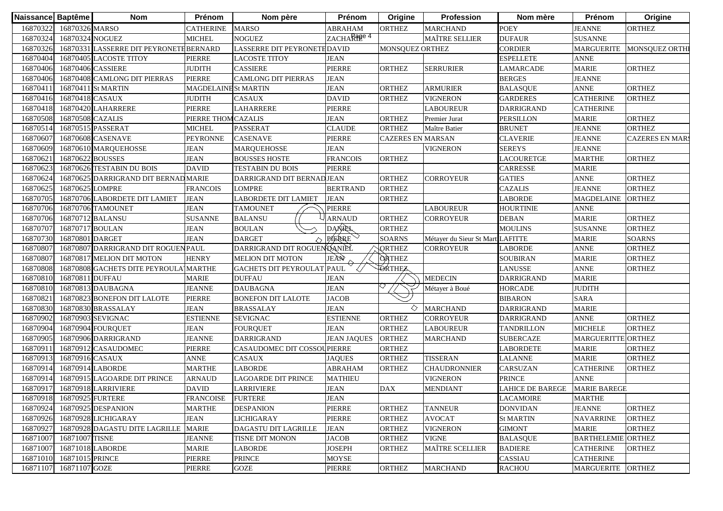| 16870322<br>16870326 MARSO<br><b>POEY</b><br><b>CATHERINE</b><br><b>MARSO</b><br><b>ABRAHAM</b><br><b>ORTHEZ</b><br><b>JEANNE</b><br><b>ORTHEZ</b><br><b>MARCHAND</b><br>ZACHARTE <sup>4</sup><br>16870324<br>16870324 NOGUEZ<br><b>NOGUEZ</b><br><b>MAÎTRE SELLIER</b><br><b>DUFAUR</b><br><b>SUSANNE</b><br><b>MICHEL</b><br><b>CORDIER</b><br>16870326<br>16870331 LASSERRE DIT PEYRONETE BERNARD<br>LASSERRE DIT PEYRONETH DAVID<br>MONSQUEZ ORTHI<br>MONSQUEZ ORTHEZ<br><b>MARGUERITE</b><br><b>JEAN</b><br><b>ESPELLETE</b><br>16870404<br>16870405 LACOSTE TITOY<br><b>PIERRE</b><br><b>ANNE</b><br>LACOSTE TITOY<br>16870406<br>16870406 CASSIERE<br><b>CASSIERE</b><br>PIERRE<br><b>MARIE</b><br><b>ORTHEZ</b><br><b>JUDITH</b><br><b>ORTHEZ</b><br><b>SERRURIER</b><br>LAMARCADE<br><b>PIERRE</b><br><b>JEAN</b><br><b>JEANNE</b><br>16870406<br>16870408 CAMLONG DIT PIERRAS<br><b>CAMLONG DIT PIERRAS</b><br><b>BERGES</b><br><b>JEAN</b><br><b>ANNE</b><br><b>ORTHEZ</b><br>16870411<br>16870411 St MARTIN<br>MAGDELAINE St MARTIN<br><b>ORTHEZ</b><br><b>ARMURIER</b><br><b>BALASQUE</b><br>16870416<br>16870418 CASAUX<br><b>CASAUX</b><br><b>DAVID</b><br><b>ORTHEZ</b><br><b>GARDERES</b><br><b>CATHERINE</b><br><b>ORTHEZ</b><br><b>JUDITH</b><br><b>VIGNERON</b><br><b>PIERRE</b><br>PIERRE<br>16870418<br>16870420 LAHARRERE<br>LAHARRERE<br><b>CATHERINE</b><br><b>LABOUREUR</b><br><b>DARRIGRAND</b><br><b>JEAN</b><br><b>ORTHEZ</b><br><b>ORTHEZ</b><br>16870508<br>16870508 CAZALIS<br>PIERRE THOM CAZALIS<br><b>PERSILLON</b><br><b>MARIE</b><br>Premier Jurat<br><b>ORTHEZ</b><br><b>ORTHEZ</b><br>16870514<br>16870515 PASSERAT<br><b>MICHEL</b><br><b>PASSERAT</b><br><b>CLAUDE</b><br><b>BRUNET</b><br><b>JEANNE</b><br>Maître Batier<br>16870607<br><b>CASENAVE</b><br><b>CLAVERIE</b><br>16870608 CASENAVE<br><b>PEYRONNE</b><br><b>PIERRE</b><br><b>CAZERES EN MARSAN</b><br><b>JEANNE</b><br><b>CAZERES EN MAR</b><br>16870609<br>16870610 MARQUEHOSSE<br><b>JEAN</b><br><b>MARQUEHOSSE</b><br><b>JEAN</b><br><b>VIGNERON</b><br><b>SEREYS</b><br><b>JEANNE</b><br>1687062<br>16870622 BOUSSES<br><b>JEAN</b><br><b>BOUSSES HOSTE</b><br><b>FRANCOIS</b><br><b>ORTHEZ</b><br><b>MARTHE</b><br><b>ORTHEZ</b><br>LACOURETGE<br>16870623<br>16870626 TESTABIN DU BOIS<br><b>DAVID</b><br><b>TESTABIN DU BOIS</b><br>PIERRE<br>CARRESSE<br><b>MARIE</b><br><b>ORTHEZ</b><br>16870624<br>16870625 DARRIGRAND DIT BERNAD MARIE<br>DARRIGRAND DIT BERNADJEAN<br><b>ORTHEZ</b><br>CORROYEUR<br><b>GATIES</b><br><b>ANNE</b><br>16870625<br>16870625 LOMPRE<br><b>BERTRAND</b><br><b>CAZALIS</b><br><b>JEANNE</b><br><b>ORTHEZ</b><br><b>FRANCOIS</b><br>LOMPRE<br><b>ORTHEZ</b><br>16870705<br>16870706 LABORDETE DIT LAMIET<br><b>JEAN</b><br><b>LABORDETE DIT LAMIET</b><br><b>JEAN</b><br><b>ORTHEZ</b><br><b>MAGDELAINE</b><br><b>ORTHEZ</b><br>LABORDE<br><b>JEAN</b><br>PIERRE<br>16870706<br>16870706 TAMOUNET<br><b>TAMOUNET</b><br><b>LABOUREUR</b><br><b>HOURTINIE</b><br><b>ANNE</b><br>16870706<br>16870712 BALANSU<br><b>SUSANNE</b><br><b>BALANSU</b><br><b>ARNAUD</b><br><b>ORTHEZ</b><br><b>DEBAN</b><br><b>MARIE</b><br><b>ORTHEZ</b><br>CORROYEUR<br>DANREL<br><b>ORTHEZ</b><br>16870707<br>16870717 BOULAN<br><b>JEAN</b><br><b>BOULAN</b><br><b>ORTHEZ</b><br><b>MOULINS</b><br><b>SUSANNE</b><br><b>PIERRE</b><br>16870730<br>16870801<br><b>JEAN</b><br><b>DARGET</b><br><b>SOARNS</b><br><b>SOARNS</b><br><b>DARGET</b><br>Métayer du Sieur St MartiLAFITTE<br><b>MARIE</b><br>△<br>DARRIGRAND DIT ROGUENDANIEL<br>16870807<br>16870807 DARRIGRAND DIT ROGUENPAUL<br><b>QRTHEZ</b><br><b>ANNE</b><br><b>ORTHEZ</b><br><b>LABORDE</b><br><b>CORROYEUR</b><br>JEAN<br><b>ORTHEZ</b><br><b>HENRY</b><br><b>MARIE</b><br><b>ORTHEZ</b><br>16870807<br>16870817 MELION DIT MOTON<br><b>MELION DIT MOTON</b><br><b>SOUBIRAN</b><br>ORTHEZ<br><b>GACHETS DIT PEYROULAT PAUL</b><br><b>ANNE</b><br><b>LANUSSE</b><br><b>ORTHEZ</b><br>16870808<br>16870808 GACHETS DITE PEYROULA MARTHE<br><b>JEAN</b><br><b>MEDECIN</b><br><b>MARIE</b><br>16870810<br>16870811 DUFFAU<br><b>DUFFAU</b><br><b>DARRIGRAND</b><br><b>MARIE</b><br><b>JEAN</b><br><b>JUDITH</b><br>16870810<br>16870813 DAUBAGNA<br><b>JEANNE</b><br><b>HORCADE</b><br><b>DAUBAGNA</b><br>Métayer à Boué<br>16870823 BONEFON DIT LALOTE<br><b>JACOB</b><br><b>SARA</b><br>1687082<br><b>PIERRE</b><br><b>BONEFON DIT LALOTE</b><br><b>BIBARON</b><br><b>JEAN</b><br>◇<br><b>MARCHAND</b><br>16870830<br>16870830 BRASSALAY<br><b>JEAN</b><br><b>BRASSALAY</b><br><b>DARRIGRAND</b><br><b>MARIE</b><br>16870902<br>16870903 SEVIGNAC<br><b>ESTIENNE</b><br><b>SEVIGNAC</b><br><b>ESTIENNE</b><br><b>ORTHEZ</b><br><b>ANNE</b><br><b>ORTHEZ</b><br><b>CORROYEUR</b><br><b>DARRIGRAND</b><br>16870904<br><b>ORTHEZ</b><br>16870904 FOURQUET<br><b>JEAN</b><br><b>FOURQUET</b><br><b>JEAN</b><br><b>ORTHEZ</b><br><b>LABOUREUR</b><br><b>TANDRILLON</b><br><b>MICHELE</b><br>MARGUERITTE ORTHEZ<br>16870905<br>16870906 DARRIGRAND<br><b>JEANNE</b><br><b>DARRIGRAND</b><br><b>JEAN JAQUES</b><br><b>ORTHEZ</b><br><b>SUBERCAZE</b><br><b>MARCHAND</b><br>1687091<br><b>PIERRE</b><br>CASAUDOMEC DIT COSSOUPIERRE<br><b>ORTHEZ</b><br><b>ORTHEZ</b><br>16870912 CASAUDOMEC<br><b>LABORDETE</b><br><b>MARIE</b><br>16870913<br>16870916 CASAUX<br><b>ANNE</b><br><b>JAQUES</b><br><b>ORTHEZ</b><br><b>TISSERAN</b><br><b>ORTHEZ</b><br><b>CASAUX</b><br><b>LALANNE</b><br><b>MARIE</b><br>16870914<br>16870914 LABORDE<br><b>MARTHE</b><br><b>ABRAHAM</b><br><b>CARSUZAN</b><br><b>ORTHEZ</b><br><b>LABORDE</b><br><b>ORTHEZ</b><br><b>CHAUDRONNIER</b><br><b>CATHERINE</b><br>1687091<br>16870915 LAGOARDE DIT PRINCE<br><b>ARNAUD</b><br><b>MATHIEU</b><br><b>PRINCE</b><br><b>ANNE</b><br>LAGOARDE DIT PRINCE<br><b>VIGNERON</b><br>16870917<br>16870918 LARRIVIERE<br><b>JEAN</b><br><b>DAX</b><br><b>DAVID</b><br><b>MENDIANT</b><br>LAHICE DE BAREGE<br><b>MARIE BAREGE</b><br>LARRIVIERE<br>16870918 16870925 FURTERE<br><b>JEAN</b><br>FRANCOISE FURTERE<br><b>LACAMOIRE</b><br><b>MARTHE</b><br>16870925 DESPANION<br>PIERRE<br><b>ORTHEZ</b><br><b>ORTHEZ</b><br>16870924<br><b>MARTHE</b><br><b>DESPANION</b><br><b>TANNEUR</b><br><b>DONVIDAN</b><br><b>JEANNE</b><br>16870928 LICHIGARAY<br><b>JEAN</b><br>PIERRE<br><b>ORTHEZ</b><br><b>ORTHEZ</b><br>16870926<br>LICHIGARAY<br><b>AVOCAT</b><br><b>St MARTIN</b><br><b>NAVARRINE</b><br><b>ORTHEZ</b><br>16870927<br>16870928 DAGASTU DITE LAGRILLE<br><b>MARIE</b><br>DAGASTU DIT LAGRILLE<br><b>JEAN</b><br><b>ORTHEZ</b><br><b>VIGNERON</b><br><b>GIMONT</b><br><b>MARIE</b><br><b>JACOB</b><br>16871007<br>16871007 TISNE<br><b>JEANNE</b><br>TISNE DIT MONON<br><b>ORTHEZ</b><br><b>VIGNE</b><br><b>BALASQUE</b><br><b>BARTHELEMIE</b><br><b>ORTHEZ</b><br>16871007<br>16871018 LABORDE<br><b>JOSEPH</b><br><b>MAÎTRE SCELLIER</b><br><b>MARIE</b><br><b>LABORDE</b><br><b>ORTHEZ</b><br><b>BADIERE</b><br><b>CATHERINE</b><br><b>ORTHEZ</b><br>16871015 PRINCE<br><b>PIERRE</b><br>CASSIAU | Naissance Baptême | <b>Nom</b> | Prénom | Nom père      | Prénom | Origine | <b>Profession</b> | Nom mère | Prénom           | Origine |
|------------------------------------------------------------------------------------------------------------------------------------------------------------------------------------------------------------------------------------------------------------------------------------------------------------------------------------------------------------------------------------------------------------------------------------------------------------------------------------------------------------------------------------------------------------------------------------------------------------------------------------------------------------------------------------------------------------------------------------------------------------------------------------------------------------------------------------------------------------------------------------------------------------------------------------------------------------------------------------------------------------------------------------------------------------------------------------------------------------------------------------------------------------------------------------------------------------------------------------------------------------------------------------------------------------------------------------------------------------------------------------------------------------------------------------------------------------------------------------------------------------------------------------------------------------------------------------------------------------------------------------------------------------------------------------------------------------------------------------------------------------------------------------------------------------------------------------------------------------------------------------------------------------------------------------------------------------------------------------------------------------------------------------------------------------------------------------------------------------------------------------------------------------------------------------------------------------------------------------------------------------------------------------------------------------------------------------------------------------------------------------------------------------------------------------------------------------------------------------------------------------------------------------------------------------------------------------------------------------------------------------------------------------------------------------------------------------------------------------------------------------------------------------------------------------------------------------------------------------------------------------------------------------------------------------------------------------------------------------------------------------------------------------------------------------------------------------------------------------------------------------------------------------------------------------------------------------------------------------------------------------------------------------------------------------------------------------------------------------------------------------------------------------------------------------------------------------------------------------------------------------------------------------------------------------------------------------------------------------------------------------------------------------------------------------------------------------------------------------------------------------------------------------------------------------------------------------------------------------------------------------------------------------------------------------------------------------------------------------------------------------------------------------------------------------------------------------------------------------------------------------------------------------------------------------------------------------------------------------------------------------------------------------------------------------------------------------------------------------------------------------------------------------------------------------------------------------------------------------------------------------------------------------------------------------------------------------------------------------------------------------------------------------------------------------------------------------------------------------------------------------------------------------------------------------------------------------------------------------------------------------------------------------------------------------------------------------------------------------------------------------------------------------------------------------------------------------------------------------------------------------------------------------------------------------------------------------------------------------------------------------------------------------------------------------------------------------------------------------------------------------------------------------------------------------------------------------------------------------------------------------------------------------------------------------------------------------------------------------------------------------------------------------------------------------------------------------------------------------------------------------------------------------------------------------------------------------------------------------------------------------------------------------------------------------------------------------------------------------------------------------------------------------------------------------------------------------------------------------------------------------------------------------------------------------------------------------------------------------------------------------------------------------------------------------------------------------------------------------------------------------------------------------------------------------------------------------------------------------------------------------------------------------------------------------------------------------------------------------------------------------------------------------------------------------------------------------------------------------------------------------------------------------------------------------------------------------------------------------------------------------------------------------------------------------------------------------------------------------------------------------------------------------------------------------------|-------------------|------------|--------|---------------|--------|---------|-------------------|----------|------------------|---------|
|                                                                                                                                                                                                                                                                                                                                                                                                                                                                                                                                                                                                                                                                                                                                                                                                                                                                                                                                                                                                                                                                                                                                                                                                                                                                                                                                                                                                                                                                                                                                                                                                                                                                                                                                                                                                                                                                                                                                                                                                                                                                                                                                                                                                                                                                                                                                                                                                                                                                                                                                                                                                                                                                                                                                                                                                                                                                                                                                                                                                                                                                                                                                                                                                                                                                                                                                                                                                                                                                                                                                                                                                                                                                                                                                                                                                                                                                                                                                                                                                                                                                                                                                                                                                                                                                                                                                                                                                                                                                                                                                                                                                                                                                                                                                                                                                                                                                                                                                                                                                                                                                                                                                                                                                                                                                                                                                                                                                                                                                                                                                                                                                                                                                                                                                                                                                                                                                                                                                                                                                                                                                                                                                                                                                                                                                                                                                                                                                                                                                                                                                                                                                                                                                                                                                                                                                                                                                                                                                                                                                                                                                  |                   |            |        |               |        |         |                   |          |                  |         |
|                                                                                                                                                                                                                                                                                                                                                                                                                                                                                                                                                                                                                                                                                                                                                                                                                                                                                                                                                                                                                                                                                                                                                                                                                                                                                                                                                                                                                                                                                                                                                                                                                                                                                                                                                                                                                                                                                                                                                                                                                                                                                                                                                                                                                                                                                                                                                                                                                                                                                                                                                                                                                                                                                                                                                                                                                                                                                                                                                                                                                                                                                                                                                                                                                                                                                                                                                                                                                                                                                                                                                                                                                                                                                                                                                                                                                                                                                                                                                                                                                                                                                                                                                                                                                                                                                                                                                                                                                                                                                                                                                                                                                                                                                                                                                                                                                                                                                                                                                                                                                                                                                                                                                                                                                                                                                                                                                                                                                                                                                                                                                                                                                                                                                                                                                                                                                                                                                                                                                                                                                                                                                                                                                                                                                                                                                                                                                                                                                                                                                                                                                                                                                                                                                                                                                                                                                                                                                                                                                                                                                                                                  |                   |            |        |               |        |         |                   |          |                  |         |
|                                                                                                                                                                                                                                                                                                                                                                                                                                                                                                                                                                                                                                                                                                                                                                                                                                                                                                                                                                                                                                                                                                                                                                                                                                                                                                                                                                                                                                                                                                                                                                                                                                                                                                                                                                                                                                                                                                                                                                                                                                                                                                                                                                                                                                                                                                                                                                                                                                                                                                                                                                                                                                                                                                                                                                                                                                                                                                                                                                                                                                                                                                                                                                                                                                                                                                                                                                                                                                                                                                                                                                                                                                                                                                                                                                                                                                                                                                                                                                                                                                                                                                                                                                                                                                                                                                                                                                                                                                                                                                                                                                                                                                                                                                                                                                                                                                                                                                                                                                                                                                                                                                                                                                                                                                                                                                                                                                                                                                                                                                                                                                                                                                                                                                                                                                                                                                                                                                                                                                                                                                                                                                                                                                                                                                                                                                                                                                                                                                                                                                                                                                                                                                                                                                                                                                                                                                                                                                                                                                                                                                                                  |                   |            |        |               |        |         |                   |          |                  |         |
|                                                                                                                                                                                                                                                                                                                                                                                                                                                                                                                                                                                                                                                                                                                                                                                                                                                                                                                                                                                                                                                                                                                                                                                                                                                                                                                                                                                                                                                                                                                                                                                                                                                                                                                                                                                                                                                                                                                                                                                                                                                                                                                                                                                                                                                                                                                                                                                                                                                                                                                                                                                                                                                                                                                                                                                                                                                                                                                                                                                                                                                                                                                                                                                                                                                                                                                                                                                                                                                                                                                                                                                                                                                                                                                                                                                                                                                                                                                                                                                                                                                                                                                                                                                                                                                                                                                                                                                                                                                                                                                                                                                                                                                                                                                                                                                                                                                                                                                                                                                                                                                                                                                                                                                                                                                                                                                                                                                                                                                                                                                                                                                                                                                                                                                                                                                                                                                                                                                                                                                                                                                                                                                                                                                                                                                                                                                                                                                                                                                                                                                                                                                                                                                                                                                                                                                                                                                                                                                                                                                                                                                                  |                   |            |        |               |        |         |                   |          |                  |         |
|                                                                                                                                                                                                                                                                                                                                                                                                                                                                                                                                                                                                                                                                                                                                                                                                                                                                                                                                                                                                                                                                                                                                                                                                                                                                                                                                                                                                                                                                                                                                                                                                                                                                                                                                                                                                                                                                                                                                                                                                                                                                                                                                                                                                                                                                                                                                                                                                                                                                                                                                                                                                                                                                                                                                                                                                                                                                                                                                                                                                                                                                                                                                                                                                                                                                                                                                                                                                                                                                                                                                                                                                                                                                                                                                                                                                                                                                                                                                                                                                                                                                                                                                                                                                                                                                                                                                                                                                                                                                                                                                                                                                                                                                                                                                                                                                                                                                                                                                                                                                                                                                                                                                                                                                                                                                                                                                                                                                                                                                                                                                                                                                                                                                                                                                                                                                                                                                                                                                                                                                                                                                                                                                                                                                                                                                                                                                                                                                                                                                                                                                                                                                                                                                                                                                                                                                                                                                                                                                                                                                                                                                  |                   |            |        |               |        |         |                   |          |                  |         |
|                                                                                                                                                                                                                                                                                                                                                                                                                                                                                                                                                                                                                                                                                                                                                                                                                                                                                                                                                                                                                                                                                                                                                                                                                                                                                                                                                                                                                                                                                                                                                                                                                                                                                                                                                                                                                                                                                                                                                                                                                                                                                                                                                                                                                                                                                                                                                                                                                                                                                                                                                                                                                                                                                                                                                                                                                                                                                                                                                                                                                                                                                                                                                                                                                                                                                                                                                                                                                                                                                                                                                                                                                                                                                                                                                                                                                                                                                                                                                                                                                                                                                                                                                                                                                                                                                                                                                                                                                                                                                                                                                                                                                                                                                                                                                                                                                                                                                                                                                                                                                                                                                                                                                                                                                                                                                                                                                                                                                                                                                                                                                                                                                                                                                                                                                                                                                                                                                                                                                                                                                                                                                                                                                                                                                                                                                                                                                                                                                                                                                                                                                                                                                                                                                                                                                                                                                                                                                                                                                                                                                                                                  |                   |            |        |               |        |         |                   |          |                  |         |
|                                                                                                                                                                                                                                                                                                                                                                                                                                                                                                                                                                                                                                                                                                                                                                                                                                                                                                                                                                                                                                                                                                                                                                                                                                                                                                                                                                                                                                                                                                                                                                                                                                                                                                                                                                                                                                                                                                                                                                                                                                                                                                                                                                                                                                                                                                                                                                                                                                                                                                                                                                                                                                                                                                                                                                                                                                                                                                                                                                                                                                                                                                                                                                                                                                                                                                                                                                                                                                                                                                                                                                                                                                                                                                                                                                                                                                                                                                                                                                                                                                                                                                                                                                                                                                                                                                                                                                                                                                                                                                                                                                                                                                                                                                                                                                                                                                                                                                                                                                                                                                                                                                                                                                                                                                                                                                                                                                                                                                                                                                                                                                                                                                                                                                                                                                                                                                                                                                                                                                                                                                                                                                                                                                                                                                                                                                                                                                                                                                                                                                                                                                                                                                                                                                                                                                                                                                                                                                                                                                                                                                                                  |                   |            |        |               |        |         |                   |          |                  |         |
|                                                                                                                                                                                                                                                                                                                                                                                                                                                                                                                                                                                                                                                                                                                                                                                                                                                                                                                                                                                                                                                                                                                                                                                                                                                                                                                                                                                                                                                                                                                                                                                                                                                                                                                                                                                                                                                                                                                                                                                                                                                                                                                                                                                                                                                                                                                                                                                                                                                                                                                                                                                                                                                                                                                                                                                                                                                                                                                                                                                                                                                                                                                                                                                                                                                                                                                                                                                                                                                                                                                                                                                                                                                                                                                                                                                                                                                                                                                                                                                                                                                                                                                                                                                                                                                                                                                                                                                                                                                                                                                                                                                                                                                                                                                                                                                                                                                                                                                                                                                                                                                                                                                                                                                                                                                                                                                                                                                                                                                                                                                                                                                                                                                                                                                                                                                                                                                                                                                                                                                                                                                                                                                                                                                                                                                                                                                                                                                                                                                                                                                                                                                                                                                                                                                                                                                                                                                                                                                                                                                                                                                                  |                   |            |        |               |        |         |                   |          |                  |         |
|                                                                                                                                                                                                                                                                                                                                                                                                                                                                                                                                                                                                                                                                                                                                                                                                                                                                                                                                                                                                                                                                                                                                                                                                                                                                                                                                                                                                                                                                                                                                                                                                                                                                                                                                                                                                                                                                                                                                                                                                                                                                                                                                                                                                                                                                                                                                                                                                                                                                                                                                                                                                                                                                                                                                                                                                                                                                                                                                                                                                                                                                                                                                                                                                                                                                                                                                                                                                                                                                                                                                                                                                                                                                                                                                                                                                                                                                                                                                                                                                                                                                                                                                                                                                                                                                                                                                                                                                                                                                                                                                                                                                                                                                                                                                                                                                                                                                                                                                                                                                                                                                                                                                                                                                                                                                                                                                                                                                                                                                                                                                                                                                                                                                                                                                                                                                                                                                                                                                                                                                                                                                                                                                                                                                                                                                                                                                                                                                                                                                                                                                                                                                                                                                                                                                                                                                                                                                                                                                                                                                                                                                  |                   |            |        |               |        |         |                   |          |                  |         |
|                                                                                                                                                                                                                                                                                                                                                                                                                                                                                                                                                                                                                                                                                                                                                                                                                                                                                                                                                                                                                                                                                                                                                                                                                                                                                                                                                                                                                                                                                                                                                                                                                                                                                                                                                                                                                                                                                                                                                                                                                                                                                                                                                                                                                                                                                                                                                                                                                                                                                                                                                                                                                                                                                                                                                                                                                                                                                                                                                                                                                                                                                                                                                                                                                                                                                                                                                                                                                                                                                                                                                                                                                                                                                                                                                                                                                                                                                                                                                                                                                                                                                                                                                                                                                                                                                                                                                                                                                                                                                                                                                                                                                                                                                                                                                                                                                                                                                                                                                                                                                                                                                                                                                                                                                                                                                                                                                                                                                                                                                                                                                                                                                                                                                                                                                                                                                                                                                                                                                                                                                                                                                                                                                                                                                                                                                                                                                                                                                                                                                                                                                                                                                                                                                                                                                                                                                                                                                                                                                                                                                                                                  |                   |            |        |               |        |         |                   |          |                  |         |
|                                                                                                                                                                                                                                                                                                                                                                                                                                                                                                                                                                                                                                                                                                                                                                                                                                                                                                                                                                                                                                                                                                                                                                                                                                                                                                                                                                                                                                                                                                                                                                                                                                                                                                                                                                                                                                                                                                                                                                                                                                                                                                                                                                                                                                                                                                                                                                                                                                                                                                                                                                                                                                                                                                                                                                                                                                                                                                                                                                                                                                                                                                                                                                                                                                                                                                                                                                                                                                                                                                                                                                                                                                                                                                                                                                                                                                                                                                                                                                                                                                                                                                                                                                                                                                                                                                                                                                                                                                                                                                                                                                                                                                                                                                                                                                                                                                                                                                                                                                                                                                                                                                                                                                                                                                                                                                                                                                                                                                                                                                                                                                                                                                                                                                                                                                                                                                                                                                                                                                                                                                                                                                                                                                                                                                                                                                                                                                                                                                                                                                                                                                                                                                                                                                                                                                                                                                                                                                                                                                                                                                                                  |                   |            |        |               |        |         |                   |          |                  |         |
|                                                                                                                                                                                                                                                                                                                                                                                                                                                                                                                                                                                                                                                                                                                                                                                                                                                                                                                                                                                                                                                                                                                                                                                                                                                                                                                                                                                                                                                                                                                                                                                                                                                                                                                                                                                                                                                                                                                                                                                                                                                                                                                                                                                                                                                                                                                                                                                                                                                                                                                                                                                                                                                                                                                                                                                                                                                                                                                                                                                                                                                                                                                                                                                                                                                                                                                                                                                                                                                                                                                                                                                                                                                                                                                                                                                                                                                                                                                                                                                                                                                                                                                                                                                                                                                                                                                                                                                                                                                                                                                                                                                                                                                                                                                                                                                                                                                                                                                                                                                                                                                                                                                                                                                                                                                                                                                                                                                                                                                                                                                                                                                                                                                                                                                                                                                                                                                                                                                                                                                                                                                                                                                                                                                                                                                                                                                                                                                                                                                                                                                                                                                                                                                                                                                                                                                                                                                                                                                                                                                                                                                                  |                   |            |        |               |        |         |                   |          |                  |         |
|                                                                                                                                                                                                                                                                                                                                                                                                                                                                                                                                                                                                                                                                                                                                                                                                                                                                                                                                                                                                                                                                                                                                                                                                                                                                                                                                                                                                                                                                                                                                                                                                                                                                                                                                                                                                                                                                                                                                                                                                                                                                                                                                                                                                                                                                                                                                                                                                                                                                                                                                                                                                                                                                                                                                                                                                                                                                                                                                                                                                                                                                                                                                                                                                                                                                                                                                                                                                                                                                                                                                                                                                                                                                                                                                                                                                                                                                                                                                                                                                                                                                                                                                                                                                                                                                                                                                                                                                                                                                                                                                                                                                                                                                                                                                                                                                                                                                                                                                                                                                                                                                                                                                                                                                                                                                                                                                                                                                                                                                                                                                                                                                                                                                                                                                                                                                                                                                                                                                                                                                                                                                                                                                                                                                                                                                                                                                                                                                                                                                                                                                                                                                                                                                                                                                                                                                                                                                                                                                                                                                                                                                  |                   |            |        |               |        |         |                   |          |                  |         |
|                                                                                                                                                                                                                                                                                                                                                                                                                                                                                                                                                                                                                                                                                                                                                                                                                                                                                                                                                                                                                                                                                                                                                                                                                                                                                                                                                                                                                                                                                                                                                                                                                                                                                                                                                                                                                                                                                                                                                                                                                                                                                                                                                                                                                                                                                                                                                                                                                                                                                                                                                                                                                                                                                                                                                                                                                                                                                                                                                                                                                                                                                                                                                                                                                                                                                                                                                                                                                                                                                                                                                                                                                                                                                                                                                                                                                                                                                                                                                                                                                                                                                                                                                                                                                                                                                                                                                                                                                                                                                                                                                                                                                                                                                                                                                                                                                                                                                                                                                                                                                                                                                                                                                                                                                                                                                                                                                                                                                                                                                                                                                                                                                                                                                                                                                                                                                                                                                                                                                                                                                                                                                                                                                                                                                                                                                                                                                                                                                                                                                                                                                                                                                                                                                                                                                                                                                                                                                                                                                                                                                                                                  |                   |            |        |               |        |         |                   |          |                  |         |
|                                                                                                                                                                                                                                                                                                                                                                                                                                                                                                                                                                                                                                                                                                                                                                                                                                                                                                                                                                                                                                                                                                                                                                                                                                                                                                                                                                                                                                                                                                                                                                                                                                                                                                                                                                                                                                                                                                                                                                                                                                                                                                                                                                                                                                                                                                                                                                                                                                                                                                                                                                                                                                                                                                                                                                                                                                                                                                                                                                                                                                                                                                                                                                                                                                                                                                                                                                                                                                                                                                                                                                                                                                                                                                                                                                                                                                                                                                                                                                                                                                                                                                                                                                                                                                                                                                                                                                                                                                                                                                                                                                                                                                                                                                                                                                                                                                                                                                                                                                                                                                                                                                                                                                                                                                                                                                                                                                                                                                                                                                                                                                                                                                                                                                                                                                                                                                                                                                                                                                                                                                                                                                                                                                                                                                                                                                                                                                                                                                                                                                                                                                                                                                                                                                                                                                                                                                                                                                                                                                                                                                                                  |                   |            |        |               |        |         |                   |          |                  |         |
|                                                                                                                                                                                                                                                                                                                                                                                                                                                                                                                                                                                                                                                                                                                                                                                                                                                                                                                                                                                                                                                                                                                                                                                                                                                                                                                                                                                                                                                                                                                                                                                                                                                                                                                                                                                                                                                                                                                                                                                                                                                                                                                                                                                                                                                                                                                                                                                                                                                                                                                                                                                                                                                                                                                                                                                                                                                                                                                                                                                                                                                                                                                                                                                                                                                                                                                                                                                                                                                                                                                                                                                                                                                                                                                                                                                                                                                                                                                                                                                                                                                                                                                                                                                                                                                                                                                                                                                                                                                                                                                                                                                                                                                                                                                                                                                                                                                                                                                                                                                                                                                                                                                                                                                                                                                                                                                                                                                                                                                                                                                                                                                                                                                                                                                                                                                                                                                                                                                                                                                                                                                                                                                                                                                                                                                                                                                                                                                                                                                                                                                                                                                                                                                                                                                                                                                                                                                                                                                                                                                                                                                                  |                   |            |        |               |        |         |                   |          |                  |         |
|                                                                                                                                                                                                                                                                                                                                                                                                                                                                                                                                                                                                                                                                                                                                                                                                                                                                                                                                                                                                                                                                                                                                                                                                                                                                                                                                                                                                                                                                                                                                                                                                                                                                                                                                                                                                                                                                                                                                                                                                                                                                                                                                                                                                                                                                                                                                                                                                                                                                                                                                                                                                                                                                                                                                                                                                                                                                                                                                                                                                                                                                                                                                                                                                                                                                                                                                                                                                                                                                                                                                                                                                                                                                                                                                                                                                                                                                                                                                                                                                                                                                                                                                                                                                                                                                                                                                                                                                                                                                                                                                                                                                                                                                                                                                                                                                                                                                                                                                                                                                                                                                                                                                                                                                                                                                                                                                                                                                                                                                                                                                                                                                                                                                                                                                                                                                                                                                                                                                                                                                                                                                                                                                                                                                                                                                                                                                                                                                                                                                                                                                                                                                                                                                                                                                                                                                                                                                                                                                                                                                                                                                  |                   |            |        |               |        |         |                   |          |                  |         |
|                                                                                                                                                                                                                                                                                                                                                                                                                                                                                                                                                                                                                                                                                                                                                                                                                                                                                                                                                                                                                                                                                                                                                                                                                                                                                                                                                                                                                                                                                                                                                                                                                                                                                                                                                                                                                                                                                                                                                                                                                                                                                                                                                                                                                                                                                                                                                                                                                                                                                                                                                                                                                                                                                                                                                                                                                                                                                                                                                                                                                                                                                                                                                                                                                                                                                                                                                                                                                                                                                                                                                                                                                                                                                                                                                                                                                                                                                                                                                                                                                                                                                                                                                                                                                                                                                                                                                                                                                                                                                                                                                                                                                                                                                                                                                                                                                                                                                                                                                                                                                                                                                                                                                                                                                                                                                                                                                                                                                                                                                                                                                                                                                                                                                                                                                                                                                                                                                                                                                                                                                                                                                                                                                                                                                                                                                                                                                                                                                                                                                                                                                                                                                                                                                                                                                                                                                                                                                                                                                                                                                                                                  |                   |            |        |               |        |         |                   |          |                  |         |
|                                                                                                                                                                                                                                                                                                                                                                                                                                                                                                                                                                                                                                                                                                                                                                                                                                                                                                                                                                                                                                                                                                                                                                                                                                                                                                                                                                                                                                                                                                                                                                                                                                                                                                                                                                                                                                                                                                                                                                                                                                                                                                                                                                                                                                                                                                                                                                                                                                                                                                                                                                                                                                                                                                                                                                                                                                                                                                                                                                                                                                                                                                                                                                                                                                                                                                                                                                                                                                                                                                                                                                                                                                                                                                                                                                                                                                                                                                                                                                                                                                                                                                                                                                                                                                                                                                                                                                                                                                                                                                                                                                                                                                                                                                                                                                                                                                                                                                                                                                                                                                                                                                                                                                                                                                                                                                                                                                                                                                                                                                                                                                                                                                                                                                                                                                                                                                                                                                                                                                                                                                                                                                                                                                                                                                                                                                                                                                                                                                                                                                                                                                                                                                                                                                                                                                                                                                                                                                                                                                                                                                                                  |                   |            |        |               |        |         |                   |          |                  |         |
|                                                                                                                                                                                                                                                                                                                                                                                                                                                                                                                                                                                                                                                                                                                                                                                                                                                                                                                                                                                                                                                                                                                                                                                                                                                                                                                                                                                                                                                                                                                                                                                                                                                                                                                                                                                                                                                                                                                                                                                                                                                                                                                                                                                                                                                                                                                                                                                                                                                                                                                                                                                                                                                                                                                                                                                                                                                                                                                                                                                                                                                                                                                                                                                                                                                                                                                                                                                                                                                                                                                                                                                                                                                                                                                                                                                                                                                                                                                                                                                                                                                                                                                                                                                                                                                                                                                                                                                                                                                                                                                                                                                                                                                                                                                                                                                                                                                                                                                                                                                                                                                                                                                                                                                                                                                                                                                                                                                                                                                                                                                                                                                                                                                                                                                                                                                                                                                                                                                                                                                                                                                                                                                                                                                                                                                                                                                                                                                                                                                                                                                                                                                                                                                                                                                                                                                                                                                                                                                                                                                                                                                                  |                   |            |        |               |        |         |                   |          |                  |         |
|                                                                                                                                                                                                                                                                                                                                                                                                                                                                                                                                                                                                                                                                                                                                                                                                                                                                                                                                                                                                                                                                                                                                                                                                                                                                                                                                                                                                                                                                                                                                                                                                                                                                                                                                                                                                                                                                                                                                                                                                                                                                                                                                                                                                                                                                                                                                                                                                                                                                                                                                                                                                                                                                                                                                                                                                                                                                                                                                                                                                                                                                                                                                                                                                                                                                                                                                                                                                                                                                                                                                                                                                                                                                                                                                                                                                                                                                                                                                                                                                                                                                                                                                                                                                                                                                                                                                                                                                                                                                                                                                                                                                                                                                                                                                                                                                                                                                                                                                                                                                                                                                                                                                                                                                                                                                                                                                                                                                                                                                                                                                                                                                                                                                                                                                                                                                                                                                                                                                                                                                                                                                                                                                                                                                                                                                                                                                                                                                                                                                                                                                                                                                                                                                                                                                                                                                                                                                                                                                                                                                                                                                  |                   |            |        |               |        |         |                   |          |                  |         |
|                                                                                                                                                                                                                                                                                                                                                                                                                                                                                                                                                                                                                                                                                                                                                                                                                                                                                                                                                                                                                                                                                                                                                                                                                                                                                                                                                                                                                                                                                                                                                                                                                                                                                                                                                                                                                                                                                                                                                                                                                                                                                                                                                                                                                                                                                                                                                                                                                                                                                                                                                                                                                                                                                                                                                                                                                                                                                                                                                                                                                                                                                                                                                                                                                                                                                                                                                                                                                                                                                                                                                                                                                                                                                                                                                                                                                                                                                                                                                                                                                                                                                                                                                                                                                                                                                                                                                                                                                                                                                                                                                                                                                                                                                                                                                                                                                                                                                                                                                                                                                                                                                                                                                                                                                                                                                                                                                                                                                                                                                                                                                                                                                                                                                                                                                                                                                                                                                                                                                                                                                                                                                                                                                                                                                                                                                                                                                                                                                                                                                                                                                                                                                                                                                                                                                                                                                                                                                                                                                                                                                                                                  |                   |            |        |               |        |         |                   |          |                  |         |
|                                                                                                                                                                                                                                                                                                                                                                                                                                                                                                                                                                                                                                                                                                                                                                                                                                                                                                                                                                                                                                                                                                                                                                                                                                                                                                                                                                                                                                                                                                                                                                                                                                                                                                                                                                                                                                                                                                                                                                                                                                                                                                                                                                                                                                                                                                                                                                                                                                                                                                                                                                                                                                                                                                                                                                                                                                                                                                                                                                                                                                                                                                                                                                                                                                                                                                                                                                                                                                                                                                                                                                                                                                                                                                                                                                                                                                                                                                                                                                                                                                                                                                                                                                                                                                                                                                                                                                                                                                                                                                                                                                                                                                                                                                                                                                                                                                                                                                                                                                                                                                                                                                                                                                                                                                                                                                                                                                                                                                                                                                                                                                                                                                                                                                                                                                                                                                                                                                                                                                                                                                                                                                                                                                                                                                                                                                                                                                                                                                                                                                                                                                                                                                                                                                                                                                                                                                                                                                                                                                                                                                                                  |                   |            |        |               |        |         |                   |          |                  |         |
|                                                                                                                                                                                                                                                                                                                                                                                                                                                                                                                                                                                                                                                                                                                                                                                                                                                                                                                                                                                                                                                                                                                                                                                                                                                                                                                                                                                                                                                                                                                                                                                                                                                                                                                                                                                                                                                                                                                                                                                                                                                                                                                                                                                                                                                                                                                                                                                                                                                                                                                                                                                                                                                                                                                                                                                                                                                                                                                                                                                                                                                                                                                                                                                                                                                                                                                                                                                                                                                                                                                                                                                                                                                                                                                                                                                                                                                                                                                                                                                                                                                                                                                                                                                                                                                                                                                                                                                                                                                                                                                                                                                                                                                                                                                                                                                                                                                                                                                                                                                                                                                                                                                                                                                                                                                                                                                                                                                                                                                                                                                                                                                                                                                                                                                                                                                                                                                                                                                                                                                                                                                                                                                                                                                                                                                                                                                                                                                                                                                                                                                                                                                                                                                                                                                                                                                                                                                                                                                                                                                                                                                                  |                   |            |        |               |        |         |                   |          |                  |         |
|                                                                                                                                                                                                                                                                                                                                                                                                                                                                                                                                                                                                                                                                                                                                                                                                                                                                                                                                                                                                                                                                                                                                                                                                                                                                                                                                                                                                                                                                                                                                                                                                                                                                                                                                                                                                                                                                                                                                                                                                                                                                                                                                                                                                                                                                                                                                                                                                                                                                                                                                                                                                                                                                                                                                                                                                                                                                                                                                                                                                                                                                                                                                                                                                                                                                                                                                                                                                                                                                                                                                                                                                                                                                                                                                                                                                                                                                                                                                                                                                                                                                                                                                                                                                                                                                                                                                                                                                                                                                                                                                                                                                                                                                                                                                                                                                                                                                                                                                                                                                                                                                                                                                                                                                                                                                                                                                                                                                                                                                                                                                                                                                                                                                                                                                                                                                                                                                                                                                                                                                                                                                                                                                                                                                                                                                                                                                                                                                                                                                                                                                                                                                                                                                                                                                                                                                                                                                                                                                                                                                                                                                  |                   |            |        |               |        |         |                   |          |                  |         |
|                                                                                                                                                                                                                                                                                                                                                                                                                                                                                                                                                                                                                                                                                                                                                                                                                                                                                                                                                                                                                                                                                                                                                                                                                                                                                                                                                                                                                                                                                                                                                                                                                                                                                                                                                                                                                                                                                                                                                                                                                                                                                                                                                                                                                                                                                                                                                                                                                                                                                                                                                                                                                                                                                                                                                                                                                                                                                                                                                                                                                                                                                                                                                                                                                                                                                                                                                                                                                                                                                                                                                                                                                                                                                                                                                                                                                                                                                                                                                                                                                                                                                                                                                                                                                                                                                                                                                                                                                                                                                                                                                                                                                                                                                                                                                                                                                                                                                                                                                                                                                                                                                                                                                                                                                                                                                                                                                                                                                                                                                                                                                                                                                                                                                                                                                                                                                                                                                                                                                                                                                                                                                                                                                                                                                                                                                                                                                                                                                                                                                                                                                                                                                                                                                                                                                                                                                                                                                                                                                                                                                                                                  |                   |            |        |               |        |         |                   |          |                  |         |
|                                                                                                                                                                                                                                                                                                                                                                                                                                                                                                                                                                                                                                                                                                                                                                                                                                                                                                                                                                                                                                                                                                                                                                                                                                                                                                                                                                                                                                                                                                                                                                                                                                                                                                                                                                                                                                                                                                                                                                                                                                                                                                                                                                                                                                                                                                                                                                                                                                                                                                                                                                                                                                                                                                                                                                                                                                                                                                                                                                                                                                                                                                                                                                                                                                                                                                                                                                                                                                                                                                                                                                                                                                                                                                                                                                                                                                                                                                                                                                                                                                                                                                                                                                                                                                                                                                                                                                                                                                                                                                                                                                                                                                                                                                                                                                                                                                                                                                                                                                                                                                                                                                                                                                                                                                                                                                                                                                                                                                                                                                                                                                                                                                                                                                                                                                                                                                                                                                                                                                                                                                                                                                                                                                                                                                                                                                                                                                                                                                                                                                                                                                                                                                                                                                                                                                                                                                                                                                                                                                                                                                                                  |                   |            |        |               |        |         |                   |          |                  |         |
|                                                                                                                                                                                                                                                                                                                                                                                                                                                                                                                                                                                                                                                                                                                                                                                                                                                                                                                                                                                                                                                                                                                                                                                                                                                                                                                                                                                                                                                                                                                                                                                                                                                                                                                                                                                                                                                                                                                                                                                                                                                                                                                                                                                                                                                                                                                                                                                                                                                                                                                                                                                                                                                                                                                                                                                                                                                                                                                                                                                                                                                                                                                                                                                                                                                                                                                                                                                                                                                                                                                                                                                                                                                                                                                                                                                                                                                                                                                                                                                                                                                                                                                                                                                                                                                                                                                                                                                                                                                                                                                                                                                                                                                                                                                                                                                                                                                                                                                                                                                                                                                                                                                                                                                                                                                                                                                                                                                                                                                                                                                                                                                                                                                                                                                                                                                                                                                                                                                                                                                                                                                                                                                                                                                                                                                                                                                                                                                                                                                                                                                                                                                                                                                                                                                                                                                                                                                                                                                                                                                                                                                                  |                   |            |        |               |        |         |                   |          |                  |         |
|                                                                                                                                                                                                                                                                                                                                                                                                                                                                                                                                                                                                                                                                                                                                                                                                                                                                                                                                                                                                                                                                                                                                                                                                                                                                                                                                                                                                                                                                                                                                                                                                                                                                                                                                                                                                                                                                                                                                                                                                                                                                                                                                                                                                                                                                                                                                                                                                                                                                                                                                                                                                                                                                                                                                                                                                                                                                                                                                                                                                                                                                                                                                                                                                                                                                                                                                                                                                                                                                                                                                                                                                                                                                                                                                                                                                                                                                                                                                                                                                                                                                                                                                                                                                                                                                                                                                                                                                                                                                                                                                                                                                                                                                                                                                                                                                                                                                                                                                                                                                                                                                                                                                                                                                                                                                                                                                                                                                                                                                                                                                                                                                                                                                                                                                                                                                                                                                                                                                                                                                                                                                                                                                                                                                                                                                                                                                                                                                                                                                                                                                                                                                                                                                                                                                                                                                                                                                                                                                                                                                                                                                  |                   |            |        |               |        |         |                   |          |                  |         |
|                                                                                                                                                                                                                                                                                                                                                                                                                                                                                                                                                                                                                                                                                                                                                                                                                                                                                                                                                                                                                                                                                                                                                                                                                                                                                                                                                                                                                                                                                                                                                                                                                                                                                                                                                                                                                                                                                                                                                                                                                                                                                                                                                                                                                                                                                                                                                                                                                                                                                                                                                                                                                                                                                                                                                                                                                                                                                                                                                                                                                                                                                                                                                                                                                                                                                                                                                                                                                                                                                                                                                                                                                                                                                                                                                                                                                                                                                                                                                                                                                                                                                                                                                                                                                                                                                                                                                                                                                                                                                                                                                                                                                                                                                                                                                                                                                                                                                                                                                                                                                                                                                                                                                                                                                                                                                                                                                                                                                                                                                                                                                                                                                                                                                                                                                                                                                                                                                                                                                                                                                                                                                                                                                                                                                                                                                                                                                                                                                                                                                                                                                                                                                                                                                                                                                                                                                                                                                                                                                                                                                                                                  |                   |            |        |               |        |         |                   |          |                  |         |
|                                                                                                                                                                                                                                                                                                                                                                                                                                                                                                                                                                                                                                                                                                                                                                                                                                                                                                                                                                                                                                                                                                                                                                                                                                                                                                                                                                                                                                                                                                                                                                                                                                                                                                                                                                                                                                                                                                                                                                                                                                                                                                                                                                                                                                                                                                                                                                                                                                                                                                                                                                                                                                                                                                                                                                                                                                                                                                                                                                                                                                                                                                                                                                                                                                                                                                                                                                                                                                                                                                                                                                                                                                                                                                                                                                                                                                                                                                                                                                                                                                                                                                                                                                                                                                                                                                                                                                                                                                                                                                                                                                                                                                                                                                                                                                                                                                                                                                                                                                                                                                                                                                                                                                                                                                                                                                                                                                                                                                                                                                                                                                                                                                                                                                                                                                                                                                                                                                                                                                                                                                                                                                                                                                                                                                                                                                                                                                                                                                                                                                                                                                                                                                                                                                                                                                                                                                                                                                                                                                                                                                                                  |                   |            |        |               |        |         |                   |          |                  |         |
|                                                                                                                                                                                                                                                                                                                                                                                                                                                                                                                                                                                                                                                                                                                                                                                                                                                                                                                                                                                                                                                                                                                                                                                                                                                                                                                                                                                                                                                                                                                                                                                                                                                                                                                                                                                                                                                                                                                                                                                                                                                                                                                                                                                                                                                                                                                                                                                                                                                                                                                                                                                                                                                                                                                                                                                                                                                                                                                                                                                                                                                                                                                                                                                                                                                                                                                                                                                                                                                                                                                                                                                                                                                                                                                                                                                                                                                                                                                                                                                                                                                                                                                                                                                                                                                                                                                                                                                                                                                                                                                                                                                                                                                                                                                                                                                                                                                                                                                                                                                                                                                                                                                                                                                                                                                                                                                                                                                                                                                                                                                                                                                                                                                                                                                                                                                                                                                                                                                                                                                                                                                                                                                                                                                                                                                                                                                                                                                                                                                                                                                                                                                                                                                                                                                                                                                                                                                                                                                                                                                                                                                                  |                   |            |        |               |        |         |                   |          |                  |         |
|                                                                                                                                                                                                                                                                                                                                                                                                                                                                                                                                                                                                                                                                                                                                                                                                                                                                                                                                                                                                                                                                                                                                                                                                                                                                                                                                                                                                                                                                                                                                                                                                                                                                                                                                                                                                                                                                                                                                                                                                                                                                                                                                                                                                                                                                                                                                                                                                                                                                                                                                                                                                                                                                                                                                                                                                                                                                                                                                                                                                                                                                                                                                                                                                                                                                                                                                                                                                                                                                                                                                                                                                                                                                                                                                                                                                                                                                                                                                                                                                                                                                                                                                                                                                                                                                                                                                                                                                                                                                                                                                                                                                                                                                                                                                                                                                                                                                                                                                                                                                                                                                                                                                                                                                                                                                                                                                                                                                                                                                                                                                                                                                                                                                                                                                                                                                                                                                                                                                                                                                                                                                                                                                                                                                                                                                                                                                                                                                                                                                                                                                                                                                                                                                                                                                                                                                                                                                                                                                                                                                                                                                  |                   |            |        |               |        |         |                   |          |                  |         |
|                                                                                                                                                                                                                                                                                                                                                                                                                                                                                                                                                                                                                                                                                                                                                                                                                                                                                                                                                                                                                                                                                                                                                                                                                                                                                                                                                                                                                                                                                                                                                                                                                                                                                                                                                                                                                                                                                                                                                                                                                                                                                                                                                                                                                                                                                                                                                                                                                                                                                                                                                                                                                                                                                                                                                                                                                                                                                                                                                                                                                                                                                                                                                                                                                                                                                                                                                                                                                                                                                                                                                                                                                                                                                                                                                                                                                                                                                                                                                                                                                                                                                                                                                                                                                                                                                                                                                                                                                                                                                                                                                                                                                                                                                                                                                                                                                                                                                                                                                                                                                                                                                                                                                                                                                                                                                                                                                                                                                                                                                                                                                                                                                                                                                                                                                                                                                                                                                                                                                                                                                                                                                                                                                                                                                                                                                                                                                                                                                                                                                                                                                                                                                                                                                                                                                                                                                                                                                                                                                                                                                                                                  |                   |            |        |               |        |         |                   |          |                  |         |
|                                                                                                                                                                                                                                                                                                                                                                                                                                                                                                                                                                                                                                                                                                                                                                                                                                                                                                                                                                                                                                                                                                                                                                                                                                                                                                                                                                                                                                                                                                                                                                                                                                                                                                                                                                                                                                                                                                                                                                                                                                                                                                                                                                                                                                                                                                                                                                                                                                                                                                                                                                                                                                                                                                                                                                                                                                                                                                                                                                                                                                                                                                                                                                                                                                                                                                                                                                                                                                                                                                                                                                                                                                                                                                                                                                                                                                                                                                                                                                                                                                                                                                                                                                                                                                                                                                                                                                                                                                                                                                                                                                                                                                                                                                                                                                                                                                                                                                                                                                                                                                                                                                                                                                                                                                                                                                                                                                                                                                                                                                                                                                                                                                                                                                                                                                                                                                                                                                                                                                                                                                                                                                                                                                                                                                                                                                                                                                                                                                                                                                                                                                                                                                                                                                                                                                                                                                                                                                                                                                                                                                                                  |                   |            |        |               |        |         |                   |          |                  |         |
|                                                                                                                                                                                                                                                                                                                                                                                                                                                                                                                                                                                                                                                                                                                                                                                                                                                                                                                                                                                                                                                                                                                                                                                                                                                                                                                                                                                                                                                                                                                                                                                                                                                                                                                                                                                                                                                                                                                                                                                                                                                                                                                                                                                                                                                                                                                                                                                                                                                                                                                                                                                                                                                                                                                                                                                                                                                                                                                                                                                                                                                                                                                                                                                                                                                                                                                                                                                                                                                                                                                                                                                                                                                                                                                                                                                                                                                                                                                                                                                                                                                                                                                                                                                                                                                                                                                                                                                                                                                                                                                                                                                                                                                                                                                                                                                                                                                                                                                                                                                                                                                                                                                                                                                                                                                                                                                                                                                                                                                                                                                                                                                                                                                                                                                                                                                                                                                                                                                                                                                                                                                                                                                                                                                                                                                                                                                                                                                                                                                                                                                                                                                                                                                                                                                                                                                                                                                                                                                                                                                                                                                                  |                   |            |        |               |        |         |                   |          |                  |         |
|                                                                                                                                                                                                                                                                                                                                                                                                                                                                                                                                                                                                                                                                                                                                                                                                                                                                                                                                                                                                                                                                                                                                                                                                                                                                                                                                                                                                                                                                                                                                                                                                                                                                                                                                                                                                                                                                                                                                                                                                                                                                                                                                                                                                                                                                                                                                                                                                                                                                                                                                                                                                                                                                                                                                                                                                                                                                                                                                                                                                                                                                                                                                                                                                                                                                                                                                                                                                                                                                                                                                                                                                                                                                                                                                                                                                                                                                                                                                                                                                                                                                                                                                                                                                                                                                                                                                                                                                                                                                                                                                                                                                                                                                                                                                                                                                                                                                                                                                                                                                                                                                                                                                                                                                                                                                                                                                                                                                                                                                                                                                                                                                                                                                                                                                                                                                                                                                                                                                                                                                                                                                                                                                                                                                                                                                                                                                                                                                                                                                                                                                                                                                                                                                                                                                                                                                                                                                                                                                                                                                                                                                  |                   |            |        |               |        |         |                   |          |                  |         |
|                                                                                                                                                                                                                                                                                                                                                                                                                                                                                                                                                                                                                                                                                                                                                                                                                                                                                                                                                                                                                                                                                                                                                                                                                                                                                                                                                                                                                                                                                                                                                                                                                                                                                                                                                                                                                                                                                                                                                                                                                                                                                                                                                                                                                                                                                                                                                                                                                                                                                                                                                                                                                                                                                                                                                                                                                                                                                                                                                                                                                                                                                                                                                                                                                                                                                                                                                                                                                                                                                                                                                                                                                                                                                                                                                                                                                                                                                                                                                                                                                                                                                                                                                                                                                                                                                                                                                                                                                                                                                                                                                                                                                                                                                                                                                                                                                                                                                                                                                                                                                                                                                                                                                                                                                                                                                                                                                                                                                                                                                                                                                                                                                                                                                                                                                                                                                                                                                                                                                                                                                                                                                                                                                                                                                                                                                                                                                                                                                                                                                                                                                                                                                                                                                                                                                                                                                                                                                                                                                                                                                                                                  |                   |            |        |               |        |         |                   |          |                  |         |
|                                                                                                                                                                                                                                                                                                                                                                                                                                                                                                                                                                                                                                                                                                                                                                                                                                                                                                                                                                                                                                                                                                                                                                                                                                                                                                                                                                                                                                                                                                                                                                                                                                                                                                                                                                                                                                                                                                                                                                                                                                                                                                                                                                                                                                                                                                                                                                                                                                                                                                                                                                                                                                                                                                                                                                                                                                                                                                                                                                                                                                                                                                                                                                                                                                                                                                                                                                                                                                                                                                                                                                                                                                                                                                                                                                                                                                                                                                                                                                                                                                                                                                                                                                                                                                                                                                                                                                                                                                                                                                                                                                                                                                                                                                                                                                                                                                                                                                                                                                                                                                                                                                                                                                                                                                                                                                                                                                                                                                                                                                                                                                                                                                                                                                                                                                                                                                                                                                                                                                                                                                                                                                                                                                                                                                                                                                                                                                                                                                                                                                                                                                                                                                                                                                                                                                                                                                                                                                                                                                                                                                                                  |                   |            |        |               |        |         |                   |          |                  |         |
|                                                                                                                                                                                                                                                                                                                                                                                                                                                                                                                                                                                                                                                                                                                                                                                                                                                                                                                                                                                                                                                                                                                                                                                                                                                                                                                                                                                                                                                                                                                                                                                                                                                                                                                                                                                                                                                                                                                                                                                                                                                                                                                                                                                                                                                                                                                                                                                                                                                                                                                                                                                                                                                                                                                                                                                                                                                                                                                                                                                                                                                                                                                                                                                                                                                                                                                                                                                                                                                                                                                                                                                                                                                                                                                                                                                                                                                                                                                                                                                                                                                                                                                                                                                                                                                                                                                                                                                                                                                                                                                                                                                                                                                                                                                                                                                                                                                                                                                                                                                                                                                                                                                                                                                                                                                                                                                                                                                                                                                                                                                                                                                                                                                                                                                                                                                                                                                                                                                                                                                                                                                                                                                                                                                                                                                                                                                                                                                                                                                                                                                                                                                                                                                                                                                                                                                                                                                                                                                                                                                                                                                                  |                   |            |        |               |        |         |                   |          |                  |         |
|                                                                                                                                                                                                                                                                                                                                                                                                                                                                                                                                                                                                                                                                                                                                                                                                                                                                                                                                                                                                                                                                                                                                                                                                                                                                                                                                                                                                                                                                                                                                                                                                                                                                                                                                                                                                                                                                                                                                                                                                                                                                                                                                                                                                                                                                                                                                                                                                                                                                                                                                                                                                                                                                                                                                                                                                                                                                                                                                                                                                                                                                                                                                                                                                                                                                                                                                                                                                                                                                                                                                                                                                                                                                                                                                                                                                                                                                                                                                                                                                                                                                                                                                                                                                                                                                                                                                                                                                                                                                                                                                                                                                                                                                                                                                                                                                                                                                                                                                                                                                                                                                                                                                                                                                                                                                                                                                                                                                                                                                                                                                                                                                                                                                                                                                                                                                                                                                                                                                                                                                                                                                                                                                                                                                                                                                                                                                                                                                                                                                                                                                                                                                                                                                                                                                                                                                                                                                                                                                                                                                                                                                  |                   |            |        |               |        |         |                   |          |                  |         |
|                                                                                                                                                                                                                                                                                                                                                                                                                                                                                                                                                                                                                                                                                                                                                                                                                                                                                                                                                                                                                                                                                                                                                                                                                                                                                                                                                                                                                                                                                                                                                                                                                                                                                                                                                                                                                                                                                                                                                                                                                                                                                                                                                                                                                                                                                                                                                                                                                                                                                                                                                                                                                                                                                                                                                                                                                                                                                                                                                                                                                                                                                                                                                                                                                                                                                                                                                                                                                                                                                                                                                                                                                                                                                                                                                                                                                                                                                                                                                                                                                                                                                                                                                                                                                                                                                                                                                                                                                                                                                                                                                                                                                                                                                                                                                                                                                                                                                                                                                                                                                                                                                                                                                                                                                                                                                                                                                                                                                                                                                                                                                                                                                                                                                                                                                                                                                                                                                                                                                                                                                                                                                                                                                                                                                                                                                                                                                                                                                                                                                                                                                                                                                                                                                                                                                                                                                                                                                                                                                                                                                                                                  |                   |            |        |               |        |         |                   |          |                  |         |
|                                                                                                                                                                                                                                                                                                                                                                                                                                                                                                                                                                                                                                                                                                                                                                                                                                                                                                                                                                                                                                                                                                                                                                                                                                                                                                                                                                                                                                                                                                                                                                                                                                                                                                                                                                                                                                                                                                                                                                                                                                                                                                                                                                                                                                                                                                                                                                                                                                                                                                                                                                                                                                                                                                                                                                                                                                                                                                                                                                                                                                                                                                                                                                                                                                                                                                                                                                                                                                                                                                                                                                                                                                                                                                                                                                                                                                                                                                                                                                                                                                                                                                                                                                                                                                                                                                                                                                                                                                                                                                                                                                                                                                                                                                                                                                                                                                                                                                                                                                                                                                                                                                                                                                                                                                                                                                                                                                                                                                                                                                                                                                                                                                                                                                                                                                                                                                                                                                                                                                                                                                                                                                                                                                                                                                                                                                                                                                                                                                                                                                                                                                                                                                                                                                                                                                                                                                                                                                                                                                                                                                                                  |                   |            |        |               |        |         |                   |          |                  |         |
|                                                                                                                                                                                                                                                                                                                                                                                                                                                                                                                                                                                                                                                                                                                                                                                                                                                                                                                                                                                                                                                                                                                                                                                                                                                                                                                                                                                                                                                                                                                                                                                                                                                                                                                                                                                                                                                                                                                                                                                                                                                                                                                                                                                                                                                                                                                                                                                                                                                                                                                                                                                                                                                                                                                                                                                                                                                                                                                                                                                                                                                                                                                                                                                                                                                                                                                                                                                                                                                                                                                                                                                                                                                                                                                                                                                                                                                                                                                                                                                                                                                                                                                                                                                                                                                                                                                                                                                                                                                                                                                                                                                                                                                                                                                                                                                                                                                                                                                                                                                                                                                                                                                                                                                                                                                                                                                                                                                                                                                                                                                                                                                                                                                                                                                                                                                                                                                                                                                                                                                                                                                                                                                                                                                                                                                                                                                                                                                                                                                                                                                                                                                                                                                                                                                                                                                                                                                                                                                                                                                                                                                                  | 16871010          |            |        | <b>PRINCE</b> | MOYSE  |         |                   |          | <b>CATHERINE</b> |         |
| 16871107<br>16871107 GOZE<br><b>PIERRE</b><br>GOZE<br>PIERRE<br><b>ORTHEZ</b><br><b>MARCHAND</b><br><b>RACHOU</b><br><b>MARGUERITE</b><br><b>ORTHEZ</b>                                                                                                                                                                                                                                                                                                                                                                                                                                                                                                                                                                                                                                                                                                                                                                                                                                                                                                                                                                                                                                                                                                                                                                                                                                                                                                                                                                                                                                                                                                                                                                                                                                                                                                                                                                                                                                                                                                                                                                                                                                                                                                                                                                                                                                                                                                                                                                                                                                                                                                                                                                                                                                                                                                                                                                                                                                                                                                                                                                                                                                                                                                                                                                                                                                                                                                                                                                                                                                                                                                                                                                                                                                                                                                                                                                                                                                                                                                                                                                                                                                                                                                                                                                                                                                                                                                                                                                                                                                                                                                                                                                                                                                                                                                                                                                                                                                                                                                                                                                                                                                                                                                                                                                                                                                                                                                                                                                                                                                                                                                                                                                                                                                                                                                                                                                                                                                                                                                                                                                                                                                                                                                                                                                                                                                                                                                                                                                                                                                                                                                                                                                                                                                                                                                                                                                                                                                                                                                          |                   |            |        |               |        |         |                   |          |                  |         |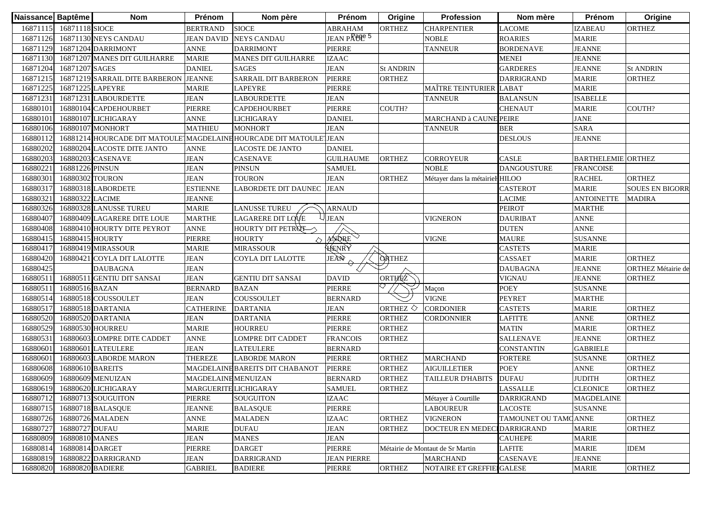| Naissance Baptême |                  | <b>Nom</b>                                                         | Prénom                | Nom père                        | Prénom             | Origine               | Profession                       | Nom mère             | Prénom                    | Origine                   |
|-------------------|------------------|--------------------------------------------------------------------|-----------------------|---------------------------------|--------------------|-----------------------|----------------------------------|----------------------|---------------------------|---------------------------|
| 16871115          | 16871118 SIOCE   |                                                                    | <b>BERTRAND</b>       | <b>SIOCE</b>                    | <b>ABRAHAM</b>     | <b>ORTHEZ</b>         | <b>CHARPENTIER</b>               | <b>LACOME</b>        | <b>IZABEAU</b>            | <b>ORTHEZ</b>             |
| 16871126          |                  | 16871130 NEYS CANDAU                                               | <b>JEAN DAVID</b>     | <b>NEYS CANDAU</b>              | JEAN PARCE 5       |                       | <b>NOBLE</b>                     | <b>ROARIES</b>       | <b>MARIE</b>              |                           |
| 16871129          |                  | 16871204 DARRIMONT                                                 | <b>ANNE</b>           | <b>DARRIMONT</b>                | <b>PIERRE</b>      |                       | <b>TANNEUR</b>                   | <b>BORDENAVE</b>     | <b>JEANNE</b>             |                           |
| 16871130          |                  | 16871207 MANES DIT GUILHARRE                                       | <b>MARIE</b>          | <b>MANES DIT GUILHARRE</b>      | <b>IZAAC</b>       |                       |                                  | <b>MENEI</b>         | <b>JEANNE</b>             |                           |
| 16871204          | 16871207 SAGES   |                                                                    | <b>DANIEL</b>         | <b>SAGES</b>                    | <b>JEAN</b>        | <b>St ANDRIN</b>      |                                  | <b>GARDERES</b>      | <b>JEANNE</b>             | <b>St ANDRIN</b>          |
| 16871215          |                  | 16871219 SARRAIL DITE BARBERON                                     | <b>JEANNE</b>         | SARRAIL DIT BARBERON            | <b>PIERRE</b>      | <b>ORTHEZ</b>         |                                  | <b>DARRIGRAND</b>    | <b>MARIE</b>              | <b>ORTHEZ</b>             |
| 16871225          | 16871225 LAPEYRE |                                                                    | <b>MARIE</b>          | <b>LAPEYRE</b>                  | <b>PIERRE</b>      |                       | <b>MAÎTRE TEINTURIER</b>         | LABAT                | <b>MARIE</b>              |                           |
| 16871231          |                  | 16871231 LABOURDETTE                                               | <b>JEAN</b>           | <b>LABOURDETTE</b>              | <b>JEAN</b>        |                       | <b>TANNEUR</b>                   | <b>BALANSUN</b>      | <b>ISABELLE</b>           |                           |
| 16880101          |                  | 16880104 CAPDEHOURBET                                              | PIERRE                | <b>CAPDEHOURBET</b>             | <b>PIERRE</b>      | COUTH?                |                                  | <b>CHENAUT</b>       | <b>MARIE</b>              | COUTH?                    |
| 1688010           |                  | 16880107 LICHIGARAY                                                | <b>ANNE</b>           | <b>LICHIGARAY</b>               | <b>DANIEL</b>      |                       | <b>MARCHAND à CAUNE PEIRE</b>    |                      | <b>JANE</b>               |                           |
| 1688010           |                  | 16880107 MONHORT                                                   | <b>MATHIEU</b>        | <b>MONHORT</b>                  | <b>JEAN</b>        |                       | <b>TANNEUR</b>                   | <b>BER</b>           | <b>SARA</b>               |                           |
| 16880112          |                  | 16881214 HOURCADE DIT MATOULE MAGDELAINE HOURCADE DIT MATOULE JEAN |                       |                                 |                    |                       |                                  | <b>DESLOUS</b>       | <b>JEANNE</b>             |                           |
| 16880202          |                  | 16880204 LACOSTE DITE JANTO                                        | <b>ANNE</b>           | LACOSTE DE JANTO                | <b>DANIEL</b>      |                       |                                  |                      |                           |                           |
| 16880203          |                  | 16880203 CASENAVE                                                  | <b>JEAN</b>           | <b>CASENAVE</b>                 | <b>GUILHAUME</b>   | <b>ORTHEZ</b>         | <b>CORROYEUR</b>                 | <b>CASLE</b>         | <b>BARTHELEMIE ORTHEZ</b> |                           |
| 16880221          | 16881226 PINSUN  |                                                                    | <b>JEAN</b>           | <b>PINSUN</b>                   | <b>SAMUEL</b>      |                       | <b>NOBLE</b>                     | <b>DANGOUSTURE</b>   | <b>FRANCOISE</b>          |                           |
| 16880301          | 16880302 TOURON  |                                                                    | <b>JEAN</b>           | <b>TOURON</b>                   | <b>JEAN</b>        | <b>ORTHEZ</b>         | Métayer dans la métairiel HILOO  |                      | <b>RACHEL</b>             | <b>ORTHEZ</b>             |
| 16880317          |                  | 16880318 LABORDETE                                                 | <b>ESTIENNE</b>       | <b>LABORDETE DIT DAUNEC</b>     | <b>JEAN</b>        |                       |                                  | CASTEROT             | <b>MARIE</b>              | <b>SOUES EN BIGORR</b>    |
| 16880321          | 16880322 LACIME  |                                                                    | <b>JEANNE</b>         |                                 |                    |                       |                                  | LACIME               | <b>ANTOINETTE</b>         | <b>MADIRA</b>             |
| 16880326          |                  | 16880328 LANUSSE TUREU                                             | <b>MARIE</b>          | <b>LANUSSE TUREU</b>            | <b>ARNAUD</b>      |                       |                                  | <b>PEIROT</b>        | <b>MARTHE</b>             |                           |
| 16880407          |                  | 16880409 LAGARERE DITE LOUE                                        | <b>MARTHE</b>         | LAGARERE DIT LOVE               | <b>JEAN</b>        |                       | <b>VIGNERON</b>                  | <b>DAURIBAT</b>      | <b>ANNE</b>               |                           |
| 16880408          |                  | 16880410 HOURTY DITE PEYROT                                        | <b>ANNE</b>           | HOURTY DIT PETROT               |                    |                       |                                  | <b>DUTEN</b>         | <b>ANNE</b>               |                           |
| 16880415          | 16880415 HOURTY  |                                                                    | PIERRE                | <b>HOURTY</b>                   | $\Diamond$ ANDRE   |                       | <b>VIGNE</b>                     | <b>MAURE</b>         | <b>SUSANNE</b>            |                           |
| 16880417          |                  | 16880419 MIRASSOUR                                                 | <b>MARIE</b>          | <b>MIRASSOUR</b>                | HENRY              |                       |                                  | <b>CASTETS</b>       | <b>MARIE</b>              |                           |
| 16880420          |                  | 16880421 COYLA DIT LALOTTE                                         | <b>JEAN</b>           | COYLA DIT LALOTTE               | JEAN               | <b>ORTHEZ</b>         |                                  | <b>CASSAET</b>       | <b>MARIE</b>              | <b>ORTHEZ</b>             |
| 16880425          |                  | <b>DAUBAGNA</b>                                                    | <b>JEAN</b>           |                                 |                    |                       |                                  | <b>DAUBAGNA</b>      | <b>JEANNE</b>             | <b>ORTHEZ Métairie de</b> |
| 16880511          |                  | 16880511 GENTIU DIT SANSAI                                         | <b>JEAN</b>           | <b>GENTIU DIT SANSAI</b>        | <b>DAVID</b>       | ORTHEZ                |                                  | VIGNAU               | <b>JEANNE</b>             | <b>ORTHEZ</b>             |
| 1688051           | 16880516 BAZAN   |                                                                    | <b>BERNARD</b>        | <b>BAZAN</b>                    | <b>PIERRE</b>      |                       | Maçon                            | <b>POEY</b>          | <b>SUSANNE</b>            |                           |
| 16880514          |                  | 16880518 COUSSOULET                                                | <b>JEAN</b>           | <b>COUSSOULET</b>               | <b>BERNARD</b>     |                       | <b>VIGNE</b>                     | <b>PEYRET</b>        | <b>MARTHE</b>             |                           |
| 16880517          |                  | 16880518 DARTANIA                                                  | <b>CATHERINE</b>      | <b>DARTANIA</b>                 | <b>JEAN</b>        | ORTHEZ $\diamondsuit$ | <b>CORDONIER</b>                 | <b>CASTETS</b>       | <b>MARIE</b>              | <b>ORTHEZ</b>             |
| 16880520          |                  | 16880520 DARTANIA                                                  | <b>JEAN</b>           | <b>DARTANIA</b>                 | <b>PIERRE</b>      | <b>ORTHEZ</b>         | <b>CORDONNIER</b>                | <b>LAFITTE</b>       | <b>ANNE</b>               | <b>ORTHEZ</b>             |
| 16880529          |                  | 16880530 HOURREU                                                   | <b>MARIE</b>          | <b>HOURREU</b>                  | <b>PIERRE</b>      | <b>ORTHEZ</b>         |                                  | <b>MATIN</b>         | <b>MARIE</b>              | <b>ORTHEZ</b>             |
| 16880531          |                  | 16880603 LOMPRE DITE CADDET                                        | <b>ANNE</b>           | <b>LOMPRE DIT CADDET</b>        | <b>FRANCOIS</b>    | <b>ORTHEZ</b>         |                                  | <b>SALLENAVE</b>     | <b>JEANNE</b>             | <b>ORTHEZ</b>             |
| 16880601          |                  | 16880601 LATEULERE                                                 | <b>JEAN</b>           | <b>LATEULERE</b>                | <b>BERNARD</b>     |                       |                                  | CONSTANTIN           | <b>GABRIELE</b>           |                           |
| 16880601          |                  | 16880603 LABORDE MARON                                             | THEREZE               | <b>LABORDE MARON</b>            | <b>PIERRE</b>      | <b>ORTHEZ</b>         | <b>MARCHAND</b>                  | <b>FORTERE</b>       | <b>SUSANNE</b>            | <b>ORTHEZ</b>             |
| 16880608          | 16880610 BAREITS |                                                                    |                       | MAGDELAINE BAREITS DIT CHABANOT | <b>PIERRE</b>      | <b>ORTHEZ</b>         | <b>AIGUILLETIER</b>              | <b>POEY</b>          | <b>ANNE</b>               | <b>ORTHEZ</b>             |
| 16880609          |                  | 16880609 MENUIZAN                                                  | MAGDELAINE MENUIZAN   |                                 | <b>BERNARD</b>     | <b>ORTHEZ</b>         | <b>TAILLEUR D'HABITS</b>         | <b>DUFAU</b>         | <b>JUDITH</b>             | <b>ORTHEZ</b>             |
| 16880619          |                  | 16880620 LICHIGARAY                                                | MARGUERITE LICHIGARAY |                                 | <b>SAMUEL</b>      | <b>ORTHEZ</b>         |                                  | <b>LASSALLE</b>      | <b>CLEONICE</b>           | <b>ORTHEZ</b>             |
|                   |                  | 16880712 16880713 SOUGUITON                                        | PIERRE                | <b>SOUGUITON</b>                | <b>IZAAC</b>       |                       | Métayer à Courtille              | <b>DARRIGRAND</b>    | <b>MAGDELAINE</b>         |                           |
| 16880715          |                  | 16880718 BALASQUE                                                  | <b>JEANNE</b>         | <b>BALASQUE</b>                 | <b>PIERRE</b>      |                       | <b>LABOUREUR</b>                 | <b>LACOSTE</b>       | <b>SUSANNE</b>            |                           |
| 16880726          |                  | 16880726 MALADEN                                                   | <b>ANNE</b>           | <b>MALADEN</b>                  | <b>IZAAC</b>       | <b>ORTHEZ</b>         | <b>VIGNERON</b>                  | TAMOUNET OU TAMCANNE |                           | <b>ORTHEZ</b>             |
| 16880727          | 16880727 DUFAU   |                                                                    | <b>MARIE</b>          | <b>DUFAU</b>                    | <b>JEAN</b>        | <b>ORTHEZ</b>         | <b>DOCTEUR EN MEDE</b>           | <b>IDARRIGRAND</b>   | <b>MARIE</b>              | <b>ORTHEZ</b>             |
| 16880809          | 16880810 MANES   |                                                                    | <b>JEAN</b>           | <b>MANES</b>                    | <b>JEAN</b>        |                       |                                  | <b>CAUHEPE</b>       | <b>MARIE</b>              |                           |
| 16880814          | 16880814 DARGET  |                                                                    | PIERRE                | <b>DARGET</b>                   | <b>PIERRE</b>      |                       | Métairie de Montaut de Sr Martin | <b>LAFITE</b>        | <b>MARIE</b>              | <b>IDEM</b>               |
| 16880819          |                  | 16880822 DARRIGRAND                                                | <b>JEAN</b>           | <b>DARRIGRAND</b>               | <b>JEAN PIERRE</b> |                       | <b>MARCHAND</b>                  | <b>CASENAVE</b>      | <b>JEANNE</b>             |                           |
| 16880820          | 16880820 BADIERE |                                                                    | <b>GABRIEL</b>        | <b>BADIERE</b>                  | PIERRE             | <b>ORTHEZ</b>         | <b>NOTAIRE ET GREFFII</b>        | <b>I</b> GALESE      | <b>MARIE</b>              | <b>ORTHEZ</b>             |
|                   |                  |                                                                    |                       |                                 |                    |                       |                                  |                      |                           |                           |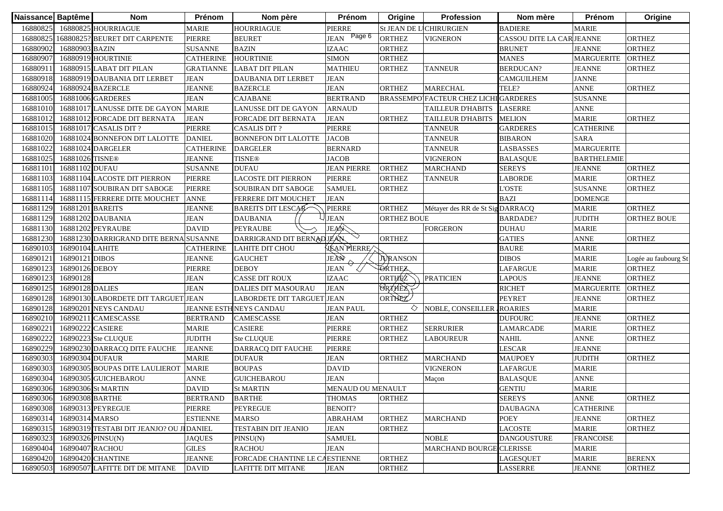| Naissance Baptême |                             | <b>Nom</b>                                | Prénom           | Nom père                     | Prénom                   | Origine                 | <b>Profession</b>                            | Nom mère                               | Prénom             | Origine              |
|-------------------|-----------------------------|-------------------------------------------|------------------|------------------------------|--------------------------|-------------------------|----------------------------------------------|----------------------------------------|--------------------|----------------------|
| 16880825          |                             | 16880825 HOURRIAGUE                       | <b>MARIE</b>     | <b>HOURRIAGUE</b>            | <b>PIERRE</b>            | St JEAN DE LICHIRURGIEN |                                              | <b>BADIERE</b>                         | <b>MARIE</b>       |                      |
| 16880825          |                             | 16880825? BEURET DIT CARPENTE             | <b>PIERRE</b>    | <b>BEURET</b>                | Page 6<br><b>JEAN</b>    | <b>ORTHEZ</b>           | <b>VIGNERON</b>                              | CASSOU DITE LA CAR <sup>J</sup> JEANNE |                    | <b>ORTHEZ</b>        |
| 16880902          | 16880903 BAZIN              |                                           | <b>SUSANNE</b>   | <b>BAZIN</b>                 | <b>IZAAC</b>             | <b>ORTHEZ</b>           |                                              | <b>BRUNET</b>                          | <b>JEANNE</b>      | <b>ORTHEZ</b>        |
| 16880907          |                             | 16880919 HOURTINIE                        | <b>CATHERINE</b> | <b>HOURTINIE</b>             | <b>SIMON</b>             | <b>ORTHEZ</b>           |                                              | <b>MANES</b>                           | <b>MARGUERITE</b>  | <b>ORTHEZ</b>        |
| 16880911          |                             | 16880915 LABAT DIT PILAN                  | <b>GRATIANNE</b> | <b>LABAT DIT PILAN</b>       | <b>MATHIEU</b>           | <b>ORTHEZ</b>           | <b>TANNEUR</b>                               | <b>BERDUCAN?</b>                       | <b>JEANNE</b>      | <b>ORTHEZ</b>        |
| 16880918          |                             | 16880919 DAUBANIA DIT LERBET              | <b>JEAN</b>      | DAUBANIA DIT LERBET          | <b>JEAN</b>              |                         |                                              | <b>CAMGUILHEM</b>                      | <b>JANNE</b>       |                      |
| 16880924          |                             | 16880924 BAZERCLE                         | <b>JEANNE</b>    | <b>BAZERCLE</b>              | <b>JEAN</b>              | <b>ORTHEZ</b>           | <b>MARECHAL</b>                              | TELE?                                  | <b>ANNE</b>        | <b>ORTHEZ</b>        |
| 16881005          |                             | 16881006 GARDERES                         | <b>JEAN</b>      | <b>CAJABANE</b>              | <b>BERTRAND</b>          |                         | <b>BRASSEMPO FACTEUR CHEZ LICHI GARDERES</b> |                                        | <b>SUSANNE</b>     |                      |
| 16881010          |                             | 16881017 LANUSSE DITE DE GAYON            | <b>MARIE</b>     | <b>LANUSSE DIT DE GAYON</b>  | <b>ARNAUD</b>            |                         | <b>TAILLEUR D'HABITS</b>                     | <b>LASERRE</b>                         | <b>ANNE</b>        |                      |
| 16881012          |                             | 16881012 FORCADE DIT BERNATA              | <b>JEAN</b>      | <b>FORCADE DIT BERNATA</b>   | <b>JEAN</b>              | <b>ORTHEZ</b>           | <b>TAILLEUR D'HABITS</b>                     | <b>MELION</b>                          | <b>MARIE</b>       | <b>ORTHEZ</b>        |
| 16881015          |                             | 16881017 CASALIS DIT?                     | <b>PIERRE</b>    | <b>CASALIS DIT?</b>          | <b>PIERRE</b>            |                         | <b>TANNEUR</b>                               | <b>GARDERES</b>                        | <b>CATHERINE</b>   |                      |
| 16881020          |                             | 16881024 BONNEFON DIT LALOTTE             | <b>DANIEL</b>    | <b>BONNEFON DIT LALOTTE</b>  | <b>JACOB</b>             |                         | <b>TANNEUR</b>                               | <b>BIBARON</b>                         | <b>SARA</b>        |                      |
| 16881022          |                             | 16881024 DARGELER                         | <b>CATHERINE</b> | <b>DARGELER</b>              | <b>BERNARD</b>           |                         | <b>TANNEUR</b>                               | LASBASSES                              | <b>MARGUERITE</b>  |                      |
| 16881025          | 16881026 TISNE <sup>®</sup> |                                           | <b>JEANNE</b>    | <b>TISNE®</b>                | <b>JACOB</b>             |                         | <b>VIGNERON</b>                              | <b>BALASQUE</b>                        | <b>BARTHELEMIE</b> |                      |
| 16881101          | 16881102 DUFAU              |                                           | SUSANNE          | <b>DUFAU</b>                 | <b>JEAN PIERRE</b>       | <b>ORTHEZ</b>           | MARCHAND                                     | <b>SEREYS</b>                          | <b>JEANNE</b>      | <b>ORTHEZ</b>        |
| 16881103          |                             | 16881104 LACOSTE DIT PIERRON              | <b>PIERRE</b>    | <b>LACOSTE DIT PIERRON</b>   | <b>PIERRE</b>            | <b>ORTHEZ</b>           | <b>TANNEUR</b>                               | LABORDE                                | <b>MARIE</b>       | <b>ORTHEZ</b>        |
| 16881105          |                             | 16881107 SOUBIRAN DIT SABOGE              | <b>PIERRE</b>    | <b>SOUBIRAN DIT SABOGE</b>   | <b>SAMUEL</b>            | <b>ORTHEZ</b>           |                                              | <b>L'OSTE</b>                          | <b>SUSANNE</b>     | <b>ORTHEZ</b>        |
| 16881114          |                             | 16881115 FERRERE DITE MOUCHET             | <b>ANNE</b>      | FERRERE DIT MOUCHET          | <b>JEAN</b>              |                         |                                              | <b>BAZI</b>                            | <b>DOMENGE</b>     |                      |
| 16881129          | 16881201 BAREITS            |                                           | <b>JEANNE</b>    | <b>BAREITS DIT LESCAR</b>    | <b>PIERRE</b>            | <b>ORTHEZ</b>           | Métayer des RR de St Sig DARRACQ             |                                        | <b>MARIE</b>       | <b>ORTHEZ</b>        |
| 16881129          |                             | 16881202 DAUBANIA                         | <b>JEAN</b>      | <b>DAUBANIA</b>              | <b>JEAN</b>              | <b>ORTHEZ BOUE</b>      |                                              | <b>BARDADE?</b>                        | <b>JUDITH</b>      | <b>ORTHEZ BOUE</b>   |
| 16881130          |                             | 16881202 PEYRAUBE                         | <b>DAVID</b>     | <b>PEYRAUBE</b>              | <b>JEAN</b>              |                         | <b>FORGERON</b>                              | <b>DUHAU</b>                           | <b>MARIE</b>       |                      |
| 16881230          |                             | 16881230 DARRIGRAND DITE BERNA SUSANNE    |                  | DARRIGRAND DIT BERNAD JEAN   | $\smallsetminus$         | <b>ORTHEZ</b>           |                                              | <b>GATIES</b>                          | <b>ANNE</b>        | <b>ORTHEZ</b>        |
| 16890103          | 16890104 LAHITE             |                                           | <b>CATHERINE</b> | <b>LAHITE DIT CHOU</b>       | HEAN PIERREA             |                         |                                              | <b>BAURE</b>                           | <b>MARIE</b>       |                      |
| 16890121          | 16890121 DIBOS              |                                           | JEANNE           | <b>GAUCHET</b>               | JEAN                     | <b>JURANSON</b>         |                                              | <b>DIBOS</b>                           | <b>MARIE</b>       | Logée au faubourg St |
| 16890123          | 16890126 DEBOY              |                                           | PIERRE           | <b>DEBOY</b>                 | <b>JEAN</b>              | <b>TORTHEZ</b>          |                                              | LAFARGUE                               | <b>MARIE</b>       | <b>ORTHEZ</b>        |
| 16890123          | 16890128                    |                                           | <b>JEAN</b>      | <b>CASSE DIT ROUX</b>        | <b>IZAAC</b>             | ORTHEZ                  | <b>PRATICIEN</b>                             | <b>LAPOUS</b>                          | <b>JEANNE</b>      | <b>ORTHEZ</b>        |
| 16890125          | 16890128 DALIES             |                                           | <b>JEAN</b>      | <b>DALIES DIT MASOURAU</b>   | <b>JEAN</b>              | <b>ORTHEZ</b>           |                                              | <b>RICHET</b>                          | <b>MARGUERITE</b>  | <b>ORTHEZ</b>        |
| 16890128          |                             | 16890130 LABORDETE DIT TARGUET            | <b>JEAN</b>      | <b>LABORDETE DIT TARGUET</b> | <b>JEAN</b>              | ORTHEZ                  |                                              | <b>PEYRET</b>                          | <b>JEANNE</b>      | <b>ORTHEZ</b>        |
| 16890128          |                             | 16890201 NEYS CANDAU                      |                  | JEANNE ESTH NEYS CANDAU      | <b>JEAN PAUL</b>         | ◇                       | NOBLE, CONSEILLER                            | <b>ROARIES</b>                         | <b>MARIE</b>       |                      |
| 16890210          |                             | 16890211 CAMESCASSE                       | <b>BERTRAND</b>  | CAMESCASSE                   | <b>JEAN</b>              | <b>ORTHEZ</b>           |                                              | <b>DUFOURC</b>                         | <b>JEANNE</b>      | <b>ORTHEZ</b>        |
| 16890221          | 16890222 CASIERE            |                                           | MARIE            | <b>CASIERE</b>               | PIERRE                   | <b>ORTHEZ</b>           | <b>SERRURIER</b>                             | LAMARCADE                              | <b>MARIE</b>       | <b>ORTHEZ</b>        |
| 16890222          |                             | 16890223 Ste CLUQUE                       | <b>JUDITH</b>    | <b>Ste CLUQUE</b>            | <b>PIERRE</b>            | <b>ORTHEZ</b>           | <b>LABOUREUR</b>                             | NAHIL                                  | <b>ANNE</b>        | <b>ORTHEZ</b>        |
| 16890229          |                             | 16890230 DARRACQ DITE FAUCHE              | <b>JEANNE</b>    | DARRACQ DIT FAUCHE           | <b>PIERRE</b>            |                         |                                              | LESCAR                                 | <b>JEANNE</b>      |                      |
| 16890303          | 16890304 DUFAUR             |                                           | <b>MARIE</b>     | <b>DUFAUR</b>                | <b>JEAN</b>              | <b>ORTHEZ</b>           | <b>MARCHAND</b>                              | <b>MAUPOEY</b>                         | <b>JUDITH</b>      | <b>ORTHEZ</b>        |
| 16890303          |                             | 16890305 BOUPAS DITE LAULIEROT            | <b>MARIE</b>     | <b>BOUPAS</b>                | <b>DAVID</b>             |                         | <b>VIGNERON</b>                              | LAFARGUE                               | <b>MARIE</b>       |                      |
| 16890304          |                             | 16890305 GUICHEBAROU                      | <b>ANNE</b>      | <b>GUICHEBAROU</b>           | <b>JEAN</b>              |                         | Maçon                                        | <b>BALASQUE</b>                        | <b>ANNE</b>        |                      |
| 16890306          |                             | 16890306 St MARTIN                        | <b>DAVID</b>     | <b>St MARTIN</b>             | <b>MENAUD OU MENAULT</b> |                         |                                              | <b>GENTIU</b>                          | <b>MARIE</b>       |                      |
|                   | 16890306 16890308 BARTHE    |                                           | <b>BERTRAND</b>  | <b>BARTHE</b>                | THOMAS ORTHEZ            |                         |                                              | <b>SEREYS</b>                          | <b>ANNE</b>        | <b>ORTHEZ</b>        |
| 16890308          |                             | 16890313 PEYREGUE                         | PIERRE           | <b>PEYREGUE</b>              | <b>BENOIT?</b>           |                         |                                              | <b>DAUBAGNA</b>                        | <b>CATHERINE</b>   |                      |
| 16890314          | 16890314 MARSO              |                                           | <b>ESTIENNE</b>  | <b>MARSO</b>                 | <b>ABRAHAM</b>           | <b>ORTHEZ</b>           | <b>MARCHAND</b>                              | <b>POEY</b>                            | <b>JEANNE</b>      | <b>ORTHEZ</b>        |
| 16890315          |                             | 16890319 TESTABI DIT JEANJO? OU JI DANIEL |                  | <b>TESTABIN DIT JEANIO</b>   | <b>JEAN</b>              | <b>ORTHEZ</b>           |                                              | <b>LACOSTE</b>                         | <b>MARIE</b>       | <b>ORTHEZ</b>        |
| 16890323          | 16890326 PINSU(N)           |                                           | <b>JAQUES</b>    | PINSU(N)                     | <b>SAMUEL</b>            |                         | <b>NOBLE</b>                                 | <b>DANGOUSTURE</b>                     | <b>FRANCOISE</b>   |                      |
| 16890404          | 16890407 RACHOU             |                                           | <b>GILES</b>     | <b>RACHOU</b>                | <b>JEAN</b>              |                         | <b>MARCHAND BOURGE CLERISSE</b>              |                                        | <b>MARIE</b>       |                      |
| 16890420          |                             | 16890420 CHANTINE                         | <b>JEANNE</b>    | FORCADE CHANTINE LE C.       | <b>AESTIENNE</b>         | <b>ORTHEZ</b>           |                                              | LAGESQUET                              | <b>MARIE</b>       | <b>BERENX</b>        |
| 16890503          |                             | 16890507 LAFITTE DIT DE MITANE            | <b>DAVID</b>     | <b>LAFITTE DIT MITANE</b>    | <b>JEAN</b>              | <b>ORTHEZ</b>           |                                              | <b>LASSERRE</b>                        | <b>JEANNE</b>      | <b>ORTHEZ</b>        |
|                   |                             |                                           |                  |                              |                          |                         |                                              |                                        |                    |                      |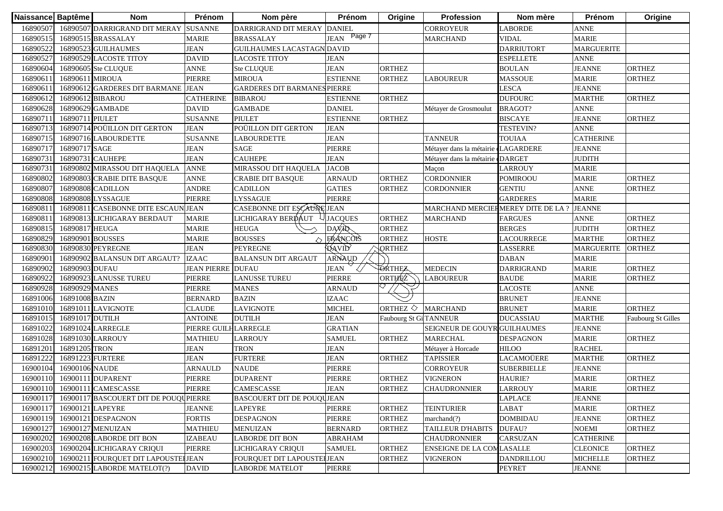| Naissance Baptême |                  | <b>Nom</b>                                     | Prénom                   | Nom père                            | Prénom                | Origine                | Profession                          | Nom mère           | Prénom            | Origine                   |
|-------------------|------------------|------------------------------------------------|--------------------------|-------------------------------------|-----------------------|------------------------|-------------------------------------|--------------------|-------------------|---------------------------|
| 16890507          |                  | 16890507 DARRIGRAND DIT MERAY                  | <b>SUSANNE</b>           | DARRIGRAND DIT MERAY                | <b>DANIEL</b>         |                        | <b>CORROYEUR</b>                    | <b>LABORDE</b>     | <b>ANNE</b>       |                           |
| 16890515          |                  | 16890515 BRASSALAY                             | <b>MARIE</b>             | <b>BRASSALAY</b>                    | Page 7<br><b>JEAN</b> |                        | <b>MARCHAND</b>                     | <b>VIDAL</b>       | <b>MARIE</b>      |                           |
| 16890522          |                  | 16890523 GUILHAUMES                            | <b>JEAN</b>              | <b>GUILHAUMES LACASTAGN DAVID</b>   |                       |                        |                                     | <b>DARRIUTORT</b>  | <b>MARGUERITE</b> |                           |
| 16890527          |                  | 16890529 LACOSTE TITOY                         | <b>DAVID</b>             | LACOSTE TITOY                       | <b>JEAN</b>           |                        |                                     | <b>ESPELLETE</b>   | <b>ANNE</b>       |                           |
| 16890604          |                  | 16890605 Ste CLUQUE                            | <b>ANNE</b>              | Ste CLUQUE                          | <b>JEAN</b>           | <b>ORTHEZ</b>          |                                     | <b>BOULAN</b>      | <b>JEANNE</b>     | <b>ORTHEZ</b>             |
| 1689061           | 16890611 MIROUA  |                                                | <b>PIERRE</b>            | <b>MIROUA</b>                       | <b>ESTIENNE</b>       | <b>ORTHEZ</b>          | <b>LABOUREUR</b>                    | <b>MASSOUE</b>     | <b>MARIE</b>      | <b>ORTHEZ</b>             |
| 1689061           |                  | 16890612 GARDERES DIT BARMANE JEAN             |                          | <b>GARDERES DIT BARMANES PIERRE</b> |                       |                        |                                     | <b>LESCA</b>       | <b>JEANNE</b>     |                           |
| 16890612          | 16890612 BIBAROU |                                                | <b>CATHERINE</b>         | <b>BIBAROU</b>                      | <b>ESTIENNE</b>       | <b>ORTHEZ</b>          |                                     | <b>DUFOURC</b>     | <b>MARTHE</b>     | <b>ORTHEZ</b>             |
| 16890628          |                  | 16890629 GAMBADE                               | <b>DAVID</b>             | <b>GAMBADE</b>                      | <b>DANIEL</b>         |                        | Métayer de Grosmoulut               | <b>BRAGOT?</b>     | <b>ANNE</b>       |                           |
| 1689071           | 16890711 PIULET  |                                                | <b>SUSANNE</b>           | <b>PIULET</b>                       | <b>ESTIENNE</b>       | <b>ORTHEZ</b>          |                                     | <b>BISCAYE</b>     | <b>JEANNE</b>     | <b>ORTHEZ</b>             |
| 16890713          |                  | 16890714 POÜILLON DIT GERTON                   | <b>JEAN</b>              | POÜILLON DIT GERTON                 | <b>JEAN</b>           |                        |                                     | TESTEVIN?          | <b>ANNE</b>       |                           |
| 16890715          |                  | 16890716 LABOURDETTE                           | <b>SUSANNE</b>           | <b>LABOURDETTE</b>                  | <b>JEAN</b>           |                        | <b>TANNEUR</b>                      | <b>TOUIAA</b>      | <b>CATHERINE</b>  |                           |
| 16890717          | 16890717 SAGE    |                                                | <b>JEAN</b>              | <b>SAGE</b>                         | <b>PIERRE</b>         |                        | Métayer dans la métairie dLAGARDERE |                    | <b>JEANNE</b>     |                           |
| 1689073           | 16890731 CAUHEPE |                                                | <b>JEAN</b>              | <b>CAUHEPE</b>                      | <b>JEAN</b>           |                        | Métayer dans la métairie «DARGET    |                    | <b>JUDITH</b>     |                           |
| 16890731          |                  | 16890802 MIRASSOU DIT HAQUELA                  | <b>ANNE</b>              | MIRASSOU DIT HAQUELA                | <b>JACOB</b>          |                        | Maçon                               | <b>LARROUY</b>     | <b>MARIE</b>      |                           |
| 16890802          |                  | 16890803 CRABIE DITE BASQUE                    | <b>ANNE</b>              | <b>CRABIE DIT BASQUE</b>            | <b>ARNAUD</b>         | <b>ORTHEZ</b>          | <b>CORDONNIER</b>                   | <b>POMIROOU</b>    | <b>MARIE</b>      | <b>ORTHEZ</b>             |
| 16890807          |                  | 16890808 CADILLON                              | <b>ANDRE</b>             | <b>CADILLON</b>                     | <b>GATIES</b>         | <b>ORTHEZ</b>          | <b>CORDONNIER</b>                   | <b>GENTIU</b>      | <b>ANNE</b>       | ORTHEZ                    |
| 16890808          |                  | 16890808 LYSSAGUE                              | <b>PIERRE</b>            | LYSSAGUE                            | PIERRE                |                        |                                     | <b>GARDERES</b>    | <b>MARIE</b>      |                           |
| 1689081           | 1689081          | CASEBONNE DITE ESCAUNIJEAN                     |                          | CASEBONNE DIT ESCAUNE JEAN          |                       |                        | MARCHAND MERCIERMEREY DITE DE LA ?  |                    | <b>JEANNE</b>     |                           |
| 1689081           |                  | 16890813 LICHIGARAY BERDAUT                    | <b>MARIE</b>             | LICHIGARAY BERDÁUT                  | <b>JACQUES</b>        | <b>ORTHEZ</b>          | <b>MARCHAND</b>                     | <b>FARGUES</b>     | <b>ANNE</b>       | <b>ORTHEZ</b>             |
| 16890815          | 16890817 HEUGA   |                                                | <b>MARIE</b>             | HEUGA                               | DAVAR                 | <b>ORTHEZ</b>          |                                     | <b>BERGES</b>      | <b>JUDITH</b>     | <b>ORTHEZ</b>             |
| 16890829          | 16890901 BOUSSES |                                                | <b>MARIE</b>             | <b>BOUSSES</b>                      | <b>FRANCOIS</b>       | <b>ORTHEZ</b>          | <b>HOSTE</b>                        | LACOURREGE         | <b>MARTHE</b>     | <b>ORTHEZ</b>             |
| 16890830          |                  | 16890830 PEYREGNE                              | <b>JEAN</b>              | <b>PEYREGNE</b>                     | <b>QAVID</b>          | <b>QRTHEZ</b>          |                                     | LASSERRE           | <b>MARGUERITE</b> | <b>ORTHEZ</b>             |
| 16890901          |                  | 16890902 BALANSUN DIT ARGAUT?                  | <b>IZAAC</b>             | <b>BALANSUN DIT ARGAUT</b>          | ARNAUD                |                        |                                     | <b>DABAN</b>       | <b>MARIE</b>      |                           |
| 16890902          | 16890903 DUFAU   |                                                | <b>JEAN PIERRE DUFAU</b> |                                     | <b>JEAN</b>           | <b>ORTHEZ</b>          | <b>MEDECIN</b>                      | <b>DARRIGRAND</b>  | <b>MARIE</b>      | <b>ORTHEZ</b>             |
| 16890922          |                  | 16890923 LANUSSE TUREU                         | <b>PIERRE</b>            | <b>LANUSSE TUREU</b>                | PIERRE                | ORTHEZ                 | <b>LABOUREUR</b>                    | <b>BAUDE</b>       | <b>MARIE</b>      | <b>ORTHEZ</b>             |
| 16890928          | 16890929 MANES   |                                                | <b>PIERRE</b>            | <b>MANES</b>                        | <b>ARNAUD</b>         |                        |                                     | <b>LACOSTE</b>     | <b>ANNE</b>       |                           |
| 16891006          | 16891008 BAZIN   |                                                | <b>BERNARD</b>           | <b>BAZIN</b>                        | <b>IZAAC</b>          |                        |                                     | <b>BRUNET</b>      | <b>JEANNE</b>     |                           |
| 16891010          |                  | 16891011 LAVIGNOTE                             | <b>CLAUDE</b>            | <b>LAVIGNOTE</b>                    | <b>MICHEL</b>         | ORTHEZ $\diamondsuit$  | <b>MARCHAND</b>                     | <b>BRUNET</b>      | <b>MARIE</b>      | <b>ORTHEZ</b>             |
| 16891015          | 16891017 DUTILH  |                                                | <b>ANTOINE</b>           | <b>DUTILH</b>                       | <b>JEAN</b>           | Faubourg St Gi TANNEUR |                                     | <b>DUCASSIAU</b>   | <b>MARTHE</b>     | <b>Faubourg St Gilles</b> |
| 16891022          |                  | 16891024 LARREGLE                              | PIERRE GUILH LARREGLE    |                                     | <b>GRATIAN</b>        |                        | SEIGNEUR DE GOUYR                   | <b>GUILHAUMES</b>  | <b>JEANNE</b>     |                           |
| 16891028          |                  | 16891030 LARROUY                               | <b>MATHIEU</b>           | <b>LARROUY</b>                      | <b>SAMUEL</b>         | <b>ORTHEZ</b>          | MARECHAL                            | <b>DESPAGNON</b>   | <b>MARIE</b>      | <b>ORTHEZ</b>             |
| 16891201          | 16891205 TRON    |                                                | JEAN                     | <b>TRON</b>                         | JEAN                  |                        | Métayer à Horcade                   | <b>HILOO</b>       | <b>RACHEL</b>     |                           |
| 16891222          | 16891223 FURTERE |                                                | <b>JEAN</b>              | <b>FURTERE</b>                      | <b>JEAN</b>           | <b>ORTHEZ</b>          | <b>TAPISSIER</b>                    | LACAMOÜERE         | <b>MARTHE</b>     | <b>ORTHEZ</b>             |
| 16900104          | 16900106 NAUDE   |                                                | <b>ARNAULD</b>           | <b>NAUDE</b>                        | PIERRE                |                        | CORROYEUR                           | <b>SUBERBIELLE</b> | <b>JEANNE</b>     |                           |
| 16900110          |                  | 16900111 DUPARENT                              | <b>PIERRE</b>            | <b>DUPARENT</b>                     | PIERRE                | <b>ORTHEZ</b>          | <b>VIGNERON</b>                     | HAURIE?            | <b>MARIE</b>      | <b>ORTHEZ</b>             |
|                   |                  | 16900110 16900111 CAMESCASSE                   | <b>PIERRE</b>            | CAMESCASSE                          | <b>JEAN</b>           | <b>ORTHEZ</b>          | <b>CHAUDRONNIER</b>                 | <b>LARROUY</b>     | <b>MARIE</b>      | <b>ORTHEZ</b>             |
|                   |                  | 16900117 16900117 BASCOUERT DIT DE POUQUPIERRE |                          | <b>BASCOUERT DIT DE POUQUIEAN</b>   |                       |                        |                                     | <b>LAPLACE</b>     | <b>JEANNE</b>     |                           |
| 16900117          | 16900121 LAPEYRE |                                                | <b>JEANNE</b>            | <b>LAPEYRE</b>                      | PIERRE                | <b>ORTHEZ</b>          | <b>TEINTURIER</b>                   | LABAT              | <b>MARIE</b>      | <b>ORTHEZ</b>             |
| 16900119          |                  | 16900121 DESPAGNON                             | <b>FORTIS</b>            | <b>DESPAGNON</b>                    | PIERRE                | <b>ORTHEZ</b>          | marchand(?)                         | <b>DOMBIDAU</b>    | <b>JEANNE</b>     | <b>ORTHEZ</b>             |
| 16900127          |                  | 16900127 MENUIZAN                              | <b>MATHIEU</b>           | <b>MENUIZAN</b>                     | <b>BERNARD</b>        | ORTHEZ                 | TAILLEUR D'HABITS                   | DUFAU?             | <b>NOEMI</b>      | ORTHEZ                    |
| 16900202          |                  | 16900208 LABORDE DIT BON                       | <b>IZABEAU</b>           | <b>LABORDE DIT BON</b>              | <b>ABRAHAM</b>        |                        | <b>CHAUDRONNIER</b>                 | <b>CARSUZAN</b>    | <b>CATHERINE</b>  |                           |
| 16900203          |                  | 16900204 LICHIGARAY CRIQUI                     | PIERRE                   | LICHIGARAY CRIQUI                   | <b>SAMUEL</b>         | <b>ORTHEZ</b>          | <b>ENSEIGNE DE LA COMLASALLE</b>    |                    | <b>CLEONICE</b>   | <b>ORTHEZ</b>             |
| 16900210          |                  | 16900211 FOURQUET DIT LAPOUSTEIJEAN            |                          | FOURQUET DIT LAPOUSTEI JEAN         |                       | ORTHEZ                 | <b>VIGNERON</b>                     | <b>DANDRILLOU</b>  | <b>MICHELLE</b>   | ORTHEZ                    |
| 16900212          |                  | 16900215 LABORDE MATELOT(?)                    | <b>DAVID</b>             | <b>LABORDE MATELOT</b>              | PIERRE                |                        |                                     | <b>PEYRET</b>      | <b>JEANNE</b>     |                           |
|                   |                  |                                                |                          |                                     |                       |                        |                                     |                    |                   |                           |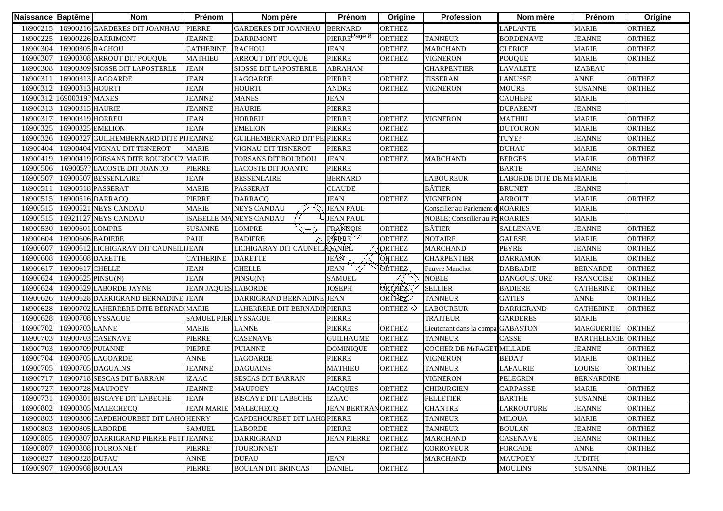| Naissance Baptême |                   | <b>Nom</b>                             | Prénom                      | Nom père                       | Prénom                     | Origine           | Profession                        | Nom mère                | Prénom                    | Origine       |
|-------------------|-------------------|----------------------------------------|-----------------------------|--------------------------------|----------------------------|-------------------|-----------------------------------|-------------------------|---------------------------|---------------|
| 16900215          |                   | 16900216 GARDERES DIT JOANHAU          | <b>PIERRE</b>               | <b>GARDERES DIT JOANHAU</b>    | <b>BERNARD</b>             | <b>ORTHEZ</b>     |                                   | LAPLANTE                | <b>MARIE</b>              | <b>ORTHEZ</b> |
| 16900225          |                   | 16900226 DARRIMONT                     | <b>JEANNE</b>               | <b>DARRIMONT</b>               | PIERRE <sup>Page 8</sup>   | <b>ORTHEZ</b>     | <b>TANNEUR</b>                    | <b>BORDENAVE</b>        | <b>JEANNE</b>             | <b>ORTHEZ</b> |
| 16900304          | 16900305 RACHOU   |                                        | <b>CATHERINE</b>            | <b>RACHOU</b>                  | JEAN                       | <b>ORTHEZ</b>     | <b>MARCHAND</b>                   | <b>CLERICE</b>          | <b>MARIE</b>              | <b>ORTHEZ</b> |
| 16900307          |                   | 16900308 ARROUT DIT POUQUE             | <b>MATHIEU</b>              | ARROUT DIT POUQUE              | <b>PIERRE</b>              | <b>ORTHEZ</b>     | <b>VIGNERON</b>                   | <b>POUQUE</b>           | <b>MARIE</b>              | <b>ORTHEZ</b> |
| 16900308          |                   | 16900309 SIOSSE DIT LAPOSTERLE         | <b>JEAN</b>                 | <b>SIOSSE DIT LAPOSTERLE</b>   | <b>ABRAHAM</b>             |                   | <b>CHARPENTIER</b>                | <b>LAVALETE</b>         | <b>IZABEAU</b>            |               |
| 16900311          |                   | 16900313 LAGOARDE                      | <b>JEAN</b>                 | LAGOARDE                       | PIERRE                     | <b>ORTHEZ</b>     | <b>TISSERAN</b>                   | <b>LANUSSE</b>          | <b>ANNE</b>               | <b>ORTHEZ</b> |
| 16900312          | 16900313 HOURTI   |                                        | <b>JEAN</b>                 | <b>HOURTI</b>                  | <b>ANDRE</b>               | <b>ORTHEZ</b>     | <b>VIGNERON</b>                   | <b>MOURE</b>            | <b>SUSANNE</b>            | <b>ORTHEZ</b> |
| 16900312          | 16900319? MANES   |                                        | <b>JEANNE</b>               | <b>MANES</b>                   | <b>JEAN</b>                |                   |                                   | <b>CAUHEPE</b>          | <b>MARIE</b>              |               |
| 16900313          | 16900315 HAURIE   |                                        | <b>JEANNE</b>               | <b>HAURIE</b>                  | PIERRE                     |                   |                                   | <b>DUPARENT</b>         | <b>JEANNE</b>             |               |
| 16900317          | 16900319 HORREU   |                                        | <b>JEAN</b>                 | <b>HORREU</b>                  | PIERRE                     | <b>ORTHEZ</b>     | <b>VIGNERON</b>                   | <b>MATHIU</b>           | <b>MARIE</b>              | <b>ORTHEZ</b> |
| 16900325          | 16900325 EMELION  |                                        | <b>JEAN</b>                 | <b>EMELION</b>                 | <b>PIERRE</b>              | <b>ORTHEZ</b>     |                                   | <b>DUTOURON</b>         | <b>MARIE</b>              | <b>ORTHEZ</b> |
| 16900326          |                   | 16900327 GUILHEMBERNARD DITE PIJEANNE  |                             | GUILHEMBERNARD DIT PEIPIERRE   |                            | <b>ORTHEZ</b>     |                                   | TUYE?                   | <b>JEANNE</b>             | <b>ORTHEZ</b> |
| 16900404          |                   | 16900404 VIGNAU DIT TISNEROT           | <b>MARIE</b>                | VIGNAU DIT TISNEROT            | <b>PIERRE</b>              | <b>ORTHEZ</b>     |                                   | <b>DUHAU</b>            | <b>MARIE</b>              | <b>ORTHEZ</b> |
| 16900419          |                   | 16900419 FORSANS DITE BOURDOU? MARIE   |                             | <b>FORSANS DIT BOURDOU</b>     | <b>JEAN</b>                | <b>ORTHEZ</b>     | <b>MARCHAND</b>                   | <b>BERGES</b>           | <b>MARIE</b>              | <b>ORTHEZ</b> |
| 16900506          |                   | 169005?? LACOSTE DIT JOANTO            | <b>PIERRE</b>               | <b>LACOSTE DIT JOANTO</b>      | <b>PIERRE</b>              |                   |                                   | <b>BARTE</b>            | <b>JEANNE</b>             |               |
| 16900507          |                   | 16900507 BESSENLAIRE                   | JEAN                        | <b>BESSENLAIRE</b>             | <b>BERNARD</b>             |                   | <b>LABOUREUR</b>                  | LABORDE DITE DE MEMARIE |                           |               |
| 16900511          |                   | 16900518 PASSERAT                      | <b>MARIE</b>                | <b>PASSERAT</b>                | <b>CLAUDE</b>              |                   | <b>BÂTIER</b>                     | <b>BRUNET</b>           | <b>JEANNE</b>             |               |
| 16900515          |                   | 16900516 DARRACQ                       | <b>PIERRE</b>               | <b>DARRACQ</b>                 | <b>JEAN</b>                | <b>ORTHEZ</b>     | VIGNERON                          | <b>ARROUT</b>           | <b>MARIE</b>              | <b>ORTHEZ</b> |
| 16900515          |                   | 16900521 NEYS CANDAU                   | <b>MARIE</b>                | <b>NEYS CANDAU</b>             | <b>JEAN PAUL</b>           |                   | Conseiller au Parlement d ROARIES |                         | <b>MARIE</b>              |               |
| 16900515          |                   | <b>16921127 NEYS CANDAU</b>            |                             | <b>ISABELLE MA NEYS CANDAU</b> | <b>JEAN PAUL</b>           |                   | NOBLE; Conseiller au PaROARIES    |                         | <b>MARIE</b>              |               |
| 16900530          | 16900601 LOMPRE   |                                        | <b>SUSANNE</b>              | LOMPRE                         | FRANCOIS                   | <b>ORTHEZ</b>     | <b>BÂTIER</b>                     | <b>SALLENAVE</b>        | <b>JEANNE</b>             | <b>ORTHEZ</b> |
| 16900604          | 16900606 BADIERE  |                                        | <b>PAUL</b>                 | <b>BADIERE</b>                 | PIERRE                     | <b>ORTHEZ</b>     | <b>NOTAIRE</b>                    | <b>GALESE</b>           | <b>MARIE</b>              | <b>ORTHEZ</b> |
| 16900607          |                   | 16900612 LICHIGARAY DIT CAUNEIL JEAN   |                             | LICHIGARAY DIT CAUNEIL DANIÈL  |                            | <b>QRTHEZ</b>     | <b>MARCHAND</b>                   | <b>PEYRE</b>            | <b>JEANNE</b>             | <b>ORTHEZ</b> |
| 16900608          | 16900608 DARETTE  |                                        | <b>CATHERINE</b>            | <b>DARETTE</b>                 | JEÀN                       | <b>ORTHEZ</b>     | <b>CHARPENTIER</b>                | <b>DARRAMON</b>         | <b>MARIE</b>              | <b>ORTHEZ</b> |
| 16900617          | 16900617 CHELLE   |                                        | <b>JEAN</b>                 | <b>CHELLE</b>                  | <b>JEAN</b>                | <b>ORTHEZ</b>     | Pauvre Manchot                    | <b>DABBADIE</b>         | <b>BERNARDE</b>           | <b>ORTHEZ</b> |
| 16900624          | 16900625 PINSU(N) |                                        | <b>JEAN</b>                 | PINSU(N)                       | <b>SAMUEL</b>              |                   | <b>NOBLE</b>                      | <b>DANGOUSTURE</b>      | <b>FRANCOISE</b>          | <b>ORTHEZ</b> |
| 16900624          |                   | 16900629 LABORDE JAYNE                 | <b>JEAN JAQUES LABORDE</b>  |                                | JOSEPH                     | <b>ORTHEZ</b>     | <b>SELLIER</b>                    | <b>BADIERE</b>          | <b>CATHERINE</b>          | <b>ORTHEZ</b> |
| 16900626          |                   | 16900628 DARRIGRAND BERNADINE JEAN     |                             | DARRIGRAND BERNADINE           | <b>JEAN</b>                | ORTHEZ            | <b>TANNEUR</b>                    | <b>GATIES</b>           | <b>ANNE</b>               | <b>ORTHEZ</b> |
| 16900628          |                   | 16900702 LAHERRERE DITE BERNAD MARIE   |                             | LAHERRERE DIT BERNADINPIERRE   |                            | ORTHEZ $\Diamond$ | <b>LABOUREUR</b>                  | <b>DARRIGRAND</b>       | <b>CATHERINE</b>          | <b>ORTHEZ</b> |
| 16900628          |                   | 16900708 LYSSAGUE                      | <b>SAMUEL PIER LYSSAGUE</b> |                                | PIERRE                     |                   | <b>TRAITEUR</b>                   | <b>GARDERES</b>         | <b>MARIE</b>              |               |
| 16900702          | 16900703 LANNE    |                                        | <b>MARIE</b>                | <b>LANNE</b>                   | PIERRE                     | <b>ORTHEZ</b>     | Lieutenant dans la compa GABASTON |                         | <b>MARGUERITE</b>         | <b>ORTHEZ</b> |
| 16900703          |                   | 16900703 CASENAVE                      | PIERRE                      | <b>CASENAVE</b>                | <b>GUILHAUME</b>           | <b>ORTHEZ</b>     | <b>TANNEUR</b>                    | CASSE                   | <b>BARTHELEMIE ORTHEZ</b> |               |
| 16900703          | 16900709 PUIANNE  |                                        | PIERRE                      | <b>PUIANNE</b>                 | <b>DOMINIQUE</b>           | <b>ORTHEZ</b>     | COCHER DE MrFAGET MILLADE         |                         | <b>JEANNE</b>             | <b>ORTHEZ</b> |
| 16900704          |                   | 16900705 LAGOARDE                      | ANNE                        | LAGOARDE                       | PIERRE                     | <b>ORTHEZ</b>     | <b>VIGNERON</b>                   | <b>BEDAT</b>            | <b>MARIE</b>              | <b>ORTHEZ</b> |
| 16900705          |                   | 16900705 DAGUAINS                      | <b>JEANNE</b>               | <b>DAGUAINS</b>                | <b>MATHIEU</b>             | <b>ORTHEZ</b>     | <b>TANNEUR</b>                    | <b>LAFAURIE</b>         | <b>LOUISE</b>             | <b>ORTHEZ</b> |
| 16900717          |                   | 16900718 SESCAS DIT BARRAN             | <b>IZAAC</b>                | <b>SESCAS DIT BARRAN</b>       | PIERRE                     |                   | <b>VIGNERON</b>                   | <b>PELEGRIN</b>         | <b>BERNARDINE</b>         |               |
| 16900727          |                   | 16900728 MAUPOEY                       | <b>JEANNE</b>               | <b>MAUPOEY</b>                 | <b>JACQUES</b>             | <b>ORTHEZ</b>     | <b>CHIRURGIEN</b>                 | CARPASSE                | <b>MARIE</b>              | <b>ORTHEZ</b> |
|                   |                   | 16900731 16900801 BISCAYE DIT LABECHE  | <b>JEAN</b>                 | <b>BISCAYE DIT LABECHE</b>     | <b>IZAAC</b>               | ORTHEZ            | <b>PELLETIER</b>                  | <b>BARTHE</b>           | <b>SUSANNE</b>            | <b>ORTHEZ</b> |
| 16900802          |                   | 16900805 MALECHECQ                     | JEAN MARIE MALECHECQ        |                                | <b>JEAN BERTRAN ORTHEZ</b> |                   | <b>CHANTRE</b>                    | <b>LARROUTURE</b>       | <b>JEANNE</b>             | ORTHEZ        |
| 16900803          |                   | 16900806 CAPDEHOURBET DIT LAHOHENRY    |                             | CAPDEHOURBET DIT LAHOPIERRE    |                            | <b>ORTHEZ</b>     | <b>TANNEUR</b>                    | <b>MILOUA</b>           | <b>MARIE</b>              | <b>ORTHEZ</b> |
| 16900803          |                   | 16900805 LABORDE                       | <b>SAMUEL</b>               | <b>LABORDE</b>                 | PIERRE                     | <b>ORTHEZ</b>     | <b>TANNEUR</b>                    | <b>BOULAN</b>           | <b>JEANNE</b>             | ORTHEZ        |
| 16900805          |                   | 16900807 DARRIGRAND PIERRE PETI JEANNE |                             | <b>DARRIGRAND</b>              | <b>JEAN PIERRE</b>         | <b>ORTHEZ</b>     | <b>MARCHAND</b>                   | <b>CASENAVE</b>         | <b>JEANNE</b>             | ORTHEZ        |
| 16900807          |                   | 16900808 TOURONNET                     | <b>PIERRE</b>               | <b>TOURONNET</b>               |                            | <b>ORTHEZ</b>     | <b>CORROYEUR</b>                  | <b>FORCADE</b>          | <b>ANNE</b>               | ORTHEZ        |
| 16900827          | 16900828 DUFAU    |                                        | <b>ANNE</b>                 | <b>DUFAU</b>                   | <b>JEAN</b>                |                   | <b>MARCHAND</b>                   | <b>MAUPOEY</b>          | <b>JUDITH</b>             |               |
| 16900907          | 16900908 BOULAN   |                                        | PIERRE                      | <b>BOULAN DIT BRINCAS</b>      | <b>DANIEL</b>              | <b>ORTHEZ</b>     |                                   | <b>MOULINS</b>          | <b>SUSANNE</b>            | ORTHEZ        |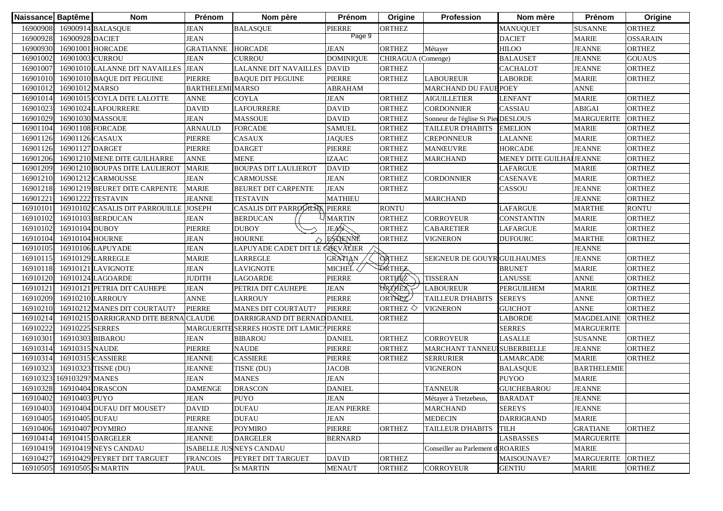| Naissance Baptême |                        | <b>Nom</b>                            | Prénom                  | Nom père                                     | Prénom             | Origine               | Profession                          | Nom mère                  | Prénom             | Origine         |
|-------------------|------------------------|---------------------------------------|-------------------------|----------------------------------------------|--------------------|-----------------------|-------------------------------------|---------------------------|--------------------|-----------------|
| 16900908          |                        | 16900914 BALASQUE                     | JEAN                    | <b>BALASQUE</b>                              | PIERRE             | ORTHEZ                |                                     | <b>MANUQUET</b>           | <b>SUSANNE</b>     | <b>ORTHEZ</b>   |
| 16900928          | 16900928 DACIET        |                                       | <b>JEAN</b>             |                                              | Page 9             |                       |                                     | <b>DACIET</b>             | <b>MARIE</b>       | <b>OSSARAIN</b> |
| 16900930          |                        | 16901001 HORCADE                      | <b>GRATIANNE</b>        | <b>HORCADE</b>                               | <b>JEAN</b>        | <b>ORTHEZ</b>         | Métayer                             | <b>HILOO</b>              | <b>JEANNE</b>      | <b>ORTHEZ</b>   |
| 16901002          | 16901003 CURROU        |                                       | <b>JEAN</b>             | <b>CURROU</b>                                | <b>DOMINIQUE</b>   | CHIRAGUA (Comenge)    |                                     | <b>BALAUSET</b>           | <b>JEANNE</b>      | <b>GOUAUS</b>   |
| 16901007          |                        | 16901010 LALANNE DIT NAVAILLES JEAN   |                         | LALANNE DIT NAVAILLES                        | <b>DAVID</b>       | <b>ORTHEZ</b>         |                                     | <b>CACHALOT</b>           | <b>JEANNE</b>      | <b>ORTHEZ</b>   |
| 16901010          |                        | 16901010 BAQUE DIT PEGUINE            | <b>PIERRE</b>           | <b>BAQUE DIT PEGUINE</b>                     | PIERRE             | <b>ORTHEZ</b>         | <b>LABOUREUR</b>                    | LABORDE                   | <b>MARIE</b>       | <b>ORTHEZ</b>   |
| 16901012          | 16901012 MARSO         |                                       | <b>BARTHELEMI MARSO</b> |                                              | ABRAHAM            |                       | MARCHAND DU FAUBPOEY                |                           | <b>ANNE</b>        |                 |
| 16901014          |                        | 16901015 COYLA DITE LALOTTE           | <b>ANNE</b>             | <b>COYLA</b>                                 | <b>JEAN</b>        | <b>ORTHEZ</b>         | <b>AIGUILLETIER</b>                 | <b>LENFANT</b>            | <b>MARIE</b>       | <b>ORTHEZ</b>   |
| 16901023          |                        | 16901024 LAFOURRERE                   | <b>DAVID</b>            | LAFOURRERE                                   | <b>DAVID</b>       | <b>ORTHEZ</b>         | <b>CORDONNIER</b>                   | CASSIAU                   | <b>ABIGAI</b>      | <b>ORTHEZ</b>   |
| 16901029          |                        | 16901030 MASSOUE                      | <b>JEAN</b>             | <b>MASSOUE</b>                               | <b>DAVID</b>       | <b>ORTHEZ</b>         | Sonneur de l'église St Pier DESLOUS |                           | <b>MARGUERITE</b>  | <b>ORTHEZ</b>   |
| 16901104          | 16901108 FORCADE       |                                       | <b>ARNAULD</b>          | <b>FORCADE</b>                               | <b>SAMUEL</b>      | <b>ORTHEZ</b>         | <b>TAILLEUR D'HABITS</b>            | <b>EMELION</b>            | <b>MARIE</b>       | <b>ORTHEZ</b>   |
| 16901126          | 16901126 CASAUX        |                                       | <b>PIERRE</b>           | <b>CASAUX</b>                                | <b>JAQUES</b>      | <b>ORTHEZ</b>         | <b>CREPONNEUR</b>                   | <b>LALANNE</b>            | <b>MARIE</b>       | <b>ORTHEZ</b>   |
| 16901126          | 16901127 DARGET        |                                       | <b>PIERRE</b>           | <b>DARGET</b>                                | PIERRE             | <b>ORTHEZ</b>         | <b>MANŒUVRE</b>                     | <b>HORCADE</b>            | <b>JEANNE</b>      | <b>ORTHEZ</b>   |
| 16901206          |                        | 16901210 MENE DITE GUILHARRE          | <b>ANNE</b>             | <b>MENE</b>                                  | <b>IZAAC</b>       | <b>ORTHEZ</b>         | <b>MARCHAND</b>                     | MENEY DITE GUILHAI JEANNE |                    | <b>ORTHEZ</b>   |
| 16901209          |                        | 16901210 BOUPAS DITE LAULIEROT        | <b>MARIE</b>            | <b>BOUPAS DIT LAULIEROT</b>                  | <b>DAVID</b>       | <b>ORTHEZ</b>         |                                     | <b>LAFARGUE</b>           | <b>MARIE</b>       | <b>ORTHEZ</b>   |
| 16901210          |                        | 16901212 CARMOUSSE                    | JEAN                    | <b>CARMOUSSE</b>                             | <b>JEAN</b>        | <b>ORTHEZ</b>         | <b>CORDONNIER</b>                   | CASENAVE                  | <b>MARIE</b>       | <b>ORTHEZ</b>   |
| 16901218          |                        | 16901219 BEURET DITE CARPENTE         | <b>MARIE</b>            | <b>BEURET DIT CARPENTE</b>                   | <b>JEAN</b>        | ORTHEZ                |                                     | CASSOU                    | <b>JEANNE</b>      | <b>ORTHEZ</b>   |
| 1690122           |                        | 16901222 TESTAVIN                     | <b>JEANNE</b>           | <b>TESTAVIN</b>                              | <b>MATHIEU</b>     |                       | <b>MARCHAND</b>                     |                           | <b>JEANNE</b>      | <b>ORTHEZ</b>   |
| 16910101          |                        | 16910102 CASALIS DIT PARROUILLE       | <b>JOSEPH</b>           | CASALIS DIT PARROUTERE                       | <b>PIERRE</b>      | <b>RONTU</b>          |                                     | LAFARGUE                  | <b>MARTHE</b>      | <b>RONTU</b>    |
| 16910102          |                        | 16910103 BERDUCAN                     | <b>JEAN</b>             | <b>BERDUCAN</b>                              | <b>MARTIN</b>      | ORTHEZ                | <b>CORROYEUR</b>                    | <b>CONSTANTIN</b>         | <b>MARIE</b>       | <b>ORTHEZ</b>   |
| 16910102          | 16910104 DUBOY         |                                       | <b>PIERRE</b>           | <b>DUBOY</b>                                 | JEAN               | <b>ORTHEZ</b>         | <b>CABARETIER</b>                   | LAFARGUE                  | <b>MARIE</b>       | <b>ORTHEZ</b>   |
| 16910104          | 16910104 HOURNE        |                                       | <b>JEAN</b>             | <b>HOURNE</b>                                | ESTENNE            | <b>ORTHEZ</b>         | <b>VIGNERON</b>                     | <b>DUFOURC</b>            | <b>MARTHE</b>      | <b>ORTHEZ</b>   |
| 16910105          |                        | 16910106 LAPUYADE                     | <b>JEAN</b>             | LAPUYADE CADET DIT LE Ć <del>Ú</del> EVALIER |                    |                       |                                     |                           | <b>JEANNE</b>      |                 |
| 16910115          |                        | 16910129 LARREGLE                     | <b>MARIE</b>            | <b>LARREGLE</b>                              | GRATIAN            | <b>ORTHEZ</b>         | <b>SEIGNEUR DE GOUYR GUILHAUMES</b> |                           | <b>JEANNE</b>      | <b>ORTHEZ</b>   |
| 16910118          |                        | 16910121 LAVIGNOTE                    | <b>JEAN</b>             | <b>LAVIGNOTE</b>                             | MICHEĽ <           | <b>ORTHEZ</b>         |                                     | <b>BRUNET</b>             | <b>MARIE</b>       | <b>ORTHEZ</b>   |
| 16910120          |                        | 16910124 LAGOARDE                     | <b>JUDITH</b>           | <b>LAGOARDE</b>                              | PIERRE             | ORTHEZ                | <b>TISSERAN</b>                     | LANUSSE                   | <b>ANNE</b>        | <b>ORTHEZ</b>   |
| 1691012           |                        | 16910121 PETRIA DIT CAUHEPE           | <b>JEAN</b>             | PETRIA DIT CAUHEPE                           | <b>JEAN</b>        | <b>ORAHEZ</b>         | <b>LABOUREUR</b>                    | <b>PERGUILHEM</b>         | <b>MARIE</b>       | <b>ORTHEZ</b>   |
| 16910209          |                        | 16910210 LARROUY                      | <b>ANNE</b>             | <b>LARROUY</b>                               | <b>PIERRE</b>      | ORTHEZ                | <b>TAILLEUR D'HABITS</b>            | <b>SEREYS</b>             | <b>ANNE</b>        | <b>ORTHEZ</b>   |
| 16910210          |                        | 16910212 MANES DIT COURTAUT?          | <b>PIERRE</b>           | <b>MANES DIT COURTAUT?</b>                   | <b>PIERRE</b>      | ORTHEZ $\diamondsuit$ | <b>VIGNERON</b>                     | <b>GUICHOT</b>            | <b>ANNE</b>        | <b>ORTHEZ</b>   |
| 16910214          |                        | 16910215 DARRIGRAND DITE BERNA CLAUDE |                         | DARRIGRAND DIT BERNAD DANIEL                 |                    | <b>ORTHEZ</b>         |                                     | <b>LABORDE</b>            | <b>MAGDELAINE</b>  | <b>ORTHEZ</b>   |
| 16910222          | 16910225 SERRES        |                                       | <b>MARGUERITE</b>       | <b>SERRES HOSTE DIT LAMIC</b>                | <b>PIERRE</b>      |                       |                                     | <b>SERRES</b>             | <b>MARGUERITE</b>  |                 |
| 16910301          |                        | 16910303 BIBAROU                      | <b>JEAN</b>             | <b>BIBAROU</b>                               | <b>DANIEL</b>      | <b>ORTHEZ</b>         | <b>CORROYEUR</b>                    | <b>LASALLE</b>            | <b>SUSANNE</b>     | <b>ORTHEZ</b>   |
| 16910314          | 16910315 NAUDE         |                                       | <b>PIERRE</b>           | <b>NAUDE</b>                                 | PIERRE             | <b>ORTHEZ</b>         | MARCHANT TANNEUISUBERBIELLE         |                           | <b>JEANNE</b>      | <b>ORTHEZ</b>   |
| 16910314          | 16910315 CASSIERE      |                                       | <b>JEANNE</b>           | <b>CASSIERE</b>                              | PIERRE             | <b>ORTHEZ</b>         | <b>SERRURIER</b>                    | LAMARCADE                 | <b>MARIE</b>       | <b>ORTHEZ</b>   |
| 16910323          |                        | 16910323 TISNE (DU)                   | <b>JEANNE</b>           | TISNE (DU)                                   | JACOB              |                       | <b>VIGNERON</b>                     | <b>BALASQUE</b>           | <b>BARTHELEMIE</b> |                 |
| 16910323          | 16910329? MANES        |                                       | <b>JEAN</b>             | <b>MANES</b>                                 | <b>JEAN</b>        |                       |                                     | <b>PUYOO</b>              | <b>MARIE</b>       |                 |
| 16910328          | $16910404$ DRASCON     |                                       | <b>DAMENGE</b>          | <b>DRASCON</b>                               | <b>DANIEL</b>      |                       | <b>TANNEUR</b>                      | <b>GUICHEBAROU</b>        | <b>JEANNE</b>      |                 |
|                   | 16910402 16910403 PUYO |                                       | <b>JEAN</b>             | <b>PUYO</b>                                  | <b>JEAN</b>        |                       | Métayer à Tretzebeus,               | <b>BARADAT</b>            | <b>JEANNE</b>      |                 |
| 16910403          |                        | 16910404 DUFAU DIT MOUSET?            | <b>DAVID</b>            | <b>DUFAU</b>                                 | <b>JEAN PIERRE</b> |                       | <b>MARCHAND</b>                     | <b>SEREYS</b>             | <b>JEANNE</b>      |                 |
| 16910405          | 16910405 DUFAU         |                                       | <b>PIERRE</b>           | <b>DUFAU</b>                                 | <b>JEAN</b>        |                       | <b>MEDECIN</b>                      | <b>DARRIGRAND</b>         | <b>MARIE</b>       |                 |
| 16910406          | 16910407 POYMIRO       |                                       | <b>JEANNE</b>           | <b>POYMIRO</b>                               | PIERRE             | <b>ORTHEZ</b>         | <b>TAILLEUR D'HABITS</b>            | <b>TILH</b>               | <b>GRATIANE</b>    | ORTHEZ          |
| 16910414          |                        | 16910415 DARGELER                     | <b>JEANNE</b>           | <b>DARGELER</b>                              | <b>BERNARD</b>     |                       |                                     | <b>LASBASSES</b>          | <b>MARGUERITE</b>  |                 |
| 16910419          |                        | 16910419 NEYS CANDAU                  |                         | ISABELLE JUSNEYS CANDAU                      |                    |                       | Conseiller au Parlement d ROARIES   |                           | <b>MARIE</b>       |                 |
| 16910427          |                        | 16910429 PEYRET DIT TARGUET           | <b>FRANCOIS</b>         | PEYRET DIT TARGUET                           | <b>DAVID</b>       | ORTHEZ                |                                     | MAISOUNAVE?               | <b>MARGUERITE</b>  | <b>ORTHEZ</b>   |
| 16910505          |                        | 16910505 St MARTIN                    | PAUL                    | <b>St MARTIN</b>                             | <b>MENAUT</b>      | <b>ORTHEZ</b>         | <b>CORROYEUR</b>                    | <b>GENTIU</b>             | <b>MARIE</b>       | <b>ORTHEZ</b>   |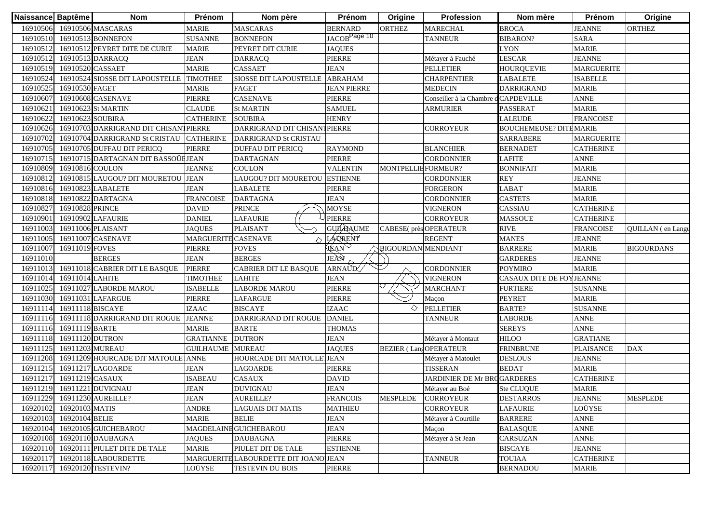| Naissance Baptême |                  | <b>Nom</b>                            | Prénom                     | Nom père                             | Prénom                   | Origine                      | Profession                           | Nom mère                      | Prénom            | Origine           |
|-------------------|------------------|---------------------------------------|----------------------------|--------------------------------------|--------------------------|------------------------------|--------------------------------------|-------------------------------|-------------------|-------------------|
| 16910506          |                  | 16910506 MASCARAS                     | MARIE                      | <b>MASCARAS</b>                      | <b>BERNARD</b>           | <b>ORTHEZ</b>                | <b>MARECHAL</b>                      | <b>BROCA</b>                  | <b>JEANNE</b>     | <b>ORTHEZ</b>     |
| 16910510          |                  | 16910513 BONNEFON                     | <b>SUSANNE</b>             | <b>BONNEFON</b>                      | JACOB <sup>Page 10</sup> |                              | <b>TANNEUR</b>                       | <b>BIBARON?</b>               | <b>SARA</b>       |                   |
| 16910512          |                  | 16910512 PEYRET DITE DE CURIE         | <b>MARIE</b>               | PEYRET DIT CURIE                     | <b>JAQUES</b>            |                              |                                      | <b>LYON</b>                   | <b>MARIE</b>      |                   |
| 16910512          |                  | 16910513 DARRACQ                      | <b>JEAN</b>                | <b>DARRACQ</b>                       | <b>PIERRE</b>            |                              | Métayer à Fauché                     | LESCAR                        | <b>JEANNE</b>     |                   |
| 16910519          | 16910520 CASSAET |                                       | <b>MARIE</b>               | <b>CASSAET</b>                       | <b>JEAN</b>              |                              | <b>PELLETIER</b>                     | <b>HOURQUEVIE</b>             | <b>MARGUERITE</b> |                   |
| 16910524          |                  | 16910524 SIOSSE DIT LAPOUSTELLE       | <b>TIMOTHEE</b>            | SIOSSE DIT LAPOUSTELLE               | <b>ABRAHAM</b>           |                              | <b>CHARPENTIER</b>                   | LABALETE                      | <b>ISABELLE</b>   |                   |
| 16910525          | 16910530 FAGET   |                                       | <b>MARIE</b>               | <b>FAGET</b>                         | <b>JEAN PIERRE</b>       |                              | <b>MEDECIN</b>                       | <b>DARRIGRAND</b>             | <b>MARIE</b>      |                   |
| 16910607          |                  | 16910608 CASENAVE                     | PIERRE                     | <b>CASENAVE</b>                      | <b>PIERRE</b>            |                              | Conseiller à la Chambre d'CAPDEVILLE |                               | <b>ANNE</b>       |                   |
| 16910621          |                  | 16910623 St MARTIN                    | <b>CLAUDE</b>              | <b>St MARTIN</b>                     | <b>SAMUEL</b>            |                              | <b>ARMURIER</b>                      | <b>PASSERAT</b>               | <b>MARIE</b>      |                   |
| 16910622          | 16910623 SOUBIRA |                                       | <b>CATHERINE</b>           | <b>SOUBIRA</b>                       | <b>HENRY</b>             |                              |                                      | LALEUDE                       | <b>FRANCOISE</b>  |                   |
| 16910626          |                  | 16910703 DARRIGRAND DIT CHISANTPIERRE |                            | DARRIGRAND DIT CHISANTPIERRE         |                          |                              | <b>CORROYEUR</b>                     | <b>BOUCHEMEUSE? DITEMARIE</b> |                   |                   |
| 16910702          |                  | 16910704 DARRIGRAND St CRISTAU        | <b>CATHERINE</b>           | <b>DARRIGRAND St CRISTAU</b>         |                          |                              |                                      | <b>SARRABERE</b>              | <b>MARGUERITE</b> |                   |
| 16910705          |                  | 16910705 DUFFAU DIT PERICQ            | <b>PIERRE</b>              | <b>DUFFAU DIT PERICQ</b>             | <b>RAYMOND</b>           |                              | <b>BLANCHIER</b>                     | <b>BERNADET</b>               | <b>CATHERINE</b>  |                   |
| 16910715          |                  | 16910715 DARTAGNAN DIT BASSOÜHJEAN    |                            | <b>DARTAGNAN</b>                     | <b>PIERRE</b>            |                              | CORDONNIER                           | <b>LAFITE</b>                 | <b>ANNE</b>       |                   |
| 16910809          | 16910816 COULON  |                                       | <b>JEANNE</b>              | <b>COULON</b>                        | <b>VALENTIN</b>          | MONTPELLIEFORMEUR?           |                                      | <b>BONNIFAIT</b>              | <b>MARIE</b>      |                   |
| 16910812          |                  | 16910815 LAUGOU? DIT MOURETOU         | <b>JEAN</b>                | LAUGOU? DIT MOURETOU ESTIENNE        |                          |                              | CORDONNIER                           | <b>REY</b>                    | <b>JEANNE</b>     |                   |
| 16910816          |                  | 16910823 LABALETE                     | <b>JEAN</b>                | LABALETE                             | <b>PIERRE</b>            |                              | FORGERON                             | LABAT                         | <b>MARIE</b>      |                   |
| 16910818          |                  | 16910822 DARTAGNA                     | <b>FRANCOISE</b>           | <b>DARTAGNA</b>                      | <b>JEAN</b>              |                              | CORDONNIER                           | <b>CASTETS</b>                | <b>MARIE</b>      |                   |
| 16910827          | 16910828 PRINCE  |                                       | <b>DAVID</b>               | PRINCE                               | <b>MOYSE</b>             |                              | <b>VIGNERON</b>                      | <b>CASSIAU</b>                | <b>CATHERINE</b>  |                   |
| 16910901          |                  | 16910902 LAFAURIE                     | <b>DANIEL</b>              | LAFAURIE                             | <b>PIERRE</b>            |                              | CORROYEUR                            | <b>MASSOUE</b>                | <b>CATHERINE</b>  |                   |
| 16911003          |                  | 16911006 PLAISANT                     | <b>JAQUES</b>              | <b>PLAISANT</b>                      | GUILAAUME                | CABESE(près OPERATEUR        |                                      | <b>RIVE</b>                   | <b>FRANCOISE</b>  | QUILLAN (en Langu |
| 16911005          |                  | 16911007 CASENAVE                     | <b>MARGUERITE CASENAVE</b> |                                      | LAURENT                  |                              | <b>REGENT</b>                        | <b>MANES</b>                  | <b>JEANNE</b>     |                   |
| 16911007          | 16911019 FOVES   |                                       | PIERRE                     | <b>FOVES</b>                         | VEAN V                   | <b>BIGOURDAN: MENDIANT</b>   |                                      | <b>BARRERE</b>                | <b>MARIE</b>      | <b>BIGOURDANS</b> |
| 16911010          |                  | <b>BERGES</b>                         | <b>JEAN</b>                | <b>BERGES</b>                        | JEAN                     |                              |                                      | <b>GARDERES</b>               | <b>JEANNE</b>     |                   |
| 16911013          |                  | 16911018 CABRIER DIT LE BASQUE        | <b>PIERRE</b>              | <b>CABRIER DIT LE BASQUE</b>         | <b>ARNAUD</b>            |                              | <b>CORDONNIER</b>                    | <b>POYMIRO</b>                | <b>MARIE</b>      |                   |
| 16911014          | 16911014 LAHITE  |                                       | <b>TIMOTHEE</b>            | <b>LAHITE</b>                        | <b>JEAN</b>              |                              | <b>VIGNERON</b>                      | CASAUX DITE DE FOY JEANNE     |                   |                   |
| 16911025          |                  | 16911027 LABORDE MAROU                | <b>ISABELLE</b>            | <b>LABORDE MAROU</b>                 | <b>PIERRE</b>            |                              | <b>MARCHANT</b>                      | <b>FURTIERE</b>               | <b>SUSANNE</b>    |                   |
| 16911030          |                  | 16911031 LAFARGUE                     | PIERRE                     | <b>LAFARGUE</b>                      | <b>PIERRE</b>            |                              | Maçon                                | <b>PEYRET</b>                 | <b>MARIE</b>      |                   |
| 16911114          | 16911118 BISCAYE |                                       | <b>IZAAC</b>               | <b>BISCAYE</b>                       | <b>IZAAC</b>             | ◇                            | <b>PELLETIER</b>                     | <b>BARTE?</b>                 | <b>SUSANNE</b>    |                   |
| 16911116          |                  | 16911118 DARRIGRAND DIT ROGUE         | <b>JEANNE</b>              | DARRIGRAND DIT ROGUE                 | <b>DANIEL</b>            |                              | <b>TANNEUR</b>                       | <b>LABORDE</b>                | <b>ANNE</b>       |                   |
| 16911116          | 16911119 BARTE   |                                       | MARIE                      | <b>BARTE</b>                         | <b>THOMAS</b>            |                              |                                      | <b>SEREYS</b>                 | <b>ANNE</b>       |                   |
| 16911118          | 16911120 DUTRON  |                                       | <b>GRATIANNE</b>           | <b>DUTRON</b>                        | <b>JEAN</b>              |                              | Métayer à Montaut                    | <b>HILOO</b>                  | <b>GRATIANE</b>   |                   |
| 16911125          | 16911203 MUREAU  |                                       | <b>GUILHAUME</b>           | <b>MUREAU</b>                        | <b>JAQUES</b>            | <b>BEZIER (LangOPERATEUR</b> |                                      | <b>FRINBRUNE</b>              | <b>PLAISANCE</b>  | <b>DAX</b>        |
| 16911208          |                  | 16911209 HOURCADE DIT MATOULE ANNE    |                            | HOURCADE DIT MATOULE JEAN            |                          |                              | Métayer à Matoulet                   | <b>DESLOUS</b>                | <b>JEANNE</b>     |                   |
| 16911215          |                  | 16911217 LAGOARDE                     | <b>JEAN</b>                | <b>LAGOARDE</b>                      | <b>PIERRE</b>            |                              | <b>TISSERAN</b>                      | <b>BEDAT</b>                  | <b>MARIE</b>      |                   |
| 16911217          | 16911219 CASAUX  |                                       | <b>ISABEAU</b>             | <b>CASAUX</b>                        | <b>DAVID</b>             |                              | JARDINIER DE Mr BROGARDERES          |                               | <b>CATHERINE</b>  |                   |
| 16911219          |                  | 16911221 DUVIGNAU                     | <b>JEAN</b>                | <b>DUVIGNAU</b>                      | <b>JEAN</b>              |                              | Métayer au Boé                       | <b>Ste CLUQUE</b>             | <b>MARIE</b>      |                   |
|                   |                  | 16911229 16911230 AUREILLE?           | <b>JEAN</b>                | <b>AUREILLE?</b>                     | <b>FRANCOIS</b>          |                              | MESPLEDE CORROYEUR                   | <b>DESTARROS</b>              | <b>JEANNE</b>     | <b>MESPLEDE</b>   |
| 16920102          | 16920103 MATIS   |                                       | <b>ANDRE</b>               | <b>LAGUAIS DIT MATIS</b>             | <b>MATHIEU</b>           |                              | <b>CORROYEUR</b>                     | <b>LAFAURIE</b>               | LOÜYSE            |                   |
| 16920103          | 16920104 BELIE   |                                       | <b>MARIE</b>               | <b>BELIE</b>                         | <b>JEAN</b>              |                              | Métayer à Courtille                  | <b>BARRERE</b>                | <b>ANNE</b>       |                   |
| 16920104          |                  | 16920105 GUICHEBAROU                  |                            | <b>MAGDELAINE GUICHEBAROU</b>        | <b>JEAN</b>              |                              | Maçon                                | <b>BALASQUE</b>               | <b>ANNE</b>       |                   |
| 16920108          |                  | 16920110 DAUBAGNA                     | <b>JAQUES</b>              | <b>DAUBAGNA</b>                      | PIERRE                   |                              | Métayer à St Jean                    | <b>CARSUZAN</b>               | <b>ANNE</b>       |                   |
| 16920110          |                  | 16920111 PIULET DITE DE TALE          | <b>MARIE</b>               | PIULET DIT DE TALE                   | <b>ESTIENNE</b>          |                              |                                      | <b>BISCAYE</b>                | <b>JEANNE</b>     |                   |
| 16920117          |                  | 16920118 LABOURDETTE                  |                            | MARGUERITE LABOURDETTE DIT JOANOUEAN |                          |                              | <b>TANNEUR</b>                       | TOUIAA                        | <b>CATHERINE</b>  |                   |
| 16920117          |                  | 16920120 TESTEVIN?                    | LOÜYSE                     |                                      |                          |                              |                                      |                               |                   |                   |
|                   |                  |                                       |                            | TESTEVIN DU BOIS                     | PIERRE                   |                              |                                      | <b>BERNADOU</b>               | <b>MARIE</b>      |                   |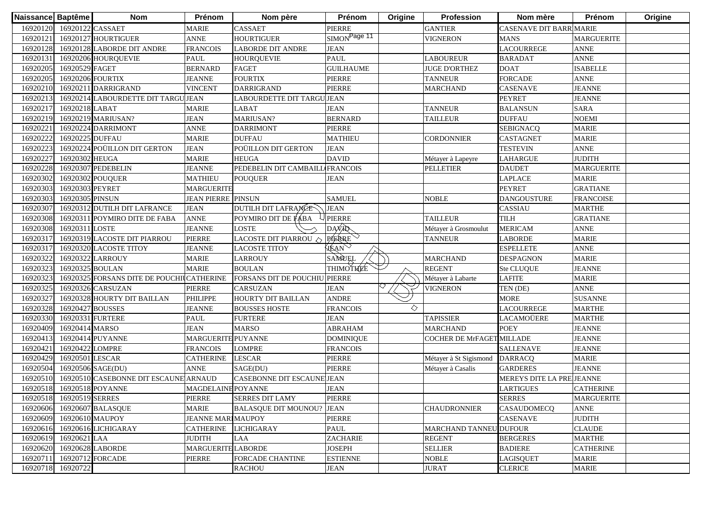| Naissance Baptême |                          | <b>Nom</b>                                | Prénom                    | Nom père                          | Prénom                   | Origine | Profession                | Nom mère                       | Prénom            | Origine |
|-------------------|--------------------------|-------------------------------------------|---------------------------|-----------------------------------|--------------------------|---------|---------------------------|--------------------------------|-------------------|---------|
| 16920120          | 16920122 CASSAET         |                                           | <b>MARIE</b>              | <b>CASSAET</b>                    | PIERRE                   |         | <b>GANTIER</b>            | <b>CASENAVE DIT BARRIMARIE</b> |                   |         |
| 16920121          |                          | 16920127 HOURTIGUER                       | <b>ANNE</b>               | <b>HOURTIGUER</b>                 | SIMON <sup>Page 11</sup> |         | <b>VIGNERON</b>           | <b>MANS</b>                    | <b>MARGUERITE</b> |         |
| 16920128          |                          | 16920128 LABORDE DIT ANDRE                | <b>FRANCOIS</b>           | <b>LABORDE DIT ANDRE</b>          | <b>JEAN</b>              |         |                           | <b>LACOURREGE</b>              | <b>ANNE</b>       |         |
| 1692013           |                          | 16920206 HOURQUEVIE                       | <b>PAUL</b>               | <b>HOUROUEVIE</b>                 | <b>PAUL</b>              |         | <b>LABOUREUR</b>          | <b>BARADAT</b>                 | <b>ANNE</b>       |         |
| 16920205          | 16920529 FAGET           |                                           | <b>BERNARD</b>            | <b>FAGET</b>                      | <b>GUILHAUME</b>         |         | <b>JUGE D'ORTHEZ</b>      | <b>DOAT</b>                    | <b>ISABELLE</b>   |         |
| 16920205          | 16920206 FOURTIX         |                                           | <b>JEANNE</b>             | <b>FOURTIX</b>                    | PIERRE                   |         | <b>TANNEUR</b>            | <b>FORCADE</b>                 | <b>ANNE</b>       |         |
| 16920210          |                          | 16920211 DARRIGRAND                       | <b>VINCENT</b>            | <b>DARRIGRAND</b>                 | <b>PIERRE</b>            |         | <b>MARCHAND</b>           | <b>CASENAVE</b>                | <b>JEANNE</b>     |         |
| 16920213          |                          | 16920214 LABOURDETTE DIT TARGU JEAN       |                           | LABOURDETTE DIT TARGU JEAN        |                          |         |                           | <b>PEYRET</b>                  | <b>JEANNE</b>     |         |
| 16920217          | 16920218 LABAT           |                                           | <b>MARIE</b>              | <b>LABAT</b>                      | <b>JEAN</b>              |         | <b>TANNEUR</b>            | <b>BALANSUN</b>                | <b>SARA</b>       |         |
| 16920219          |                          | 16920219 MARIUSAN?                        | <b>JEAN</b>               | <b>MARIUSAN?</b>                  | <b>BERNARD</b>           |         | <b>TAILLEUR</b>           | <b>DUFFAU</b>                  | <b>NOEMI</b>      |         |
| 1692022           |                          | 16920224 DARRIMONT                        | <b>ANNE</b>               | <b>DARRIMONT</b>                  | <b>PIERRE</b>            |         |                           | <b>SEBIGNACQ</b>               | <b>MARIE</b>      |         |
| 16920222          | 16920225 DUFFAU          |                                           | <b>MARIE</b>              | <b>DUFFAU</b>                     | <b>MATHIEU</b>           |         | <b>CORDONNIER</b>         | <b>CASTAGNET</b>               | <b>MARIE</b>      |         |
| 16920223          |                          | 16920224 POÜILLON DIT GERTON              | <b>JEAN</b>               | POÜILLON DIT GERTON               | <b>JEAN</b>              |         |                           | <b>TESTEVIN</b>                | <b>ANNE</b>       |         |
| 16920227          | 16920302 HEUGA           |                                           | <b>MARIE</b>              | <b>HEUGA</b>                      | <b>DAVID</b>             |         | Métayer à Lapeyre         | LAHARGUE                       | <b>JUDITH</b>     |         |
| 16920228          |                          | 16920307 PEDEBELIN                        | JEANNE                    | PEDEBELIN DIT CAMBAILL FRANCOIS   |                          |         | <b>PELLETIER</b>          | <b>DAUDET</b>                  | <b>MARGUERITE</b> |         |
| 16920302          | 16920302 POUQUER         |                                           | <b>MATHIEU</b>            | <b>POUQUER</b>                    | <b>JEAN</b>              |         |                           | <b>LAPLACE</b>                 | <b>MARIE</b>      |         |
| 16920303          | 16920303 PEYRET          |                                           | <b>MARGUERITE</b>         |                                   |                          |         |                           | <b>PEYRET</b>                  | <b>GRATIANE</b>   |         |
| 16920303          | 16920305 PINSUN          |                                           | <b>JEAN PIERRE PINSUN</b> |                                   | <b>SAMUEL</b>            |         | <b>NOBLE</b>              | <b>DANGOUSTURE</b>             | <b>FRANCOISE</b>  |         |
| 16920307          |                          | 16920312 DUTILH DIT LAFRANCE              | <b>JEAN</b>               | DUTILH DIT LAFRANCE               | <b>JEAN</b>              |         |                           | CASSIAU                        | <b>MARTHE</b>     |         |
| 16920308          |                          | 16920311 POYMIRO DITE DE FABA             | <b>ANNE</b>               | POYMIRO DIT DE FÁBA               | <b>PIERRE</b>            |         | <b>TAILLEUR</b>           | <b>TILH</b>                    | <b>GRATIANE</b>   |         |
| 16920308          | 16920311 LOSTE           |                                           | <b>JEANNE</b>             | <b>LOSTE</b>                      | DAVAR                    |         | Métayer à Grosmoulut      | <b>MERICAM</b>                 | <b>ANNE</b>       |         |
| 16920317          |                          | 16920319 LACOSTE DIT PIARROU              | <b>PIERRE</b>             | LACOSTE DIT PIARROU $\Diamond$    | <b>PIERRE</b>            |         | <b>TANNEUR</b>            | <b>LABORDE</b>                 | <b>MARIE</b>      |         |
| 16920317          |                          | 16920320 LACOSTE TITOY                    | <b>JEANNE</b>             | <b>LACOSTE TITOY</b>              | HEAN                     |         |                           | <b>ESPELLETE</b>               | <b>ANNE</b>       |         |
| 16920322          |                          | 16920322 LARROUY                          | <b>MARIE</b>              | <b>LARROUY</b>                    | SAMUEL                   |         | <b>MARCHAND</b>           | <b>DESPAGNON</b>               | <b>MARIE</b>      |         |
| 16920323          | 16920325 BOULAN          |                                           | <b>MARIE</b>              | <b>BOULAN</b>                     | <b>THIMOTHEE</b>         |         | <b>REGENT</b>             | Ste CLUQUE                     | <b>JEANNE</b>     |         |
| 16920323          |                          | 16920325 FORSANS DITE DE POUCHILCATHERINE |                           | FORSANS DIT DE POUCHIU PIERRE     |                          |         | Métayer à Labarte         | <b>LAFITE</b>                  | <b>MARIE</b>      |         |
| 16920325          |                          | 16920326 CARSUZAN                         | <b>PIERRE</b>             | <b>CARSUZAN</b>                   | <b>JEAN</b>              |         | VIGNERON                  | TEN (DE)                       | <b>ANNE</b>       |         |
| 16920327          |                          | 16920328 HOURTY DIT BAILLAN               | <b>PHILIPPE</b>           | <b>HOURTY DIT BAILLAN</b>         | <b>ANDRE</b>             |         |                           | <b>MORE</b>                    | <b>SUSANNE</b>    |         |
| 16920328          | 16920427 BOUSSES         |                                           | <b>JEANNE</b>             | <b>BOUSSES HOSTE</b>              | <b>FRANCOIS</b>          | ◇       |                           | <b>LACOURREGE</b>              | <b>MARTHE</b>     |         |
| 16920330          | 16920331 FURTERE         |                                           | PAUL                      | <b>FURTERE</b>                    | <b>JEAN</b>              |         | <b>TAPISSIER</b>          | LACAMOÜERE                     | <b>MARTHE</b>     |         |
| 16920409          | 16920414 MARSO           |                                           | <b>JEAN</b>               | <b>MARSO</b>                      | <b>ABRAHAM</b>           |         | <b>MARCHAND</b>           | <b>POEY</b>                    | <b>JEANNE</b>     |         |
| 16920413          |                          | 16920414 PUYANNE                          | MARGUERITE PUYANNE        |                                   | <b>DOMINIQUE</b>         |         | COCHER DE MrFAGET MILLADE |                                | <b>JEANNE</b>     |         |
| 16920421          | 16920422 LOMPRE          |                                           | FRANCOIS                  | <b>LOMPRE</b>                     | <b>FRANCOIS</b>          |         |                           | <b>SALLENAVE</b>               | <b>JEANNE</b>     |         |
| 16920429          | 16920501 LESCAR          |                                           | <b>CATHERINE</b>          | LESCAR                            | <b>PIERRE</b>            |         | Métayer à St Sigismond    | <b>DARRACQ</b>                 | <b>MARIE</b>      |         |
| 16920504          | 16920506 SAGE(DU)        |                                           | <b>ANNE</b>               | SAGE(DU)                          | <b>PIERRE</b>            |         | Métayer à Casalis         | <b>GARDERES</b>                | <b>JEANNE</b>     |         |
| 16920510          |                          | 16920510 CASEBONNE DIT ESCAUNE ARNAUD     |                           | <b>CASEBONNE DIT ESCAUNE JEAN</b> |                          |         |                           | MEREYS DITE LA PREJEANNE       |                   |         |
| 16920518          | 16920518 POYANNE         |                                           | <b>MAGDELAINE POYANNE</b> |                                   | <b>JEAN</b>              |         |                           | <b>LARTIGUES</b>               | <b>CATHERINE</b>  |         |
|                   | 16920518 16920519 SERRES |                                           | <b>PIERRE</b>             | <b>SERRES DIT LAMY</b>            | <b>PIERRE</b>            |         |                           | <b>SERRES</b>                  | <b>MARGUERITE</b> |         |
| 16920606          |                          | 16920607 BALASQUE                         | <b>MARIE</b>              | <b>BALASQUE DIT MOUNOU? JEAN</b>  |                          |         | <b>CHAUDRONNIER</b>       | CASAUDOMECQ                    | <b>ANNE</b>       |         |
| 16920609          | 16920610 MAUPOY          |                                           | <b>JEANNE MARI MAUPOY</b> |                                   | <b>PIERRE</b>            |         |                           | <b>CASENAVE</b>                | <b>JUDITH</b>     |         |
| 16920616          |                          | 16920616 LICHIGARAY                       | <b>CATHERINE</b>          | <b>LICHIGARAY</b>                 | <b>PAUL</b>              |         | MARCHAND TANNEU DUFOUR    |                                | <b>CLAUDE</b>     |         |
| 16920619          | 16920621 LAA             |                                           | <b>JUDITH</b>             | LAA                               | ZACHARIE                 |         | <b>REGENT</b>             | <b>BERGERES</b>                | <b>MARTHE</b>     |         |
| 16920620          | 16920628 LABORDE         |                                           | <b>MARGUERITE LABORDE</b> |                                   | <b>JOSEPH</b>            |         | <b>SELLIER</b>            | <b>BADIERE</b>                 | <b>CATHERINE</b>  |         |
| 1692071           | 16920712 FORCADE         |                                           | <b>PIERRE</b>             | <b>FORCADE CHANTINE</b>           | <b>ESTIENNE</b>          |         | <b>NOBLE</b>              | LAGISQUET                      | <b>MARIE</b>      |         |
| 16920718          | 16920722                 |                                           |                           | <b>RACHOU</b>                     | <b>JEAN</b>              |         | <b>JURAT</b>              | <b>CLERICE</b>                 | <b>MARIE</b>      |         |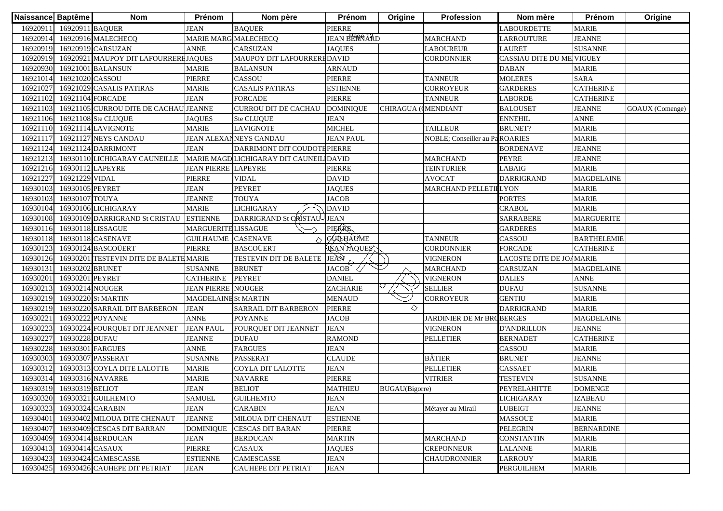| Naissance Baptême |                  | <b>Nom</b>                            | Prénom                      | Nom père                                | Prénom              | Origine                | Profession                   | Nom mère                  | Prénom             | Origine                |
|-------------------|------------------|---------------------------------------|-----------------------------|-----------------------------------------|---------------------|------------------------|------------------------------|---------------------------|--------------------|------------------------|
| 16920911          | 16920911 BAQUER  |                                       | <b>JEAN</b>                 | <b>BAQUER</b>                           | PIERRE              |                        |                              | <b>LABOURDETTE</b>        | <b>MARIE</b>       |                        |
| 16920914          |                  | 16920916 MALECHECQ                    | MARIE MARG MALECHECQ        |                                         | <b>JEAN BERRARD</b> |                        | <b>MARCHAND</b>              | LARROUTURE                | <b>JEANNE</b>      |                        |
| 16920919          |                  | 16920919 CARSUZAN                     | <b>ANNE</b>                 | <b>CARSUZAN</b>                         | <b>JAQUES</b>       |                        | <b>LABOUREUR</b>             | <b>LAURET</b>             | <b>SUSANNE</b>     |                        |
| 16920919          |                  | 16920921 MAUPOY DIT LAFOURRERHJAQUES  |                             | MAUPOY DIT LAFOURREREDAVID              |                     |                        | <b>CORDONNIER</b>            | CASSIAU DITE DU ME VIGUEY |                    |                        |
| 16920930          |                  | 16921001 BALANSUN                     | <b>MARIE</b>                | <b>BALANSUN</b>                         | <b>ARNAUD</b>       |                        |                              | <b>DABAN</b>              | <b>MARIE</b>       |                        |
| 16921014          | 16921020 CASSOU  |                                       | PIERRE                      | CASSOU                                  | PIERRE              |                        | <b>TANNEUR</b>               | <b>MOLERES</b>            | <b>SARA</b>        |                        |
| 16921027          |                  | 16921029 CASALIS PATIRAS              | <b>MARIE</b>                | <b>CASALIS PATIRAS</b>                  | <b>ESTIENNE</b>     |                        | CORROYEUR                    | <b>GARDERES</b>           | <b>CATHERINE</b>   |                        |
| 16921102          |                  | 16921104 FORCADE                      | <b>JEAN</b>                 | <b>FORCADE</b>                          | PIERRE              |                        | <b>TANNEUR</b>               | <b>LABORDE</b>            | <b>CATHERINE</b>   |                        |
| 16921103          |                  | 16921105 CURROU DITE DE CACHAU JEANNE |                             | <b>CURROU DIT DE CACHAU</b>             | <b>DOMINIQUE</b>    | CHIRAGUA ((MENDIANT    |                              | <b>BALOUSET</b>           | <b>JEANNE</b>      | <b>GOAUX</b> (Comenge) |
| 16921106          |                  | 16921108 Ste CLUQUE                   | <b>JAQUES</b>               | Ste CLUQUE                              | <b>JEAN</b>         |                        |                              | <b>ENNEHIL</b>            | <b>ANNE</b>        |                        |
| 16921110          |                  | 16921114 LAVIGNOTE                    | <b>MARIE</b>                | <b>LAVIGNOTE</b>                        | <b>MICHEL</b>       |                        | <b>TAILLEUR</b>              | <b>BRUNET?</b>            | <b>MARIE</b>       |                        |
| 16921117          |                  | 16921127 NEYS CANDAU                  |                             | <b>JEAN ALEXANNEYS CANDAU</b>           | <b>JEAN PAUL</b>    |                        | NOBLE; Conseiller au Pa      | <b>ROARIES</b>            | <b>MARIE</b>       |                        |
| 16921124          |                  | 16921124 DARRIMONT                    | <b>JEAN</b>                 | DARRIMONT DIT COUDOTE PIERRE            |                     |                        |                              | <b>BORDENAVE</b>          | <b>JEANNE</b>      |                        |
| 16921213          |                  | 16930110 LICHIGARAY CAUNEILLE         |                             | MARIE MAGD LICHIGARAY DIT CAUNEIL DAVID |                     |                        | <b>MARCHAND</b>              | <b>PEYRE</b>              | <b>JEANNE</b>      |                        |
| 16921216          | 16930112 LAPEYRE |                                       | <b>JEAN PIERRE LAPEYRE</b>  |                                         | PIERRE              |                        | <b>TEINTURIER</b>            | LABAIG                    | <b>MARIE</b>       |                        |
| 16921227          | 16921229 VIDAL   |                                       | PIERRE                      | <b>VIDAL</b>                            | <b>DAVID</b>        |                        | <b>AVOCAT</b>                | <b>DARRIGRAND</b>         | <b>MAGDELAINE</b>  |                        |
| 16930103          | 16930105 PEYRET  |                                       | JEAN                        | <b>PEYRET</b>                           | <b>JAQUES</b>       |                        | <b>MARCHAND PELLETIELYON</b> |                           | <b>MARIE</b>       |                        |
| 16930103          | 16930107 TOUYA   |                                       | <b>JEANNE</b>               | <b>TOUYA</b>                            | <b>JACOB</b>        |                        |                              | <b>PORTES</b>             | <b>MARIE</b>       |                        |
| 16930104          |                  | 16930106 LICHIGARAY                   | <b>MARIE</b>                | <b>LICHIGARAY</b>                       | <b>DAVID</b>        |                        |                              | <b>CRABOL</b>             | <b>MARIE</b>       |                        |
| 16930108          |                  | 16930109 DARRIGRAND St CRISTAU        | <b>ESTIENNE</b>             | DARRIGRAND St CRISTAU JEAN              |                     |                        |                              | <b>SARRABERE</b>          | <b>MARGUERITE</b>  |                        |
| 16930116          |                  | 16930118 LISSAGUE                     | <b>MARGUERITE LISSAGUE</b>  |                                         | <b>PIERRE</b>       |                        |                              | <b>GARDERES</b>           | <b>MARIE</b>       |                        |
| 16930118          |                  | 16930118 CASENAVE                     | <b>GUILHAUME</b> CASENAVE   |                                         | <b>GUILHAUME</b>    |                        | <b>TANNEUR</b>               | CASSOU                    | <b>BARTHELEMIE</b> |                        |
| 16930123          |                  | 16930124 BASCOÜERT                    | <b>PIERRE</b>               | <b>BASCOÜERT</b>                        | HEAN YAQUES         |                        | <b>CORDONNIER</b>            | <b>FORCADE</b>            | <b>CATHERINE</b>   |                        |
| 16930126          |                  | 16930201 TESTEVIN DITE DE BALETEMARIE |                             | <b>TESTEVIN DIT DE BALETE</b>           | JEAN                |                        | VIGNERON                     | LACOSTE DITE DE JOAMARIE  |                    |                        |
| 16930131          | 16930202 BRUNET  |                                       | <b>SUSANNE</b>              | <b>BRUNET</b>                           | <b>JACOB</b>        |                        | <b>MARCHAND</b>              | CARSUZAN                  | <b>MAGDELAINE</b>  |                        |
| 16930201          | 16930201 PEYRET  |                                       | <b>CATHERINE</b>            | <b>PEYRET</b>                           | <b>DANIEL</b>       |                        | <b>VIGNERON</b>              | <b>DALIES</b>             | <b>ANNE</b>        |                        |
| 16930213          | 16930214 NOUGER  |                                       | <b>JEAN PIERRE NOUGER</b>   |                                         | ZACHARIE            |                        | <b>SELLIER</b>               | <b>DUFAU</b>              | <b>SUSANNE</b>     |                        |
| 16930219          |                  | 16930220 St MARTIN                    | <b>MAGDELAINE St MARTIN</b> |                                         | <b>MENAUD</b>       |                        | <b>CORROYEUR</b>             | <b>GENTIU</b>             | <b>MARIE</b>       |                        |
| 16930219          |                  | 16930220 SARRAIL DIT BARBERON         | <b>JEAN</b>                 | SARRAIL DIT BARBERON                    | <b>PIERRE</b>       | ♦                      |                              | <b>DARRIGRAND</b>         | <b>MARIE</b>       |                        |
| 1693022           |                  | 16930222 POYANNE                      | <b>ANNE</b>                 | <b>POYANNE</b>                          | <b>JACOB</b>        |                        | JARDINIER DE Mr BROBERGES    |                           | <b>MAGDELAINE</b>  |                        |
| 16930223          |                  | 16930224 FOURQUET DIT JEANNET         | <b>JEAN PAUL</b>            | FOURQUET DIT JEANNET                    | <b>JEAN</b>         |                        | <b>VIGNERON</b>              | <b>D'ANDRILLON</b>        | <b>JEANNE</b>      |                        |
| 16930227          | 16930228 DUFAU   |                                       | <b>JEANNE</b>               | <b>DUFAU</b>                            | <b>RAMOND</b>       |                        | <b>PELLETIER</b>             | <b>BERNADET</b>           | <b>CATHERINE</b>   |                        |
| 16930228          | 16930301 FARGUES |                                       | <b>ANNE</b>                 | <b>FARGUES</b>                          | <b>JEAN</b>         |                        |                              | CASSOU                    | <b>MARIE</b>       |                        |
| 16930303          |                  | 16930307 PASSERAT                     | <b>SUSANNE</b>              | <b>PASSERAT</b>                         | <b>CLAUDE</b>       |                        | <b>BÂTIER</b>                | <b>BRUNET</b>             | <b>JEANNE</b>      |                        |
| 16930312          |                  | 16930313 COYLA DITE LALOTTE           | <b>MARIE</b>                | COYLA DIT LALOTTE                       | <b>JEAN</b>         |                        | <b>PELLETIER</b>             | CASSAET                   | <b>MARIE</b>       |                        |
| 16930314          |                  | 16930316 NAVARRE                      | <b>MARIE</b>                | <b>NAVARRE</b>                          | <b>PIERRE</b>       |                        | <b>VITRIER</b>               | <b>TESTEVIN</b>           | <b>SUSANNE</b>     |                        |
| 16930319          | 16930319 BELIOT  |                                       | <b>JEAN</b>                 | <b>BELIOT</b>                           | <b>MATHIEU</b>      | <b>BUGAU</b> (Bigorre) |                              | PEYRELAHITTE              | <b>DOMENGE</b>     |                        |
|                   |                  | 16930320 16930321 GUILHEMTO           | <b>SAMUEL</b>               | <b>GUILHEMTO</b>                        | <b>JEAN</b>         |                        |                              | <b>LICHIGARAY</b>         | <b>IZABEAU</b>     |                        |
| 16930323          |                  | 16930324 CARABIN                      | <b>JEAN</b>                 | <b>CARABIN</b>                          | <b>JEAN</b>         |                        | Métayer au Mirail            | <b>LUBEIGT</b>            | <b>JEANNE</b>      |                        |
| 16930401          |                  | 16930402 MILOUA DITE CHENAUT          | <b>JEANNE</b>               | MILOUA DIT CHENAUT                      | <b>ESTIENNE</b>     |                        |                              | <b>MASSOUE</b>            | <b>MARIE</b>       |                        |
| 16930407          |                  | 16930409 CESCAS DIT BARRAN            | <b>DOMINIQUE</b>            | <b>CESCAS DIT BARAN</b>                 | PIERRE              |                        |                              | <b>PELEGRIN</b>           | <b>BERNARDINE</b>  |                        |
| 16930409          |                  | 16930414 BERDUCAN                     | <b>JEAN</b>                 | <b>BERDUCAN</b>                         | <b>MARTIN</b>       |                        | <b>MARCHAND</b>              | <b>CONSTANTIN</b>         | <b>MARIE</b>       |                        |
| 16930413          | 16930414 CASAUX  |                                       | PIERRE                      | CASAUX                                  | <b>JAQUES</b>       |                        | <b>CREPONNEUR</b>            | <b>LALANNE</b>            | <b>MARIE</b>       |                        |
| 16930423          |                  | 16930424 CAMESCASSE                   | <b>ESTIENNE</b>             | CAMESCASSE                              | <b>JEAN</b>         |                        | <b>CHAUDRONNIER</b>          | <b>LARROUY</b>            | <b>MARIE</b>       |                        |
| 16930425          |                  | 16930426 CAUHEPE DIT PETRIAT          | <b>JEAN</b>                 | <b>CAUHEPE DIT PETRIAT</b>              | <b>JEAN</b>         |                        |                              | <b>PERGUILHEM</b>         | <b>MARIE</b>       |                        |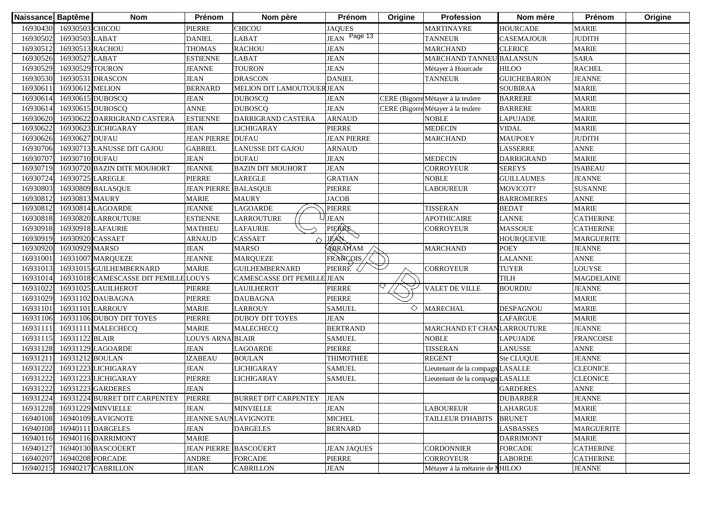| Naissance Baptême |                  | <b>Nom</b>                             | Prénom                      | Nom père                    | <b>Prénom</b>               | Origine | <b>Profession</b>                  | Nom mère           | Prénom            | Origine |
|-------------------|------------------|----------------------------------------|-----------------------------|-----------------------------|-----------------------------|---------|------------------------------------|--------------------|-------------------|---------|
| 16930430          | 16930503 CHICOU  |                                        | PIERRE                      | CHICOU                      | <b>JAQUES</b>               |         | <b>MARTINAYRE</b>                  | <b>HOURCADE</b>    | <b>MARIE</b>      |         |
| 16930502          | 16930503 LABAT   |                                        | DANIEL                      | LABAT                       | JEAN Page 13                |         | <b>TANNEUR</b>                     | CASEMAJOUR         | <b>JUDITH</b>     |         |
| 16930512          | 16930513 RACHOU  |                                        | <b>THOMAS</b>               | <b>RACHOU</b>               | JEAN                        |         | <b>MARCHAND</b>                    | <b>CLERICE</b>     | <b>MARIE</b>      |         |
| 16930526          | 16930527 LABAT   |                                        | <b>ESTIENNE</b>             | LABAT                       | <b>JEAN</b>                 |         | <b>MARCHAND TANNEL</b>             | <b>BALANSUN</b>    | <b>SARA</b>       |         |
| 16930529          | 16930529 TOURON  |                                        | <b>JEANNE</b>               | <b>TOURON</b>               | <b>JEAN</b>                 |         | Métayer à Hourcade                 | <b>HILOO</b>       | <b>RACHEL</b>     |         |
| 16930530          |                  | 16930531 DRASCON                       | <b>JEAN</b>                 | <b>DRASCON</b>              | <b>DANIEL</b>               |         | <b>TANNEUR</b>                     | <b>GUICHEBARON</b> | <b>JEANNE</b>     |         |
| 16930611          | 16930612 MELION  |                                        | <b>BERNARD</b>              | MELION DIT LAMOUTOUER JEAN  |                             |         |                                    | <b>SOUBIRAA</b>    | <b>MARIE</b>      |         |
| 16930614          |                  | 16930615 DUBOSCQ                       | <b>JEAN</b>                 | <b>DUBOSCQ</b>              | <b>JEAN</b>                 |         | CERE (Bigorre Métayer à la teulere | <b>BARRERE</b>     | <b>MARIE</b>      |         |
| 16930614          |                  | 16930615 DUBOSCQ                       | <b>ANNE</b>                 | <b>DUBOSCQ</b>              | <b>JEAN</b>                 |         | CERE (Bigorre Métayer à la teulere | <b>BARRERE</b>     | <b>MARIE</b>      |         |
| 16930620          |                  | 16930622 DARRIGRAND CASTERA            | <b>ESTIENNE</b>             | DARRIGRAND CASTERA          | <b>ARNAUD</b>               |         | <b>NOBLE</b>                       | <b>LAPUJADE</b>    | <b>MARIE</b>      |         |
| 16930622          |                  | 16930623 LICHIGARAY                    | <b>JEAN</b>                 | <b>LICHIGARAY</b>           | PIERRE                      |         | <b>MEDECIN</b>                     | <b>VIDAL</b>       | <b>MARIE</b>      |         |
| 16930626          | 16930627 DUFAU   |                                        | <b>JEAN PIERRE DUFAU</b>    |                             | <b>JEAN PIERRE</b>          |         | <b>MARCHAND</b>                    | <b>MAUPOEY</b>     | <b>JUDITH</b>     |         |
| 16930706          |                  | 16930713 LANUSSE DIT GAJOU             | <b>GABRIEL</b>              | <b>LANUSSE DIT GAJOU</b>    | <b>ARNAUD</b>               |         |                                    | <b>LASSERRE</b>    | <b>ANNE</b>       |         |
| 16930707          | 16930710 DUFAU   |                                        | <b>JEAN</b>                 | <b>DUFAU</b>                | <b>JEAN</b>                 |         | <b>MEDECIN</b>                     | <b>DARRIGRAND</b>  | <b>MARIE</b>      |         |
| 16930719          |                  | 16930720 BAZIN DITE MOUHORT            | <b>JEANNE</b>               | <b>BAZIN DIT MOUHORT</b>    | <b>JEAN</b>                 |         | <b>CORROYEUR</b>                   | <b>SEREYS</b>      | <b>ISABEAU</b>    |         |
| 16930724          | 16930725 LAREGLE |                                        | PIERRE                      | <b>LAREGLE</b>              | <b>GRATIAN</b>              |         | <b>NOBLE</b>                       | <b>GUILLAUMES</b>  | <b>JEANNE</b>     |         |
| 16930803          |                  | 16930809 BALASQUE                      | JEAN PIERRE                 | <b>BALASOUE</b>             | PIERRE                      |         | <b>LABOUREUR</b>                   | MOVICOT?           | SUSANNE           |         |
| 16930812          | 16930813 MAURY   |                                        | <b>MARIE</b>                | <b>MAURY</b>                | <b>JACOB</b>                |         |                                    | <b>BARROMERES</b>  | <b>ANNE</b>       |         |
| 1693081           |                  | 16930814 LAGOARDE                      | <b>JEANNE</b>               | LAGOARDE                    | PIERRE                      |         | <b>TISSERAN</b>                    | <b>BEDAT</b>       | <b>MARIE</b>      |         |
| 16930818          |                  | 16930820 LARROUTURE                    | <b>ESTIENNE</b>             | LARROUTURE                  | <b>JEAN</b>                 |         | <b>APOTHICAIRE</b>                 | <b>LANNE</b>       | <b>CATHERINE</b>  |         |
| 16930918          |                  | 16930918 LAFAURIE                      | <b>MATHIEU</b>              | <b>LAFAURIE</b>             | <b>PIERRE</b>               |         | <b>CORROYEUR</b>                   | <b>MASSOUE</b>     | <b>CATHERINE</b>  |         |
| 16930919          | 16930920 CASSAET |                                        | <b>ARNAUD</b>               | CASSAET                     | $\heartsuit$<br><b>JEAN</b> |         |                                    | <b>HOURQUEVIE</b>  | <b>MARGUERITE</b> |         |
| 16930920          | 16930929 MARSO   |                                        | <b>JEAN</b>                 | <b>MARSO</b>                | ABRAMAM                     |         | <b>MARCHAND</b>                    | <b>POEY</b>        | <b>JEANNE</b>     |         |
| 16931001          |                  | 16931007 MARQUEZE                      | <b>JEANNE</b>               | <b>MARQUEZE</b>             | FRANCOIS/                   |         |                                    | <b>LALANNE</b>     | <b>ANNE</b>       |         |
| 16931013          |                  | 16931015 GUILHEMBERNARD                | <b>MARIE</b>                | <b>GUILHEMBERNARD</b>       | PIERRE                      |         | <b>CORROYEUR</b>                   | <b>TUYER</b>       | <b>LOUYSE</b>     |         |
| 16931014          |                  | 16931018 CAMESCASSE DIT PEMILLE LOUYS  |                             | CAMESCASSE DIT PEMILLE JEAN |                             |         |                                    | <b>TILH</b>        | <b>MAGDELAINE</b> |         |
| 16931022          |                  | 16931025 LAUILHEROT                    | PIERRE                      | <b>LAUILHEROT</b>           | PIERRE                      |         | VALET DE VILLE                     | <b>BOURDIU</b>     | <b>JEANNE</b>     |         |
| 16931029          |                  | 16931102 DAUBAGNA                      | PIERRE                      | <b>DAUBAGNA</b>             | PIERRE                      |         |                                    |                    | <b>MARIE</b>      |         |
| 16931101          |                  | 16931101 LARROUY                       | <b>MARIE</b>                | <b>LARROUY</b>              | <b>SAMUEL</b>               | ◇       | <b>MARECHAL</b>                    | <b>DESPAGNOU</b>   | <b>MARIE</b>      |         |
| 16931106          |                  | 16931106 DUBOY DIT TOYES               | PIERRE                      | <b>DUBOY DIT TOYES</b>      | <b>JEAN</b>                 |         |                                    | <b>LAFARGUE</b>    | <b>MARIE</b>      |         |
| 1693111           |                  | 16931111 MALECHECQ                     | <b>MARIE</b>                | <b>MALECHECQ</b>            | <b>BERTRAND</b>             |         | MARCHAND ET CHANLARROUTURE         |                    | <b>JEANNE</b>     |         |
| 16931115          | 16931122 BLAIR   |                                        | <b>LOUYS ARNA BLAIR</b>     |                             | <b>SAMUEL</b>               |         | <b>NOBLE</b>                       | <b>LAPUJADE</b>    | <b>FRANCOISE</b>  |         |
| 16931128          |                  | 16931129 LAGOARDE                      | <b>JEAN</b>                 | LAGOARDE                    | PIERRE                      |         | <b>TISSERAN</b>                    | <b>LANUSSE</b>     | <b>ANNE</b>       |         |
| 16931211          | 16931212 BOULAN  |                                        | <b>IZABEAU</b>              | <b>BOULAN</b>               | THIMOTHEE                   |         | <b>REGENT</b>                      | Ste CLUQUE         | <b>JEANNE</b>     |         |
| 16931222          |                  | 16931223 LICHIGARAY                    | <b>JEAN</b>                 | LICHIGARAY                  | <b>SAMUEL</b>               |         | Lieutenant de la compagn LASALLE   |                    | <b>CLEONICE</b>   |         |
| 16931222          |                  | 16931223 LICHIGARAY                    | PIERRE                      | <b>LICHIGARAY</b>           | <b>SAMUEL</b>               |         | Lieutenant de la compagn LASALLE   |                    | <b>CLEONICE</b>   |         |
| 16931222          |                  | 16931223 GARDERES                      | <b>JEAN</b>                 |                             |                             |         |                                    | <b>GARDERES</b>    | <b>ANNE</b>       |         |
|                   |                  | 16931224 16931224 BURRET DIT CARPENTEY | <b>PIERRE</b>               | BURRET DIT CARPENTEY JEAN   |                             |         |                                    | <b>DUBARBER</b>    | <b>JEANNE</b>     |         |
| 16931228          |                  | 16931229 MINVIELLE                     | <b>JEAN</b>                 | <b>MINVIELLE</b>            | <b>JEAN</b>                 |         | <b>LABOUREUR</b>                   | <b>LAHARGUE</b>    | <b>MARIE</b>      |         |
| 16940108          |                  | 16940109 LAVIGNOTE                     | <b>JEANNE SAUNLAVIGNOTE</b> |                             | <b>MICHEL</b>               |         | <b>TAILLEUR D'HABITS</b>           | <b>BRUNET</b>      | <b>MARIE</b>      |         |
| 16940108          |                  | 16940111 DARGELES                      | <b>JEAN</b>                 | <b>DARGELES</b>             | <b>BERNARD</b>              |         |                                    | <b>LASBASSES</b>   | <b>MARGUERITE</b> |         |
| 16940116          |                  | 16940116 DARRIMONT                     | <b>MARIE</b>                |                             |                             |         |                                    | <b>DARRIMONT</b>   | <b>MARIE</b>      |         |
| 16940127          |                  | 16940130 BASCOÜERT                     | <b>JEAN PIERRE</b>          | <b>BASCOÜERT</b>            | <b>JEAN JAQUES</b>          |         | <b>CORDONNIER</b>                  | <b>FORCADE</b>     | <b>CATHERINE</b>  |         |
| 16940207          |                  | 16940208 FORCADE                       | ANDRE                       | <b>FORCADE</b>              | PIERRE                      |         | <b>CORROYEUR</b>                   | <b>LABORDE</b>     | <b>CATHERINE</b>  |         |
| 16940215          |                  | 16940217 CABRILLON                     | <b>JEAN</b>                 | <b>CABRILLON</b>            | <b>JEAN</b>                 |         | Métayer à la métairie de           | <b>NHILOO</b>      | <b>JEANNE</b>     |         |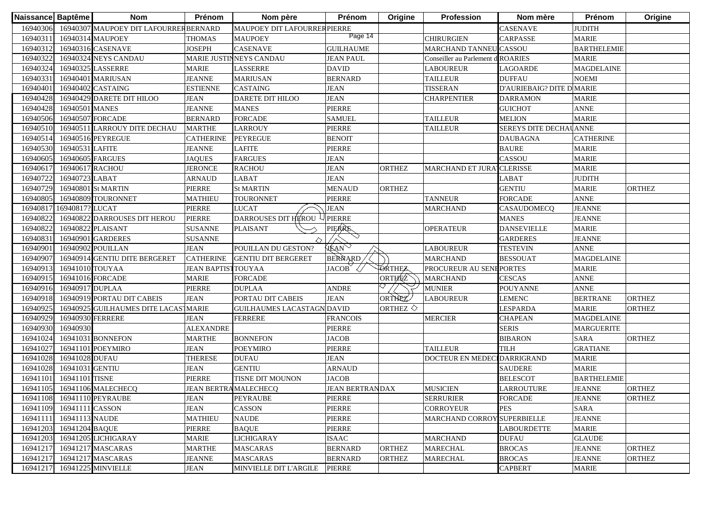| Naissance Baptême |                          | <b>Nom</b>                            | Prénom                       | Nom père                     | Prénom                 | Origine               | <b>Profession</b>                 | Nom mère                  | Prénom             | Origine       |
|-------------------|--------------------------|---------------------------------------|------------------------------|------------------------------|------------------------|-----------------------|-----------------------------------|---------------------------|--------------------|---------------|
| 16940306          |                          | 16940307 MAUPOEY DIT LAFOURRERBERNARD |                              | MAUPOEY DIT LAFOURRER PIERRE |                        |                       |                                   | <b>CASENAVE</b>           | <b>JUDITH</b>      |               |
| 1694031           |                          | 16940314 MAUPOEY                      | <b>THOMAS</b>                | <b>MAUPOEY</b>               | Page 14                |                       | <b>CHIRURGIEN</b>                 | CARPASSE                  | <b>MARIE</b>       |               |
| 16940312          |                          | 16940316 CASENAVE                     | <b>JOSEPH</b>                | CASENAVE                     | <b>GUILHAUME</b>       |                       | MARCHAND TANNEU CASSOU            |                           | <b>BARTHELEMIE</b> |               |
| 16940322          |                          | 16940324 NEYS CANDAU                  |                              | MARIE JUSTINNEYS CANDAU      | <b>JEAN PAUL</b>       |                       | Conseiller au Parlement d ROARIES |                           | <b>MARIE</b>       |               |
| 16940324          |                          | 16940325 LASSERRE                     | <b>MARIE</b>                 | <b>LASSERRE</b>              | <b>DAVID</b>           |                       | <b>LABOUREUR</b>                  | <b>LAGOARDE</b>           | <b>MAGDELAINE</b>  |               |
| 16940331          |                          | 16940401 MARIUSAN                     | <b>JEANNE</b>                | <b>MARIUSAN</b>              | <b>BERNARD</b>         |                       | <b>TAILLEUR</b>                   | <b>DUFFAU</b>             | <b>NOEMI</b>       |               |
| 16940401          |                          | 16940402 CASTAING                     | <b>ESTIENNE</b>              | <b>CASTAING</b>              | <b>JEAN</b>            |                       | <b>TISSERAN</b>                   | D'AURIEBAIG? DITE D MARIE |                    |               |
| 16940428          |                          | 16940429 DARETE DIT HILOO             | <b>JEAN</b>                  | <b>DARETE DIT HILOO</b>      | <b>JEAN</b>            |                       | <b>CHARPENTIER</b>                | <b>DARRAMON</b>           | <b>MARIE</b>       |               |
| 16940428          | 16940501 MANES           |                                       | <b>JEANNE</b>                | <b>MANES</b>                 | PIERRE                 |                       |                                   | <b>GUICHOT</b>            | <b>ANNE</b>        |               |
| 16940506          | 16940507 FORCADE         |                                       | <b>BERNARD</b>               | <b>FORCADE</b>               | <b>SAMUEL</b>          |                       | <b>TAILLEUR</b>                   | <b>MELION</b>             | <b>MARIE</b>       |               |
| 16940510          |                          | 16940511 LARROUY DITE DECHAU          | <b>MARTHE</b>                | <b>LARROUY</b>               | PIERRE                 |                       | <b>TAILLEUR</b>                   | SEREYS DITE DECHAU ANNE   |                    |               |
| 16940514          |                          | 16940516 PEYREGUE                     | <b>CATHERINE</b>             | <b>PEYREGUE</b>              | <b>BENOIT</b>          |                       |                                   | <b>DAUBAGNA</b>           | <b>CATHERINE</b>   |               |
| 16940530          | 16940531 LAFITE          |                                       | <b>JEANNE</b>                | <b>LAFITE</b>                | PIERRE                 |                       |                                   | <b>BAURE</b>              | <b>MARIE</b>       |               |
| 16940605          | 16940605 FARGUES         |                                       | <b>JAQUES</b>                | <b>FARGUES</b>               | <b>JEAN</b>            |                       |                                   | CASSOU                    | <b>MARIE</b>       |               |
| 1694061           | 16940617 RACHOU          |                                       | <b>JERONCE</b>               | <b>RACHOU</b>                | <b>JEAN</b>            | <b>ORTHEZ</b>         | <b>MARCHAND ET JURA</b>           | <b>CLERISSE</b>           | <b>MARIE</b>       |               |
| 16940722          | 16940723 LABAT           |                                       | <b>ARNAUD</b>                | LABAT                        | <b>JEAN</b>            |                       |                                   | LABAT                     | <b>JUDITH</b>      |               |
| 16940729          |                          | 16940801 St MARTIN                    | PIERRE                       | <b>St MARTIN</b>             | <b>MENAUD</b>          | <b>ORTHEZ</b>         |                                   | <b>GENTIU</b>             | <b>MARIE</b>       | <b>ORTHEZ</b> |
| 16940805          |                          | 16940809 TOURONNET                    | <b>MATHIEU</b>               | <b>TOURONNET</b>             | PIERRE                 |                       | <b>TANNEUR</b>                    | <b>FORCADE</b>            | <b>ANNE</b>        |               |
| 1694081           | 16940817? LUCAT          |                                       | PIERRE                       | <b>LUCAT</b>                 | <b>JEAN</b>            |                       | <b>MARCHAND</b>                   | CASAUDOMECQ               | <b>JEANNE</b>      |               |
| 1694082           |                          | 16940822 DARROUSES DIT HEROU          | PIERRE                       | DARROUSES DIT HEROU          | <b>PIERRE</b>          |                       |                                   | <b>MANES</b>              | <b>JEANNE</b>      |               |
| 1694082           |                          | 16940822 PLAISANT                     | <b>SUSANNE</b>               | <b>PLAISANT</b>              | PIERRE                 |                       | <b>OPERATEUR</b>                  | <b>DANSEVIELLE</b>        | <b>MARIE</b>       |               |
| 1694083           |                          | 16940901 GARDERES                     | <b>SUSANNE</b>               |                              | $\heartsuit$           |                       |                                   | <b>GARDERES</b>           | <b>JEANNE</b>      |               |
| 16940901          |                          | 16940902 POUILLAN                     | <b>JEAN</b>                  | POUILLAN DU GESTON?          | HEAN                   |                       | <b>LABOUREUR</b>                  | <b>TESTEVIN</b>           | <b>ANNE</b>        |               |
| 16940907          |                          | 16940914 GENTIU DITE BERGERET         | <b>CATHERINE</b>             | <b>GENTIU DIT BERGERET</b>   | BERNARD                |                       | <b>MARCHAND</b>                   | <b>BESSOUAT</b>           | <b>MAGDELAINE</b>  |               |
| 16940913          | 16941010 TOUYAA          |                                       | <b>JEAN BAPTISTTOUYAA</b>    |                              | <b>JACOB</b>           | ØRTHEZ                | PROCUREUR AU SENEPORTES           |                           | <b>MARIE</b>       |               |
| 16940915          | 16941016 FORCADE         |                                       | <b>MARIE</b>                 | <b>FORCADE</b>               |                        | ORTHEZ                | <b>MARCHAND</b>                   | <b>CESCAS</b>             | <b>ANNE</b>        |               |
| 16940916          | 16940917 DUPLAA          |                                       | PIERRE                       | <b>DUPLAA</b>                | <b>ANDRE</b>           |                       | <b>MUNIER</b>                     | <b>POUYANNE</b>           | <b>ANNE</b>        |               |
| 16940918          |                          | 16940919 PORTAU DIT CABEIS            | <b>JEAN</b>                  | PORTAU DIT CABEIS            | <b>JEAN</b>            | ORTHEZ                | <b>LABOUREUR</b>                  | <b>LEMENC</b>             | <b>BERTRANE</b>    | <b>ORTHEZ</b> |
| 16940925          |                          | 16940925 GUILHAUMES DITE LACASTMARIE  |                              | <b>GUILHAUMES LACASTAGN</b>  | DAVID                  | ORTHEZ $\diamondsuit$ |                                   | <b>LESPARDA</b>           | <b>MARIE</b>       | <b>ORTHEZ</b> |
| 16940929          | 16940930 FERRERE         |                                       | <b>JEAN</b>                  | <b>FERRERE</b>               | <b>FRANCOIS</b>        |                       | <b>MERCIER</b>                    | <b>CHAPEAN</b>            | <b>MAGDELAINE</b>  |               |
| 16940930          | 16940930                 |                                       | <b>ALEXANDRE</b>             |                              | PIERRE                 |                       |                                   | <b>SERIS</b>              | <b>MARGUERITE</b>  |               |
| 16941024          |                          | 16941031 BONNEFON                     | <b>MARTHE</b>                | <b>BONNEFON</b>              | <b>JACOB</b>           |                       |                                   | <b>BIBARON</b>            | <b>SARA</b>        | <b>ORTHEZ</b> |
| 16941027          |                          | 16941101 POEYMIRO                     | <b>JEAN</b>                  | <b>POEYMIRO</b>              | PIERRE                 |                       | <b>TAILLEUR</b>                   | TILH                      | <b>GRATIANE</b>    |               |
| 16941028          | 16941028 DUFAU           |                                       | <b>THERESE</b>               | <b>DUFAU</b>                 | <b>JEAN</b>            |                       | DOCTEUR EN MEDEC                  | <b>IDARRIGRAND</b>        | <b>MARIE</b>       |               |
| 16941028          | 16941031 GENTIU          |                                       | <b>JEAN</b>                  | <b>GENTIU</b>                | <b>ARNAUD</b>          |                       |                                   | <b>SAUDERE</b>            | <b>MARIE</b>       |               |
| 16941101          | 16941101 TISNE           |                                       | PIERRE                       | TISNE DIT MOUNON             | <b>JACOB</b>           |                       |                                   | <b>BELESCOT</b>           | <b>BARTHELEMIE</b> |               |
| 16941105          |                          | 16941106 MALECHECQ                    | <b>JEAN BERTRA MALECHECQ</b> |                              | <b>JEAN BERTRANDAX</b> |                       | <b>MUSICIEN</b>                   | <b>LARROUTURE</b>         | <b>JEANNE</b>      | <b>ORTHEZ</b> |
|                   |                          | 16941108 16941110 PEYRAUBE            | <b>JEAN</b>                  | <b>PEYRAUBE</b>              | PIERRE                 |                       | <b>SERRURIER</b>                  | <b>FORCADE</b>            | <b>JEANNE</b>      | <b>ORTHEZ</b> |
|                   | 16941109 16941111 CASSON |                                       | <b>JEAN</b>                  | CASSON                       | PIERRE                 |                       | <b>CORROYEUR</b>                  | <b>PES</b>                | <b>SARA</b>        |               |
| 16941111          | 16941113 NAUDE           |                                       | <b>MATHIEU</b>               | <b>NAUDE</b>                 | PIERRE                 |                       | MARCHAND CORROY SUPERBIELLE       |                           | <b>JEANNE</b>      |               |
| 16941203          | 16941204 BAQUE           |                                       | PIERRE                       | <b>BAQUE</b>                 | PIERRE                 |                       |                                   | <b>LABOURDETTE</b>        | <b>MARIE</b>       |               |
| 16941203          |                          | 16941205 LICHIGARAY                   | <b>MARIE</b>                 | <b>LICHIGARAY</b>            | <b>ISAAC</b>           |                       | <b>MARCHAND</b>                   | <b>DUFAU</b>              | <b>GLAUDE</b>      |               |
| 16941217          |                          | 16941217 MASCARAS                     | <b>MARTHE</b>                | <b>MASCARAS</b>              | <b>BERNARD</b>         | <b>ORTHEZ</b>         | <b>MARECHAL</b>                   | <b>BROCAS</b>             | <b>JEANNE</b>      | <b>ORTHEZ</b> |
| 16941217          |                          | 16941217 MASCARAS                     | <b>JEANNE</b>                | <b>MASCARAS</b>              | <b>BERNARD</b>         | <b>ORTHEZ</b>         | <b>MARECHAL</b>                   | <b>BROCAS</b>             | <b>JEANNE</b>      | ORTHEZ        |
| 16941217          |                          | 16941225 MINVIELLE                    | <b>JEAN</b>                  | MINVIELLE DIT L'ARGILE       | <b>PIERRE</b>          |                       |                                   | <b>CAPBERT</b>            | <b>MARIE</b>       |               |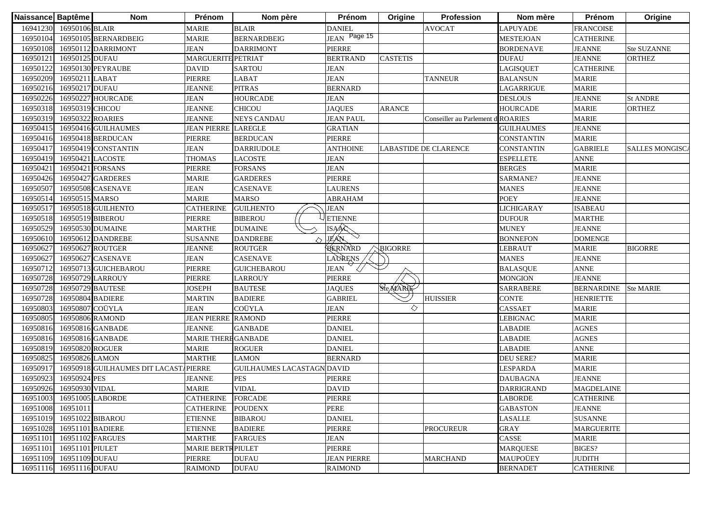| Naissance Baptême |                           | <b>Nom</b>                            | Prénom                     | Nom père                          | Prénom             | Origine         | <b>Profession</b>            | Nom mère          | Prénom            | Origine               |
|-------------------|---------------------------|---------------------------------------|----------------------------|-----------------------------------|--------------------|-----------------|------------------------------|-------------------|-------------------|-----------------------|
| 16941230          | 16950106 BLAIR            |                                       | <b>MARIE</b>               | <b>BLAIR</b>                      | <b>DANIEL</b>      |                 | <b>AVOCAT</b>                | <b>LAPUYADE</b>   | <b>FRANCOISE</b>  |                       |
| 16950104          |                           | 16950105 BERNARDBEIG                  | <b>MARIE</b>               | <b>BERNARDBEIG</b>                | JEAN Page 15       |                 |                              | <b>MESTEJOAN</b>  | <b>CATHERINE</b>  |                       |
| 16950108          |                           | 16950112 DARRIMONT                    | <b>JEAN</b>                | <b>DARRIMONT</b>                  | PIERRE             |                 |                              | <b>BORDENAVE</b>  | <b>JEANNE</b>     | Ste SUZANNE           |
| 1695012           | 16950125 DUFAU            |                                       | <b>MARGUERITE PETRIAT</b>  |                                   | <b>BERTRAND</b>    | <b>CASTETIS</b> |                              | <b>DUFAU</b>      | <b>JEANNE</b>     | <b>ORTHEZ</b>         |
| 16950122          |                           | 16950130 PEYRAUBE                     | <b>DAVID</b>               | <b>SARTOU</b>                     | <b>JEAN</b>        |                 |                              | <b>LAGISQUET</b>  | <b>CATHERINE</b>  |                       |
| 16950209          | 16950211 LABAT            |                                       | PIERRE                     | LABAT                             | <b>JEAN</b>        |                 | <b>TANNEUR</b>               | <b>BALANSUN</b>   | <b>MARIE</b>      |                       |
| 16950216          | 16950217 DUFAU            |                                       | <b>JEANNE</b>              | <b>PITRAS</b>                     | <b>BERNARD</b>     |                 |                              | LAGARRIGUE        | <b>MARIE</b>      |                       |
| 16950226          | 16950227                  | <b>HOURCADE</b>                       | <b>JEAN</b>                | <b>HOURCADE</b>                   | <b>JEAN</b>        |                 |                              | <b>DESLOUS</b>    | <b>JEANNE</b>     | <b>St ANDRE</b>       |
| 16950318          | 16950319 CHICOU           |                                       | <b>JEANNE</b>              | <b>CHICOU</b>                     | <b>JAQUES</b>      | <b>ARANCE</b>   |                              | <b>HOURCADE</b>   | <b>MARIE</b>      | <b>ORTHEZ</b>         |
| 16950319          | 16950322 ROARIES          |                                       | <b>JEANNE</b>              | <b>NEYS CANDAU</b>                | <b>JEAN PAUL</b>   |                 | Conseiller au Parlement      | <b>ROARIES</b>    | <b>MARIE</b>      |                       |
| 1695041:          |                           | 16950416 GUILHAUMES                   | <b>JEAN PIERRE LAREGLE</b> |                                   | <b>GRATIAN</b>     |                 |                              | <b>GUILHAUMES</b> | <b>JEANNE</b>     |                       |
| 16950416          |                           | 16950418 BERDUCAN                     | PIERRE                     | <b>BERDUCAN</b>                   | <b>PIERRE</b>      |                 |                              | <b>CONSTANTIN</b> | <b>MARIE</b>      |                       |
| 1695041           |                           | 16950419 CONSTANTIN                   | <b>JEAN</b>                | <b>DARRIUDOLE</b>                 | <b>ANTHOINE</b>    |                 | <b>LABASTIDE DE CLARENCE</b> | <b>CONSTANTIN</b> | <b>GABRIELE</b>   | <b>SALLES MONGISC</b> |
| 16950419          |                           | 16950421 LACOSTE                      | <b>THOMAS</b>              | LACOSTE                           | <b>JEAN</b>        |                 |                              | <b>ESPELLETE</b>  | <b>ANNE</b>       |                       |
| 16950421          |                           | 16950421 FORSANS                      | PIERRE                     | FORSANS                           | <b>JEAN</b>        |                 |                              | <b>BERGES</b>     | <b>MARIE</b>      |                       |
| 16950426          |                           | 16950427 GARDERES                     | <b>MARIE</b>               | <b>GARDERES</b>                   | PIERRE             |                 |                              | SARMANE?          | <b>JEANNE</b>     |                       |
| 16950507          |                           | 16950508 CASENAVE                     | <b>JEAN</b>                | <b>CASENAVE</b>                   | <b>LAURENS</b>     |                 |                              | <b>MANES</b>      | <b>JEANNE</b>     |                       |
| 16950514          | 16950515 MARSO            |                                       | <b>MARIE</b>               | <b>MARSO</b>                      | <b>ABRAHAM</b>     |                 |                              | <b>POEY</b>       | <b>JEANNE</b>     |                       |
| 1695051           |                           | 16950518 GUILHENTO                    | <b>CATHERINE</b>           | <b>GUILHENTO</b>                  | <b>JEAN</b>        |                 |                              | <b>LICHIGARAY</b> | <b>ISABEAU</b>    |                       |
| 16950518          | 16950519 BIBEROU          |                                       | PIERRE                     | <b>BIBEROU</b>                    | <b>ETIENNE</b>     |                 |                              | <b>DUFOUR</b>     | <b>MARTHE</b>     |                       |
| 16950529          |                           | 16950530 DUMAINE                      | <b>MARTHE</b>              | <b>DUMAINE</b>                    | <b>ISAAC</b>       |                 |                              | <b>MUNEY</b>      | <b>JEANNE</b>     |                       |
| 16950610          |                           | 16950612 DANDREBE                     | <b>SUSANNE</b>             | <b>DANDREBE</b><br>◇              | <b>JEAN</b>        |                 |                              | <b>BONNEFON</b>   | <b>DOMENGE</b>    |                       |
| 16950627          | 16950627                  | <b>ROUTGER</b>                        | <b>JEANNE</b>              | <b>ROUTGER</b>                    | BERNARD            | <b>BIGORRE</b>  |                              | <b>LEBRAUT</b>    | <b>MARIE</b>      | <b>BIGORRE</b>        |
| 1695062           | 16950627                  | <b>CASENAVE</b>                       | <b>JEAN</b>                | <b>CASENAVE</b>                   | LAURENS            |                 |                              | <b>MANES</b>      | <b>JEANNE</b>     |                       |
| 16950712          |                           | 16950713 GUICHEBAROU                  | PIERRE                     | <b>GUICHEBAROU</b>                | <b>JEAN</b>        |                 |                              | <b>BALASQUE</b>   | <b>ANNE</b>       |                       |
| 16950728          |                           | 16950729 LARROUY                      | PIERRE                     | <b>LARROUY</b>                    | <b>PIERRE</b>      |                 |                              | <b>MONGION</b>    | <b>JEANNE</b>     |                       |
| 16950728          |                           | 16950729 BAUTESE                      | <b>JOSEPH</b>              | <b>BAUTESE</b>                    | <b>JAQUES</b>      | SteMARIE        |                              | <b>SARRABERE</b>  | <b>BERNARDINE</b> | <b>Ste MARIE</b>      |
| 16950728          |                           | 16950804 BADIERE                      | <b>MARTIN</b>              | <b>BADIERE</b>                    | <b>GABRIEL</b>     |                 | <b>HUISSIER</b>              | <b>CONTE</b>      | <b>HENRIETTE</b>  |                       |
| 16950803          | 16950807 COÜYLA           |                                       | <b>JEAN</b>                | COÜYLA                            | <b>JEAN</b>        | ◇               |                              | <b>CASSAET</b>    | <b>MARIE</b>      |                       |
| 16950805          |                           | 16950806 RAMOND                       | <b>JEAN PIERRE RAMOND</b>  |                                   | PIERRE             |                 |                              | <b>LEBIGNAC</b>   | <b>MARIE</b>      |                       |
| 16950816          |                           | 16950816 GANBADE                      | <b>JEANNE</b>              | <b>GANBADE</b>                    | <b>DANIEL</b>      |                 |                              | <b>LABADIE</b>    | <b>AGNES</b>      |                       |
| 16950816          |                           | 16950816 GANBADE                      | MARIE THERE GANBADE        |                                   | <b>DANIEL</b>      |                 |                              | LABADIE           | <b>AGNES</b>      |                       |
| 16950819          | 16950820 ROGUER           |                                       | <b>MARIE</b>               | <b>ROGUER</b>                     | <b>DANIEL</b>      |                 |                              | LABADIE           | <b>ANNE</b>       |                       |
| 16950825          | 16950826 LAMON            |                                       | <b>MARTHE</b>              | <b>LAMON</b>                      | <b>BERNARD</b>     |                 |                              | <b>DEU SERE?</b>  | <b>MARIE</b>      |                       |
| 1695091           |                           | 16950918 GUILHAUMES DIT LACASTAPIERRE |                            | <b>GUILHAUMES LACASTAGN DAVID</b> |                    |                 |                              | <b>LESPARDA</b>   | <b>MARIE</b>      |                       |
| 1695092           | 16950924 PES              |                                       | <b>JEANNE</b>              | <b>PES</b>                        | <b>PIERRE</b>      |                 |                              | <b>DAUBAGNA</b>   | <b>JEANNE</b>     |                       |
| 16950926          | 16950930 VIDAL            |                                       | <b>MARIE</b>               | <b>VIDAL</b>                      | <b>DAVID</b>       |                 |                              | <b>DARRIGRAND</b> | <b>MAGDELAINE</b> |                       |
|                   | 16951003 16951005 LABORDE |                                       | CATHERINE FORCADE          |                                   | PIERRE             |                 |                              | <b>LABORDE</b>    | <b>CATHERINE</b>  |                       |
| 16951008          | 16951011                  |                                       | <b>CATHERINE</b>           | <b>POUDENX</b>                    | PERE               |                 |                              | <b>GABASTON</b>   | <b>JEANNE</b>     |                       |
| 16951019          | 16951022 BIBAROU          |                                       | <b>ETIENNE</b>             | <b>BIBAROU</b>                    | <b>DANIEL</b>      |                 |                              | <b>LASALLE</b>    | <b>SUSANNE</b>    |                       |
| 16951028          | 16951101 BADIERE          |                                       | <b>ETIENNE</b>             | <b>BADIERE</b>                    | PIERRE             |                 | <b>PROCUREUR</b>             | <b>GRAY</b>       | <b>MARGUERITE</b> |                       |
| 16951101          |                           | 16951102 FARGUES                      | <b>MARTHE</b>              | <b>FARGUES</b>                    | <b>JEAN</b>        |                 |                              | CASSE             | <b>MARIE</b>      |                       |
| 16951101          | 16951101 PIULET           |                                       | <b>MARIE BERTR PIULET</b>  |                                   | PIERRE             |                 |                              | <b>MARQUESE</b>   | <b>BIGES?</b>     |                       |
| 16951109          | 16951109 DUFAU            |                                       | PIERRE                     | <b>DUFAU</b>                      | <b>JEAN PIERRE</b> |                 | <b>MARCHAND</b>              | MAUPOÜEY          | <b>JUDITH</b>     |                       |
| 16951116          | 16951116 DUFAU            |                                       | <b>RAIMOND</b>             | <b>DUFAU</b>                      | <b>RAIMOND</b>     |                 |                              | <b>BERNADET</b>   | <b>CATHERINE</b>  |                       |
|                   |                           |                                       |                            |                                   |                    |                 |                              |                   |                   |                       |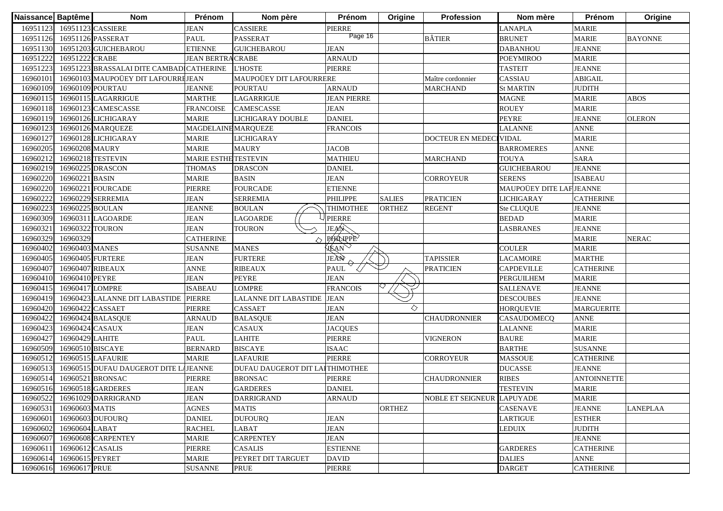| Naissance Baptême |                  | <b>Nom</b>                               | Prénom                      | Nom père                        | Prénom             | Origine       | Profession                 | Nom mère                 | Prénom             | Origine         |
|-------------------|------------------|------------------------------------------|-----------------------------|---------------------------------|--------------------|---------------|----------------------------|--------------------------|--------------------|-----------------|
| 16951123          |                  | 16951123 CASSIERE                        | <b>JEAN</b>                 | CASSIERE                        | <b>PIERRE</b>      |               |                            | <b>LANAPLA</b>           | <b>MARIE</b>       |                 |
| 16951126          |                  | 16951126 PASSERAT                        | <b>PAUL</b>                 | PASSERAT                        | Page 16            |               | <b>BÂTIER</b>              | <b>BRUNET</b>            | <b>MARIE</b>       | <b>BAYONNE</b>  |
| 16951130          |                  | 16951203 GUICHEBAROU                     | <b>ETIENNE</b>              | <b>GUICHEBAROU</b>              | <b>JEAN</b>        |               |                            | <b>DABANHOU</b>          | <b>JEANNE</b>      |                 |
| 16951222          | 16951222 CRABE   |                                          | <b>JEAN BERTRACRABE</b>     |                                 | <b>ARNAUD</b>      |               |                            | <b>POEYMIROO</b>         | <b>MARIE</b>       |                 |
| 1695122.          |                  | 16951223 BRASSALAI DITE CAMBADICATHERINE |                             | <b>L'HOSTE</b>                  | <b>PIERRE</b>      |               |                            | <b>TASTEIT</b>           | <b>JEANNE</b>      |                 |
| 16960101          |                  | 16960103 MAUPOÜEY DIT LAFOURREJEAN       |                             | MAUPOÜEY DIT LAFOURRERE         |                    |               | Maître cordonnier          | CASSIAU                  | <b>ABIGAIL</b>     |                 |
| 16960109          |                  | 16960109 POURTAU                         | <b>JEANNE</b>               | <b>POURTAU</b>                  | <b>ARNAUD</b>      |               | <b>MARCHAND</b>            | <b>St MARTIN</b>         | <b>JUDITH</b>      |                 |
| 1696011           |                  | 16960115 LAGARRIGUE                      | <b>MARTHE</b>               | LAGARRIGUE                      | <b>JEAN PIERRE</b> |               |                            | <b>MAGNE</b>             | <b>MARIE</b>       | <b>ABOS</b>     |
| 1696011           |                  | 16960123 CAMESCASSE                      | <b>FRANCOISE</b>            | <b>CAMESCASSE</b>               | <b>JEAN</b>        |               |                            | <b>ROUEY</b>             | <b>MARIE</b>       |                 |
| 16960119          |                  | 16960126 LICHIGARAY                      | <b>MARIE</b>                | LICHIGARAY DOUBLE               | <b>DANIEL</b>      |               |                            | <b>PEYRE</b>             | <b>JEANNE</b>      | <b>OLERON</b>   |
| 1696012.          |                  | 16960126 MARQUEZE                        | MAGDELAINE MARQUEZE         |                                 | <b>FRANCOIS</b>    |               |                            | <b>LALANNE</b>           | <b>ANNE</b>        |                 |
| 1696012           |                  | 16960128 LICHIGARAY                      | <b>MARIE</b>                | <b>LICHIGARAY</b>               |                    |               | DOCTEUR EN MEDEC           | <b>VIDAL</b>             | <b>MARIE</b>       |                 |
| 16960205          | 16960208 MAURY   |                                          | <b>MARIE</b>                | <b>MAURY</b>                    | <b>JACOB</b>       |               |                            | <b>BARROMERES</b>        | <b>ANNE</b>        |                 |
| 16960212          |                  | 16960218 TESTEVIN                        | <b>MARIE ESTHE TESTEVIN</b> |                                 | <b>MATHIEU</b>     |               | <b>MARCHAND</b>            | <b>TOUYA</b>             | <b>SARA</b>        |                 |
| 16960219          |                  | 16960225 DRASCON                         | THOMAS                      | <b>DRASCON</b>                  | <b>DANIEL</b>      |               |                            | <b>GUICHEBAROU</b>       | <b>JEANNE</b>      |                 |
| 16960220          | 16960221 BASIN   |                                          | <b>MARIE</b>                | <b>BASIN</b>                    | <b>JEAN</b>        |               | CORROYEUR                  | <b>SERENS</b>            | <b>ISABEAU</b>     |                 |
| 16960220          |                  | 16960221 FOURCADE                        | <b>PIERRE</b>               | <b>FOURCADE</b>                 | <b>ETIENNE</b>     |               |                            | MAUPOÜEY DITE LAF JEANNE |                    |                 |
| 1696022           |                  | 16960229 SERREMIA                        | <b>JEAN</b>                 | <b>SERREMIA</b>                 | <b>PHILIPPE</b>    | <b>SALIES</b> | <b>PRATICIEN</b>           | <b>LICHIGARAY</b>        | <b>CATHERINE</b>   |                 |
| 1696022           | 16960225 BOULAN  |                                          | <b>JEANNE</b>               | <b>BOULAN</b>                   | <b>THIMOTHEE</b>   | <b>ORTHEZ</b> | <b>REGENT</b>              | Ste CLUQUE               | <b>JEANNE</b>      |                 |
| 16960309          |                  | 16960311 LAGOARDE                        | <b>JEAN</b>                 | LAGOARDE                        | <b>PIERRE</b>      |               |                            | <b>BEDAD</b>             | <b>MARIE</b>       |                 |
| 16960321          | 16960322 TOURON  |                                          | <b>JEAN</b>                 | <b>TOURON</b>                   | JEAN               |               |                            | <b>LASBRANES</b>         | <b>JEANNE</b>      |                 |
| 16960329          | 16960329         |                                          | <b>CATHERINE</b>            |                                 | <b>PHALIPPE</b>    |               |                            |                          | <b>MARIE</b>       | <b>NERAC</b>    |
| 16960402          | 16960403 MANES   |                                          | <b>SUSANNE</b>              | <b>MANES</b>                    | HEAN               |               |                            | <b>COULER</b>            | <b>MARIE</b>       |                 |
| 16960405          | 16960405 FURTERE |                                          | <b>JEAN</b>                 | <b>FURTERE</b>                  | JEAN               |               | <b>TAPISSIER</b>           | <b>LACAMOIRE</b>         | <b>MARTHE</b>      |                 |
| 16960407          | 16960407 RIBEAUX |                                          | <b>ANNE</b>                 | <b>RIBEAUX</b>                  | <b>PAUL</b>        |               | <b>PRATICIEN</b>           | <b>CAPDEVILLE</b>        | <b>CATHERINE</b>   |                 |
| 16960410          | 16960410 PEYRE   |                                          | <b>JEAN</b>                 | <b>PEYRE</b>                    | <b>JEAN</b>        |               |                            | <b>PERGUILHEM</b>        | <b>MARIE</b>       |                 |
| 1696041           | 16960417 LOMPRE  |                                          | <b>ISABEAU</b>              | <b>LOMPRE</b>                   | <b>FRANCOIS</b>    |               |                            | <b>SALLENAVE</b>         | <b>JEANNE</b>      |                 |
| 16960419          |                  | 16960423 LALANNE DIT LABASTIDE           | <b>PIERRE</b>               | <b>LALANNE DIT LABASTIDE</b>    | <b>JEAN</b>        |               |                            | <b>DESCOUBES</b>         | <b>JEANNE</b>      |                 |
| 16960420          | 16960422 CASSAET |                                          | PIERRE                      | <b>CASSAET</b>                  | <b>JEAN</b>        | ◇             |                            | <b>HORQUEVIE</b>         | <b>MARGUERITE</b>  |                 |
| 16960422          |                  | 16960424 BALASQUE                        | <b>ARNAUD</b>               | <b>BALASQUE</b>                 | <b>JEAN</b>        |               | <b>CHAUDRONNIER</b>        | CASAUDOMECQ              | <b>ANNE</b>        |                 |
| 1696042           | 16960424 CASAUX  |                                          | <b>JEAN</b>                 | <b>CASAUX</b>                   | <b>JACQUES</b>     |               |                            | <b>LALANNE</b>           | <b>MARIE</b>       |                 |
| 16960427          | 16960429 LAHITE  |                                          | <b>PAUL</b>                 | <b>LAHITE</b>                   | <b>PIERRE</b>      |               | <b>VIGNERON</b>            | <b>BAURE</b>             | <b>MARIE</b>       |                 |
| 16960509          | 16960510 BISCAYE |                                          | <b>BERNARD</b>              | <b>BISCAYE</b>                  | <b>ISAAC</b>       |               |                            | <b>BARTHE</b>            | <b>SUSANNE</b>     |                 |
| 1696051           |                  | 16960515 LAFAURIE                        | <b>MARIE</b>                | <b>LAFAURIE</b>                 | <b>PIERRE</b>      |               | CORROYEUR                  | <b>MASSOUE</b>           | <b>CATHERINE</b>   |                 |
| 1696051           |                  | 16960515 DUFAU DAUGEROT DITE LAJEANNE    |                             | DUFAU DAUGEROT DIT LAITHIMOTHEE |                    |               |                            | <b>DUCASSE</b>           | <b>JEANNE</b>      |                 |
| 16960514          |                  | 16960521 BRONSAC                         | <b>PIERRE</b>               | <b>BRONSAC</b>                  | PIERRE             |               | <b>CHAUDRONNIER</b>        | <b>RIBES</b>             | <b>ANTOINNETTE</b> |                 |
|                   |                  | 16960516 16960518 GARDERES               | <b>JEAN</b>                 | <b>GARDERES</b>                 | <b>DANIEL</b>      |               |                            | <b>TESTEVIN</b>          | <b>MARIE</b>       |                 |
|                   |                  | 16960522 16961029 DARRIGRAND             | <b>JEAN</b>                 | <b>DARRIGRAND</b>               | <b>ARNAUD</b>      |               | NOBLE ET SEIGNEUR LAPUYADE |                          | <b>MARIE</b>       |                 |
| 16960531          | 16960603 MATIS   |                                          | <b>AGNES</b>                | <b>MATIS</b>                    |                    | <b>ORTHEZ</b> |                            | <b>CASENAVE</b>          | <b>JEANNE</b>      | <b>LANEPLAA</b> |
| 16960601          |                  | 16960603 DUFOURQ                         | <b>DANIEL</b>               | <b>DUFOURQ</b>                  | <b>JEAN</b>        |               |                            | LARTIGUE                 | <b>ESTHER</b>      |                 |
| 16960602          | 16960604 LABAT   |                                          | <b>RACHEL</b>               | LABAT                           | <b>JEAN</b>        |               |                            | <b>LEDUIX</b>            | <b>JUDITH</b>      |                 |
| 16960607          |                  | 16960608 CARPENTEY                       | <b>MARIE</b>                | <b>CARPENTEY</b>                | <b>JEAN</b>        |               |                            |                          | <b>JEANNE</b>      |                 |
| 1696061           | 16960612 CASALIS |                                          | PIERRE                      | <b>CASALIS</b>                  | <b>ESTIENNE</b>    |               |                            | <b>GARDERES</b>          | <b>CATHERINE</b>   |                 |
| 16960614          | 16960615 PEYRET  |                                          | <b>MARIE</b>                | PEYRET DIT TARGUET              | <b>DAVID</b>       |               |                            | <b>DALIES</b>            | <b>ANNE</b>        |                 |
| 16960616          | 16960617 PRUE    |                                          | <b>SUSANNE</b>              | <b>PRUE</b>                     | PIERRE             |               |                            | <b>DARGET</b>            | <b>CATHERINE</b>   |                 |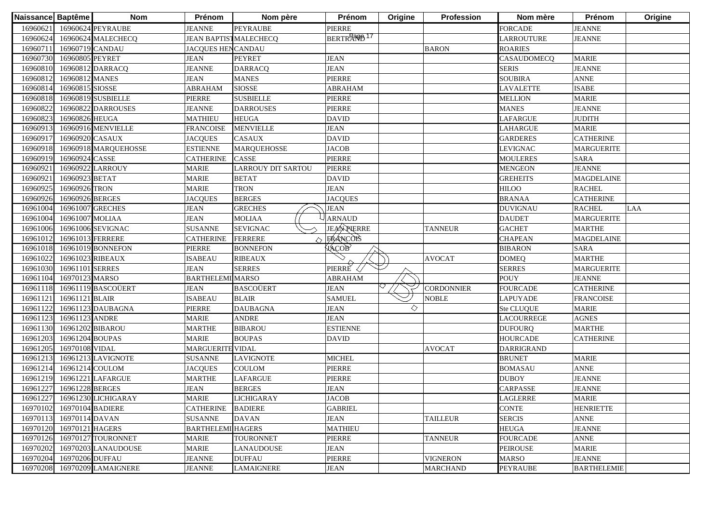| Naissance Baptême |                  | <b>Nom</b>                   | Prénom                        | Nom père            | Prénom                 | Origine | Profession        | Nom mère          | Prénom             | Origine |
|-------------------|------------------|------------------------------|-------------------------------|---------------------|------------------------|---------|-------------------|-------------------|--------------------|---------|
| 16960621          |                  | 16960624 PEYRAUBE            | <b>JEANNE</b>                 | <b>PEYRAUBE</b>     | PIERRE                 |         |                   | <b>FORCADE</b>    | <b>JEANNE</b>      |         |
| 16960624          |                  | 16960624 MALECHECO           | <b>JEAN BAPTIST MALECHECQ</b> |                     | BERTRAND <sup>17</sup> |         |                   | <b>LARROUTURE</b> | <b>JEANNE</b>      |         |
| 1696071           | 16960719 CANDAU  |                              | <b>JACQUES HENCANDAU</b>      |                     |                        |         | <b>BARON</b>      | <b>ROARIES</b>    |                    |         |
| 16960730          | 16960805 PEYRET  |                              | <b>JEAN</b>                   | <b>PEYRET</b>       | <b>JEAN</b>            |         |                   | CASAUDOMECQ       | <b>MARIE</b>       |         |
| 16960810          |                  | 16960812 DARRACQ             | <b>JEANNE</b>                 | <b>DARRACQ</b>      | <b>JEAN</b>            |         |                   | <b>SERIS</b>      | <b>JEANNE</b>      |         |
| 16960812          | 16960812 MANES   |                              | <b>JEAN</b>                   | <b>MANES</b>        | PIERRE                 |         |                   | <b>SOUBIRA</b>    | <b>ANNE</b>        |         |
| 16960814          | 16960815 SIOSSE  |                              | <b>ABRAHAM</b>                | <b>SIOSSE</b>       | <b>ABRAHAM</b>         |         |                   | <b>LAVALETTE</b>  | <b>ISABE</b>       |         |
| 16960818          |                  | 16960819 SUSBIELLE           | PIERRE                        | <b>SUSBIELLE</b>    | PIERRE                 |         |                   | <b>MELLION</b>    | <b>MARIE</b>       |         |
| 1696082           |                  | 16960822 DARROUSES           | <b>JEANNE</b>                 | <b>DARROUSES</b>    | PIERRE                 |         |                   | <b>MANES</b>      | <b>JEANNE</b>      |         |
| 1696082           | 16960826 HEUGA   |                              | <b>MATHIEU</b>                | <b>HEUGA</b>        | <b>DAVID</b>           |         |                   | <b>LAFARGUE</b>   | <b>JUDITH</b>      |         |
| 1696091           |                  | 16960916 MENVIELLE           | <b>FRANCOISE</b>              | <b>MENVIELLE</b>    | <b>JEAN</b>            |         |                   | <b>LAHARGUE</b>   | <b>MARIE</b>       |         |
| 1696091           | 16960920 CASAUX  |                              | <b>JACQUES</b>                | <b>CASAUX</b>       | <b>DAVID</b>           |         |                   | <b>GARDERES</b>   | <b>CATHERINE</b>   |         |
| 16960918          |                  | 16960918 MARQUEHOSSE         | <b>ESTIENNE</b>               | <b>MARQUEHOSSE</b>  | <b>JACOB</b>           |         |                   | <b>LEVIGNAC</b>   | <b>MARGUERITE</b>  |         |
| 16960919          | 16960924 CASSE   |                              | <b>CATHERINE</b>              | <b>CASSE</b>        | PIERRE                 |         |                   | <b>MOULERES</b>   | <b>SARA</b>        |         |
| 1696092           |                  | 16960922 LARROUY             | <b>MARIE</b>                  | LARROUY DIT SARTOU  | PIERRE                 |         |                   | <b>MENGEON</b>    | <b>JEANNE</b>      |         |
| 1696092           | 16960923 BETAT   |                              | <b>MARIE</b>                  | <b>BETAT</b>        | <b>DAVID</b>           |         |                   | <b>GREHEITS</b>   | <b>MAGDELAINE</b>  |         |
| 1696092:          | 16960926 TRON    |                              | <b>MARIE</b>                  | <b>TRON</b>         | <b>JEAN</b>            |         |                   | HILOO             | <b>RACHEL</b>      |         |
| 1696092           | 16960926 BERGES  |                              | <b>JACQUES</b>                | <b>BERGES</b>       | <b>JACQUES</b>         |         |                   | <b>BRANAA</b>     | <b>CATHERINE</b>   |         |
| 16961004          |                  | 16961007 GRECHES             | <b>JEAN</b>                   | <b>GRECHES</b>      | <b>JEAN</b>            |         |                   | <b>DUVIGNAU</b>   | <b>RACHEL</b>      | LAA     |
| 16961004          | 16961007 MOLIAA  |                              | <b>JEAN</b>                   | <b>MOLIAA</b>       | <b>ARNAUD</b>          |         |                   | <b>DAUDET</b>     | <b>MARGUERITE</b>  |         |
| 16961006          |                  | 16961006 SEVIGNAC            | <b>SUSANNE</b>                | <b>SEVIGNAC</b>     | <b>JEAN PIERRE</b>     |         | <b>TANNEUR</b>    | <b>GACHET</b>     | <b>MARTHE</b>      |         |
| 16961012          | 16961013 FERRERE |                              | <b>CATHERINE</b>              | <b>FERRERE</b><br>△ | <b>FRANCOTS</b>        |         |                   | <b>CHAPEAN</b>    | <b>MAGDELAINE</b>  |         |
| 16961018          |                  | 16961019 BONNEFON            | <b>PIERRE</b>                 | <b>BONNEFON</b>     | <b>ААСОВ</b>           |         |                   | <b>BIBARON</b>    | <b>SARA</b>        |         |
| 16961022          | 16961023 RIBEAUX |                              | <b>ISABEAU</b>                | <b>RIBEAUX</b>      |                        |         | <b>AVOCAT</b>     | <b>DOMEQ</b>      | <b>MARTHE</b>      |         |
| 16961030          | 16961101 SERRES  |                              | <b>JEAN</b>                   | <b>SERRES</b>       | PIERRE                 |         |                   | <b>SERRES</b>     | <b>MARGUERITE</b>  |         |
| 16961104          | 16970123 MARSO   |                              | <b>BARTHELEMI MARSO</b>       |                     | <b>ABRAHAM</b>         |         |                   | <b>POUY</b>       | <b>JEANNE</b>      |         |
| 16961118          |                  | 16961119 BASCOÜERT           | <b>JEAN</b>                   | <b>BASCOÜERT</b>    | <b>JEAN</b>            |         | <b>CORDONNIER</b> | <b>FOURCADE</b>   | <b>CATHERINE</b>   |         |
| 1696112           | 16961121 BLAIR   |                              | <b>ISABEAU</b>                | <b>BLAIR</b>        | <b>SAMUEL</b>          |         | <b>NOBLE</b>      | <b>LAPUYADE</b>   | <b>FRANCOISE</b>   |         |
| 16961122          |                  | 16961123 DAUBAGNA            | PIERRE                        | <b>DAUBAGNA</b>     | <b>JEAN</b>            | ♦       |                   | Ste CLUQUE        | <b>MARIE</b>       |         |
| 16961123          | 16961123 ANDRE   |                              | <b>MARIE</b>                  | <b>ANDRE</b>        | <b>JEAN</b>            |         |                   | <b>LACOURREGE</b> | <b>AGNES</b>       |         |
| 16961130          |                  | 16961202 BIBAROU             | <b>MARTHE</b>                 | <b>BIBAROU</b>      | <b>ESTIENNE</b>        |         |                   | <b>DUFOURQ</b>    | <b>MARTHE</b>      |         |
| 16961203          | 16961204 BOUPAS  |                              | MARIE                         | <b>BOUPAS</b>       | <b>DAVID</b>           |         |                   | <b>HOURCADE</b>   | CATHERINE          |         |
| 16961205          | 16970108 VIDAL   |                              | MARGUERITE VIDAL              |                     |                        |         | <b>AVOCAT</b>     | <b>DARRIGRAND</b> |                    |         |
| 1696121           |                  | 16961213 LAVIGNOTE           | <b>SUSANNE</b>                | <b>LAVIGNOTE</b>    | <b>MICHEL</b>          |         |                   | <b>BRUNET</b>     | <b>MARIE</b>       |         |
| 16961214          | 16961214 COULOM  |                              | <b>JACQUES</b>                | COULOM              | PIERRE                 |         |                   | <b>BOMASAU</b>    | <b>ANNE</b>        |         |
| 16961219          |                  | 16961221 LAFARGUE            | <b>MARTHE</b>                 | <b>LAFARGUE</b>     | PIERRE                 |         |                   | <b>DUBOY</b>      | <b>JEANNE</b>      |         |
| 16961227          | 16961228 BERGES  |                              | <b>JEAN</b>                   | <b>BERGES</b>       | <b>JEAN</b>            |         |                   | <b>CARPASSE</b>   | <b>JEANNE</b>      |         |
|                   |                  | 16961227 16961230 LICHIGARAY | <b>MARIE</b>                  | <b>LICHIGARAY</b>   | <b>JACOB</b>           |         |                   | <b>LAGLERRE</b>   | <b>MARIE</b>       |         |
| 16970102          | 16970104 BADIERE |                              | <b>CATHERINE</b>              | <b>BADIERE</b>      | <b>GABRIEL</b>         |         |                   | <b>CONTE</b>      | <b>HENRIETTE</b>   |         |
| 16970113          | 16970114 DAVAN   |                              | <b>SUSANNE</b>                | <b>DAVAN</b>        | <b>JEAN</b>            |         | <b>TAILLEUR</b>   | <b>SERCIS</b>     | <b>ANNE</b>        |         |
| 16970120          | 16970121 HAGERS  |                              | <b>BARTHELEMI HAGERS</b>      |                     | <b>MATHIEU</b>         |         |                   | <b>HEUGA</b>      | <b>JEANNE</b>      |         |
| 16970126          |                  | 16970127 TOURONNET           | <b>MARIE</b>                  | TOURONNET           | PIERRE                 |         | <b>TANNEUR</b>    | <b>FOURCADE</b>   | <b>ANNE</b>        |         |
| 16970202          |                  | 16970203 LANAUDOUSE          | <b>MARIE</b>                  | <b>LANAUDOUSE</b>   | JEAN                   |         |                   | <b>PEIROUSE</b>   | <b>MARIE</b>       |         |
| 16970204          | 16970206 DUFFAU  |                              | <b>JEANNE</b>                 | <b>DUFFAU</b>       | PIERRE                 |         | <b>VIGNERON</b>   | <b>MARSO</b>      | <b>JEANNE</b>      |         |
| 16970208          |                  | 16970209 LAMAIGNERE          | <b>JEANNE</b>                 | <b>LAMAIGNERE</b>   | <b>JEAN</b>            |         | <b>MARCHAND</b>   | <b>PEYRAUBE</b>   | <b>BARTHELEMIE</b> |         |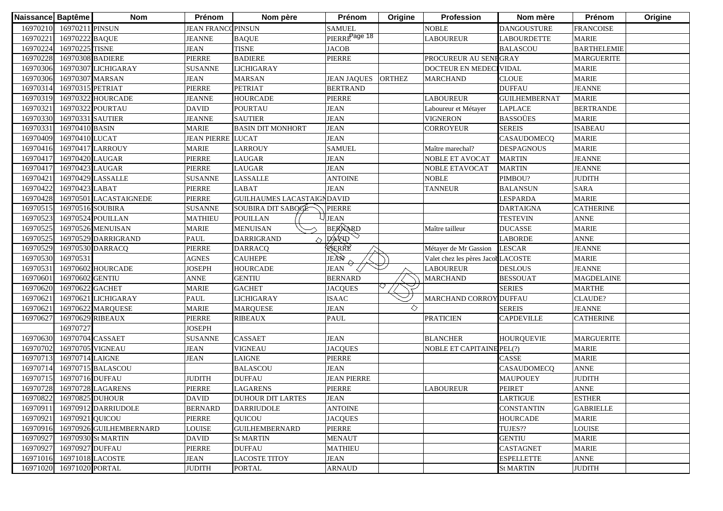| 16970210 16970211 PINSUN<br><b>JEAN FRANCOPINSUN</b><br><b>SAMUEL</b><br><b>NOBLE</b><br><b>DANGOUSTURE</b><br><b>FRANCOISE</b><br>PIERRE <sup>Page 18</sup><br>16970222 BAQUE<br><b>LABOUREUR</b><br><b>MARIE</b><br>16970221<br><b>JEANNE</b><br><b>BAQUE</b><br><b>LABOURDETTE</b><br>16970225 TISNE<br><b>JEAN</b><br><b>TISNE</b><br><b>JACOB</b><br>16970224<br><b>BALASCOU</b><br><b>BARTHELEMIE</b><br>16970308 BADIERE<br><b>BADIERE</b><br><b>PIERRE</b><br>16970228<br>PIERRE<br>PROCUREUR AU SENEGRAY<br><b>MARGUERITE</b><br>16970306<br>16970307 LICHIGARAY<br><b>VIDAL</b><br><b>MARIE</b><br><b>SUSANNE</b><br>LICHIGARAY<br><b>DOCTEUR EN MEDEC</b><br><b>CLOUE</b><br><b>MARIE</b><br>16970306<br>16970307 MARSAN<br><b>JEAN</b><br><b>MARSAN</b><br>JEAN JAQUES ORTHEZ<br><b>MARCHAND</b><br><b>JEANNE</b><br>16970314<br>16970315 PETRIAT<br>PIERRE<br><b>PETRIAT</b><br><b>BERTRAND</b><br><b>DUFFAU</b><br>16970319<br>16970322 HOURCADE<br><b>JEANNE</b><br><b>HOURCADE</b><br>PIERRE<br><b>MARIE</b><br><b>LABOUREUR</b><br><b>GUILHEMBERNAT</b><br>16970321<br>16970322 POURTAU<br><b>DAVID</b><br><b>JEAN</b><br><b>BERTRANDE</b><br><b>POURTAU</b><br><b>LAPLACE</b><br>Laboureur et Métayer<br><b>BASSOÜES</b><br>16970330<br>16970331 SAUTIER<br><b>JEANNE</b><br><b>JEAN</b><br><b>VIGNERON</b><br><b>MARIE</b><br><b>SAUTIER</b><br>16970331<br>16970410 BASIN<br><b>MARIE</b><br><b>JEAN</b><br><b>CORROYEUR</b><br><b>SEREIS</b><br><b>ISABEAU</b><br><b>BASIN DIT MONHORT</b><br>16970409<br>16970410 LUCAT<br><b>JEAN</b><br>CASAUDOMECQ<br><b>MARIE</b><br><b>JEAN PIERRE LUCAT</b><br><b>MARIE</b><br>16970416<br>16970417 LARROUY<br><b>MARIE</b><br><b>LARROUY</b><br><b>SAMUEL</b><br>Maître marechal?<br><b>DESPAGNOUS</b><br>16970417<br>16970420 LAUGAR<br>PIERRE<br>LAUGAR<br><b>JEAN</b><br><b>NOBLE ET AVOCAT</b><br><b>MARTIN</b><br><b>JEANNE</b> | Origine |
|---------------------------------------------------------------------------------------------------------------------------------------------------------------------------------------------------------------------------------------------------------------------------------------------------------------------------------------------------------------------------------------------------------------------------------------------------------------------------------------------------------------------------------------------------------------------------------------------------------------------------------------------------------------------------------------------------------------------------------------------------------------------------------------------------------------------------------------------------------------------------------------------------------------------------------------------------------------------------------------------------------------------------------------------------------------------------------------------------------------------------------------------------------------------------------------------------------------------------------------------------------------------------------------------------------------------------------------------------------------------------------------------------------------------------------------------------------------------------------------------------------------------------------------------------------------------------------------------------------------------------------------------------------------------------------------------------------------------------------------------------------------------------------------------------------------------------------------------------------------------------------------------------|---------|
|                                                                                                                                                                                                                                                                                                                                                                                                                                                                                                                                                                                                                                                                                                                                                                                                                                                                                                                                                                                                                                                                                                                                                                                                                                                                                                                                                                                                                                                                                                                                                                                                                                                                                                                                                                                                                                                                                                   |         |
|                                                                                                                                                                                                                                                                                                                                                                                                                                                                                                                                                                                                                                                                                                                                                                                                                                                                                                                                                                                                                                                                                                                                                                                                                                                                                                                                                                                                                                                                                                                                                                                                                                                                                                                                                                                                                                                                                                   |         |
|                                                                                                                                                                                                                                                                                                                                                                                                                                                                                                                                                                                                                                                                                                                                                                                                                                                                                                                                                                                                                                                                                                                                                                                                                                                                                                                                                                                                                                                                                                                                                                                                                                                                                                                                                                                                                                                                                                   |         |
|                                                                                                                                                                                                                                                                                                                                                                                                                                                                                                                                                                                                                                                                                                                                                                                                                                                                                                                                                                                                                                                                                                                                                                                                                                                                                                                                                                                                                                                                                                                                                                                                                                                                                                                                                                                                                                                                                                   |         |
|                                                                                                                                                                                                                                                                                                                                                                                                                                                                                                                                                                                                                                                                                                                                                                                                                                                                                                                                                                                                                                                                                                                                                                                                                                                                                                                                                                                                                                                                                                                                                                                                                                                                                                                                                                                                                                                                                                   |         |
|                                                                                                                                                                                                                                                                                                                                                                                                                                                                                                                                                                                                                                                                                                                                                                                                                                                                                                                                                                                                                                                                                                                                                                                                                                                                                                                                                                                                                                                                                                                                                                                                                                                                                                                                                                                                                                                                                                   |         |
|                                                                                                                                                                                                                                                                                                                                                                                                                                                                                                                                                                                                                                                                                                                                                                                                                                                                                                                                                                                                                                                                                                                                                                                                                                                                                                                                                                                                                                                                                                                                                                                                                                                                                                                                                                                                                                                                                                   |         |
|                                                                                                                                                                                                                                                                                                                                                                                                                                                                                                                                                                                                                                                                                                                                                                                                                                                                                                                                                                                                                                                                                                                                                                                                                                                                                                                                                                                                                                                                                                                                                                                                                                                                                                                                                                                                                                                                                                   |         |
|                                                                                                                                                                                                                                                                                                                                                                                                                                                                                                                                                                                                                                                                                                                                                                                                                                                                                                                                                                                                                                                                                                                                                                                                                                                                                                                                                                                                                                                                                                                                                                                                                                                                                                                                                                                                                                                                                                   |         |
|                                                                                                                                                                                                                                                                                                                                                                                                                                                                                                                                                                                                                                                                                                                                                                                                                                                                                                                                                                                                                                                                                                                                                                                                                                                                                                                                                                                                                                                                                                                                                                                                                                                                                                                                                                                                                                                                                                   |         |
|                                                                                                                                                                                                                                                                                                                                                                                                                                                                                                                                                                                                                                                                                                                                                                                                                                                                                                                                                                                                                                                                                                                                                                                                                                                                                                                                                                                                                                                                                                                                                                                                                                                                                                                                                                                                                                                                                                   |         |
|                                                                                                                                                                                                                                                                                                                                                                                                                                                                                                                                                                                                                                                                                                                                                                                                                                                                                                                                                                                                                                                                                                                                                                                                                                                                                                                                                                                                                                                                                                                                                                                                                                                                                                                                                                                                                                                                                                   |         |
|                                                                                                                                                                                                                                                                                                                                                                                                                                                                                                                                                                                                                                                                                                                                                                                                                                                                                                                                                                                                                                                                                                                                                                                                                                                                                                                                                                                                                                                                                                                                                                                                                                                                                                                                                                                                                                                                                                   |         |
|                                                                                                                                                                                                                                                                                                                                                                                                                                                                                                                                                                                                                                                                                                                                                                                                                                                                                                                                                                                                                                                                                                                                                                                                                                                                                                                                                                                                                                                                                                                                                                                                                                                                                                                                                                                                                                                                                                   |         |
| 16970417<br>16970423 LAUGAR<br><b>JEAN</b><br><b>JEANNE</b><br><b>PIERRE</b><br>LAUGAR<br><b>MARTIN</b><br><b>NOBLE ETAVOCAT</b>                                                                                                                                                                                                                                                                                                                                                                                                                                                                                                                                                                                                                                                                                                                                                                                                                                                                                                                                                                                                                                                                                                                                                                                                                                                                                                                                                                                                                                                                                                                                                                                                                                                                                                                                                                  |         |
| 16970421<br><b>JUDITH</b><br>16970429 LASSALLE<br>LASSALLE<br><b>ANTOINE</b><br><b>NOBLE</b><br>PIMBOU?<br><b>SUSANNE</b>                                                                                                                                                                                                                                                                                                                                                                                                                                                                                                                                                                                                                                                                                                                                                                                                                                                                                                                                                                                                                                                                                                                                                                                                                                                                                                                                                                                                                                                                                                                                                                                                                                                                                                                                                                         |         |
| 16970422<br><b>JEAN</b><br><b>SARA</b><br>16970423 LABAT<br>PIERRE<br>LABAT<br><b>TANNEUR</b><br><b>BALANSUN</b>                                                                                                                                                                                                                                                                                                                                                                                                                                                                                                                                                                                                                                                                                                                                                                                                                                                                                                                                                                                                                                                                                                                                                                                                                                                                                                                                                                                                                                                                                                                                                                                                                                                                                                                                                                                  |         |
| <b>MARIE</b><br>16970428<br>16970501 LACASTAIGNEDE<br>PIERRE<br><b>GUILHAUMES LACASTAIGNDAVID</b><br>LESPARDA                                                                                                                                                                                                                                                                                                                                                                                                                                                                                                                                                                                                                                                                                                                                                                                                                                                                                                                                                                                                                                                                                                                                                                                                                                                                                                                                                                                                                                                                                                                                                                                                                                                                                                                                                                                     |         |
| 16970516 SOUBIRA<br>PIERRE<br><b>DARTAIGNA</b><br><b>CATHERINE</b><br>1697051:<br><b>SUSANNE</b><br>SOUBIRA DIT SABOGE                                                                                                                                                                                                                                                                                                                                                                                                                                                                                                                                                                                                                                                                                                                                                                                                                                                                                                                                                                                                                                                                                                                                                                                                                                                                                                                                                                                                                                                                                                                                                                                                                                                                                                                                                                            |         |
| <b>JEAN</b><br>16970524 POUILLAN<br><b>POUILLAN</b><br><b>TESTEVIN</b><br><b>ANNE</b><br>1697052<br><b>MATHIEU</b>                                                                                                                                                                                                                                                                                                                                                                                                                                                                                                                                                                                                                                                                                                                                                                                                                                                                                                                                                                                                                                                                                                                                                                                                                                                                                                                                                                                                                                                                                                                                                                                                                                                                                                                                                                                |         |
| BERNARD<br><b>MARIE</b><br>16970525<br>16970526 MENUISAN<br><b>MENUISAN</b><br><b>DUCASSE</b><br><b>MARIE</b><br>Maître tailleur                                                                                                                                                                                                                                                                                                                                                                                                                                                                                                                                                                                                                                                                                                                                                                                                                                                                                                                                                                                                                                                                                                                                                                                                                                                                                                                                                                                                                                                                                                                                                                                                                                                                                                                                                                  |         |
| $D$ AVID<br><b>ANNE</b><br>PAUL<br><b>DARRIGRAND</b><br><b>LABORDE</b><br>16970525<br>16970529 DARRIGRAND                                                                                                                                                                                                                                                                                                                                                                                                                                                                                                                                                                                                                                                                                                                                                                                                                                                                                                                                                                                                                                                                                                                                                                                                                                                                                                                                                                                                                                                                                                                                                                                                                                                                                                                                                                                         |         |
| RERRE<br><b>LESCAR</b><br><b>JEANNE</b><br>16970529<br>PIERRE<br>Métayer de Mr Gassion<br>16970530 DARRACQ<br><b>DARRACQ</b>                                                                                                                                                                                                                                                                                                                                                                                                                                                                                                                                                                                                                                                                                                                                                                                                                                                                                                                                                                                                                                                                                                                                                                                                                                                                                                                                                                                                                                                                                                                                                                                                                                                                                                                                                                      |         |
| JEÀN<br><b>CAUHEPE</b><br>Valet chez les pères JacobLACOSTE<br><b>MARIE</b><br>16970530<br>16970531<br><b>AGNES</b>                                                                                                                                                                                                                                                                                                                                                                                                                                                                                                                                                                                                                                                                                                                                                                                                                                                                                                                                                                                                                                                                                                                                                                                                                                                                                                                                                                                                                                                                                                                                                                                                                                                                                                                                                                               |         |
| <b>DESLOUS</b><br><b>JEANNE</b><br>16970531<br>16970602 HOURCADE<br><b>JOSEPH</b><br><b>HOURCADE</b><br><b>JEAN</b><br><b>LABOUREUR</b>                                                                                                                                                                                                                                                                                                                                                                                                                                                                                                                                                                                                                                                                                                                                                                                                                                                                                                                                                                                                                                                                                                                                                                                                                                                                                                                                                                                                                                                                                                                                                                                                                                                                                                                                                           |         |
| 16970602 GENTIU<br><b>GENTIU</b><br>16970601<br><b>ANNE</b><br><b>BERNARD</b><br><b>MARCHAND</b><br><b>BESSOUAT</b><br><b>MAGDELAINE</b>                                                                                                                                                                                                                                                                                                                                                                                                                                                                                                                                                                                                                                                                                                                                                                                                                                                                                                                                                                                                                                                                                                                                                                                                                                                                                                                                                                                                                                                                                                                                                                                                                                                                                                                                                          |         |
| 16970622 GACHET<br><b>MARIE</b><br><b>GACHET</b><br><b>SERIES</b><br><b>MARTHE</b><br>16970620<br><b>JACQUES</b>                                                                                                                                                                                                                                                                                                                                                                                                                                                                                                                                                                                                                                                                                                                                                                                                                                                                                                                                                                                                                                                                                                                                                                                                                                                                                                                                                                                                                                                                                                                                                                                                                                                                                                                                                                                  |         |
| 1697062<br>PAUL<br>LICHIGARAY<br><b>MARCHAND CORROY</b><br>DUFFAU<br><b>CLAUDE?</b><br>16970621 LICHIGARAY<br><b>ISAAC</b>                                                                                                                                                                                                                                                                                                                                                                                                                                                                                                                                                                                                                                                                                                                                                                                                                                                                                                                                                                                                                                                                                                                                                                                                                                                                                                                                                                                                                                                                                                                                                                                                                                                                                                                                                                        |         |
| ◇<br>1697062<br>16970622 MARQUESE<br><b>MARIE</b><br><b>JEAN</b><br><b>SEREIS</b><br><b>JEANNE</b><br><b>MARQUESE</b>                                                                                                                                                                                                                                                                                                                                                                                                                                                                                                                                                                                                                                                                                                                                                                                                                                                                                                                                                                                                                                                                                                                                                                                                                                                                                                                                                                                                                                                                                                                                                                                                                                                                                                                                                                             |         |
| 1697062<br>16970629 RIBEAUX<br>PIERRE<br>PAUL<br><b>PRATICIEN</b><br><b>CAPDEVILLE</b><br><b>CATHERINE</b><br><b>RIBEAUX</b>                                                                                                                                                                                                                                                                                                                                                                                                                                                                                                                                                                                                                                                                                                                                                                                                                                                                                                                                                                                                                                                                                                                                                                                                                                                                                                                                                                                                                                                                                                                                                                                                                                                                                                                                                                      |         |
| 16970727<br><b>JOSEPH</b>                                                                                                                                                                                                                                                                                                                                                                                                                                                                                                                                                                                                                                                                                                                                                                                                                                                                                                                                                                                                                                                                                                                                                                                                                                                                                                                                                                                                                                                                                                                                                                                                                                                                                                                                                                                                                                                                         |         |
| 16970704 CASSAET<br><b>CASSAET</b><br>16970630<br><b>JEAN</b><br><b>BLANCHER</b><br><b>HOURQUEVIE</b><br><b>MARGUERITE</b><br><b>SUSANNE</b>                                                                                                                                                                                                                                                                                                                                                                                                                                                                                                                                                                                                                                                                                                                                                                                                                                                                                                                                                                                                                                                                                                                                                                                                                                                                                                                                                                                                                                                                                                                                                                                                                                                                                                                                                      |         |
| 16970705 VIGNEAU<br><b>MARIE</b><br>16970702<br><b>JEAN</b><br>VIGNEAU<br><b>JACQUES</b><br><b>NOBLE ET CAPITAINE PEL(?)</b>                                                                                                                                                                                                                                                                                                                                                                                                                                                                                                                                                                                                                                                                                                                                                                                                                                                                                                                                                                                                                                                                                                                                                                                                                                                                                                                                                                                                                                                                                                                                                                                                                                                                                                                                                                      |         |
| <b>JEAN</b><br>PIERRE<br>CASSE<br><b>MARIE</b><br>1697071<br>16970714 LAIGNE<br>LAIGNE                                                                                                                                                                                                                                                                                                                                                                                                                                                                                                                                                                                                                                                                                                                                                                                                                                                                                                                                                                                                                                                                                                                                                                                                                                                                                                                                                                                                                                                                                                                                                                                                                                                                                                                                                                                                            |         |
| 16970715 BALASCOU<br><b>BALASCOU</b><br><b>JEAN</b><br><b>ANNE</b><br>1697071<br>CASAUDOMECQ                                                                                                                                                                                                                                                                                                                                                                                                                                                                                                                                                                                                                                                                                                                                                                                                                                                                                                                                                                                                                                                                                                                                                                                                                                                                                                                                                                                                                                                                                                                                                                                                                                                                                                                                                                                                      |         |
| 16970716 DUFFAU<br><b>JUDITH</b><br><b>JEAN PIERRE</b><br><b>JUDITH</b><br>1697071<br><b>DUFFAU</b><br><b>MAUPOUEY</b>                                                                                                                                                                                                                                                                                                                                                                                                                                                                                                                                                                                                                                                                                                                                                                                                                                                                                                                                                                                                                                                                                                                                                                                                                                                                                                                                                                                                                                                                                                                                                                                                                                                                                                                                                                            |         |
| 16970728<br>16970728 LAGARENS<br><b>ANNE</b><br><b>PIERRE</b><br><b>LAGARENS</b><br><b>PIERRE</b><br><b>LABOUREUR</b><br><b>PEIRET</b>                                                                                                                                                                                                                                                                                                                                                                                                                                                                                                                                                                                                                                                                                                                                                                                                                                                                                                                                                                                                                                                                                                                                                                                                                                                                                                                                                                                                                                                                                                                                                                                                                                                                                                                                                            |         |
| 16970822 16970825 DUHOUR<br><b>ESTHER</b><br><b>DAVID</b><br><b>JEAN</b><br><b>LARTIGUE</b><br><b>DUHOUR DIT LARTES</b>                                                                                                                                                                                                                                                                                                                                                                                                                                                                                                                                                                                                                                                                                                                                                                                                                                                                                                                                                                                                                                                                                                                                                                                                                                                                                                                                                                                                                                                                                                                                                                                                                                                                                                                                                                           |         |
| 16970911<br>16970912 DARRIUDOLE<br><b>BERNARD</b><br><b>DARRIUDOLE</b><br><b>ANTOINE</b><br><b>CONSTANTIN</b><br><b>GABRIELLE</b>                                                                                                                                                                                                                                                                                                                                                                                                                                                                                                                                                                                                                                                                                                                                                                                                                                                                                                                                                                                                                                                                                                                                                                                                                                                                                                                                                                                                                                                                                                                                                                                                                                                                                                                                                                 |         |
| 16970921 QUICOU<br>PIERRE<br>QUICOU<br><b>JACQUES</b><br><b>HOURCADE</b><br><b>MARIE</b><br>16970921                                                                                                                                                                                                                                                                                                                                                                                                                                                                                                                                                                                                                                                                                                                                                                                                                                                                                                                                                                                                                                                                                                                                                                                                                                                                                                                                                                                                                                                                                                                                                                                                                                                                                                                                                                                              |         |
| <b>PIERRE</b><br>TUJES??<br><b>LOUISE</b><br>16970916 16970926 GUILHEMBERNARD<br><b>LOUISE</b><br><b>GUILHEMBERNARD</b>                                                                                                                                                                                                                                                                                                                                                                                                                                                                                                                                                                                                                                                                                                                                                                                                                                                                                                                                                                                                                                                                                                                                                                                                                                                                                                                                                                                                                                                                                                                                                                                                                                                                                                                                                                           |         |
| 16970927<br>16970930 St MARTIN<br><b>MENAUT</b><br><b>GENTIU</b><br><b>MARIE</b><br><b>DAVID</b><br><b>St MARTIN</b>                                                                                                                                                                                                                                                                                                                                                                                                                                                                                                                                                                                                                                                                                                                                                                                                                                                                                                                                                                                                                                                                                                                                                                                                                                                                                                                                                                                                                                                                                                                                                                                                                                                                                                                                                                              |         |
| 16970927 DUFFAU<br>PIERRE<br>16970927<br><b>DUFFAU</b><br><b>MATHIEU</b><br>CASTAGNET<br><b>MARIE</b>                                                                                                                                                                                                                                                                                                                                                                                                                                                                                                                                                                                                                                                                                                                                                                                                                                                                                                                                                                                                                                                                                                                                                                                                                                                                                                                                                                                                                                                                                                                                                                                                                                                                                                                                                                                             |         |
| 16971018 LACOSTE<br><b>JEAN</b><br><b>ESPELLETTE</b><br>16971016<br><b>LACOSTE TITOY</b><br><b>JEAN</b><br><b>ANNE</b>                                                                                                                                                                                                                                                                                                                                                                                                                                                                                                                                                                                                                                                                                                                                                                                                                                                                                                                                                                                                                                                                                                                                                                                                                                                                                                                                                                                                                                                                                                                                                                                                                                                                                                                                                                            |         |
| 16971020<br>16971020 PORTAL<br><b>JUDITH</b><br><b>PORTAL</b><br><b>ARNAUD</b><br><b>St MARTIN</b><br><b>JUDITH</b>                                                                                                                                                                                                                                                                                                                                                                                                                                                                                                                                                                                                                                                                                                                                                                                                                                                                                                                                                                                                                                                                                                                                                                                                                                                                                                                                                                                                                                                                                                                                                                                                                                                                                                                                                                               |         |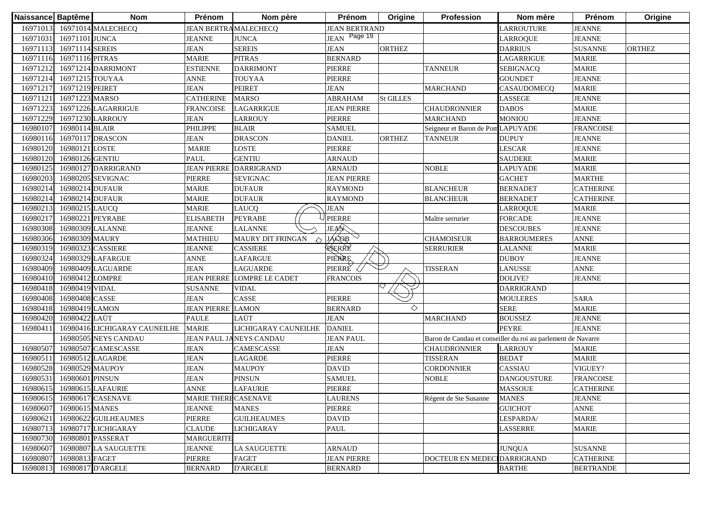| Naissance Baptême |                         | <b>Nom</b>                    | Prénom                       | Nom père                      | Prénom               | Origine          | Profession                        | Nom mère                                                     | Prénom           | Origine       |
|-------------------|-------------------------|-------------------------------|------------------------------|-------------------------------|----------------------|------------------|-----------------------------------|--------------------------------------------------------------|------------------|---------------|
|                   |                         | 16971013 16971014 MALECHECQ   | <b>JEAN BERTRA MALECHECQ</b> |                               | <b>JEAN BERTRAND</b> |                  |                                   | <b>LARROUTURE</b>                                            | <b>JEANNE</b>    |               |
|                   | 16971031 16971101 JUNCA |                               | <b>JEANNE</b>                | <b>JUNCA</b>                  | JEAN Page 19         |                  |                                   | <b>LARROQUE</b>                                              | <b>JEANNE</b>    |               |
| 16971113          | 16971114 SEREIS         |                               | <b>JEAN</b>                  | <b>SEREIS</b>                 | <b>JEAN</b>          | <b>ORTHEZ</b>    |                                   | <b>DARRIUS</b>                                               | <b>SUSANNE</b>   | <b>ORTHEZ</b> |
| 16971116          | 16971116 PITRAS         |                               | <b>MARIE</b>                 | <b>PITRAS</b>                 | <b>BERNARD</b>       |                  |                                   | LAGARRIGUE                                                   | <b>MARIE</b>     |               |
| 16971212          |                         | 16971214 DARRIMONT            | <b>ESTIENNE</b>              | <b>DARRIMONT</b>              | PIERRE               |                  | <b>TANNEUR</b>                    | <b>SEBIGNACQ</b>                                             | <b>MARIE</b>     |               |
| 16971214          | 16971215 TOUYAA         |                               | <b>ANNE</b>                  | TOUYAA                        | PIERRE               |                  |                                   | <b>GOUNDET</b>                                               | <b>JEANNE</b>    |               |
| 16971217          | 16971219 PEIRET         |                               | <b>JEAN</b>                  | <b>PEIRET</b>                 | <b>JEAN</b>          |                  | <b>MARCHAND</b>                   | CASAUDOMECQ                                                  | <b>MARIE</b>     |               |
| 16971121          | 16971223 MARSO          |                               | <b>CATHERINE</b>             | <b>MARSO</b>                  | <b>ABRAHAM</b>       | <b>St GILLES</b> |                                   | <b>LASSEGE</b>                                               | <b>JEANNE</b>    |               |
| 16971223          |                         | 16971226 LAGARRIGUE           | <b>FRANCOISE</b>             | <b>LAGARRIGUE</b>             | <b>JEAN PIERRE</b>   |                  | <b>CHAUDRONNIER</b>               | <b>DABOS</b>                                                 | <b>MARIE</b>     |               |
| 16971229          |                         | 16971230 LARROUY              | <b>JEAN</b>                  | <b>LARROUY</b>                | PIERRE               |                  | <b>MARCHAND</b>                   | <b>MONIOU</b>                                                | <b>JEANNE</b>    |               |
| 1698010           | 16980114 BLAIR          |                               | <b>PHILIPPE</b>              | <b>BLAIR</b>                  | <b>SAMUEL</b>        |                  | Seigneur et Baron de Pom LAPUYADE |                                                              | <b>FRANCOISE</b> |               |
| 16980116          |                         | 16970117 DRASCON              | <b>JEAN</b>                  | <b>DRASCON</b>                | <b>DANIEL</b>        | <b>ORTHEZ</b>    | <b>TANNEUR</b>                    | <b>DUPUY</b>                                                 | <b>JEANNE</b>    |               |
| 16980120          | 16980121 LOSTE          |                               | <b>MARIE</b>                 | LOSTE                         | <b>PIERRE</b>        |                  |                                   | <b>LESCAR</b>                                                | <b>JEANNE</b>    |               |
| 16980120          | 16980126 GENTIU         |                               | PAUL                         | <b>GENTIU</b>                 | <b>ARNAUD</b>        |                  |                                   | <b>SAUDERE</b>                                               | <b>MARIE</b>     |               |
| 16980125          |                         | 16980127 DARRIGRAND           |                              | <b>JEAN PIERRE DARRIGRAND</b> | <b>ARNAUD</b>        |                  | <b>NOBLE</b>                      | <b>LAPUYADE</b>                                              | <b>MARIE</b>     |               |
| 16980203          |                         | 16980205 SEVIGNAC             | PIERRE                       | <b>SEVIGNAC</b>               | <b>JEAN PIERRE</b>   |                  |                                   | <b>GACHET</b>                                                | <b>MARTHE</b>    |               |
| 1698021           | 16980214 DUFAUR         |                               | <b>MARIE</b>                 | <b>DUFAUR</b>                 | <b>RAYMOND</b>       |                  | <b>BLANCHEUR</b>                  | <b>BERNADET</b>                                              | <b>CATHERINE</b> |               |
| 1698021           | 16980214 DUFAUR         |                               | <b>MARIE</b>                 | <b>DUFAUR</b>                 | <b>RAYMOND</b>       |                  | <b>BLANCHEUR</b>                  | <b>BERNADET</b>                                              | <b>CATHERINE</b> |               |
| 1698021           | 16980215 LAUCQ          |                               | <b>MARIE</b>                 | LAUCQ                         | <b>JEAN</b>          |                  |                                   | <b>LARROQUE</b>                                              | <b>MARIE</b>     |               |
| 1698021           |                         | 16980221 PEYRABE              | <b>ELISABETH</b>             | <b>PEYRABE</b>                | <b>PIERRE</b>        |                  | Maître serrurier                  | <b>FORCADE</b>                                               | <b>JEANNE</b>    |               |
| 16980308          |                         | 16980309 LALANNE              | <b>JEANNE</b>                | <b>LALANNE</b>                | JEAN                 |                  |                                   | <b>DESCOUBES</b>                                             | <b>JEANNE</b>    |               |
| 16980306          | 16980309 MAURY          |                               | <b>MATHIEU</b>               | <b>MAURY DIT FRINGAN</b>      | <b>JACOB</b>         |                  | <b>CHAMOISEUR</b>                 | <b>BARROUMERES</b>                                           | <b>ANNE</b>      |               |
| 16980319          |                         | 16980323 CASSIERE             | <b>JEANNE</b>                | <b>CASSIERE</b>               | RERRE                |                  | <b>SERRURIER</b>                  | <b>LALANNE</b>                                               | <b>MARIE</b>     |               |
| 16980324          |                         | 16980329 LAFARGUE             | <b>ANNE</b>                  | LAFARGUE                      | <b>PIERRE</b>        |                  |                                   | <b>DUBOY</b>                                                 | <b>JEANNE</b>    |               |
| 16980409          |                         | 16980409 LAGUARDE             | <b>JEAN</b>                  | <b>LAGUARDE</b>               | PIERRE $\swarrow$    |                  | <b>TISSERAN</b>                   | <b>LANUSSE</b>                                               | <b>ANNE</b>      |               |
| 16980410          | 16980412 LOMPRE         |                               |                              | JEAN PIERRE LOMPRE LE CADET   | <b>FRANCOIS</b>      |                  |                                   | <b>DOLIVE?</b>                                               | <b>JEANNE</b>    |               |
| 16980418          | 16980419 VIDAL          |                               | <b>SUSANNE</b>               | <b>VIDAL</b>                  |                      |                  |                                   | <b>DARRIGRAND</b>                                            |                  |               |
| 16980408          | 16980408 CASSE          |                               | <b>JEAN</b>                  | <b>CASSE</b>                  | <b>PIERRE</b>        |                  |                                   | <b>MOULERES</b>                                              | <b>SARA</b>      |               |
| 16980418          | 16980419 LAMON          |                               | <b>JEAN PIERRE LAMON</b>     |                               | <b>BERNARD</b>       | ◇                |                                   | <b>SERE</b>                                                  | <b>MARIE</b>     |               |
| 16980420          | 16980422 LAÜT           |                               | <b>PAULE</b>                 | LAÜT                          | <b>JEAN</b>          |                  | <b>MARCHAND</b>                   | <b>BOUSSEZ</b>                                               | <b>JEANNE</b>    |               |
| 16980411          |                         | 16980416 LICHIGARAY CAUNEILHE | <b>MARIE</b>                 | LICHIGARAY CAUNEILHE          | <b>DANIEL</b>        |                  |                                   | <b>PEYRE</b>                                                 | <b>JEANNE</b>    |               |
|                   |                         | 16980505 NEYS CANDAU          |                              | JEAN PAUL JANEYS CANDAU       | <b>JEAN PAUL</b>     |                  |                                   | Baron de Candau et conseiller du roi au parlement de Navarre |                  |               |
| 1698050           |                         | 16980507 CAMESCASSE           | <b>JEAN</b>                  | CAMESCASSE                    | <b>JEAN</b>          |                  | <b>CHAUDRONNIER</b>               | <b>LARROUY</b>                                               | <b>MARIE</b>     |               |
| 1698051           |                         | 16980512 LAGARDE              | <b>JEAN</b>                  | LAGARDE                       | PIERRE               |                  | <b>TISSERAN</b>                   | <b>BEDAT</b>                                                 | <b>MARIE</b>     |               |
| 1698052           | 16980529 MAUPOY         |                               | <b>JEAN</b>                  | <b>MAUPOY</b>                 | <b>DAVID</b>         |                  | <b>CORDONNIER</b>                 | <b>CASSIAU</b>                                               | VIGUEY?          |               |
| 1698053           | 16980601 PINSUN         |                               | <b>JEAN</b>                  | <b>PINSUN</b>                 | <b>SAMUEL</b>        |                  | <b>NOBLE</b>                      | <b>DANGOUSTURE</b>                                           | <b>FRANCOISE</b> |               |
| 16980615          |                         | 16980615 LAFAURIE             | <b>ANNE</b>                  | <b>LAFAURIE</b>               | <b>PIERRE</b>        |                  |                                   | <b>MASSOUE</b>                                               | <b>CATHERINE</b> |               |
|                   |                         | 16980615 16980617 CASENAVE    | MARIE THERE CASENAVE         |                               | <b>LAURENS</b>       |                  | Régent de Ste Susanne             | <b>MANES</b>                                                 | <b>JEANNE</b>    |               |
| 16980607          | 16980615 MANES          |                               | <b>JEANNE</b>                | <b>MANES</b>                  | PIERRE               |                  |                                   | <b>GUICHOT</b>                                               | <b>ANNE</b>      |               |
| 16980621          |                         | 16980622 GUILHEAUMES          | <b>PIERRE</b>                | <b>GUILHEAUMES</b>            | <b>DAVID</b>         |                  |                                   | LESPARDA/                                                    | <b>MARIE</b>     |               |
| 16980713          |                         | 16980717 LICHIGARAY           | <b>CLAUDE</b>                | <b>LICHIGARAY</b>             | PAUL                 |                  |                                   | LASSERRE                                                     | <b>MARIE</b>     |               |
| 16980730          |                         | 16980801 PASSERAT             | <b>MARGUERITE</b>            |                               |                      |                  |                                   |                                                              |                  |               |
| 1698060           |                         | 16980807 LA SAUGUETTE         | <b>JEANNE</b>                | <b>LA SAUGUETTE</b>           | <b>ARNAUD</b>        |                  |                                   | <b>JUNQUA</b>                                                | <b>SUSANNE</b>   |               |
| 1698080           | 16980813 FAGET          |                               | PIERRE                       | <b>FAGET</b>                  | <b>JEAN PIERRE</b>   |                  | DOCTEUR EN MEDECI DARRIGRAND      |                                                              | <b>CATHERINE</b> |               |
| 16980813          |                         | 16980817 D'ARGELE             | <b>BERNARD</b>               | <b>D'ARGELE</b>               | <b>BERNARD</b>       |                  |                                   | <b>BARTHE</b>                                                | <b>BERTRANDE</b> |               |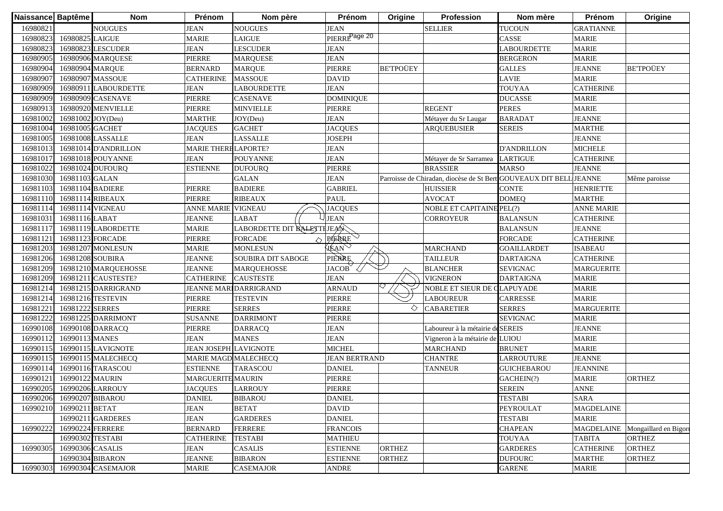| Naissance Baptême |                           | <b>Nom</b>           | Prénom                       | Nom père                      | Prénom                    | Origine         | <b>Profession</b>                                                  | Nom mère           | Prénom            | Origine               |
|-------------------|---------------------------|----------------------|------------------------------|-------------------------------|---------------------------|-----------------|--------------------------------------------------------------------|--------------------|-------------------|-----------------------|
| 16980821          |                           | <b>NOUGUES</b>       | <b>JEAN</b>                  | <b>NOUGUES</b>                | <b>JEAN</b>               |                 | <b>SELLIER</b>                                                     | <b>TUCOUN</b>      | <b>GRATIANNE</b>  |                       |
| 16980823          | 16980825 LAIGUE           |                      | <b>MARIE</b>                 | <b>LAIGUE</b>                 | PIERRE <sup>Page 20</sup> |                 |                                                                    | CASSE              | <b>MARIE</b>      |                       |
| 16980823          |                           | 16980823 LESCUDER    | <b>JEAN</b>                  | <b>LESCUDER</b>               | <b>JEAN</b>               |                 |                                                                    | LABOURDETTE        | <b>MARIE</b>      |                       |
| 16980905          |                           | 16980906 MARQUESE    | PIERRE                       | <b>MARQUESE</b>               | <b>JEAN</b>               |                 |                                                                    | <b>BERGERON</b>    | <b>MARIE</b>      |                       |
| 16980904          | 16980904 MARQUE           |                      | <b>BERNARD</b>               | <b>MARQUE</b>                 | PIERRE                    | <b>BETPOÜEY</b> |                                                                    | <b>GALLES</b>      | <b>JEANNE</b>     | <b>BETPOÜEY</b>       |
| 16980907          |                           | 16980907 MASSOUE     | CATHERINE                    | <b>MASSOUE</b>                | <b>DAVID</b>              |                 |                                                                    | <b>LAVIE</b>       | <b>MARIE</b>      |                       |
| 16980909          |                           | 16980911 LABOURDETTE | <b>JEAN</b>                  | LABOURDETTE                   | <b>JEAN</b>               |                 |                                                                    | <b>TOUYAA</b>      | <b>CATHERINE</b>  |                       |
| 16980909          |                           | 16980909 CASENAVE    | PIERRE                       | <b>CASENAVE</b>               | <b>DOMINIQUE</b>          |                 |                                                                    | <b>DUCASSE</b>     | <b>MARIE</b>      |                       |
| 16980913          |                           | 16980920 MENVIELLE   | PIERRE                       | <b>MINVIELLE</b>              | <b>PIERRE</b>             |                 | <b>REGENT</b>                                                      | <b>PERES</b>       | <b>MARIE</b>      |                       |
| 16981002          | 16981002 JOY(Deu)         |                      | <b>MARTHE</b>                | JOY(Deu)                      | <b>JEAN</b>               |                 | Métayer du Sr Laugar                                               | <b>BARADAT</b>     | <b>JEANNE</b>     |                       |
| 16981004          | 16981005 GACHET           |                      | <b>JACOUES</b>               | <b>GACHET</b>                 | <b>JACOUES</b>            |                 | <b>AROUEBUSIER</b>                                                 | <b>SEREIS</b>      | <b>MARTHE</b>     |                       |
| 16981005          |                           | 16981008 LASSALLE    | <b>JEAN</b>                  | LASSALLE                      | <b>JOSEPH</b>             |                 |                                                                    |                    | <b>JEANNE</b>     |                       |
| 16981013          |                           | 16981014 D'ANDRILLON | <b>MARIE THERE LAPORTE?</b>  |                               | <b>JEAN</b>               |                 |                                                                    | <b>D'ANDRILLON</b> | <b>MICHELE</b>    |                       |
| 16981017          |                           | 16981018 POUYANNE    | <b>JEAN</b>                  | <b>POUYANNE</b>               | <b>JEAN</b>               |                 | Métayer de Sr Sarramea                                             | <b>LARTIGUE</b>    | <b>CATHERINE</b>  |                       |
| 1698102           |                           | 16981024 DUFOURQ     | <b>ESTIENNE</b>              | <b>DUFOURQ</b>                | <b>PIERRE</b>             |                 | <b>BRASSIER</b>                                                    | MARSO              | <b>JEANNE</b>     |                       |
| 16981030          | 16981103 GALAN            |                      |                              | <b>GALAN</b>                  | <b>JEAN</b>               |                 | Parroisse de Chiradan, diocèse de St Bert GOUVEAUX DIT BELL JEANNE |                    |                   | Même paroisse         |
| 16981103          | 16981104 BADIERE          |                      | PIERRE                       | <b>BADIERE</b>                | <b>GABRIEL</b>            |                 | <b>HUISSIER</b>                                                    | <b>CONTE</b>       | <b>HENRIETTE</b>  |                       |
| 16981110          | 16981114 RIBEAUX          |                      | <b>PIERRE</b>                | <b>RIBEAUX</b>                | <b>PAUL</b>               |                 | <b>AVOCAT</b>                                                      | <b>DOMEQ</b>       | <b>MARTHE</b>     |                       |
| 1698111           |                           | 16981114 VIGNEAU     | <b>ANNE MARIE</b>            | <b>VIGNEAU</b>                | <b>JACQUES</b>            |                 | <b>NOBLE ET CAPITAINE PEL(?)</b>                                   |                    | <b>ANNE MARIE</b> |                       |
| 1698103           | 16981116 LABAT            |                      | <b>JEANNE</b>                | <b>LABAT</b>                  | <b>JEAN</b>               |                 | <b>CORROYEUR</b>                                                   | <b>BALANSUN</b>    | <b>CATHERINE</b>  |                       |
| 16981117          |                           | 16981119 LABORDETTE  | <b>MARIE</b>                 | LABORDETTE DIT BALETTE JEAN   |                           |                 |                                                                    | <b>BALANSUN</b>    | <b>JEANNE</b>     |                       |
| 1698112           |                           | 16981123 FORCADE     | PIERRE                       | <b>FORCADE</b><br>$\Diamond$  | PIERRE                    |                 |                                                                    | <b>FORCADE</b>     | <b>CATHERINE</b>  |                       |
| 16981203          |                           | 16981207 MONLESUN    | <b>MARIE</b>                 | <b>MONLESUN</b>               | <b>JEAN</b>               |                 | <b>MARCHAND</b>                                                    | <b>GOAILLARDET</b> | <b>ISABEAU</b>    |                       |
| 16981206          | 16981208 SOUBIRA          |                      | <b>JEANNE</b>                | SOUBIRA DIT SABOGE            | <b>PIERRE</b>             |                 | <b>TAILLEUR</b>                                                    | <b>DARTAIGNA</b>   | <b>CATHERINE</b>  |                       |
| 16981209          |                           | 16981210 MARQUEHOSSE | <b>JEANNE</b>                | <b>MARQUEHOSSE</b>            | JACOB                     |                 | <b>BLANCHER</b>                                                    | <b>SEVIGNAC</b>    | <b>MARGUERITE</b> |                       |
| 16981209          |                           | 16981211 CAUSTESTE?  | <b>CATHERINE</b>             | <b>CAUSTESTE</b>              | <b>JEAN</b>               |                 | <b>VIGNERON</b>                                                    | <b>DARTAIGNA</b>   | <b>MARIE</b>      |                       |
| 16981214          |                           | 16981215 DARRIGRAND  |                              | <b>JEANNE MARI DARRIGRAND</b> | <b>ARNAUD</b>             |                 | NOBLE ET SIEUR DE CLAPUYADE                                        |                    | <b>MARIE</b>      |                       |
| 1698121           |                           | 16981216 TESTEVIN    | <b>PIERRE</b>                | <b>TESTEVIN</b>               | PIERRE                    |                 | <b>LABOUREUR</b>                                                   | <b>CARRESSE</b>    | <b>MARIE</b>      |                       |
| 1698122           | 16981222 SERRES           |                      | PIERRE                       | <b>SERRES</b>                 | PIERRE                    | ◇               | <b>CABARETIER</b>                                                  | <b>SERRES</b>      | <b>MARGUERITE</b> |                       |
| 1698122           |                           | 16981225 DARRIMONT   | <b>SUSANNE</b>               | <b>DARRIMONT</b>              | PIERRE                    |                 |                                                                    | <b>SEVIGNAC</b>    | <b>MARIE</b>      |                       |
| 16990108          |                           | 16990108 DARRACQ     | <b>PIERRE</b>                | <b>DARRACQ</b>                | JEAN                      |                 | Laboureur à la métairie de SEREIS                                  |                    | <b>JEANNE</b>     |                       |
| 1699011           | 16990113 MANES            |                      | <b>JEAN</b>                  | <b>MANES</b>                  | <b>JEAN</b>               |                 | Vigneron à la métairie de LUIOU                                    |                    | <b>MARIE</b>      |                       |
| 1699011:          |                           | 16990115 LAVIGNOTE   | <b>JEAN JOSEPH LAVIGNOTE</b> |                               | <b>MICHEL</b>             |                 | <b>MARCHAND</b>                                                    | <b>BRUNET</b>      | <b>MARIE</b>      |                       |
| 1699011:          |                           | 16990115 MALECHECQ   | MARIE MAGD MALECHECQ         |                               | <b>JEAN BERTRAND</b>      |                 | <b>CHANTRE</b>                                                     | <b>LARROUTURE</b>  | <b>JEANNE</b>     |                       |
| 1699011           |                           | 16990116 TARASCOU    | <b>ESTIENNE</b>              | <b>TARASCOU</b>               | <b>DANIEL</b>             |                 | <b>TANNEUR</b>                                                     | <b>GUICHEBAROU</b> | <b>JEANNINE</b>   |                       |
| 1699012           | 16990122 MAURIN           |                      | <b>MARGUERITE MAURIN</b>     |                               | PIERRE                    |                 |                                                                    | GACHEIN(?)         | <b>MARIE</b>      | <b>ORTHEZ</b>         |
| 16990205          |                           | 16990206 LARROUY     | <b>JACQUES</b>               | <b>LARROUY</b>                | <b>PIERRE</b>             |                 |                                                                    | <b>SEREIN</b>      | <b>ANNE</b>       |                       |
|                   | 16990206 16990207 BIBAROU |                      | <b>DANIEL</b>                | <b>BIBAROU</b>                | <b>DANIEL</b>             |                 |                                                                    | <b>TESTABI</b>     | <b>SARA</b>       |                       |
| 16990210          | 16990211 BETAT            |                      | <b>JEAN</b>                  | <b>BETAT</b>                  | <b>DAVID</b>              |                 |                                                                    | <b>PEYROULAT</b>   | <b>MAGDELAINE</b> |                       |
|                   |                           | 16990211 GARDERES    | <b>JEAN</b>                  | <b>GARDERES</b>               | <b>DANIEL</b>             |                 |                                                                    | <b>TESTABI</b>     | <b>MARIE</b>      |                       |
| 16990222          | 16990224 FERRERE          |                      | <b>BERNARD</b>               | <b>FERRERE</b>                | <b>FRANCOIS</b>           |                 |                                                                    | <b>CHAPEAN</b>     | <b>MAGDELAINE</b> | Mongaillard en Bigori |
|                   | 16990302 TESTABI          |                      | <b>CATHERINE</b>             | <b>TESTABI</b>                | <b>MATHIEU</b>            |                 |                                                                    | <b>TOUYAA</b>      | <b>TABITA</b>     | <b>ORTHEZ</b>         |
| 16990305          | 16990306 CASALIS          |                      | <b>JEAN</b>                  | <b>CASALIS</b>                | <b>ESTIENNE</b>           | <b>ORTHEZ</b>   |                                                                    | <b>GARDERES</b>    | <b>CATHERINE</b>  | <b>ORTHEZ</b>         |
|                   |                           | 16990304 BIBARON     | <b>JEANNE</b>                | <b>BIBARON</b>                | <b>ESTIENNE</b>           | <b>ORTHEZ</b>   |                                                                    | <b>DUFOURC</b>     | <b>MARTHE</b>     | ORTHEZ                |
| 16990303          |                           | 16990304 CASEMAJOR   | <b>MARIE</b>                 | <b>CASEMAJOR</b>              | <b>ANDRE</b>              |                 |                                                                    | <b>GARENE</b>      | <b>MARIE</b>      |                       |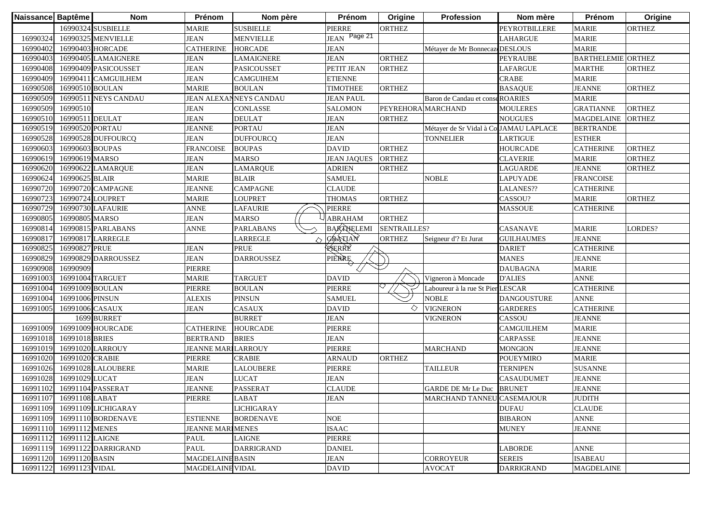| Naissance Baptême |                         | <b>Nom</b>           | Prénom                    | Nom père               | Prénom             | Origine            | Profession                             | Nom mère             | Prénom                    | Origine       |
|-------------------|-------------------------|----------------------|---------------------------|------------------------|--------------------|--------------------|----------------------------------------|----------------------|---------------------------|---------------|
|                   |                         | 16990324 SUSBIELLE   | <b>MARIE</b>              | <b>SUSBIELLE</b>       | <b>PIERRE</b>      | <b>ORTHEZ</b>      |                                        | <b>PEYROTBILLERE</b> | <b>MARIE</b>              | <b>ORTHEZ</b> |
| 16990324          |                         | 16990325 MENVIELLE   | <b>JEAN</b>               | <b>MENVIELLE</b>       | JEAN Page 21       |                    |                                        | <b>LAHARGUE</b>      | <b>MARIE</b>              |               |
| 16990402          |                         | 16990403 HORCADE     | <b>CATHERINE</b>          | <b>HORCADE</b>         | <b>JEAN</b>        |                    | Métayer de Mr Bonnecaz DESLOUS         |                      | <b>MARIE</b>              |               |
| 16990403          |                         | 16990405 LAMAIGNERE  | <b>JEAN</b>               | <b>LAMAIGNERE</b>      | <b>JEAN</b>        | <b>ORTHEZ</b>      |                                        | <b>PEYRAUBE</b>      | <b>BARTHELEMIE ORTHEZ</b> |               |
| 16990408          |                         | 16990409 PASICOUSSET | <b>JEAN</b>               | <b>PASICOUSSET</b>     | PETIT JEAN         | <b>ORTHEZ</b>      |                                        | <b>LAFARGUE</b>      | <b>MARTHE</b>             | <b>ORTHEZ</b> |
| 16990409          |                         | 16990411 CAMGUILHEM  | <b>JEAN</b>               | <b>CAMGUIHEM</b>       | <b>ETIENNE</b>     |                    |                                        | <b>CRABE</b>         | <b>MARIE</b>              |               |
| 16990508          | 16990510 BOULAN         |                      | <b>MARIE</b>              | <b>BOULAN</b>          | <b>TIMOTHEE</b>    | <b>ORTHEZ</b>      |                                        | <b>BASAQUE</b>       | <b>JEANNE</b>             | <b>ORTHEZ</b> |
| 16990509          |                         | 16990511 NEYS CANDAU |                           | JEAN ALEXANNEYS CANDAU | <b>JEAN PAUL</b>   |                    | Baron de Candau et conseROARIES        |                      | <b>MARIE</b>              |               |
| 16990509          | 16990510                |                      | <b>JEAN</b>               | CONLASSE               | <b>SALOMON</b>     | PEYREHORA MARCHAND |                                        | <b>MOULERES</b>      | <b>GRATIANNE</b>          | <b>ORTHEZ</b> |
| 16990510          | 16990511 DEULAT         |                      | <b>JEAN</b>               | <b>DEULAT</b>          | <b>JEAN</b>        | <b>ORTHEZ</b>      |                                        | <b>NOUGUES</b>       | <b>MAGDELAINE</b>         | <b>ORTHEZ</b> |
| 16990519          | 16990520 PORTAU         |                      | <b>JEANNE</b>             | <b>PORTAU</b>          | <b>JEAN</b>        |                    | Métayer de Sr Vidal à Co JAMAU LAPLACE |                      | <b>BERTRANDE</b>          |               |
| 16990528          |                         | 16990528 DUFFOURCQ   | <b>JEAN</b>               | <b>DUFFOURCQ</b>       | <b>JEAN</b>        |                    | <b>TONNELIER</b>                       | <b>LARTIGUE</b>      | <b>ESTHER</b>             |               |
| 16990603          | 16990603 BOUPAS         |                      | <b>FRANCOISE</b>          | <b>BOUPAS</b>          | <b>DAVID</b>       | <b>ORTHEZ</b>      |                                        | <b>HOURCADE</b>      | <b>CATHERINE</b>          | <b>ORTHEZ</b> |
| 16990619          | 16990619 MARSO          |                      | <b>JEAN</b>               | <b>MARSO</b>           | <b>JEAN JAQUES</b> | <b>ORTHEZ</b>      |                                        | <b>CLAVERIE</b>      | <b>MARIE</b>              | <b>ORTHEZ</b> |
| 16990620          |                         | 16990622 LAMARQUE    | <b>JEAN</b>               | LAMARQUE               | <b>ADRIEN</b>      | <b>ORTHEZ</b>      |                                        | <b>LAGUARDE</b>      | <b>JEANNE</b>             | <b>ORTHEZ</b> |
| 16990624          | 16990625 BLAIR          |                      | <b>MARIE</b>              | <b>BLAIR</b>           | <b>SAMUEL</b>      |                    | <b>NOBLE</b>                           | <b>LAPUYADE</b>      | <b>FRANCOISE</b>          |               |
| 16990720          |                         | 16990720 CAMPAGNE    | JEANNE                    | <b>CAMPAGNE</b>        | <b>CLAUDE</b>      |                    |                                        | LALANES??            | <b>CATHERINE</b>          |               |
| 1699072           | 16990724 LOUPRET        |                      | <b>MARIE</b>              | LOUPRET                | <b>THOMAS</b>      | <b>ORTHEZ</b>      |                                        | CASSOU?              | <b>MARIE</b>              | <b>ORTHEZ</b> |
| 16990729          |                         | 16990730 LAFAURIE    | ANNE                      | <b>LAFAURIE</b>        | <b>PIERRE</b>      |                    |                                        | <b>MASSOUE</b>       | <b>CATHERINE</b>          |               |
| 16990805          | 16990805 MARSO          |                      | <b>JEAN</b>               | <b>MARSO</b>           | <b>ABRAHAM</b>     | <b>ORTHEZ</b>      |                                        |                      |                           |               |
| 1699081           |                         | 16990815 PARLABANS   | <b>ANNE</b>               | <b>PARLABANS</b>       | <b>BARTHELEMI</b>  | SENTRAILLES?       |                                        | <b>CASANAVE</b>      | <b>MARIE</b>              | LORDES?       |
| 1699081           |                         | 16990817 LARREGLE    |                           | <b>LARREGLE</b>        | GRATIAN            | <b>ORTHEZ</b>      | Seigneur d'? Et Jurat                  | <b>GUILHAUMES</b>    | <b>JEANNE</b>             |               |
| 16990825          | 16990827 PRUE           |                      | <b>JEAN</b>               | <b>PRUE</b>            | RERRE              |                    |                                        | <b>DARIET</b>        | <b>CATHERINE</b>          |               |
| 16990829          |                         | 16990829 DARROUSSEZ  | <b>JEAN</b>               | <b>DARROUSSEZ</b>      | PIERRE             |                    |                                        | <b>MANES</b>         | <b>JEANNE</b>             |               |
| 16990908          | 16990909                |                      | PIERRE                    |                        |                    |                    |                                        | <b>DAUBAGNA</b>      | <b>MARIE</b>              |               |
| 16991003          | 16991004 TARGUET        |                      | <b>MARIE</b>              | <b>TARGUET</b>         | <b>DAVID</b>       |                    | Vigneron à Moncade                     | <b>D'ALIES</b>       | <b>ANNE</b>               |               |
| 16991004          | 16991009 BOULAN         |                      | <b>PIERRE</b>             | <b>BOULAN</b>          | <b>PIERRE</b>      |                    | Laboureur à la rue St Pier LESCAR      |                      | <b>CATHERINE</b>          |               |
| 16991004          | 16991006 PINSUN         |                      | <b>ALEXIS</b>             | <b>PINSUN</b>          | <b>SAMUEL</b>      |                    | <b>NOBLE</b>                           | <b>DANGOUSTURE</b>   | <b>ANNE</b>               |               |
| 16991005          | 16991006 CASAUX         |                      | <b>JEAN</b>               | CASAUX                 | <b>DAVID</b>       | ◇                  | <b>VIGNERON</b>                        | <b>GARDERES</b>      | <b>CATHERINE</b>          |               |
|                   |                         | 1699 BURRET          |                           | <b>BURRET</b>          | <b>JEAN</b>        |                    | <b>VIGNERON</b>                        | CASSOU               | <b>JEANNE</b>             |               |
| 16991009          |                         | 16991009 HOURCADE    | <b>CATHERINE</b>          | <b>HOURCADE</b>        | <b>PIERRE</b>      |                    |                                        | <b>CAMGUILHEM</b>    | <b>MARIE</b>              |               |
| 16991018          | 16991018 BRIES          |                      | <b>BERTRAND</b>           | <b>BRIES</b>           | <b>JEAN</b>        |                    |                                        | <b>CARPASSE</b>      | <b>JEANNE</b>             |               |
| 16991019          |                         | 16991020 LARROUY     | <b>JEANNE MARILARROUY</b> |                        | <b>PIERRE</b>      |                    | <b>MARCHAND</b>                        | <b>MONGION</b>       | <b>JEANNE</b>             |               |
| 16991020          | 16991020 CRABIE         |                      | PIERRE                    | CRABIE                 | <b>ARNAUD</b>      | <b>ORTHEZ</b>      |                                        | <b>POUEYMIRO</b>     | <b>MARIE</b>              |               |
| 16991026          |                         | 16991028 LALOUBERE   | <b>MARIE</b>              | <b>LALOUBERE</b>       | <b>PIERRE</b>      |                    | <b>TAILLEUR</b>                        | <b>TERNIPEN</b>      | <b>SUSANNE</b>            |               |
| 16991028          | 16991029 LUCAT          |                      | <b>JEAN</b>               | <b>LUCAT</b>           | <b>JEAN</b>        |                    |                                        | <b>CASAUDUMET</b>    | <b>JEANNE</b>             |               |
| 16991102          |                         | 16991104 PASSERAT    | <b>JEANNE</b>             | <b>PASSERAT</b>        | <b>CLAUDE</b>      |                    | GARDE DE Mr Le Duc BRUNET              |                      | <b>JEANNE</b>             |               |
|                   | 16991107 16991108 LABAT |                      | PIERRE                    | LABAT                  | <b>JEAN</b>        |                    | MARCHAND TANNEU CASEMAJOUR             |                      | <b>JUDITH</b>             |               |
| 16991109          |                         | 16991109 LICHIGARAY  |                           | <b>LICHIGARAY</b>      |                    |                    |                                        | <b>DUFAU</b>         | <b>CLAUDE</b>             |               |
| 16991109          |                         | 16991110 BORDENAVE   | <b>ESTIENNE</b>           | <b>BORDENAVE</b>       | <b>NOE</b>         |                    |                                        | <b>BIBARON</b>       | <b>ANNE</b>               |               |
| 16991110          | 16991112 MENES          |                      | <b>JEANNE MARIMENES</b>   |                        | <b>ISAAC</b>       |                    |                                        | <b>MUNEY</b>         | <b>JEANNE</b>             |               |
| 16991112          | 16991112 LAIGNE         |                      | PAUL                      | <b>LAIGNE</b>          | PIERRE             |                    |                                        |                      |                           |               |
| 16991119          |                         | 16991122 DARRIGRAND  | PAUL                      | <b>DARRIGRAND</b>      | <b>DANIEL</b>      |                    |                                        | <b>LABORDE</b>       | <b>ANNE</b>               |               |
| 16991120          | 16991120 BASIN          |                      | <b>MAGDELAINE BASIN</b>   |                        | <b>JEAN</b>        |                    | <b>CORROYEUR</b>                       | <b>SEREIS</b>        | <b>ISABEAU</b>            |               |
| 16991122          | 16991123 VIDAL          |                      | MAGDELAINE VIDAL          |                        | <b>DAVID</b>       |                    | <b>AVOCAT</b>                          | <b>DARRIGRAND</b>    | <b>MAGDELAINE</b>         |               |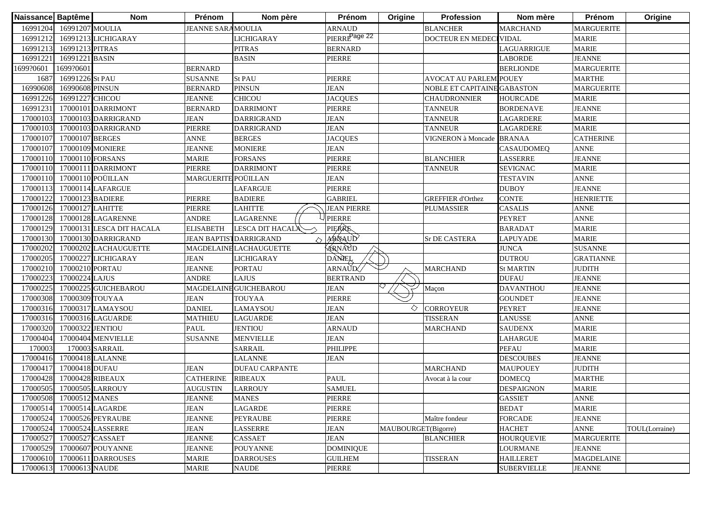| Naissance Baptême |                         | <b>Nom</b>                | Prénom              | Nom père                       | Prénom                    | Origine             | Profession                    | Nom mère           | Prénom            | Origine        |
|-------------------|-------------------------|---------------------------|---------------------|--------------------------------|---------------------------|---------------------|-------------------------------|--------------------|-------------------|----------------|
| 16991204          | 16991207 MOULIA         |                           | JEANNE SARA MOULIA  |                                | <b>ARNAUD</b>             |                     | <b>BLANCHER</b>               | <b>MARCHAND</b>    | <b>MARGUERITE</b> |                |
| 16991212          |                         | 16991213 LICHIGARAY       |                     | <b>LICHIGARAY</b>              | PIERRE <sup>Page 22</sup> |                     | DOCTEUR EN MEDEC              | <b>IVIDAL</b>      | <b>MARIE</b>      |                |
| 16991213          | 16991213 PITRAS         |                           |                     | <b>PITRAS</b>                  | <b>BERNARD</b>            |                     |                               | LAGUARRIGUE        | <b>MARIE</b>      |                |
| 16991221          | 16991221 BASIN          |                           |                     | <b>BASIN</b>                   | PIERRE                    |                     |                               | <b>LABORDE</b>     | <b>JEANNE</b>     |                |
| 1699?0601         | 1699?0601               |                           | <b>BERNARD</b>      |                                |                           |                     |                               | <b>BERLIONDE</b>   | <b>MARGUERITE</b> |                |
| 168'              | 16991226 St PAU         |                           | <b>SUSANNE</b>      | St PAU                         | PIERRE                    |                     | <b>AVOCAT AU PARLEMIPOUEY</b> |                    | <b>MARTHE</b>     |                |
| 16990608          | 16990608 PINSUN         |                           | <b>BERNARD</b>      | <b>PINSUN</b>                  | <b>JEAN</b>               |                     | NOBLE ET CAPITAINE GABASTON   |                    | <b>MARGUERITE</b> |                |
| 16991226          | 16991227 CHICOU         |                           | <b>JEANNE</b>       | <b>CHICOU</b>                  | <b>JACQUES</b>            |                     | <b>CHAUDRONNIER</b>           | <b>HOURCADE</b>    | <b>MARIE</b>      |                |
| 16991231          |                         | 17000101 DARRIMONT        | <b>BERNARD</b>      | <b>DARRIMONT</b>               | PIERRE                    |                     | <b>TANNEUR</b>                | <b>BORDENAVE</b>   | <b>JEANNE</b>     |                |
| 17000103          |                         | 17000103 DARRIGRAND       | <b>JEAN</b>         | <b>DARRIGRAND</b>              | <b>JEAN</b>               |                     | <b>TANNEUR</b>                | <b>LAGARDERE</b>   | <b>MARIE</b>      |                |
| 17000103          |                         | 17000103 DARRIGRAND       | PIERRE              | <b>DARRIGRAND</b>              | <b>JEAN</b>               |                     | <b>TANNEUR</b>                | LAGARDERE          | <b>MARIE</b>      |                |
| 17000107          | 17000107 BERGES         |                           | <b>ANNE</b>         | <b>BERGES</b>                  | <b>JACQUES</b>            |                     | <b>VIGNERON</b> à Moncade     | <b>BRANAA</b>      | <b>CATHERINE</b>  |                |
| 17000107          |                         | 17000109 MONIERE          | <b>JEANNE</b>       | <b>MONIERE</b>                 | <b>JEAN</b>               |                     |                               | <b>CASAUDOMEQ</b>  | <b>ANNE</b>       |                |
| 17000110          | 17000110 FORSANS        |                           | <b>MARIE</b>        | <b>FORSANS</b>                 | PIERRE                    |                     | <b>BLANCHIER</b>              | LASSERRE           | <b>JEANNE</b>     |                |
| 17000110          |                         | 17000111 DARRIMONT        | PIERRE              | <b>DARRIMONT</b>               | PIERRE                    |                     | <b>TANNEUR</b>                | <b>SEVIGNAC</b>    | <b>MARIE</b>      |                |
| 17000110          |                         | 17000110 POÜILLAN         | MARGUERITE POÜILLAN |                                | <b>JEAN</b>               |                     |                               | <b>TESTAVIN</b>    | <b>ANNE</b>       |                |
| 1700011           |                         | 17000114 LAFARGUE         |                     | LAFARGUE                       | PIERRE                    |                     |                               | <b>DUBOY</b>       | <b>JEANNE</b>     |                |
| 17000122          | 17000123 BADIERE        |                           | PIERRE              | <b>BADIERE</b>                 | <b>GABRIEL</b>            |                     | <b>GREFFIER d'Orthez</b>      | CONTE              | <b>HENRIETTE</b>  |                |
| 17000126          | 17000127 LAHITTE        |                           | PIERRE              | <b>LAHITTE</b>                 | <b>JEAN PIERRE</b>        |                     | PLUMASSIER                    | <b>CASALIS</b>     | <b>ANNE</b>       |                |
| 17000128          |                         | 17000128 LAGARENNE        | <b>ANDRE</b>        | <b>LAGARENNE</b>               | <b>PIERRE</b>             |                     |                               | <b>PEYRET</b>      | <b>ANNE</b>       |                |
| 17000129          |                         | 17000131 LESCA DIT HACALA | <b>ELISABETH</b>    | LESCA DIT HACALA               | PIERRE                    |                     |                               | <b>BARADAT</b>     | <b>MARIE</b>      |                |
| 17000130          |                         | 17000130 DARRIGRAND       |                     | <b>JEAN BAPTIST DARRIGRAND</b> | ARNAUD                    |                     | Sr DE CASTERA                 | <b>LAPUYADE</b>    | <b>MARIE</b>      |                |
| 17000202          |                         | 17000202 LACHAUGUETTE     |                     | <b>MAGDELAINE LACHAUGUETTE</b> | ARNAUD                    |                     |                               | <b>JUNCA</b>       | <b>SUSANNE</b>    |                |
| 17000205          |                         | 17000227 LICHIGARAY       | <b>JEAN</b>         | <b>LICHIGARAY</b>              | DANEL                     |                     |                               | <b>DUTROU</b>      | <b>GRATIANNE</b>  |                |
| 17000210          | 17000210 PORTAU         |                           | <b>JEANNE</b>       | <b>PORTAU</b>                  | ARNAUD                    |                     | <b>MARCHAND</b>               | <b>St MARTIN</b>   | <b>JUDITH</b>     |                |
| 17000223          | 17000224 LAJUS          |                           | <b>ANDRE</b>        | <b>LAJUS</b>                   | <b>BERTRAND</b>           |                     |                               | <b>DUFAU</b>       | <b>JEANNE</b>     |                |
| 17000225          |                         | 17000225 GUICHEBAROU      |                     | <b>MAGDELAINE GUICHEBAROU</b>  | <b>JEAN</b>               |                     | Maçon                         | <b>DAVANTHOU</b>   | <b>JEANNE</b>     |                |
| 17000308          | 17000309 TOUYAA         |                           | <b>JEAN</b>         | <b>TOUYAA</b>                  | PIERRE                    |                     |                               | <b>GOUNDET</b>     | <b>JEANNE</b>     |                |
| 17000316          |                         | 17000317 LAMAYSOU         | <b>DANIEL</b>       | LAMAYSOU                       | <b>JEAN</b>               | ◇                   | <b>CORROYEUR</b>              | <b>PEYRET</b>      | <b>JEANNE</b>     |                |
| 17000316          |                         | 17000316 LAGUARDE         | <b>MATHIEU</b>      | <b>LAGUARDE</b>                | <b>JEAN</b>               |                     | <b>TISSERAN</b>               | <b>LANUSSE</b>     | <b>ANNE</b>       |                |
| 17000320          | 17000322 JENTIOU        |                           | <b>PAUL</b>         | <b>JENTIOU</b>                 | <b>ARNAUD</b>             |                     | <b>MARCHAND</b>               | <b>SAUDENX</b>     | <b>MARIE</b>      |                |
| 17000404          |                         | 17000404 MENVIELLE        | <b>SUSANNE</b>      | <b>MENVIELLE</b>               | <b>JEAN</b>               |                     |                               | <b>LAHARGUE</b>    | <b>MARIE</b>      |                |
| 170003            |                         | 170003 SARRAIL            |                     | <b>SARRAIL</b>                 | PHILIPPE                  |                     |                               | <b>PEFAU</b>       | <b>MARIE</b>      |                |
| 17000416          |                         | 17000418 LALANNE          |                     | LALANNE                        | <b>JEAN</b>               |                     |                               | <b>DESCOUBES</b>   | <b>JEANNE</b>     |                |
| 1700041           | 17000418 DUFAU          |                           | <b>JEAN</b>         | <b>DUFAU CARPANTE</b>          |                           |                     | <b>MARCHAND</b>               | <b>MAUPOUEY</b>    | <b>JUDITH</b>     |                |
| 1700042           | 17000428 RIBEAUX        |                           | <b>CATHERINE</b>    | <b>RIBEAUX</b>                 | <b>PAUL</b>               |                     | Avocat à la cour              | <b>DOMECQ</b>      | <b>MARTHE</b>     |                |
| 17000505          |                         | 17000505 LARROUY          | <b>AUGUSTIN</b>     | <b>LARROUY</b>                 | <b>SAMUEL</b>             |                     |                               | <b>DESPAIGNON</b>  | <b>MARIE</b>      |                |
|                   | 17000508 17000512 MANES |                           | <b>JEANNE</b>       | <b>MANES</b>                   | PIERRE                    |                     |                               | <b>GASSIET</b>     | <b>ANNE</b>       |                |
| 17000514          |                         | 17000514 LAGARDE          | <b>JEAN</b>         | <b>LAGARDE</b>                 | PIERRE                    |                     |                               | <b>BEDAT</b>       | <b>MARIE</b>      |                |
| 17000524          |                         | 17000526 PEYRAUBE         | <b>JEANNE</b>       | PEYRAUBE                       | PIERRE                    |                     | Maître fondeur                | <b>FORCADE</b>     | <b>JEANNE</b>     |                |
| 17000524          |                         | 17000524 LASSERRE         | <b>JEAN</b>         | LASSERRE                       | <b>JEAN</b>               | MAUBOURGET(Bigorre) |                               | <b>HACHET</b>      | <b>ANNE</b>       | TOUL(Lorraine) |
| 17000527          | 17000527 CASSAET        |                           | <b>JEANNE</b>       | CASSAET                        | <b>JEAN</b>               |                     | <b>BLANCHIER</b>              | <b>HOURQUEVIE</b>  | <b>MARGUERITE</b> |                |
| 17000529          |                         | 17000607 POUYANNE         | <b>JEANNE</b>       | <b>POUYANNE</b>                | <b>DOMINIQUE</b>          |                     |                               | <b>LOURMANE</b>    | <b>JEANNE</b>     |                |
| 17000610          |                         | 17000611 DARROUSES        | <b>MARIE</b>        | <b>DARROUSES</b>               | <b>GUILHEM</b>            |                     | TISSERAN                      | <b>HAILLERET</b>   | <b>MAGDELAINE</b> |                |
| 17000613          | 17000613 NAUDE          |                           | <b>MARIE</b>        | <b>NAUDE</b>                   | PIERRE                    |                     |                               | <b>SUBERVIELLE</b> | <b>JEANNE</b>     |                |
|                   |                         |                           |                     |                                |                           |                     |                               |                    |                   |                |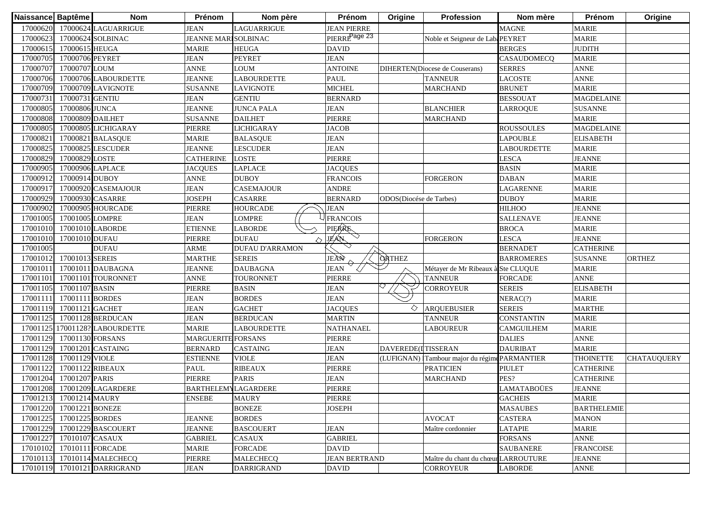| Naissance Baptême |                         | <b>Nom</b>                     | Prénom                      | Nom père               | Prénom                    | Origine                 | Profession                                    | Nom mère           | Prénom             | Origine            |
|-------------------|-------------------------|--------------------------------|-----------------------------|------------------------|---------------------------|-------------------------|-----------------------------------------------|--------------------|--------------------|--------------------|
| 17000620          |                         | 17000624 LAGUARRIGUE           | <b>JEAN</b>                 | LAGUARRIGUE            | <b>JEAN PIERRE</b>        |                         |                                               | <b>MAGNE</b>       | <b>MARIE</b>       |                    |
| 17000623          |                         | 17000624 SOLBINAC              | <b>JEANNE MARI SOLBINAC</b> |                        | PIERRE <sup>Page 23</sup> |                         | Noble et Seigneur de LabaPEYRET               |                    | <b>MARIE</b>       |                    |
| 17000615          | 17000615 HEUGA          |                                | <b>MARIE</b>                | <b>HEUGA</b>           | <b>DAVID</b>              |                         |                                               | <b>BERGES</b>      | <b>JUDITH</b>      |                    |
| 17000705          | 17000706 PEYRET         |                                | <b>JEAN</b>                 | <b>PEYRET</b>          | <b>JEAN</b>               |                         |                                               | CASAUDOMECQ        | <b>MARIE</b>       |                    |
| 17000707          | 17000707 LOUM           |                                | <b>ANNE</b>                 | <b>LOUM</b>            | <b>ANTOINE</b>            |                         | DIHERTEN(Diocese de Couserans)                | <b>SERRES</b>      | <b>ANNE</b>        |                    |
| 17000706          |                         | 17000706 LABOURDETTE           | <b>JEANNE</b>               | <b>LABOURDETTE</b>     | <b>PAUL</b>               |                         | <b>TANNEUR</b>                                | <b>LACOSTE</b>     | <b>ANNE</b>        |                    |
| 17000709          |                         | 17000709 LAVIGNOTE             | <b>SUSANNE</b>              | <b>LAVIGNOTE</b>       | <b>MICHEL</b>             |                         | <b>MARCHAND</b>                               | <b>BRUNET</b>      | <b>MARIE</b>       |                    |
| 17000731          | 17000731 GENTIU         |                                | <b>JEAN</b>                 | <b>GENTIU</b>          | <b>BERNARD</b>            |                         |                                               | <b>BESSOUAT</b>    | <b>MAGDELAINE</b>  |                    |
| 17000805          | 17000806 JUNCA          |                                | <b>JEANNE</b>               | <b>JUNCA PALA</b>      | <b>JEAN</b>               |                         | <b>BLANCHIER</b>                              | LARROQUE           | <b>SUSANNE</b>     |                    |
| 17000808          | 17000809 DAILHET        |                                | <b>SUSANNE</b>              | <b>DAILHET</b>         | PIERRE                    |                         | <b>MARCHAND</b>                               |                    | <b>MARIE</b>       |                    |
| 17000805          |                         | 17000805 LICHIGARAY            | PIERRE                      | <b>LICHIGARAY</b>      | <b>JACOB</b>              |                         |                                               | <b>ROUSSOULES</b>  | <b>MAGDELAINE</b>  |                    |
| 1700082           |                         | 17000821 BALASQUE              | <b>MARIE</b>                | <b>BALASQUE</b>        | <b>JEAN</b>               |                         |                                               | <b>LAPOUBLE</b>    | <b>ELISABETH</b>   |                    |
| 17000825          |                         | 17000825 LESCUDER              | <b>JEANNE</b>               | <b>LESCUDER</b>        | <b>JEAN</b>               |                         |                                               | <b>LABOURDETTE</b> | <b>MARIE</b>       |                    |
| 17000829          | 17000829 LOSTE          |                                | <b>CATHERINE</b>            | <b>LOSTE</b>           | PIERRE                    |                         |                                               | LESCA              | <b>JEANNE</b>      |                    |
| 17000905          | 17000906 LAPLACE        |                                | <b>JACQUES</b>              | LAPLACE                | <b>JACQUES</b>            |                         |                                               | <b>BASIN</b>       | <b>MARIE</b>       |                    |
| 17000912          | 17000914 DUBOY          |                                | <b>ANNE</b>                 | <b>DUBOY</b>           | <b>FRANCOIS</b>           |                         | <b>FORGERON</b>                               | <b>DABAN</b>       | <b>MARIE</b>       |                    |
| 1700091           |                         | 17000920 CASEMAJOUR            | <b>JEAN</b>                 | CASEMAJOUR             | <b>ANDRE</b>              |                         |                                               | LAGARENNE          | <b>MARIE</b>       |                    |
| 17000929          | 17000930 CASARRE        |                                | <b>JOSEPH</b>               | CASARRE                | <b>BERNARD</b>            | ODOS(Diocése de Tarbes) |                                               | <b>DUBOY</b>       | <b>MARIE</b>       |                    |
| 17000902          |                         | 17000905 HOURCADE              | PIERRE                      | <b>HOURCADE</b>        | <b>JEAN</b>               |                         |                                               | <b>HILHOO</b>      | <b>JEANNE</b>      |                    |
| 17001005          | 17001005 LOMPRE         |                                | <b>JEAN</b>                 | <b>LOMPRE</b>          | <b>FRANCOIS</b>           |                         |                                               | <b>SALLENAVE</b>   | <b>JEANNE</b>      |                    |
| 17001010          |                         | 17001010 LABORDE               | <b>ETIENNE</b>              | <b>LABORDE</b>         | PIERRE                    |                         |                                               | <b>BROCA</b>       | <b>MARIE</b>       |                    |
| 17001010          | 17001010 DUFAU          |                                | PIERRE                      | <b>DUFAU</b>           | <b>JEAN</b>               |                         | <b>FORGERON</b>                               | <b>LESCA</b>       | <b>JEANNE</b>      |                    |
| 17001005          |                         | <b>DUFAU</b>                   | <b>ARME</b>                 | <b>DUFAU D'ARRAMON</b> |                           |                         |                                               | <b>BERNADET</b>    | <b>CATHERINE</b>   |                    |
| 17001012          | 17001013 SEREIS         |                                | <b>MARTHE</b>               | <b>SEREIS</b>          | JEAN                      | <b>ORTHEZ</b>           |                                               | <b>BARROMERES</b>  | <b>SUSANNE</b>     | <b>ORTHEZ</b>      |
| 17001011          |                         | 17001011 DAUBAGNA              | <b>JEANNE</b>               | <b>DAUBAGNA</b>        | <b>JEAN</b>               |                         | Métayer de Mr Ribeaux à Ste CLUQUE            |                    | <b>MARIE</b>       |                    |
| 17001101          |                         | 17001101 TOURONNET             | <b>ANNE</b>                 | <b>TOURONNET</b>       | PIERRE                    |                         | <b>TANNEUR</b>                                | <b>FORCADE</b>     | <b>ANNE</b>        |                    |
| 17001105          | 17001107 BASIN          |                                | PIERRE                      | <b>BASIN</b>           | <b>JEAN</b>               |                         | CORROYEUR                                     | <b>SEREIS</b>      | <b>ELISABETH</b>   |                    |
| 1700111           | 17001111 BORDES         |                                | <b>JEAN</b>                 | <b>BORDES</b>          | <b>JEAN</b>               |                         |                                               | NERAC(?)           | <b>MARIE</b>       |                    |
| 17001119          | 17001121 GACHET         |                                | <b>JEAN</b>                 | <b>GACHET</b>          | <b>JACQUES</b>            | ◇                       | <b>ARQUEBUSIER</b>                            | <b>SEREIS</b>      | <b>MARTHE</b>      |                    |
| 17001125          |                         | 17001128 BERDUCAN              | <b>JEAN</b>                 | <b>BERDUCAN</b>        | <b>MARTIN</b>             |                         | <b>TANNEUR</b>                                | <b>CONSTANTIN</b>  | <b>MARIE</b>       |                    |
|                   |                         | 17001125 17001128? LABOURDETTE | <b>MARIE</b>                | <b>LABOURDETTE</b>     | <b>NATHANAEL</b>          |                         | <b>LABOUREUR</b>                              | <b>CAMGUILHEM</b>  | <b>MARIE</b>       |                    |
| 17001129          | 17001130 FORSANS        |                                | <b>MARGUERITE FORSANS</b>   |                        | PIERRE                    |                         |                                               | <b>DALIES</b>      | <b>ANNE</b>        |                    |
| 17001129          |                         | 17001201 CASTAING              | <b>BERNARD</b>              | CASTAING               | <b>JEAN</b>               | DAVEREDE(ITISSERAN      |                                               | <b>DAURIBAT</b>    | <b>MARIE</b>       |                    |
| 17001128          | 17001129 VIOLE          |                                | <b>ESTIENNE</b>             | <b>VIOLE</b>           | <b>JEAN</b>               |                         | (LUFIGNAN) Tambour major du régime PARMANTIER |                    | <b>THOINETTE</b>   | <b>CHATAUQUERY</b> |
| 17001122          | 17001122 RIBEAUX        |                                | <b>PAUL</b>                 | <b>RIBEAUX</b>         | PIERRE                    |                         | <b>PRATICIEN</b>                              | <b>PIULET</b>      | <b>CATHERINE</b>   |                    |
| 17001204          | 17001207 PARIS          |                                | PIERRE                      | <b>PARIS</b>           | <b>JEAN</b>               |                         | <b>MARCHAND</b>                               | PES?               | <b>CATHERINE</b>   |                    |
| 17001208          |                         | 17001209 LAGARDERE             | <b>BARTHELEMYLAGARDERE</b>  |                        | PIERRE                    |                         |                                               | LAMATABOÜES        | <b>JEANNE</b>      |                    |
|                   | 17001213 17001214 MAURY |                                | <b>ENSEBE</b>               | <b>MAURY</b>           | PIERRE                    |                         |                                               | <b>GACHEIS</b>     | <b>MARIE</b>       |                    |
| 17001220          | 17001221 BONEZE         |                                |                             | <b>BONEZE</b>          | <b>JOSEPH</b>             |                         |                                               | <b>MASAUBES</b>    | <b>BARTHELEMIE</b> |                    |
| 17001225          | 17001225 BORDES         |                                | <b>JEANNE</b>               | <b>BORDES</b>          |                           |                         | <b>AVOCAT</b>                                 | <b>CASTERA</b>     | <b>MANON</b>       |                    |
| 17001229          |                         | 17001229 BASCOUERT             | <b>JEANNE</b>               | <b>BASCOUERT</b>       | <b>JEAN</b>               |                         | Maître cordonnier                             | <b>LATAPIE</b>     | <b>MARIE</b>       |                    |
| 17001227          | 17010107 CASAUX         |                                | <b>GABRIEL</b>              | <b>CASAUX</b>          | <b>GABRIEL</b>            |                         |                                               | <b>FORSANS</b>     | <b>ANNE</b>        |                    |
| 17010102          | 17010111 FORCADE        |                                | <b>MARIE</b>                | <b>FORCADE</b>         | DAVID                     |                         |                                               | <b>SAUBANERE</b>   | <b>FRANCOISE</b>   |                    |
| 17010113          |                         | 17010114 MALECHECQ             | PIERRE                      | <b>MALECHECQ</b>       | <b>JEAN BERTRAND</b>      |                         | Maître du chant du chœur LARROUTURE           |                    | <b>JEANNE</b>      |                    |
| 17010119          |                         | 17010121 DARRIGRAND            | <b>JEAN</b>                 | <b>DARRIGRAND</b>      | <b>DAVID</b>              |                         | <b>CORROYEUR</b>                              | <b>LABORDE</b>     | <b>ANNE</b>        |                    |
|                   |                         |                                |                             |                        |                           |                         |                                               |                    |                    |                    |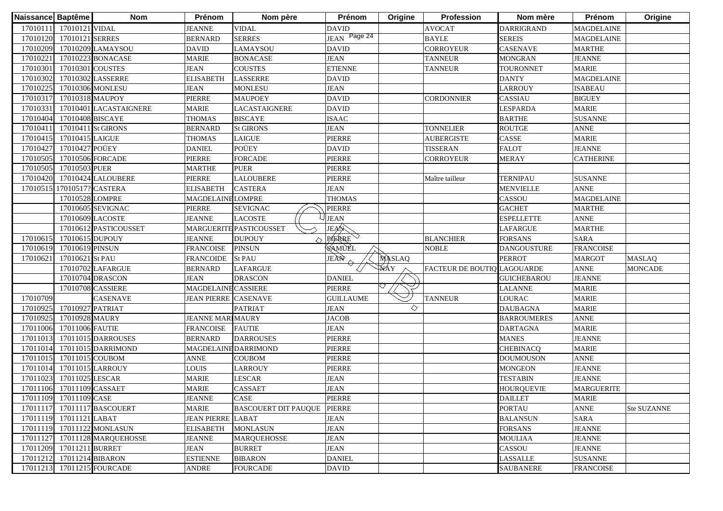| Naissance Baptême |                           | <b>Nom</b>                  | Prénom                      | Nom père                    | Prénom           | Origine | Profession                 | Nom mère           | Prénom            | Origine        |
|-------------------|---------------------------|-----------------------------|-----------------------------|-----------------------------|------------------|---------|----------------------------|--------------------|-------------------|----------------|
|                   | 17010111 17010121 VIDAL   |                             | <b>JEANNE</b>               | <b>VIDAL</b>                | <b>DAVID</b>     |         | <b>AVOCAT</b>              | <b>DARRIGRAND</b>  | <b>MAGDELAINE</b> |                |
| 17010120          | 17010121 SERRES           |                             | <b>BERNARD</b>              | <b>SERRES</b>               | JEAN Page 24     |         | <b>BAYLE</b>               | <b>SEREIS</b>      | <b>MAGDELAINE</b> |                |
| 17010209          |                           | 17010209 LAMAYSOU           | <b>DAVID</b>                | LAMAYSOU                    | <b>DAVID</b>     |         | CORROYEUR                  | <b>CASENAVE</b>    | <b>MARTHE</b>     |                |
| 17010221          |                           | 17010223 BONACASE           | <b>MARIE</b>                | <b>BONACASE</b>             | <b>JEAN</b>      |         | <b>TANNEUR</b>             | <b>MONGRAN</b>     | <b>JEANNE</b>     |                |
| 17010301          | 17010301 COUSTES          |                             | <b>JEAN</b>                 | <b>COUSTES</b>              | <b>ETIENNE</b>   |         | <b>TANNEUR</b>             | TOURONNET          | <b>MARIE</b>      |                |
| 17010302          |                           | 17010302 LASSERRE           | <b>ELISABETH</b>            | <b>LASSERRE</b>             | <b>DAVID</b>     |         |                            | <b>DANTY</b>       | <b>MAGDELAINE</b> |                |
| 17010225          |                           | 17010306 MONLESU            | <b>JEAN</b>                 | <b>MONLESU</b>              | <b>JEAN</b>      |         |                            | <b>LARROUY</b>     | <b>ISABEAU</b>    |                |
| 17010317          | 17010318 MAUPOY           |                             | PIERRE                      | <b>MAUPOEY</b>              | <b>DAVID</b>     |         | <b>CORDONNIER</b>          | CASSIAU            | <b>BIGUEY</b>     |                |
| 17010331          |                           | 17010401 LACASTAIGNERE      | <b>MARIE</b>                | LACASTAIGNERE               | <b>DAVID</b>     |         |                            | <b>LESPARDA</b>    | <b>MARIE</b>      |                |
| 17010404          | 17010408 BISCAYE          |                             | <b>THOMAS</b>               | <b>BISCAYE</b>              | <b>ISAAC</b>     |         |                            | <b>BARTHE</b>      | <b>SUSANNE</b>    |                |
| 1701041           |                           | 17010411 St GIRONS          | <b>BERNARD</b>              | <b>St GIRONS</b>            | <b>JEAN</b>      |         | <b>TONNELIER</b>           | <b>ROUTGE</b>      | <b>ANNE</b>       |                |
| 17010415          | 17010415 LAIGUE           |                             | <b>THOMAS</b>               | <b>LAIGUE</b>               | PIERRE           |         | <b>AUBERGISTE</b>          | CASSE              | <b>MARIE</b>      |                |
| 17010427          | 17010427 POÜEY            |                             | <b>DANIEL</b>               | POÜEY                       | <b>DAVID</b>     |         | <b>TISSERAN</b>            | <b>FALOT</b>       | <b>JEANNE</b>     |                |
| 17010505          |                           | 17010506 FORCADE            | PIERRE                      | <b>FORCADE</b>              | PIERRE           |         | CORROYEUR                  | MERAY              | <b>CATHERINE</b>  |                |
| 17010505          | 17010503 PUER             |                             | MARTHE                      | <b>PUER</b>                 | PIERRE           |         |                            |                    |                   |                |
| 17010420          |                           | 17010424 LALOUBERE          | PIERRE                      | <b>LALOUBERE</b>            | PIERRE           |         | Maître tailleur            | <b>TERNIPAU</b>    | <b>SUSANNE</b>    |                |
| 17010515          | 17010517? CASTERA         |                             | <b>ELISABETH</b>            | <b>CASTERA</b>              | <b>JEAN</b>      |         |                            | <b>MENVIELLE</b>   | <b>ANNE</b>       |                |
|                   | 17010528 LOMPRE           |                             | <b>MAGDELAINE LOMPRE</b>    |                             | <b>THOMAS</b>    |         |                            | CASSOU             | <b>MAGDELAINE</b> |                |
|                   |                           | 17010605 SEVIGNAC           | PIERRE                      | <b>SEVIGNAC</b>             | PIERRE           |         |                            | <b>GACHET</b>      | <b>MARTHE</b>     |                |
|                   |                           | 17010609 LACOSTE            | <b>JEANNE</b>               | <b>LACOSTE</b>              | <b>JEAN</b>      |         |                            | <b>ESPELLETTE</b>  | <b>ANNE</b>       |                |
|                   |                           | 17010612 PASTICOUSSET       |                             | MARGUERITE PASTICOUSSET     | JEAR             |         |                            | LAFARGUE           | <b>MARTHE</b>     |                |
| 17010615          | 17010615 DUPOUY           |                             | <b>JEANNE</b>               | <b>DUPOUY</b>               | PAERRE           |         | <b>BLANCHIER</b>           | <b>FORSANS</b>     | <b>SARA</b>       |                |
| 17010619          | 17010619 PINSUN           |                             | <b>FRANCOISE</b>            | <b>PINSUN</b>               | <b>SAMUEL</b>    |         | <b>NOBLE</b>               | <b>DANGOUSTURE</b> | <b>FRANCOISE</b>  |                |
| 17010621          | 17010621 St PAU           |                             | <b>FRANCOIDE</b>            | <b>St PAU</b>               | JEÀÑ             | MASLAQ  |                            | <b>PERROT</b>      | <b>MARGOT</b>     | <b>MASLAQ</b>  |
|                   |                           | 17010702 LAFARGUE           | <b>BERNARD</b>              | <b>LAFARGUE</b>             |                  | WAY     | FACTEUR DE BOUTIQUAGOUARDE |                    | <b>ANNE</b>       | <b>MONCADE</b> |
|                   |                           | 17010704 DRASCON            | <b>JEAN</b>                 | <b>DRASCON</b>              | <b>DANIEL</b>    |         |                            | <b>GUICHEBAROU</b> | <b>JEANNE</b>     |                |
|                   |                           | 17010708 CASSIERE           | MAGDELAINE CASSIERE         |                             | PIERRE           |         |                            | <b>LALANNE</b>     | <b>MARIE</b>      |                |
| 17010709          |                           | <b>CASENAVE</b>             | <b>JEAN PIERRE CASENAVE</b> |                             | <b>GUILLAUME</b> |         | <b>TANNEUR</b>             | <b>LOURAC</b>      | <b>MARIE</b>      |                |
| 17010925          | 17010927 PATRIAT          |                             |                             | <b>PATRIAT</b>              | <b>JEAN</b>      | ♦       |                            | <b>DAUBAGNA</b>    | <b>MARIE</b>      |                |
| 17010925          | 17010928 MAURY            |                             | <b>JEANNE MARIMAURY</b>     |                             | <b>JACOB</b>     |         |                            | <b>BARROUMERES</b> | <b>ANNE</b>       |                |
| 17011006          | 17011006 FAUTIE           |                             | <b>FRANCOISE</b>            | <b>FAUTIE</b>               | <b>JEAN</b>      |         |                            | <b>DARTAGNA</b>    | <b>MARIE</b>      |                |
| 17011013          |                           | 17011015 DARROUSES          | <b>BERNARD</b>              | <b>DARROUSES</b>            | PIERRE           |         |                            | <b>MANES</b>       | <b>JEANNE</b>     |                |
| 17011014          |                           | 17011015 DARRIMOND          | MAGDELAINE DARRIMOND        |                             | PIERRE           |         |                            | <b>CHEBINACQ</b>   | <b>MARIE</b>      |                |
| 17011015          | 17011015 COUBOM           |                             | <b>ANNE</b>                 | COUBOM                      | PIERRE           |         |                            | <b>DOUMOUSON</b>   | <b>ANNE</b>       |                |
| 17011014          |                           | 17011015 LARROUY            | LOUIS                       | <b>LARROUY</b>              | PIERRE           |         |                            | <b>MONGEON</b>     | <b>JEANNE</b>     |                |
| 17011023          | 17011025 LESCAR           |                             | <b>MARIE</b>                | <b>LESCAR</b>               | <b>JEAN</b>      |         |                            | <b>TESTABIN</b>    | <b>JEANNE</b>     |                |
|                   | 17011106 17011109 CASSAET |                             | <b>MARIE</b>                | <b>CASSAET</b>              | <b>JEAN</b>      |         |                            | <b>HOURQUEVIE</b>  | <b>MARGUERITE</b> |                |
|                   | 17011109 17011109 CASE    |                             | <b>JEANNE</b>               | CASE                        | <b>PIERRE</b>    |         |                            | <b>DAILLET</b>     | <b>MARIE</b>      |                |
|                   |                           | 17011117 17011117 BASCOUERT | <b>MARIE</b>                | <b>BASCOUERT DIT PAUQUE</b> | <b>PIERRE</b>    |         |                            | <b>PORTAU</b>      | <b>ANNE</b>       | Ste SUZANNE    |
|                   | 17011119 17011121 LABAT   |                             | <b>JEAN PIERRE LABAT</b>    |                             | <b>JEAN</b>      |         |                            | <b>BALANSUN</b>    | <b>SARA</b>       |                |
|                   |                           | 17011119 17011122 MONLASUN  | <b>ELISABETH</b>            | <b>MONLASUN</b>             | <b>JEAN</b>      |         |                            | <b>FORSANS</b>     | <b>JEANNE</b>     |                |
| 17011127          |                           | 17011128 MARQUEHOSSE        | <b>JEANNE</b>               | <b>MARQUEHOSSE</b>          | <b>JEAN</b>      |         |                            | <b>MOULIAA</b>     | <b>JEANNE</b>     |                |
| 17011209          | 17011211 BURRET           |                             | <b>JEAN</b>                 | <b>BURRET</b>               | <b>JEAN</b>      |         |                            | CASSOU             | <b>JEANNE</b>     |                |
| 17011212          | 17011214 BIBARON          |                             | <b>ESTIENNE</b>             | <b>BIBARON</b>              | <b>DANIEL</b>    |         |                            | <b>LASSALLE</b>    | <b>SUSANNE</b>    |                |
| 17011213          |                           | 17011215 FOURCADE           | <b>ANDRE</b>                | <b>FOURCADE</b>             | <b>DAVID</b>     |         |                            | <b>SAUBANERE</b>   | <b>FRANCOISE</b>  |                |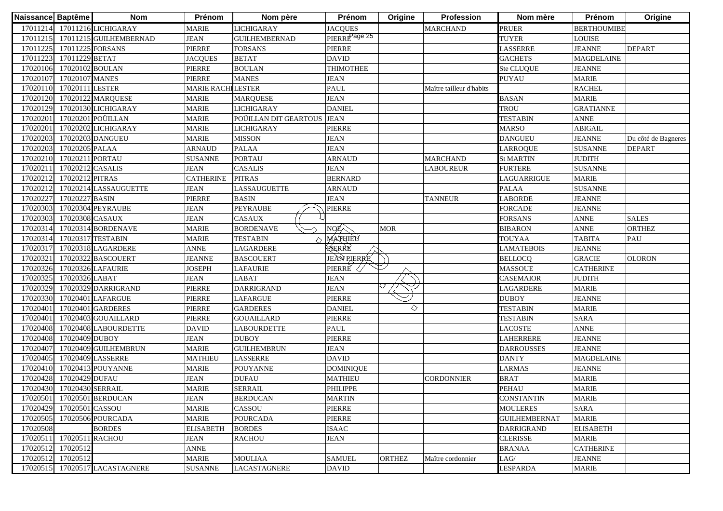| Naissance Baptême |                  | <b>Nom</b>                   | Prénom                   | Nom père              | Prénom                    | Origine       | Profession               | Nom mère             | Prénom             | Origine             |
|-------------------|------------------|------------------------------|--------------------------|-----------------------|---------------------------|---------------|--------------------------|----------------------|--------------------|---------------------|
|                   |                  | 17011214 17011216 LICHIGARAY | <b>MARIE</b>             | <b>LICHIGARAY</b>     | <b>JACQUES</b>            |               | <b>MARCHAND</b>          | <b>PRUER</b>         | <b>BERTHOUMIBE</b> |                     |
| 17011215          |                  | 17011215 GUILHEMBERNAD       | <b>JEAN</b>              | <b>GUILHEMBERNAD</b>  | PIERRE <sup>Page 25</sup> |               |                          | <b>TUYER</b>         | <b>LOUISE</b>      |                     |
| 17011225          | 17011225 FORSANS |                              | PIERRE                   | <b>FORSANS</b>        | PIERRE                    |               |                          | LASSERRE             | <b>JEANNE</b>      | <b>DEPART</b>       |
| 17011223          | 17011229 BETAT   |                              | <b>JACQUES</b>           | <b>BETAT</b>          | <b>DAVID</b>              |               |                          | <b>GACHETS</b>       | <b>MAGDELAINE</b>  |                     |
| 17020106          | 17020102 BOULAN  |                              | PIERRE                   | <b>BOULAN</b>         | <b>THIMOTHEE</b>          |               |                          | Ste CLUQUE           | <b>JEANNE</b>      |                     |
| 17020107          | 17020107 MANES   |                              | <b>PIERRE</b>            | <b>MANES</b>          | <b>JEAN</b>               |               |                          | <b>PUYAU</b>         | <b>MARIE</b>       |                     |
| 17020110          | 17020111 LESTER  |                              | <b>MARIE RACHILESTER</b> |                       | <b>PAUL</b>               |               | Maître tailleur d'habits |                      | <b>RACHEL</b>      |                     |
| 17020120          |                  | 17020122 MARQUESE            | <b>MARIE</b>             | <b>MARQUESE</b>       | <b>JEAN</b>               |               |                          | <b>BASAN</b>         | <b>MARIE</b>       |                     |
| 17020129          |                  | 17020130 LICHIGARAY          | <b>MARIE</b>             | <b>LICHIGARAY</b>     | <b>DANIEL</b>             |               |                          | <b>TROU</b>          | <b>GRATIANNE</b>   |                     |
| 17020201          |                  | 17020201 POÜILLAN            | <b>MARIE</b>             | POÜILLAN DIT GEARTOUS | <b>JEAN</b>               |               |                          | <b>TESTABIN</b>      | <b>ANNE</b>        |                     |
| 17020201          |                  | 17020202 LICHIGARAY          | <b>MARIE</b>             | <b>LICHIGARAY</b>     | PIERRE                    |               |                          | <b>MARSO</b>         | <b>ABIGAIL</b>     |                     |
| 17020203          |                  | 17020203 DANGUEU             | <b>MARIE</b>             | <b>MISSON</b>         | <b>JEAN</b>               |               |                          | <b>DANGUEU</b>       | <b>JEANNE</b>      | Du côté de Bagneres |
| 17020203          | 17020205 PALAA   |                              | <b>ARNAUD</b>            | <b>PALAA</b>          | <b>JEAN</b>               |               |                          | <b>LARROQUE</b>      | <b>SUSANNE</b>     | <b>DEPART</b>       |
| 17020210          | 17020211 PORTAU  |                              | <b>SUSANNE</b>           | <b>PORTAU</b>         | <b>ARNAUD</b>             |               | <b>MARCHAND</b>          | <b>St MARTIN</b>     | <b>JUDITH</b>      |                     |
| 1702021           | 17020212 CASALIS |                              | <b>JEAN</b>              | <b>CASALIS</b>        | <b>JEAN</b>               |               | LABOUREUR                | <b>FURTERE</b>       | <b>SUSANNE</b>     |                     |
| 17020212          | 17020212 PITRAS  |                              | <b>CATHERINE</b>         | <b>PITRAS</b>         | <b>BERNARD</b>            |               |                          | LAGUARRIGUE          | <b>MARIE</b>       |                     |
| 17020212          |                  | 17020214 LASSAUGUETTE        | <b>JEAN</b>              | LASSAUGUETTE          | <b>ARNAUD</b>             |               |                          | <b>PALAA</b>         | <b>SUSANNE</b>     |                     |
| 1702022           | 17020227 BASIN   |                              | PIERRE                   | <b>BASIN</b>          | <b>JEAN</b>               |               | <b>TANNEUR</b>           | LABORDE              | <b>JEANNE</b>      |                     |
| 17020303          |                  | 17020304 PEYRAUBE            | <b>JEAN</b>              | <b>PEYRAUBE</b>       | PIERRE                    |               |                          | <b>FORCADE</b>       | <b>JEANNE</b>      |                     |
| 17020303          | 17020308 CASAUX  |                              | <b>JEAN</b>              | CASAUX                |                           |               |                          | <b>FORSANS</b>       | <b>ANNE</b>        | <b>SALES</b>        |
| 17020314          |                  | 17020314 BORDENAVE           | <b>MARIE</b>             | <b>BORDENAVE</b>      |                           | <b>MOR</b>    |                          | <b>BIBARON</b>       | <b>ANNE</b>        | <b>ORTHEZ</b>       |
| 17020314          |                  | 17020317 TESTABIN            | <b>MARIE</b>             | <b>TESTABIN</b>       | MATHIEU                   |               |                          | TOUYAA               | <b>TABITA</b>      | PAU                 |
| 17020317          |                  | 17020318 LAGARDERE           | <b>ANNE</b>              | LAGARDERE             | RERRE                     |               |                          | <b>LAMATEBOIS</b>    | <b>JEANNE</b>      |                     |
| 17020321          |                  | 17020322 BASCOUERT           | <b>JEANNE</b>            | <b>BASCOUERT</b>      | <b>JEAN PLERRE</b>        |               |                          | <b>BELLOCQ</b>       | <b>GRACIE</b>      | <b>OLORON</b>       |
| 17020326          |                  | 17020326 LAFAURIE            | <b>JOSEPH</b>            | <b>LAFAURIE</b>       | PIERRE                    |               |                          | <b>MASSOUE</b>       | <b>CATHERINE</b>   |                     |
| 17020325          | 17020326 LABAT   |                              | <b>JEAN</b>              | LABAT                 | <b>JEAN</b>               |               |                          | CASEMAIOR            | <b>JUDITH</b>      |                     |
| 17020329          |                  | 17020329 DARRIGRAND          | <b>PIERRE</b>            | <b>DARRIGRAND</b>     | <b>JEAN</b>               |               |                          | <b>LAGARDERE</b>     | <b>MARIE</b>       |                     |
| 17020330          |                  | 17020401 LAFARGUE            | <b>PIERRE</b>            | <b>LAFARGUE</b>       | PIERRE                    |               |                          | <b>DUBOY</b>         | <b>JEANNE</b>      |                     |
| 17020401          |                  | 17020401 GARDERES            | PIERRE                   | <b>GARDERES</b>       | <b>DANIEL</b>             | ♦             |                          | <b>TESTABIN</b>      | <b>MARIE</b>       |                     |
| 17020401          |                  | 17020403 GOUAILLARD          | PIERRE                   | <b>GOUAILLARD</b>     | PIERRE                    |               |                          | <b>TESTABIN</b>      | <b>SARA</b>        |                     |
| 17020408          |                  | 17020408 LABOURDETTE         | <b>DAVID</b>             | <b>LABOURDETTE</b>    | <b>PAUL</b>               |               |                          | LACOSTE              | <b>ANNE</b>        |                     |
| 17020408          | 17020409 DUBOY   |                              | <b>JEAN</b>              | <b>DUBOY</b>          | PIERRE                    |               |                          | LAHERRERE            | <b>JEANNE</b>      |                     |
| 17020407          |                  | 17020409 GUILHEMBRUN         | <b>MARIE</b>             | <b>GUILHEMBRUN</b>    | <b>JEAN</b>               |               |                          | <b>DARROUSSES</b>    | <b>JEANNE</b>      |                     |
| 1702040:          |                  | 17020409 LASSERRE            | <b>MATHIEU</b>           | <b>LASSERRE</b>       | <b>DAVID</b>              |               |                          | <b>DANTY</b>         | <b>MAGDELAINE</b>  |                     |
| 17020410          |                  | 17020413 POUYANNE            | <b>MARIE</b>             | <b>POUYANNE</b>       | <b>DOMINIQUE</b>          |               |                          | LARMAS               | <b>JEANNE</b>      |                     |
| 1702042           | 17020429 DUFAU   |                              | <b>JEAN</b>              | <b>DUFAU</b>          | <b>MATHIEU</b>            |               | CORDONNIER               | <b>BRAT</b>          | <b>MARIE</b>       |                     |
| 17020430          | 17020430 SERRAIL |                              | <b>MARIE</b>             | <b>SERRAIL</b>        | PHILIPPE                  |               |                          | <b>PEHAU</b>         | <b>MARIE</b>       |                     |
|                   |                  | 17020501 17020501 BERDUCAN   | <b>JEAN</b>              | <b>BERDUCAN</b>       | <b>MARTIN</b>             |               |                          | <b>CONSTANTIN</b>    | <b>MARIE</b>       |                     |
| 17020429          | 17020501 CASSOU  |                              | <b>MARIE</b>             | CASSOU                | PIERRE                    |               |                          | <b>MOULERES</b>      | SARA               |                     |
| 17020505          |                  | 17020506 POURCADA            | <b>MARIE</b>             | <b>POURCADA</b>       | PIERRE                    |               |                          | <b>GUILHEMBERNAT</b> | <b>MARIE</b>       |                     |
| 17020508          |                  | <b>BORDES</b>                | <b>ELISABETH</b>         | <b>BORDES</b>         | <b>ISAAC</b>              |               |                          | <b>DARRIGRAND</b>    | <b>ELISABETH</b>   |                     |
| 17020511          | 17020511 RACHOU  |                              | <b>JEAN</b>              | <b>RACHOU</b>         | <b>JEAN</b>               |               |                          | <b>CLERISSE</b>      | <b>MARIE</b>       |                     |
| 17020512          | 17020512         |                              | <b>ANNE</b>              |                       |                           |               |                          | <b>BRANAA</b>        | <b>CATHERINE</b>   |                     |
| 17020512          | 17020512         |                              | <b>MARIE</b>             | <b>MOULIAA</b>        | <b>SAMUEL</b>             | <b>ORTHEZ</b> | Maître cordonnier        | LAG/                 | <b>JEANNE</b>      |                     |
| 17020515          |                  | 17020517 LACASTAGNERE        | <b>SUSANNE</b>           | <b>LACASTAGNERE</b>   | <b>DAVID</b>              |               |                          | <b>LESPARDA</b>      | <b>MARIE</b>       |                     |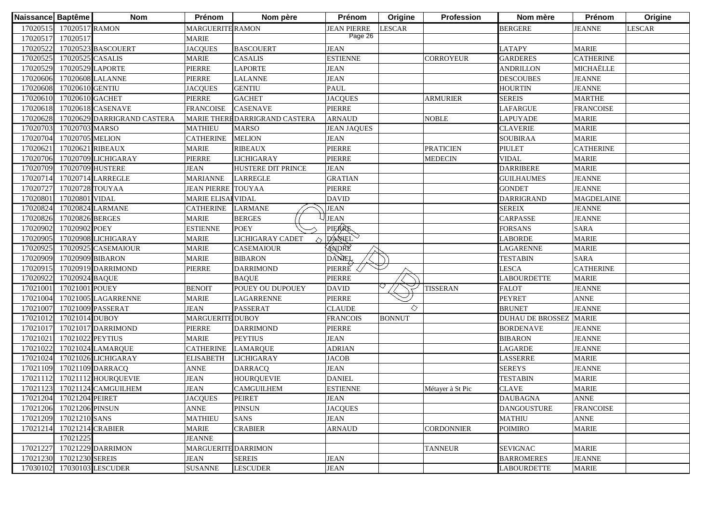| Naissance Baptême |                          | <b>Nom</b>                  | Prénom                    | Nom père                       | Prénom             | Origine       | <b>Profession</b> | Nom mère                | Prénom            | Origine |
|-------------------|--------------------------|-----------------------------|---------------------------|--------------------------------|--------------------|---------------|-------------------|-------------------------|-------------------|---------|
|                   | 17020515 17020517 RAMON  |                             | <b>MARGUERITE RAMON</b>   |                                | <b>JEAN PIERRE</b> | <b>LESCAR</b> |                   | <b>BERGERE</b>          | <b>JEANNE</b>     | LESCAR  |
| 17020517          | 17020517                 |                             | <b>MARIE</b>              |                                | Page 26            |               |                   |                         |                   |         |
| 17020522          |                          | 17020523 BASCOUERT          | <b>JACQUES</b>            | <b>BASCOUERT</b>               | <b>JEAN</b>        |               |                   | <b>LATAPY</b>           | <b>MARIE</b>      |         |
| 17020525          | 17020525 CASALIS         |                             | <b>MARIE</b>              | <b>CASALIS</b>                 | <b>ESTIENNE</b>    |               | <b>CORROYEUR</b>  | <b>GARDERES</b>         | <b>CATHERINE</b>  |         |
| 17020529          | 17020529 LAPORTE         |                             | PIERRE                    | <b>LAPORTE</b>                 | <b>JEAN</b>        |               |                   | <b>ANDRILLON</b>        | MICHAËLLE         |         |
| 17020606          |                          | 17020608 LALANNE            | PIERRE                    | <b>LALANNE</b>                 | <b>JEAN</b>        |               |                   | <b>DESCOUBES</b>        | <b>JEANNE</b>     |         |
| 17020608          | 17020610 GENTIU          |                             | <b>JACQUES</b>            | <b>GENTIU</b>                  | <b>PAUL</b>        |               |                   | <b>HOURTIN</b>          | <b>JEANNE</b>     |         |
| 17020610          | 17020610 GACHET          |                             | PIERRE                    | <b>GACHET</b>                  | <b>JACQUES</b>     |               | <b>ARMURIER</b>   | <b>SEREIS</b>           | <b>MARTHE</b>     |         |
| 17020618          |                          | 17020618 CASENAVE           | <b>FRANCOISE</b>          | <b>CASENAVE</b>                | <b>PIERRE</b>      |               |                   | <b>LAFARGUE</b>         | <b>FRANCOISE</b>  |         |
| 17020628          |                          | 17020629 DARRIGRAND CASTERA |                           | MARIE THERE DARRIGRAND CASTERA | <b>ARNAUD</b>      |               | <b>NOBLE</b>      | <b>LAPUYADE</b>         | <b>MARIE</b>      |         |
| 17020703          | 17020703 MARSO           |                             | <b>MATHIEU</b>            | <b>MARSO</b>                   | <b>JEAN JAQUES</b> |               |                   | <b>CLAVERIE</b>         | <b>MARIE</b>      |         |
| 17020704          | 17020705 MELION          |                             | <b>CATHERINE</b>          | <b>MELION</b>                  | <b>JEAN</b>        |               |                   | <b>SOUBIRAA</b>         | <b>MARIE</b>      |         |
| 17020621          | 17020621 RIBEAUX         |                             | <b>MARIE</b>              | <b>RIBEAUX</b>                 | <b>PIERRE</b>      |               | <b>PRATICIEN</b>  | <b>PIULET</b>           | <b>CATHERINE</b>  |         |
| 17020706          |                          | 17020709 LICHIGARAY         | PIERRE                    | <b>LICHIGARAY</b>              | PIERRE             |               | <b>MEDECIN</b>    | <b>VIDAL</b>            | <b>MARIE</b>      |         |
| 17020709          | 17020709 HUSTERE         |                             | <b>JEAN</b>               | <b>HUSTERE DIT PRINCE</b>      | <b>JEAN</b>        |               |                   | <b>DARRIBERE</b>        | <b>MARIE</b>      |         |
| 17020714          |                          | 17020714 LARREGLE           | <b>MARIANNE</b>           | <b>LARREGLE</b>                | <b>GRATIAN</b>     |               |                   | GUILHAUMES              | <b>JEANNE</b>     |         |
| 17020727          | 17020728 TOUYAA          |                             | <b>JEAN PIERRE</b>        | <b>TOUYAA</b>                  | PIERRE             |               |                   | <b>GONDET</b>           | <b>JEANNE</b>     |         |
| 17020801          | 17020801 VIDAL           |                             | <b>MARIE ELISAI VIDAL</b> |                                | <b>DAVID</b>       |               |                   | <b>DARRIGRAND</b>       | <b>MAGDELAINE</b> |         |
| 17020824          |                          | 17020824 LARMANE            | <b>CATHERINE</b>          | <b>LARMANE</b>                 | <b>JEAN</b>        |               |                   | <b>SEREIX</b>           | <b>JEANNE</b>     |         |
| 17020826          | 17020826 BERGES          |                             | <b>MARIE</b>              | <b>BERGES</b>                  | <b>JEAN</b>        |               |                   | CARPASSE                | <b>JEANNE</b>     |         |
| 17020902          | 17020902 POEY            |                             | <b>ESTIENNE</b>           | <b>POEY</b>                    | PIERRE             |               |                   | <b>FORSANS</b>          | <b>SARA</b>       |         |
| 17020905          |                          | 17020908 LICHIGARAY         | <b>MARIE</b>              | LICHIGARAY CADET<br>△          | DANEL              |               |                   | <b>LABORDE</b>          | <b>MARIE</b>      |         |
| 17020925          |                          | 17020925 CASEMAIOUR         | <b>MARIE</b>              | <b>CASEMAIOUR</b>              | ANDRE              |               |                   | <b>LAGARENNE</b>        | <b>MARIE</b>      |         |
| 17020909          | 17020909 BIBARON         |                             | <b>MARIE</b>              | <b>BIBARON</b>                 | DANEL              |               |                   | <b>TESTABIN</b>         | <b>SARA</b>       |         |
| 17020915          |                          | 17020919 DARRIMOND          | <b>PIERRE</b>             | <b>DARRIMOND</b>               | PIERRE             |               |                   | <b>LESCA</b>            | <b>CATHERINE</b>  |         |
| 17020922          | 17020924 BAQUE           |                             |                           | <b>BAQUE</b>                   | <b>PIERRE</b>      |               |                   | <b>LABOURDETTE</b>      | <b>MARIE</b>      |         |
| 17021001          | 17021001 POUEY           |                             | <b>BENOIT</b>             | POUEY OU DUPOUEY               | <b>DAVID</b>       |               | <b>TISSERAN</b>   | <b>FALOT</b>            | <b>JEANNE</b>     |         |
| 17021004          |                          | 17021005 LAGARRENNE         | <b>MARIE</b>              | <b>LAGARRENNE</b>              | <b>PIERRE</b>      |               |                   | <b>PEYRET</b>           | <b>ANNE</b>       |         |
| 17021007          |                          | 17021009 PASSERAT           | <b>JEAN</b>               | <b>PASSERAT</b>                | <b>CLAUDE</b>      | ♦             |                   | <b>BRUNET</b>           | <b>JEANNE</b>     |         |
| 17021012          | 17021014 DUBOY           |                             | <b>MARGUERITE DUBOY</b>   |                                | <b>FRANCOIS</b>    | <b>BONNUT</b> |                   | <b>DUHAU DE BROSSEZ</b> | <b>MARIE</b>      |         |
| 17021017          |                          | 17021017 DARRIMOND          | PIERRE                    | <b>DARRIMOND</b>               | PIERRE             |               |                   | <b>BORDENAVE</b>        | <b>JEANNE</b>     |         |
| 17021021          | 17021022 PEYTIUS         |                             | <b>MARIE</b>              | <b>PEYTIUS</b>                 | <b>JEAN</b>        |               |                   | <b>BIBARON</b>          | <b>JEANNE</b>     |         |
| 17021022          |                          | 17021024 LAMARQUE           | <b>CATHERINE</b>          | <b>LAMARQUE</b>                | <b>ADRIAN</b>      |               |                   | LAGARDE                 | <b>JEANNE</b>     |         |
| 17021024          |                          | 17021026 LICHIGARAY         | <b>ELISABETH</b>          | <b>LICHIGARAY</b>              | <b>JACOB</b>       |               |                   | LASSERRE                | <b>MARIE</b>      |         |
| 17021109          |                          | 17021109 DARRACQ            | <b>ANNE</b>               | <b>DARRACQ</b>                 | <b>JEAN</b>        |               |                   | <b>SEREYS</b>           | <b>JEANNE</b>     |         |
| 17021112          |                          | 17021112 HOURQUEVIE         | <b>JEAN</b>               | <b>HOURQUEVIE</b>              | <b>DANIEL</b>      |               |                   | <b>TESTABIN</b>         | <b>MARIE</b>      |         |
| 17021123          |                          | 17021124 CAMGUILHEM         | <b>JEAN</b>               | <b>CAMGUILHEM</b>              | <b>ESTIENNE</b>    |               | Métayer à St Pic  | <b>CLAVE</b>            | <b>MARIE</b>      |         |
|                   | 17021204 17021204 PEIRET |                             | <b>JACQUES</b>            | <b>PEIRET</b>                  | <b>JEAN</b>        |               |                   | <b>DAUBAGNA</b>         | <b>ANNE</b>       |         |
|                   | 17021206 17021206 PINSUN |                             | <b>ANNE</b>               | <b>PINSUN</b>                  | <b>JACQUES</b>     |               |                   | <b>DANGOUSTURE</b>      | <b>FRANCOISE</b>  |         |
|                   | 17021209 17021210 SANS   |                             | <b>MATHIEU</b>            | <b>SANS</b>                    | <b>JEAN</b>        |               |                   | <b>MATHIU</b>           | <b>ANNE</b>       |         |
| 17021214          | 17021214 CRABIER         |                             | <b>MARIE</b>              | <b>CRABIER</b>                 | <b>ARNAUD</b>      |               | <b>CORDONNIER</b> | <b>POIMIRO</b>          | <b>MARIE</b>      |         |
|                   | 17021225                 |                             | <b>JEANNE</b>             |                                |                    |               |                   |                         |                   |         |
| 17021227          |                          | 17021229 DARRIMON           | MARGUERITE DARRIMON       |                                |                    |               | <b>TANNEUR</b>    | <b>SEVIGNAC</b>         | <b>MARIE</b>      |         |
|                   | 17021230 17021230 SEREIS |                             | JEAN                      | <b>SEREIS</b>                  | <b>JEAN</b>        |               |                   | <b>BARROMERES</b>       | <b>JEANNE</b>     |         |
|                   |                          | 17030102 17030103 LESCUDER  | <b>SUSANNE</b>            | <b>LESCUDER</b>                | <b>JEAN</b>        |               |                   | <b>LABOURDETTE</b>      | <b>MARIE</b>      |         |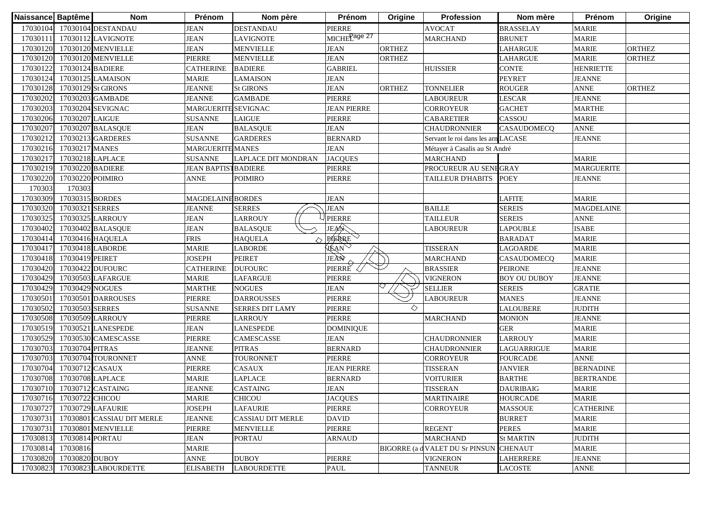| Naissance Baptême |                          | <b>Nom</b>                  | Prénom                     | Nom père                   | Prénom                   | Origine       | <b>Profession</b>                  | Nom mère            | Prénom            | Origine       |
|-------------------|--------------------------|-----------------------------|----------------------------|----------------------------|--------------------------|---------------|------------------------------------|---------------------|-------------------|---------------|
|                   |                          | 17030104 17030104 DESTANDAU | <b>JEAN</b>                | <b>DESTANDAU</b>           | PIERRE                   |               | <b>AVOCAT</b>                      | <b>BRASSELAY</b>    | <b>MARIE</b>      |               |
| 17030111          |                          | 17030112 LAVIGNOTE          | <b>JEAN</b>                | <b>LAVIGNOTE</b>           | MICHE <sup>Page 27</sup> |               | <b>MARCHAND</b>                    | <b>BRUNET</b>       | <b>MARIE</b>      |               |
| 17030120          |                          | 17030120 MENVIELLE          | <b>JEAN</b>                | <b>MENVIELLE</b>           | JEAN                     | <b>ORTHEZ</b> |                                    | <b>LAHARGUE</b>     | <b>MARIE</b>      | <b>ORTHEZ</b> |
| 17030120          |                          | 17030120 MENVIELLE          | <b>PIERRE</b>              | <b>MENVIELLE</b>           | <b>JEAN</b>              | <b>ORTHEZ</b> |                                    | <b>LAHARGUE</b>     | <b>MARIE</b>      | ORTHEZ        |
| 17030122          | 17030124 BADIERE         |                             | <b>CATHERINE</b>           | <b>BADIERE</b>             | <b>GABRIEL</b>           |               | <b>HUISSIER</b>                    | <b>CONTE</b>        | <b>HENRIETTE</b>  |               |
| 17030124          |                          | 17030125 LAMAISON           | <b>MARIE</b>               | <b>LAMAISON</b>            | <b>JEAN</b>              |               |                                    | <b>PEYRET</b>       | <b>JEANNE</b>     |               |
| 17030128          |                          | 17030129 St GIRONS          | <b>JEANNE</b>              | <b>St GIRONS</b>           | <b>JEAN</b>              | <b>ORTHEZ</b> | <b>TONNELIER</b>                   | <b>ROUGER</b>       | <b>ANNE</b>       | <b>ORTHEZ</b> |
| 17030202          |                          | 17030203 GAMBADE            | <b>JEANNE</b>              | <b>GAMBADE</b>             | <b>PIERRE</b>            |               | <b>LABOUREUR</b>                   | <b>LESCAR</b>       | <b>JEANNE</b>     |               |
| 17030203          |                          | 17030204 SEVIGNAC           | MARGUERITE SEVIGNAC        |                            | <b>JEAN PIERRE</b>       |               | CORROYEUR                          | <b>GACHET</b>       | <b>MARTHE</b>     |               |
| 17030206          | 17030207 LAIGUE          |                             | <b>SUSANNE</b>             | <b>LAIGUE</b>              | PIERRE                   |               | <b>CABARETIER</b>                  | CASSOU              | <b>MARIE</b>      |               |
| 17030207          |                          | 17030207 BALASQUE           | <b>JEAN</b>                | <b>BALASQUE</b>            | <b>JEAN</b>              |               | <b>CHAUDRONNIER</b>                | <b>CASAUDOMECO</b>  | <b>ANNE</b>       |               |
| 1703021           |                          | 17030213 GARDERES           | <b>SUSANNE</b>             | <b>GARDERES</b>            | <b>BERNARD</b>           |               | Servant le roi dans les arn LACASE |                     | <b>JEANNE</b>     |               |
| 17030216          | 17030217 MANES           |                             | <b>MARGUERITE MANES</b>    |                            | <b>JEAN</b>              |               | Métayer à Casalis au St André      |                     |                   |               |
| 17030217          |                          | 17030218 LAPLACE            | <b>SUSANNE</b>             | <b>LAPLACE DIT MONDRAN</b> | <b>JACQUES</b>           |               | <b>MARCHAND</b>                    |                     | <b>MARIE</b>      |               |
| 17030219          |                          | 17030220 BADIERE            | <b>JEAN BAPTISTBADIERE</b> |                            | PIERRE                   |               | PROCUREUR AU SENEGRAY              |                     | <b>MARGUERITE</b> |               |
| 17030220          | 17030220 POIMIRO         |                             | ANNE                       | POIMIRO                    | PIERRE                   |               | TAILLEUR D'HABITS                  | <b>POEY</b>         | <b>JEANNE</b>     |               |
| 170303            | 170303                   |                             |                            |                            |                          |               |                                    |                     |                   |               |
| 17030309          | 17030315 BORDES          |                             | <b>MAGDELAINE BORDES</b>   |                            | <b>JEAN</b>              |               |                                    | <b>LAFITE</b>       | <b>MARIE</b>      |               |
| 17030320          | 17030321 SERRES          |                             | <b>JEANNE</b>              | <b>SERRES</b>              | <b>JEAN</b>              |               | <b>BAILLE</b>                      | <b>SEREIS</b>       | <b>MAGDELAINE</b> |               |
| 17030325          |                          | 17030325 LARROUY            | <b>JEAN</b>                | <b>LARROUY</b>             | <b>PIERRE</b>            |               | <b>TAILLEUR</b>                    | <b>SEREIS</b>       | <b>ANNE</b>       |               |
| 17030402          |                          | 17030402 BALASQUE           | <b>JEAN</b>                | <b>BALASQUE</b>            | JEAN                     |               | <b>LABOUREUR</b>                   | <b>LAPOUBLE</b>     | <b>ISABE</b>      |               |
| 17030414          |                          | 17030416 HAQUELA            | <b>FRIS</b>                | <b>HAQUELA</b>             | PAERRE                   |               |                                    | <b>BARADAT</b>      | <b>MARIE</b>      |               |
| 17030417          |                          | 17030418 LABORDE            | <b>MARIE</b>               | <b>LABORDE</b>             | <b>VEAN</b>              |               | <b>TISSERAN</b>                    | <b>LAGOARDE</b>     | <b>MARIE</b>      |               |
| 17030418          | 17030419 PEIRET          |                             | <b>JOSEPH</b>              | <b>PEIRET</b>              | JEAN                     |               | <b>MARCHAND</b>                    | CASAUDOMECQ         | <b>MARIE</b>      |               |
| 17030420          |                          | 17030422 DUFOURC            | <b>CATHERINE</b>           | <b>DUFOURC</b>             | PIERRE                   |               | <b>BRASSIER</b>                    | <b>PEIRONE</b>      | <b>JEANNE</b>     |               |
| 17030429          |                          | 17030503 LAFARGUE           | <b>MARIE</b>               | <b>LAFARGUE</b>            | PIERRE                   |               | <b>VIGNERON</b>                    | <b>BOY OU DUBOY</b> | <b>JEANNE</b>     |               |
| 17030429          | 17030429 NOGUES          |                             | <b>MARTHE</b>              | <b>NOGUES</b>              | <b>JEAN</b>              |               | <b>SELLIER</b>                     | <b>SEREIS</b>       | <b>GRATIE</b>     |               |
| 1703050           |                          | 17030501 DARROUSES          | <b>PIERRE</b>              | <b>DARROUSSES</b>          | PIERRE                   |               | <b>LABOUREUR</b>                   | <b>MANES</b>        | <b>JEANNE</b>     |               |
| 17030502          | 17030503 SERRES          |                             | <b>SUSANNE</b>             | <b>SERRES DIT LAMY</b>     | PIERRE                   | ♦             |                                    | <b>LALOUBERE</b>    | <b>JUDITH</b>     |               |
| 17030508          |                          | 17030509 LARROUY            | PIERRE                     | <b>LARROUY</b>             | PIERRE                   |               | <b>MARCHAND</b>                    | <b>MONION</b>       | <b>JEANNE</b>     |               |
| 17030519          |                          | 17030521 LANESPEDE          | <b>JEAN</b>                | <b>LANESPEDE</b>           | <b>DOMINIQUE</b>         |               |                                    | <b>GER</b>          | <b>MARIE</b>      |               |
| 17030529          |                          | 17030530 CAMESCASSE         | <b>PIERRE</b>              | CAMESCASSE                 | <b>JEAN</b>              |               | <b>CHAUDRONNIER</b>                | <b>LARROUY</b>      | <b>MARIE</b>      |               |
| 17030703          | 17030704 PITRAS          |                             | <b>JEANNE</b>              | <b>PITRAS</b>              | <b>BERNARD</b>           |               | <b>CHAUDRONNIER</b>                | LAGUARRIGUE         | <b>MARIE</b>      |               |
| 17030703          |                          | 17030704 TOURONNET          | <b>ANNE</b>                | TOURONNET                  | PIERRE                   |               | CORROYEUR                          | <b>FOURCADE</b>     | <b>ANNE</b>       |               |
| 17030704          | 17030712 CASAUX          |                             | PIERRE                     | CASAUX                     | <b>JEAN PIERRE</b>       |               | <b>TISSERAN</b>                    | <b>JANVIER</b>      | <b>BERNADINE</b>  |               |
| 17030708          | 17030708 LAPLACE         |                             | MARIE                      | <b>LAPLACE</b>             | <b>BERNARD</b>           |               | <b>VOITURIER</b>                   | <b>BARTHE</b>       | <b>BERTRANDE</b>  |               |
| 17030710          |                          | 17030712 CASTAING           | <b>JEANNE</b>              | <b>CASTAING</b>            | <b>JEAN</b>              |               | <b>TISSERAN</b>                    | <b>DAURIBAIG</b>    | <b>MARIE</b>      |               |
|                   | 17030716 17030722 CHICOU |                             | <b>MARIE</b>               | <b>CHICOU</b>              | <b>JACQUES</b>           |               | <b>MARTINAIRE</b>                  | <b>HOURCADE</b>     | <b>MARIE</b>      |               |
| 17030727          |                          | 17030729 LAFAURIE           | <b>JOSEPH</b>              | <b>LAFAURIE</b>            | PIERRE                   |               | <b>CORROYEUR</b>                   | <b>MASSOUE</b>      | <b>CATHERINE</b>  |               |
| 17030731          |                          | 17030801 CASSIAU DIT MERLE  | <b>JEANNE</b>              | <b>CASSIAU DIT MERLE</b>   | <b>DAVID</b>             |               |                                    | <b>BURRET</b>       | <b>MARIE</b>      |               |
| 17030731          |                          | 17030801 MENVIELLE          | PIERRE                     | <b>MENVIELLE</b>           | PIERRE                   |               | <b>REGENT</b>                      | <b>PERES</b>        | <b>MARIE</b>      |               |
| 17030813          | 17030814 PORTAU          |                             | JEAN                       | <b>PORTAU</b>              | <b>ARNAUD</b>            |               | <b>MARCHAND</b>                    | <b>St MARTIN</b>    | <b>JUDITH</b>     |               |
| 17030814          | 17030816                 |                             | <b>MARIE</b>               |                            |                          |               | BIGORRE (a d VALET DU Sr PINSUN    | <b>CHENAUT</b>      | <b>MARIE</b>      |               |
| 17030820          | 17030820 DUBOY           |                             | ANNE                       | <b>DUBOY</b>               | PIERRE                   |               | <b>VIGNERON</b>                    | <b>LAHERRERE</b>    | <b>JEANNE</b>     |               |
| 17030823          |                          | 17030823 LABOURDETTE        | <b>ELISABETH</b>           | <b>LABOURDETTE</b>         | PAUL                     |               | <b>TANNEUR</b>                     | <b>LACOSTE</b>      | <b>ANNE</b>       |               |
|                   |                          |                             |                            |                            |                          |               |                                    |                     |                   |               |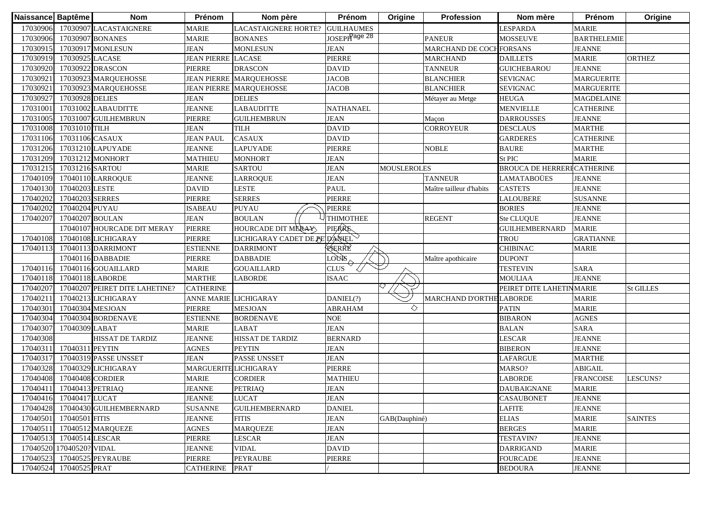| Naissance Baptême |                          | <b>Nom</b>                       | Prénom                    | Nom père                       | Prénom                   | Origine            | <b>Profession</b>        | Nom mère                          | Prénom             | Origine          |
|-------------------|--------------------------|----------------------------------|---------------------------|--------------------------------|--------------------------|--------------------|--------------------------|-----------------------------------|--------------------|------------------|
| 17030906          |                          | 17030907 LACASTAIGNERE           | <b>MARIE</b>              | LACASTAIGNERE HORTE?           | <b>GUILHAUMES</b>        |                    |                          | LESPARDA                          | <b>MARIE</b>       |                  |
| 17030906          |                          | 17030907 BONANES                 | <b>MARIE</b>              | <b>BONANES</b>                 | JOSEPH <sup>age 28</sup> |                    | <b>PANEUR</b>            | <b>MOSSEUVE</b>                   | <b>BARTHELEMIE</b> |                  |
| 17030915          |                          | 17030917 MONLESUN                | <b>JEAN</b>               | <b>MONLESUN</b>                | <b>JEAN</b>              |                    | MARCHAND DE COCHFORSANS  |                                   | <b>JEANNE</b>      |                  |
| 17030919          | 17030925 LACASE          |                                  | <b>JEAN PIERRE LACASE</b> |                                | PIERRE                   |                    | <b>MARCHAND</b>          | <b>DAILLETS</b>                   | <b>MARIE</b>       | <b>ORTHEZ</b>    |
| 17030920          |                          | 17030922 DRASCON                 | <b>PIERRE</b>             | <b>DRASCON</b>                 | <b>DAVID</b>             |                    | <b>TANNEUR</b>           | <b>GUICHEBAROU</b>                | <b>JEANNE</b>      |                  |
| 1703092           |                          | 17030923 MARQUEHOSSE             |                           | <b>JEAN PIERRE MARQUEHOSSE</b> | <b>JACOB</b>             |                    | <b>BLANCHIER</b>         | <b>SEVIGNAC</b>                   | <b>MARGUERITE</b>  |                  |
| 1703092           |                          | 17030923 MARQUEHOSSE             |                           | <b>JEAN PIERRE MARQUEHOSSE</b> | <b>JACOB</b>             |                    | <b>BLANCHIER</b>         | <b>SEVIGNAC</b>                   | <b>MARGUERITE</b>  |                  |
| 17030927          | 17030928 DELIES          |                                  | <b>JEAN</b>               | <b>DELIES</b>                  |                          |                    | Métayer au Metge         | <b>HEUGA</b>                      | <b>MAGDELAINE</b>  |                  |
| 17031001          |                          | 17031002 LABAUDITTE              | <b>JEANNE</b>             | <b>LABAUDITTE</b>              | <b>NATHANAEL</b>         |                    |                          | <b>MENVIELLE</b>                  | <b>CATHERINE</b>   |                  |
| 17031005          |                          | 17031007 GUILHEMBRUN             | PIERRE                    | <b>GUILHEMBRUN</b>             | <b>JEAN</b>              |                    | Maçon                    | <b>DARROUSSES</b>                 | <b>JEANNE</b>      |                  |
| 17031008          | 17031010 TILH            |                                  | <b>JEAN</b>               | <b>TILH</b>                    | <b>DAVID</b>             |                    | <b>CORROYEUR</b>         | <b>DESCLAUS</b>                   | <b>MARTHE</b>      |                  |
| 17031106          | 17031106 CASAUX          |                                  | <b>JEAN PAUL</b>          | <b>CASAUX</b>                  | <b>DAVID</b>             |                    |                          | <b>GARDERES</b>                   | <b>CATHERINE</b>   |                  |
| 17031206          |                          | 17031210 LAPUYADE                | <b>JEANNE</b>             | <b>LAPUYADE</b>                | <b>PIERRE</b>            |                    | <b>NOBLE</b>             | <b>BAURE</b>                      | <b>MARTHE</b>      |                  |
| 17031209          |                          | 17031212 MONHORT                 | <b>MATHIEU</b>            | <b>MONHORT</b>                 | <b>JEAN</b>              |                    |                          | St PIC                            | <b>MARIE</b>       |                  |
| 17031215          | 17031216 SARTOU          |                                  | <b>MARIE</b>              | <b>SARTOU</b>                  | <b>JEAN</b>              | <b>MOUSLEROLES</b> |                          | <b>BROUCA DE HERRERFCATHERINE</b> |                    |                  |
| 17040109          |                          | 17040110 LARROQUE                | JEANNE                    | <b>LARROQUE</b>                | <b>JEAN</b>              |                    | <b>TANNEUR</b>           | LAMATABOÜES                       | <b>JEANNE</b>      |                  |
| 17040130          | 17040203 LESTE           |                                  | DAVID                     | LESTE                          | <b>PAUL</b>              |                    | Maître tailleur d'habits | <b>CASTETS</b>                    | <b>JEANNE</b>      |                  |
| 17040202          | 17040203 SERRES          |                                  | PIERRE                    | <b>SERRES</b>                  | PIERRE                   |                    |                          | LALOUBERE                         | <b>SUSANNE</b>     |                  |
| 17040202          | 17040204 PUYAU           |                                  | <b>ISABEAU</b>            | <b>PUYAU</b>                   | PIERRE                   |                    |                          | <b>BORIES</b>                     | <b>JEANNE</b>      |                  |
| 17040207          | 17040207 BOULAN          |                                  | <b>JEAN</b>               | <b>BOULAN</b>                  | <b>THIMOTHEE</b>         |                    | <b>REGENT</b>            | Ste CLUQUE                        | <b>JEANNE</b>      |                  |
|                   |                          | 17040107 HOURCADE DIT MERAY      | <b>PIERRE</b>             | HOURCADE DIT MERAY             | <b>PIERRE</b>            |                    |                          | <b>GUILHEMBERNARD</b>             | <b>MARIE</b>       |                  |
| 17040108          |                          | 17040108 LICHIGARAY              | PIERRE                    | LICHIGARAY CADET DE PE D'ANIEL |                          |                    |                          | <b>TROU</b>                       | <b>GRATIANNE</b>   |                  |
| 17040113          |                          | 17040113 DARRIMONT               | <b>ESTIENNE</b>           | <b>DARRIMONT</b>               | RIERRE                   |                    |                          | <b>CHIBINAC</b>                   | <b>MARIE</b>       |                  |
|                   |                          | 17040116 DABBADIE                | <b>PIERRE</b>             | <b>DABBADIE</b>                | <b>LOUR</b>              |                    | Maître apothicaire       | <b>DUPONT</b>                     |                    |                  |
| 17040116          |                          | 17040116 GOUAILLARD              | <b>MARIE</b>              | <b>GOUAILLARD</b>              | <b>CLUS</b>              |                    |                          | <b>TESTEVIN</b>                   | <b>SARA</b>        |                  |
| 17040118          |                          | 17040118 LABORDE                 | <b>MARTHE</b>             | <b>LABORDE</b>                 | <b>ISAAC</b>             |                    |                          | <b>MOULIAA</b>                    | <b>JEANNE</b>      |                  |
| 17040207          |                          | 17040207 PEIRET DITE LAHETINE?   | <b>CATHERINE</b>          |                                |                          |                    |                          | PEIRET DITE LAHETINMARIE          |                    | <b>St GILLES</b> |
| 1704021           |                          | 17040213 LICHIGARAY              | ANNE MARIE LICHIGARAY     |                                | DANIEL(?)                |                    | MARCHAND D'ORTHE LABORDE |                                   | <b>MARIE</b>       |                  |
| 17040301          |                          | 17040304 MESJOAN                 | <b>PIERRE</b>             | <b>MESJOAN</b>                 | <b>ABRAHAM</b>           | ◇                  |                          | <b>PATIN</b>                      | <b>MARIE</b>       |                  |
| 17040304          |                          | 17040304 BORDENAVE               | <b>ESTIENNE</b>           | <b>BORDENAVE</b>               | <b>NOE</b>               |                    |                          | <b>BIBARON</b>                    | <b>AGNES</b>       |                  |
| 17040307          | 17040309 LABAT           |                                  | <b>MARIE</b>              | LABAT                          | <b>JEAN</b>              |                    |                          | <b>BALAN</b>                      | <b>SARA</b>        |                  |
| 17040308          |                          | <b>HISSAT DE TARDIZ</b>          | <b>JEANNE</b>             | HISSAT DE TARDIZ               | <b>BERNARD</b>           |                    |                          | <b>LESCAR</b>                     | <b>JEANNE</b>      |                  |
| 17040311          | 17040311 PEYTIN          |                                  | <b>AGNES</b>              | <b>PEYTIN</b>                  | <b>JEAN</b>              |                    |                          | <b>BIBERON</b>                    | <b>JEANNE</b>      |                  |
| 17040317          |                          | 17040319 PASSE UNSSET            | <b>JEAN</b>               | <b>PASSE UNSSET</b>            | <b>JEAN</b>              |                    |                          | LAFARGUE                          | <b>MARTHE</b>      |                  |
| 17040328          |                          | 17040329 LICHIGARAY              | MARGUERITE LICHIGARAY     |                                | PIERRE                   |                    |                          | MARSO?                            | <b>ABIGAIL</b>     |                  |
| 17040408          | 17040408 CORDIER         |                                  | <b>MARIE</b>              | CORDIER                        | <b>MATHIEU</b>           |                    |                          | LABORDE                           | <b>FRANCOISE</b>   | LESCUNS?         |
| 17040411          | 17040413 PETRIAQ         |                                  | <b>JEANNE</b>             | <b>PETRIAQ</b>                 | <b>JEAN</b>              |                    |                          | <b>DAUBAIGNANE</b>                | <b>MARIE</b>       |                  |
|                   | 17040416 17040417 LUCAT  |                                  | <b>JEANNE</b>             | <b>LUCAT</b>                   | <b>JEAN</b>              |                    |                          | <b>CASAUBONET</b>                 | <b>JEANNE</b>      |                  |
|                   |                          | 17040428 17040430 GUILHEMBERNARD | <b>SUSANNE</b>            | <b>GUILHEMBERNARD</b>          | <b>DANIEL</b>            |                    |                          | LAFITE                            | <b>JEANNE</b>      |                  |
| 17040501          | 17040501 FITIS           |                                  | <b>JEANNE</b>             | <b>FITIS</b>                   | <b>JEAN</b>              | GAB(Dauphiné)      |                          | <b>ELIAS</b>                      | <b>MARIE</b>       | <b>SAINTES</b>   |
| 17040511          |                          | 17040512 MARQUEZE                | <b>AGNES</b>              | <b>MARQUEZE</b>                | <b>JEAN</b>              |                    |                          | <b>BERGES</b>                     | <b>MARIE</b>       |                  |
| 17040513          | 17040514 LESCAR          |                                  | <b>PIERRE</b>             | <b>LESCAR</b>                  | <b>JEAN</b>              |                    |                          | TESTAVIN?                         | <b>JEANNE</b>      |                  |
|                   | 17040520 17040520? VIDAL |                                  | <b>JEANNE</b>             | <b>VIDAL</b>                   | <b>DAVID</b>             |                    |                          | <b>DARRIGAND</b>                  | <b>MARIE</b>       |                  |
| 17040523          |                          | 17040525 PEYRAUBE                | PIERRE                    | <b>PEYRAUBE</b>                | <b>PIERRE</b>            |                    |                          | <b>FOURCADE</b>                   | <b>JEANNE</b>      |                  |
|                   | 17040524 17040525 PRAT   |                                  |                           | <b>PRAT</b>                    |                          |                    |                          |                                   |                    |                  |
|                   |                          |                                  | <b>CATHERINE</b>          |                                |                          |                    |                          | <b>BEDOURA</b>                    | <b>JEANNE</b>      |                  |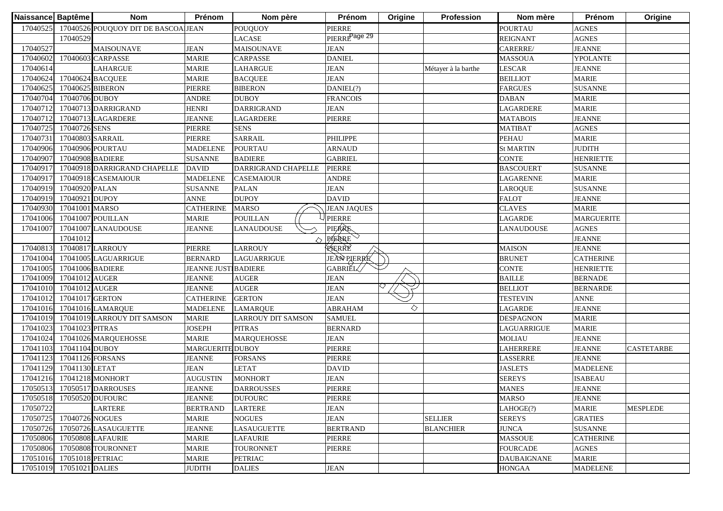| 17040525<br>17040526 POUQUOY DIT DE BASCOALIEAN<br><b>PIERRE</b><br><b>POUOUOY</b><br><b>POURTAU</b>                           | <b>AGNES</b>      |                   |
|--------------------------------------------------------------------------------------------------------------------------------|-------------------|-------------------|
|                                                                                                                                |                   |                   |
| PIERRE <sup>Page 29</sup><br>17040529<br><b>LACASE</b><br><b>REIGNANT</b>                                                      | <b>AGNES</b>      |                   |
| 17040527<br><b>JEAN</b><br>CARERRE/<br><b>MAISOUNAVE</b><br><b>JEAN</b><br><b>MAISOUNAVE</b>                                   | <b>JEANNE</b>     |                   |
| 17040602<br>17040603 CARPASSE<br><b>MARIE</b><br><b>CARPASSE</b><br><b>DANIEL</b><br><b>MASSOUA</b>                            | YPOLANTE          |                   |
| <b>JEAN</b><br>17040614<br><b>MARIE</b><br><b>LAHARGUE</b><br><b>LESCAR</b><br><b>LAHARGUE</b><br>Métayer à la barthe          | <b>JEANNE</b>     |                   |
| 17040624<br>17040624 BACQUEE<br><b>MARIE</b><br><b>BACQUEE</b><br><b>JEAN</b><br><b>BEILLIOT</b>                               | <b>MARIE</b>      |                   |
| 17040625<br><b>PIERRE</b><br><b>BIBERON</b><br>DANIEL(?)<br>17040625 BIBERON<br><b>FARGUES</b>                                 | <b>SUSANNE</b>    |                   |
| 17040704<br>17040706 DUBOY<br><b>ANDRE</b><br><b>DUBOY</b><br><b>FRANCOIS</b><br><b>DABAN</b>                                  | <b>MARIE</b>      |                   |
| 17040712<br>17040713 DARRIGRAND<br><b>HENRI</b><br><b>DARRIGRAND</b><br><b>JEAN</b><br><b>LAGARDERE</b>                        | <b>MARIE</b>      |                   |
| 17040712<br><b>JEANNE</b><br><b>LAGARDERE</b><br><b>PIERRE</b><br>17040713 LAGARDERE<br><b>MATABOIS</b>                        | <b>JEANNE</b>     |                   |
| 17040725<br>17040726 SENS<br><b>PIERRE</b><br><b>SENS</b><br><b>MATIBAT</b>                                                    | <b>AGNES</b>      |                   |
| 17040731<br>17040803 SARRAIL<br><b>PIERRE</b><br><b>SARRAIL</b><br><b>PHILIPPE</b><br><b>PEHAU</b>                             | <b>MARIE</b>      |                   |
| 17040906<br>17040906 POURTAU<br><b>POURTAU</b><br><b>ARNAUD</b><br><b>St MARTIN</b><br><b>MADELENE</b>                         | <b>JUDITH</b>     |                   |
| 17040907<br>17040908 BADIERE<br><b>GABRIEL</b><br><b>SUSANNE</b><br><b>BADIERE</b><br><b>CONTE</b>                             | <b>HENRIETTE</b>  |                   |
| 17040917<br><b>PIERRE</b><br>17040918 DARRIGRAND CHAPELLE<br><b>DAVID</b><br>DARRIGRAND CHAPELLE<br><b>BASCOUERT</b>           | <b>SUSANNE</b>    |                   |
| 17040917<br><b>CASEMAIOUR</b><br>17040918 CASEMAIOUR<br><b>MADELENE</b><br><b>ANDRE</b><br>LAGARENNE                           | <b>MARIE</b>      |                   |
| 17040920 PALAN<br>17040919<br><b>SUSANNE</b><br><b>PALAN</b><br><b>JEAN</b><br>LAROQUE                                         | <b>SUSANNE</b>    |                   |
| 17040921 DUPOY<br><b>DUPOY</b><br><b>DAVID</b><br><b>FALOT</b><br>17040919<br><b>ANNE</b>                                      | <b>JEANNE</b>     |                   |
| 17040930<br>17041001 MARSO<br><b>MARSO</b><br><b>JEAN JAQUES</b><br><b>CATHERINE</b><br><b>CLAVES</b>                          | <b>MARIE</b>      |                   |
| <b>PIERRE</b><br><b>POUILLAN</b><br>17041006<br>17041007 POUILLAN<br><b>MARIE</b><br><b>LAGARDE</b>                            | <b>MARGUERITE</b> |                   |
| PIERRE<br>17041007<br>17041007 LANAUDOUSE<br><b>JEANNE</b><br><b>LANAUDOUSE</b><br>LANAUDOUSE                                  | <b>AGNES</b>      |                   |
| <b>PIERRE</b><br>17041012<br>◇                                                                                                 | <b>JEANNE</b>     |                   |
| RERRE<br>17040813<br>17040817 LARROUY<br><b>PIERRE</b><br><b>LARROUY</b><br><b>MAISON</b>                                      | <b>JEANNE</b>     |                   |
| <b>JEAN PIERRE</b><br>17041004<br>17041005 LAGUARRIGUE<br><b>BERNARD</b><br><b>LAGUARRIGUE</b><br><b>BRUNET</b>                | <b>CATHERINE</b>  |                   |
| GABRIĚL<br>17041005<br>17041006 BADIERE<br><b>JEANNE JUST BADIERE</b><br><b>CONTE</b>                                          | <b>HENRIETTE</b>  |                   |
| 17041009<br>17041012 AUGER<br><b>AUGER</b><br><b>JEAN</b><br><b>BAILLE</b><br><b>JEANNE</b>                                    | <b>BERNADE</b>    |                   |
| 17041010<br>17041012 AUGER<br><b>AUGER</b><br><b>JEAN</b><br><b>BELLIOT</b><br><b>JEANNE</b>                                   | <b>BERNARDE</b>   |                   |
| 17041012<br>17041017 GERTON<br><b>CATHERINE</b><br><b>GERTON</b><br><b>JEAN</b><br><b>TESTEVIN</b>                             | <b>ANNE</b>       |                   |
| ♦<br>17041016<br><b>ABRAHAM</b><br>LAGARDE<br>17041016 LAMARQUE<br><b>MADELENE</b><br><b>LAMARQUE</b>                          | <b>JEANNE</b>     |                   |
| 17041019<br><b>SAMUEL</b><br>17041019 LARROUY DIT SAMSON<br><b>MARIE</b><br><b>LARROUY DIT SAMSON</b><br><b>DESPAGNON</b>      | <b>MARIE</b>      |                   |
| 17041023<br>17041023 PITRAS<br><b>JOSEPH</b><br><b>PITRAS</b><br><b>BERNARD</b><br>LAGUARRIGUE                                 | <b>MARIE</b>      |                   |
| 17041024<br>17041026 MARQUEHOSSE<br><b>MARQUEHOSSE</b><br><b>JEAN</b><br><b>MOLIAU</b><br>MARIE                                | <b>JEANNE</b>     |                   |
| 17041104 DUBOY<br>PIERRE<br>17041103<br><b>MARGUERITE DUBOY</b><br>LAHERRERE                                                   | <b>JEANNE</b>     | <b>CASTETARBE</b> |
| 17041126 FORSANS<br><b>FORSANS</b><br>PIERRE<br>17041123<br><b>JEANNE</b><br>LASSERRE                                          | <b>JEANNE</b>     |                   |
| 17041130 LETAT<br><b>JEAN</b><br><b>DAVID</b><br>17041129<br><b>LETAT</b><br><b>JASLETS</b>                                    | <b>MADELENE</b>   |                   |
| 17041216<br>17041218 MONHORT<br><b>MONHORT</b><br><b>JEAN</b><br><b>SEREYS</b><br><b>AUGUSTIN</b>                              | <b>ISABEAU</b>    |                   |
| 17050517 DARROUSES<br>17050513<br><b>JEANNE</b><br><b>DARROUSSES</b><br>PIERRE<br><b>MANES</b>                                 | <b>JEANNE</b>     |                   |
| 17050518 17050520 DUFOURC<br><b>JEANNE</b><br><b>DUFOURC</b><br>PIERRE<br><b>MARSO</b>                                         | <b>JEANNE</b>     |                   |
| 17050722<br><b>BERTRAND</b><br><b>JEAN</b><br>LARTERE<br><b>LARTERE</b><br>LAHOGE(?)                                           | <b>MARIE</b>      | <b>MESPLEDE</b>   |
| 17050725<br>17040726 NOGUES<br><b>SELLIER</b><br><b>MARIE</b><br><b>NOGUES</b><br><b>JEAN</b><br><b>SEREYS</b>                 | <b>GRATIES</b>    |                   |
| 17050726<br><b>JEANNE</b><br><b>LASAUGUETTE</b><br><b>BERTRAND</b><br><b>JUNCA</b><br>17050726 LASAUGUETTE<br><b>BLANCHIER</b> | <b>SUSANNE</b>    |                   |
| 17050806<br>17050808 LAFAURIE<br><b>MARIE</b><br><b>LAFAURIE</b><br><b>PIERRE</b><br><b>MASSOUE</b>                            | <b>CATHERINE</b>  |                   |
| 17050806<br>17050808 TOURONNET<br><b>MARIE</b><br>PIERRE<br><b>FOURCADE</b><br><b>TOURONNET</b>                                | <b>AGNES</b>      |                   |
| 17051016<br><b>PETRIAC</b><br>17051018 PETRIAC<br><b>MARIE</b><br><b>DAUBAIGNANE</b>                                           | <b>MARIE</b>      |                   |
| 17051019<br>17051021 DALIES<br><b>DALIES</b><br><b>JEAN</b><br><b>HONGAA</b><br><b>JUDITH</b>                                  | <b>MADELENE</b>   |                   |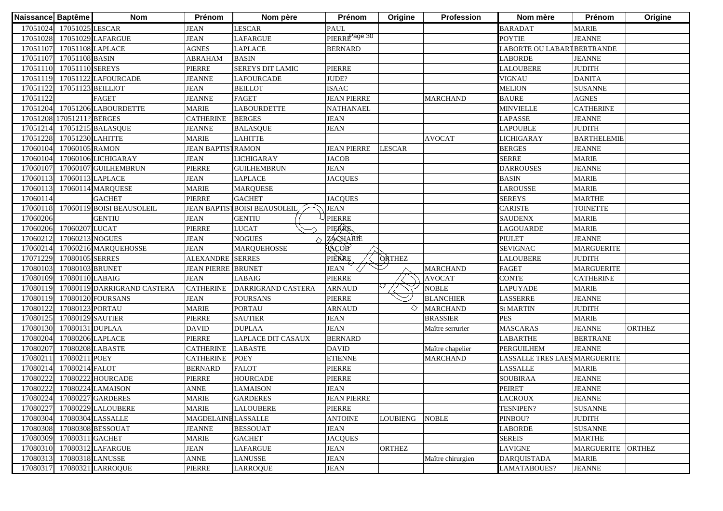| Naissance Baptême |                   | <b>Nom</b>                  | Prénom                     | Nom père                             | Prénom                    | Origine         | Profession        | Nom mère                      | Prénom             | Origine       |
|-------------------|-------------------|-----------------------------|----------------------------|--------------------------------------|---------------------------|-----------------|-------------------|-------------------------------|--------------------|---------------|
| 17051024          | 17051025 LESCAR   |                             | <b>JEAN</b>                | LESCAR                               | PAUL                      |                 |                   | <b>BARADAT</b>                | <b>MARIE</b>       |               |
| 17051028          |                   | 17051029 LAFARGUE           | <b>JEAN</b>                | LAFARGUE                             | PIERRE <sup>Page 30</sup> |                 |                   | <b>POYTIE</b>                 | <b>JEANNE</b>      |               |
| 17051107          | 17051108 LAPLACE  |                             | <b>AGNES</b>               | <b>LAPLACE</b>                       | <b>BERNARD</b>            |                 |                   | LABORTE OU LABARTBERTRANDE    |                    |               |
| 17051107          | 17051108 BASIN    |                             | <b>ABRAHAM</b>             | <b>BASIN</b>                         |                           |                 |                   | <b>LABORDE</b>                | <b>JEANNE</b>      |               |
| 17051110          | 17051110 SEREYS   |                             | <b>PIERRE</b>              | <b>SEREYS DIT LAMIC</b>              | PIERRE                    |                 |                   | <b>LALOUBERE</b>              | <b>JUDITH</b>      |               |
| 17051119          |                   | 17051122 LAFOURCADE         | <b>JEANNE</b>              | <b>LAFOURCADE</b>                    | JUDE?                     |                 |                   | <b>VIGNAU</b>                 | <b>DANITA</b>      |               |
| 17051122          | 17051123 BEILLIOT |                             | <b>JEAN</b>                | <b>BEILLOT</b>                       | <b>ISAAC</b>              |                 |                   | <b>MELION</b>                 | <b>SUSANNE</b>     |               |
| 17051122          |                   | FAGET                       | <b>JEANNE</b>              | <b>FAGET</b>                         | <b>JEAN PIERRE</b>        |                 | <b>MARCHAND</b>   | <b>BAURE</b>                  | <b>AGNES</b>       |               |
| 17051204          |                   | 17051206 LABOURDETTE        | <b>MARIE</b>               | <b>LABOURDETTE</b>                   | <b>NATHANAEL</b>          |                 |                   | <b>MINVIELLE</b>              | <b>CATHERINE</b>   |               |
| 17051208          | 17051211? BERGES  |                             | <b>CATHERINE</b>           | <b>BERGES</b>                        | JEAN                      |                 |                   | LAPASSE                       | <b>JEANNE</b>      |               |
| 17051214          |                   | 17051215 BALASQUE           | <b>JEANNE</b>              | <b>BALASQUE</b>                      | <b>JEAN</b>               |                 |                   | <b>LAPOUBLE</b>               | <b>JUDITH</b>      |               |
| 17051228          | 17051230 LAHITTE  |                             | <b>MARIE</b>               | <b>LAHITTE</b>                       |                           |                 | <b>AVOCAT</b>     | <b>LICHIGARAY</b>             | <b>BARTHELEMIE</b> |               |
| 17060104          | 17060105 RAMON    |                             | <b>JEAN BAPTISTRAMON</b>   |                                      | <b>JEAN PIERRE</b>        | <b>LESCAR</b>   |                   | <b>BERGES</b>                 | <b>JEANNE</b>      |               |
| 17060104          |                   | 17060106 LICHIGARAY         | <b>JEAN</b>                | <b>LICHIGARAY</b>                    | JACOB                     |                 |                   | <b>SERRE</b>                  | <b>MARIE</b>       |               |
| 17060107          |                   | 17060107 GUILHEMBRUN        | PIERRE                     | <b>GUILHEMBRUN</b>                   | <b>JEAN</b>               |                 |                   | <b>DARROUSES</b>              | <b>JEANNE</b>      |               |
| 1706011           | 17060113 LAPLACE  |                             | JEAN                       | LAPLACE                              | <b>JACQUES</b>            |                 |                   | <b>BASIN</b>                  | <b>MARIE</b>       |               |
| 1706011           |                   | 17060114 MARQUESE           | <b>MARIE</b>               | <b>MARQUESE</b>                      |                           |                 |                   | LAROUSSE                      | <b>MARIE</b>       |               |
| 17060114          |                   | <b>GACHET</b>               | <b>PIERRE</b>              | <b>GACHET</b>                        | <b>JACQUES</b>            |                 |                   | <b>SEREYS</b>                 | <b>MARTHE</b>      |               |
| 17060118          |                   | 17060119 BOISI BEAUSOLEIL   |                            | <b>JEAN BAPTIST BOISI BEAUSOLEIL</b> | <b>JEAN</b>               |                 |                   | <b>CARISTE</b>                | <b>TOINETTE</b>    |               |
| 17060206          |                   | <b>GENTIU</b>               | <b>JEAN</b>                | <b>GENTIU</b>                        | <b>PIERRE</b>             |                 |                   | <b>SAUDENX</b>                | <b>MARIE</b>       |               |
| 17060206          | 17060207 LUCAT    |                             | PIERRE                     | <b>LUCAT</b>                         | PIERRE                    |                 |                   | <b>LAGOUARDE</b>              | <b>MARIE</b>       |               |
| 17060212          | 17060213 NOGUES   |                             | <b>JEAN</b>                | <b>NOGUES</b>                        | ZACHARTE                  |                 |                   | <b>PIULET</b>                 | <b>JEANNE</b>      |               |
| 17060214          |                   | 17060216 MARQUEHOSSE        | <b>JEAN</b>                | <b>MARQUEHOSSE</b>                   | АФСОВ                     |                 |                   | <b>SEVIGNAC</b>               | <b>MARGUERITE</b>  |               |
| 17071229          | 17080105 SERRES   |                             | <b>ALEXANDRE</b> SERRES    |                                      | PIÈRRE                    | <b>ORTHEZ</b>   |                   | <b>LALOUBERE</b>              | <b>JUDITH</b>      |               |
| 17080103          | 17080103 BRUNET   |                             | <b>JEAN PIERRE BRUNET</b>  |                                      | <b>JEAN</b>               |                 | <b>MARCHAND</b>   | <b>FAGET</b>                  | <b>MARGUERITE</b>  |               |
| 17080109          | 17080110 LABAIG   |                             | <b>JEAN</b>                | <b>LABAIG</b>                        | <b>PIERRE</b>             |                 | <b>AVOCAT</b>     | <b>CONTE</b>                  | <b>CATHERINE</b>   |               |
| 17080119          |                   | 17080119 DARRIGRAND CASTERA | <b>CATHERINE</b>           | DARRIGRAND CASTERA                   | <b>ARNAUD</b>             |                 | <b>NOBLE</b>      | <b>LAPUYADE</b>               | <b>MARIE</b>       |               |
| 17080119          |                   | 17080120 FOURSANS           | <b>JEAN</b>                | <b>FOURSANS</b>                      | PIERRE                    |                 | <b>BLANCHIER</b>  | LASSERRE                      | <b>JEANNE</b>      |               |
| 17080122          | 17080123 PORTAU   |                             | <b>MARIE</b>               | <b>PORTAU</b>                        | <b>ARNAUD</b>             | ◇               | <b>MARCHAND</b>   | <b>St MARTIN</b>              | <b>JUDITH</b>      |               |
| 17080125          | 17080129 SAUTIER  |                             | PIERRE                     | <b>SAUTIER</b>                       | <b>JEAN</b>               |                 | <b>BRASSIER</b>   | <b>PES</b>                    | <b>MARIE</b>       |               |
| 17080130          | 17080131 DUPLAA   |                             | <b>DAVID</b>               | <b>DUPLAA</b>                        | <b>JEAN</b>               |                 | Maître serrurier  | <b>MASCARAS</b>               | <b>JEANNE</b>      | <b>ORTHEZ</b> |
| 17080204          |                   | 17080206 LAPLACE            | <b>PIERRE</b>              | LAPLACE DIT CASAUX                   | <b>BERNARD</b>            |                 |                   | LABARTHE                      | <b>BERTRANE</b>    |               |
| 17080207          | 17080208 LABASTE  |                             | <b>CATHERINE</b>           | <b>LABASTE</b>                       | <b>DAVID</b>              |                 | Maître chapelier  | PERGUILHEM                    | <b>JEANNE</b>      |               |
| 1708021           | 17080211 POEY     |                             | <b>CATHERINE</b>           | <b>POEY</b>                          | <b>ETIENNE</b>            |                 | <b>MARCHAND</b>   | LASSALLE TRES LAES MARGUERITE |                    |               |
| 1708021           | 17080214 FALOT    |                             | <b>BERNARD</b>             | <b>FALOT</b>                         | PIERRE                    |                 |                   | LASSALLE                      | <b>MARIE</b>       |               |
| 1708022           |                   | 17080222 HOURCADE           | PIERRE                     | <b>HOURCADE</b>                      | PIERRE                    |                 |                   | <b>SOUBIRAA</b>               | <b>JEANNE</b>      |               |
| 17080222          |                   | 17080224 LAMAISON           | <b>ANNE</b>                | <b>LAMAISON</b>                      | <b>JEAN</b>               |                 |                   | <b>PEIRET</b>                 | <b>JEANNE</b>      |               |
|                   |                   | 17080224 17080227 GARDERES  | <b>MARIE</b>               | <b>GARDERES</b>                      | <b>JEAN PIERRE</b>        |                 |                   | <b>LACROUX</b>                | <b>JEANNE</b>      |               |
| 17080227          |                   | 17080229 LALOUBERE          | <b>MARIE</b>               | <b>LALOUBERE</b>                     | PIERRE                    |                 |                   | <b>TESNIPEN?</b>              | <b>SUSANNE</b>     |               |
| 17080304          |                   | 17080304 LASSALLE           | <b>MAGDELAINE LASSALLE</b> |                                      | <b>ANTOINE</b>            | <b>LOUBIENG</b> | <b>NOBLE</b>      | PINBOU?                       | <b>JUDITH</b>      |               |
| 17080308          |                   | 17080308 BESSOUAT           | <b>JEANNE</b>              | <b>BESSOUAT</b>                      | <b>JEAN</b>               |                 |                   | <b>LABORDE</b>                | <b>SUSANNE</b>     |               |
| 17080309          | 17080311 GACHET   |                             | <b>MARIE</b>               | <b>GACHET</b>                        | <b>JACQUES</b>            |                 |                   | <b>SEREIS</b>                 | <b>MARTHE</b>      |               |
| 17080310          |                   | 17080312 LAFARGUE           | <b>JEAN</b>                | LAFARGUE                             | <b>JEAN</b>               | <b>ORTHEZ</b>   |                   | <b>LAVIGNE</b>                | <b>MARGUERITE</b>  | <b>ORTHEZ</b> |
| 17080313          |                   | 17080318 LANUSSE            | ANNE                       | LANUSSE                              | <b>JEAN</b>               |                 | Maître chirurgien | <b>DARQUISTADA</b>            | <b>MARIE</b>       |               |
| 17080317          |                   | 17080321 LARROQUE           | PIERRE                     | <b>LARROQUE</b>                      | <b>JEAN</b>               |                 |                   | LAMATABOUES?                  | <b>JEANNE</b>      |               |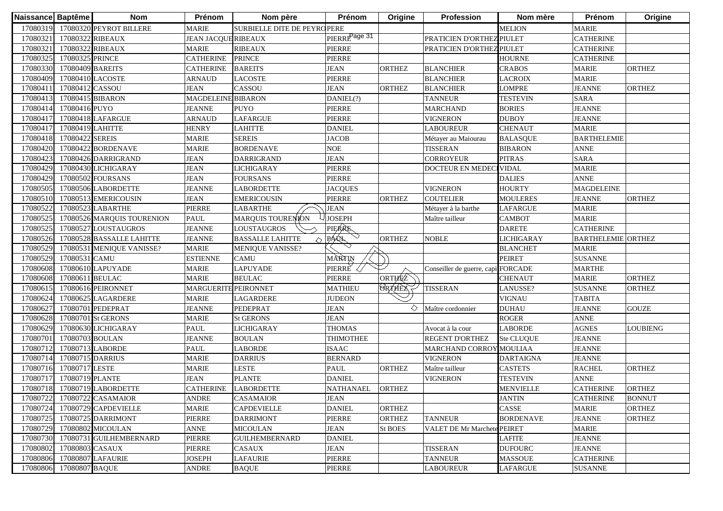| 17080319<br>17080320 PEYROT BILLERE<br>MARIE<br><b>SURBIELLE DITE DE PEYROPERE</b><br><b>MELION</b><br><b>MARIE</b><br>PIERRE <sup>Page 31</sup><br>1708032<br>PRATICIEN D'ORTHEZ PIULET<br>17080322 RIBEAUX<br><b>JEAN JACQUE RIBEAUX</b><br><b>CATHERINE</b><br>1708032<br>17080322 RIBEAUX<br><b>MARIE</b><br><b>RIBEAUX</b><br><b>PIERRE</b><br>PRATICIEN D'ORTHEZ PIULET<br><b>CATHERINE</b><br>17080325<br><b>PIERRE</b><br>17080325 PRINCE<br><b>CATHERINE</b><br><b>PRINCE</b><br><b>HOURNE</b><br><b>CATHERINE</b><br><b>BAREITS</b><br>17080330<br>17080409 BAREITS<br><b>JEAN</b><br><b>CRABOS</b><br><b>MARIE</b><br><b>ORTHEZ</b><br><b>CATHERINE</b><br><b>ORTHEZ</b><br><b>BLANCHIER</b><br>17080409<br>PIERRE<br><b>BLANCHIER</b><br><b>LACROIX</b><br><b>MARIE</b><br>17080410 LACOSTE<br><b>ARNAUD</b><br><b>LACOSTE</b><br>1708041<br>CASSOU<br><b>JEAN</b><br><b>LOMPRE</b><br><b>JEANNE</b><br><b>ORTHEZ</b><br>17080412 CASSOU<br><b>JEAN</b><br><b>ORTHEZ</b><br><b>BLANCHIER</b><br>17080413<br><b>SARA</b><br>17080415 BIBARON<br><b>MAGDELEINE BIBARON</b><br>DANIEL(?)<br><b>TANNEUR</b><br><b>TESTEVIN</b><br>17080414<br>17080416 PUYO<br><b>PUYO</b><br><b>PIERRE</b><br><b>BORIES</b><br><b>JEANNE</b><br><b>JEANNE</b><br><b>MARCHAND</b><br>17080417<br><b>PIERRE</b><br><b>DUBOY</b><br><b>JEANNE</b><br>17080418 LAFARGUE<br><b>ARNAUD</b><br><b>LAFARGUE</b><br><b>VIGNERON</b><br>1708041<br><b>DANIEL</b><br><b>CHENAUT</b><br><b>MARIE</b><br>17080419 LAHITTE<br><b>HENRY</b><br><b>LAHITTE</b><br><b>LABOUREUR</b><br>17080418<br>17080422 SEREIS<br><b>JACOB</b><br><b>BARTHELEMIE</b><br><b>MARIE</b><br><b>SEREIS</b><br>Métayer au Maiourau<br><b>BALASQUE</b><br>17080420<br><b>BORDENAVE</b><br><b>NOE</b><br><b>BIBARON</b><br><b>ANNE</b><br>17080422 BORDENAVE<br><b>MARIE</b><br><b>TISSERAN</b><br>17080423<br>17080426 DARRIGRAND<br><b>JEAN</b><br><b>DARRIGRAND</b><br><b>JEAN</b><br><b>CORROYEUR</b><br><b>PITRAS</b><br><b>SARA</b><br>17080429<br>PIERRE<br><b>VIDAL</b><br><b>MARIE</b><br>17080430 LICHIGARAY<br><b>JEAN</b><br>LICHIGARAY<br>DOCTEUR EN MEDEO<br>17080429<br><b>JEAN</b><br>PIERRE<br><b>DALIES</b><br><b>ANNE</b><br>17080502 FOURSANS<br><b>FOURSANS</b><br>17080505<br>17080506 LABORDETTE<br><b>LABORDETTE</b><br><b>VIGNERON</b><br><b>HOURTY</b><br>MAGDELEINE<br><b>JEANNE</b><br><b>JACQUES</b><br><b>ORTHEZ</b><br>17080510<br>17080513 EMERICOUSIN<br><b>JEAN</b><br><b>EMERICOUSIN</b><br><b>PIERRE</b><br><b>ORTHEZ</b><br>COUTELIER<br><b>MOULERES</b><br><b>JEANNE</b><br>1708052<br>17080523 LABARTHE<br>PIERRE<br>LABARTHE<br><b>JEAN</b><br><b>LAFARGUE</b><br><b>MARIE</b><br>Métayer à la barthe<br>MARQUIS TOURENION<br><b>JOSEPH</b><br><b>MARIE</b><br>1708052:<br>PAUL<br><b>CAMBOT</b><br>17080526 MARQUIS TOURENION<br>Maître tailleur<br>PIERRE<br>17080525<br>17080527 LOUSTAUGROS<br><b>JEANNE</b><br><b>DARETE</b><br><b>CATHERINE</b><br>LOUSTAUGROS<br>PAUL<br>17080526<br><b>LICHIGARAY</b><br>17080528 BASSALLE LAHITTE<br><b>JEANNE</b><br><b>BASSALLE LAHITTE</b><br><b>ORTHEZ</b><br><b>NOBLE</b><br><b>BARTHELEMIE ORTHEZ</b><br>$\curvearrowright$<br>17080529<br>17080531 MENIQUE VANISSE?<br><b>MARIE</b><br><b>BLANCHET</b><br><b>MARIE</b><br>MENIQUE VANISSE?<br>MARTIN<br>17080529<br><b>CAMU</b><br><b>PEIRET</b><br><b>SUSANNE</b><br>17080531 CAMU<br><b>ESTIENNE</b><br>PIERRE<br>17080608<br>17080610 LAPUYADE<br><b>LAPUYADE</b><br>Conseiller de guerre, capitFORCADE<br><b>MARTHE</b><br><b>MARIE</b><br>ORTHEZ<br><b>ORTHEZ</b><br><b>BEULAC</b><br><b>PIERRE</b><br><b>MARIE</b><br>17080608<br>17080611 BEULAC<br><b>MARIE</b><br><b>CHENAUT</b><br><b>ORTHEX</b><br>MARGUERITE PEIRONNET<br>17080615<br>17080616 PEIRONNET<br><b>MATHIEU</b><br><b>TISSERAN</b><br>LANUSSE?<br><b>SUSANNE</b><br><b>ORTHEZ</b><br><b>VIGNAU</b><br>17080624<br>17080625 LAGARDERE<br><b>MARIE</b><br><b>LAGARDERE</b><br><b>JUDEON</b><br><b>TABITA</b><br>1708062<br><b>JEAN</b><br>◇<br><b>DUHAU</b><br><b>JEANNE</b><br><b>GOUZE</b><br>17080701 PEDEPRAT<br><b>JEANNE</b><br>PEDEPRAT<br>Maître cordonnier<br>17080628<br><b>JEAN</b><br><b>ROGER</b><br><b>ANNE</b><br>17080701 St GERONS<br><b>MARIE</b><br><b>St GERONS</b><br>17080629<br><b>LICHIGARAY</b><br><b>THOMAS</b><br><b>LABORDE</b><br><b>AGNES</b><br>17080630 LICHIGARAY<br>PAUL<br>Avocat à la cour<br><b>LOUBIENG</b><br>17080701<br><b>THIMOTHEE</b><br><b>REGENT D'ORTHEZ</b><br><b>JEANNE</b><br>17080703 BOULAN<br><b>JEANNE</b><br><b>BOULAN</b><br><b>Ste CLUQUE</b><br>17080712<br>17080713 LABORDE<br>LABORDE<br><b>ISAAC</b><br>MARCHAND CORROY MOULIAA<br><b>JEANNE</b><br>PAUL<br>17080714<br><b>MARIE</b><br><b>BERNARD</b><br><b>VIGNERON</b><br><b>DARTAIGNA</b><br><b>JEANNE</b><br>17080715 DARRIUS<br><b>DARRIUS</b><br>17080716<br>ORTHEZ<br>17080717 LESTE<br><b>MARIE</b><br>LESTE<br><b>PAUL</b><br><b>ORTHEZ</b><br><b>RACHEL</b><br>Maître tailleur<br><b>CASTETS</b><br><b>PLANTE</b><br>1708071<br>17080719 PLANTE<br><b>JEAN</b><br><b>DANIEL</b><br><b>VIGNERON</b><br><b>TESTEVIN</b><br><b>ANNE</b><br>17080718<br>17080719 LABORDETTE<br><b>CATHERINE</b><br><b>NATHANAEL</b><br><b>ORTHEZ</b><br><b>MENVIELLE</b><br><b>CATHERINE</b><br><b>ORTHEZ</b><br><b>LABORDETTE</b><br>17080722 17080722 CASAMAIOR<br><b>ANDRE</b><br><b>CASAMAIOR</b><br><b>JEAN</b><br><b>JANTIN</b><br><b>CATHERINE</b><br><b>BONNUT</b><br><b>DANIEL</b><br><b>ORTHEZ</b><br>CASSE<br><b>MARIE</b><br>17080724<br>17080729 CAPDEVIELLE<br><b>MARIE</b><br><b>CAPDEVIELLE</b><br><b>ORTHEZ</b><br>17080725<br>PIERRE<br><b>JEANNE</b><br>17080725 DARRIMONT<br>PIERRE<br><b>DARRIMONT</b><br>ORTHEZ<br><b>TANNEUR</b><br><b>BORDENAVE</b><br><b>ORTHEZ</b><br>17080802 MICOULAN<br>VALET DE Mr Marchete PEIRET | Naissance Baptême | <b>Nom</b> | Prénom      | Nom père        | Prénom      | Origine | <b>Profession</b> | Nom mère | Prénom       | Origine |
|-----------------------------------------------------------------------------------------------------------------------------------------------------------------------------------------------------------------------------------------------------------------------------------------------------------------------------------------------------------------------------------------------------------------------------------------------------------------------------------------------------------------------------------------------------------------------------------------------------------------------------------------------------------------------------------------------------------------------------------------------------------------------------------------------------------------------------------------------------------------------------------------------------------------------------------------------------------------------------------------------------------------------------------------------------------------------------------------------------------------------------------------------------------------------------------------------------------------------------------------------------------------------------------------------------------------------------------------------------------------------------------------------------------------------------------------------------------------------------------------------------------------------------------------------------------------------------------------------------------------------------------------------------------------------------------------------------------------------------------------------------------------------------------------------------------------------------------------------------------------------------------------------------------------------------------------------------------------------------------------------------------------------------------------------------------------------------------------------------------------------------------------------------------------------------------------------------------------------------------------------------------------------------------------------------------------------------------------------------------------------------------------------------------------------------------------------------------------------------------------------------------------------------------------------------------------------------------------------------------------------------------------------------------------------------------------------------------------------------------------------------------------------------------------------------------------------------------------------------------------------------------------------------------------------------------------------------------------------------------------------------------------------------------------------------------------------------------------------------------------------------------------------------------------------------------------------------------------------------------------------------------------------------------------------------------------------------------------------------------------------------------------------------------------------------------------------------------------------------------------------------------------------------------------------------------------------------------------------------------------------------------------------------------------------------------------------------------------------------------------------------------------------------------------------------------------------------------------------------------------------------------------------------------------------------------------------------------------------------------------------------------------------------------------------------------------------------------------------------------------------------------------------------------------------------------------------------------------------------------------------------------------------------------------------------------------------------------------------------------------------------------------------------------------------------------------------------------------------------------------------------------------------------------------------------------------------------------------------------------------------------------------------------------------------------------------------------------------------------------------------------------------------------------------------------------------------------------------------------------------------------------------------------------------------------------------------------------------------------------------------------------------------------------------------------------------------------------------------------------------------------------------------------------------------------------------------------------------------------------------------------------------------------------------------------------------------------------------------------------------------------------------------------------------------------------------------------------------------------------------------------------------------------------------------------------------------------------------------------------------------------------------------------------------------------------------------------------------------------------------------------------------------------------------------------------------------|-------------------|------------|-------------|-----------------|-------------|---------|-------------------|----------|--------------|---------|
|                                                                                                                                                                                                                                                                                                                                                                                                                                                                                                                                                                                                                                                                                                                                                                                                                                                                                                                                                                                                                                                                                                                                                                                                                                                                                                                                                                                                                                                                                                                                                                                                                                                                                                                                                                                                                                                                                                                                                                                                                                                                                                                                                                                                                                                                                                                                                                                                                                                                                                                                                                                                                                                                                                                                                                                                                                                                                                                                                                                                                                                                                                                                                                                                                                                                                                                                                                                                                                                                                                                                                                                                                                                                                                                                                                                                                                                                                                                                                                                                                                                                                                                                                                                                                                                                                                                                                                                                                                                                                                                                                                                                                                                                                                                                                                                                                                                                                                                                                                                                                                                                                                                                                                                                                                                                                                                                                                                                                                                                                                                                                                                                                                                                                                                                                                                                                       |                   |            |             |                 |             |         |                   |          |              |         |
|                                                                                                                                                                                                                                                                                                                                                                                                                                                                                                                                                                                                                                                                                                                                                                                                                                                                                                                                                                                                                                                                                                                                                                                                                                                                                                                                                                                                                                                                                                                                                                                                                                                                                                                                                                                                                                                                                                                                                                                                                                                                                                                                                                                                                                                                                                                                                                                                                                                                                                                                                                                                                                                                                                                                                                                                                                                                                                                                                                                                                                                                                                                                                                                                                                                                                                                                                                                                                                                                                                                                                                                                                                                                                                                                                                                                                                                                                                                                                                                                                                                                                                                                                                                                                                                                                                                                                                                                                                                                                                                                                                                                                                                                                                                                                                                                                                                                                                                                                                                                                                                                                                                                                                                                                                                                                                                                                                                                                                                                                                                                                                                                                                                                                                                                                                                                                       |                   |            |             |                 |             |         |                   |          |              |         |
|                                                                                                                                                                                                                                                                                                                                                                                                                                                                                                                                                                                                                                                                                                                                                                                                                                                                                                                                                                                                                                                                                                                                                                                                                                                                                                                                                                                                                                                                                                                                                                                                                                                                                                                                                                                                                                                                                                                                                                                                                                                                                                                                                                                                                                                                                                                                                                                                                                                                                                                                                                                                                                                                                                                                                                                                                                                                                                                                                                                                                                                                                                                                                                                                                                                                                                                                                                                                                                                                                                                                                                                                                                                                                                                                                                                                                                                                                                                                                                                                                                                                                                                                                                                                                                                                                                                                                                                                                                                                                                                                                                                                                                                                                                                                                                                                                                                                                                                                                                                                                                                                                                                                                                                                                                                                                                                                                                                                                                                                                                                                                                                                                                                                                                                                                                                                                       |                   |            |             |                 |             |         |                   |          |              |         |
|                                                                                                                                                                                                                                                                                                                                                                                                                                                                                                                                                                                                                                                                                                                                                                                                                                                                                                                                                                                                                                                                                                                                                                                                                                                                                                                                                                                                                                                                                                                                                                                                                                                                                                                                                                                                                                                                                                                                                                                                                                                                                                                                                                                                                                                                                                                                                                                                                                                                                                                                                                                                                                                                                                                                                                                                                                                                                                                                                                                                                                                                                                                                                                                                                                                                                                                                                                                                                                                                                                                                                                                                                                                                                                                                                                                                                                                                                                                                                                                                                                                                                                                                                                                                                                                                                                                                                                                                                                                                                                                                                                                                                                                                                                                                                                                                                                                                                                                                                                                                                                                                                                                                                                                                                                                                                                                                                                                                                                                                                                                                                                                                                                                                                                                                                                                                                       |                   |            |             |                 |             |         |                   |          |              |         |
|                                                                                                                                                                                                                                                                                                                                                                                                                                                                                                                                                                                                                                                                                                                                                                                                                                                                                                                                                                                                                                                                                                                                                                                                                                                                                                                                                                                                                                                                                                                                                                                                                                                                                                                                                                                                                                                                                                                                                                                                                                                                                                                                                                                                                                                                                                                                                                                                                                                                                                                                                                                                                                                                                                                                                                                                                                                                                                                                                                                                                                                                                                                                                                                                                                                                                                                                                                                                                                                                                                                                                                                                                                                                                                                                                                                                                                                                                                                                                                                                                                                                                                                                                                                                                                                                                                                                                                                                                                                                                                                                                                                                                                                                                                                                                                                                                                                                                                                                                                                                                                                                                                                                                                                                                                                                                                                                                                                                                                                                                                                                                                                                                                                                                                                                                                                                                       |                   |            |             |                 |             |         |                   |          |              |         |
|                                                                                                                                                                                                                                                                                                                                                                                                                                                                                                                                                                                                                                                                                                                                                                                                                                                                                                                                                                                                                                                                                                                                                                                                                                                                                                                                                                                                                                                                                                                                                                                                                                                                                                                                                                                                                                                                                                                                                                                                                                                                                                                                                                                                                                                                                                                                                                                                                                                                                                                                                                                                                                                                                                                                                                                                                                                                                                                                                                                                                                                                                                                                                                                                                                                                                                                                                                                                                                                                                                                                                                                                                                                                                                                                                                                                                                                                                                                                                                                                                                                                                                                                                                                                                                                                                                                                                                                                                                                                                                                                                                                                                                                                                                                                                                                                                                                                                                                                                                                                                                                                                                                                                                                                                                                                                                                                                                                                                                                                                                                                                                                                                                                                                                                                                                                                                       |                   |            |             |                 |             |         |                   |          |              |         |
|                                                                                                                                                                                                                                                                                                                                                                                                                                                                                                                                                                                                                                                                                                                                                                                                                                                                                                                                                                                                                                                                                                                                                                                                                                                                                                                                                                                                                                                                                                                                                                                                                                                                                                                                                                                                                                                                                                                                                                                                                                                                                                                                                                                                                                                                                                                                                                                                                                                                                                                                                                                                                                                                                                                                                                                                                                                                                                                                                                                                                                                                                                                                                                                                                                                                                                                                                                                                                                                                                                                                                                                                                                                                                                                                                                                                                                                                                                                                                                                                                                                                                                                                                                                                                                                                                                                                                                                                                                                                                                                                                                                                                                                                                                                                                                                                                                                                                                                                                                                                                                                                                                                                                                                                                                                                                                                                                                                                                                                                                                                                                                                                                                                                                                                                                                                                                       |                   |            |             |                 |             |         |                   |          |              |         |
|                                                                                                                                                                                                                                                                                                                                                                                                                                                                                                                                                                                                                                                                                                                                                                                                                                                                                                                                                                                                                                                                                                                                                                                                                                                                                                                                                                                                                                                                                                                                                                                                                                                                                                                                                                                                                                                                                                                                                                                                                                                                                                                                                                                                                                                                                                                                                                                                                                                                                                                                                                                                                                                                                                                                                                                                                                                                                                                                                                                                                                                                                                                                                                                                                                                                                                                                                                                                                                                                                                                                                                                                                                                                                                                                                                                                                                                                                                                                                                                                                                                                                                                                                                                                                                                                                                                                                                                                                                                                                                                                                                                                                                                                                                                                                                                                                                                                                                                                                                                                                                                                                                                                                                                                                                                                                                                                                                                                                                                                                                                                                                                                                                                                                                                                                                                                                       |                   |            |             |                 |             |         |                   |          |              |         |
|                                                                                                                                                                                                                                                                                                                                                                                                                                                                                                                                                                                                                                                                                                                                                                                                                                                                                                                                                                                                                                                                                                                                                                                                                                                                                                                                                                                                                                                                                                                                                                                                                                                                                                                                                                                                                                                                                                                                                                                                                                                                                                                                                                                                                                                                                                                                                                                                                                                                                                                                                                                                                                                                                                                                                                                                                                                                                                                                                                                                                                                                                                                                                                                                                                                                                                                                                                                                                                                                                                                                                                                                                                                                                                                                                                                                                                                                                                                                                                                                                                                                                                                                                                                                                                                                                                                                                                                                                                                                                                                                                                                                                                                                                                                                                                                                                                                                                                                                                                                                                                                                                                                                                                                                                                                                                                                                                                                                                                                                                                                                                                                                                                                                                                                                                                                                                       |                   |            |             |                 |             |         |                   |          |              |         |
|                                                                                                                                                                                                                                                                                                                                                                                                                                                                                                                                                                                                                                                                                                                                                                                                                                                                                                                                                                                                                                                                                                                                                                                                                                                                                                                                                                                                                                                                                                                                                                                                                                                                                                                                                                                                                                                                                                                                                                                                                                                                                                                                                                                                                                                                                                                                                                                                                                                                                                                                                                                                                                                                                                                                                                                                                                                                                                                                                                                                                                                                                                                                                                                                                                                                                                                                                                                                                                                                                                                                                                                                                                                                                                                                                                                                                                                                                                                                                                                                                                                                                                                                                                                                                                                                                                                                                                                                                                                                                                                                                                                                                                                                                                                                                                                                                                                                                                                                                                                                                                                                                                                                                                                                                                                                                                                                                                                                                                                                                                                                                                                                                                                                                                                                                                                                                       |                   |            |             |                 |             |         |                   |          |              |         |
|                                                                                                                                                                                                                                                                                                                                                                                                                                                                                                                                                                                                                                                                                                                                                                                                                                                                                                                                                                                                                                                                                                                                                                                                                                                                                                                                                                                                                                                                                                                                                                                                                                                                                                                                                                                                                                                                                                                                                                                                                                                                                                                                                                                                                                                                                                                                                                                                                                                                                                                                                                                                                                                                                                                                                                                                                                                                                                                                                                                                                                                                                                                                                                                                                                                                                                                                                                                                                                                                                                                                                                                                                                                                                                                                                                                                                                                                                                                                                                                                                                                                                                                                                                                                                                                                                                                                                                                                                                                                                                                                                                                                                                                                                                                                                                                                                                                                                                                                                                                                                                                                                                                                                                                                                                                                                                                                                                                                                                                                                                                                                                                                                                                                                                                                                                                                                       |                   |            |             |                 |             |         |                   |          |              |         |
|                                                                                                                                                                                                                                                                                                                                                                                                                                                                                                                                                                                                                                                                                                                                                                                                                                                                                                                                                                                                                                                                                                                                                                                                                                                                                                                                                                                                                                                                                                                                                                                                                                                                                                                                                                                                                                                                                                                                                                                                                                                                                                                                                                                                                                                                                                                                                                                                                                                                                                                                                                                                                                                                                                                                                                                                                                                                                                                                                                                                                                                                                                                                                                                                                                                                                                                                                                                                                                                                                                                                                                                                                                                                                                                                                                                                                                                                                                                                                                                                                                                                                                                                                                                                                                                                                                                                                                                                                                                                                                                                                                                                                                                                                                                                                                                                                                                                                                                                                                                                                                                                                                                                                                                                                                                                                                                                                                                                                                                                                                                                                                                                                                                                                                                                                                                                                       |                   |            |             |                 |             |         |                   |          |              |         |
|                                                                                                                                                                                                                                                                                                                                                                                                                                                                                                                                                                                                                                                                                                                                                                                                                                                                                                                                                                                                                                                                                                                                                                                                                                                                                                                                                                                                                                                                                                                                                                                                                                                                                                                                                                                                                                                                                                                                                                                                                                                                                                                                                                                                                                                                                                                                                                                                                                                                                                                                                                                                                                                                                                                                                                                                                                                                                                                                                                                                                                                                                                                                                                                                                                                                                                                                                                                                                                                                                                                                                                                                                                                                                                                                                                                                                                                                                                                                                                                                                                                                                                                                                                                                                                                                                                                                                                                                                                                                                                                                                                                                                                                                                                                                                                                                                                                                                                                                                                                                                                                                                                                                                                                                                                                                                                                                                                                                                                                                                                                                                                                                                                                                                                                                                                                                                       |                   |            |             |                 |             |         |                   |          |              |         |
|                                                                                                                                                                                                                                                                                                                                                                                                                                                                                                                                                                                                                                                                                                                                                                                                                                                                                                                                                                                                                                                                                                                                                                                                                                                                                                                                                                                                                                                                                                                                                                                                                                                                                                                                                                                                                                                                                                                                                                                                                                                                                                                                                                                                                                                                                                                                                                                                                                                                                                                                                                                                                                                                                                                                                                                                                                                                                                                                                                                                                                                                                                                                                                                                                                                                                                                                                                                                                                                                                                                                                                                                                                                                                                                                                                                                                                                                                                                                                                                                                                                                                                                                                                                                                                                                                                                                                                                                                                                                                                                                                                                                                                                                                                                                                                                                                                                                                                                                                                                                                                                                                                                                                                                                                                                                                                                                                                                                                                                                                                                                                                                                                                                                                                                                                                                                                       |                   |            |             |                 |             |         |                   |          |              |         |
|                                                                                                                                                                                                                                                                                                                                                                                                                                                                                                                                                                                                                                                                                                                                                                                                                                                                                                                                                                                                                                                                                                                                                                                                                                                                                                                                                                                                                                                                                                                                                                                                                                                                                                                                                                                                                                                                                                                                                                                                                                                                                                                                                                                                                                                                                                                                                                                                                                                                                                                                                                                                                                                                                                                                                                                                                                                                                                                                                                                                                                                                                                                                                                                                                                                                                                                                                                                                                                                                                                                                                                                                                                                                                                                                                                                                                                                                                                                                                                                                                                                                                                                                                                                                                                                                                                                                                                                                                                                                                                                                                                                                                                                                                                                                                                                                                                                                                                                                                                                                                                                                                                                                                                                                                                                                                                                                                                                                                                                                                                                                                                                                                                                                                                                                                                                                                       |                   |            |             |                 |             |         |                   |          |              |         |
|                                                                                                                                                                                                                                                                                                                                                                                                                                                                                                                                                                                                                                                                                                                                                                                                                                                                                                                                                                                                                                                                                                                                                                                                                                                                                                                                                                                                                                                                                                                                                                                                                                                                                                                                                                                                                                                                                                                                                                                                                                                                                                                                                                                                                                                                                                                                                                                                                                                                                                                                                                                                                                                                                                                                                                                                                                                                                                                                                                                                                                                                                                                                                                                                                                                                                                                                                                                                                                                                                                                                                                                                                                                                                                                                                                                                                                                                                                                                                                                                                                                                                                                                                                                                                                                                                                                                                                                                                                                                                                                                                                                                                                                                                                                                                                                                                                                                                                                                                                                                                                                                                                                                                                                                                                                                                                                                                                                                                                                                                                                                                                                                                                                                                                                                                                                                                       |                   |            |             |                 |             |         |                   |          |              |         |
|                                                                                                                                                                                                                                                                                                                                                                                                                                                                                                                                                                                                                                                                                                                                                                                                                                                                                                                                                                                                                                                                                                                                                                                                                                                                                                                                                                                                                                                                                                                                                                                                                                                                                                                                                                                                                                                                                                                                                                                                                                                                                                                                                                                                                                                                                                                                                                                                                                                                                                                                                                                                                                                                                                                                                                                                                                                                                                                                                                                                                                                                                                                                                                                                                                                                                                                                                                                                                                                                                                                                                                                                                                                                                                                                                                                                                                                                                                                                                                                                                                                                                                                                                                                                                                                                                                                                                                                                                                                                                                                                                                                                                                                                                                                                                                                                                                                                                                                                                                                                                                                                                                                                                                                                                                                                                                                                                                                                                                                                                                                                                                                                                                                                                                                                                                                                                       |                   |            |             |                 |             |         |                   |          |              |         |
|                                                                                                                                                                                                                                                                                                                                                                                                                                                                                                                                                                                                                                                                                                                                                                                                                                                                                                                                                                                                                                                                                                                                                                                                                                                                                                                                                                                                                                                                                                                                                                                                                                                                                                                                                                                                                                                                                                                                                                                                                                                                                                                                                                                                                                                                                                                                                                                                                                                                                                                                                                                                                                                                                                                                                                                                                                                                                                                                                                                                                                                                                                                                                                                                                                                                                                                                                                                                                                                                                                                                                                                                                                                                                                                                                                                                                                                                                                                                                                                                                                                                                                                                                                                                                                                                                                                                                                                                                                                                                                                                                                                                                                                                                                                                                                                                                                                                                                                                                                                                                                                                                                                                                                                                                                                                                                                                                                                                                                                                                                                                                                                                                                                                                                                                                                                                                       |                   |            |             |                 |             |         |                   |          |              |         |
|                                                                                                                                                                                                                                                                                                                                                                                                                                                                                                                                                                                                                                                                                                                                                                                                                                                                                                                                                                                                                                                                                                                                                                                                                                                                                                                                                                                                                                                                                                                                                                                                                                                                                                                                                                                                                                                                                                                                                                                                                                                                                                                                                                                                                                                                                                                                                                                                                                                                                                                                                                                                                                                                                                                                                                                                                                                                                                                                                                                                                                                                                                                                                                                                                                                                                                                                                                                                                                                                                                                                                                                                                                                                                                                                                                                                                                                                                                                                                                                                                                                                                                                                                                                                                                                                                                                                                                                                                                                                                                                                                                                                                                                                                                                                                                                                                                                                                                                                                                                                                                                                                                                                                                                                                                                                                                                                                                                                                                                                                                                                                                                                                                                                                                                                                                                                                       |                   |            |             |                 |             |         |                   |          |              |         |
|                                                                                                                                                                                                                                                                                                                                                                                                                                                                                                                                                                                                                                                                                                                                                                                                                                                                                                                                                                                                                                                                                                                                                                                                                                                                                                                                                                                                                                                                                                                                                                                                                                                                                                                                                                                                                                                                                                                                                                                                                                                                                                                                                                                                                                                                                                                                                                                                                                                                                                                                                                                                                                                                                                                                                                                                                                                                                                                                                                                                                                                                                                                                                                                                                                                                                                                                                                                                                                                                                                                                                                                                                                                                                                                                                                                                                                                                                                                                                                                                                                                                                                                                                                                                                                                                                                                                                                                                                                                                                                                                                                                                                                                                                                                                                                                                                                                                                                                                                                                                                                                                                                                                                                                                                                                                                                                                                                                                                                                                                                                                                                                                                                                                                                                                                                                                                       |                   |            |             |                 |             |         |                   |          |              |         |
|                                                                                                                                                                                                                                                                                                                                                                                                                                                                                                                                                                                                                                                                                                                                                                                                                                                                                                                                                                                                                                                                                                                                                                                                                                                                                                                                                                                                                                                                                                                                                                                                                                                                                                                                                                                                                                                                                                                                                                                                                                                                                                                                                                                                                                                                                                                                                                                                                                                                                                                                                                                                                                                                                                                                                                                                                                                                                                                                                                                                                                                                                                                                                                                                                                                                                                                                                                                                                                                                                                                                                                                                                                                                                                                                                                                                                                                                                                                                                                                                                                                                                                                                                                                                                                                                                                                                                                                                                                                                                                                                                                                                                                                                                                                                                                                                                                                                                                                                                                                                                                                                                                                                                                                                                                                                                                                                                                                                                                                                                                                                                                                                                                                                                                                                                                                                                       |                   |            |             |                 |             |         |                   |          |              |         |
|                                                                                                                                                                                                                                                                                                                                                                                                                                                                                                                                                                                                                                                                                                                                                                                                                                                                                                                                                                                                                                                                                                                                                                                                                                                                                                                                                                                                                                                                                                                                                                                                                                                                                                                                                                                                                                                                                                                                                                                                                                                                                                                                                                                                                                                                                                                                                                                                                                                                                                                                                                                                                                                                                                                                                                                                                                                                                                                                                                                                                                                                                                                                                                                                                                                                                                                                                                                                                                                                                                                                                                                                                                                                                                                                                                                                                                                                                                                                                                                                                                                                                                                                                                                                                                                                                                                                                                                                                                                                                                                                                                                                                                                                                                                                                                                                                                                                                                                                                                                                                                                                                                                                                                                                                                                                                                                                                                                                                                                                                                                                                                                                                                                                                                                                                                                                                       |                   |            |             |                 |             |         |                   |          |              |         |
|                                                                                                                                                                                                                                                                                                                                                                                                                                                                                                                                                                                                                                                                                                                                                                                                                                                                                                                                                                                                                                                                                                                                                                                                                                                                                                                                                                                                                                                                                                                                                                                                                                                                                                                                                                                                                                                                                                                                                                                                                                                                                                                                                                                                                                                                                                                                                                                                                                                                                                                                                                                                                                                                                                                                                                                                                                                                                                                                                                                                                                                                                                                                                                                                                                                                                                                                                                                                                                                                                                                                                                                                                                                                                                                                                                                                                                                                                                                                                                                                                                                                                                                                                                                                                                                                                                                                                                                                                                                                                                                                                                                                                                                                                                                                                                                                                                                                                                                                                                                                                                                                                                                                                                                                                                                                                                                                                                                                                                                                                                                                                                                                                                                                                                                                                                                                                       |                   |            |             |                 |             |         |                   |          |              |         |
|                                                                                                                                                                                                                                                                                                                                                                                                                                                                                                                                                                                                                                                                                                                                                                                                                                                                                                                                                                                                                                                                                                                                                                                                                                                                                                                                                                                                                                                                                                                                                                                                                                                                                                                                                                                                                                                                                                                                                                                                                                                                                                                                                                                                                                                                                                                                                                                                                                                                                                                                                                                                                                                                                                                                                                                                                                                                                                                                                                                                                                                                                                                                                                                                                                                                                                                                                                                                                                                                                                                                                                                                                                                                                                                                                                                                                                                                                                                                                                                                                                                                                                                                                                                                                                                                                                                                                                                                                                                                                                                                                                                                                                                                                                                                                                                                                                                                                                                                                                                                                                                                                                                                                                                                                                                                                                                                                                                                                                                                                                                                                                                                                                                                                                                                                                                                                       |                   |            |             |                 |             |         |                   |          |              |         |
|                                                                                                                                                                                                                                                                                                                                                                                                                                                                                                                                                                                                                                                                                                                                                                                                                                                                                                                                                                                                                                                                                                                                                                                                                                                                                                                                                                                                                                                                                                                                                                                                                                                                                                                                                                                                                                                                                                                                                                                                                                                                                                                                                                                                                                                                                                                                                                                                                                                                                                                                                                                                                                                                                                                                                                                                                                                                                                                                                                                                                                                                                                                                                                                                                                                                                                                                                                                                                                                                                                                                                                                                                                                                                                                                                                                                                                                                                                                                                                                                                                                                                                                                                                                                                                                                                                                                                                                                                                                                                                                                                                                                                                                                                                                                                                                                                                                                                                                                                                                                                                                                                                                                                                                                                                                                                                                                                                                                                                                                                                                                                                                                                                                                                                                                                                                                                       |                   |            |             |                 |             |         |                   |          |              |         |
|                                                                                                                                                                                                                                                                                                                                                                                                                                                                                                                                                                                                                                                                                                                                                                                                                                                                                                                                                                                                                                                                                                                                                                                                                                                                                                                                                                                                                                                                                                                                                                                                                                                                                                                                                                                                                                                                                                                                                                                                                                                                                                                                                                                                                                                                                                                                                                                                                                                                                                                                                                                                                                                                                                                                                                                                                                                                                                                                                                                                                                                                                                                                                                                                                                                                                                                                                                                                                                                                                                                                                                                                                                                                                                                                                                                                                                                                                                                                                                                                                                                                                                                                                                                                                                                                                                                                                                                                                                                                                                                                                                                                                                                                                                                                                                                                                                                                                                                                                                                                                                                                                                                                                                                                                                                                                                                                                                                                                                                                                                                                                                                                                                                                                                                                                                                                                       |                   |            |             |                 |             |         |                   |          |              |         |
|                                                                                                                                                                                                                                                                                                                                                                                                                                                                                                                                                                                                                                                                                                                                                                                                                                                                                                                                                                                                                                                                                                                                                                                                                                                                                                                                                                                                                                                                                                                                                                                                                                                                                                                                                                                                                                                                                                                                                                                                                                                                                                                                                                                                                                                                                                                                                                                                                                                                                                                                                                                                                                                                                                                                                                                                                                                                                                                                                                                                                                                                                                                                                                                                                                                                                                                                                                                                                                                                                                                                                                                                                                                                                                                                                                                                                                                                                                                                                                                                                                                                                                                                                                                                                                                                                                                                                                                                                                                                                                                                                                                                                                                                                                                                                                                                                                                                                                                                                                                                                                                                                                                                                                                                                                                                                                                                                                                                                                                                                                                                                                                                                                                                                                                                                                                                                       |                   |            |             |                 |             |         |                   |          |              |         |
|                                                                                                                                                                                                                                                                                                                                                                                                                                                                                                                                                                                                                                                                                                                                                                                                                                                                                                                                                                                                                                                                                                                                                                                                                                                                                                                                                                                                                                                                                                                                                                                                                                                                                                                                                                                                                                                                                                                                                                                                                                                                                                                                                                                                                                                                                                                                                                                                                                                                                                                                                                                                                                                                                                                                                                                                                                                                                                                                                                                                                                                                                                                                                                                                                                                                                                                                                                                                                                                                                                                                                                                                                                                                                                                                                                                                                                                                                                                                                                                                                                                                                                                                                                                                                                                                                                                                                                                                                                                                                                                                                                                                                                                                                                                                                                                                                                                                                                                                                                                                                                                                                                                                                                                                                                                                                                                                                                                                                                                                                                                                                                                                                                                                                                                                                                                                                       |                   |            |             |                 |             |         |                   |          |              |         |
|                                                                                                                                                                                                                                                                                                                                                                                                                                                                                                                                                                                                                                                                                                                                                                                                                                                                                                                                                                                                                                                                                                                                                                                                                                                                                                                                                                                                                                                                                                                                                                                                                                                                                                                                                                                                                                                                                                                                                                                                                                                                                                                                                                                                                                                                                                                                                                                                                                                                                                                                                                                                                                                                                                                                                                                                                                                                                                                                                                                                                                                                                                                                                                                                                                                                                                                                                                                                                                                                                                                                                                                                                                                                                                                                                                                                                                                                                                                                                                                                                                                                                                                                                                                                                                                                                                                                                                                                                                                                                                                                                                                                                                                                                                                                                                                                                                                                                                                                                                                                                                                                                                                                                                                                                                                                                                                                                                                                                                                                                                                                                                                                                                                                                                                                                                                                                       |                   |            |             |                 |             |         |                   |          |              |         |
|                                                                                                                                                                                                                                                                                                                                                                                                                                                                                                                                                                                                                                                                                                                                                                                                                                                                                                                                                                                                                                                                                                                                                                                                                                                                                                                                                                                                                                                                                                                                                                                                                                                                                                                                                                                                                                                                                                                                                                                                                                                                                                                                                                                                                                                                                                                                                                                                                                                                                                                                                                                                                                                                                                                                                                                                                                                                                                                                                                                                                                                                                                                                                                                                                                                                                                                                                                                                                                                                                                                                                                                                                                                                                                                                                                                                                                                                                                                                                                                                                                                                                                                                                                                                                                                                                                                                                                                                                                                                                                                                                                                                                                                                                                                                                                                                                                                                                                                                                                                                                                                                                                                                                                                                                                                                                                                                                                                                                                                                                                                                                                                                                                                                                                                                                                                                                       |                   |            |             |                 |             |         |                   |          |              |         |
|                                                                                                                                                                                                                                                                                                                                                                                                                                                                                                                                                                                                                                                                                                                                                                                                                                                                                                                                                                                                                                                                                                                                                                                                                                                                                                                                                                                                                                                                                                                                                                                                                                                                                                                                                                                                                                                                                                                                                                                                                                                                                                                                                                                                                                                                                                                                                                                                                                                                                                                                                                                                                                                                                                                                                                                                                                                                                                                                                                                                                                                                                                                                                                                                                                                                                                                                                                                                                                                                                                                                                                                                                                                                                                                                                                                                                                                                                                                                                                                                                                                                                                                                                                                                                                                                                                                                                                                                                                                                                                                                                                                                                                                                                                                                                                                                                                                                                                                                                                                                                                                                                                                                                                                                                                                                                                                                                                                                                                                                                                                                                                                                                                                                                                                                                                                                                       |                   |            |             |                 |             |         |                   |          |              |         |
|                                                                                                                                                                                                                                                                                                                                                                                                                                                                                                                                                                                                                                                                                                                                                                                                                                                                                                                                                                                                                                                                                                                                                                                                                                                                                                                                                                                                                                                                                                                                                                                                                                                                                                                                                                                                                                                                                                                                                                                                                                                                                                                                                                                                                                                                                                                                                                                                                                                                                                                                                                                                                                                                                                                                                                                                                                                                                                                                                                                                                                                                                                                                                                                                                                                                                                                                                                                                                                                                                                                                                                                                                                                                                                                                                                                                                                                                                                                                                                                                                                                                                                                                                                                                                                                                                                                                                                                                                                                                                                                                                                                                                                                                                                                                                                                                                                                                                                                                                                                                                                                                                                                                                                                                                                                                                                                                                                                                                                                                                                                                                                                                                                                                                                                                                                                                                       |                   |            |             |                 |             |         |                   |          |              |         |
|                                                                                                                                                                                                                                                                                                                                                                                                                                                                                                                                                                                                                                                                                                                                                                                                                                                                                                                                                                                                                                                                                                                                                                                                                                                                                                                                                                                                                                                                                                                                                                                                                                                                                                                                                                                                                                                                                                                                                                                                                                                                                                                                                                                                                                                                                                                                                                                                                                                                                                                                                                                                                                                                                                                                                                                                                                                                                                                                                                                                                                                                                                                                                                                                                                                                                                                                                                                                                                                                                                                                                                                                                                                                                                                                                                                                                                                                                                                                                                                                                                                                                                                                                                                                                                                                                                                                                                                                                                                                                                                                                                                                                                                                                                                                                                                                                                                                                                                                                                                                                                                                                                                                                                                                                                                                                                                                                                                                                                                                                                                                                                                                                                                                                                                                                                                                                       |                   |            |             |                 |             |         |                   |          |              |         |
|                                                                                                                                                                                                                                                                                                                                                                                                                                                                                                                                                                                                                                                                                                                                                                                                                                                                                                                                                                                                                                                                                                                                                                                                                                                                                                                                                                                                                                                                                                                                                                                                                                                                                                                                                                                                                                                                                                                                                                                                                                                                                                                                                                                                                                                                                                                                                                                                                                                                                                                                                                                                                                                                                                                                                                                                                                                                                                                                                                                                                                                                                                                                                                                                                                                                                                                                                                                                                                                                                                                                                                                                                                                                                                                                                                                                                                                                                                                                                                                                                                                                                                                                                                                                                                                                                                                                                                                                                                                                                                                                                                                                                                                                                                                                                                                                                                                                                                                                                                                                                                                                                                                                                                                                                                                                                                                                                                                                                                                                                                                                                                                                                                                                                                                                                                                                                       |                   |            |             |                 |             |         |                   |          |              |         |
|                                                                                                                                                                                                                                                                                                                                                                                                                                                                                                                                                                                                                                                                                                                                                                                                                                                                                                                                                                                                                                                                                                                                                                                                                                                                                                                                                                                                                                                                                                                                                                                                                                                                                                                                                                                                                                                                                                                                                                                                                                                                                                                                                                                                                                                                                                                                                                                                                                                                                                                                                                                                                                                                                                                                                                                                                                                                                                                                                                                                                                                                                                                                                                                                                                                                                                                                                                                                                                                                                                                                                                                                                                                                                                                                                                                                                                                                                                                                                                                                                                                                                                                                                                                                                                                                                                                                                                                                                                                                                                                                                                                                                                                                                                                                                                                                                                                                                                                                                                                                                                                                                                                                                                                                                                                                                                                                                                                                                                                                                                                                                                                                                                                                                                                                                                                                                       |                   |            |             |                 |             |         |                   |          |              |         |
|                                                                                                                                                                                                                                                                                                                                                                                                                                                                                                                                                                                                                                                                                                                                                                                                                                                                                                                                                                                                                                                                                                                                                                                                                                                                                                                                                                                                                                                                                                                                                                                                                                                                                                                                                                                                                                                                                                                                                                                                                                                                                                                                                                                                                                                                                                                                                                                                                                                                                                                                                                                                                                                                                                                                                                                                                                                                                                                                                                                                                                                                                                                                                                                                                                                                                                                                                                                                                                                                                                                                                                                                                                                                                                                                                                                                                                                                                                                                                                                                                                                                                                                                                                                                                                                                                                                                                                                                                                                                                                                                                                                                                                                                                                                                                                                                                                                                                                                                                                                                                                                                                                                                                                                                                                                                                                                                                                                                                                                                                                                                                                                                                                                                                                                                                                                                                       |                   |            |             |                 |             |         |                   |          |              |         |
|                                                                                                                                                                                                                                                                                                                                                                                                                                                                                                                                                                                                                                                                                                                                                                                                                                                                                                                                                                                                                                                                                                                                                                                                                                                                                                                                                                                                                                                                                                                                                                                                                                                                                                                                                                                                                                                                                                                                                                                                                                                                                                                                                                                                                                                                                                                                                                                                                                                                                                                                                                                                                                                                                                                                                                                                                                                                                                                                                                                                                                                                                                                                                                                                                                                                                                                                                                                                                                                                                                                                                                                                                                                                                                                                                                                                                                                                                                                                                                                                                                                                                                                                                                                                                                                                                                                                                                                                                                                                                                                                                                                                                                                                                                                                                                                                                                                                                                                                                                                                                                                                                                                                                                                                                                                                                                                                                                                                                                                                                                                                                                                                                                                                                                                                                                                                                       |                   |            |             |                 |             |         |                   |          |              |         |
|                                                                                                                                                                                                                                                                                                                                                                                                                                                                                                                                                                                                                                                                                                                                                                                                                                                                                                                                                                                                                                                                                                                                                                                                                                                                                                                                                                                                                                                                                                                                                                                                                                                                                                                                                                                                                                                                                                                                                                                                                                                                                                                                                                                                                                                                                                                                                                                                                                                                                                                                                                                                                                                                                                                                                                                                                                                                                                                                                                                                                                                                                                                                                                                                                                                                                                                                                                                                                                                                                                                                                                                                                                                                                                                                                                                                                                                                                                                                                                                                                                                                                                                                                                                                                                                                                                                                                                                                                                                                                                                                                                                                                                                                                                                                                                                                                                                                                                                                                                                                                                                                                                                                                                                                                                                                                                                                                                                                                                                                                                                                                                                                                                                                                                                                                                                                                       |                   |            |             |                 |             |         |                   |          |              |         |
|                                                                                                                                                                                                                                                                                                                                                                                                                                                                                                                                                                                                                                                                                                                                                                                                                                                                                                                                                                                                                                                                                                                                                                                                                                                                                                                                                                                                                                                                                                                                                                                                                                                                                                                                                                                                                                                                                                                                                                                                                                                                                                                                                                                                                                                                                                                                                                                                                                                                                                                                                                                                                                                                                                                                                                                                                                                                                                                                                                                                                                                                                                                                                                                                                                                                                                                                                                                                                                                                                                                                                                                                                                                                                                                                                                                                                                                                                                                                                                                                                                                                                                                                                                                                                                                                                                                                                                                                                                                                                                                                                                                                                                                                                                                                                                                                                                                                                                                                                                                                                                                                                                                                                                                                                                                                                                                                                                                                                                                                                                                                                                                                                                                                                                                                                                                                                       |                   |            |             |                 |             |         |                   |          |              |         |
|                                                                                                                                                                                                                                                                                                                                                                                                                                                                                                                                                                                                                                                                                                                                                                                                                                                                                                                                                                                                                                                                                                                                                                                                                                                                                                                                                                                                                                                                                                                                                                                                                                                                                                                                                                                                                                                                                                                                                                                                                                                                                                                                                                                                                                                                                                                                                                                                                                                                                                                                                                                                                                                                                                                                                                                                                                                                                                                                                                                                                                                                                                                                                                                                                                                                                                                                                                                                                                                                                                                                                                                                                                                                                                                                                                                                                                                                                                                                                                                                                                                                                                                                                                                                                                                                                                                                                                                                                                                                                                                                                                                                                                                                                                                                                                                                                                                                                                                                                                                                                                                                                                                                                                                                                                                                                                                                                                                                                                                                                                                                                                                                                                                                                                                                                                                                                       |                   |            |             |                 |             |         |                   |          |              |         |
|                                                                                                                                                                                                                                                                                                                                                                                                                                                                                                                                                                                                                                                                                                                                                                                                                                                                                                                                                                                                                                                                                                                                                                                                                                                                                                                                                                                                                                                                                                                                                                                                                                                                                                                                                                                                                                                                                                                                                                                                                                                                                                                                                                                                                                                                                                                                                                                                                                                                                                                                                                                                                                                                                                                                                                                                                                                                                                                                                                                                                                                                                                                                                                                                                                                                                                                                                                                                                                                                                                                                                                                                                                                                                                                                                                                                                                                                                                                                                                                                                                                                                                                                                                                                                                                                                                                                                                                                                                                                                                                                                                                                                                                                                                                                                                                                                                                                                                                                                                                                                                                                                                                                                                                                                                                                                                                                                                                                                                                                                                                                                                                                                                                                                                                                                                                                                       | 17080729          |            | <b>ANNE</b> | <b>MICOULAN</b> | <b>JEAN</b> | St BOES |                   |          | <b>MARIE</b> |         |
| <b>LAFITE</b><br>17080730<br>17080731 GUILHEMBERNARD<br>PIERRE<br><b>GUILHEMBERNARD</b><br><b>DANIEL</b><br><b>JEANNE</b>                                                                                                                                                                                                                                                                                                                                                                                                                                                                                                                                                                                                                                                                                                                                                                                                                                                                                                                                                                                                                                                                                                                                                                                                                                                                                                                                                                                                                                                                                                                                                                                                                                                                                                                                                                                                                                                                                                                                                                                                                                                                                                                                                                                                                                                                                                                                                                                                                                                                                                                                                                                                                                                                                                                                                                                                                                                                                                                                                                                                                                                                                                                                                                                                                                                                                                                                                                                                                                                                                                                                                                                                                                                                                                                                                                                                                                                                                                                                                                                                                                                                                                                                                                                                                                                                                                                                                                                                                                                                                                                                                                                                                                                                                                                                                                                                                                                                                                                                                                                                                                                                                                                                                                                                                                                                                                                                                                                                                                                                                                                                                                                                                                                                                             |                   |            |             |                 |             |         |                   |          |              |         |
| <b>JEAN</b><br><b>TISSERAN</b><br><b>DUFOURC</b><br>17080802<br>17080803 CASAUX<br>PIERRE<br><b>CASAUX</b><br><b>JEANNE</b>                                                                                                                                                                                                                                                                                                                                                                                                                                                                                                                                                                                                                                                                                                                                                                                                                                                                                                                                                                                                                                                                                                                                                                                                                                                                                                                                                                                                                                                                                                                                                                                                                                                                                                                                                                                                                                                                                                                                                                                                                                                                                                                                                                                                                                                                                                                                                                                                                                                                                                                                                                                                                                                                                                                                                                                                                                                                                                                                                                                                                                                                                                                                                                                                                                                                                                                                                                                                                                                                                                                                                                                                                                                                                                                                                                                                                                                                                                                                                                                                                                                                                                                                                                                                                                                                                                                                                                                                                                                                                                                                                                                                                                                                                                                                                                                                                                                                                                                                                                                                                                                                                                                                                                                                                                                                                                                                                                                                                                                                                                                                                                                                                                                                                           |                   |            |             |                 |             |         |                   |          |              |         |
| 17080806<br>17080807 LAFAURIE<br><b>JOSEPH</b><br><b>LAFAURIE</b><br>PIERRE<br><b>TANNEUR</b><br><b>MASSOUE</b><br><b>CATHERINE</b>                                                                                                                                                                                                                                                                                                                                                                                                                                                                                                                                                                                                                                                                                                                                                                                                                                                                                                                                                                                                                                                                                                                                                                                                                                                                                                                                                                                                                                                                                                                                                                                                                                                                                                                                                                                                                                                                                                                                                                                                                                                                                                                                                                                                                                                                                                                                                                                                                                                                                                                                                                                                                                                                                                                                                                                                                                                                                                                                                                                                                                                                                                                                                                                                                                                                                                                                                                                                                                                                                                                                                                                                                                                                                                                                                                                                                                                                                                                                                                                                                                                                                                                                                                                                                                                                                                                                                                                                                                                                                                                                                                                                                                                                                                                                                                                                                                                                                                                                                                                                                                                                                                                                                                                                                                                                                                                                                                                                                                                                                                                                                                                                                                                                                   |                   |            |             |                 |             |         |                   |          |              |         |
| 17080806<br>17080807 BAQUE<br><b>BAQUE</b><br>PIERRE<br><b>LABOUREUR</b><br><b>LAFARGUE</b><br><b>SUSANNE</b><br>ANDRE                                                                                                                                                                                                                                                                                                                                                                                                                                                                                                                                                                                                                                                                                                                                                                                                                                                                                                                                                                                                                                                                                                                                                                                                                                                                                                                                                                                                                                                                                                                                                                                                                                                                                                                                                                                                                                                                                                                                                                                                                                                                                                                                                                                                                                                                                                                                                                                                                                                                                                                                                                                                                                                                                                                                                                                                                                                                                                                                                                                                                                                                                                                                                                                                                                                                                                                                                                                                                                                                                                                                                                                                                                                                                                                                                                                                                                                                                                                                                                                                                                                                                                                                                                                                                                                                                                                                                                                                                                                                                                                                                                                                                                                                                                                                                                                                                                                                                                                                                                                                                                                                                                                                                                                                                                                                                                                                                                                                                                                                                                                                                                                                                                                                                                |                   |            |             |                 |             |         |                   |          |              |         |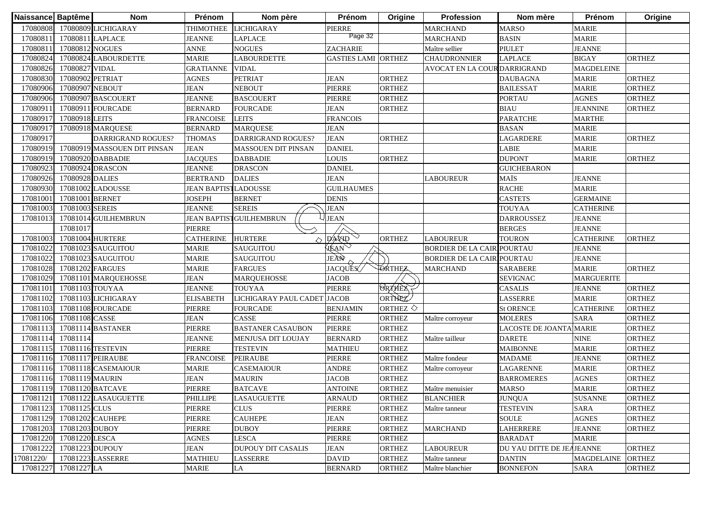| Naissance Baptême |                  | <b>Nom</b>                    | Prénom              | Nom père                   | Prénom                     | Origine               | Profession                        | Nom mère                  | Prénom            | Origine       |
|-------------------|------------------|-------------------------------|---------------------|----------------------------|----------------------------|-----------------------|-----------------------------------|---------------------------|-------------------|---------------|
| 17080808          |                  | 17080809 LICHIGARAY           | THIMOTHEE           | <b>LICHIGARAY</b>          | <b>PIERRE</b>              |                       | <b>MARCHAND</b>                   | <b>MARSO</b>              | <b>MARIE</b>      |               |
| 17080811          | 17080811 LAPLACE |                               | <b>JEANNE</b>       | LAPLACE                    | Page 32                    |                       | <b>MARCHAND</b>                   | <b>BASIN</b>              | <b>MARIE</b>      |               |
| 1708081           | 17080812 NOGUES  |                               | <b>ANNE</b>         | <b>NOGUES</b>              | ZACHARIE                   |                       | Maître sellier                    | <b>PIULET</b>             | <b>JEANNE</b>     |               |
| 17080824          |                  | 17080824 LABOURDETTE          | <b>MARIE</b>        | <b>LABOURDETTE</b>         | <b>GASTIES LAMI ORTHEZ</b> |                       | <b>CHAUDRONNIER</b>               | <b>LAPLACE</b>            | <b>BIGAY</b>      | <b>ORTHEZ</b> |
| 17080826          | 17080827 VIDAL   |                               | <b>GRATIANNE</b>    | <b>VIDAL</b>               |                            |                       | AVOCAT EN LA COUR DARRIGRAND      |                           | <b>MAGDELEINE</b> |               |
| 17080830          | 17080902 PETRIAT |                               | <b>AGNES</b>        | <b>PETRIAT</b>             | <b>JEAN</b>                | <b>ORTHEZ</b>         |                                   | <b>DAUBAGNA</b>           | <b>MARIE</b>      | <b>ORTHEZ</b> |
| 17080906          | 17080907 NEBOUT  |                               | <b>JEAN</b>         | <b>NEBOUT</b>              | <b>PIERRE</b>              | <b>ORTHEZ</b>         |                                   | <b>BAILESSAT</b>          | <b>MARIE</b>      | <b>ORTHEZ</b> |
| 17080906          |                  | 17080907 BASCOUERT            | <b>JEANNE</b>       | <b>BASCOUERT</b>           | <b>PIERRE</b>              | <b>ORTHEZ</b>         |                                   | <b>PORTAU</b>             | <b>AGNES</b>      | <b>ORTHEZ</b> |
| 1708091           |                  | 17080911 FOURCADE             | <b>BERNARD</b>      | <b>FOURCADE</b>            | <b>JEAN</b>                | <b>ORTHEZ</b>         |                                   | <b>BIAU</b>               | <b>JEANNINE</b>   | <b>ORTHEZ</b> |
| 1708091           | 17080918 LEITS   |                               | <b>FRANCOISE</b>    | <b>LEITS</b>               | <b>FRANCOIS</b>            |                       |                                   | <b>PARATCHE</b>           | <b>MARTHE</b>     |               |
| 1708091           |                  | 17080918 MAROUESE             | <b>BERNARD</b>      | <b>MAROUESE</b>            | <b>JEAN</b>                |                       |                                   | <b>BASAN</b>              | <b>MARIE</b>      |               |
| 17080917          |                  | <b>DARRIGRAND ROGUES?</b>     | <b>THOMAS</b>       | <b>DARRIGRAND ROGUES?</b>  | <b>JEAN</b>                | <b>ORTHEZ</b>         |                                   | <b>LAGARDERE</b>          | <b>MARIE</b>      | <b>ORTHEZ</b> |
| 17080919          |                  | 17080919 MASSOUEN DIT PINSAN  | <b>JEAN</b>         | <b>MASSOUEN DIT PINSAN</b> | <b>DANIEL</b>              |                       |                                   | <b>LABIE</b>              | <b>MARIE</b>      |               |
| 17080919          |                  | 17080920 DABBADIE             | <b>JACQUES</b>      | <b>DABBADIE</b>            | <b>LOUIS</b>               | <b>ORTHEZ</b>         |                                   | <b>DUPONT</b>             | <b>MARIE</b>      | <b>ORTHEZ</b> |
| 17080923          |                  | 17080924 DRASCON              | <b>JEANNE</b>       | <b>DRASCON</b>             | <b>DANIEL</b>              |                       |                                   | <b>GUICHEBARON</b>        |                   |               |
| 17080926          | 17080928 DALIES  |                               | <b>BERTRAND</b>     | <b>DALIES</b>              | <b>JEAN</b>                |                       | <b>LABOUREUR</b>                  | MAÏS                      | <b>JEANNE</b>     |               |
| 17080930          |                  | 17081002 LADOUSSE             | <b>JEAN BAPTIST</b> | <b>LADOUSSE</b>            | <b>GUILHAUMES</b>          |                       |                                   | <b>RACHE</b>              | <b>MARIE</b>      |               |
| 17081001          | 17081001 BERNET  |                               | <b>JOSEPH</b>       | <b>BERNET</b>              | <b>DENIS</b>               |                       |                                   | <b>CASTETS</b>            | <b>GERMAINE</b>   |               |
| 17081003          | 17081003 SEREIS  |                               | <b>JEANNE</b>       | <b>SEREIS</b>              | <b>JEAN</b>                |                       |                                   | <b>TOUYAA</b>             | <b>CATHERINE</b>  |               |
| 1708101           |                  | 17081014 GUILHEMBRUN          | <b>JEAN BAPTIS</b>  | <b>GUILHEMBRUN</b>         | <b>JEAN</b>                |                       |                                   | <b>DARROUSSEZ</b>         | <b>JEANNE</b>     |               |
|                   | 17081017         |                               | <b>PIERRE</b>       |                            | $\overline{\wedge}$        |                       |                                   | <b>BERGES</b>             | <b>JEANNE</b>     |               |
| 17081003          |                  | 17081004 HURTERE              | <b>CATHERINE</b>    | <b>HURTERE</b><br>△        | DAVID                      | <b>ORTHEZ</b>         | <b>LABOUREUR</b>                  | <b>TOURON</b>             | <b>CATHERINE</b>  | <b>ORTHEZ</b> |
| 17081022          |                  | 17081023 SAUGUITOU            | <b>MARIE</b>        | SAUGUITOU                  | <b>JEAN</b>                |                       | <b>BORDIER DE LA CAIR POURTAU</b> |                           | <b>JEANNE</b>     |               |
| 17081022          |                  | 17081023 SAUGUITOU            | <b>MARIE</b>        | SAUGUITOU                  | JEAN                       |                       | <b>BORDIER DE LA CAIRIPOURTAU</b> |                           | <b>JEANNE</b>     |               |
| 17081028          | 17081202 FARGUES |                               | <b>MARIE</b>        | <b>FARGUES</b>             | <b>JACQUES</b>             | <b>TORTHEZ</b>        | <b>MARCHAND</b>                   | <b>SARABERE</b>           | <b>MARIE</b>      | <b>ORTHEZ</b> |
| 17081029          |                  | 17081101 MARQUEHOSSE          | <b>JEAN</b>         | <b>MARQUEHOSSE</b>         | <b>JACOB</b>               |                       |                                   | <b>SEVIGNAC</b>           | <b>MARGUERITE</b> |               |
| 17081101          | 17081103 TOUYAA  |                               | <b>JEANNE</b>       | <b>TOUYAA</b>              | PIERRE                     | <b>ORTHEZ</b>         |                                   | <b>CASALIS</b>            | <b>JEANNE</b>     | <b>ORTHEZ</b> |
| 17081102          |                  | 17081103 LICHIGARAY           | <b>ELISABETH</b>    | LICHIGARAY PAUL CADET      | <b>JACOB</b>               | ORTHEZ                |                                   | <b>LASSERRE</b>           | <b>MARIE</b>      | <b>ORTHEZ</b> |
| 17081103          |                  | 17081108 FOURCADE             | PIERRE              | <b>FOURCADE</b>            | <b>BENJAMIN</b>            | ORTHEZ $\diamondsuit$ |                                   | <b>St ORENCE</b>          | <b>CATHERINE</b>  | <b>ORTHEZ</b> |
| 17081106          | 17081108 CASSE   |                               | <b>JEAN</b>         | CASSE                      | <b>PIERRE</b>              | <b>ORTHEZ</b>         | Maître corroyeur                  | <b>MOLERES</b>            | <b>SARA</b>       | <b>ORTHEZ</b> |
| 17081113          |                  | 17081114 BASTANER             | PIERRE              | <b>BASTANER CASAUBON</b>   | PIERRE                     | ORTHEZ                |                                   | LACOSTE DE JOANTA MARIE   |                   | <b>ORTHEZ</b> |
| 17081114          | 17081114         |                               | <b>JEANNE</b>       | MENJUSA DIT LOUJAY         | <b>BERNARD</b>             | <b>ORTHEZ</b>         | Maître tailleur                   | <b>DARETE</b>             | <b>NINE</b>       | <b>ORTHEZ</b> |
| 17081115          |                  | 17081116 TESTEVIN             | PIERRE              | <b>TESTEVIN</b>            | <b>MATHIEU</b>             | <b>ORTHEZ</b>         |                                   | <b>MAIBONNE</b>           | <b>MARIE</b>      | <b>ORTHEZ</b> |
| 17081116          |                  | 17081117 PEIRAUBE             | <b>FRANCOISE</b>    | <b>PEIRAUBE</b>            | PIERRE                     | <b>ORTHEZ</b>         | Maître fondeur                    | <b>MADAME</b>             | <b>JEANNE</b>     | <b>ORTHEZ</b> |
| 17081116          |                  | 17081118 CASEMAIOUR           | <b>MARIE</b>        | CASEMAIOUR                 | ANDRE                      | <b>ORTHEZ</b>         | Maître corroyeur                  | <b>LAGARENNE</b>          | <b>MARIE</b>      | <b>ORTHEZ</b> |
| 17081116          | 17081119 MAURIN  |                               | <b>JEAN</b>         | <b>MAURIN</b>              | <b>JACOB</b>               | <b>ORTHEZ</b>         |                                   | <b>BARROMERES</b>         | <b>AGNES</b>      | <b>ORTHEZ</b> |
|                   |                  | 17081119 17081120 BATCAVE     | <b>PIERRE</b>       | <b>BATCAVE</b>             | <b>ANTOINE</b>             | <b>ORTHEZ</b>         | Maître menuisier                  | <b>MARSO</b>              | <b>MARIE</b>      | <b>ORTHEZ</b> |
|                   |                  | 17081121 17081122 LASAUGUETTE | <b>PHILLIPE</b>     | <b>LASAUGUETTE</b>         | <b>ARNAUD</b>              | <b>ORTHEZ</b>         | <b>BLANCHIER</b>                  | <b>JUNQUA</b>             | <b>SUSANNE</b>    | <b>ORTHEZ</b> |
| 17081123          | 17081125 CLUS    |                               | <b>PIERRE</b>       | <b>CLUS</b>                | PIERRE                     | <b>ORTHEZ</b>         | Maître tanneur                    | <b>TESTEVIN</b>           | <b>SARA</b>       | ORTHEZ        |
| 17081129          |                  | 17081202 CAUHEPE              | <b>PIERRE</b>       | <b>CAUHEPE</b>             | <b>JEAN</b>                | <b>ORTHEZ</b>         |                                   | <b>SOULE</b>              | <b>AGNES</b>      | <b>ORTHEZ</b> |
| 17081203          | 17081203 DUBOY   |                               | <b>PIERRE</b>       | <b>DUBOY</b>               | PIERRE                     | <b>ORTHEZ</b>         | <b>MARCHAND</b>                   | <b>LAHERRERE</b>          | <b>JEANNE</b>     | <b>ORTHEZ</b> |
| 17081220          | 17081220 LESCA   |                               | <b>AGNES</b>        | <b>LESCA</b>               | PIERRE                     | <b>ORTHEZ</b>         |                                   | <b>BARADAT</b>            | <b>MARIE</b>      |               |
| 17081222          | 17081223 DUPOUY  |                               | <b>JEAN</b>         | <b>DUPOUY DIT CASALIS</b>  | <b>JEAN</b>                | <b>ORTHEZ</b>         | <b>LABOUREUR</b>                  | DU YAU DITTE DE JEAJEANNE |                   | <b>ORTHEZ</b> |
| 17081220/         |                  | 17081223 LASSERRE             | <b>MATHIEU</b>      | <b>LASSERRE</b>            | <b>DAVID</b>               | <b>ORTHEZ</b>         | Maître tanneur                    | <b>DANTIN</b>             | <b>MAGDELAINE</b> | <b>ORTHEZ</b> |
| 17081227          | 17081227 LA      |                               | <b>MARIE</b>        | LA                         | <b>BERNARD</b>             | <b>ORTHEZ</b>         | Maître blanchier                  | <b>BONNEFON</b>           | <b>SARA</b>       | <b>ORTHEZ</b> |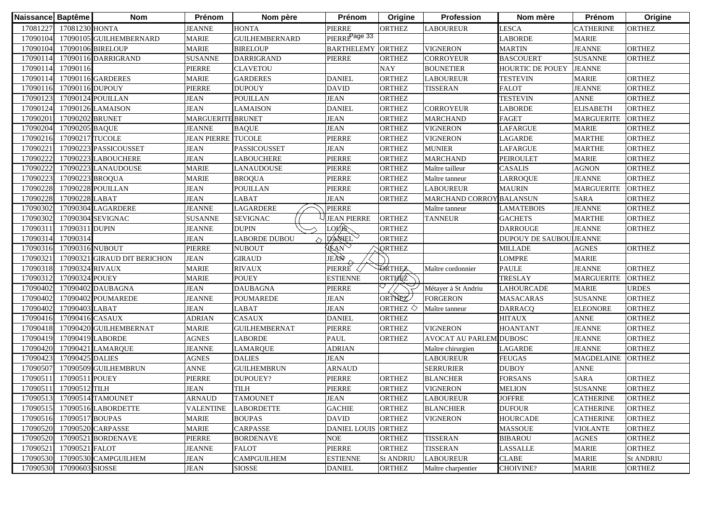| 17081227<br>17081230 HONTA<br>PIERRE<br><b>HONTA</b><br><b>ORTHEZ</b><br><b>LESCA</b><br><b>JEANNE</b><br><b>LABOUREUR</b><br>PIERRE <sup>Page 33</sup><br>17090104<br><b>GUILHEMBERNARD</b><br><b>LABORDE</b> | <b>CATHERINE</b>        |                  |
|----------------------------------------------------------------------------------------------------------------------------------------------------------------------------------------------------------------|-------------------------|------------------|
|                                                                                                                                                                                                                |                         | <b>ORTHEZ</b>    |
| 17090105 GUILHEMBERNARD<br><b>MARIE</b>                                                                                                                                                                        | <b>MARIE</b>            |                  |
| <b>MARIE</b><br><b>BARTHELEMY ORTHEZ</b><br>17090104<br>17090106 BIRELOUP<br><b>BIRELOUP</b><br><b>VIGNERON</b><br><b>MARTIN</b>                                                                               | <b>JEANNE</b>           | <b>ORTHEZ</b>    |
| 17090114<br><b>SUSANNE</b><br><b>DARRIGRAND</b><br>PIERRE<br><b>ORTHEZ</b><br><b>CORROYEUR</b><br><b>BASCOUERT</b><br>17090116 DARRIGRAND                                                                      | <b>SUSANNE</b>          | <b>ORTHEZ</b>    |
| <b>NAY</b><br>17090114<br>17090116<br><b>PIERRE</b><br><b>CLAVETOU</b><br><b>HOURTIC DE POUEY</b><br><b>BOUNETIER</b>                                                                                          | <b>JEANNE</b>           |                  |
| 17090114<br><b>MARIE</b><br><b>DANIEL</b><br>17090116 GARDERES<br><b>GARDERES</b><br>ORTHEZ<br><b>LABOUREUR</b><br><b>TESTEVIN</b>                                                                             | <b>MARIE</b>            | <b>ORTHEZ</b>    |
| <b>PIERRE</b><br><b>DAVID</b><br><b>FALOT</b><br>17090116<br>17090116 DUPOUY<br><b>DUPOUY</b><br><b>ORTHEZ</b><br><b>TISSERAN</b>                                                                              | <b>JEANNE</b>           | <b>ORTHEZ</b>    |
| <b>JEAN</b><br>17090123<br>17090124 POUILLAN<br><b>JEAN</b><br><b>POUILLAN</b><br><b>ORTHEZ</b><br><b>TESTEVIN</b>                                                                                             | <b>ANNE</b>             | <b>ORTHEZ</b>    |
| <b>JEAN</b><br>17090124<br>17090126 LAMAISON<br>LAMAISON<br><b>DANIEL</b><br><b>ORTHEZ</b><br><b>CORROYEUR</b><br>LABORDE                                                                                      | <b>ELISABETH</b>        | <b>ORTHEZ</b>    |
| 17090201<br><b>JEAN</b><br><b>ORTHEZ</b><br>17090202 BRUNET<br><b>MARGUERITE BRUNET</b><br><b>MARCHAND</b><br><b>FAGET</b>                                                                                     | <b>MARGUERITE</b>       | <b>ORTHEZ</b>    |
| 17090204<br><b>JEAN</b><br><b>ORTHEZ</b><br>17090205 BAQUE<br><b>JEANNE</b><br><b>BAQUE</b><br><b>VIGNERON</b><br>LAFARGUE                                                                                     | <b>MARIE</b>            | <b>ORTHEZ</b>    |
| 17090216<br>17090217 TUCOLE<br><b>JEAN PIERRE TUCOLE</b><br>LAGARDE<br><b>PIERRE</b><br><b>ORTHEZ</b><br><b>VIGNERON</b>                                                                                       | <b>MARTHE</b>           | <b>ORTHEZ</b>    |
| 1709022<br>17090223 PASSICOUSSET<br><b>JEAN</b><br><b>JEAN</b><br>PASSICOUSSET<br><b>ORTHEZ</b><br><b>MUNIER</b><br><b>LAFARGUE</b>                                                                            | <b>MARTHE</b>           | <b>ORTHEZ</b>    |
| 17090222<br><b>JEAN</b><br>PIERRE<br><b>MARCHAND</b><br>17090223 LABOUCHERE<br>LABOUCHERE<br><b>ORTHEZ</b><br><b>PEIROULET</b>                                                                                 | <b>MARIE</b>            | <b>ORTHEZ</b>    |
| 17090222<br><b>MARIE</b><br>PIERRE<br>17090223 LANAUDOUSE<br><b>LANAUDOUSE</b><br><b>ORTHEZ</b><br><b>CASALIS</b><br>Maître tailleur                                                                           | <b>AGNON</b>            | <b>ORTHEZ</b>    |
| 17090223<br>PIERRE<br>17090223 BROQUA<br><b>MARIE</b><br><b>ORTHEZ</b><br><b>BROQUA</b><br>Maître tanneur<br>LARROQUE                                                                                          | <b>JEANNE</b>           | <b>ORTHEZ</b>    |
| 17090228<br>17090228 POUILLAN<br><b>JEAN</b><br><b>POUILLAN</b><br>PIERRE<br><b>ORTHEZ</b><br><b>LABOUREUR</b><br><b>MAURIN</b>                                                                                | <b>MARGUERITE</b>       | <b>ORTHEZ</b>    |
| <b>JEAN</b><br><b>JEAN</b><br>17090228<br>17090228 LABAT<br>LABAT<br><b>ORTHEZ</b><br>MARCHAND CORROY BALANSUN                                                                                                 | <b>SARA</b>             | <b>ORTHEZ</b>    |
| 17090302<br>17090304 LAGARDERE<br><b>JEANNE</b><br>LAGARDERE<br>PIERRE<br><b>LAMATEBOIS</b><br>Maître tanneur                                                                                                  | <b>JEANNE</b>           | <b>ORTHEZ</b>    |
| 17090302<br>17090304 SEVIGNAC<br><b>SEVIGNAC</b><br><b>JEAN PIERRE</b><br><b>ORTHEZ</b><br><b>TANNEUR</b><br><b>SUSANNE</b><br><b>GACHETS</b>                                                                  | <b>MARTHE</b>           | <b>ORTHEZ</b>    |
| LOVR<br>17090311<br>17090311 DUPIN<br><b>JEANNE</b><br><b>DUPIN</b><br><b>ORTHEZ</b><br><b>DARROUGE</b>                                                                                                        | <b>JEANNE</b>           | <b>ORTHEZ</b>    |
| DANIEL<br>17090314<br>17090314<br><b>JEAN</b><br><b>ORTHEZ</b><br>LABORDE DUBOU<br>$\curvearrowright$                                                                                                          | DUPOUY DE SAUBOULJEANNE |                  |
| <b>JEAN</b><br><b>PIERRE</b><br>17090316<br>17090316 NUBOUT<br><b>NUBOUT</b><br><b>ORTHEZ</b><br>MILLADE                                                                                                       | <b>AGNES</b>            | <b>ORTHEZ</b>    |
| JEÀÑ<br><b>JEAN</b><br><b>GIRAUD</b><br>LOMPRE<br>17090321<br>17090321 GIRAUD DIT BERICHON                                                                                                                     | <b>MARIE</b>            |                  |
| pierrě <<br><b>ORTHEZ</b><br>17090318<br>17090324 RIVAUX<br><b>MARIE</b><br><b>RIVAUX</b><br><b>PAULE</b><br>Maître cordonnier                                                                                 | <b>JEANNE</b>           | <b>ORTHEZ</b>    |
| ORTHEZ<br><b>POUEY</b><br><b>TRESLAY</b><br>17090312<br>17090324 POUEY<br><b>MARIE</b><br><b>ESTIENNE</b>                                                                                                      | <b>MARGUERITE</b>       | <b>ORTHEZ</b>    |
| 17090402<br>PIERRE<br>17090402 DAUBAGNA<br><b>JEAN</b><br><b>DAUBAGNA</b><br>LAHOURCADE<br>Métayer à St Andriu                                                                                                 | <b>MARIE</b>            | <b>URDES</b>     |
| ORTHEZ<br>17090402<br><b>JEAN</b><br>17090402 POUMAREDE<br><b>JEANNE</b><br><b>POUMAREDE</b><br><b>FORGERON</b><br><b>MASACARAS</b>                                                                            | <b>SUSANNE</b>          | <b>ORTHEZ</b>    |
| 17090402<br><b>JEAN</b><br>17090403 LABAT<br><b>JEAN</b><br><b>LABAT</b><br>ORTHEZ $\diamondsuit$<br>Maître tanneur<br><b>DARRACQ</b>                                                                          | <b>ELEONORE</b>         | <b>ORTHEZ</b>    |
| 17090416<br><b>DANIEL</b><br>17090416 CASAUX<br><b>ADRIAN</b><br><b>CASAUX</b><br>ORTHEZ<br><b>HITAUX</b>                                                                                                      | <b>ANNE</b>             | <b>ORTHEZ</b>    |
| 17090418<br><b>MARIE</b><br>PIERRE<br><b>HOANTANT</b><br>17090420 GUILHEMBERNAT<br><b>GUILHEMBERNAT</b><br><b>ORTHEZ</b><br><b>VIGNERON</b>                                                                    | <b>JEANNE</b>           | <b>ORTHEZ</b>    |
| 17090419<br>17090419 LABORDE<br><b>AGNES</b><br><b>LABORDE</b><br>PAUL<br><b>ORTHEZ</b><br>AVOCAT AU PARLEMIDUBOSC                                                                                             | <b>JEANNE</b>           | <b>ORTHEZ</b>    |
| 17090420<br>17090421 LAMARQUE<br><b>JEANNE</b><br><b>LAMARQUE</b><br><b>ADRIAN</b><br>LAGARDE<br>Maître chirurgien                                                                                             | <b>JEANNE</b>           | <b>ORTHEZ</b>    |
| 17090423<br>17090425 DALIES<br><b>AGNES</b><br><b>DALIES</b><br><b>JEAN</b><br><b>LABOUREUR</b><br><b>FEUGAS</b>                                                                                               | <b>MAGDELAINE</b>       | <b>ORTHEZ</b>    |
| 17090507<br>17090509 GUILHEMBRUN<br><b>ANNE</b><br><b>GUILHEMBRUN</b><br><b>ARNAUD</b><br><b>SERRURIER</b><br><b>DUBOY</b>                                                                                     | <b>ANNE</b>             |                  |
| 17090511<br>17090511 POUEY<br><b>PIERRE</b><br>DUPOUEY?<br>PIERRE<br><b>ORTHEZ</b><br><b>BLANCHER</b><br><b>FORSANS</b>                                                                                        | <b>SARA</b>             | <b>ORTHEZ</b>    |
| 17090512 TILH<br><b>JEAN</b><br>17090511<br>TILH<br>PIERRE<br><b>VIGNERON</b><br>ORTHEZ<br><b>MELION</b>                                                                                                       | <b>SUSANNE</b>          | <b>ORTHEZ</b>    |
| 17090513 17090514 TAMOUNET<br><b>JOFFRE</b><br><b>ARNAUD</b><br><b>TAMOUNET</b><br><b>JEAN</b><br><b>ORTHEZ</b><br><b>LABOUREUR</b>                                                                            | <b>CATHERINE</b>        | <b>ORTHEZ</b>    |
| <b>GACHIE</b><br><b>DUFOUR</b><br>17090515<br>17090516 LABORDETTE<br><b>VALENTINE</b><br><b>LABORDETTE</b><br><b>ORTHEZ</b><br><b>BLANCHIER</b>                                                                | <b>CATHERINE</b>        | <b>ORTHEZ</b>    |
| 17090516<br>17090517 BOUPAS<br><b>MARIE</b><br><b>BOUPAS</b><br><b>DAVID</b><br><b>ORTHEZ</b><br><b>VIGNERON</b><br><b>HOURCADE</b>                                                                            | <b>CATHERINE</b>        | ORTHEZ           |
| 17090520 CARPASSE<br><b>MARIE</b><br>17090520<br><b>CARPASSE</b><br><b>DANIEL LOUIS</b><br><b>ORTHEZ</b><br><b>MASSOUE</b>                                                                                     | <b>VIOLANTE</b>         | ORTHEZ           |
| <b>PIERRE</b><br><b>NOE</b><br>17090521 BORDENAVE<br><b>BORDENAVE</b><br><b>ORTHEZ</b><br><b>TISSERAN</b><br>17090520<br><b>BIBAROU</b>                                                                        | <b>AGNES</b>            | ORTHEZ           |
| 17090521 FALOT<br>PIERRE<br><b>TISSERAN</b><br>17090521<br><b>JEANNE</b><br><b>FALOT</b><br><b>ORTHEZ</b><br>LASSALLE                                                                                          | <b>MARIE</b>            | ORTHEZ           |
| 17090530 17090530 CAMPGUILHEM<br><b>JEAN</b><br><b>CAMPGUILHEM</b><br><b>ESTIENNE</b><br><b>LABOUREUR</b><br><b>CLABE</b><br><b>St ANDRIU</b>                                                                  | <b>MARIE</b>            | <b>St ANDRIU</b> |
| 17090530 17090603 SIOSSE<br><b>JEAN</b><br><b>SIOSSE</b><br><b>DANIEL</b><br>ORTHEZ<br>CHOIVINE?<br>Maître charpentier                                                                                         | <b>MARIE</b>            | ORTHEZ           |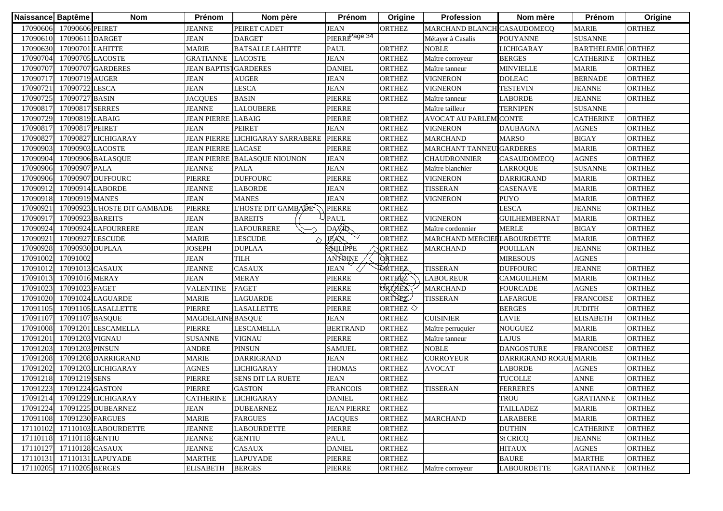| MARCHAND BLANCH CASAUDOMECO<br><b>MARIE</b> |                                                                                                                                                                                                                                                                                                                                                                                                                                                                                                        |
|---------------------------------------------|--------------------------------------------------------------------------------------------------------------------------------------------------------------------------------------------------------------------------------------------------------------------------------------------------------------------------------------------------------------------------------------------------------------------------------------------------------------------------------------------------------|
|                                             | <b>ORTHEZ</b>                                                                                                                                                                                                                                                                                                                                                                                                                                                                                          |
| <b>SUSANNE</b>                              |                                                                                                                                                                                                                                                                                                                                                                                                                                                                                                        |
| <b>BARTHELEMIE ORTHEZ</b>                   |                                                                                                                                                                                                                                                                                                                                                                                                                                                                                                        |
| <b>CATHERINE</b>                            | <b>ORTHEZ</b>                                                                                                                                                                                                                                                                                                                                                                                                                                                                                          |
| <b>MARIE</b>                                | <b>ORTHEZ</b>                                                                                                                                                                                                                                                                                                                                                                                                                                                                                          |
| <b>BERNADE</b>                              | <b>ORTHEZ</b>                                                                                                                                                                                                                                                                                                                                                                                                                                                                                          |
| <b>JEANNE</b>                               | <b>ORTHEZ</b>                                                                                                                                                                                                                                                                                                                                                                                                                                                                                          |
| <b>JEANNE</b>                               | <b>ORTHEZ</b>                                                                                                                                                                                                                                                                                                                                                                                                                                                                                          |
| <b>SUSANNE</b>                              |                                                                                                                                                                                                                                                                                                                                                                                                                                                                                                        |
| <b>CATHERINE</b>                            | <b>ORTHEZ</b>                                                                                                                                                                                                                                                                                                                                                                                                                                                                                          |
| <b>AGNES</b>                                | <b>ORTHEZ</b>                                                                                                                                                                                                                                                                                                                                                                                                                                                                                          |
| <b>BIGAY</b>                                | <b>ORTHEZ</b>                                                                                                                                                                                                                                                                                                                                                                                                                                                                                          |
| <b>MARIE</b>                                | <b>ORTHEZ</b>                                                                                                                                                                                                                                                                                                                                                                                                                                                                                          |
| <b>AGNES</b>                                | <b>ORTHEZ</b>                                                                                                                                                                                                                                                                                                                                                                                                                                                                                          |
| <b>SUSANNE</b>                              | <b>ORTHEZ</b>                                                                                                                                                                                                                                                                                                                                                                                                                                                                                          |
| <b>MARIE</b>                                | <b>ORTHEZ</b>                                                                                                                                                                                                                                                                                                                                                                                                                                                                                          |
| <b>MARIE</b>                                | <b>ORTHEZ</b>                                                                                                                                                                                                                                                                                                                                                                                                                                                                                          |
|                                             | <b>ORTHEZ</b>                                                                                                                                                                                                                                                                                                                                                                                                                                                                                          |
|                                             | <b>ORTHEZ</b>                                                                                                                                                                                                                                                                                                                                                                                                                                                                                          |
|                                             | <b>ORTHEZ</b>                                                                                                                                                                                                                                                                                                                                                                                                                                                                                          |
|                                             | <b>ORTHEZ</b>                                                                                                                                                                                                                                                                                                                                                                                                                                                                                          |
|                                             | <b>ORTHEZ</b>                                                                                                                                                                                                                                                                                                                                                                                                                                                                                          |
|                                             | <b>ORTHEZ</b>                                                                                                                                                                                                                                                                                                                                                                                                                                                                                          |
|                                             |                                                                                                                                                                                                                                                                                                                                                                                                                                                                                                        |
| <b>JEANNE</b>                               | <b>ORTHEZ</b>                                                                                                                                                                                                                                                                                                                                                                                                                                                                                          |
| <b>MARIE</b>                                | <b>ORTHEZ</b>                                                                                                                                                                                                                                                                                                                                                                                                                                                                                          |
| <b>AGNES</b>                                | <b>ORTHEZ</b>                                                                                                                                                                                                                                                                                                                                                                                                                                                                                          |
| <b>FRANCOISE</b>                            | <b>ORTHEZ</b>                                                                                                                                                                                                                                                                                                                                                                                                                                                                                          |
| <b>JUDITH</b>                               | <b>ORTHEZ</b>                                                                                                                                                                                                                                                                                                                                                                                                                                                                                          |
| <b>ELISABETH</b>                            | <b>ORTHEZ</b>                                                                                                                                                                                                                                                                                                                                                                                                                                                                                          |
|                                             | <b>ORTHEZ</b>                                                                                                                                                                                                                                                                                                                                                                                                                                                                                          |
|                                             | <b>ORTHEZ</b>                                                                                                                                                                                                                                                                                                                                                                                                                                                                                          |
| <b>FRANCOISE</b>                            | <b>ORTHEZ</b>                                                                                                                                                                                                                                                                                                                                                                                                                                                                                          |
|                                             | <b>ORTHEZ</b>                                                                                                                                                                                                                                                                                                                                                                                                                                                                                          |
| <b>AGNES</b>                                | <b>ORTHEZ</b>                                                                                                                                                                                                                                                                                                                                                                                                                                                                                          |
| <b>ANNE</b>                                 | <b>ORTHEZ</b>                                                                                                                                                                                                                                                                                                                                                                                                                                                                                          |
| <b>ANNE</b>                                 | <b>ORTHEZ</b>                                                                                                                                                                                                                                                                                                                                                                                                                                                                                          |
|                                             | <b>ORTHEZ</b>                                                                                                                                                                                                                                                                                                                                                                                                                                                                                          |
|                                             | <b>ORTHEZ</b>                                                                                                                                                                                                                                                                                                                                                                                                                                                                                          |
|                                             | <b>ORTHEZ</b>                                                                                                                                                                                                                                                                                                                                                                                                                                                                                          |
|                                             | <b>ORTHEZ</b>                                                                                                                                                                                                                                                                                                                                                                                                                                                                                          |
|                                             | <b>ORTHEZ</b>                                                                                                                                                                                                                                                                                                                                                                                                                                                                                          |
|                                             | <b>ORTHEZ</b>                                                                                                                                                                                                                                                                                                                                                                                                                                                                                          |
|                                             | <b>ORTHEZ</b>                                                                                                                                                                                                                                                                                                                                                                                                                                                                                          |
|                                             | <b>ORTHEZ</b>                                                                                                                                                                                                                                                                                                                                                                                                                                                                                          |
| <b>DAUBAGNA</b>                             | <b>LICHIGARAY</b><br>CASAUDOMECQ<br><b>DARRIGRAND</b><br><b>MARIE</b><br><b>JEANNE</b><br><b>MARIE</b><br><b>GUILHEMBERNAT</b><br><b>BIGAY</b><br>MARCHAND MERCIERLABOURDETTE<br><b>MARIE</b><br><b>JEANNE</b><br><b>AGNES</b><br><b>CAMGUILHEM</b><br><b>MARIE</b><br><b>MARIE</b><br><b>DANGOSTURE</b><br>DARRIGRAND ROGUE MARIE<br><b>GRATIANNE</b><br><b>MARIE</b><br><b>MARIE</b><br><b>CATHERINE</b><br><b>JEANNE</b><br><b>AGNES</b><br><b>MARTHE</b><br><b>LABOURDETTE</b><br><b>GRATIANNE</b> |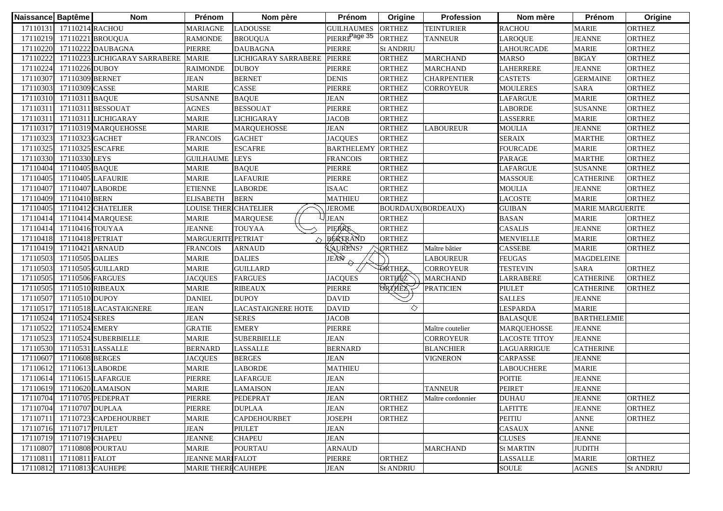| Naissance Baptême |                           | <b>Nom</b>                     | Prénom                       | Nom père                  | Prénom                    | Origine            | Profession         | Nom mère             | Prénom                  | Origine          |
|-------------------|---------------------------|--------------------------------|------------------------------|---------------------------|---------------------------|--------------------|--------------------|----------------------|-------------------------|------------------|
|                   | 17110131 17110214 RACHOU  |                                | MARIAGNE                     | <b>LADOUSSE</b>           | <b>GUILHAUMES</b>         | <b>ORTHEZ</b>      | <b>TEINTURIER</b>  | <b>RACHOU</b>        | <b>MARIE</b>            | <b>ORTHEZ</b>    |
|                   | 17110219 17110221 BROUQUA |                                | <b>RAMONDE</b>               | <b>BROUQUA</b>            | PIERRE <sup>Page 35</sup> | <b>ORTHEZ</b>      | <b>TANNEUR</b>     | LAROQUE              | <b>JEANNE</b>           | <b>ORTHEZ</b>    |
| 17110220          |                           | 17110222 DAUBAGNA              | PIERRE                       | <b>DAUBAGNA</b>           | <b>PIERRE</b>             | <b>St ANDRIU</b>   |                    | LAHOURCADE           | <b>MARIE</b>            | <b>ORTHEZ</b>    |
| 17110222          |                           | 17110223 LICHIGARAY SARRABERE  | <b>MARIE</b>                 | LICHIGARAY SARRABERE      | <b>PIERRE</b>             | <b>ORTHEZ</b>      | <b>MARCHAND</b>    | <b>MARSO</b>         | <b>BIGAY</b>            | <b>ORTHEZ</b>    |
| 17110224          | 17110226 DUBOY            |                                | <b>RAIMONDE</b>              | <b>DUBOY</b>              | <b>PIERRE</b>             | <b>ORTHEZ</b>      | <b>MARCHAND</b>    | LAHERRERE            | <b>JEANNE</b>           | <b>ORTHEZ</b>    |
| 17110307          | 17110309 BERNET           |                                | <b>JEAN</b>                  | <b>BERNET</b>             | <b>DENIS</b>              | <b>ORTHEZ</b>      | <b>CHARPENTIER</b> | <b>CASTETS</b>       | <b>GERMAINE</b>         | <b>ORTHEZ</b>    |
| 17110303          | 17110309 CASSE            |                                | <b>MARIE</b>                 | CASSE                     | PIERRE                    | <b>ORTHEZ</b>      | <b>CORROYEUR</b>   | <b>MOULERES</b>      | <b>SARA</b>             | <b>ORTHEZ</b>    |
|                   | 17110310 17110311 BAQUE   |                                | <b>SUSANNE</b>               | <b>BAQUE</b>              | <b>JEAN</b>               | <b>ORTHEZ</b>      |                    | <b>LAFARGUE</b>      | <b>MARIE</b>            | <b>ORTHEZ</b>    |
|                   |                           | 17110311 17110311 BESSOUAT     | <b>AGNES</b>                 | <b>BESSOUAT</b>           | <b>PIERRE</b>             | <b>ORTHEZ</b>      |                    | <b>LABORDE</b>       | <b>SUSANNE</b>          | <b>ORTHEZ</b>    |
| 17110311          |                           | 17110311 LICHIGARAY            | <b>MARIE</b>                 | <b>LICHIGARAY</b>         | <b>JACOB</b>              | <b>ORTHEZ</b>      |                    | LASSERRE             | <b>MARIE</b>            | <b>ORTHEZ</b>    |
| 17110317          |                           | 17110319 MARQUEHOSSE           | <b>MARIE</b>                 | <b>MARQUEHOSSE</b>        | <b>JEAN</b>               | <b>ORTHEZ</b>      | <b>LABOUREUR</b>   | <b>MOULIA</b>        | <b>JEANNE</b>           | <b>ORTHEZ</b>    |
| 17110323          | 17110323 GACHET           |                                | <b>FRANCOIS</b>              | <b>GACHET</b>             | <b>JACOUES</b>            | <b>ORTHEZ</b>      |                    | <b>SERAIX</b>        | <b>MARTHE</b>           | <b>ORTHEZ</b>    |
| 17110325          | 17110325 ESCAFRE          |                                | <b>MARIE</b>                 | <b>ESCAFRE</b>            | <b>BARTHELEMY</b>         | <b>ORTHEZ</b>      |                    | <b>FOURCADE</b>      | <b>MARIE</b>            | <b>ORTHEZ</b>    |
| 17110330          | 17110330 LEYS             |                                | <b>GUILHAUME</b>             | <b>LEYS</b>               | <b>FRANCOIS</b>           | <b>ORTHEZ</b>      |                    | <b>PARAGE</b>        | <b>MARTHE</b>           | <b>ORTHEZ</b>    |
| 17110404          | 17110405 BAQUE            |                                | <b>MARIE</b>                 | <b>BAQUE</b>              | PIERRE                    | <b>ORTHEZ</b>      |                    | LAFARGUE             | <b>SUSANNE</b>          | <b>ORTHEZ</b>    |
| 17110405          |                           | 17110405 LAFAURIE              | MARIE                        | <b>LAFAURIE</b>           | PIERRE                    | <b>ORTHEZ</b>      |                    | <b>MASSOUE</b>       | <b>CATHERINE</b>        | <b>ORTHEZ</b>    |
| 17110407          | 17110407 LABORDE          |                                | <b>ETIENNE</b>               | LABORDE                   | <b>ISAAC</b>              | <b>ORTHEZ</b>      |                    | MOULIA               | <b>JEANNE</b>           | <b>ORTHEZ</b>    |
| 17110409          | 17110410 BERN             |                                | ELISABETH                    | <b>BERN</b>               | <b>MATHIEU</b>            | <b>ORTHEZ</b>      |                    | <b>LACOSTE</b>       | <b>MARIE</b>            | <b>ORTHEZ</b>    |
| 17110405          |                           | 17110412 CHATELIER             | <b>LOUISE THER CHATELIER</b> |                           | <b>JEROME</b>             | BOURDAUX(BORDEAUX) |                    | <b>GUIBAN</b>        | <b>MARIE MARGUERITE</b> |                  |
| 17110414          |                           | 17110414 MARQUESE              | <b>MARIE</b>                 | <b>MARQUESE</b>           | <b>JEAN</b>               | <b>ORTHEZ</b>      |                    | <b>BASAN</b>         | <b>MARIE</b>            | <b>ORTHEZ</b>    |
| 17110414          | 17110416 TOUYAA           |                                | <b>JEANNE</b>                | <b>TOUYAA</b>             | PIERRE                    | <b>ORTHEZ</b>      |                    | <b>CASALIS</b>       | <b>JEANNE</b>           | <b>ORTHEZ</b>    |
| 17110418          | 17110418 PETRIAT          |                                | <b>MARGUERITE PETRIAT</b>    |                           | BERTRAND                  | <b>ORTHEZ</b>      |                    | <b>MENVIELLE</b>     | <b>MARIE</b>            | <b>ORTHEZ</b>    |
| 17110419          | 17110421 ARNAUD           |                                | <b>FRANCOIS</b>              | <b>ARNAUD</b>             | LAURENS?                  | <b>QRTHEZ</b>      | Maître bâtier      | <b>CASSEBE</b>       | <b>MARIE</b>            | <b>ORTHEZ</b>    |
| 17110503          | 17110505 DALIES           |                                | <b>MARIE</b>                 | <b>DALIES</b>             | JEAN                      |                    | <b>LABOUREUR</b>   | <b>FEUGAS</b>        | <b>MAGDELEINE</b>       |                  |
| 17110503          |                           | 17110505 GUILLARD              | <b>MARIE</b>                 | <b>GUILLARD</b>           |                           | ORTHEZ             | <b>CORROYEUR</b>   | <b>TESTEVIN</b>      | <b>SARA</b>             | <b>ORTHEZ</b>    |
| 17110505          | 17110506 FARGUES          |                                | <b>JACQUES</b>               | <b>FARGUES</b>            | <b>JACQUES</b>            | ORTHEZ             | <b>MARCHAND</b>    | LARRABERE            | <b>CATHERINE</b>        | <b>ORTHEZ</b>    |
| 17110505          | 17110510 RIBEAUX          |                                | <b>MARIE</b>                 | <b>RIBEAUX</b>            | <b>PIERRE</b>             | <b>ORTHEX</b>      | <b>PRATICIEN</b>   | PIULET               | <b>CATHERINE</b>        | <b>ORTHEZ</b>    |
| 17110507          | 17110510 DUPOY            |                                | <b>DANIEL</b>                | <b>DUPOY</b>              | <b>DAVID</b>              |                    |                    | <b>SALLES</b>        | <b>JEANNE</b>           |                  |
| 17110517          |                           | 17110518 LACASTAIGNERE         | <b>JEAN</b>                  | <b>LACASTAIGNERE HOTE</b> | <b>DAVID</b>              | ◇                  |                    | LESPARDA             | <b>MARIE</b>            |                  |
| 17110524          | 17110524 SERES            |                                | <b>JEAN</b>                  | <b>SERES</b>              | <b>JACOB</b>              |                    |                    | <b>BALASQUE</b>      | <b>BARTHELEMIE</b>      |                  |
| 17110522          | 17110524 EMERY            |                                | <b>GRATIE</b>                | <b>EMERY</b>              | PIERRE                    |                    | Maître coutelier   | <b>MARQUEHOSSE</b>   | <b>JEANNE</b>           |                  |
| 17110523          |                           | 17110524 SUBERBIELLE           | <b>MARIE</b>                 | <b>SUBERBIELLE</b>        | <b>JEAN</b>               |                    | <b>CORROYEUR</b>   | <b>LACOSTE TITOY</b> | <b>JEANNE</b>           |                  |
| 17110530          |                           | 17110531 LASSALLE              | <b>BERNARD</b>               | <b>LASSALLE</b>           | <b>BERNARD</b>            |                    | <b>BLANCHIER</b>   | LAGUARRIGUE          | <b>CATHERINE</b>        |                  |
| 17110607          | 17110608 BERGES           |                                | <b>JACQUES</b>               | <b>BERGES</b>             | <b>JEAN</b>               |                    | <b>VIGNERON</b>    | CARPASSE             | <b>JEANNE</b>           |                  |
| 17110612          |                           | 17110613 LABORDE               | <b>MARIE</b>                 | LABORDE                   | <b>MATHIEU</b>            |                    |                    | LABOUCHERE           | <b>MARIE</b>            |                  |
| 17110614          |                           | 17110615 LAFARGUE              | PIERRE                       | LAFARGUE                  | JEAN                      |                    |                    | <b>POITIE</b>        | <b>JEANNE</b>           |                  |
|                   |                           | 17110619 17110620 LAMAISON     | <b>MARIE</b>                 | <b>LAMAISON</b>           | <b>JEAN</b>               |                    | TANNEUR            | <b>PEIRET</b>        | <b>JEANNE</b>           |                  |
|                   |                           | 17110704 17110705 PEDEPRAT     | PIERRE                       | PEDEPRAT                  | <b>JEAN</b>               | <b>ORTHEZ</b>      | Maître cordonnier  | <b>DUHAU</b>         | <b>JEANNE</b>           | <b>ORTHEZ</b>    |
|                   | 17110704 17110707 DUPLAA  |                                | PIERRE                       | <b>DUPLAA</b>             | <b>JEAN</b>               | <b>ORTHEZ</b>      |                    | <b>LAFITTE</b>       | <b>JEANNE</b>           | <b>ORTHEZ</b>    |
|                   |                           | 17110711 17110723 CAPDEHOURBET | <b>MARIE</b>                 | <b>CAPDEHOURBET</b>       | <b>JOSEPH</b>             | <b>ORTHEZ</b>      |                    | PEITIU               | <b>ANNE</b>             | <b>ORTHEZ</b>    |
|                   | 17110716 17110717 PIULET  |                                | <b>JEAN</b>                  | <b>PIULET</b>             | <b>JEAN</b>               |                    |                    | CASAUX               | <b>ANNE</b>             |                  |
|                   | 17110719 17110719 CHAPEU  |                                | <b>JEANNE</b>                | <b>CHAPEU</b>             | <b>JEAN</b>               |                    |                    | <b>CLUSES</b>        | <b>JEANNE</b>           |                  |
| 17110807          | 17110808 POURTAU          |                                | MARIE                        | <b>POURTAU</b>            | <b>ARNAUD</b>             |                    | <b>MARCHAND</b>    | <b>St MARTIN</b>     | <b>JUDITH</b>           |                  |
| 17110811          | 17110811 FALOT            |                                | <b>JEANNE MARIFALOT</b>      |                           | <b>PIERRE</b>             | <b>ORTHEZ</b>      |                    | LASSALLE             | <b>MARIE</b>            | <b>ORTHEZ</b>    |
| 17110812          |                           | 17110813 CAUHEPE               | <b>MARIE THERE CAUHEPE</b>   |                           | <b>JEAN</b>               | <b>St ANDRIU</b>   |                    | <b>SOULE</b>         | <b>AGNES</b>            | <b>St ANDRIU</b> |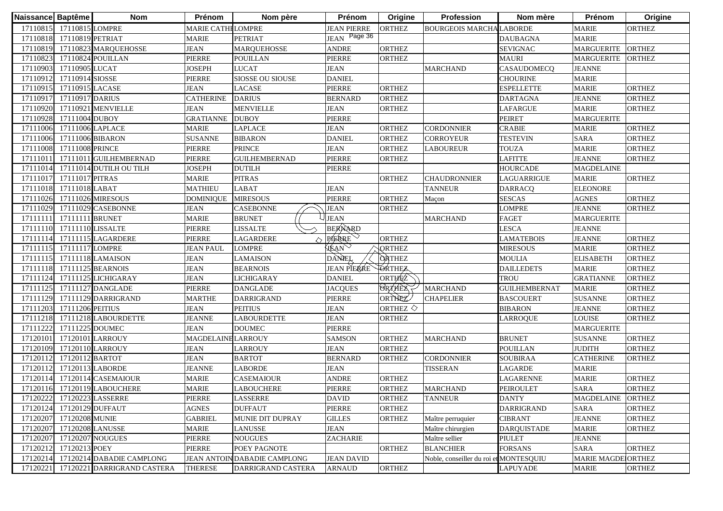| Naissance Baptême |                           | <b>Nom</b>                    | Prénom                    | Nom père                     | Prénom             | Origine               | Profession                             | Nom mère             | Prénom             | Origine       |
|-------------------|---------------------------|-------------------------------|---------------------------|------------------------------|--------------------|-----------------------|----------------------------------------|----------------------|--------------------|---------------|
| 17110815          | 17110815 LOMPRE           |                               | <b>MARIE CATHI LOMPRE</b> |                              | <b>JEAN PIERRE</b> | <b>ORTHEZ</b>         | <b>BOURGEOIS MARCHA LABORDE</b>        |                      | <b>MARIE</b>       | <b>ORTHEZ</b> |
|                   | 17110818 17110819 PETRIAT |                               | <b>MARIE</b>              | <b>PETRIAT</b>               | JEAN Page 36       |                       |                                        | <b>DAUBAGNA</b>      | <b>MARIE</b>       |               |
|                   |                           | 17110819 17110823 MARQUEHOSSE | <b>JEAN</b>               | <b>MARQUEHOSSE</b>           | <b>ANDRE</b>       | <b>ORTHEZ</b>         |                                        | <b>SEVIGNAC</b>      | <b>MARGUERITE</b>  | <b>ORTHEZ</b> |
| 17110823          |                           | 17110824 POUILLAN             | PIERRE                    | <b>POUILLAN</b>              | PIERRE             | <b>ORTHEZ</b>         |                                        | <b>MAURI</b>         | <b>MARGUERITE</b>  | <b>ORTHEZ</b> |
| 17110903          | 17110905 LUCAT            |                               | <b>JOSEPH</b>             | <b>LUCAT</b>                 | <b>JEAN</b>        |                       | <b>MARCHAND</b>                        | CASAUDOMECQ          | <b>JEANNE</b>      |               |
| 17110912          | 17110914 SIOSSE           |                               | PIERRE                    | SIOSSE OU SIOUSE             | <b>DANIEL</b>      |                       |                                        | <b>CHOURINE</b>      | <b>MARIE</b>       |               |
|                   | 17110915 17110915 LACASE  |                               | <b>JEAN</b>               | <b>LACASE</b>                | <b>PIERRE</b>      | <b>ORTHEZ</b>         |                                        | <b>ESPELLETTE</b>    | <b>MARIE</b>       | <b>ORTHEZ</b> |
|                   | 17110917 17110917 DARIUS  |                               | <b>CATHERINE</b>          | <b>DARIUS</b>                | <b>BERNARD</b>     | <b>ORTHEZ</b>         |                                        | <b>DARTAGNA</b>      | <b>JEANNE</b>      | <b>ORTHEZ</b> |
|                   |                           | 17110920 17110921 MENVIELLE   | <b>JEAN</b>               | <b>MENVIELLE</b>             | <b>JEAN</b>        | <b>ORTHEZ</b>         |                                        | <b>LAFARGUE</b>      | <b>MARIE</b>       | <b>ORTHEZ</b> |
|                   | 17110928 17111004 DUBOY   |                               | <b>GRATIANNE</b>          | <b>DUBOY</b>                 | PIERRE             |                       |                                        | <b>PEIRET</b>        | <b>MARGUERITE</b>  |               |
|                   | 17111006 17111006 LAPLACE |                               | <b>MARIE</b>              | <b>LAPLACE</b>               | <b>JEAN</b>        | <b>ORTHEZ</b>         | <b>CORDONNIER</b>                      | <b>CRABIE</b>        | <b>MARIE</b>       | <b>ORTHEZ</b> |
| 17111006          | 17111006 BIBARON          |                               | <b>SUSANNE</b>            | <b>BIBARON</b>               | <b>DANIEL</b>      | <b>ORTHEZ</b>         | <b>CORROYEUR</b>                       | <b>TESTEVIN</b>      | <b>SARA</b>        | <b>ORTHEZ</b> |
| 17111008          | 17111008 PRINCE           |                               | <b>PIERRE</b>             | <b>PRINCE</b>                | <b>JEAN</b>        | <b>ORTHEZ</b>         | <b>LABOUREUR</b>                       | <b>TOUZA</b>         | <b>MARIE</b>       | <b>ORTHEZ</b> |
| 17111011          |                           | 17111011 GUILHEMBERNAD        | PIERRE                    | <b>GUILHEMBERNAD</b>         | <b>PIERRE</b>      | <b>ORTHEZ</b>         |                                        | <b>LAFITTE</b>       | <b>JEANNE</b>      | <b>ORTHEZ</b> |
| 17111014          |                           | 17111014 DUTILH OU TILH       | <b>JOSEPH</b>             | <b>DUTILH</b>                | PIERRE             |                       |                                        | <b>HOURCADE</b>      | <b>MAGDELAINE</b>  |               |
|                   | 17111017 17111017 PITRAS  |                               | <b>MARIE</b>              | <b>PITRAS</b>                |                    | <b>ORTHEZ</b>         | <b>CHAUDRONNIER</b>                    | LAGUARRIGUE          | <b>MARIE</b>       | <b>ORTHEZ</b> |
|                   | 17111018 17111018 LABAT   |                               | <b>MATHIEU</b>            | LABAT                        | <b>JEAN</b>        |                       | TANNEUR                                | <b>DARRACO</b>       | <b>ELEONORE</b>    |               |
|                   |                           | 17111026 17111026 MIRESOUS    | <b>DOMINIQUE</b>          | <b>MIRESOUS</b>              | <b>PIERRE</b>      | <b>ORTHEZ</b>         | Maçon                                  | <b>SESCAS</b>        | <b>AGNES</b>       | <b>ORTHEZ</b> |
| 17111029          |                           | 17111029 CASEBONNE            | <b>JEAN</b>               | CASEBONNE                    | <b>JEAN</b>        | <b>ORTHEZ</b>         |                                        | <b>LOMPRE</b>        | <b>JEANNE</b>      | <b>ORTHEZ</b> |
| 17111111          | 17111111 BRUNET           |                               | <b>MARIE</b>              | <b>BRUNET</b>                | <b>JEAN</b>        |                       | <b>MARCHAND</b>                        | <b>FAGET</b>         | <b>MARGUERITE</b>  |               |
| 17111110          | 17111110 LISSALTE         |                               | PIERRE                    | <b>LISSALTE</b>              | <b>BERNARD</b>     |                       |                                        | <b>LESCA</b>         | <b>JEANNE</b>      |               |
| 17111114          |                           | 17111115 LAGARDERE            | PIERRE                    | LAGARDERE                    | PIERRE             | <b>ORTHEZ</b>         |                                        | <b>LAMATEBOIS</b>    | <b>JEANNE</b>      | <b>ORTHEZ</b> |
| 17111115          | 17111117 LOMPRE           |                               | <b>JEAN PAUL</b>          | <b>LOMPRE</b>                | <b>VEAN</b>        | <b>QRTHEZ</b>         |                                        | <b>MIRESOUS</b>      | <b>MARIE</b>       | <b>ORTHEZ</b> |
|                   |                           | 17111115 17111118 LAMAISON    | <b>JEAN</b>               | <b>LAMAISON</b>              | <b>DANEL</b>       | <b>ORTHEZ</b>         |                                        | <b>MOULIA</b>        | <b>ELISABETH</b>   | <b>ORTHEZ</b> |
|                   |                           | 17111118 17111125 BEARNOIS    | <b>JEAN</b>               | <b>BEARNOIS</b>              | <b>JEAN PIERRE</b> | <b>TORTHEZ</b>        |                                        | <b>DAILLEDETS</b>    | <b>MARIE</b>       | <b>ORTHEZ</b> |
|                   |                           | 17111124 17111125 LICHIGARAY  | <b>JEAN</b>               | <b>LICHIGARAY</b>            | <b>DANIEL</b>      | ORTHEZ                |                                        | <b>TROU</b>          | <b>GRATIANNE</b>   | <b>ORTHEZ</b> |
|                   |                           | 17111125 17111127 DANGLADE    | <b>PIERRE</b>             | <b>DANGLADE</b>              | <b>JACQUES</b>     | <b>ORTHEX</b>         | <b>MARCHAND</b>                        | <b>GUILHEMBERNAT</b> | <b>MARIE</b>       | <b>ORTHEZ</b> |
| 17111129          |                           | 17111129 DARRIGRAND           | <b>MARTHE</b>             | <b>DARRIGRAND</b>            | PIERRE             | ORTHEZ                | <b>CHAPELIER</b>                       | <b>BASCOUERT</b>     | <b>SUSANNE</b>     | <b>ORTHEZ</b> |
| 17111203          | 17111206 PEITIUS          |                               | <b>JEAN</b>               | <b>PEITIUS</b>               | <b>JEAN</b>        | ORTHEZ $\diamondsuit$ |                                        | <b>BIBARON</b>       | <b>JEANNE</b>      | <b>ORTHEZ</b> |
| 17111218          |                           | 17111218 LABOURDETTE          | <b>JEANNE</b>             | <b>LABOURDETTE</b>           | <b>JEAN</b>        | <b>ORTHEZ</b>         |                                        | <b>LARROQUE</b>      | <b>LOUISE</b>      | <b>ORTHEZ</b> |
| 17111222          | 17111225 DOUMEC           |                               | <b>JEAN</b>               | <b>DOUMEC</b>                | PIERRE             |                       |                                        |                      | <b>MARGUERITE</b>  |               |
| 17120101          | 17120101 LARROUY          |                               | <b>MAGDELAINE LARROUY</b> |                              | <b>SAMSON</b>      | <b>ORTHEZ</b>         | <b>MARCHAND</b>                        | <b>BRUNET</b>        | <b>SUSANNE</b>     | <b>ORTHEZ</b> |
| 17120109          |                           | 17120110 LARROUY              | <b>JEAN</b>               | <b>LARROUY</b>               | <b>JEAN</b>        | <b>ORTHEZ</b>         |                                        | <b>POUILLAN</b>      | <b>JUDITH</b>      | <b>ORTHEZ</b> |
| 17120112          | 17120112 BARTOT           |                               | <b>JEAN</b>               | <b>BARTOT</b>                | <b>BERNARD</b>     | ORTHEZ                | <b>CORDONNIER</b>                      | <b>SOUBIRAA</b>      | <b>CATHERINE</b>   | <b>ORTHEZ</b> |
| 17120112          | 17120113 LABORDE          |                               | <b>JEANNE</b>             | LABORDE                      | <b>JEAN</b>        |                       | <b>TISSERAN</b>                        | <b>LAGARDE</b>       | <b>MARIE</b>       |               |
| 17120114          |                           | 17120114 CASEMAIOUR           | <b>MARIE</b>              | <b>CASEMAIOUR</b>            | <b>ANDRE</b>       | <b>ORTHEZ</b>         |                                        | <b>LAGARENNE</b>     | <b>MARIE</b>       | <b>ORTHEZ</b> |
|                   |                           | 17120116 17120119 LABOUCHERE  | <b>MARIE</b>              | <b>LABOUCHERE</b>            | PIERRE             | <b>ORTHEZ</b>         | <b>MARCHAND</b>                        | <b>PEIROULET</b>     | <b>SARA</b>        | <b>ORTHEZ</b> |
|                   |                           | 17120222 17120223 LASSERRE    | PIERRE                    | <b>LASSERRE</b>              | <b>DAVID</b>       | <b>ORTHEZ</b>         | <b>TANNEUR</b>                         | <b>DANTY</b>         | MAGDELAINE ORTHEZ  |               |
| 17120124          | 17120129 DUFFAUT          |                               | <b>AGNES</b>              | <b>DUFFAUT</b>               | PIERRE             | <b>ORTHEZ</b>         |                                        | <b>DARRIGRAND</b>    | <b>SARA</b>        | <b>ORTHEZ</b> |
| 17120207          | 17120208 MUNIE            |                               | <b>GABRIEL</b>            | MUNIE DIT DUPRAY             | <b>GILLES</b>      | <b>ORTHEZ</b>         | Maître perruquier                      | <b>CIBRANT</b>       | <b>JEANNE</b>      | <b>ORTHEZ</b> |
| 17120207          | 17120208 LANUSSE          |                               | <b>MARIE</b>              | LANUSSE                      | <b>JEAN</b>        |                       | Maître chirurgien                      | <b>DARQUISTADE</b>   | <b>MARIE</b>       | <b>ORTHEZ</b> |
| 17120207          | 17120207 NOUGUES          |                               | PIERRE                    | <b>NOUGUES</b>               | <b>ZACHARIE</b>    |                       | Maître sellier                         | PIULET               | <b>JEANNE</b>      |               |
| 17120212          | 17120213 POEY             |                               | PIERRE                    | POEY PAGNOTE                 |                    | <b>ORTHEZ</b>         | <b>BLANCHIER</b>                       | <b>FORSANS</b>       | <b>SARA</b>        | <b>ORTHEZ</b> |
| 17120214          |                           | 17120214 DABADIE CAMPLONG     |                           | JEAN ANTOIN DABADIE CAMPLONG | <b>JEAN DAVID</b>  |                       | Noble, conseiller du roi et MONTESQUIU |                      | MARIE MAGDEIORTHEZ |               |
| 17120221          |                           | 17120221 DARRIGRAND CASTERA   | <b>THERESE</b>            | DARRIGRAND CASTERA           | <b>ARNAUD</b>      | <b>ORTHEZ</b>         |                                        | <b>LAPUYADE</b>      | <b>MARIE</b>       | <b>ORTHEZ</b> |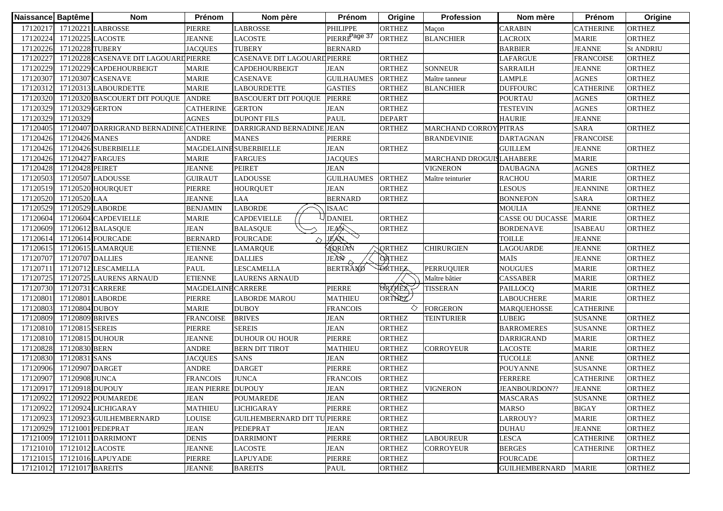| Naissance Baptême |                           | <b>Nom</b>                              | Prénom                    | Nom père                            | Prénom                    | Origine       | Profession               | Nom mère                | Prénom           | Origine          |
|-------------------|---------------------------|-----------------------------------------|---------------------------|-------------------------------------|---------------------------|---------------|--------------------------|-------------------------|------------------|------------------|
| 17120217          |                           | 17120221 LABROSSE                       | <b>PIERRE</b>             | <b>LABROSSE</b>                     | PHILIPPE                  | <b>ORTHEZ</b> | Maçon                    | <b>CARABIN</b>          | <b>CATHERINE</b> | <b>ORTHEZ</b>    |
|                   | 17120224 17120225 LACOSTE |                                         | <b>JEANNE</b>             | <b>LACOSTE</b>                      | PIERRE <sup>Page 37</sup> | <b>ORTHEZ</b> | <b>BLANCHIER</b>         | <b>LACROIX</b>          | <b>MARIE</b>     | <b>ORTHEZ</b>    |
| 17120226          | 17120228 TUBERY           |                                         | <b>JACQUES</b>            | <b>TUBERY</b>                       | <b>BERNARD</b>            |               |                          | <b>BARBIER</b>          | <b>JEANNE</b>    | <b>St ANDRIU</b> |
| 17120227          |                           | 17120228 CASENAVE DIT LAGOUARD PIERRE   |                           | CASENAVE DIT LAGOUARD PIERRE        |                           | <b>ORTHEZ</b> |                          | <b>LAFARGUE</b>         | <b>FRANCOISE</b> | <b>ORTHEZ</b>    |
| 17120229          |                           | 17120229 CAPDEHOURBEIGT                 | <b>MARIE</b>              | CAPDEHOURBEIGT                      | <b>JEAN</b>               | <b>ORTHEZ</b> | <b>SONNEUR</b>           | <b>SARRAILH</b>         | <b>JEANNE</b>    | <b>ORTHEZ</b>    |
| 17120307          |                           | 17120307 CASENAVE                       | <b>MARIE</b>              | CASENAVE                            | <b>GUILHAUMES</b>         | <b>ORTHEZ</b> | Maître tanneur           | <b>LAMPLE</b>           | <b>AGNES</b>     | <b>ORTHEZ</b>    |
|                   |                           | 17120312 17120313 LABOURDETTE           | <b>MARIE</b>              | <b>LABOURDETTE</b>                  | <b>GASTIES</b>            | <b>ORTHEZ</b> | <b>BLANCHIER</b>         | <b>DUFFOURC</b>         | <b>CATHERINE</b> | <b>ORTHEZ</b>    |
|                   |                           | 17120320 17120320 BASCOUERT DIT POUQUE  | <b>ANDRE</b>              | <b>BASCOUERT DIT POUQUE</b>         | <b>PIERRE</b>             | <b>ORTHEZ</b> |                          | <b>POURTAU</b>          | <b>AGNES</b>     | <b>ORTHEZ</b>    |
| 17120329          | 17120329 GERTON           |                                         | <b>CATHERINE</b>          | <b>GERTON</b>                       | <b>JEAN</b>               | <b>ORTHEZ</b> |                          | <b>TESTEVIN</b>         | <b>AGNES</b>     | <b>ORTHEZ</b>    |
| 17120329          | 17120329                  |                                         | <b>AGNES</b>              | <b>DUPONT FILS</b>                  | <b>PAUL</b>               | <b>DEPART</b> |                          | <b>HAURIE</b>           | <b>JEANNE</b>    |                  |
| 17120405          |                           | 17120407 DARRIGRAND BERNADINE CATHERINE |                           | DARRIGRAND BERNADINE JEAN           |                           | <b>ORTHEZ</b> | <b>MARCHAND CORROY</b>   | PITRAS                  | <b>SARA</b>      | <b>ORTHEZ</b>    |
| 17120426          | 17120426 MANES            |                                         | <b>ANDRE</b>              | <b>MANES</b>                        | <b>PIERRE</b>             |               | <b>BRANDEVINIE</b>       | <b>DARTAGNAN</b>        | <b>FRANCOISE</b> |                  |
| 17120426          |                           | 17120426 SUBERBIELLE                    |                           | MAGDELAINE SUBERBIELLE              | <b>JEAN</b>               | <b>ORTHEZ</b> |                          | <b>GUILLEM</b>          | <b>JEANNE</b>    | <b>ORTHEZ</b>    |
| 17120426          | 17120427 FARGUES          |                                         | <b>MARIE</b>              | <b>FARGUES</b>                      | <b>JACQUES</b>            |               | MARCHAND DROGUISLAHABERE |                         | <b>MARIE</b>     |                  |
| 17120428          | 17120428 PEIRET           |                                         | <b>JEANNE</b>             | <b>PEIRET</b>                       | <b>JEAN</b>               |               | <b>VIGNERON</b>          | <b>DAUBAGNA</b>         | <b>AGNES</b>     | <b>ORTHEZ</b>    |
| 17120503          |                           | 17120507 LADOUSSE                       | <b>GUIRAUT</b>            | LADOUSSE                            | <b>GUILHAUMES</b>         | <b>ORTHEZ</b> | Maître teinturier        | <b>RACHOU</b>           | <b>MARIE</b>     | <b>ORTHEZ</b>    |
| 17120519          |                           | 17120520 HOURQUET                       | <b>PIERRE</b>             | <b>HOURQUET</b>                     | <b>JEAN</b>               | <b>ORTHEZ</b> |                          | <b>LESOUS</b>           | <b>JEANNINE</b>  | <b>ORTHEZ</b>    |
| 17120520          | 17120520 LAA              |                                         | <b>JEANNE</b>             | LAA                                 | <b>BERNARD</b>            | <b>ORTHEZ</b> |                          | <b>BONNEFON</b>         | <b>SARA</b>      | <b>ORTHEZ</b>    |
| 17120529          | 17120529 LABORDE          |                                         | <b>BENJAMIN</b>           | <b>LABORDE</b>                      | <b>ISAAC</b>              |               |                          | <b>MOULIA</b>           | <b>JEANNE</b>    | <b>ORTHEZ</b>    |
| 17120604          |                           | 17120604 CAPDEVIELLE                    | <b>MARIE</b>              | <b>CAPDEVIELLE</b>                  | <b>DANIEL</b>             | <b>ORTHEZ</b> |                          | <b>CASSE OU DUCASSE</b> | <b>MARIE</b>     | <b>ORTHEZ</b>    |
| 17120609          |                           | 17120612 BALASQUE                       | <b>JEAN</b>               | <b>BALASQUE</b>                     | JEAN                      | <b>ORTHEZ</b> |                          | <b>BORDENAVE</b>        | <b>ISABEAU</b>   | <b>ORTHEZ</b>    |
| 17120614          |                           | 17120614 FOURCADE                       | <b>BERNARD</b>            | <b>FOURCADE</b>                     | JEAN                      |               |                          | <b>TOILLE</b>           | <b>JEANNE</b>    |                  |
| 17120615          |                           | 17120615 LAMARQUE                       | <b>ETIENNE</b>            | <b>LAMARQUE</b>                     | ADRIAN                    | <b>QRTHEZ</b> | <b>CHIRURGIEN</b>        | LAGOUARDE               | <b>JEANNE</b>    | <b>ORTHEZ</b>    |
| 17120707          | 17120707 DALLIES          |                                         | <b>JEANNE</b>             | <b>DALLIES</b>                      | JEÀN                      | <b>ORTHEZ</b> |                          | MAÏS                    | <b>JEANNE</b>    | <b>ORTHEZ</b>    |
| 17120711          |                           | 17120712 LESCAMELLA                     | PAUL                      | <b>LESCAMELLA</b>                   | <b>BERTRAND</b>           | <b>ORTHEZ</b> | <b>PERRUQUIER</b>        | <b>NOUGUES</b>          | <b>MARIE</b>     | <b>ORTHEZ</b>    |
| 17120725          |                           | 17120725 LAURENS ARNAUD                 | <b>ETIENNE</b>            | <b>LAURENS ARNAUD</b>               |                           |               | Maître bâtier            | <b>CASSABER</b>         | <b>MARIE</b>     | <b>ORTHEZ</b>    |
| 17120730          | 17120731 CARRERE          |                                         | <b>MAGDELAINE CARRERE</b> |                                     | PIERRE                    | <b>ORTHEX</b> | <b>TISSERAN</b>          | <b>PAILLOCQ</b>         | <b>MARIE</b>     | <b>ORTHEZ</b>    |
| 17120801          |                           | 17120801 LABORDE                        | PIERRE                    | <b>LABORDE MAROU</b>                | <b>MATHIEU</b>            | ORTHEZ        |                          | <b>LABOUCHERE</b>       | <b>MARIE</b>     | <b>ORTHEZ</b>    |
| 17120803          | 17120804 DUBOY            |                                         | <b>MARIE</b>              | <b>DUBOY</b>                        | <b>FRANCOIS</b>           | ◇             | <b>FORGERON</b>          | <b>MARQUEHOSSE</b>      | <b>CATHERINE</b> |                  |
| 17120809          | 17120809 BRIVES           |                                         | <b>FRANCOISE</b>          | <b>BRIVES</b>                       | <b>JEAN</b>               | <b>ORTHEZ</b> | <b>TEINTURIER</b>        | <b>LUBEIG</b>           | <b>SUSANNE</b>   | <b>ORTHEZ</b>    |
| 17120810          | 17120815 SEREIS           |                                         | <b>PIERRE</b>             | <b>SEREIS</b>                       | <b>JEAN</b>               | <b>ORTHEZ</b> |                          | <b>BARROMERES</b>       | <b>SUSANNE</b>   | <b>ORTHEZ</b>    |
| 17120810          | 17120815 DUHOUR           |                                         | <b>JEANNE</b>             | <b>DUHOUR OU HOUR</b>               | PIERRE                    | <b>ORTHEZ</b> |                          | <b>DARRIGRAND</b>       | <b>MARIE</b>     | <b>ORTHEZ</b>    |
| 17120828          | 17120830 BERN             |                                         | ANDRE                     | <b>BERN DIT TIROT</b>               | <b>MATHIEU</b>            | <b>ORTHEZ</b> | CORROYEUR                | <b>LACOSTE</b>          | <b>MARIE</b>     | <b>ORTHEZ</b>    |
| 17120830          | 17120831 SANS             |                                         | <b>JACOUES</b>            | <b>SANS</b>                         | <b>JEAN</b>               | <b>ORTHEZ</b> |                          | <b>TUCOLLE</b>          | <b>ANNE</b>      | <b>ORTHEZ</b>    |
| 17120906          | 17120907 DARGET           |                                         | <b>ANDRE</b>              | <b>DARGET</b>                       | PIERRE                    | <b>ORTHEZ</b> |                          | <b>POUYANNE</b>         | <b>SUSANNE</b>   | <b>ORTHEZ</b>    |
| 17120907          | 17120908 JUNCA            |                                         | <b>FRANCOIS</b>           | <b>JUNCA</b>                        | <b>FRANCOIS</b>           | <b>ORTHEZ</b> |                          | <b>FERRERE</b>          | <b>CATHERINE</b> | <b>ORTHEZ</b>    |
|                   | 17120917 17120918 DUPOUY  |                                         | <b>JEAN PIERRE DUPOUY</b> |                                     | <b>JEAN</b>               | <b>ORTHEZ</b> | <b>VIGNERON</b>          | JEANBOURDON??           | <b>JEANNE</b>    | <b>ORTHEZ</b>    |
|                   |                           | 17120922 17120922 POUMAREDE             | <b>JEAN</b>               | <b>POUMAREDE</b>                    | <b>JEAN</b>               | <b>ORTHEZ</b> |                          | <b>MASCARAS</b>         | <b>SUSANNE</b>   | <b>ORTHEZ</b>    |
| 17120922          |                           | 17120924 LICHIGARAY                     | <b>MATHIEU</b>            | <b>LICHIGARAY</b>                   | PIERRE                    | <b>ORTHEZ</b> |                          | <b>MARSO</b>            | <b>BIGAY</b>     | <b>ORTHEZ</b>    |
| 17120923          |                           | 17120923 GUILHEMBERNARD                 | <b>LOUISE</b>             | <b>GUILHEMBERNARD DIT TU PIERRE</b> |                           | <b>ORTHEZ</b> |                          | LARROUY?                | <b>MARIE</b>     | <b>ORTHEZ</b>    |
|                   |                           | 17120929 17121001 PEDEPRAT              | <b>JEAN</b>               | PEDEPRAT                            | <b>JEAN</b>               | <b>ORTHEZ</b> |                          | <b>DUHAU</b>            | <b>JEANNE</b>    | <b>ORTHEZ</b>    |
|                   |                           | 17121009 17121011 DARRIMONT             | <b>DENIS</b>              | <b>DARRIMONT</b>                    | PIERRE                    | <b>ORTHEZ</b> | <b>LABOUREUR</b>         | <b>LESCA</b>            | <b>CATHERINE</b> | <b>ORTHEZ</b>    |
|                   | 17121010 17121012 LACOSTE |                                         | <b>JEANNE</b>             | <b>LACOSTE</b>                      | <b>JEAN</b>               | <b>ORTHEZ</b> | <b>CORROYEUR</b>         | <b>BERGES</b>           | <b>CATHERINE</b> | <b>ORTHEZ</b>    |
| 17121015          |                           | 17121016 LAPUYADE                       | PIERRE                    | <b>LAPUYADE</b>                     | PIERRE                    | <b>ORTHEZ</b> |                          | <b>FOURCADE</b>         |                  | <b>ORTHEZ</b>    |
| 17121012          | 17121017 BAREITS          |                                         | <b>JEANNE</b>             | <b>BAREITS</b>                      | PAUL                      | <b>ORTHEZ</b> |                          | <b>GUILHEMBERNARD</b>   | <b>MARIE</b>     | <b>ORTHEZ</b>    |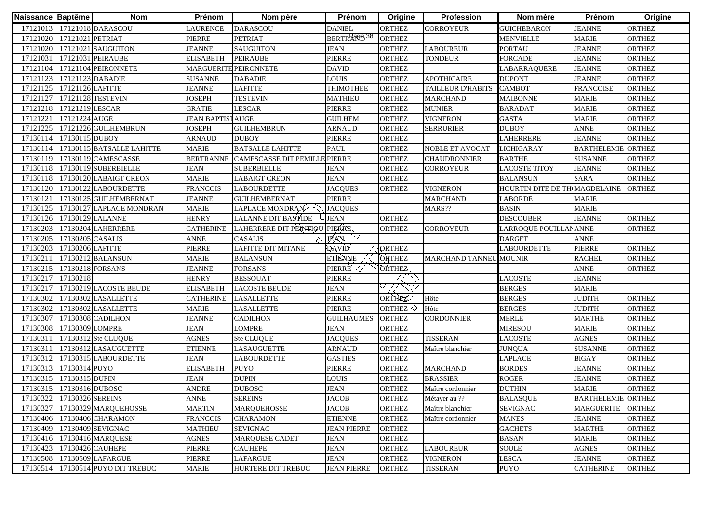| Naissance Baptême |                            | <b>Nom</b>                   | Prénom                  | Nom père                      | Prénom                      | Origine               | Profession               | Nom mère                      | Prénom                    | Origine       |
|-------------------|----------------------------|------------------------------|-------------------------|-------------------------------|-----------------------------|-----------------------|--------------------------|-------------------------------|---------------------------|---------------|
|                   |                            | 17121013 17121018 DARASCOU   | LAURENCE                | <b>DARASCOU</b>               | <b>DANIEL</b>               | ORTHEZ                | <b>CORROYEUR</b>         | <b>GUICHEBARON</b>            | <b>JEANNE</b>             | <b>ORTHEZ</b> |
|                   | 17121020 17121021 PETRIAT  |                              | PIERRE                  | <b>PETRIAT</b>                | BERTRAND 38                 | <b>ORTHEZ</b>         |                          | <b>MENVIELLE</b>              | <b>MARIE</b>              | <b>ORTHEZ</b> |
|                   |                            | 17121020 17121021 SAUGUITON  | <b>JEANNE</b>           | <b>SAUGUITON</b>              | <b>JEAN</b>                 | <b>ORTHEZ</b>         | <b>LABOUREUR</b>         | <b>PORTAU</b>                 | <b>JEANNE</b>             | <b>ORTHEZ</b> |
| 17121031          |                            | 17121031 PEIRAUBE            | <b>ELISABETH</b>        | <b>PEIRAUBE</b>               | PIERRE                      | <b>ORTHEZ</b>         | <b>TONDEUR</b>           | <b>FORCADE</b>                | <b>JEANNE</b>             | <b>ORTHEZ</b> |
|                   |                            | 17121104 17121104 PEIRONNETE | MARGUERITE PEIRONNETE   |                               | <b>DAVID</b>                | <b>ORTHEZ</b>         |                          | LABARRAQUERE                  | <b>JEANNE</b>             | <b>ORTHEZ</b> |
|                   | 17121123 17121123 DABADIE  |                              | <b>SUSANNE</b>          | <b>DABADIE</b>                | <b>LOUIS</b>                | <b>ORTHEZ</b>         | <b>APOTHICAIRE</b>       | <b>DUPONT</b>                 | <b>JEANNE</b>             | <b>ORTHEZ</b> |
|                   | 17121125 17121126 LAFITTE  |                              | <b>JEANNE</b>           | <b>LAFITTE</b>                | <b>THIMOTHEE</b>            | <b>ORTHEZ</b>         | <b>TAILLEUR D'HABITS</b> | <b>CAMBOT</b>                 | <b>FRANCOISE</b>          | <b>ORTHEZ</b> |
|                   | 17121127 17121128 TESTEVIN |                              | <b>JOSEPH</b>           | <b>TESTEVIN</b>               | <b>MATHIEU</b>              | <b>ORTHEZ</b>         | <b>MARCHAND</b>          | <b>MAIBONNE</b>               | <b>MARIE</b>              | <b>ORTHEZ</b> |
|                   | 17121218 17121219 LESCAR   |                              | <b>GRATIE</b>           | <b>LESCAR</b>                 | PIERRE                      | <b>ORTHEZ</b>         | <b>MUNIER</b>            | <b>BARADAT</b>                | <b>MARIE</b>              | <b>ORTHEZ</b> |
| 17121221          | 17121224 AUGE              |                              | <b>JEAN BAPTISTAUGE</b> |                               | <b>GUILHEM</b>              | <b>ORTHEZ</b>         | <b>VIGNERON</b>          | <b>GASTA</b>                  | <b>MARIE</b>              | <b>ORTHEZ</b> |
| 17121225          |                            | 17121226 GUILHEMBRUN         | <b>JOSEPH</b>           | <b>GUILHEMBRUN</b>            | <b>ARNAUD</b>               | <b>ORTHEZ</b>         | <b>SERRURIER</b>         | <b>DUBOY</b>                  | <b>ANNE</b>               | <b>ORTHEZ</b> |
| 17130114          | 17130115 DUBOY             |                              | <b>ARNAUD</b>           | <b>DUBOY</b>                  | PIERRE                      | <b>ORTHEZ</b>         |                          | <b>LAHERRERE</b>              | <b>JEANNE</b>             | <b>ORTHEZ</b> |
| 17130114          |                            | 17130115 BATSALLE LAHITTE    | <b>MARIE</b>            | <b>BATSALLE LAHITTE</b>       | <b>PAUL</b>                 | <b>ORTHEZ</b>         | NOBLE ET AVOCAT          | <b>LICHIGARAY</b>             | <b>BARTHELEMIE</b>        | <b>ORTHEZ</b> |
| 17130119          |                            | 17130119 CAMESCASSE          | <b>BERTRANNE</b>        | <b>CAMESCASSE DIT PEMILLE</b> | PIERRE                      | <b>ORTHEZ</b>         | <b>CHAUDRONNIER</b>      | <b>BARTHE</b>                 | <b>SUSANNE</b>            | <b>ORTHEZ</b> |
| 17130118          |                            | 17130119 SUBERBIELLE         | <b>JEAN</b>             | <b>SUBERBIELLE</b>            | <b>JEAN</b>                 | <b>ORTHEZ</b>         | CORROYEUR                | <b>LACOSTE TITOY</b>          | <b>JEANNE</b>             | <b>ORTHEZ</b> |
| 17130118          |                            | 17130120 LABAIGT CREON       | <b>MARIE</b>            | <b>LABAIGT CREON</b>          | <b>JEAN</b>                 | <b>ORTHEZ</b>         |                          | <b>BALANSUN</b>               | <b>SARA</b>               | <b>ORTHEZ</b> |
| 17130120          |                            | 17130122 LABOURDETTE         | <b>FRANCOIS</b>         | <b>LABOURDETTE</b>            | <b>JACQUES</b>              | <b>ORTHEZ</b>         | <b>VIGNERON</b>          | HOURTIN DITE DE TH MAGDELAINE |                           | <b>ORTHEZ</b> |
| 17130121          |                            | 17130125 GUILHEMBERNAT       | <b>JEANNE</b>           | <b>GUILHEMBERNAT</b>          | PIERRE                      |                       | <b>MARCHAND</b>          | <b>LABORDE</b>                | <b>MARIE</b>              |               |
| 17130125          |                            | 17130127 LAPLACE MONDRAN     | <b>MARIE</b>            | LAPLACE MONDRAN               | <b>JACQUES</b>              |                       | MARS??                   | <b>BASIN</b>                  | <b>MARIE</b>              |               |
| 17130126          |                            | 17130129 LALANNE             | <b>HENRY</b>            | LALANNE DIT BASTIDE           | <b>JEAN</b>                 | <b>ORTHEZ</b>         |                          | <b>DESCOUBER</b>              | <b>JEANNE</b>             | <b>ORTHEZ</b> |
| 17130203          |                            | 17130204 LAHERRERE           | <b>CATHERINE</b>        | LAHERRERE DIT PENTIOU PIERRE  |                             | <b>ORTHEZ</b>         | <b>CORROYEUR</b>         | LARROQUE POUILLANANNE         |                           | <b>ORTHEZ</b> |
| 17130205          | 17130205 CASALIS           |                              | <b>ANNE</b>             | <b>CASALIS</b>                | $\heartsuit$<br><b>JEAN</b> |                       |                          | <b>DARGET</b>                 | <b>ANNE</b>               |               |
| 17130203          | 17130206 LAFITTE           |                              | <b>PIERRE</b>           | LAFITTE DIT MITANE            | <b>QAVID</b>                | <b>QRTHEZ</b>         |                          | <b>LABOURDETTE</b>            | PIERRE                    | <b>ORTHEZ</b> |
| 17130211          |                            | 17130212 BALANSUN            | <b>MARIE</b>            | <b>BALANSUN</b>               | <b>ETTENNE</b>              | <b>ORTHEZ</b>         | MARCHAND TANNEU MOUNIR   |                               | <b>RACHEL</b>             | <b>ORTHEZ</b> |
| 17130215          | 17130218 FORSANS           |                              | <b>JEANNE</b>           | <b>FORSANS</b>                | PIERRE                      | <b>TORTHEZ</b>        |                          |                               | <b>ANNE</b>               | <b>ORTHEZ</b> |
| 17130217          | 17130218                   |                              | <b>HENRY</b>            | <b>BESSOUAT</b>               | PIERRE                      |                       |                          | <b>LACOSTE</b>                | <b>JEANNE</b>             |               |
| 17130217          |                            | 17130219 LACOSTE BEUDE       | <b>ELISABETH</b>        | <b>LACOSTE BEUDE</b>          | <b>JEAN</b>                 |                       |                          | <b>BERGES</b>                 | <b>MARIE</b>              |               |
| 17130302          |                            | 17130302 LASALLETTE          | <b>CATHERINE</b>        | <b>LASALLETTE</b>             | PIERRE                      | ORTHEZ                | Hôte                     | <b>BERGES</b>                 | <b>JUDITH</b>             | <b>ORTHEZ</b> |
| 17130302          |                            | 17130302 LASALLETTE          | <b>MARIE</b>            | <b>LASALLETTE</b>             | PIERRE                      | ORTHEZ $\diamondsuit$ | Hôte                     | <b>BERGES</b>                 | <b>JUDITH</b>             | <b>ORTHEZ</b> |
| 17130307          |                            | 17130308 CADILHON            | <b>JEANNE</b>           | <b>CADILHON</b>               | <b>GUILHAUMES</b>           | <b>ORTHEZ</b>         | <b>CORDONNIER</b>        | <b>MERLE</b>                  | <b>MARTHE</b>             | <b>ORTHEZ</b> |
| 17130308          | 17130309 LOMPRE            |                              | <b>JEAN</b>             | LOMPRE                        | <b>JEAN</b>                 | <b>ORTHEZ</b>         |                          | <b>MIRESOU</b>                | <b>MARIE</b>              | <b>ORTHEZ</b> |
| 17130311          |                            | 17130312 Ste CLUQUE          | <b>AGNES</b>            | Ste CLUQUE                    | <b>JACQUES</b>              | <b>ORTHEZ</b>         | <b>TISSERAN</b>          | <b>LACOSTE</b>                | <b>AGNES</b>              | <b>ORTHEZ</b> |
| 17130311          |                            | 17130312 LASAUGUETTE         | <b>ETIENNE</b>          | LASAUGUETTE                   | <b>ARNAUD</b>               | <b>ORTHEZ</b>         | Maître blanchier         | <b>JUNQUA</b>                 | <b>SUSANNE</b>            | <b>ORTHEZ</b> |
| 17130312          |                            | 17130315 LABOURDETTE         | <b>JEAN</b>             | <b>LABOURDETTE</b>            | <b>GASTIES</b>              | <b>ORTHEZ</b>         |                          | <b>LAPLACE</b>                | <b>BIGAY</b>              | <b>ORTHEZ</b> |
| 17130313          | 17130314 PUYO              |                              | <b>ELISABETH</b>        | <b>PUYO</b>                   | PIERRE                      | <b>ORTHEZ</b>         | <b>MARCHAND</b>          | <b>BORDES</b>                 | <b>JEANNE</b>             | <b>ORTHEZ</b> |
| 1713031           | 17130315 DUPIN             |                              | <b>JEAN</b>             | <b>DUPIN</b>                  | <b>LOUIS</b>                | <b>ORTHEZ</b>         | <b>BRASSIER</b>          | <b>ROGER</b>                  | <b>JEANNE</b>             | <b>ORTHEZ</b> |
|                   | 17130315 17130316 DUBOSC   |                              | <b>ANDRE</b>            | <b>DUBOSC</b>                 | <b>JEAN</b>                 | <b>ORTHEZ</b>         | Maître cordonnier        | <b>DUTHIN</b>                 | <b>MARIE</b>              | <b>ORTHEZ</b> |
|                   | 17130322 17130326 SEREINS  |                              | <b>ANNE</b>             | <b>SEREINS</b>                | <b>JACOB</b>                | <b>ORTHEZ</b>         | Métayer au ??            | <b>BALASQUE</b>               | <b>BARTHELEMIE ORTHEZ</b> |               |
| 17130327          |                            | 17130329 MARQUEHOSSE         | <b>MARTIN</b>           | <b>MARQUEHOSSE</b>            | <b>JACOB</b>                | <b>ORTHEZ</b>         | Maître blanchier         | <b>SEVIGNAC</b>               | <b>MARGUERITE</b>         | <b>ORTHEZ</b> |
|                   |                            | 17130406 17130406 CHARAMON   | <b>FRANCOIS</b>         | <b>CHARAMON</b>               | <b>ETIENNE</b>              | <b>ORTHEZ</b>         | Maître cordonnier        | <b>MANES</b>                  | <b>JEANNE</b>             | <b>ORTHEZ</b> |
|                   |                            | 17130409 17130409 SEVIGNAC   | <b>MATHIEU</b>          | <b>SEVIGNAC</b>               | <b>JEAN PIERRE</b>          | <b>ORTHEZ</b>         |                          | <b>GACHETS</b>                | <b>MARTHE</b>             | <b>ORTHEZ</b> |
|                   |                            | 17130416 17130416 MARQUESE   | <b>AGNES</b>            | MARQUESE CADET                | <b>JEAN</b>                 | <b>ORTHEZ</b>         |                          | <b>BASAN</b>                  | <b>MARIE</b>              | <b>ORTHEZ</b> |
| 17130423          |                            | 17130426 CAUHEPE             | PIERRE                  | <b>CAUHEPE</b>                | JEAN                        | <b>ORTHEZ</b>         | <b>LABOUREUR</b>         | <b>SOULE</b>                  | <b>AGNES</b>              | <b>ORTHEZ</b> |
| 17130508          |                            | 17130509 LAFARGUE            | PIERRE                  | LAFARGUE                      | <b>JEAN</b>                 | <b>ORTHEZ</b>         | <b>VIGNERON</b>          | <b>LESCA</b>                  | <b>JEANNE</b>             | <b>ORTHEZ</b> |
| 17130514          |                            | 17130514 PUYO DIT TREBUC     | <b>MARIE</b>            | HURTERE DIT TREBUC            | <b>JEAN PIERRE</b>          | <b>ORTHEZ</b>         | <b>TISSERAN</b>          | <b>PUYO</b>                   | <b>CATHERINE</b>          | <b>ORTHEZ</b> |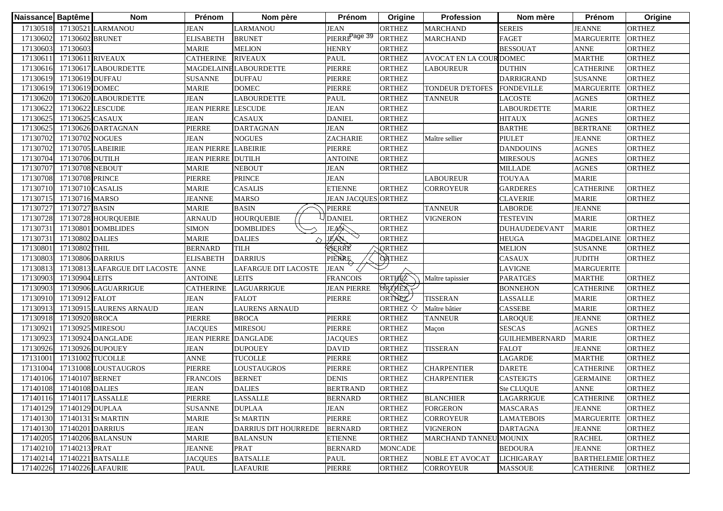|          | Naissance Baptême        | <b>Nom</b>                                                                                                 | <b>Prénom</b>                                         | Nom père                                                                                | <b>Prénom</b>                                                                          | Origine                                                                                             | Profession                                                                        | Nom mère                                                                    | Prénom                                                                                                        | Origine                                                                           |
|----------|--------------------------|------------------------------------------------------------------------------------------------------------|-------------------------------------------------------|-----------------------------------------------------------------------------------------|----------------------------------------------------------------------------------------|-----------------------------------------------------------------------------------------------------|-----------------------------------------------------------------------------------|-----------------------------------------------------------------------------|---------------------------------------------------------------------------------------------------------------|-----------------------------------------------------------------------------------|
|          |                          | 17130518 17130521 LARMANOU                                                                                 | <b>JEAN</b>                                           | <b>LARMANOU</b>                                                                         | <b>JEAN</b>                                                                            | <b>ORTHEZ</b>                                                                                       | <b>MARCHAND</b>                                                                   | <b>SEREIS</b>                                                               | <b>JEANNE</b>                                                                                                 | <b>ORTHEZ</b>                                                                     |
| 17130602 |                          | 17130602 BRUNET                                                                                            | <b>ELISABETH</b>                                      | <b>BRUNET</b>                                                                           | PIERRE <sup>Page 39</sup>                                                              | <b>ORTHEZ</b>                                                                                       | <b>MARCHAND</b>                                                                   | <b>FAGET</b>                                                                | <b>MARGUERITE</b>                                                                                             | <b>ORTHEZ</b>                                                                     |
| 17130603 | 17130603                 |                                                                                                            | <b>MARIE</b>                                          | <b>MELION</b>                                                                           | <b>HENRY</b>                                                                           | <b>ORTHEZ</b>                                                                                       |                                                                                   | <b>BESSOUAT</b>                                                             | <b>ANNE</b>                                                                                                   | <b>ORTHEZ</b>                                                                     |
| 1713061  |                          | 17130611 RIVEAUX                                                                                           | <b>CATHERINE</b>                                      | <b>RIVEAUX</b>                                                                          | PAUL                                                                                   | <b>ORTHEZ</b>                                                                                       | AVOCAT EN LA COUR DOMEC                                                           |                                                                             | <b>MARTHE</b>                                                                                                 | <b>ORTHEZ</b>                                                                     |
| 17130616 |                          | 17130617 LABOURDETTE                                                                                       |                                                       | <b>MAGDELAINE LABOURDETTE</b>                                                           | PIERRE                                                                                 | <b>ORTHEZ</b>                                                                                       | <b>LABOUREUR</b>                                                                  | <b>DUTHIN</b>                                                               | <b>CATHERINE</b>                                                                                              | <b>ORTHEZ</b>                                                                     |
| 17130619 |                          | 17130619 DUFFAU                                                                                            | <b>SUSANNE</b>                                        | <b>DUFFAU</b>                                                                           | PIERRE                                                                                 | <b>ORTHEZ</b>                                                                                       |                                                                                   | <b>DARRIGRAND</b>                                                           | <b>SUSANNE</b>                                                                                                | <b>ORTHEZ</b>                                                                     |
|          | 17130619 17130619 DOMEC  |                                                                                                            | <b>MARIE</b>                                          | <b>DOMEC</b>                                                                            | PIERRE                                                                                 | <b>ORTHEZ</b>                                                                                       | TONDEUR D'ETOFES                                                                  | <b>FONDEVILLE</b>                                                           | <b>MARGUERITE</b>                                                                                             | <b>ORTHEZ</b>                                                                     |
| 17130620 |                          | 17130620 LABOURDETTE                                                                                       | <b>JEAN</b>                                           | <b>LABOURDETTE</b>                                                                      | PAUL                                                                                   | <b>ORTHEZ</b>                                                                                       | <b>TANNEUR</b>                                                                    | <b>LACOSTE</b>                                                              | <b>AGNES</b>                                                                                                  | <b>ORTHEZ</b>                                                                     |
| 17130622 |                          | 17130622 LESCUDE                                                                                           | <b>JEAN PIERRE LESCUDE</b>                            |                                                                                         | <b>JEAN</b>                                                                            | <b>ORTHEZ</b>                                                                                       |                                                                                   | LABOURDETTE                                                                 | <b>MARIE</b>                                                                                                  | <b>ORTHEZ</b>                                                                     |
| 17130625 |                          | 17130625 CASAUX                                                                                            | <b>JEAN</b>                                           | <b>CASAUX</b>                                                                           | <b>DANIEL</b>                                                                          | <b>ORTHEZ</b>                                                                                       |                                                                                   | <b>HITAUX</b>                                                               | <b>AGNES</b>                                                                                                  | <b>ORTHEZ</b>                                                                     |
| 17130625 |                          | 17130626 DARTAGNAN                                                                                         | PIERRE                                                | <b>DARTAGNAN</b>                                                                        | <b>JEAN</b>                                                                            | <b>ORTHEZ</b>                                                                                       |                                                                                   | <b>BARTHE</b>                                                               | <b>BERTRANE</b>                                                                                               | <b>ORTHEZ</b>                                                                     |
| 17130702 |                          | 17130702 NOGUES                                                                                            | <b>JEAN</b>                                           | <b>NOGUES</b>                                                                           | <b>ZACHARIE</b>                                                                        | <b>ORTHEZ</b>                                                                                       | Maître sellier                                                                    | <b>PIULET</b>                                                               | <b>JEANNE</b>                                                                                                 | <b>ORTHEZ</b>                                                                     |
| 17130702 |                          | 17130705 LABEIRIE                                                                                          | <b>JEAN PIERRE LABEIRIE</b>                           |                                                                                         | <b>PIERRE</b>                                                                          | <b>ORTHEZ</b>                                                                                       |                                                                                   | <b>DANDOUINS</b>                                                            | <b>AGNES</b>                                                                                                  | <b>ORTHEZ</b>                                                                     |
| 17130704 | 17130706 DUTILH          |                                                                                                            | <b>JEAN PIERRE DUTILH</b>                             |                                                                                         | <b>ANTOINE</b>                                                                         | <b>ORTHEZ</b>                                                                                       |                                                                                   | <b>MIRESOUS</b>                                                             | <b>AGNES</b>                                                                                                  | <b>ORTHEZ</b>                                                                     |
| 17130707 |                          | 17130708 NEBOUT                                                                                            | <b>MARIE</b>                                          | <b>NEBOUT</b>                                                                           | JEAN                                                                                   | <b>ORTHEZ</b>                                                                                       |                                                                                   | <b>MILLADE</b>                                                              | <b>AGNES</b>                                                                                                  | <b>ORTHEZ</b>                                                                     |
| 17130708 | 17130708 PRINCE          |                                                                                                            | PIERRE                                                | <b>PRINCE</b>                                                                           | <b>JEAN</b>                                                                            |                                                                                                     | <b>LABOUREUR</b>                                                                  | <b>TOUYAA</b>                                                               | <b>MARIE</b>                                                                                                  |                                                                                   |
| 17130710 |                          | 17130710 CASALIS                                                                                           | <b>MARIE</b>                                          | <b>CASALIS</b>                                                                          | <b>ETIENNE</b>                                                                         | <b>ORTHEZ</b>                                                                                       | CORROYEUR                                                                         | <b>GARDERES</b>                                                             | <b>CATHERINE</b>                                                                                              | <b>ORTHEZ</b>                                                                     |
| 17130715 | 17130716 MARSO           |                                                                                                            | <b>JEANNE</b>                                         | <b>MARSO</b>                                                                            | <b>JEAN JACQUES ORTHEZ</b>                                                             |                                                                                                     |                                                                                   | <b>CLAVERIE</b>                                                             | <b>MARIE</b>                                                                                                  | <b>ORTHEZ</b>                                                                     |
| 17130727 | 17130727 BASIN           |                                                                                                            | <b>MARIE</b>                                          | <b>BASIN</b>                                                                            | PIERRE                                                                                 |                                                                                                     | <b>TANNEUR</b>                                                                    | <b>LABORDE</b>                                                              | <b>JEANNE</b>                                                                                                 |                                                                                   |
| 17130728 |                          | 17130728 HOURQUEBIE                                                                                        | ARNAUD                                                | <b>HOURQUEBIE</b>                                                                       | <b>DANIEL</b>                                                                          | <b>ORTHEZ</b>                                                                                       | VIGNERON                                                                          | <b>TESTEVIN</b>                                                             | <b>MARIE</b>                                                                                                  | <b>ORTHEZ</b>                                                                     |
| 1713073  |                          | 17130801 DOMBLIDES                                                                                         | <b>SIMON</b>                                          | <b>DOMBLIDES</b>                                                                        | JEAN                                                                                   | <b>ORTHEZ</b>                                                                                       |                                                                                   | <b>DUHAUDEDEVANT</b>                                                        | <b>MARIE</b>                                                                                                  | <b>ORTHEZ</b>                                                                     |
| 1713073  | 17130802 DALIES          |                                                                                                            | <b>MARIE</b>                                          | <b>DALIES</b>                                                                           | JEAN                                                                                   | <b>ORTHEZ</b>                                                                                       |                                                                                   | <b>HEUGA</b>                                                                | <b>MAGDELAINE</b>                                                                                             | <b>ORTHEZ</b>                                                                     |
| 1713080  | 17130802 THIL            |                                                                                                            | <b>BERNARD</b>                                        | <b>TILH</b>                                                                             | RERRE                                                                                  | <b>QRTHEZ</b>                                                                                       |                                                                                   | <b>MELION</b>                                                               | <b>SUSANNE</b>                                                                                                | <b>ORTHEZ</b>                                                                     |
| 17130803 |                          | 17130806 DARRIUS                                                                                           | <b>ELISABETH</b>                                      | <b>DARRIUS</b>                                                                          | PIERRE                                                                                 | <b>ORTHEZ</b>                                                                                       |                                                                                   | CASAUX                                                                      | <b>JUDITH</b>                                                                                                 | <b>ORTHEZ</b>                                                                     |
| 17130813 |                          | 17130813 LAFARGUE DIT LACOSTE                                                                              | <b>ANNE</b>                                           | <b>LAFARGUE DIT LACOSTE</b>                                                             | <b>JEAN</b><br>Ω/                                                                      |                                                                                                     |                                                                                   | <b>LAVIGNE</b>                                                              | <b>MARGUERITE</b>                                                                                             |                                                                                   |
| 17130903 | 17130904 LEITS           |                                                                                                            | <b>ANTOINE</b>                                        | <b>LEITS</b>                                                                            | <b>FRANCOIS</b>                                                                        | ORTHEZ                                                                                              | Maître tapissier                                                                  | <b>PARATGES</b>                                                             | <b>MARTHE</b>                                                                                                 | <b>ORTHEZ</b>                                                                     |
| 17130903 |                          | 17130906 LAGUARRIGUE                                                                                       | <b>CATHERINE</b>                                      | <b>LAGUARRIGUE</b>                                                                      | <b>JEAN PIERRE</b>                                                                     | <b>ORTHEX</b>                                                                                       |                                                                                   | <b>BONNEHON</b>                                                             | <b>CATHERINE</b>                                                                                              | <b>ORTHEZ</b>                                                                     |
| 17130910 | 17130912 FALOT           |                                                                                                            | <b>JEAN</b>                                           | <b>FALOT</b>                                                                            | PIERRE                                                                                 | ORTHEZ                                                                                              | <b>TISSERAN</b>                                                                   | <b>LASSALLE</b>                                                             | <b>MARIE</b>                                                                                                  | <b>ORTHEZ</b>                                                                     |
| 17130913 |                          | 17130915 LAURENS ARNAUD                                                                                    | <b>JEAN</b>                                           | <b>LAURENS ARNAUD</b>                                                                   |                                                                                        | ORTHEZ $\diamondsuit$                                                                               | Maître bâtier                                                                     | <b>CASSEBE</b>                                                              | <b>MARIE</b>                                                                                                  | <b>ORTHEZ</b>                                                                     |
| 17130918 | 17130920 BROCA           |                                                                                                            | PIERRE                                                | <b>BROCA</b>                                                                            | PIERRE                                                                                 | <b>ORTHEZ</b>                                                                                       | <b>TANNEUR</b>                                                                    | <b>LAROQUE</b>                                                              | <b>JEANNE</b>                                                                                                 | <b>ORTHEZ</b>                                                                     |
| 17130921 |                          | 17130925 MIRESOU                                                                                           | <b>JACQUES</b>                                        | <b>MIRESOU</b>                                                                          | PIERRE                                                                                 | <b>ORTHEZ</b>                                                                                       | Maçon                                                                             | <b>SESCAS</b>                                                               | <b>AGNES</b>                                                                                                  | <b>ORTHEZ</b>                                                                     |
| 17130923 |                          | 17130924 DANGLADE                                                                                          | <b>JEAN PIERRE DANGLADE</b>                           |                                                                                         | <b>JACQUES</b>                                                                         | <b>ORTHEZ</b>                                                                                       |                                                                                   | <b>GUILHEMBERNARD</b>                                                       | <b>MARIE</b>                                                                                                  | <b>ORTHEZ</b>                                                                     |
| 17130926 |                          | 17130926 DUPOUEY                                                                                           | <b>JEAN</b>                                           | <b>DUPOUEY</b>                                                                          | <b>DAVID</b>                                                                           | <b>ORTHEZ</b>                                                                                       | <b>TISSERAN</b>                                                                   | <b>FALOT</b>                                                                | <b>JEANNE</b>                                                                                                 | <b>ORTHEZ</b>                                                                     |
| 17131001 |                          | 17131002 TUCOLLE                                                                                           | <b>ANNE</b>                                           | <b>TUCOLLE</b>                                                                          | PIERRE                                                                                 | <b>ORTHEZ</b>                                                                                       |                                                                                   | LAGARDE                                                                     | <b>MARTHE</b>                                                                                                 | <b>ORTHEZ</b>                                                                     |
| 17131004 |                          | 17131008 LOUSTAUGROS                                                                                       | PIERRE                                                | LOUSTAUGROS                                                                             | PIERRE                                                                                 | <b>ORTHEZ</b>                                                                                       | <b>CHARPENTIER</b>                                                                | <b>DARETE</b>                                                               | <b>CATHERINE</b>                                                                                              | <b>ORTHEZ</b>                                                                     |
| 17140106 |                          | 17140107 BERNET                                                                                            | <b>FRANCOIS</b>                                       | <b>BERNET</b>                                                                           | DENIS                                                                                  | <b>ORTHEZ</b>                                                                                       | <b>CHARPENTIER</b>                                                                | <b>CASTEIGTS</b>                                                            | <b>GERMAINE</b>                                                                                               | <b>ORTHEZ</b>                                                                     |
|          | 17140108 17140108 DALIES |                                                                                                            | <b>JEAN</b>                                           | <b>DALIES</b>                                                                           | <b>BERTRAND</b>                                                                        | <b>ORTHEZ</b>                                                                                       |                                                                                   |                                                                             | <b>ANNE</b>                                                                                                   | <b>ORTHEZ</b>                                                                     |
|          |                          | 17140116 17140117 LASSALLE                                                                                 | PIERRE                                                |                                                                                         |                                                                                        |                                                                                                     |                                                                                   | LAGARRIGUE                                                                  |                                                                                                               | <b>ORTHEZ</b>                                                                     |
|          | 17140129 17140129 DUPLAA |                                                                                                            | <b>SUSANNE</b>                                        | <b>DUPLAA</b>                                                                           | <b>JEAN</b>                                                                            | <b>ORTHEZ</b>                                                                                       | <b>FORGERON</b>                                                                   | <b>MASCARAS</b>                                                             | <b>JEANNE</b>                                                                                                 | <b>ORTHEZ</b>                                                                     |
|          |                          | 17140130 17140131 St MARTIN                                                                                | <b>MARIE</b>                                          | <b>St MARTIN</b>                                                                        | PIERRE                                                                                 | <b>ORTHEZ</b>                                                                                       | CORROYEUR                                                                         | <b>LAMATEBOIS</b>                                                           | <b>MARGUERITE</b>                                                                                             | <b>ORTHEZ</b>                                                                     |
|          |                          |                                                                                                            |                                                       | <b>DARRIUS DIT HOURREDE</b>                                                             |                                                                                        |                                                                                                     |                                                                                   |                                                                             |                                                                                                               |                                                                                   |
|          |                          |                                                                                                            |                                                       |                                                                                         |                                                                                        |                                                                                                     | MARCHAND TANNEU MOUNIX                                                            |                                                                             |                                                                                                               |                                                                                   |
|          |                          |                                                                                                            | <b>JEANNE</b>                                         |                                                                                         |                                                                                        |                                                                                                     |                                                                                   | <b>BEDOURA</b>                                                              |                                                                                                               |                                                                                   |
|          |                          |                                                                                                            |                                                       |                                                                                         |                                                                                        |                                                                                                     |                                                                                   |                                                                             |                                                                                                               |                                                                                   |
|          |                          |                                                                                                            |                                                       |                                                                                         |                                                                                        |                                                                                                     |                                                                                   |                                                                             |                                                                                                               |                                                                                   |
| 17140214 | 17140210 17140213 PRAT   | 17140130 17140201 DARRIUS<br>17140205 17140206 BALANSUN<br>17140221 BATSALLE<br>17140226 17140226 LAFAURIE | <b>JEAN</b><br><b>MARIE</b><br><b>JACQUES</b><br>PAUL | <b>LASSALLE</b><br><b>BALANSUN</b><br><b>PRAT</b><br><b>BATSALLE</b><br><b>LAFAURIE</b> | <b>BERNARD</b><br><b>BERNARD</b><br><b>ETIENNE</b><br><b>BERNARD</b><br>PAUL<br>PIERRE | <b>ORTHEZ</b><br><b>ORTHEZ</b><br><b>ORTHEZ</b><br><b>MONCADE</b><br><b>ORTHEZ</b><br><b>ORTHEZ</b> | <b>BLANCHIER</b><br><b>VIGNERON</b><br><b>NOBLE ET AVOCAT</b><br><b>CORROYEUR</b> | <b>Ste CLUQUE</b><br><b>DARTAGNA</b><br><b>LICHIGARAY</b><br><b>MASSOUE</b> | <b>CATHERINE</b><br><b>JEANNE</b><br><b>RACHEL</b><br><b>JEANNE</b><br><b>BARTHELEMIE</b><br><b>CATHERINE</b> | <b>ORTHEZ</b><br><b>ORTHEZ</b><br><b>ORTHEZ</b><br><b>ORTHEZ</b><br><b>ORTHEZ</b> |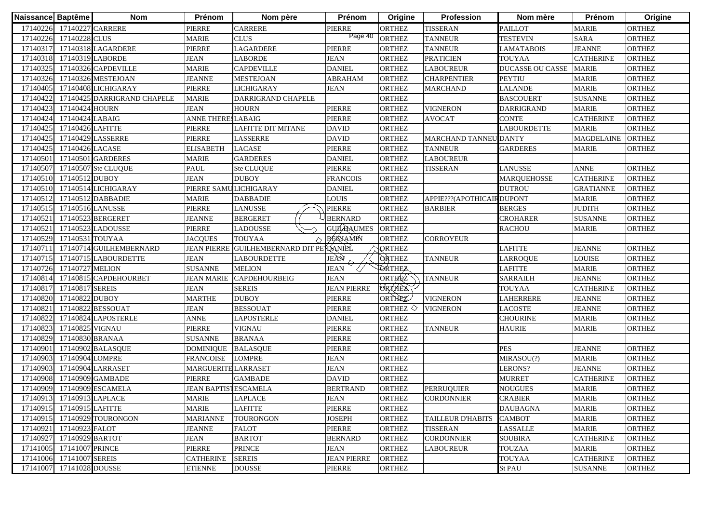| Naissance Baptême                                                                |                                                                                                                                                                                   | <b>Nom</b>                                                 | Prénom                                                                                                                                                                                                                                       | Nom père                                                                                                                                                          | Prénom                                                                                                                                                                                                             | Origine                                                                                                                                                                  | Profession                                                                                              | Nom mère                                                                                                                                                    | Prénom                                                                                                                                                                                                                                       | Origine                                                                                                                                                                                 |
|----------------------------------------------------------------------------------|-----------------------------------------------------------------------------------------------------------------------------------------------------------------------------------|------------------------------------------------------------|----------------------------------------------------------------------------------------------------------------------------------------------------------------------------------------------------------------------------------------------|-------------------------------------------------------------------------------------------------------------------------------------------------------------------|--------------------------------------------------------------------------------------------------------------------------------------------------------------------------------------------------------------------|--------------------------------------------------------------------------------------------------------------------------------------------------------------------------|---------------------------------------------------------------------------------------------------------|-------------------------------------------------------------------------------------------------------------------------------------------------------------|----------------------------------------------------------------------------------------------------------------------------------------------------------------------------------------------------------------------------------------------|-----------------------------------------------------------------------------------------------------------------------------------------------------------------------------------------|
| 17140226                                                                         | 17140227 CARRERE                                                                                                                                                                  |                                                            | PIERRE                                                                                                                                                                                                                                       | <b>CARRERE</b>                                                                                                                                                    | <b>PIERRE</b>                                                                                                                                                                                                      | <b>ORTHEZ</b>                                                                                                                                                            | <b>TISSERAN</b>                                                                                         | <b>PAILLOT</b>                                                                                                                                              | <b>MARIE</b>                                                                                                                                                                                                                                 | <b>ORTHEZ</b>                                                                                                                                                                           |
| 17140226                                                                         | 17140228 CLUS                                                                                                                                                                     |                                                            | <b>MARIE</b>                                                                                                                                                                                                                                 | <b>CLUS</b>                                                                                                                                                       | Page 40                                                                                                                                                                                                            | <b>ORTHEZ</b>                                                                                                                                                            | <b>TANNEUR</b>                                                                                          | <b>TESTEVIN</b>                                                                                                                                             | <b>SARA</b>                                                                                                                                                                                                                                  | <b>ORTHEZ</b>                                                                                                                                                                           |
| 17140317                                                                         |                                                                                                                                                                                   | 17140318 LAGARDERE                                         | PIERRE                                                                                                                                                                                                                                       | LAGARDERE                                                                                                                                                         | <b>PIERRE</b>                                                                                                                                                                                                      | <b>ORTHEZ</b>                                                                                                                                                            | <b>TANNEUR</b>                                                                                          | <b>LAMATABOIS</b>                                                                                                                                           | <b>JEANNE</b>                                                                                                                                                                                                                                | <b>ORTHEZ</b>                                                                                                                                                                           |
| 17140318                                                                         | 17140319 LABORDE                                                                                                                                                                  |                                                            | <b>JEAN</b>                                                                                                                                                                                                                                  | <b>LABORDE</b>                                                                                                                                                    | <b>JEAN</b>                                                                                                                                                                                                        | <b>ORTHEZ</b>                                                                                                                                                            | <b>PRATICIEN</b>                                                                                        | TOUYAA                                                                                                                                                      | CATHERINE                                                                                                                                                                                                                                    | <b>ORTHEZ</b>                                                                                                                                                                           |
| 17140325                                                                         |                                                                                                                                                                                   | 17140326 CAPDEVILLE                                        | <b>MARIE</b>                                                                                                                                                                                                                                 | <b>CAPDEVILLE</b>                                                                                                                                                 | <b>DANIEL</b>                                                                                                                                                                                                      | <b>ORTHEZ</b>                                                                                                                                                            | <b>LABOUREUR</b>                                                                                        | DUCASSE OU CASSE                                                                                                                                            | <b>MARIE</b>                                                                                                                                                                                                                                 | <b>ORTHEZ</b>                                                                                                                                                                           |
| 17140326                                                                         |                                                                                                                                                                                   | 17140326 MESTEJOAN                                         | <b>JEANNE</b>                                                                                                                                                                                                                                | <b>MESTEJOAN</b>                                                                                                                                                  | <b>ABRAHAM</b>                                                                                                                                                                                                     | <b>ORTHEZ</b>                                                                                                                                                            | <b>CHARPENTIER</b>                                                                                      | <b>PEYTIU</b>                                                                                                                                               | <b>MARIE</b>                                                                                                                                                                                                                                 | <b>ORTHEZ</b>                                                                                                                                                                           |
| 17140405                                                                         |                                                                                                                                                                                   | 17140408 LICHIGARAY                                        | <b>PIERRE</b>                                                                                                                                                                                                                                | <b>LICHIGARAY</b>                                                                                                                                                 | <b>JEAN</b>                                                                                                                                                                                                        | <b>ORTHEZ</b>                                                                                                                                                            | <b>MARCHAND</b>                                                                                         | <b>LALANDE</b>                                                                                                                                              | <b>MARIE</b>                                                                                                                                                                                                                                 | <b>ORTHEZ</b>                                                                                                                                                                           |
| 17140422                                                                         |                                                                                                                                                                                   | 17140425 DARRIGRAND CHAPELE                                | <b>MARIE</b>                                                                                                                                                                                                                                 | DARRIGRAND CHAPELE                                                                                                                                                |                                                                                                                                                                                                                    | <b>ORTHEZ</b>                                                                                                                                                            |                                                                                                         | <b>BASCOUERT</b>                                                                                                                                            | <b>SUSANNE</b>                                                                                                                                                                                                                               | <b>ORTHEZ</b>                                                                                                                                                                           |
| 17140423                                                                         | 17140424 HOURN                                                                                                                                                                    |                                                            | <b>JEAN</b>                                                                                                                                                                                                                                  | <b>HOURN</b>                                                                                                                                                      | <b>PIERRE</b>                                                                                                                                                                                                      | <b>ORTHEZ</b>                                                                                                                                                            | <b>VIGNERON</b>                                                                                         | <b>DARRIGRAND</b>                                                                                                                                           | <b>MARIE</b>                                                                                                                                                                                                                                 | <b>ORTHEZ</b>                                                                                                                                                                           |
| 17140424                                                                         | 17140424 LABAIG                                                                                                                                                                   |                                                            | ANNE THERESLABAIG                                                                                                                                                                                                                            |                                                                                                                                                                   | <b>PIERRE</b>                                                                                                                                                                                                      | <b>ORTHEZ</b>                                                                                                                                                            | <b>AVOCAT</b>                                                                                           | <b>CONTE</b>                                                                                                                                                | <b>CATHERINE</b>                                                                                                                                                                                                                             | <b>ORTHEZ</b>                                                                                                                                                                           |
| 17140425                                                                         | 17140426 LAFITTE                                                                                                                                                                  |                                                            | <b>PIERRE</b>                                                                                                                                                                                                                                | LAFITTE DIT MITANE                                                                                                                                                | <b>DAVID</b>                                                                                                                                                                                                       | <b>ORTHEZ</b>                                                                                                                                                            |                                                                                                         | <b>LABOURDETTE</b>                                                                                                                                          | <b>MARIE</b>                                                                                                                                                                                                                                 | <b>ORTHEZ</b>                                                                                                                                                                           |
| 17140425                                                                         |                                                                                                                                                                                   | 17140429 LASSERRE                                          | <b>PIERRE</b>                                                                                                                                                                                                                                | <b>LASSERRE</b>                                                                                                                                                   | <b>DAVID</b>                                                                                                                                                                                                       | <b>ORTHEZ</b>                                                                                                                                                            | <b>MARCHAND TANNEL</b>                                                                                  | DANTY                                                                                                                                                       | <b>MAGDELAINE</b>                                                                                                                                                                                                                            | <b>ORTHEZ</b>                                                                                                                                                                           |
| 17140425                                                                         | 17140426 LACASE                                                                                                                                                                   |                                                            | <b>ELISABETH</b>                                                                                                                                                                                                                             | <b>LACASE</b>                                                                                                                                                     | <b>PIERRE</b>                                                                                                                                                                                                      | <b>ORTHEZ</b>                                                                                                                                                            | <b>TANNEUR</b>                                                                                          | <b>GARDERES</b>                                                                                                                                             | <b>MARIE</b>                                                                                                                                                                                                                                 | <b>ORTHEZ</b>                                                                                                                                                                           |
| 17140501                                                                         |                                                                                                                                                                                   | 17140501 GARDERES                                          | <b>MARIE</b>                                                                                                                                                                                                                                 | <b>GARDERES</b>                                                                                                                                                   | <b>DANIEL</b>                                                                                                                                                                                                      | <b>ORTHEZ</b>                                                                                                                                                            | <b>LABOUREUR</b>                                                                                        |                                                                                                                                                             |                                                                                                                                                                                                                                              |                                                                                                                                                                                         |
| 17140507                                                                         |                                                                                                                                                                                   | 17140507 Ste CLUQUE                                        | <b>PAUL</b>                                                                                                                                                                                                                                  | Ste CLUQUE                                                                                                                                                        | <b>PIERRE</b>                                                                                                                                                                                                      | <b>ORTHEZ</b>                                                                                                                                                            | <b>TISSERAN</b>                                                                                         | LANUSSE                                                                                                                                                     | <b>ANNE</b>                                                                                                                                                                                                                                  | <b>ORTHEZ</b>                                                                                                                                                                           |
| 17140510                                                                         | 17140512 DUBOY                                                                                                                                                                    |                                                            | <b>JEAN</b>                                                                                                                                                                                                                                  | <b>DUBOY</b>                                                                                                                                                      | <b>FRANCOIS</b>                                                                                                                                                                                                    | <b>ORTHEZ</b>                                                                                                                                                            |                                                                                                         | <b>MARQUEHOSSE</b>                                                                                                                                          | <b>CATHERINE</b>                                                                                                                                                                                                                             | <b>ORTHEZ</b>                                                                                                                                                                           |
| 17140510                                                                         |                                                                                                                                                                                   | 17140514 LICHIGARAY                                        | PIERRE SAMU                                                                                                                                                                                                                                  | <b>LICHIGARAY</b>                                                                                                                                                 | <b>DANIEL</b>                                                                                                                                                                                                      | <b>ORTHEZ</b>                                                                                                                                                            |                                                                                                         | <b>DUTROU</b>                                                                                                                                               | <b>GRATIANNE</b>                                                                                                                                                                                                                             | <b>ORTHEZ</b>                                                                                                                                                                           |
| 17140512                                                                         |                                                                                                                                                                                   | 17140512 DABBADIE                                          | <b>MARIE</b>                                                                                                                                                                                                                                 | <b>DABBADIE</b>                                                                                                                                                   | <b>LOUIS</b>                                                                                                                                                                                                       | <b>ORTHEZ</b>                                                                                                                                                            | APPIE???(APOTHICAIRDUPONT                                                                               |                                                                                                                                                             | <b>MARIE</b>                                                                                                                                                                                                                                 | <b>ORTHEZ</b>                                                                                                                                                                           |
| 17140515                                                                         | 17140516 LANUSSE                                                                                                                                                                  |                                                            | PIERRE                                                                                                                                                                                                                                       | LANUSSE                                                                                                                                                           | <b>PIERRE</b>                                                                                                                                                                                                      | <b>ORTHEZ</b>                                                                                                                                                            | <b>BARBIER</b>                                                                                          | <b>BERGES</b>                                                                                                                                               | <b>JUDITH</b>                                                                                                                                                                                                                                | <b>ORTHEZ</b>                                                                                                                                                                           |
| 17140521                                                                         |                                                                                                                                                                                   | 17140523 BERGERET                                          | <b>JEANNE</b>                                                                                                                                                                                                                                | <b>BERGERET</b>                                                                                                                                                   | <b>BERNARD</b>                                                                                                                                                                                                     | <b>ORTHEZ</b>                                                                                                                                                            |                                                                                                         | <b>CROHARER</b>                                                                                                                                             | <b>SUSANNE</b>                                                                                                                                                                                                                               | <b>ORTHEZ</b>                                                                                                                                                                           |
| 1714052                                                                          |                                                                                                                                                                                   | 17140523 LADOUSSE                                          | <b>PIERRE</b>                                                                                                                                                                                                                                | <b>LADOUSSE</b>                                                                                                                                                   | <b>GUILANAUMES</b>                                                                                                                                                                                                 | <b>ORTHEZ</b>                                                                                                                                                            |                                                                                                         | <b>RACHOU</b>                                                                                                                                               | <b>MARIE</b>                                                                                                                                                                                                                                 | <b>ORTHEZ</b>                                                                                                                                                                           |
| 17140529                                                                         | 17140531 TOUYAA                                                                                                                                                                   |                                                            | <b>JACQUES</b>                                                                                                                                                                                                                               | <b>TOUYAA</b>                                                                                                                                                     | <b>BENJAMIN</b>                                                                                                                                                                                                    | <b>ORTHEZ</b>                                                                                                                                                            | <b>CORROYEUR</b>                                                                                        |                                                                                                                                                             |                                                                                                                                                                                                                                              |                                                                                                                                                                                         |
| 17140711                                                                         |                                                                                                                                                                                   | 17140714 GUILHEMBERNARD                                    | <b>JEAN PIERRE</b>                                                                                                                                                                                                                           | GUILHEMBERNARD DIT PE DANIEL                                                                                                                                      |                                                                                                                                                                                                                    | <b>QRTHEZ</b>                                                                                                                                                            |                                                                                                         | LAFITTE                                                                                                                                                     | <b>JEANNE</b>                                                                                                                                                                                                                                | <b>ORTHEZ</b>                                                                                                                                                                           |
|                                                                                  |                                                                                                                                                                                   | 17140715 17140715 LABOURDETTE                              | <b>JEAN</b>                                                                                                                                                                                                                                  | <b>LABOURDETTE</b>                                                                                                                                                | JEAN                                                                                                                                                                                                               | <b>ORTHEZ</b>                                                                                                                                                            | <b>TANNEUR</b>                                                                                          | LARROQUE                                                                                                                                                    | <b>LOUISE</b>                                                                                                                                                                                                                                | <b>ORTHEZ</b>                                                                                                                                                                           |
| 17140726                                                                         | 17140727 MELION                                                                                                                                                                   |                                                            | <b>SUSANNE</b>                                                                                                                                                                                                                               | <b>MELION</b>                                                                                                                                                     | <b>JEAN</b>                                                                                                                                                                                                        | ØRTHEZ                                                                                                                                                                   |                                                                                                         | LAFITTE                                                                                                                                                     | <b>MARIE</b>                                                                                                                                                                                                                                 | <b>ORTHEZ</b>                                                                                                                                                                           |
| 17140814                                                                         |                                                                                                                                                                                   | 17140815 CAPDEHOURBET                                      | <b>JEAN MARIE</b>                                                                                                                                                                                                                            | CAPDEHOURBEIG                                                                                                                                                     | <b>JEAN</b>                                                                                                                                                                                                        | ORTHEZ                                                                                                                                                                   | <b>TANNEUR</b>                                                                                          | <b>SARRAILH</b>                                                                                                                                             | <b>JEANNE</b>                                                                                                                                                                                                                                | <b>ORTHEZ</b>                                                                                                                                                                           |
| 17140817                                                                         | 17140817 SEREIS                                                                                                                                                                   |                                                            | <b>JEAN</b>                                                                                                                                                                                                                                  | <b>SEREIS</b>                                                                                                                                                     | <b>JEAN PIERRE</b>                                                                                                                                                                                                 | <b>ORTHEX</b>                                                                                                                                                            |                                                                                                         | TOUYAA                                                                                                                                                      | <b>CATHERINE</b>                                                                                                                                                                                                                             | <b>ORTHEZ</b>                                                                                                                                                                           |
| 17140820                                                                         | 17140822 DUBOY                                                                                                                                                                    |                                                            | <b>MARTHE</b>                                                                                                                                                                                                                                | <b>DUBOY</b>                                                                                                                                                      | <b>PIERRE</b>                                                                                                                                                                                                      | ORTHEZ                                                                                                                                                                   | <b>VIGNERON</b>                                                                                         | LAHERRERE                                                                                                                                                   | <b>JEANNE</b>                                                                                                                                                                                                                                | <b>ORTHEZ</b>                                                                                                                                                                           |
| 1714082                                                                          |                                                                                                                                                                                   | 17140822 BESSOUAT                                          | <b>JEAN</b>                                                                                                                                                                                                                                  | <b>BESSOUAT</b>                                                                                                                                                   | <b>PIERRE</b>                                                                                                                                                                                                      | ORTHEZ $\diamondsuit$                                                                                                                                                    | <b>VIGNERON</b>                                                                                         | LACOSTE                                                                                                                                                     | <b>JEANNE</b>                                                                                                                                                                                                                                | <b>ORTHEZ</b>                                                                                                                                                                           |
| 17140822                                                                         |                                                                                                                                                                                   | 17140824 LAPOSTERLE                                        | <b>ANNE</b>                                                                                                                                                                                                                                  | <b>LAPOSTERLE</b>                                                                                                                                                 | <b>DANIEL</b>                                                                                                                                                                                                      | <b>ORTHEZ</b>                                                                                                                                                            |                                                                                                         | <b>CHOURINE</b>                                                                                                                                             | <b>MARIE</b>                                                                                                                                                                                                                                 | <b>ORTHEZ</b>                                                                                                                                                                           |
| 17140823                                                                         |                                                                                                                                                                                   |                                                            |                                                                                                                                                                                                                                              |                                                                                                                                                                   |                                                                                                                                                                                                                    |                                                                                                                                                                          |                                                                                                         |                                                                                                                                                             |                                                                                                                                                                                                                                              |                                                                                                                                                                                         |
| 17140829                                                                         |                                                                                                                                                                                   |                                                            |                                                                                                                                                                                                                                              |                                                                                                                                                                   |                                                                                                                                                                                                                    |                                                                                                                                                                          |                                                                                                         |                                                                                                                                                             |                                                                                                                                                                                                                                              |                                                                                                                                                                                         |
| 17140901                                                                         |                                                                                                                                                                                   | 17140902 BALASQUE                                          |                                                                                                                                                                                                                                              | <b>BALASQUE</b>                                                                                                                                                   |                                                                                                                                                                                                                    | <b>ORTHEZ</b>                                                                                                                                                            |                                                                                                         | <b>PES</b>                                                                                                                                                  |                                                                                                                                                                                                                                              | <b>ORTHEZ</b>                                                                                                                                                                           |
| 17140903                                                                         | 17140904 LOMPRE                                                                                                                                                                   |                                                            | <b>FRANCOISE</b>                                                                                                                                                                                                                             | <b>LOMPRE</b>                                                                                                                                                     |                                                                                                                                                                                                                    |                                                                                                                                                                          |                                                                                                         |                                                                                                                                                             |                                                                                                                                                                                                                                              | <b>ORTHEZ</b>                                                                                                                                                                           |
|                                                                                  |                                                                                                                                                                                   |                                                            |                                                                                                                                                                                                                                              |                                                                                                                                                                   |                                                                                                                                                                                                                    |                                                                                                                                                                          |                                                                                                         | LERONS?                                                                                                                                                     |                                                                                                                                                                                                                                              |                                                                                                                                                                                         |
| 17140908                                                                         |                                                                                                                                                                                   |                                                            | <b>PIERRE</b>                                                                                                                                                                                                                                |                                                                                                                                                                   |                                                                                                                                                                                                                    |                                                                                                                                                                          |                                                                                                         |                                                                                                                                                             |                                                                                                                                                                                                                                              |                                                                                                                                                                                         |
| 17140909                                                                         |                                                                                                                                                                                   |                                                            |                                                                                                                                                                                                                                              |                                                                                                                                                                   | <b>BERTRAND</b>                                                                                                                                                                                                    | ORTHEZ                                                                                                                                                                   | <b>PERRUQUIER</b>                                                                                       | <b>NOUGUES</b>                                                                                                                                              |                                                                                                                                                                                                                                              | <b>ORTHEZ</b>                                                                                                                                                                           |
|                                                                                  |                                                                                                                                                                                   |                                                            |                                                                                                                                                                                                                                              |                                                                                                                                                                   |                                                                                                                                                                                                                    |                                                                                                                                                                          |                                                                                                         |                                                                                                                                                             |                                                                                                                                                                                                                                              |                                                                                                                                                                                         |
|                                                                                  |                                                                                                                                                                                   |                                                            |                                                                                                                                                                                                                                              |                                                                                                                                                                   |                                                                                                                                                                                                                    |                                                                                                                                                                          |                                                                                                         |                                                                                                                                                             |                                                                                                                                                                                                                                              |                                                                                                                                                                                         |
|                                                                                  |                                                                                                                                                                                   | 17140915 17140929 TOURONGON                                |                                                                                                                                                                                                                                              | <b>TOURONGON</b>                                                                                                                                                  |                                                                                                                                                                                                                    |                                                                                                                                                                          |                                                                                                         | <b>CAMBOT</b>                                                                                                                                               |                                                                                                                                                                                                                                              |                                                                                                                                                                                         |
|                                                                                  |                                                                                                                                                                                   |                                                            |                                                                                                                                                                                                                                              |                                                                                                                                                                   |                                                                                                                                                                                                                    |                                                                                                                                                                          |                                                                                                         |                                                                                                                                                             |                                                                                                                                                                                                                                              |                                                                                                                                                                                         |
|                                                                                  |                                                                                                                                                                                   |                                                            |                                                                                                                                                                                                                                              |                                                                                                                                                                   |                                                                                                                                                                                                                    |                                                                                                                                                                          |                                                                                                         |                                                                                                                                                             |                                                                                                                                                                                                                                              |                                                                                                                                                                                         |
|                                                                                  |                                                                                                                                                                                   |                                                            |                                                                                                                                                                                                                                              |                                                                                                                                                                   |                                                                                                                                                                                                                    |                                                                                                                                                                          | LABOUREUR                                                                                               |                                                                                                                                                             |                                                                                                                                                                                                                                              |                                                                                                                                                                                         |
|                                                                                  |                                                                                                                                                                                   |                                                            |                                                                                                                                                                                                                                              |                                                                                                                                                                   |                                                                                                                                                                                                                    |                                                                                                                                                                          |                                                                                                         |                                                                                                                                                             |                                                                                                                                                                                                                                              |                                                                                                                                                                                         |
|                                                                                  |                                                                                                                                                                                   |                                                            |                                                                                                                                                                                                                                              |                                                                                                                                                                   |                                                                                                                                                                                                                    |                                                                                                                                                                          |                                                                                                         |                                                                                                                                                             |                                                                                                                                                                                                                                              |                                                                                                                                                                                         |
| 17140903<br>17140915<br>17140921<br>17140927<br>17141005<br>17141006<br>17141007 | 17140825 VIGNAU<br>17140830 BRANAA<br>17140913 17140913 LAPLACE<br>17140915 LAFITTE<br>17140923 FALOT<br>17140929 BARTOT<br>17141007 PRINCE<br>17141007 SEREIS<br>17141028 DOUSSE | 17140904 LARRASET<br>17140909 GAMBADE<br>17140909 ESCAMELA | PIERRE<br><b>SUSANNE</b><br><b>DOMINIQUE</b><br><b>MARGUERITE LARRASET</b><br><b>JEAN BAPTISTESCAMELA</b><br><b>MARIE</b><br><b>MARIE</b><br><b>MARIANNE</b><br><b>JEANNE</b><br><b>JEAN</b><br>PIERRE<br><b>CATHERINE</b><br><b>ETIENNE</b> | <b>VIGNAU</b><br><b>BRANAA</b><br><b>GAMBADE</b><br><b>LAPLACE</b><br><b>LAFITTE</b><br><b>FALOT</b><br><b>BARTOT</b><br>PRINCE<br><b>SEREIS</b><br><b>DOUSSE</b> | <b>PIERRE</b><br><b>PIERRE</b><br>PIERRE<br><b>JEAN</b><br><b>JEAN</b><br><b>DAVID</b><br><b>JEAN</b><br><b>PIERRE</b><br><b>JOSEPH</b><br>PIERRE<br><b>BERNARD</b><br><b>JEAN</b><br><b>JEAN PIERRE</b><br>PIERRE | ORTHEZ<br>ORTHEZ<br>ORTHEZ<br>ORTHEZ<br>ORTHEZ<br><b>ORTHEZ</b><br>ORTHEZ<br>ORTHEZ<br><b>ORTHEZ</b><br><b>ORTHEZ</b><br><b>ORTHEZ</b><br><b>ORTHEZ</b><br><b>ORTHEZ</b> | <b>TANNEUR</b><br><b>CORDONNIER</b><br><b>TAILLEUR D'HABITS</b><br><b>TISSERAN</b><br><b>CORDONNIER</b> | <b>HAURIE</b><br>MIRASOU(?)<br><b>MURRET</b><br><b>CRABIER</b><br><b>DAUBAGNA</b><br><b>LASSALLE</b><br><b>SOUBIRA</b><br><b>TOUZAA</b><br>TOUYAA<br>St PAU | <b>MARIE</b><br><b>JEANNE</b><br><b>MARIE</b><br><b>JEANNE</b><br><b>CATHERINE</b><br><b>MARIE</b><br><b>MARIE</b><br><b>MARIE</b><br><b>MARIE</b><br><b>MARIE</b><br><b>CATHERINE</b><br><b>MARIE</b><br><b>CATHERINE</b><br><b>SUSANNE</b> | <b>ORTHEZ</b><br><b>ORTHEZ</b><br><b>ORTHEZ</b><br><b>ORTHEZ</b><br><b>ORTHEZ</b><br><b>ORTHEZ</b><br><b>ORTHEZ</b><br><b>ORTHEZ</b><br><b>ORTHEZ</b><br><b>ORTHEZ</b><br><b>ORTHEZ</b> |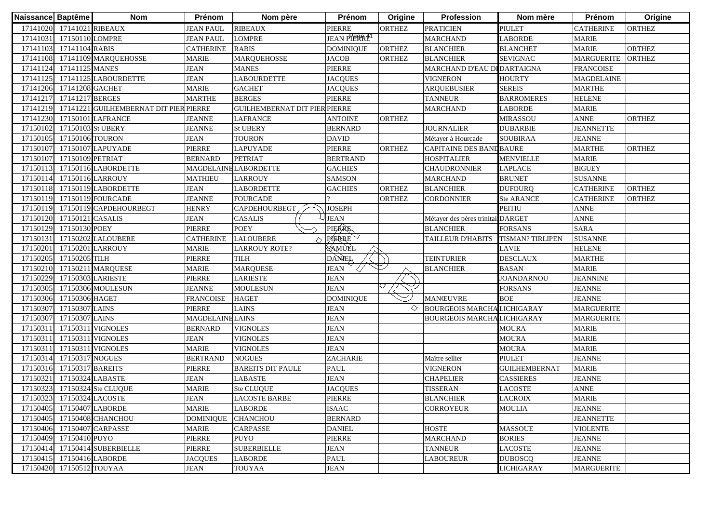| Naissance Baptême |                           | <b>Nom</b>                             | Prénom                  | Nom père                             | Prénom                   | Origine       | <b>Profession</b>                 | Nom mère                | Prénom            | Origine       |
|-------------------|---------------------------|----------------------------------------|-------------------------|--------------------------------------|--------------------------|---------------|-----------------------------------|-------------------------|-------------------|---------------|
|                   | 17141020 17141021 RIBEAUX |                                        | <b>JEAN PAUL</b>        | <b>RIBEAUX</b>                       | <b>PIERRE</b>            | <b>ORTHEZ</b> | <b>PRATICIEN</b>                  | <b>PIULET</b>           | <b>CATHERINE</b>  | <b>ORTHEZ</b> |
|                   | 17141031 17150110 LOMPRE  |                                        | <b>JEAN PAUL</b>        | <b>LOMPRE</b>                        | JEAN PIERRE <sup>1</sup> |               | <b>MARCHAND</b>                   | <b>LABORDE</b>          | <b>MARIE</b>      |               |
|                   | 17141103 17141104 RABIS   |                                        | <b>CATHERINE</b>        | <b>RABIS</b>                         | <b>DOMINIQUE</b>         | <b>ORTHEZ</b> | <b>BLANCHIER</b>                  | <b>BLANCHET</b>         | <b>MARIE</b>      | <b>ORTHEZ</b> |
|                   |                           | 17141108 17141109 MARQUEHOSSE          | <b>MARIE</b>            | <b>MARQUEHOSSE</b>                   | <b>JACOB</b>             | <b>ORTHEZ</b> | <b>BLANCHIER</b>                  | <b>SEVIGNAC</b>         | <b>MARGUERITE</b> | <b>ORTHEZ</b> |
|                   | 17141124 17141125 MANES   |                                        | <b>JEAN</b>             | <b>MANES</b>                         | PIERRE                   |               | MARCHAND D'EAU DI DARTAIGNA       |                         | <b>FRANCOISE</b>  |               |
|                   |                           | 17141125 17141125 LABOURDETTE          | <b>JEAN</b>             | <b>LABOURDETTE</b>                   | <b>JACQUES</b>           |               | <b>VIGNERON</b>                   | <b>HOURTY</b>           | <b>MAGDELAINE</b> |               |
|                   | 17141206 17141208 GACHET  |                                        | <b>MARIE</b>            | <b>GACHET</b>                        | <b>JACQUES</b>           |               | <b>ARQUEBUSIER</b>                | <b>SEREIS</b>           | <b>MARTHE</b>     |               |
|                   | 17141217 17141217 BERGES  |                                        | <b>MARTHE</b>           | <b>BERGES</b>                        | PIERRE                   |               | <b>TANNEUR</b>                    | <b>BARROMERES</b>       | <b>HELENE</b>     |               |
| 17141219          |                           | 17141221 GUILHEMBERNAT DIT PIER PIERRE |                         | <b>GUILHEMBERNAT DIT PIER PIERRE</b> |                          |               | <b>MARCHAND</b>                   | <b>LABORDE</b>          | <b>MARIE</b>      |               |
| 17141230          |                           | 17150101 LAFRANCE                      | <b>JEANNE</b>           | <b>LAFRANCE</b>                      | <b>ANTOINE</b>           | <b>ORTHEZ</b> |                                   | <b>MIRASSOU</b>         | <b>ANNE</b>       | <b>ORTHEZ</b> |
| 17150102          | 17150103 St UBERY         |                                        | <b>JEANNE</b>           | <b>St UBERY</b>                      | <b>BERNARD</b>           |               | <b>JOURNALIER</b>                 | <b>DUBARBIE</b>         | <b>JEANNETTE</b>  |               |
| 17150105          | 17150106 TOURON           |                                        | <b>JEAN</b>             | <b>TOURON</b>                        | <b>DAVID</b>             |               | Métayer à Hourcade                | <b>SOUBIRAA</b>         | <b>JEANNE</b>     |               |
| 17150107          |                           | 17150107 LAPUYADE                      | PIERRE                  | <b>LAPUYADE</b>                      | PIERRE                   | <b>ORTHEZ</b> | CAPITAINE DES BAND BAURE          |                         | <b>MARTHE</b>     | <b>ORTHEZ</b> |
| 17150107          | 17150109 PETRIAT          |                                        | <b>BERNARD</b>          | <b>PETRIAT</b>                       | <b>BERTRAND</b>          |               | <b>HOSPITALIER</b>                | <b>MENVIELLE</b>        | <b>MARIE</b>      |               |
| 17150113          |                           | 17150116 LABORDETTE                    |                         | <b>MAGDELAINE LABORDETTE</b>         | <b>GACHIES</b>           |               | <b>CHAUDRONNIER</b>               | LAPLACE                 | <b>BIGUEY</b>     |               |
| 1715011           |                           | 17150116 LARROUY                       | MATHIEU                 | LARROUY                              | <b>SAMSON</b>            |               | <b>MARCHAND</b>                   | <b>BRUNET</b>           | <b>SUSANNE</b>    |               |
| 17150118          |                           | 17150119 LABORDETTE                    | <b>JEAN</b>             | LABORDETTE                           | <b>GACHIES</b>           | <b>ORTHEZ</b> | <b>BLANCHIER</b>                  | <b>DUFOURQ</b>          | <b>CATHERINE</b>  | <b>ORTHEZ</b> |
| 17150119          |                           | 17150119 FOURCADE                      | <b>JEANNE</b>           | <b>FOURCADE</b>                      |                          | <b>ORTHEZ</b> | CORDONNIER                        | <b>Ste ARANCE</b>       | <b>CATHERINE</b>  | <b>ORTHEZ</b> |
| 17150119          |                           | 17150119 CAPDEHOURBEGT                 | <b>HENRY</b>            | CAPDEHOURBEGT                        | <b>JOSEPH</b>            |               |                                   | <b>PEITIU</b>           | <b>ANNE</b>       |               |
| 17150120          | 17150121 CASALIS          |                                        | <b>JEAN</b>             | <b>CASALIS</b>                       | <b>JEAN</b>              |               | Métayer des pères trinitaisDARGET |                         | <b>ANNE</b>       |               |
| 17150129          | 17150130 POEY             |                                        | <b>PIERRE</b>           | <b>POEY</b>                          | PIERRE                   |               | <b>BLANCHIER</b>                  | <b>FORSANS</b>          | <b>SARA</b>       |               |
| 17150131          |                           | 17150202 LALOUBERE                     | <b>CATHERINE</b>        | <b>LALOUBERE</b>                     | PIERRE                   |               | TAILLEUR D'HABITS                 | <b>TISMAN? TIRLIPEN</b> | <b>SUSANNE</b>    |               |
| 17150201          | 17150201 LARROUY          |                                        | <b>MARIE</b>            | <b>LARROUY ROTE?</b>                 | SAMUÈL                   |               |                                   | <b>LAVIE</b>            | <b>HELENE</b>     |               |
|                   | 17150205 17150205 TILH    |                                        | PIERRE                  | <b>TILH</b>                          | DANEL                    |               | <b>TEINTURIER</b>                 | <b>DESCLAUX</b>         | <b>MARTHE</b>     |               |
| 17150210          |                           | 17150211 MARQUESE                      | <b>MARIE</b>            | <b>MARQUESE</b>                      | <b>JEAN</b>              |               | <b>BLANCHIER</b>                  | <b>BASAN</b>            | <b>MARIE</b>      |               |
| 17150229          | 17150303 LARIESTE         |                                        | PIERRE                  | <b>LARIESTE</b>                      | <b>JEAN</b>              |               |                                   | <b>JOANDARNOU</b>       | <b>JEANNINE</b>   |               |
| 17150305          |                           | 17150306 MOULESUN                      | <b>JEANNE</b>           | <b>MOULESUN</b>                      | <b>JEAN</b>              |               |                                   | <b>FORSANS</b>          | <b>JEANNE</b>     |               |
| 17150306          | 17150306 HAGET            |                                        | <b>FRANCOISE</b>        | <b>HAGET</b>                         | <b>DOMINIQUE</b>         |               | <b>MANŒUVRE</b>                   | <b>BOE</b>              | <b>JEANNE</b>     |               |
| 17150307          | 17150307 LAINS            |                                        | <b>PIERRE</b>           | <b>LAINS</b>                         | <b>JEAN</b>              | ◇             | <b>BOURGEOIS MARCHALICHIGARAY</b> |                         | <b>MARGUERITE</b> |               |
| 17150307          | 17150307 LAINS            |                                        | <b>MAGDELAINE LAINS</b> |                                      | <b>JEAN</b>              |               | <b>BOURGEOIS MARCHALICHIGARAY</b> |                         | <b>MARGUERITE</b> |               |
| 17150311          |                           | 17150311 VIGNOLES                      | <b>BERNARD</b>          | <b>VIGNOLES</b>                      | <b>JEAN</b>              |               |                                   | <b>MOURA</b>            | <b>MARIE</b>      |               |
|                   |                           | 17150311 17150311 VIGNOLES             | <b>JEAN</b>             | VIGNOLES                             | <b>JEAN</b>              |               |                                   | <b>MOURA</b>            | <b>MARIE</b>      |               |
| 17150311          |                           | 17150311 VIGNOLES                      | <b>MARIE</b>            | <b>VIGNOLES</b>                      | <b>JEAN</b>              |               |                                   | <b>MOURA</b>            | <b>MARIE</b>      |               |
| 17150314          | 17150317 NOGUES           |                                        | <b>BERTRAND</b>         | <b>NOGUES</b>                        | ZACHARIE                 |               | Maître sellier                    | <b>PIULET</b>           | <b>JEANNE</b>     |               |
| 17150316          | 17150317 BAREITS          |                                        | PIERRE                  | <b>BAREITS DIT PAULE</b>             | PAUL                     |               | <b>VIGNERON</b>                   | <b>GUILHEMBERNAT</b>    | <b>MARIE</b>      |               |
| 1715032           | 17150324 LABASTE          |                                        | <b>JEAN</b>             | <b>LABASTE</b>                       | <b>JEAN</b>              |               | <b>CHAPELIER</b>                  | <b>CASSIERES</b>        | <b>JEANNE</b>     |               |
| 17150323          |                           | 17150324 Ste CLUQUE                    | <b>MARIE</b>            | Ste CLUQUE                           | <b>JACQUES</b>           |               | <b>TISSERAN</b>                   | <b>LACOSTE</b>          | <b>ANNE</b>       |               |
|                   | 17150323 17150324 LACOSTE |                                        | <b>JEAN</b>             | <b>LACOSTE BARBE</b>                 | PIERRE                   |               | <b>BLANCHIER</b>                  | <b>LACROIX</b>          | <b>MARIE</b>      |               |
|                   | 17150405 17150407 LABORDE |                                        | <b>MARIE</b>            | <b>LABORDE</b>                       | <b>ISAAC</b>             |               | <b>CORROYEUR</b>                  | <b>MOULIA</b>           | <b>JEANNE</b>     |               |
|                   |                           | 17150405 17150408 CHANCHOU             | <b>DOMINIQUE</b>        | <b>CHANCHOU</b>                      | <b>BERNARD</b>           |               |                                   |                         | <b>JEANNETTE</b>  |               |
|                   |                           | 17150406 17150407 CARPASSE             | <b>MARIE</b>            | <b>CARPASSE</b>                      | <b>DANIEL</b>            |               | <b>HOSTE</b>                      | <b>MASSOUE</b>          | <b>VIOLENTE</b>   |               |
| 17150409          | 17150410 PUYO             |                                        | PIERRE                  | <b>PUYO</b>                          | PIERRE                   |               | <b>MARCHAND</b>                   | <b>BORIES</b>           | <b>JEANNE</b>     |               |
| 17150414          |                           | 17150414 SUBERBIELLE                   | PIERRE                  | <b>SUBERBIELLE</b>                   | <b>JEAN</b>              |               | <b>TANNEUR</b>                    | <b>LACOSTE</b>          | <b>JEANNE</b>     |               |
| 17150415          | 17150416 LABORDE          |                                        | <b>JACQUES</b>          | <b>LABORDE</b>                       | PAUL                     |               | <b>LABOUREUR</b>                  | <b>DUBOSCQ</b>          | <b>JEANNE</b>     |               |
| 17150420          | 17150512 TOUYAA           |                                        | <b>JEAN</b>             | <b>TOUYAA</b>                        | <b>JEAN</b>              |               |                                   | <b>LICHIGARAY</b>       | <b>MARGUERITE</b> |               |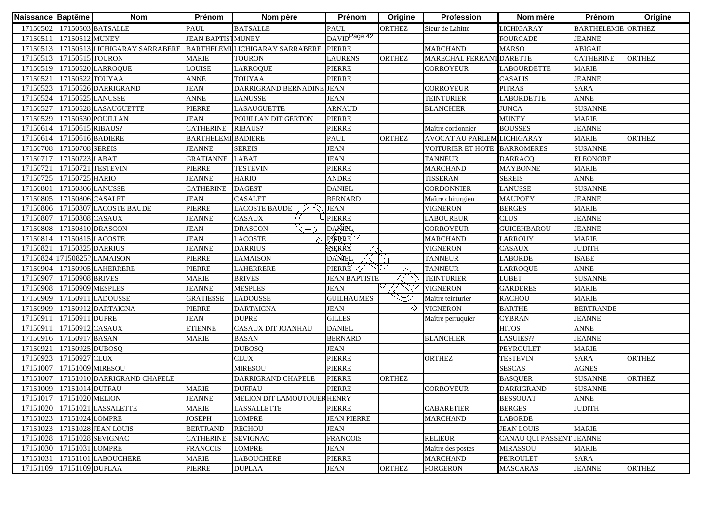| Naissance Baptême |                           | <b>Nom</b>                    | Prénom                    | Nom père                               | Prénom                   | Origine       | <b>Profession</b>           | Nom mère                 | Prénom                    | Origine       |
|-------------------|---------------------------|-------------------------------|---------------------------|----------------------------------------|--------------------------|---------------|-----------------------------|--------------------------|---------------------------|---------------|
| 17150502          |                           | 17150503 BATSALLE             | <b>PAUL</b>               | <b>BATSALLE</b>                        | PAUL                     | ORTHEZ        | Sieur de Lahitte            | LICHIGARAY               | <b>BARTHELEMIE ORTHEZ</b> |               |
|                   | 17150511 17150512 MUNEY   |                               | <b>JEAN BAPTISTMUNEY</b>  |                                        | DAVID <sup>Page 42</sup> |               |                             | <b>FOURCADE</b>          | <b>JEANNE</b>             |               |
| 17150513          |                           | 17150513 LICHIGARAY SARRABERE |                           | <b>BARTHELEMI LICHIGARAY SARRABERE</b> | <b>PIERRE</b>            |               | <b>MARCHAND</b>             | <b>MARSO</b>             | <b>ABIGAIL</b>            |               |
| 17150513          | 17150515 TOURON           |                               | <b>MARIE</b>              | <b>TOURON</b>                          | <b>LAURENS</b>           | <b>ORTHEZ</b> | MARECHAL FERRANT DARETTE    |                          | <b>CATHERINE</b>          | <b>ORTHEZ</b> |
| 17150519          |                           | 17150520 LARROQUE             | <b>LOUISE</b>             | <b>LARROQUE</b>                        | <b>PIERRE</b>            |               | <b>CORROYEUR</b>            | <b>LABOURDETTE</b>       | <b>MARIE</b>              |               |
| 17150521          | 17150522 TOUYAA           |                               | <b>ANNE</b>               | <b>TOUYAA</b>                          | PIERRE                   |               |                             | <b>CASALIS</b>           | <b>JEANNE</b>             |               |
| 17150523          |                           | 17150526 DARRIGRAND           | <b>JEAN</b>               | DARRIGRAND BERNADINE JEAN              |                          |               | <b>CORROYEUR</b>            | <b>PITRAS</b>            | <b>SARA</b>               |               |
| 17150524          | 17150525 LANUSSE          |                               | <b>ANNE</b>               | <b>LANUSSE</b>                         | <b>JEAN</b>              |               | <b>TEINTURIER</b>           | <b>LABORDETTE</b>        | <b>ANNE</b>               |               |
| 17150527          |                           | 17150528 LASAUGUETTE          | <b>PIERRE</b>             | <b>LASAUGUETTE</b>                     | <b>ARNAUD</b>            |               | <b>BLANCHIER</b>            | <b>JUNCA</b>             | <b>SUSANNE</b>            |               |
| 17150529          |                           | 17150530 POUILLAN             | <b>JEAN</b>               | POUILLAN DIT GERTON                    | PIERRE                   |               |                             | <b>MUNEY</b>             | <b>MARIE</b>              |               |
| 17150614          | 17150615 RIBAUS?          |                               | <b>CATHERINE</b>          | <b>RIBAUS?</b>                         | PIERRE                   |               | Maître cordonnier           | <b>BOUSSES</b>           | <b>JEANNE</b>             |               |
| 17150614          | 17150616 BADIERE          |                               | <b>BARTHELEMI BADIERE</b> |                                        | <b>PAUL</b>              | <b>ORTHEZ</b> | AVOCAT AU PARLEM LICHIGARAY |                          | <b>MARIE</b>              | <b>ORTHEZ</b> |
| 17150708          | 17150708 SEREIS           |                               | <b>JEANNE</b>             | <b>SEREIS</b>                          | <b>JEAN</b>              |               | <b>VOITURIER ET HOTE</b>    | <b>BARROMERES</b>        | <b>SUSANNE</b>            |               |
| 17150717          | 17150723 LABAT            |                               | <b>GRATIANNE</b>          | LABAT                                  | <b>JEAN</b>              |               | <b>TANNEUR</b>              | <b>DARRACQ</b>           | <b>ELEONORE</b>           |               |
| 17150721          |                           | 17150721 TESTEVIN             | <b>PIERRE</b>             | <b>TESTEVIN</b>                        | PIERRE                   |               | <b>MARCHAND</b>             | <b>MAYBONNE</b>          | <b>MARIE</b>              |               |
| 17150725          | 17150725 HARIO            |                               | <b>JEANNE</b>             | <b>HARIO</b>                           | <b>ANDRE</b>             |               | <b>TISSERAN</b>             | <b>SEREIS</b>            | <b>ANNE</b>               |               |
| 17150801          | 17150806 LANUSSE          |                               | <b>CATHERINE</b>          | <b>DAGEST</b>                          | <b>DANIEL</b>            |               | CORDONNIER                  | <b>LANUSSE</b>           | <b>SUSANNE</b>            |               |
| 17150805          | 17150806 CASALET          |                               | JEAN                      | <b>CASALET</b>                         | <b>BERNARD</b>           |               | Maître chirurgien           | <b>MAUPOEY</b>           | <b>JEANNE</b>             |               |
| 17150806          |                           | 17150807 LACOSTE BAUDE        | PIERRE                    | LACOSTE BAUDE                          | JEAN                     |               | VIGNERON                    | <b>BERGES</b>            | <b>MARIE</b>              |               |
| 17150807          | 17150808 CASAUX           |                               | <b>JEANNE</b>             | <b>CASAUX</b>                          | PIERRE                   |               | LABOUREUR                   | <b>CLUS</b>              | <b>JEANNE</b>             |               |
| 17150808          |                           | 17150810 DRASCON              | <b>JEAN</b>               | <b>DRASCON</b>                         | <b>DAXAEL</b>            |               | CORROYEUR                   | <b>GUICEHBAROU</b>       | <b>JEANNE</b>             |               |
| 17150814          | 17150815 LACOSTE          |                               | <b>JEAN</b>               | <b>LACOSTE</b>                         | PIERRE                   |               | <b>MARCHAND</b>             | <b>LARROUY</b>           | <b>MARIE</b>              |               |
| 17150821          | 17150825 DARRIUS          |                               | <b>JEANNE</b>             | <b>DARRIUS</b>                         | RIERRE                   |               | VIGNERON                    | <b>CASAUX</b>            | <b>JUDITH</b>             |               |
|                   |                           | 17150824 17150825? LAMAISON   | <b>PIERRE</b>             | <b>LAMAISON</b>                        | DANEL                    |               | <b>TANNEUR</b>              | <b>LABORDE</b>           | <b>ISABE</b>              |               |
|                   |                           | 17150904 17150905 LAHERRERE   | PIERRE                    | <b>LAHERRERE</b>                       | PIERRE                   |               | <b>TANNEUR</b>              | <b>LARROQUE</b>          | <b>ANNE</b>               |               |
| 17150907          | 17150908 BRIVES           |                               | <b>MARIE</b>              | <b>BRIVES</b>                          | <b>JEAN BAPTISTE</b>     |               | <b>TEINTURIER</b>           | <b>LUBET</b>             | <b>SUSANNE</b>            |               |
|                   | 17150908 17150909 MESPLES |                               | <b>JEANNE</b>             | <b>MESPLES</b>                         | <b>JEAN</b>              |               | <b>VIGNERON</b>             | <b>GARDERES</b>          | <b>MARIE</b>              |               |
| 17150909          |                           | 17150911 LADOUSSE             | <b>GRATIESSE</b>          | <b>LADOUSSE</b>                        | <b>GUILHAUMES</b>        |               | Maître teinturier           | <b>RACHOU</b>            | <b>MARIE</b>              |               |
| 17150909          |                           | 17150912 DARTAIGNA            | <b>PIERRE</b>             | <b>DARTAIGNA</b>                       | <b>JEAN</b>              | ◇             | <b>VIGNERON</b>             | <b>BARTHE</b>            | <b>BERTRANDE</b>          |               |
| 1715091           | 17150911 DUPRE            |                               | <b>JEAN</b>               | <b>DUPRE</b>                           | <b>GILLES</b>            |               | Maître perruquier           | <b>CYBRAN</b>            | <b>JEANNE</b>             |               |
| 1715091           | 17150912 CASAUX           |                               | <b>ETIENNE</b>            | CASAUX DIT JOANHAU                     | <b>DANIEL</b>            |               |                             | <b>HITOS</b>             | <b>ANNE</b>               |               |
| 17150916          | 17150917 BASAN            |                               | MARIE                     | <b>BASAN</b>                           | <b>BERNARD</b>           |               | <b>BLANCHIER</b>            | LASUIES??                | <b>JEANNE</b>             |               |
| 17150921          | 17150925 DUBOSQ           |                               |                           | <b>DUBOSQ</b>                          | <b>JEAN</b>              |               |                             | <b>PEYROULET</b>         | <b>MARIE</b>              |               |
| 17150923          | 17150927 CLUX             |                               |                           | <b>CLUX</b>                            | PIERRE                   |               | <b>ORTHEZ</b>               | <b>TESTEVIN</b>          | <b>SARA</b>               | ORTHEZ        |
| 17151007          | 17151009 MIRESOU          |                               |                           | <b>MIRESOU</b>                         | PIERRE                   |               |                             | <b>SESCAS</b>            | <b>AGNES</b>              |               |
| 17151007          |                           | 17151010 DARRIGRAND CHAPELE   |                           | DARRIGRAND CHAPELE                     | PIERRE                   | <b>ORTHEZ</b> |                             | <b>BASQUER</b>           | <b>SUSANNE</b>            | <b>ORTHEZ</b> |
|                   | 17151009 17151014 DUFFAU  |                               | <b>MARIE</b>              | <b>DUFFAU</b>                          | <b>PIERRE</b>            |               | <b>CORROYEUR</b>            | <b>DARRIGRAND</b>        | <b>SUSANNE</b>            |               |
|                   | 17151017 17151020 MELION  |                               | <b>JEANNE</b>             | MELION DIT LAMOUTOUER HENRY            |                          |               |                             | <b>BESSOUAT</b>          | <b>ANNE</b>               |               |
| 17151020          |                           | 17151021 LASSALETTE           | <b>MARIE</b>              | <b>LASSALLETTE</b>                     | PIERRE                   |               | <b>CABARETIER</b>           | <b>BERGES</b>            | <b>JUDITH</b>             |               |
| 17151023          | 17151024 LOMPRE           |                               | <b>JOSEPH</b>             | <b>LOMPRE</b>                          | <b>JEAN PIERRE</b>       |               | <b>MARCHAND</b>             | <b>LABORDE</b>           |                           |               |
|                   |                           | 17151023 17151028 JEAN LOUIS  | <b>BERTRAND</b>           | <b>RECHOU</b>                          | <b>JEAN</b>              |               |                             | <b>JEAN LOUIS</b>        | <b>MARIE</b>              |               |
|                   |                           | 17151028 17151028 SEVIGNAC    | <b>CATHERINE</b>          | <b>SEVIGNAC</b>                        | <b>FRANCOIS</b>          |               | <b>RELIEUR</b>              | CANAU QUI PASSENT JEANNE |                           |               |
|                   | 17151030 17151031 LOMPRE  |                               | <b>FRANCOIS</b>           | <b>LOMPRE</b>                          | <b>JEAN</b>              |               | Maître des postes           | <b>MIRASSOU</b>          | <b>MARIE</b>              |               |
| 17151031          |                           | 17151101 LABOUCHERE           | <b>MARIE</b>              | <b>LABOUCHERE</b>                      | PIERRE                   |               | <b>MARCHAND</b>             | <b>PEIROULET</b>         | SARA                      |               |
|                   | 17151109 17151109 DUPLAA  |                               | PIERRE                    | <b>DUPLAA</b>                          | <b>JEAN</b>              | <b>ORTHEZ</b> | <b>FORGERON</b>             | <b>MASCARAS</b>          | <b>JEANNE</b>             | <b>ORTHEZ</b> |
|                   |                           |                               |                           |                                        |                          |               |                             |                          |                           |               |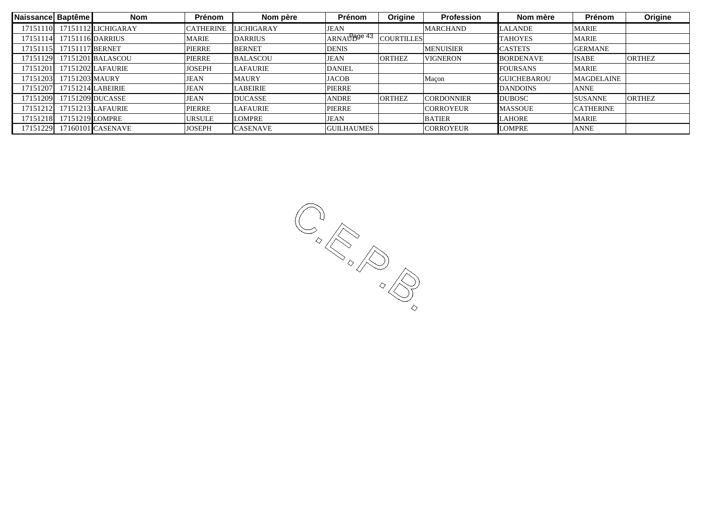| Naissance Baptême |                            | <b>Nom</b>                   | Prénom        | Nom père          | Prénom            | Origine           | <b>Profession</b> | Nom mère           | Prénom            | Origine       |
|-------------------|----------------------------|------------------------------|---------------|-------------------|-------------------|-------------------|-------------------|--------------------|-------------------|---------------|
|                   |                            | 17151110 17151112 LICHIGARAY | CATHERINE     | <b>LICHIGARAY</b> | <b>JEAN</b>       |                   | <b>MARCHAND</b>   | <b>LALANDE</b>     | <b>MARIE</b>      |               |
|                   | 17151114 17151116 DARRIUS  |                              | <b>MARIE</b>  | <b>DARRIUS</b>    | ARNAUPgge 43      | <b>COURTILLES</b> |                   | <b>TAHOYES</b>     | <b>MARIE</b>      |               |
|                   | 17151115 17151117 BERNET   |                              | <b>PIERRE</b> | <b>BERNET</b>     | <b>DENIS</b>      |                   | <b>MENUISIER</b>  | <b>CASTETS</b>     | <b>GERMANE</b>    |               |
|                   |                            | 17151129 17151201 BALASCOU   | <b>PIERRE</b> | <b>BALASCOU</b>   | <b>JEAN</b>       | <b>ORTHEZ</b>     | <b>VIGNERON</b>   | <b>BORDENAVE</b>   | <b>ISABE</b>      | <b>ORTHEZ</b> |
|                   |                            | 17151201 17151202 LAFAURIE   | <b>JOSEPH</b> | <b>LAFAURIE</b>   | <b>DANIEL</b>     |                   |                   | <b>FOURSANS</b>    | <b>MARIE</b>      |               |
|                   | 17151203 17151203 MAURY    |                              | JEAN          | <b>MAURY</b>      | <b>JACOB</b>      |                   | Macon             | <b>GUICHEBAROU</b> | <b>MAGDELAINE</b> |               |
|                   | 17151207 17151214 LABEIRIE |                              | <b>JEAN</b>   | <b>LABEIRIE</b>   | <b>PIERRE</b>     |                   |                   | <b>DANDOINS</b>    | <b>ANNE</b>       |               |
|                   |                            | 17151209 17151209 DUCASSE    | <b>JEAN</b>   | <b>DUCASSE</b>    | ANDRE             | <b>ORTHEZ</b>     | <b>CORDONNIER</b> | <b>DUBOSC</b>      | <b>SUSANNE</b>    | <b>ORTHEZ</b> |
|                   |                            | 17151212 17151213 LAFAURIE   | PIERRE        | <b>LAFAURIE</b>   | <b>PIERRE</b>     |                   | <b>CORROYEUR</b>  | <b>MASSOUE</b>     | <b>CATHERINE</b>  |               |
|                   | 17151218 17151219 LOMPRE   |                              | URSULE        | <b>LOMPRE</b>     | <b>JEAN</b>       |                   | <b>BATIER</b>     | <b>LAHORE</b>      | <b>MARIE</b>      |               |
|                   |                            | 17151229 17160101 CASENAVE   | <b>JOSEPH</b> | <b>CASENAVE</b>   | <b>GUILHAUMES</b> |                   | <b>CORROYEUR</b>  | <b>LOMPRE</b>      | <b>ANNE</b>       |               |
|                   |                            |                              |               |                   |                   |                   |                   |                    |                   |               |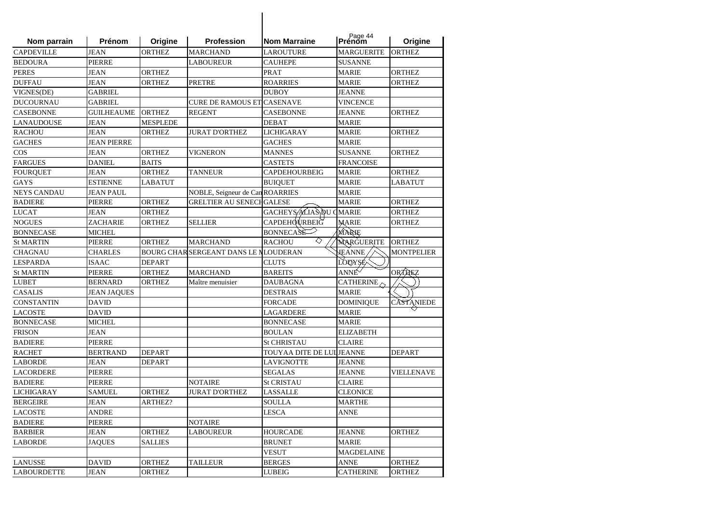| Nom parrain        | Prénom             | Origine         | <b>Profession</b>                     | <b>Nom Marraine</b>       | Page 44           | Origine           |
|--------------------|--------------------|-----------------|---------------------------------------|---------------------------|-------------------|-------------------|
| <b>CAPDEVILLE</b>  | <b>JEAN</b>        | <b>ORTHEZ</b>   | <b>MARCHAND</b>                       | <b>LAROUTURE</b>          | <b>MARGUERITE</b> | <b>ORTHEZ</b>     |
| <b>BEDOURA</b>     | <b>PIERRE</b>      |                 | <b>LABOUREUR</b>                      | <b>CAUHEPE</b>            | <b>SUSANNE</b>    |                   |
| PERES              | JEAN               | ORTHEZ          |                                       | PRAT                      | <b>MARIE</b>      | <b>ORTHEZ</b>     |
| DUFFAU             | <b>JEAN</b>        | <b>ORTHEZ</b>   | <b>PRETRE</b>                         | <b>ROARRIES</b>           | <b>MARIE</b>      | <b>ORTHEZ</b>     |
| VIGNES(DE)         | <b>GABRIEL</b>     |                 |                                       | <b>DUBOY</b>              | <b>JEANNE</b>     |                   |
| DUCOURNAU          | GABRIEL            |                 | <b>CURE DE RAMOUS ET CASENAVE</b>     |                           | <b>VINCENCE</b>   |                   |
| CASEBONNE          | <b>GUILHEAUME</b>  | <b>ORTHEZ</b>   | <b>REGENT</b>                         | <b>CASEBONNE</b>          | JEANNE            | <b>ORTHEZ</b>     |
| LANAUDOUSE         | JEAN               | <b>MESPLEDE</b> |                                       | <b>DEBAT</b>              | MARIE             |                   |
| RACHOU             | JEAN               | <b>ORTHEZ</b>   | <b>JURAT D'ORTHEZ</b>                 | <b>LICHIGARAY</b>         | MARIE             | <b>ORTHEZ</b>     |
| <b>GACHES</b>      | <b>JEAN PIERRE</b> |                 |                                       | <b>GACHES</b>             | <b>MARIE</b>      |                   |
| COS                | JEAN               | ORTHEZ          | VIGNERON                              | MANNES                    | <b>SUSANNE</b>    | <b>ORTHEZ</b>     |
| FARGUES            | <b>DANIEL</b>      | <b>BAITS</b>    |                                       | <b>CASTETS</b>            | <b>FRANCOISE</b>  |                   |
| FOURQUET           | <b>JEAN</b>        | <b>ORTHEZ</b>   | <b>TANNEUR</b>                        | <b>CAPDEHOURBEIG</b>      | <b>MARIE</b>      | <b>ORTHEZ</b>     |
| <b>GAYS</b>        | <b>ESTIENNE</b>    | <b>LABATUT</b>  |                                       | <b>BUIOUET</b>            | <b>MARIE</b>      | <b>LABATUT</b>    |
| <b>NEYS CANDAU</b> | <b>JEAN PAUL</b>   |                 | NOBLE, Seigneur de Can ROARRIES       |                           | <b>MARIE</b>      |                   |
| <b>BADIERE</b>     | <b>PIERRE</b>      | <b>ORTHEZ</b>   | <b>GRELTIER AU SENECHGALESE</b>       |                           | <b>MARIE</b>      | <b>ORTHEZ</b>     |
| LUCAT              | <b>JEAN</b>        | <b>ORTHEZ</b>   |                                       | GACHEYS ALIAS DU CMARIE   |                   | <b>ORTHEZ</b>     |
| NOGUES             | ZACHARIE           | <b>ORTHEZ</b>   | <b>SELLIER</b>                        | <b>CAPDEHQURBEIG</b>      | <b>MARIE</b>      | <b>ORTHEZ</b>     |
| BONNECASE          | <b>MICHEL</b>      |                 |                                       | <b>BONNECASE</b>          | MARIE             |                   |
| <b>St MARTIN</b>   | PIERRE             | ORTHEZ          | <b>MARCHAND</b>                       | ◇<br><b>RACHOU</b>        | MARGUERITE        | <b>ORTHEZ</b>     |
| CHAGNAU            | <b>CHARLES</b>     |                 | BOURG CHAR SERGEANT DANS LE NLOUDERAN |                           | <b>JEANNE</b>     | <b>MONTPELIER</b> |
| LESPARDA           | ISAAC              | <b>DEPART</b>   |                                       | CLUTS                     | LOUYSE            |                   |
| <b>St MARTIN</b>   | <b>PIERRE</b>      | <b>ORTHEZ</b>   | <b>MARCHAND</b>                       | <b>BAREITS</b>            | ANNE              | ORTANEZ           |
| LUBET              | BERNARD            | <b>ORTHEZ</b>   | Maître menuisier                      | DAUBAGNA                  | <b>CATHERINE</b>  |                   |
| CASALIS            | <b>JEAN JAQUES</b> |                 |                                       | <b>DESTRAIS</b>           | MARIE             |                   |
| <b>CONSTANTIN</b>  | DAVID              |                 |                                       | <b>FORCADE</b>            | <b>DOMINIQUE</b>  | CASTANIEDE        |
| LACOSTE            | DAVID              |                 |                                       | LAGARDERE                 | <b>MARIE</b>      |                   |
| <b>BONNECASE</b>   | MICHEL             |                 |                                       | <b>BONNECASE</b>          | MARIE             |                   |
| FRISON             | <b>JEAN</b>        |                 |                                       | <b>BOULAN</b>             | <b>ELIZABETH</b>  |                   |
| BADIERE            | <b>PIERRE</b>      |                 |                                       | <b>St CHRISTAU</b>        | <b>CLAIRE</b>     |                   |
| RACHET             | BERTRAND           | DEPART          |                                       | TOUYAA DITE DE LUL JEANNE |                   | <b>DEPART</b>     |
| LABORDE            | JEAN               | <b>DEPART</b>   |                                       | LAVIGNOTTE                | <b>JEANNE</b>     |                   |
| LACORDERE          | <b>PIERRE</b>      |                 |                                       | <b>SEGALAS</b>            | <b>JEANNE</b>     | VIELLENAVE        |
| BADIERE            | <b>PIERRE</b>      |                 | <b>NOTAIRE</b>                        | St CRISTAU                | <b>CLAIRE</b>     |                   |
| LICHIGARAY         | <b>SAMUEL</b>      | <b>ORTHEZ</b>   | <b>JURAT D'ORTHEZ</b>                 | LASSALLE                  | <b>CLEONICE</b>   |                   |
| BERGEIRE           | <b>JEAN</b>        | <b>ARTHEZ?</b>  |                                       | SOULLA                    | <b>MARTHE</b>     |                   |
| LACOSTE            | ANDRE              |                 |                                       | <b>LESCA</b>              | <b>ANNE</b>       |                   |
| <b>BADIERE</b>     | <b>PIERRE</b>      |                 | <b>NOTAIRE</b>                        |                           |                   |                   |
| BARBIER            | JEAN               | <b>ORTHEZ</b>   | <b>LABOUREUR</b>                      | <b>HOURCADE</b>           | <b>JEANNE</b>     | <b>ORTHEZ</b>     |
| <b>LABORDE</b>     | <b>JAQUES</b>      | <b>SALLIES</b>  |                                       | <b>BRUNET</b>             | MARIE             |                   |
|                    |                    |                 |                                       | <b>VESUT</b>              | <b>MAGDELAINE</b> |                   |
| LANUSSE            | <b>DAVID</b>       | ORTHEZ          | <b>TAILLEUR</b>                       | <b>BERGES</b>             | ANNE              | <b>ORTHEZ</b>     |
| LABOURDETTE        | <b>JEAN</b>        | <b>ORTHEZ</b>   |                                       | <b>LUBEIG</b>             | <b>CATHERINE</b>  | <b>ORTHEZ</b>     |
|                    |                    |                 |                                       |                           |                   |                   |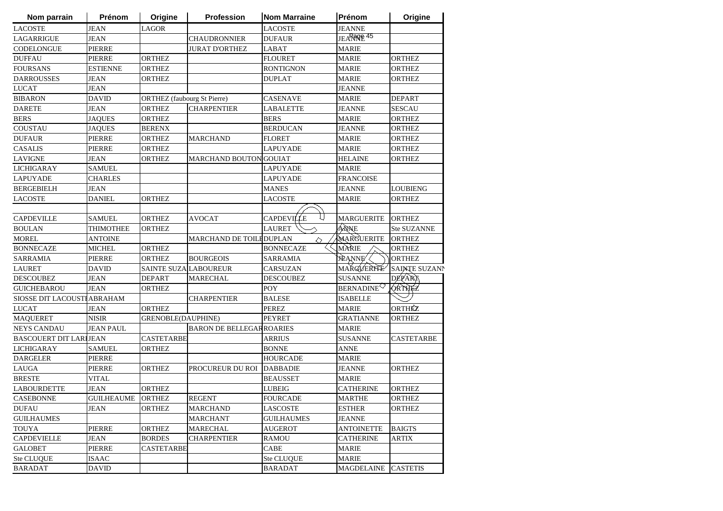| Nom parrain                   | Prénom            | Origine                            | <b>Profession</b>               | <b>Nom Marraine</b> | Prénom                 | Origine              |
|-------------------------------|-------------------|------------------------------------|---------------------------------|---------------------|------------------------|----------------------|
| <b>LACOSTE</b>                | <b>JEAN</b>       | <b>LAGOR</b>                       |                                 | <b>LACOSTE</b>      | <b>JEANNE</b>          |                      |
| LAGARRIGUE                    | <b>JEAN</b>       |                                    | <b>CHAUDRONNIER</b>             | <b>DUFAUR</b>       | JEARROLE <sup>45</sup> |                      |
| CODELONGUE                    | <b>PIERRE</b>     |                                    | <b>JURAT D'ORTHEZ</b>           | LABAT               | <b>MARIE</b>           |                      |
| <b>DUFFAU</b>                 | <b>PIERRE</b>     | <b>ORTHEZ</b>                      |                                 | <b>FLOURET</b>      | <b>MARIE</b>           | <b>ORTHEZ</b>        |
| <b>FOURSANS</b>               | ESTIENNE          | ORTHEZ                             |                                 | RONTIGNON           | MARIE                  | ORTHEZ               |
| <b>DARROUSSES</b>             | JEAN              | ORTHEZ                             |                                 | DUPLAT              | MARIE                  | ORTHEZ               |
| <b>LUCAT</b>                  | <b>JEAN</b>       |                                    |                                 |                     | JEANNE                 |                      |
| <b>BIBARON</b>                | DAVID             | <b>ORTHEZ</b> (faubourg St Pierre) |                                 | CASENAVE            | <b>MARIE</b>           | <b>DEPART</b>        |
| <b>DARETE</b>                 | JEAN              | ORTHEZ                             | <b>CHARPENTIER</b>              | LABALETTE           | JEANNE                 | <b>SESCAU</b>        |
| <b>BERS</b>                   | JAQUES            | ORTHEZ                             |                                 | <b>BERS</b>         | MARIE                  | ORTHEZ               |
| COUSTAU                       | <b>JAQUES</b>     | <b>BERENX</b>                      |                                 | <b>BERDUCAN</b>     | JEANNE                 | <b>ORTHEZ</b>        |
| <b>DUFAUR</b>                 | <b>PIERRE</b>     | <b>ORTHEZ</b>                      | <b>MARCHAND</b>                 | <b>FLORET</b>       | <b>MARIE</b>           | <b>ORTHEZ</b>        |
| <b>CASALIS</b>                | <b>PIERRE</b>     | <b>ORTHEZ</b>                      |                                 | LAPUYADE            | <b>MARIE</b>           | <b>ORTHEZ</b>        |
| LAVIGNE                       | <b>JEAN</b>       | <b>ORTHEZ</b>                      | <b>MARCHAND BOUTON</b>          | <b>GOUIAT</b>       | <b>HELAINE</b>         | <b>ORTHEZ</b>        |
| <b>LICHIGARAY</b>             | <b>SAMUEL</b>     |                                    |                                 | LAPUYADE            | <b>MARIE</b>           |                      |
| <b>LAPUYADE</b>               | <b>CHARLES</b>    |                                    |                                 | <b>LAPUYADE</b>     | <b>FRANCOISE</b>       |                      |
| <b>BERGEBIELH</b>             | JEAN              |                                    |                                 | <b>MANES</b>        | JEANNE                 | <b>LOUBIENG</b>      |
| <b>LACOSTE</b>                | <b>DANIEL</b>     | <b>ORTHEZ</b>                      |                                 | LACOSTE             | <b>MARIE</b>           | <b>ORTHEZ</b>        |
|                               |                   |                                    |                                 |                     |                        |                      |
| <b>CAPDEVILLE</b>             | <b>SAMUEL</b>     | <b>ORTHEZ</b>                      | AVOCAT                          | <b>CAPDEVILLE</b>   | <b>MARGUERITE</b>      | <b>ORTHEZ</b>        |
| <b>BOULAN</b>                 | THIMOTHEE         | <b>ORTHEZ</b>                      |                                 | LAURET              | ANNE                   | <b>Ste SUZANNE</b>   |
| <b>MOREL</b>                  | ANTOINE           |                                    | MARCHAND DE TOILEDUPLAN         | ◇                   | MARGUERITE             | ORTHEZ               |
| <b>BONNECAZE</b>              | MICHEL            | ORTHEZ                             |                                 | <b>BONNECAZE</b>    | MARIE                  | ORTHEZ               |
| <b>SARRAMIA</b>               | <b>PIERRE</b>     | ORTHEZ                             | <b>BOURGEOIS</b>                | SARRAMIA            | <b>JEANNE</b>          | <b>ORTHEZ</b>        |
| <b>LAURET</b>                 | <b>DAVID</b>      | SAINTE SUZA LABOUREUR              |                                 | CARSUZAN            | MAKGVERITE             | <b>SAINTE SUZANN</b> |
| <b>DESCOUBEZ</b>              | JEAN              | <b>DEPART</b>                      | <b>MARECHAL</b>                 | DESCOUBEZ           | <b>SUSANNE</b>         | DEPART               |
| <b>GUICHEBAROU</b>            | <b>JEAN</b>       | <b>ORTHEZ</b>                      |                                 | POY                 | <b>BERNADINE</b>       | QRTHEZ               |
| SIOSSE DIT LACOUSTI ABRAHAM   |                   |                                    | <b>CHARPENTIER</b>              | <b>BALESE</b>       | <b>ISABELLE</b>        |                      |
| <b>LUCAT</b>                  | <b>JEAN</b>       | <b>ORTHEZ</b>                      |                                 | PEREZ               | <b>MARIE</b>           | ORTHÉZ               |
| <b>MAQUERET</b>               | <b>NISIR</b>      | GRENOBLE(DAUPHINE)                 |                                 | <b>PEYRET</b>       | <b>GRATIANNE</b>       | <b>ORTHEZ</b>        |
| <b>NEYS CANDAU</b>            | <b>JEAN PAUL</b>  |                                    | <b>BARON DE BELLEGARROARIES</b> |                     | <b>MARIE</b>           |                      |
| <b>BASCOUERT DIT LARIJEAN</b> |                   | <b>CASTETARBE</b>                  |                                 | <b>ARRIUS</b>       | <b>SUSANNE</b>         | <b>CASTETARBE</b>    |
| <b>LICHIGARAY</b>             | <b>SAMUEL</b>     | <b>ORTHEZ</b>                      |                                 | <b>BONNE</b>        | ANNE                   |                      |
| <b>DARGELER</b>               | <b>PIERRE</b>     |                                    |                                 | <b>HOURCADE</b>     | <b>MARIE</b>           |                      |
| <b>LAUGA</b>                  | <b>PIERRE</b>     | <b>ORTHEZ</b>                      | PROCUREUR DU ROI                | <b>DABBADIE</b>     | <b>JEANNE</b>          | <b>ORTHEZ</b>        |
| <b>BRESTE</b>                 | VITAL             |                                    |                                 | <b>BEAUSSET</b>     | <b>MARIE</b>           |                      |
| <b>LABOURDETTE</b>            | <b>JEAN</b>       | <b>ORTHEZ</b>                      |                                 | <b>LUBEIG</b>       | <b>CATHERINE</b>       | <b>ORTHEZ</b>        |
| <b>CASEBONNE</b>              | <b>GUILHEAUME</b> | <b>ORTHEZ</b>                      | <b>REGENT</b>                   | <b>FOURCADE</b>     | <b>MARTHE</b>          | <b>ORTHEZ</b>        |
| <b>DUFAU</b>                  | JEAN              | ORTHEZ                             | <b>MARCHAND</b>                 | LASCOSTE            | <b>ESTHER</b>          | ORTHEZ               |
| <b>GUILHAUMES</b>             |                   |                                    | MARCHANT                        | <b>GUILHAUMES</b>   | JEANNE                 |                      |
| <b>TOUYA</b>                  | PIERRE            | <b>ORTHEZ</b>                      | MARECHAL                        | AUGEROT             | ANTOINETTE             | <b>BAIGTS</b>        |
| <b>CAPDEVIELLE</b>            | JEAN              | <b>BORDES</b>                      | <b>CHARPENTIER</b>              | RAMOU               | CATHERINE              | ARTIX                |
| <b>GALOBET</b>                | <b>PIERRE</b>     | <b>CASTETARBE</b>                  |                                 | CABE                | <b>MARIE</b>           |                      |
| Ste CLUQUE                    | ISAAC             |                                    |                                 | <b>Ste CLUQUE</b>   | <b>MARIE</b>           |                      |
| <b>BARADAT</b>                | <b>DAVID</b>      |                                    |                                 | <b>BARADAT</b>      | <b>MAGDELAINE</b>      | <b>CASTETIS</b>      |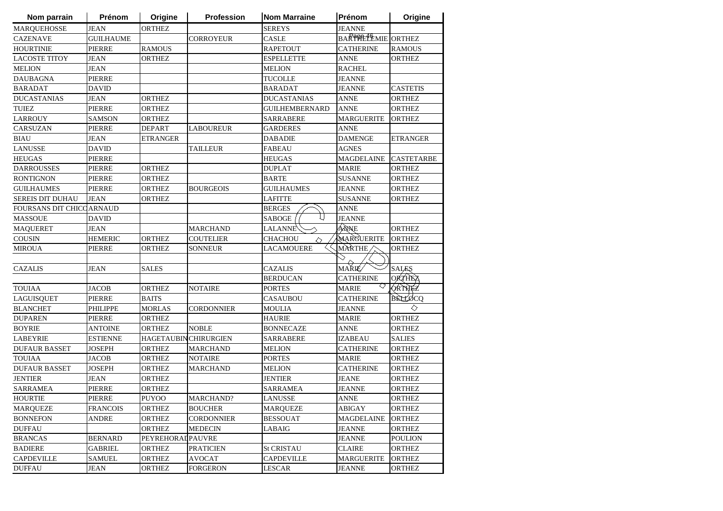| Nom parrain                     | Prénom           | Origine                     | <b>Profession</b> | <b>Nom Marraine</b>   | Prénom             | Origine           |
|---------------------------------|------------------|-----------------------------|-------------------|-----------------------|--------------------|-------------------|
| <b>MARQUEHOSSE</b>              | <b>JEAN</b>      | <b>ORTHEZ</b>               |                   | <b>SEREYS</b>         | <b>JEANNE</b>      |                   |
| <b>CAZENAVE</b>                 | <b>GUILHAUME</b> |                             | <b>CORROYEUR</b>  | CASLE                 | BARTHELEMIE ORTHEZ |                   |
| <b>HOURTINIE</b>                | <b>PIERRE</b>    | <b>RAMOUS</b>               |                   | <b>RAPETOUT</b>       | <b>CATHERINE</b>   | <b>RAMOUS</b>     |
| <b>LACOSTE TITOY</b>            | <b>JEAN</b>      | <b>ORTHEZ</b>               |                   | <b>ESPELLETTE</b>     | ANNE               | <b>ORTHEZ</b>     |
| <b>MELION</b>                   | <b>JEAN</b>      |                             |                   | MELION                | <b>RACHEL</b>      |                   |
| <b>DAUBAGNA</b>                 | <b>PIERRE</b>    |                             |                   | <b>TUCOLLE</b>        | <b>JEANNE</b>      |                   |
| <b>BARADAT</b>                  | <b>DAVID</b>     |                             |                   | <b>BARADAT</b>        | <b>JEANNE</b>      | <b>CASTETIS</b>   |
| <b>DUCASTANIAS</b>              | <b>JEAN</b>      | <b>ORTHEZ</b>               |                   | <b>DUCASTANIAS</b>    | <b>ANNE</b>        | <b>ORTHEZ</b>     |
| <b>TUIEZ</b>                    | <b>PIERRE</b>    | <b>ORTHEZ</b>               |                   | <b>GUILHEMBERNARD</b> | <b>ANNE</b>        | <b>ORTHEZ</b>     |
| <b>LARROUY</b>                  | <b>SAMSON</b>    | <b>ORTHEZ</b>               |                   | <b>SARRABERE</b>      | <b>MARGUERITE</b>  | <b>ORTHEZ</b>     |
| CARSUZAN                        | <b>PIERRE</b>    | <b>DEPART</b>               | <b>LABOUREUR</b>  | <b>GARDERES</b>       | <b>ANNE</b>        |                   |
| <b>BIAU</b>                     | JEAN             | <b>ETRANGER</b>             |                   | <b>DABADIE</b>        | <b>DAMENGE</b>     | <b>ETRANGER</b>   |
| <b>LANUSSE</b>                  | DAVID            |                             | <b>TAILLEUR</b>   | FABEAU                | <b>AGNES</b>       |                   |
| <b>HEUGAS</b>                   | <b>PIERRE</b>    |                             |                   | <b>HEUGAS</b>         | <b>MAGDELAINE</b>  | <b>CASTETARBE</b> |
| <b>DARROUSSES</b>               | PIERRE           | <b>ORTHEZ</b>               |                   | <b>DUPLAT</b>         | <b>MARIE</b>       | <b>ORTHEZ</b>     |
| <b>RONTIGNON</b>                | PIERRE           | ORTHEZ                      |                   | <b>BARTE</b>          | <b>SUSANNE</b>     | <b>ORTHEZ</b>     |
| <b>GUILHAUMES</b>               | <b>PIERRE</b>    | ORTHEZ                      | <b>BOURGEOIS</b>  | <b>GUILHAUMES</b>     | JEANNE             | <b>ORTHEZ</b>     |
| <b>SEREIS DIT DUHAU</b>         | <b>JEAN</b>      | <b>ORTHEZ</b>               |                   | <b>LAFITTE</b>        | <b>SUSANNE</b>     | <b>ORTHEZ</b>     |
| <b>FOURSANS DIT CHICCARNAUD</b> |                  |                             |                   | <b>BERGES</b>         | <b>ANNE</b>        |                   |
| <b>MASSOUE</b>                  | <b>DAVID</b>     |                             |                   | U<br><b>SABOGE</b>    | <b>JEANNE</b>      |                   |
| <b>MAQUERET</b>                 | <b>JEAN</b>      |                             | <b>MARCHAND</b>   | <b>LALANNE</b>        | ANNE               | <b>ORTHEZ</b>     |
| $\rm COUSIN$                    | <b>HEMERIC</b>   | <b>ORTHEZ</b>               | <b>COUTELIER</b>  | <b>CHACHOU</b><br>♦   | MARGUERITE         | <b>ORTHEZ</b>     |
| <b>MIROUA</b>                   | <b>PIERRE</b>    | <b>ORTHEZ</b>               | <b>SONNEUR</b>    | <b>LACAMOUERE</b>     | MARTHE             | <b>ORTHEZ</b>     |
|                                 |                  |                             |                   |                       |                    |                   |
| <b>CAZALIS</b>                  | <b>JEAN</b>      | <b>SALES</b>                |                   | <b>CAZALIS</b>        | MAŘIÉ⁄             | <b>SALES</b>      |
|                                 |                  |                             |                   | <b>BERDUCAN</b>       | <b>CATHERINE</b>   | <b>ORTHEZ</b>     |
| <b>TOUIAA</b>                   | <b>JACOB</b>     | <b>ORTHEZ</b>               | <b>NOTAIRE</b>    | <b>PORTES</b>         | <b>MARIE</b>       | <b>ORTHEZ</b>     |
| LAGUISQUET                      | <b>PIERRE</b>    | <b>BAITS</b>                |                   | <b>CASAUBOU</b>       | <b>CATHERINE</b>   | BELLOCO           |
| <b>BLANCHET</b>                 | PHILIPPE         | <b>MORLAS</b>               | <b>CORDONNIER</b> | <b>MOULIA</b>         | JEANNE             | ◇                 |
| <b>DUPAREN</b>                  | PIERRE           | <b>ORTHEZ</b>               |                   | HAURIE                | <b>MARIE</b>       | <b>ORTHEZ</b>     |
| <b>BOYRIE</b>                   | <b>ANTOINE</b>   | ORTHEZ                      | <b>NOBLE</b>      | <b>BONNECAZE</b>      | <b>ANNE</b>        | <b>ORTHEZ</b>     |
| <b>LABEYRIE</b>                 | <b>ESTIENNE</b>  | <b>HAGETAUBINCHIRURGIEN</b> |                   | <b>SARRABERE</b>      | <b>IZABEAU</b>     | <b>SALIES</b>     |
| <b>DUFAUR BASSET</b>            | <b>JOSEPH</b>    | <b>ORTHEZ</b>               | <b>MARCHAND</b>   | <b>MELION</b>         | <b>CATHERINE</b>   | <b>ORTHEZ</b>     |
| <b>TOUIAA</b>                   | <b>JACOB</b>     | ORTHEZ                      | <b>NOTAIRE</b>    | <b>PORTES</b>         | <b>MARIE</b>       | <b>ORTHEZ</b>     |
| <b>DUFAUR BASSET</b>            | <b>JOSEPH</b>    | <b>ORTHEZ</b>               | <b>MARCHAND</b>   | <b>MELION</b>         | <b>CATHERINE</b>   | <b>ORTHEZ</b>     |
| <b>JENTIER</b>                  | <b>JEAN</b>      | <b>ORTHEZ</b>               |                   | <b>JENTIER</b>        | <b>JEANE</b>       | <b>ORTHEZ</b>     |
| <b>SARRAMEA</b>                 | <b>PIERRE</b>    | <b>ORTHEZ</b>               |                   | <b>SARRAMEA</b>       | JEANNE             | <b>ORTHEZ</b>     |
| <b>HOURTIE</b>                  | PIERRE           | <b>PUYOO</b>                | MARCHAND?         | <b>LANUSSE</b>        | <b>ANNE</b>        | <b>ORTHEZ</b>     |
| <b>MARQUEZE</b>                 | <b>FRANCOIS</b>  | <b>ORTHEZ</b>               | <b>BOUCHER</b>    | <b>MARQUEZE</b>       | <b>ABIGAY</b>      | <b>ORTHEZ</b>     |
| <b>BONNEFON</b>                 | ANDRE            | ORTHEZ                      | <b>CORDONNIER</b> | <b>BESSOUAT</b>       | <b>MAGDELAINE</b>  | <b>ORTHEZ</b>     |
| <b>DUFFAU</b>                   |                  | <b>ORTHEZ</b>               | <b>MEDECIN</b>    | LABAIG                | <b>JEANNE</b>      | <b>ORTHEZ</b>     |
| <b>BRANCAS</b>                  | <b>BERNARD</b>   | PEYREHORAL PAUVRE           |                   |                       | <b>JEANNE</b>      | <b>POULION</b>    |
| <b>BADIERE</b>                  | <b>GABRIEL</b>   | ORTHEZ                      | PRATICIEN         | <b>St CRISTAU</b>     | <b>CLAIRE</b>      | <b>ORTHEZ</b>     |
| <b>CAPDEVILLE</b>               | <b>SAMUEL</b>    | <b>ORTHEZ</b>               | AVOCAT            | <b>CAPDEVILLE</b>     | MARGUERITE         | <b>ORTHEZ</b>     |
| <b>DUFFAU</b>                   | <b>JEAN</b>      | <b>ORTHEZ</b>               | <b>FORGERON</b>   | <b>LESCAR</b>         | <b>JEANNE</b>      | ORTHEZ            |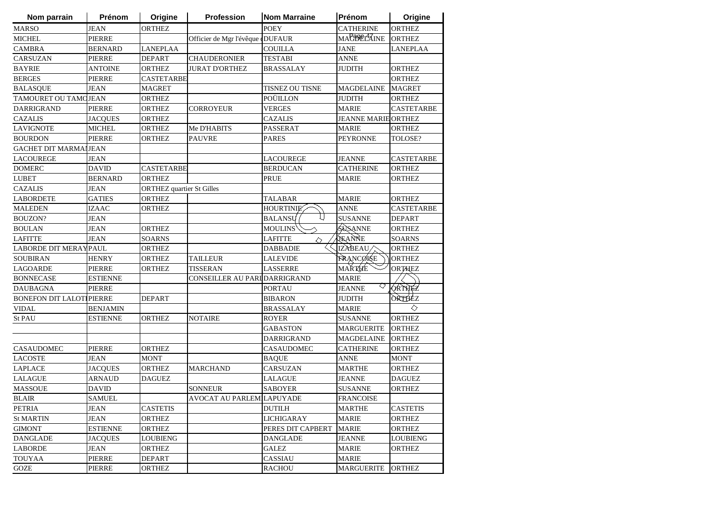| Nom parrain                      | Prénom          | Origine                          | <b>Profession</b>                | <b>Nom Marraine</b>  | Prénom                     | Origine           |
|----------------------------------|-----------------|----------------------------------|----------------------------------|----------------------|----------------------------|-------------------|
| <b>MARSO</b>                     | <b>JEAN</b>     | <b>ORTHEZ</b>                    |                                  | <b>POEY</b>          | <b>CATHERINE</b>           | <b>ORTHEZ</b>     |
| <b>MICHEL</b>                    | <b>PIERRE</b>   |                                  | Officier de Mgr l'évêque «DUFAUR |                      | MAC392L4 AINE              | <b>ORTHEZ</b>     |
| <b>CAMBRA</b>                    | <b>BERNARD</b>  | <b>LANEPLAA</b>                  |                                  | <b>COUILLA</b>       | <b>JANE</b>                | <b>LANEPLAA</b>   |
| CARSUZAN                         | PIERRE          | <b>DEPART</b>                    | <b>CHAUDERONIER</b>              | <b>TESTABI</b>       | <b>ANNE</b>                |                   |
| <b>BAYRIE</b>                    | <b>ANTOINE</b>  | <b>ORTHEZ</b>                    | <b>JURAT D'ORTHEZ</b>            | <b>BRASSALAY</b>     | <b>JUDITH</b>              | <b>ORTHEZ</b>     |
| <b>BERGES</b>                    | <b>PIERRE</b>   | <b>CASTETARBE</b>                |                                  |                      |                            | <b>ORTHEZ</b>     |
| <b>BALASQUE</b>                  | <b>JEAN</b>     | <b>MAGRET</b>                    |                                  | TISNEZ OU TISNE      | <b>MAGDELAINE</b>          | <b>MAGRET</b>     |
| TAMOURET OU TAMOJEAN             |                 | <b>ORTHEZ</b>                    |                                  | <b>POÜILLON</b>      | <b>JUDITH</b>              | <b>ORTHEZ</b>     |
| <b>DARRIGRAND</b>                | <b>PIERRE</b>   | <b>ORTHEZ</b>                    | <b>CORROYEUR</b>                 | <b>VERGES</b>        | <b>MARIE</b>               | <b>CASTETARBE</b> |
| <b>CAZALIS</b>                   | <b>JACQUES</b>  | <b>ORTHEZ</b>                    |                                  | <b>CAZALIS</b>       | <b>JEANNE MARIE ORTHEZ</b> |                   |
| <b>LAVIGNOTE</b>                 | <b>MICHEL</b>   | <b>ORTHEZ</b>                    | Me D'HABITS                      | PASSERAT             | <b>MARIE</b>               | <b>ORTHEZ</b>     |
| <b>BOURDON</b>                   | <b>PIERRE</b>   | <b>ORTHEZ</b>                    | <b>PAUVRE</b>                    | <b>PARES</b>         | <b>PEYRONNE</b>            | TOLOSE?           |
| <b>GACHET DIT MARMAIJEAN</b>     |                 |                                  |                                  |                      |                            |                   |
| <b>LACOUREGE</b>                 | JEAN            |                                  |                                  | <b>LACOUREGE</b>     | <b>JEANNE</b>              | CASTETARBE        |
| <b>DOMERC</b>                    | <b>DAVID</b>    | <b>CASTETARBE</b>                |                                  | <b>BERDUCAN</b>      | <b>CATHERINE</b>           | <b>ORTHEZ</b>     |
| <b>LUBET</b>                     | <b>BERNARD</b>  | ORTHEZ                           |                                  | PRUE                 | <b>MARIE</b>               | <b>ORTHEZ</b>     |
| <b>CAZALIS</b>                   | <b>JEAN</b>     | <b>ORTHEZ</b> quartier St Gilles |                                  |                      |                            |                   |
| <b>LABORDETE</b>                 | <b>GATIES</b>   | <b>ORTHEZ</b>                    |                                  | <b>TALABAR</b>       | <b>MARIE</b>               | <b>ORTHEZ</b>     |
| <b>MALEDEN</b>                   | IZAAC           | <b>ORTHEZ</b>                    |                                  | <b>HOURTINIE</b>     | <b>ANNE</b>                | <b>CASTETARBE</b> |
| <b>BOUZON?</b>                   | <b>JEAN</b>     |                                  |                                  | L)<br><b>BALANSU</b> | <b>SUSANNE</b>             | <b>DEPART</b>     |
| <b>BOULAN</b>                    | <b>JEAN</b>     | <b>ORTHEZ</b>                    |                                  | <b>MOULINS</b>       | SUSANNE                    | <b>ORTHEZ</b>     |
| <b>LAFITTE</b>                   | <b>JEAN</b>     | <b>SOARNS</b>                    |                                  | <b>LAFITTE</b><br>♦  | TEANNE                     | <b>SOARNS</b>     |
| LABORDE DIT MERAYPAUL            |                 | <b>ORTHEZ</b>                    |                                  | <b>DABBADIE</b>      | IZABEAU/                   | <b>ORTHEZ</b>     |
| <b>SOUBIRAN</b>                  | <b>HENRY</b>    | <b>ORTHEZ</b>                    | <b>TAILLEUR</b>                  | <b>LALEVIDE</b>      | FRANCØISE                  | <b>ORTHEZ</b>     |
| <b>LAGOARDE</b>                  | <b>PIERRE</b>   | <b>ORTHEZ</b>                    | <b>TISSERAN</b>                  | <b>LASSERRE</b>      | MAŘTHE                     | <b>ORTHEZ</b>     |
| <b>BONNECASE</b>                 | <b>ESTIENNE</b> |                                  | CONSEILLER AU PARI DARRIGRAND    |                      | <b>MARIE</b>               |                   |
| <b>DAUBAGNA</b>                  | <b>PIERRE</b>   |                                  |                                  | <b>PORTAU</b>        | ◇<br><b>JEANNE</b>         | ORTHEZ            |
| <b>BONEFON DIT LALOTI PIERRE</b> |                 | <b>DEPART</b>                    |                                  | <b>BIBARON</b>       | <b>JUDITH</b>              | ORTHEZ            |
| <b>VIDAL</b>                     | <b>BENJAMIN</b> |                                  |                                  | <b>BRASSALAY</b>     | <b>MARIE</b>               | ♦                 |
| St PAU                           | ESTIENNE        | <b>ORTHEZ</b>                    | <b>NOTAIRE</b>                   | <b>ROYER</b>         | <b>SUSANNE</b>             | <b>ORTHEZ</b>     |
|                                  |                 |                                  |                                  | <b>GABASTON</b>      | <b>MARGUERITE</b>          | <b>ORTHEZ</b>     |
|                                  |                 |                                  |                                  | <b>DARRIGRAND</b>    | <b>MAGDELAINE</b>          | <b>ORTHEZ</b>     |
| <b>CASAUDOMEC</b>                | PIERRE          | <b>ORTHEZ</b>                    |                                  | CASAUDOMEC           | <b>CATHERINE</b>           | <b>ORTHEZ</b>     |
| <b>LACOSTE</b>                   | <b>JEAN</b>     | <b>MONT</b>                      |                                  | <b>BAQUE</b>         | <b>ANNE</b>                | <b>MONT</b>       |
| <b>LAPLACE</b>                   | <b>JACQUES</b>  | <b>ORTHEZ</b>                    | <b>MARCHAND</b>                  | <b>CARSUZAN</b>      | <b>MARTHE</b>              | <b>ORTHEZ</b>     |
| <b>LALAGUE</b>                   | <b>ARNAUD</b>   | <b>DAGUEZ</b>                    |                                  | LALAGUE              | <b>JEANNE</b>              | <b>DAGUEZ</b>     |
| <b>MASSOUE</b>                   | <b>DAVID</b>    |                                  | <b>SONNEUR</b>                   | <b>SABOYER</b>       | <b>SUSANNE</b>             | <b>ORTHEZ</b>     |
| <b>BLAIR</b>                     | <b>SAMUEL</b>   |                                  | AVOCAT AU PARLEM LAPUYADE        |                      | <b>FRANCOISE</b>           |                   |
| PETRIA                           | JEAN            | <b>CASTETIS</b>                  |                                  | DUTILH               | <b>MARTHE</b>              | <b>CASTETIS</b>   |
| <b>St MARTIN</b>                 | JEAN            | <b>ORTHEZ</b>                    |                                  | <b>LICHIGARAY</b>    | <b>MARIE</b>               | ORTHEZ            |
| <b>GIMONT</b>                    | <b>ESTIENNE</b> | <b>ORTHEZ</b>                    |                                  | PERES DIT CAPBERT    | <b>MARIE</b>               | <b>ORTHEZ</b>     |
| <b>DANGLADE</b>                  | <b>JACQUES</b>  | <b>LOUBIENG</b>                  |                                  | <b>DANGLADE</b>      | <b>JEANNE</b>              | <b>LOUBIENG</b>   |
| <b>LABORDE</b>                   | JEAN            | <b>ORTHEZ</b>                    |                                  | <b>GALEZ</b>         | MARIE                      | <b>ORTHEZ</b>     |
| <b>TOUYAA</b>                    | PIERRE          | DEPART                           |                                  | CASSIAU              | MARIE                      |                   |
| GOZE                             | <b>PIERRE</b>   | <b>ORTHEZ</b>                    |                                  | <b>RACHOU</b>        | <b>MARGUERITE</b>          | <b>ORTHEZ</b>     |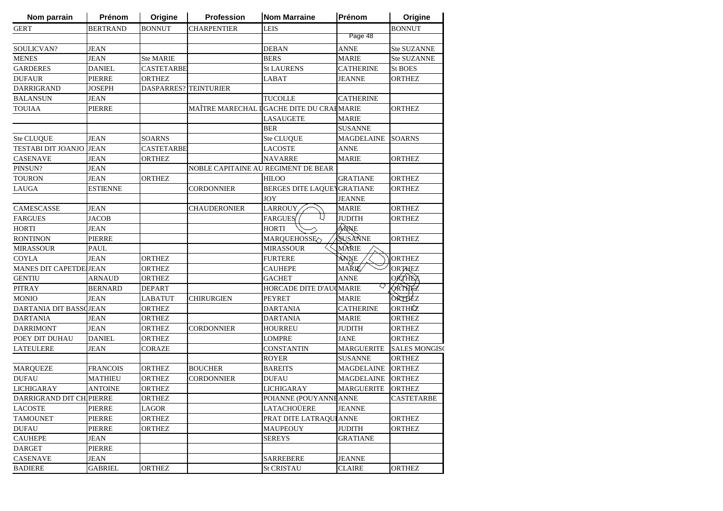| Nom parrain              | Prénom          | Origine               | <b>Profession</b>   | <b>Nom Marraine</b>                       | Prénom               | Origine                        |
|--------------------------|-----------------|-----------------------|---------------------|-------------------------------------------|----------------------|--------------------------------|
| <b>GERT</b>              | <b>BERTRAND</b> | <b>BONNUT</b>         | <b>CHARPENTIER</b>  | <b>LEIS</b>                               |                      | <b>BONNUT</b>                  |
|                          |                 |                       |                     |                                           | Page 48              |                                |
| SOULICVAN?               | JEAN            |                       |                     | <b>DEBAN</b>                              | ANNE                 | <b>Ste SUZANNE</b>             |
| <b>MENES</b>             | <b>JEAN</b>     | <b>Ste MARIE</b>      |                     | <b>BERS</b>                               | <b>MARIE</b>         | <b>Ste SUZANNE</b>             |
| <b>GARDERES</b>          | <b>DANIEL</b>   | <b>CASTETARBE</b>     |                     | <b>St LAURENS</b>                         | <b>CATHERINE</b>     | <b>St BOES</b>                 |
| <b>DUFAUR</b>            | <b>PIERRE</b>   | <b>ORTHEZ</b>         |                     | <b>LABAT</b>                              | JEANNE               | ORTHEZ                         |
| DARRIGRAND               | <b>JOSEPH</b>   | DASPARRES? TEINTURIER |                     |                                           |                      |                                |
| <b>BALANSUN</b>          | JEAN            |                       |                     | <b>TUCOLLE</b>                            | <b>CATHERINE</b>     |                                |
| <b>TOUIAA</b>            | PIERRE          |                       |                     | MAÎTRE MARECHAL I GACHE DITE DU CRAHMARIE |                      | <b>ORTHEZ</b>                  |
|                          |                 |                       |                     | <b>LASAUGETE</b>                          | <b>MARIE</b>         |                                |
|                          |                 |                       |                     | <b>BER</b>                                | <b>SUSANNE</b>       |                                |
| Ste CLUQUE               | <b>JEAN</b>     | <b>SOARNS</b>         |                     | <b>Ste CLUQUE</b>                         | <b>MAGDELAINE</b>    | <b>SOARNS</b>                  |
| TESTABI DIT JOANJO       | <b>JEAN</b>     | <b>CASTETARBE</b>     |                     | <b>LACOSTE</b>                            | <b>ANNE</b>          |                                |
| <b>CASENAVE</b>          | JEAN            | <b>ORTHEZ</b>         |                     | <b>NAVARRE</b>                            | <b>MARIE</b>         | ORTHEZ                         |
| PINSUN?                  | JEAN            |                       |                     | NOBLE CAPITAINE AU REGIMENT DE BEAR       |                      |                                |
| <b>TOURON</b>            | JEAN            | <b>ORTHEZ</b>         |                     | <b>HILOO</b>                              | <b>GRATIANE</b>      | <b>ORTHEZ</b>                  |
| LAUGA                    | ESTIENNE        |                       | <b>CORDONNIER</b>   | BERGES DITE LAQUEYGRATIANE                |                      | <b>ORTHEZ</b>                  |
|                          |                 |                       |                     | <b>JOY</b>                                | <b>JEANNE</b>        |                                |
| CAMESCASSE               | JEAN            |                       | <b>CHAUDERONIER</b> | <b>LARROUY</b>                            | <b>MARIE</b>         | <b>ORTHEZ</b>                  |
| <b>FARGUES</b>           | <b>JACOB</b>    |                       |                     | <b>FARGUES</b>                            | <b>JUDITH</b>        | ORTHEZ                         |
| <b>HORTI</b>             | <b>JEAN</b>     |                       |                     | <b>HORTI</b>                              | ANNE                 |                                |
| <b>RONTINON</b>          | <b>PIERRE</b>   |                       |                     |                                           | SUSANNE              | ORTHEZ                         |
| <b>MIRASSOUR</b>         | <b>PAUL</b>     |                       |                     | MARQUEHOSSE<br><b>MIRASSOUR</b>           | MÀRIE                |                                |
|                          |                 |                       |                     |                                           |                      | <b>ORTHEZ</b>                  |
| <b>COYLA</b>             | <b>JEAN</b>     | <b>ORTHEZ</b>         |                     | <b>FURTERE</b>                            | ANNE<br><b>MAŘIÉ</b> |                                |
| MANES DIT CAPETDE JEAN   |                 | ORTHEZ                |                     | <b>CAUHEPE</b>                            | <b>ANNE</b>          | <b>ORTHEZ</b><br><b>ORTHEZ</b> |
| <b>GENTIU</b>            | <b>ARNAUD</b>   | <b>ORTHEZ</b>         |                     | <b>GACHET</b>                             | ♡                    | QRTHEZ                         |
| <b>PITRAY</b>            | <b>BERNARD</b>  | <b>DEPART</b>         |                     | HORCADE DITE D'AUCMARIE                   |                      | ORTHEZ                         |
| <b>MONIO</b>             | <b>JEAN</b>     | <b>LABATUT</b>        | <b>CHIRURGIEN</b>   | <b>PEYRET</b>                             | <b>MARIE</b>         |                                |
| DARTANIA DIT BASSCJEAN   |                 | ORTHEZ                |                     | <b>DARTANIA</b>                           | <b>CATHERINE</b>     | ORTHÉZ                         |
| <b>DARTANIA</b>          | JEAN            | <b>ORTHEZ</b>         |                     | <b>DARTANIA</b>                           | <b>MARIE</b>         | <b>ORTHEZ</b>                  |
| <b>DARRIMONT</b>         | <b>JEAN</b>     | <b>ORTHEZ</b>         | <b>CORDONNIER</b>   | <b>HOURREU</b>                            | <b>JUDITH</b>        | <b>ORTHEZ</b>                  |
| POEY DIT DUHAU           | DANIEL          | <b>ORTHEZ</b>         |                     | <b>LOMPRE</b>                             | JANE                 | <b>ORTHEZ</b>                  |
| <b>LATEULERE</b>         | JEAN            | CORAZE                |                     | <b>CONSTANTIN</b>                         | <b>MARGUERITE</b>    | <b>SALES MONGISO</b>           |
|                          |                 |                       |                     | <b>ROYER</b>                              | <b>SUSANNE</b>       | <b>ORTHEZ</b>                  |
| <b>MARQUEZE</b>          | <b>FRANCOIS</b> | <b>ORTHEZ</b>         | <b>BOUCHER</b>      | <b>BAREITS</b>                            | <b>MAGDELAINE</b>    | <b>ORTHEZ</b>                  |
| <b>DUFAU</b>             | <b>MATHIEU</b>  | <b>ORTHEZ</b>         | <b>CORDONNIER</b>   | <b>DUFAU</b>                              | <b>MAGDELAINE</b>    | <b>ORTHEZ</b>                  |
| <b>LICHIGARAY</b>        | <b>ANTOINE</b>  | ORTHEZ                |                     | <b>LICHIGARAY</b>                         | <b>MARGUERITE</b>    | <b>ORTHEZ</b>                  |
| DARRIGRAND DIT CH PIERRE |                 | ORTHEZ                |                     | POIANNE (POUYANNE ANNE                    |                      | <b>CASTETARBE</b>              |
| LACOSTE                  | <b>PIERRE</b>   | LAGOR                 |                     | LATACHOÜERE                               | <b>JEANNE</b>        |                                |
| <b>TAMOUNET</b>          | <b>PIERRE</b>   | <b>ORTHEZ</b>         |                     | PRAT DITE LATRAQUI ANNE                   |                      | <b>ORTHEZ</b>                  |
| <b>DUFAU</b>             | <b>PIERRE</b>   | ORTHEZ                |                     | <b>MAUPEOUY</b>                           | <b>JUDITH</b>        | ORTHEZ                         |
| <b>CAUHEPE</b>           | <b>JEAN</b>     |                       |                     | <b>SEREYS</b>                             | <b>GRATIANE</b>      |                                |
| <b>DARGET</b>            | <b>PIERRE</b>   |                       |                     |                                           |                      |                                |
| <b>CASENAVE</b>          | <b>JEAN</b>     |                       |                     | <b>SARREBERE</b>                          | <b>JEANNE</b>        |                                |
| <b>BADIERE</b>           | <b>GABRIEL</b>  | ORTHEZ                |                     | <b>St CRISTAU</b>                         | <b>CLAIRE</b>        | <b>ORTHEZ</b>                  |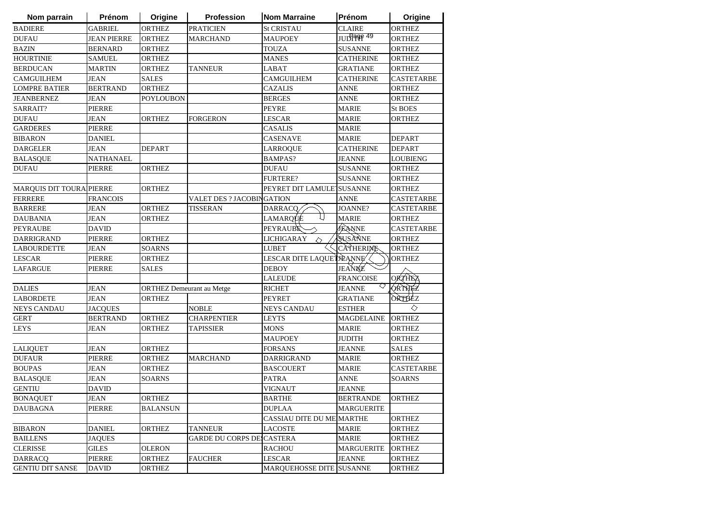| Nom parrain              | Prénom             | Origine                          | <b>Profession</b>                | <b>Nom Marraine</b>       | Prénom            | Origine           |
|--------------------------|--------------------|----------------------------------|----------------------------------|---------------------------|-------------------|-------------------|
| <b>BADIERE</b>           | <b>GABRIEL</b>     | <b>ORTHEZ</b>                    | <b>PRATICIEN</b>                 | <b>St CRISTAU</b>         | <b>CLAIRE</b>     | <b>ORTHEZ</b>     |
| <b>DUFAU</b>             | <b>JEAN PIERRE</b> | <b>ORTHEZ</b>                    | <b>MARCHAND</b>                  | <b>MAUPOEY</b>            | JUD1999 49        | <b>ORTHEZ</b>     |
| <b>BAZIN</b>             | <b>BERNARD</b>     | <b>ORTHEZ</b>                    |                                  | <b>TOUZA</b>              | <b>SUSANNE</b>    | <b>ORTHEZ</b>     |
| <b>HOURTINIE</b>         | <b>SAMUEL</b>      | <b>ORTHEZ</b>                    |                                  | <b>MANES</b>              | <b>CATHERINE</b>  | <b>ORTHEZ</b>     |
| <b>BERDUCAN</b>          | <b>MARTIN</b>      | <b>ORTHEZ</b>                    | <b>TANNEUR</b>                   | LABAT                     | <b>GRATIANE</b>   | <b>ORTHEZ</b>     |
| <b>CAMGUILHEM</b>        | <b>JEAN</b>        | <b>SALES</b>                     |                                  | <b>CAMGUILHEM</b>         | <b>CATHERINE</b>  | CASTETARBE        |
| <b>LOMPRE BATIER</b>     | <b>BERTRAND</b>    | <b>ORTHEZ</b>                    |                                  | <b>CAZALIS</b>            | <b>ANNE</b>       | ORTHEZ            |
| <b>JEANBERNEZ</b>        | <b>JEAN</b>        | <b>POYLOUBON</b>                 |                                  | <b>BERGES</b>             | <b>ANNE</b>       | <b>ORTHEZ</b>     |
| SARRAIT?                 | <b>PIERRE</b>      |                                  |                                  | <b>PEYRE</b>              | <b>MARIE</b>      | <b>St BOES</b>    |
| <b>DUFAU</b>             | <b>JEAN</b>        | <b>ORTHEZ</b>                    | <b>FORGERON</b>                  | LESCAR                    | <b>MARIE</b>      | ORTHEZ            |
| <b>GARDERES</b>          | <b>PIERRE</b>      |                                  |                                  | <b>CASALIS</b>            | <b>MARIE</b>      |                   |
| <b>BIBARON</b>           | <b>DANIEL</b>      |                                  |                                  | <b>CASENAVE</b>           | <b>MARIE</b>      | <b>DEPART</b>     |
| <b>DARGELER</b>          | JEAN               | <b>DEPART</b>                    |                                  | LARROQUE                  | <b>CATHERINE</b>  | <b>DEPART</b>     |
| <b>BALASQUE</b>          | <b>NATHANAEL</b>   |                                  |                                  | <b>BAMPAS?</b>            | <b>JEANNE</b>     | <b>LOUBIENG</b>   |
| <b>DUFAU</b>             | <b>PIERRE</b>      | <b>ORTHEZ</b>                    |                                  | <b>DUFAU</b>              | <b>SUSANNE</b>    | <b>ORTHEZ</b>     |
|                          |                    |                                  |                                  | <b>FURTERE?</b>           | <b>SUSANNE</b>    | <b>ORTHEZ</b>     |
| MARQUIS DIT TOURA PIERRE |                    | <b>ORTHEZ</b>                    |                                  | PEYRET DIT LAMULETSUSANNE |                   | ORTHEZ            |
| <b>FERRERE</b>           | <b>FRANCOIS</b>    |                                  | <b>VALET DES ? JACOBINGATION</b> |                           | <b>ANNE</b>       | <b>CASTETARBE</b> |
| <b>BARRERE</b>           | <b>JEAN</b>        | <b>ORTHEZ</b>                    | <b>TISSERAN</b>                  | DARRACQ                   | <b>JOANNE?</b>    | <b>CASTETARBE</b> |
| <b>DAUBANIA</b>          | <b>JEAN</b>        | <b>ORTHEZ</b>                    |                                  | ιı<br>LAMARQUE            | <b>MARIE</b>      | <b>ORTHEZ</b>     |
| <b>PEYRAUBE</b>          | <b>DAVID</b>       |                                  |                                  | <b>PEYRAUBE</b>           | JEANNE            | <b>CASTETARBE</b> |
| DARRIGRAND               | <b>PIERRE</b>      | <b>ORTHEZ</b>                    |                                  | <b>LICHIGARAY</b><br>♦    | SUSANNE           | <b>ORTHEZ</b>     |
| <b>LABOURDETTE</b>       | <b>JEAN</b>        | <b>SOARNS</b>                    |                                  | <b>LUBET</b>              | <b>CATHERIME</b>  | <b>ORTHEZ</b>     |
| <b>LESCAR</b>            | <b>PIERRE</b>      | <b>ORTHEZ</b>                    |                                  | LESCAR DITE LAQUETIEANNE  |                   | <b>ORTHEZ</b>     |
| <b>LAFARGUE</b>          | <b>PIERRE</b>      | <b>SALES</b>                     |                                  | <b>DEBOY</b>              | JEANNE            |                   |
|                          |                    |                                  |                                  | <b>LALEUDE</b>            | <b>FRANCOISE</b>  | <b>ORTHEZ</b>     |
| <b>DALIES</b>            | <b>JEAN</b>        | <b>ORTHEZ Demeurant au Metge</b> |                                  | <b>RICHET</b>             | <b>JEANNE</b>     | <b>ORTHEZ</b>     |
| <b>LABORDETE</b>         | <b>JEAN</b>        | <b>ORTHEZ</b>                    |                                  | <b>PEYRET</b>             | <b>GRATIANE</b>   | <b>ORTHEZ</b>     |
| <b>NEYS CANDAU</b>       | <b>JACQUES</b>     |                                  | <b>NOBLE</b>                     | <b>NEYS CANDAU</b>        | <b>ESTHER</b>     | ◇                 |
| <b>GERT</b>              | <b>BERTRAND</b>    | <b>ORTHEZ</b>                    | <b>CHARPENTIER</b>               | LEYTS                     | <b>MAGDELAINE</b> | <b>ORTHEZ</b>     |
| <b>LEYS</b>              | <b>JEAN</b>        | <b>ORTHEZ</b>                    | <b>TAPISSIER</b>                 | MONS                      | <b>MARIE</b>      | <b>ORTHEZ</b>     |
|                          |                    |                                  |                                  | <b>MAUPOEY</b>            | <b>JUDITH</b>     | <b>ORTHEZ</b>     |
| <b>LALIQUET</b>          | <b>JEAN</b>        | <b>ORTHEZ</b>                    |                                  | <b>FORSANS</b>            | <b>JEANNE</b>     | <b>SALES</b>      |
| <b>DUFAUR</b>            | <b>PIERRE</b>      | <b>ORTHEZ</b>                    | <b>MARCHAND</b>                  | <b>DARRIGRAND</b>         | <b>MARIE</b>      | ORTHEZ            |
| <b>BOUPAS</b>            | <b>JEAN</b>        | <b>ORTHEZ</b>                    |                                  | <b>BASCOUERT</b>          | <b>MARIE</b>      | CASTETARBE        |
| <b>BALASQUE</b>          | <b>JEAN</b>        | <b>SOARNS</b>                    |                                  | <b>PATRA</b>              | <b>ANNE</b>       | <b>SOARNS</b>     |
| <b>GENTIU</b>            | <b>DAVID</b>       |                                  |                                  | <b>VIGNAUT</b>            | <b>JEANNE</b>     |                   |
| <b>BONAQUET</b>          | <b>JEAN</b>        | ORTHEZ                           |                                  | <b>BARTHE</b>             | <b>BERTRANDE</b>  | <b>ORTHEZ</b>     |
| <b>DAUBAGNA</b>          | <b>PIERRE</b>      | <b>BALANSUN</b>                  |                                  | <b>DUPLAA</b>             | <b>MARGUERITE</b> |                   |
|                          |                    |                                  |                                  | CASSIAU DITE DU ME MARTHE |                   | <b>ORTHEZ</b>     |
| <b>BIBARON</b>           | <b>DANIEL</b>      | <b>ORTHEZ</b>                    | <b>TANNEUR</b>                   | <b>LACOSTE</b>            | <b>MARIE</b>      | ORTHEZ            |
| <b>BAILLENS</b>          | <b>JAQUES</b>      |                                  | <b>GARDE DU CORPS DE CASTERA</b> |                           | <b>MARIE</b>      | ORTHEZ            |
| <b>CLERISSE</b>          | <b>GILES</b>       | <b>OLERON</b>                    |                                  | <b>RACHOU</b>             | <b>MARGUERITE</b> | ORTHEZ            |
| <b>DARRACQ</b>           | PIERRE             | ORTHEZ                           | <b>FAUCHER</b>                   | <b>LESCAR</b>             | <b>JEANNE</b>     | ORTHEZ            |
| <b>GENTIU DIT SANSE</b>  | <b>DAVID</b>       | <b>ORTHEZ</b>                    |                                  | MARQUEHOSSE DITE SUSANNE  |                   | ORTHEZ            |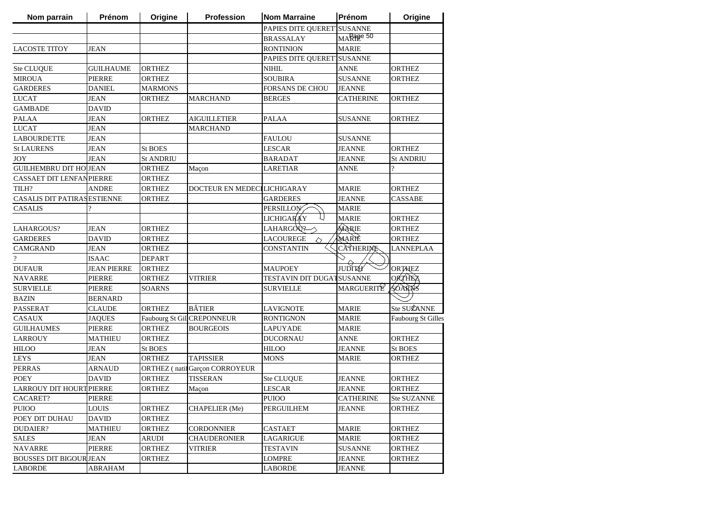| Nom parrain                     | Prénom             | Origine          | Profession                           | <b>Nom Marraine</b>              | <b>Prénom</b>    | Origine            |
|---------------------------------|--------------------|------------------|--------------------------------------|----------------------------------|------------------|--------------------|
|                                 |                    |                  |                                      | PAPIES DITE QUERET SUSANNE       |                  |                    |
|                                 |                    |                  |                                      | <b>BRASSALAY</b>                 | MARPER 50        |                    |
| <b>LACOSTE TITOY</b>            | <b>JEAN</b>        |                  |                                      | <b>RONTINION</b>                 | <b>MARIE</b>     |                    |
|                                 |                    |                  |                                      | PAPIES DITE QUERETISUSANNE       |                  |                    |
| Ste CLUQUE                      | <b>GUILHAUME</b>   | <b>ORTHEZ</b>    |                                      | <b>NIHIL</b>                     | <b>ANNE</b>      | <b>ORTHEZ</b>      |
| <b>MIROUA</b>                   | <b>PIERRE</b>      | <b>ORTHEZ</b>    |                                      | <b>SOUBIRA</b>                   | <b>SUSANNE</b>   | <b>ORTHEZ</b>      |
| <b>GARDERES</b>                 | <b>DANIEL</b>      | <b>MARMONS</b>   |                                      | <b>FORSANS DE CHOU</b>           | <b>JEANNE</b>    |                    |
| <b>LUCAT</b>                    | <b>JEAN</b>        | <b>ORTHEZ</b>    | <b>MARCHAND</b>                      | <b>BERGES</b>                    | <b>CATHERINE</b> | <b>ORTHEZ</b>      |
| <b>GAMBADE</b>                  | <b>DAVID</b>       |                  |                                      |                                  |                  |                    |
| <b>PALAA</b>                    | <b>JEAN</b>        | <b>ORTHEZ</b>    | <b>AIGUILLETIER</b>                  | <b>PALAA</b>                     | <b>SUSANNE</b>   | <b>ORTHEZ</b>      |
| <b>LUCAT</b>                    | <b>JEAN</b>        |                  | <b>MARCHAND</b>                      |                                  |                  |                    |
| <b>LABOURDETTE</b>              | <b>JEAN</b>        |                  |                                      | <b>FAULOU</b>                    | <b>SUSANNE</b>   |                    |
| <b>St LAURENS</b>               | <b>JEAN</b>        | <b>St BOES</b>   |                                      | <b>LESCAR</b>                    | <b>JEANNE</b>    | <b>ORTHEZ</b>      |
| <b>JOY</b>                      | <b>JEAN</b>        | <b>St ANDRIU</b> |                                      | BARADAT                          | <b>JEANNE</b>    | St ANDRIU          |
| <b>GUILHEMBRU DIT HOJJEAN</b>   |                    | <b>ORTHEZ</b>    | Maçon                                | <b>LARETIAR</b>                  | ANNE             | 9                  |
| CASSAET DIT LENFANPIERRE        |                    | ORTHEZ           |                                      |                                  |                  |                    |
| TILH?                           | <b>ANDRE</b>       | ORTHEZ           | DOCTEUR EN MEDECILICHIGARAY          |                                  | <b>MARIE</b>     | <b>ORTHEZ</b>      |
| CASALIS DIT PATIRAS ESTIENNE    |                    | <b>ORTHEZ</b>    |                                      | <b>GARDERES</b>                  | <b>JEANNE</b>    | <b>CASSABE</b>     |
| <b>CASALIS</b>                  |                    |                  |                                      | <b>PERSILLON</b>                 | <b>MARIE</b>     |                    |
|                                 |                    |                  |                                      | <b>LICHIGARAY</b>                | <b>MARIE</b>     | <b>ORTHEZ</b>      |
| LAHARGOUS?                      | <b>JEAN</b>        | <b>ORTHEZ</b>    |                                      | LAHARGOU?                        | MARIE            | <b>ORTHEZ</b>      |
| <b>GARDERES</b>                 | <b>DAVID</b>       | <b>ORTHEZ</b>    |                                      | <b>LACOUREGE</b>                 | MARIÈ            | <b>ORTHEZ</b>      |
| <b>CAMGRAND</b>                 | <b>JEAN</b>        | <b>ORTHEZ</b>    |                                      | <b>CONSTANTIN</b>                | <b>CATHERIME</b> | LANNEPLAA          |
| $\overline{?}$                  | <b>ISAAC</b>       | <b>DEPART</b>    |                                      |                                  |                  |                    |
| <b>DUFAUR</b>                   | <b>JEAN PIERRE</b> | <b>ORTHEZ</b>    |                                      | <b>MAUPOEY</b>                   | <b>JUDITAY</b>   | <b>ORTHEZ</b>      |
| <b>NAVARRE</b>                  | <b>PIERRE</b>      | <b>ORTHEZ</b>    | <b>VITRIER</b>                       | <b>TESTAVIN DIT DUGATSUSANNE</b> |                  | <b>ORTHEZ</b>      |
| <b>SURVIELLE</b>                | <b>PIERRE</b>      | <b>SOARNS</b>    |                                      | <b>SURVIELLE</b>                 | MARGUERITE       | SÓARNS             |
| <b>BAZIN</b>                    | <b>BERNARD</b>     |                  |                                      |                                  |                  |                    |
| PASSERAT                        | <b>CLAUDE</b>      | ORTHEZ           | <b>BÂTIER</b>                        | <b>LAVIGNOTE</b>                 | <b>MARIE</b>     | Ste SUZANNE        |
| <b>CASAUX</b>                   | <b>JAQUES</b>      |                  | Faubourg St GillCREPONNEUR           | <b>RONTIGNON</b>                 | <b>MARIE</b>     | Faubourg St Gilles |
| <b>GUILHAUMES</b>               | <b>PIERRE</b>      | <b>ORTHEZ</b>    | <b>BOURGEOIS</b>                     | <b>LAPUYADE</b>                  | <b>MARIE</b>     |                    |
| <b>LARROUY</b>                  | <b>MATHIEU</b>     | <b>ORTHEZ</b>    |                                      | <b>DUCORNAU</b>                  | <b>ANNE</b>      | <b>ORTHEZ</b>      |
| <b>HILOO</b>                    | <b>JEAN</b>        | <b>St BOES</b>   |                                      | <b>HILOO</b>                     | <b>JEANNE</b>    | St BOES            |
| <b>LEYS</b>                     | <b>JEAN</b>        | <b>ORTHEZ</b>    | <b>TAPISSIER</b>                     | <b>MONS</b>                      | MARIE            | <b>ORTHEZ</b>      |
| <b>PERRAS</b>                   | <b>ARNAUD</b>      |                  | <b>ORTHEZ</b> (natifGarçon CORROYEUR |                                  |                  |                    |
| <b>POEY</b>                     | <b>DAVID</b>       | <b>ORTHEZ</b>    | <b>TISSERAN</b>                      | Ste CLUQUE                       | <b>JEANNE</b>    | <b>ORTHEZ</b>      |
| <b>LARROUY DIT HOURT PIERRE</b> |                    | <b>ORTHEZ</b>    | Maçon                                | <b>LESCAR</b>                    | <b>JEANNE</b>    | <b>ORTHEZ</b>      |
| CACARET?                        | <b>PIERRE</b>      |                  |                                      | PUIOO                            | <b>CATHERINE</b> | Ste SUZANNE        |
| <b>PUIOO</b>                    | <b>LOUIS</b>       | <b>ORTHEZ</b>    | <b>CHAPELIER</b> (Me)                | <b>PERGUILHEM</b>                | <b>JEANNE</b>    | <b>ORTHEZ</b>      |
| POEY DIT DUHAU                  | <b>DAVID</b>       | <b>ORTHEZ</b>    |                                      |                                  |                  |                    |
| <b>DUDAIER?</b>                 | <b>MATHIEU</b>     | <b>ORTHEZ</b>    | <b>CORDONNIER</b>                    | <b>CASTAET</b>                   | <b>MARIE</b>     | <b>ORTHEZ</b>      |
| <b>SALES</b>                    | <b>JEAN</b>        | <b>ARUDI</b>     | <b>CHAUDERONIER</b>                  | <b>LAGARIGUE</b>                 | <b>MARIE</b>     | ORTHEZ             |
| <b>NAVARRE</b>                  | <b>PIERRE</b>      | ORTHEZ           | VITRIER                              | <b>TESTAVIN</b>                  | <b>SUSANNE</b>   | <b>ORTHEZ</b>      |
| <b>BOUSSES DIT BIGOUR JEAN</b>  |                    | ORTHEZ           |                                      | <b>LOMPRE</b>                    | <b>JEANNE</b>    | <b>ORTHEZ</b>      |
| <b>LABORDE</b>                  | <b>ABRAHAM</b>     |                  |                                      | <b>LABORDE</b>                   | <b>JEANNE</b>    |                    |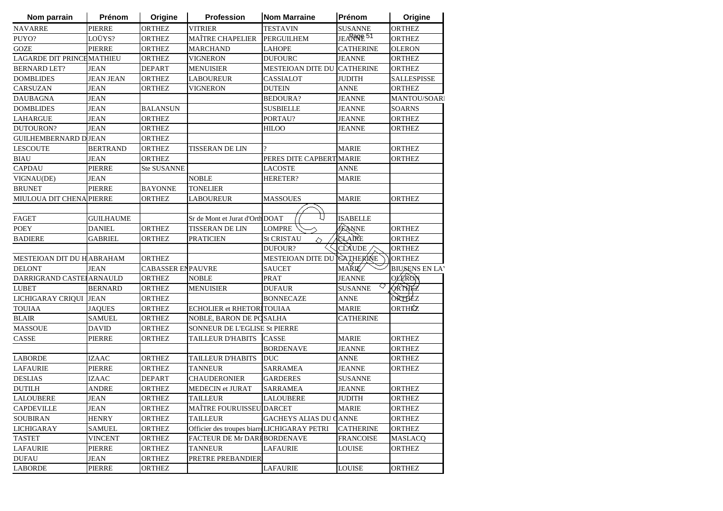| Nom parrain                 | Prénom           | Origine                  | <b>Profession</b>                           | Nom Marraine                  | Prénom           | Origine              |
|-----------------------------|------------------|--------------------------|---------------------------------------------|-------------------------------|------------------|----------------------|
| <b>NAVARRE</b>              | <b>PIERRE</b>    | <b>ORTHEZ</b>            | <b>VITRIER</b>                              | <b>TESTAVIN</b>               | <b>SUSANNE</b>   | <b>ORTHEZ</b>        |
| PUYO?                       | LOÜYS?           | <b>ORTHEZ</b>            | <b>MAÎTRE CHAPELIER</b>                     | <b>PERGUILHEM</b>             | JEARROR 51       | <b>ORTHEZ</b>        |
| <b>GOZE</b>                 | <b>PIERRE</b>    | <b>ORTHEZ</b>            | <b>MARCHAND</b>                             | <b>LAHOPE</b>                 | <b>CATHERINE</b> | <b>OLERON</b>        |
| LAGARDE DIT PRINCHMATHIEU   |                  | <b>ORTHEZ</b>            | VIGNERON                                    | <b>DUFOURC</b>                | <b>JEANNE</b>    | <b>ORTHEZ</b>        |
| <b>BERNARD LET?</b>         | <b>JEAN</b>      | <b>DEPART</b>            | <b>MENUISIER</b>                            | MESTEIOAN DITE DU CATHERINE   |                  | <b>ORTHEZ</b>        |
| <b>DOMBLIDES</b>            | <b>JEAN JEAN</b> | <b>ORTHEZ</b>            | <b>LABOUREUR</b>                            | CASSIALOT                     | <b>JUDITH</b>    | <b>SALLESPISSE</b>   |
| CARSUZAN                    | <b>JEAN</b>      | <b>ORTHEZ</b>            | <b>VIGNERON</b>                             | <b>DUTEIN</b>                 | <b>ANNE</b>      | <b>ORTHEZ</b>        |
| <b>DAUBAGNA</b>             | <b>JEAN</b>      |                          |                                             | <b>BEDOURA?</b>               | <b>JEANNE</b>    | <b>MANTOU/SOAR</b>   |
| <b>DOMBLIDES</b>            | <b>JEAN</b>      | <b>BALANSUN</b>          |                                             | <b>SUSBIELLE</b>              | <b>JEANNE</b>    | <b>SOARNS</b>        |
| <b>LAHARGUE</b>             | <b>JEAN</b>      | <b>ORTHEZ</b>            |                                             | PORTAU?                       | <b>JEANNE</b>    | <b>ORTHEZ</b>        |
| DUTOURON?                   | <b>JEAN</b>      | <b>ORTHEZ</b>            |                                             | <b>HILOO</b>                  | <b>JEANNE</b>    | <b>ORTHEZ</b>        |
| <b>GUILHEMBERNARD DJEAN</b> |                  | <b>ORTHEZ</b>            |                                             |                               |                  |                      |
| <b>LESCOUTE</b>             | <b>BERTRAND</b>  | <b>ORTHEZ</b>            | TISSERAN DE LIN                             | $\gamma$                      | <b>MARIE</b>     | <b>ORTHEZ</b>        |
| <b>BIAU</b>                 | <b>JEAN</b>      | <b>ORTHEZ</b>            |                                             | PERES DITE CAPBERT MARIE      |                  | <b>ORTHEZ</b>        |
| <b>CAPDAU</b>               | <b>PIERRE</b>    | <b>Ste SUSANNE</b>       |                                             | LACOSTE                       | ANNE             |                      |
| VIGNAU(DE)                  | <b>JEAN</b>      |                          | <b>NOBLE</b>                                | <b>HERETER?</b>               | <b>MARIE</b>     |                      |
| <b>BRUNET</b>               | PIERRE           | <b>BAYONNE</b>           | <b>TONELIER</b>                             |                               |                  |                      |
| MIULOUA DIT CHENA PIERRE    |                  | <b>ORTHEZ</b>            | LABOUREUR                                   | <b>MASSOUES</b>               | <b>MARIE</b>     | <b>ORTHEZ</b>        |
|                             |                  |                          |                                             |                               |                  |                      |
| <b>FAGET</b>                | <b>GUILHAUME</b> |                          | Sr de Mont et Jurat d'Orth DOAT             |                               | <b>ISABELLE</b>  |                      |
| <b>POEY</b>                 | <b>DANIEL</b>    | <b>ORTHEZ</b>            | <b>TISSERAN DE LIN</b>                      | <b>LOMPRE</b>                 | JEANNE           | <b>ORTHEZ</b>        |
| <b>BADIERE</b>              | <b>GABRIEL</b>   | ORTHEZ                   | PRATICIEN                                   | <b>St CRISTAU</b><br>◇        | <b>QLAIRE</b>    | <b>ORTHEZ</b>        |
|                             |                  |                          |                                             | DUFOUR?                       | CLAUDE           | <b>ORTHEZ</b>        |
| MESTEIOAN DIT DU HABRAHAM   |                  | <b>ORTHEZ</b>            |                                             | <b>MESTEIOAN DITE DU</b>      | <b>CATHERINE</b> | <b>ORTHEZ</b>        |
| <b>DELONT</b>               | <b>JEAN</b>      | <b>CABASSER ENPAUVRE</b> |                                             | <b>SAUCET</b>                 | MAŘIÉ∕           | <b>BIUSENS EN LA</b> |
| DARRIGRAND CASTEI ARNAULD   |                  | <b>ORTHEZ</b>            | <b>NOBLE</b>                                | PRAT                          | <b>JEANNE</b>    | <b>OLERON</b>        |
| <b>LUBET</b>                | <b>BERNARD</b>   | ORTHEZ                   | <b>MENUISIER</b>                            | <b>DUFAUR</b>                 | <b>SUSANNE</b>   | QRTHEZ               |
| LICHIGARAY CRIQUI JEAN      |                  | <b>ORTHEZ</b>            |                                             | <b>BONNECAZE</b>              | ANNE             | ORTHEZ               |
| <b>TOUIAA</b>               | <b>JAQUES</b>    | <b>ORTHEZ</b>            | <b>ECHOLIER et RHETORITOUIAA</b>            |                               | <b>MARIE</b>     | ORTHÉZ               |
| <b>BLAIR</b>                | <b>SAMUEL</b>    | <b>ORTHEZ</b>            | NOBLE, BARON DE POSALHA                     |                               | <b>CATHERINE</b> |                      |
| <b>MASSOUE</b>              | <b>DAVID</b>     | <b>ORTHEZ</b>            | SONNEUR DE L'EGLISE St PIERRE               |                               |                  |                      |
| CASSE                       | <b>PIERRE</b>    | <b>ORTHEZ</b>            | TAILLEUR D'HABITS                           | <b>CASSE</b>                  | <b>MARIE</b>     | <b>ORTHEZ</b>        |
|                             |                  |                          |                                             | <b>BORDENAVE</b>              | <b>JEANNE</b>    | <b>ORTHEZ</b>        |
| <b>LABORDE</b>              | <b>IZAAC</b>     | <b>ORTHEZ</b>            | <b>TAILLEUR D'HABITS</b>                    | <b>DUC</b>                    | <b>ANNE</b>      | <b>ORTHEZ</b>        |
| <b>LAFAURIE</b>             | <b>PIERRE</b>    | <b>ORTHEZ</b>            | <b>TANNEUR</b>                              | <b>SARRAMEA</b>               | <b>JEANNE</b>    | <b>ORTHEZ</b>        |
| <b>DESLIAS</b>              | <b>IZAAC</b>     | <b>DEPART</b>            | CHAUDERONIER                                | <b>GARDERES</b>               | <b>SUSANNE</b>   |                      |
| <b>DUTILH</b>               | <b>ANDRE</b>     | <b>ORTHEZ</b>            | <b>MEDECIN</b> et JURAT                     | <b>SARRAMEA</b>               | <b>JEANNE</b>    | <b>ORTHEZ</b>        |
| <b>LALOUBERE</b>            | <b>JEAN</b>      | ORTHEZ                   | <b>TAILLEUR</b>                             | <b>LALOUBERE</b>              | <b>JUDITH</b>    | <b>ORTHEZ</b>        |
| <b>CAPDEVILLE</b>           | JEAN             | <b>ORTHEZ</b>            | <b>MAÎTRE FOURUISSEU DARCET</b>             |                               | <b>MARIE</b>     | ORTHEZ               |
| <b>SOUBIRAN</b>             | <b>HENRY</b>     | <b>ORTHEZ</b>            | <b>TAILLEUR</b>                             | <b>GACHEYS ALIAS DU CANNE</b> |                  | ORTHEZ               |
| <b>LICHIGARAY</b>           | <b>SAMUEL</b>    | <b>ORTHEZ</b>            | Officier des troupes biarreLICHIGARAY PETRI |                               | <b>CATHERINE</b> | <b>ORTHEZ</b>        |
| <b>TASTET</b>               | <b>VINCENT</b>   | <b>ORTHEZ</b>            | FACTEUR DE Mr DARFBORDENAVE                 |                               | <b>FRANCOISE</b> | <b>MASLACQ</b>       |
| <b>LAFAURIE</b>             | PIERRE           | <b>ORTHEZ</b>            | <b>TANNEUR</b>                              | <b>LAFAURIE</b>               | <b>LOUISE</b>    | <b>ORTHEZ</b>        |
| <b>DUFAU</b>                | <b>JEAN</b>      | <b>ORTHEZ</b>            | PRETRE PREBANDIER                           |                               |                  |                      |
| <b>LABORDE</b>              | PIERRE           | ORTHEZ                   |                                             | <b>LAFAURIE</b>               | <b>LOUISE</b>    | <b>ORTHEZ</b>        |
|                             |                  |                          |                                             |                               |                  |                      |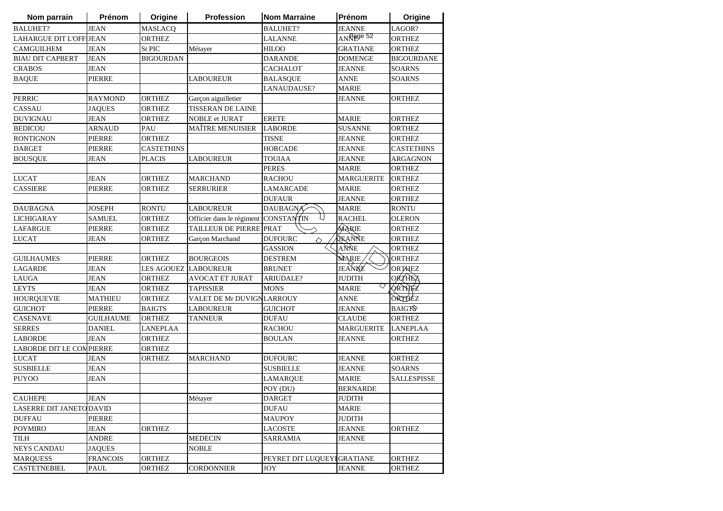| Nom parrain                    | Prénom          | Origine           | Profession                           | <b>Nom Marraine</b>          | Prénom                     | Origine            |
|--------------------------------|-----------------|-------------------|--------------------------------------|------------------------------|----------------------------|--------------------|
| <b>BALUHET?</b>                | <b>JEAN</b>     | <b>MASLACQ</b>    |                                      | <b>BALUHET?</b>              | <b>JEANNE</b>              | LAGOR?             |
| <b>LAHARGUE DIT L'OFF JEAN</b> |                 | <b>ORTHEZ</b>     |                                      | LALANNE                      | $ANR$ <sup>29</sup> 89e 52 | ORTHEZ             |
| <b>CAMGUILHEM</b>              | <b>JEAN</b>     | St PIC            | Métayer                              | <b>HILOO</b>                 | <b>GRATIANE</b>            | <b>ORTHEZ</b>      |
| <b>BIAU DIT CAPBERT</b>        | <b>JEAN</b>     | <b>BIGOURDAN</b>  |                                      | <b>DARANDE</b>               | <b>DOMENGE</b>             | <b>BIGOURDANE</b>  |
| <b>CRABOS</b>                  | <b>JEAN</b>     |                   |                                      | <b>CACHALOT</b>              | JEANNE                     | <b>SOARNS</b>      |
| <b>BAQUE</b>                   | PIERRE          |                   | <b>LABOUREUR</b>                     | <b>BALASQUE</b>              | <b>ANNE</b>                | <b>SOARNS</b>      |
|                                |                 |                   |                                      | LANAUDAUSE?                  | <b>MARIE</b>               |                    |
| <b>PERRIC</b>                  | <b>RAYMOND</b>  | <b>ORTHEZ</b>     | Garcon aiguilletier                  |                              | <b>JEANNE</b>              | <b>ORTHEZ</b>      |
| CASSAU                         | <b>JAQUES</b>   | <b>ORTHEZ</b>     | <b>TISSERAN DE LAINE</b>             |                              |                            |                    |
| <b>DUVIGNAU</b>                | <b>JEAN</b>     | <b>ORTHEZ</b>     | NOBLE et JURAT                       | <b>ERETE</b>                 | <b>MARIE</b>               | <b>ORTHEZ</b>      |
| <b>BEDICOU</b>                 | <b>ARNAUD</b>   | PAU               | <b>MAÎTRE MENUISIER</b>              | <b>LABORDE</b>               | <b>SUSANNE</b>             | ORTHEZ             |
| <b>RONTIGNON</b>               | <b>PIERRE</b>   | <b>ORTHEZ</b>     |                                      | <b>TISNE</b>                 | <b>JEANNE</b>              | <b>ORTHEZ</b>      |
| <b>DARGET</b>                  | PIERRE          | <b>CASTETHINS</b> |                                      | <b>HORCADE</b>               | JEANNE                     | <b>CASTETHINS</b>  |
| <b>BOUSQUE</b>                 | <b>JEAN</b>     | <b>PLACIS</b>     | LABOUREUR                            | TOUIAA                       | <b>JEANNE</b>              | ARGAGNON           |
|                                |                 |                   |                                      | <b>PERES</b>                 | <b>MARIE</b>               | <b>ORTHEZ</b>      |
| <b>LUCAT</b>                   | <b>JEAN</b>     | <b>ORTHEZ</b>     | <b>MARCHAND</b>                      | RACHOU                       | <b>MARGUERITE</b>          | <b>ORTHEZ</b>      |
| <b>CASSIERE</b>                | PIERRE          | <b>ORTHEZ</b>     | <b>SERRURIER</b>                     | LAMARCADE                    | <b>MARIE</b>               | <b>ORTHEZ</b>      |
|                                |                 |                   |                                      | <b>DUFAUR</b>                | <b>JEANNE</b>              | <b>ORTHEZ</b>      |
| <b>DAUBAGNA</b>                | <b>JOSEPH</b>   | <b>RONTU</b>      | <b>LABOUREUR</b>                     | <b>DAUBAGNA</b>              | <b>MARIE</b>               | <b>RONTU</b>       |
| <b>LICHIGARAY</b>              | <b>SAMUEL</b>   | <b>ORTHEZ</b>     | Officier dans le régiment CONSTANTIN |                              | <b>RACHEL</b>              | <b>OLERON</b>      |
| <b>LAFARGUE</b>                | <b>PIERRE</b>   | <b>ORTHEZ</b>     | TAILLEUR DE PIERRE PRAT              |                              | MARIE                      | <b>ORTHEZ</b>      |
| <b>LUCAT</b>                   | JEAN            | <b>ORTHEZ</b>     | Garçon Marchand                      | <b>DUFOURC</b><br>$\Diamond$ | TEANNE                     | <b>ORTHEZ</b>      |
|                                |                 |                   |                                      | <b>GASSION</b>               | ANNE                       | <b>ORTHEZ</b>      |
| <b>GUILHAUMES</b>              | PIERRE          | <b>ORTHEZ</b>     | <b>BOURGEOIS</b>                     | <b>DESTREM</b>               | <b>MARIE</b>               | <b>ORTHEZ</b>      |
| <b>LAGARDE</b>                 | <b>JEAN</b>     | <b>LES AGOUEZ</b> | <b>LABOUREUR</b>                     | <b>BRUNET</b>                | JEANNE                     | <b>ORTHEZ</b>      |
| LAUGA                          | <b>JEAN</b>     | <b>ORTHEZ</b>     | <b>AVOCAT ET JURAT</b>               | <b>ARIUDALE?</b>             | <b>JUDITH</b>              | <b>ORTHEZ</b>      |
| <b>LEYTS</b>                   | JEAN            | <b>ORTHEZ</b>     | <b>TAPISSIER</b>                     | <b>MONS</b>                  | ◇<br><b>MARIE</b>          | <b>ORTHEZ</b>      |
| <b>HOURQUEVIE</b>              | <b>MATHIEU</b>  | <b>ORTHEZ</b>     | VALET DE Mr DUVIGNLARROUY            |                              | <b>ANNE</b>                | ORTHEZ             |
| <b>GUICHOT</b>                 | PIERRE          | <b>BAIGTS</b>     | <b>LABOUREUR</b>                     | <b>GUICHOT</b>               | <b>JEANNE</b>              | <b>BAIGTS</b>      |
| <b>CASENAVE</b>                | GUILHAUME       | <b>ORTHEZ</b>     | <b>TANNEUR</b>                       | <b>DUFAU</b>                 | <b>CLAUDE</b>              | <b>ORTHEZ</b>      |
| <b>SERRES</b>                  | <b>DANIEL</b>   | <b>LANEPLAA</b>   |                                      | <b>RACHOU</b>                | <b>MARGUERITE</b>          | <b>LANEPLAA</b>    |
| <b>LABORDE</b>                 | <b>JEAN</b>     | <b>ORTHEZ</b>     |                                      | BOULAN                       | <b>JEANNE</b>              | <b>ORTHEZ</b>      |
| LABORDE DIT LE COMPIERRE       |                 | <b>ORTHEZ</b>     |                                      |                              |                            |                    |
| <b>LUCAT</b>                   | <b>JEAN</b>     | <b>ORTHEZ</b>     | <b>MARCHAND</b>                      | <b>DUFOURC</b>               | <b>JEANNE</b>              | ORTHEZ             |
| <b>SUSBIELLE</b>               | <b>JEAN</b>     |                   |                                      | <b>SUSBIELLE</b>             | <b>JEANNE</b>              | <b>SOARNS</b>      |
| <b>PUYOO</b>                   | <b>JEAN</b>     |                   |                                      | <b>LAMARQUE</b>              | <b>MARIE</b>               | <b>SALLESPISSE</b> |
|                                |                 |                   |                                      | POY (DU)                     | <b>BERNARDE</b>            |                    |
| <b>CAUHEPE</b>                 | <b>JEAN</b>     |                   | Métayer                              | <b>DARGET</b>                | <b>JUDITH</b>              |                    |
| LASERRE DIT JANETO DAVID       |                 |                   |                                      | DUFAU                        | <b>MARIE</b>               |                    |
| <b>DUFFAU</b>                  | <b>PIERRE</b>   |                   |                                      | <b>MAUPOY</b>                | <b>JUDITH</b>              |                    |
| <b>POYMIRO</b>                 | <b>JEAN</b>     | <b>ORTHEZ</b>     |                                      | <b>LACOSTE</b>               | <b>JEANNE</b>              | <b>ORTHEZ</b>      |
| <b>TILH</b>                    | ANDRE           |                   | <b>MEDECIN</b>                       | <b>SARRAMIA</b>              | <b>JEANNE</b>              |                    |
| <b>NEYS CANDAU</b>             | <b>JAQUES</b>   |                   | <b>NOBLE</b>                         |                              |                            |                    |
| <b>MARQUESS</b>                | <b>FRANCOIS</b> | <b>ORTHEZ</b>     |                                      | PEYRET DIT LUQUEYIGRATIANE   |                            | ORTHEZ             |
| <b>CASTETNEBIEL</b>            | PAUL            | ORTHEZ            | <b>CORDONNIER</b>                    | <b>JOY</b>                   | <b>JEANNE</b>              | <b>ORTHEZ</b>      |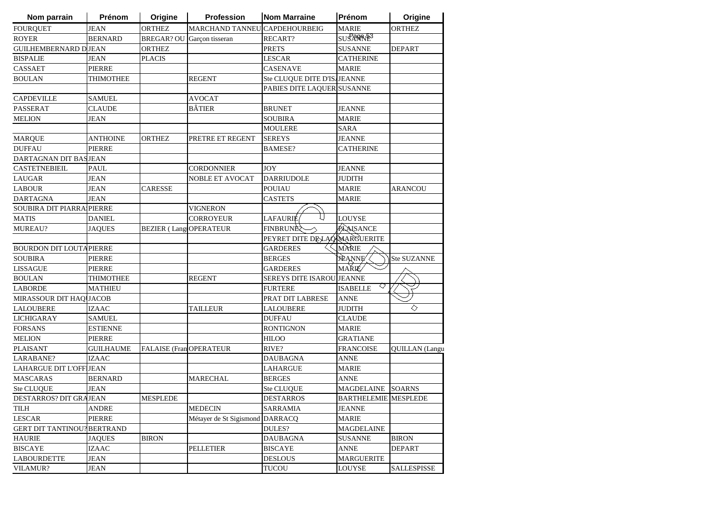| Nom parrain                        | Prénom           | Origine                        | Profession                    | <b>Nom Marraine</b>              | Prénom                      | Origine               |
|------------------------------------|------------------|--------------------------------|-------------------------------|----------------------------------|-----------------------------|-----------------------|
| <b>FOURQUET</b>                    | <b>JEAN</b>      | <b>ORTHEZ</b>                  | MARCHAND TANNEU CAPDEHOURBEIG |                                  | <b>MARIE</b>                | <b>ORTHEZ</b>         |
| <b>ROYER</b>                       | <b>BERNARD</b>   | BREGAR? OU                     | Garçon tisseran               | RECART?                          | SUS ANNE <sup>3</sup>       |                       |
| <b>GUILHEMBERNARD DJEAN</b>        |                  | <b>ORTHEZ</b>                  |                               | <b>PRETS</b>                     | <b>SUSANNE</b>              | <b>DEPART</b>         |
| <b>BISPALIE</b>                    | <b>JEAN</b>      | <b>PLACIS</b>                  |                               | <b>LESCAR</b>                    | <b>CATHERINE</b>            |                       |
| CASSAET                            | <b>PIERRE</b>    |                                |                               | <b>CASENAVE</b>                  | <b>MARIE</b>                |                       |
| <b>BOULAN</b>                      | THIMOTHEE        |                                | <b>REGENT</b>                 | Ste CLUQUE DITE D'IS/JEANNE      |                             |                       |
|                                    |                  |                                |                               | PABIES DITE LAQUER SUSANNE       |                             |                       |
| <b>CAPDEVILLE</b>                  | <b>SAMUEL</b>    |                                | <b>AVOCAT</b>                 |                                  |                             |                       |
| <b>PASSERAT</b>                    | <b>CLAUDE</b>    |                                | <b>BÂTIER</b>                 | <b>BRUNET</b>                    | JEANNE                      |                       |
| <b>MELION</b>                      | <b>JEAN</b>      |                                |                               | <b>SOUBIRA</b>                   | <b>MARIE</b>                |                       |
|                                    |                  |                                |                               | <b>MOULERE</b>                   | <b>SARA</b>                 |                       |
| <b>MARQUE</b>                      | <b>ANTHOINE</b>  | ORTHEZ                         | PRETRE ET REGENT              | <b>SEREYS</b>                    | <b>JEANNE</b>               |                       |
| <b>DUFFAU</b>                      | PIERRE           |                                |                               | <b>BAMESE?</b>                   | <b>CATHERINE</b>            |                       |
| DARTAGNAN DIT BASJEAN              |                  |                                |                               |                                  |                             |                       |
| <b>CASTETNEBIEIL</b>               | PAUL             |                                | <b>CORDONNIER</b>             | <b>JOY</b>                       | <b>JEANNE</b>               |                       |
| <b>LAUGAR</b>                      | JEAN             |                                | NOBLE ET AVOCAT               | <b>DARRIUDOLE</b>                | JUDITH                      |                       |
| <b>LABOUR</b>                      | JEAN             | CARESSE                        |                               | <b>POUIAU</b>                    | MARIE                       | ARANCOU               |
| <b>DARTAGNA</b>                    | <b>JEAN</b>      |                                |                               | <b>CASTETS</b>                   | MARIE                       |                       |
| SOUBIRA DIT PIARRA PIERRE          |                  |                                | VIGNERON                      |                                  |                             |                       |
| <b>MATIS</b>                       | <b>DANIEL</b>    |                                | <b>CORROYEUR</b>              | LAFAURIE                         | <b>LOUYSE</b>               |                       |
| <b>MUREAU?</b>                     | <b>JAQUES</b>    | <b>BEZIER (Lang)OPERATEUR</b>  |                               | <b>FINBRUNE?</b>                 | PAASANCE                    |                       |
|                                    |                  |                                |                               | PEYRET DITE DELAQUARGUERITE      |                             |                       |
| <b>BOURDON DIT LOUTAPIERRE</b>     |                  |                                |                               | <b>GARDERES</b>                  | MÀRIE                       |                       |
| <b>SOUBIRA</b>                     | PIERRE           |                                |                               | <b>BERGES</b>                    | <b>JEANNE</b>               | Ste SUZANNE           |
| <b>LISSAGUE</b>                    | <b>PIERRE</b>    |                                |                               | <b>GARDERES</b>                  | MAŘIÉ⁄                      |                       |
| <b>BOULAN</b>                      | <b>THIMOTHEE</b> |                                | <b>REGENT</b>                 | <b>SEREYS DITE ISAROU JEANNE</b> |                             |                       |
| <b>LABORDE</b>                     | <b>MATHIEU</b>   |                                |                               | <b>FURTERE</b>                   | <b>ISABELLE</b>             |                       |
| MIRASSOUR DIT HAQ JACOB            |                  |                                |                               | PRAT DIT LABRESE                 | ANNE                        |                       |
| <b>LALOUBERE</b>                   | IZAAC            |                                | <b>TAILLEUR</b>               | LALOUBERE                        | <b>JUDITH</b>               | ◇                     |
| <b>LICHIGARAY</b>                  | <b>SAMUEL</b>    |                                |                               | <b>DUFFAU</b>                    | <b>CLAUDE</b>               |                       |
| <b>FORSANS</b>                     | <b>ESTIENNE</b>  |                                |                               | <b>RONTIGNON</b>                 | MARIE                       |                       |
| <b>MELION</b>                      | PIERRE           |                                |                               | <b>HILOO</b>                     | GRATIANE                    |                       |
| <b>PLAISANT</b>                    | <b>GUILHAUME</b> | <b>FALAISE (Fran OPERATEUR</b> |                               | RIVE?                            | <b>FRANCOISE</b>            | <b>QUILLAN</b> (Langu |
| LARABANE?                          | <b>IZAAC</b>     |                                |                               | <b>DAUBAGNA</b>                  | <b>ANNE</b>                 |                       |
| <b>LAHARGUE DIT L'OFFIJEAN</b>     |                  |                                |                               | <b>LAHARGUE</b>                  | MARIE                       |                       |
| <b>MASCARAS</b>                    | <b>BERNARD</b>   |                                | <b>MARECHAL</b>               | <b>BERGES</b>                    | ANNE                        |                       |
| Ste CLUQUE                         | <b>JEAN</b>      |                                |                               | <b>Ste CLUQUE</b>                | MAGDELAINE SOARNS           |                       |
| DESTARROS? DIT GRAJEAN             |                  | <b>MESPLEDE</b>                |                               | <b>DESTARROS</b>                 | <b>BARTHELEMIE MESPLEDE</b> |                       |
| TILH                               | ANDRE            |                                | <b>MEDECIN</b>                | SARRAMIA                         | JEANNE                      |                       |
| <b>LESCAR</b>                      | PIERRE           |                                | Métayer de St Sigismond       | <b>DARRACQ</b>                   | <b>MARIE</b>                |                       |
| <b>GERT DIT TANTINOU? BERTRAND</b> |                  |                                |                               | DULES?                           | <b>MAGDELAINE</b>           |                       |
| <b>HAURIE</b>                      | <b>JAQUES</b>    | <b>BIRON</b>                   |                               | <b>DAUBAGNA</b>                  | <b>SUSANNE</b>              | <b>BIRON</b>          |
| <b>BISCAYE</b>                     | <b>IZAAC</b>     |                                | <b>PELLETIER</b>              | <b>BISCAYE</b>                   | ANNE                        | <b>DEPART</b>         |
| <b>LABOURDETTE</b>                 | <b>JEAN</b>      |                                |                               | <b>DESLOUS</b>                   | <b>MARGUERITE</b>           |                       |
| <b>VILAMUR?</b>                    | JEAN             |                                |                               | <b>TUCOU</b>                     | <b>LOUYSE</b>               | <b>SALLESPISSE</b>    |
|                                    |                  |                                |                               |                                  |                             |                       |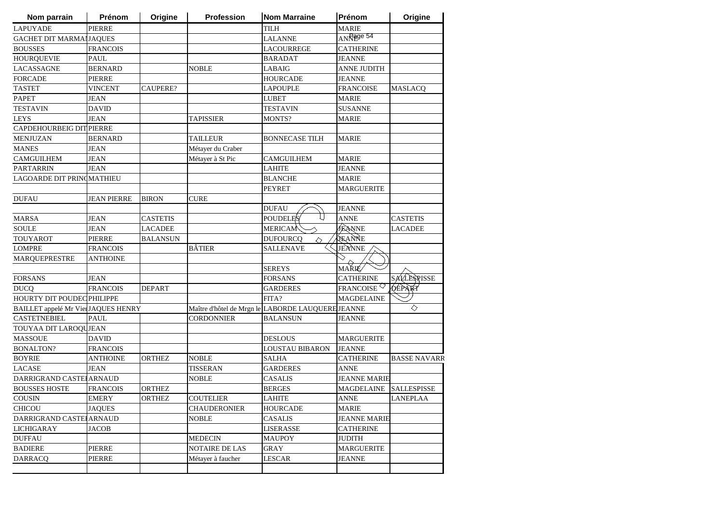| Nom parrain                         | Prénom             | Origine         | <b>Profession</b>     | <b>Nom Marraine</b>                               | Prénom                 | Origine             |
|-------------------------------------|--------------------|-----------------|-----------------------|---------------------------------------------------|------------------------|---------------------|
| <b>LAPUYADE</b>                     | PIERRE             |                 |                       | <b>TILH</b>                                       | MARIE                  |                     |
| <b>GACHET DIT MARMAIJAQUES</b>      |                    |                 |                       | <b>LALANNE</b>                                    | ANRage 54              |                     |
| <b>BOUSSES</b>                      | <b>FRANCOIS</b>    |                 |                       | <b>LACOURREGE</b>                                 | <b>CATHERINE</b>       |                     |
| <b>HOURQUEVIE</b>                   | PAUL               |                 |                       | <b>BARADAT</b>                                    | JEANNE                 |                     |
| LACASSAGNE                          | BERNARD            |                 | <b>NOBLE</b>          | <b>LABAIG</b>                                     | <b>ANNE JUDITH</b>     |                     |
| <b>FORCADE</b>                      | PIERRE             |                 |                       | <b>HOURCADE</b>                                   | JEANNE                 |                     |
| <b>TASTET</b>                       | VINCENT            | CAUPERE?        |                       | <b>LAPOUPLE</b>                                   | <b>FRANCOISE</b>       | <b>MASLACQ</b>      |
| <b>PAPET</b>                        | <b>JEAN</b>        |                 |                       | <b>LUBET</b>                                      | <b>MARIE</b>           |                     |
| <b>TESTAVIN</b>                     | <b>DAVID</b>       |                 |                       | <b>TESTAVIN</b>                                   | <b>SUSANNE</b>         |                     |
| <b>LEYS</b>                         | <b>JEAN</b>        |                 | TAPISSIER             | MONTS?                                            | <b>MARIE</b>           |                     |
| CAPDEHOURBEIG DIT PIERRE            |                    |                 |                       |                                                   |                        |                     |
| <b>MENJUZAN</b>                     | <b>BERNARD</b>     |                 | TAILLEUR              | <b>BONNECASE TILH</b>                             | <b>MARIE</b>           |                     |
| <b>MANES</b>                        | JEAN               |                 | Métayer du Craber     |                                                   |                        |                     |
| <b>CAMGUILHEM</b>                   | JEAN               |                 | Métayer à St Pic      | <b>CAMGUILHEM</b>                                 | <b>MARIE</b>           |                     |
| <b>PARTARRIN</b>                    | JEAN               |                 |                       | <b>LAHITE</b>                                     | JEANNE                 |                     |
| LAGOARDE DIT PRINCMATHIEU           |                    |                 |                       | <b>BLANCHE</b>                                    | <b>MARIE</b>           |                     |
|                                     |                    |                 |                       | <b>PEYRET</b>                                     | <b>MARGUERITE</b>      |                     |
| <b>DUFAU</b>                        | <b>JEAN PIERRE</b> | <b>BIRON</b>    | <b>CURE</b>           |                                                   |                        |                     |
|                                     |                    |                 |                       | <b>DUFAU</b>                                      | JEANNE                 |                     |
| <b>MARSA</b>                        | JEAN               | <b>CASTETIS</b> |                       | <b>POUDELES</b>                                   | <b>ANNE</b>            | <b>CASTETIS</b>     |
| <b>SOULE</b>                        | <b>JEAN</b>        | LACADEE         |                       | <b>MERICAM</b>                                    | <b>JEANNE</b>          | <b>LACADEE</b>      |
| <b>TOUYAROT</b>                     | <b>PIERRE</b>      | <b>BALANSUN</b> |                       | <b>DUFOURCQ</b><br>△                              | AEANNE                 |                     |
| <b>LOMPRE</b>                       | <b>FRANCOIS</b>    |                 | <b>BÂTIER</b>         | SALLENAVE                                         | JEANNE                 |                     |
| MARQUEPRESTRE                       | ANTHOINE           |                 |                       |                                                   |                        |                     |
|                                     |                    |                 |                       | <b>SEREYS</b>                                     | <b>MAŘIÉ</b>           |                     |
| <b>FORSANS</b>                      | <b>JEAN</b>        |                 |                       | <b>FORSANS</b>                                    | <b>CATHERINE</b>       | SALLESPISSE         |
| <b>DUCQ</b>                         | <b>FRANCOIS</b>    | <b>DEPART</b>   |                       | <b>GARDERES</b>                                   | FRANCOISE $\heartsuit$ | <b>DEPART</b>       |
| HOURTY DIT POUDEC PHILIPPE          |                    |                 |                       | FITA?                                             | <b>MAGDELAINE</b>      |                     |
| BAILLET appelé Mr Vier JAQUES HENRY |                    |                 |                       | Maître d'hôtel de Mrgn le LABORDE LAUQUERE JEANNE |                        | ◇                   |
| <b>CASTETNEBIEL</b>                 | <b>PAUL</b>        |                 | <b>CORDONNIER</b>     | <b>BALANSUN</b>                                   | JEANNE                 |                     |
| TOUYAA DIT LAROQUJEAN               |                    |                 |                       |                                                   |                        |                     |
| <b>MASSOUE</b>                      | DAVID              |                 |                       | <b>DESLOUS</b>                                    | MARGUERITE             |                     |
| <b>BONALTON?</b>                    | <b>FRANCOIS</b>    |                 |                       | LOUSTAU BIBARON                                   | <b>JEANNE</b>          |                     |
| <b>BOYRIE</b>                       | <b>ANTHOINE</b>    | <b>ORTHEZ</b>   | <b>NOBLE</b>          | <b>SALHA</b>                                      | <b>CATHERINE</b>       | <b>BASSE NAVARR</b> |
| LACASE                              | <b>JEAN</b>        |                 | <b>TISSERAN</b>       | <b>GARDERES</b>                                   | ANNE                   |                     |
| DARRIGRAND CASTE                    | <b>ARNAUD</b>      |                 | <b>NOBLE</b>          | <b>CASALIS</b>                                    | <b>JEANNE MARIE</b>    |                     |
| <b>BOUSSES HOSTE</b>                | <b>FRANCOIS</b>    | <b>ORTHEZ</b>   |                       | <b>BERGES</b>                                     | MAGDELAINE SALLESPISSE |                     |
| COUSIN                              | <b>EMERY</b>       | <b>ORTHEZ</b>   | <b>COUTELIER</b>      | <b>LAHITE</b>                                     | <b>ANNE</b>            | <b>LANEPLAA</b>     |
| <b>CHICOU</b>                       | <b>JAQUES</b>      |                 | <b>CHAUDERONIER</b>   | <b>HOURCADE</b>                                   | <b>MARIE</b>           |                     |
| DARRIGRAND CASTE                    | <b>ARNAUD</b>      |                 | <b>NOBLE</b>          | <b>CASALIS</b>                                    | <b>JEANNE MARIE</b>    |                     |
| <b>LICHIGARAY</b>                   | JACOB              |                 |                       | <b>LISERASSE</b>                                  | <b>CATHERINE</b>       |                     |
| <b>DUFFAU</b>                       |                    |                 | <b>MEDECIN</b>        | <b>MAUPOY</b>                                     | <b>JUDITH</b>          |                     |
| <b>BADIERE</b>                      | PIERRE             |                 | <b>NOTAIRE DE LAS</b> | GRAY                                              | <b>MARGUERITE</b>      |                     |
| <b>DARRACO</b>                      | PIERRE             |                 | Métayer à faucher     | LESCAR                                            | <b>JEANNE</b>          |                     |
|                                     |                    |                 |                       |                                                   |                        |                     |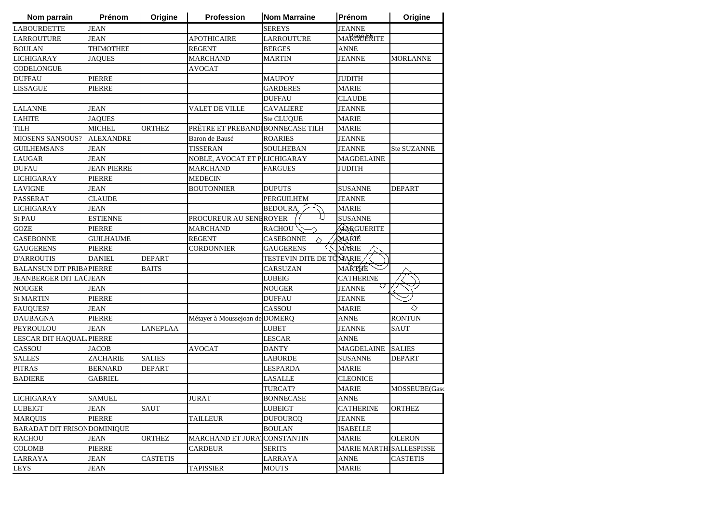| Nom parrain                         | Prénom             | Origine         | <b>Profession</b>                | <b>Nom Marraine</b>      | Prénom                   | Origine            |
|-------------------------------------|--------------------|-----------------|----------------------------------|--------------------------|--------------------------|--------------------|
| <b>LABOURDETTE</b>                  | <b>JEAN</b>        |                 |                                  | <b>SEREYS</b>            | <b>JEANNE</b>            |                    |
| <b>LARROUTURE</b>                   | <b>JEAN</b>        |                 | <b>APOTHICAIRE</b>               | <b>LARROUTURE</b>        | <b>MARCIOERITE</b>       |                    |
| <b>BOULAN</b>                       | <b>THIMOTHEE</b>   |                 | <b>REGENT</b>                    | <b>BERGES</b>            | <b>ANNE</b>              |                    |
| <b>LICHIGARAY</b>                   | <b>JAQUES</b>      |                 | <b>MARCHAND</b>                  | MARTIN                   | <b>JEANNE</b>            | <b>MORLANNE</b>    |
| CODELONGUE                          |                    |                 | <b>AVOCAT</b>                    |                          |                          |                    |
| <b>DUFFAU</b>                       | <b>PIERRE</b>      |                 |                                  | <b>MAUPOY</b>            | <b>JUDITH</b>            |                    |
| <b>LISSAGUE</b>                     | <b>PIERRE</b>      |                 |                                  | <b>GARDERES</b>          | <b>MARIE</b>             |                    |
|                                     |                    |                 |                                  | <b>DUFFAU</b>            | <b>CLAUDE</b>            |                    |
| <b>LALANNE</b>                      | <b>JEAN</b>        |                 | VALET DE VILLE                   | <b>CAVALIERE</b>         | <b>JEANNE</b>            |                    |
| <b>LAHITE</b>                       | <b>JAQUES</b>      |                 |                                  | Ste CLUQUE               | <b>MARIE</b>             |                    |
| <b>TILH</b>                         | <b>MICHEL</b>      | <b>ORTHEZ</b>   | PRÊTRE ET PREBAND BONNECASE TILH |                          | <b>MARIE</b>             |                    |
| <b>MIOSENS SANSOUS?</b>             | <b>ALEXANDRE</b>   |                 | Baron de Bausé                   | <b>ROARIES</b>           | <b>JEANNE</b>            |                    |
| <b>GUILHEMSANS</b>                  | <b>JEAN</b>        |                 | <b>TISSERAN</b>                  | SOULHEBAN                | <b>JEANNE</b>            | <b>Ste SUZANNE</b> |
| <b>LAUGAR</b>                       | <b>JEAN</b>        |                 | NOBLE, AVOCAT ET P LICHIGARAY    |                          | <b>MAGDELAINE</b>        |                    |
| <b>DUFAU</b>                        | <b>JEAN PIERRE</b> |                 | <b>MARCHAND</b>                  | FARGUES                  | JUDITH                   |                    |
| <b>LICHIGARAY</b>                   | <b>PIERRE</b>      |                 | <b>MEDECIN</b>                   |                          |                          |                    |
| <b>LAVIGNE</b>                      | JEAN               |                 | <b>BOUTONNIER</b>                | <b>DUPUTS</b>            | <b>SUSANNE</b>           | <b>DEPART</b>      |
| <b>PASSERAT</b>                     | <b>CLAUDE</b>      |                 |                                  | <b>PERGUILHEM</b>        | <b>JEANNE</b>            |                    |
| <b>LICHIGARAY</b>                   | <b>JEAN</b>        |                 |                                  | <b>BEDOURA</b>           | <b>MARIE</b>             |                    |
| St PAU                              | <b>ESTIENNE</b>    |                 | PROCUREUR AU SENEROYER           |                          | <b>SUSANNE</b>           |                    |
| GOZE                                | <b>PIERRE</b>      |                 | <b>MARCHAND</b>                  | <b>RACHOU</b>            | MARGUERITE               |                    |
| <b>CASEBONNE</b>                    | <b>GUILHAUME</b>   |                 | <b>REGENT</b>                    | <b>CASEBONNE</b><br>△    | MARIÈ                    |                    |
| <b>GAUGERENS</b>                    | PIERRE             |                 | <b>CORDONNIER</b>                | <b>GAUGERENS</b>         | MÀRIE                    |                    |
| <b>D'ARROUTIS</b>                   | <b>DANIEL</b>      | <b>DEPART</b>   |                                  | TESTEVIN DITE DE TOMARIE |                          |                    |
| <b>BALANSUN DIT PRIBAPIERRE</b>     |                    | <b>BAITS</b>    |                                  | CARSUZAN                 | MAŘTHE                   |                    |
| <b>JEANBERGER DIT LAÜJEAN</b>       |                    |                 |                                  | <b>LUBEIG</b>            | <b>CATHERINE</b>         |                    |
| <b>NOUGER</b>                       | JEAN               |                 |                                  | <b>NOUGER</b>            | ◇<br><b>JEANNE</b>       |                    |
| <b>St MARTIN</b>                    | <b>PIERRE</b>      |                 |                                  | <b>DUFFAU</b>            | <b>JEANNE</b>            |                    |
| <b>FAUQUES?</b>                     | JEAN               |                 |                                  | CASSOU                   | <b>MARIE</b>             | ◇                  |
| <b>DAUBAGNA</b>                     | PIERRE             |                 | Métayer à Moussejoan de DOMERQ   |                          | ANNE                     | <b>RONTUN</b>      |
| PEYROULOU                           | JEAN               | LANEPLAA        |                                  | LUBET                    | JEANNE                   | SAUT               |
| LESCAR DIT HAQUAL PIERRE            |                    |                 |                                  | <b>LESCAR</b>            | ANNE                     |                    |
| CASSOU                              | JACOB              |                 | <b>AVOCAT</b>                    | DANTY                    | <b>MAGDELAINE</b>        | <b>SALIES</b>      |
| <b>SALLES</b>                       | ZACHARIE           | <b>SALIES</b>   |                                  | <b>LABORDE</b>           | <b>SUSANNE</b>           | <b>DEPART</b>      |
| <b>PITRAS</b>                       | <b>BERNARD</b>     | <b>DEPART</b>   |                                  | <b>LESPARDA</b>          | <b>MARIE</b>             |                    |
| <b>BADIERE</b>                      | <b>GABRIEL</b>     |                 |                                  | <b>LASALLE</b>           | <b>CLEONICE</b>          |                    |
|                                     |                    |                 |                                  | TURCAT?                  | <b>MARIE</b>             | MOSSEUBE(Gasc      |
| <b>LICHIGARAY</b>                   | <b>SAMUEL</b>      |                 | <b>JURAT</b>                     | <b>BONNECASE</b>         | <b>ANNE</b>              |                    |
| LUBEIGT                             | JEAN               | SAUT            |                                  | <b>LUBEIGT</b>           | <b>CATHERINE</b>         | ORTHEZ             |
| <b>MARQUIS</b>                      | <b>PIERRE</b>      |                 | <b>TAILLEUR</b>                  | <b>DUFOURCQ</b>          | JEANNE                   |                    |
| <b>BARADAT DIT FRISON DOMINIQUE</b> |                    |                 |                                  | BOULAN                   | <b>ISABELLE</b>          |                    |
| <b>RACHOU</b>                       | <b>JEAN</b>        | <b>ORTHEZ</b>   | <b>MARCHAND ET JURA</b>          | <b>CONSTANTIN</b>        | <b>MARIE</b>             | <b>OLERON</b>      |
| <b>COLOMB</b>                       | <b>PIERRE</b>      |                 | <b>CARDEUR</b>                   | <b>SERITS</b>            | MARIE MARTHI SALLESPISSE |                    |
| LARRAYA                             | JEAN               | <b>CASTETIS</b> |                                  | LARRAYA                  | <b>ANNE</b>              | <b>CASTETIS</b>    |
| <b>LEYS</b>                         | JEAN               |                 | TAPISSIER                        | <b>MOUTS</b>             | <b>MARIE</b>             |                    |
|                                     |                    |                 |                                  |                          |                          |                    |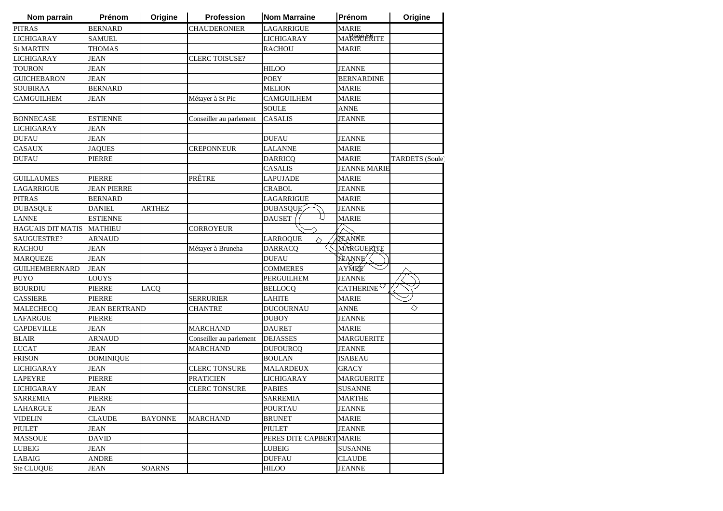| Nom parrain              | Prénom               | Origine        | Profession              | <b>Nom Marraine</b>      | Prénom                 | Origine                |
|--------------------------|----------------------|----------------|-------------------------|--------------------------|------------------------|------------------------|
| <b>PITRAS</b>            | <b>BERNARD</b>       |                | CHAUDERONIER            | LAGARRIGUE               | <b>MARIE</b>           |                        |
| <b>LICHIGARAY</b>        | <b>SAMUEL</b>        |                |                         | <b>LICHIGARAY</b>        | <b>MARCIOERITE</b>     |                        |
| <b>St MARTIN</b>         | <b>THOMAS</b>        |                |                         | <b>RACHOU</b>            | <b>MARIE</b>           |                        |
| <b>LICHIGARAY</b>        | <b>JEAN</b>          |                | <b>CLERC TOISUSE?</b>   |                          |                        |                        |
| <b>TOURON</b>            | <b>JEAN</b>          |                |                         | <b>HILOO</b>             | <b>JEANNE</b>          |                        |
| <b>GUICHEBARON</b>       | <b>JEAN</b>          |                |                         | <b>POEY</b>              | <b>BERNARDINE</b>      |                        |
| <b>SOUBIRAA</b>          | <b>BERNARD</b>       |                |                         | <b>MELION</b>            | <b>MARIE</b>           |                        |
| <b>CAMGUILHEM</b>        | <b>JEAN</b>          |                | Métayer à St Pic        | <b>CAMGUILHEM</b>        | <b>MARIE</b>           |                        |
|                          |                      |                |                         | <b>SOULE</b>             | <b>ANNE</b>            |                        |
| <b>BONNECASE</b>         | <b>ESTIENNE</b>      |                | Conseiller au parlement | <b>CASALIS</b>           | <b>JEANNE</b>          |                        |
| <b>LICHIGARAY</b>        | <b>JEAN</b>          |                |                         |                          |                        |                        |
| <b>DUFAU</b>             | <b>JEAN</b>          |                |                         | <b>DUFAU</b>             | <b>JEANNE</b>          |                        |
| CASAUX                   | <b>JAQUES</b>        |                | CREPONNEUR              | <b>LALANNE</b>           | <b>MARIE</b>           |                        |
| <b>DUFAU</b>             | PIERRE               |                |                         | <b>DARRICQ</b>           | <b>MARIE</b>           | <b>TARDETS</b> (Soule) |
|                          |                      |                |                         | CASALIS                  | <b>JEANNE MARIE</b>    |                        |
| <b>GUILLAUMES</b>        | <b>PIERRE</b>        |                | PRÊTRE                  | <b>LAPUJADE</b>          | <b>MARIE</b>           |                        |
| <b>LAGARRIGUE</b>        | <b>JEAN PIERRE</b>   |                |                         | <b>CRABOL</b>            | JEANNE                 |                        |
| <b>PITRAS</b>            | <b>BERNARD</b>       |                |                         | LAGARRIGUE               | <b>MARIE</b>           |                        |
| <b>DUBASQUE</b>          | <b>DANIEL</b>        | ARTHEZ         |                         | <b>DUBASQUE</b>          | JEANNE                 |                        |
| <b>LANNE</b>             | <b>ESTIENNE</b>      |                |                         | L I<br>DAUSET            | <b>MARIE</b>           |                        |
| <b>HAGUAIS DIT MATIS</b> | <b>MATHIEU</b>       |                | CORROYEUR               |                          |                        |                        |
| SAUGUESTRE?              | <b>ARNAUD</b>        |                |                         | <b>LARROQUE</b><br>◇     | JEANNE                 |                        |
| <b>RACHOU</b>            | <b>JEAN</b>          |                | Métayer à Bruneha       | <b>DARRACQ</b>           | MARGUERITE             |                        |
| <b>MAROUEZE</b>          | <b>JEAN</b>          |                |                         | <b>DUFAU</b>             | <b>JEANNE</b>          |                        |
| <b>GUILHEMBERNARD</b>    | <b>JEAN</b>          |                |                         | <b>COMMERES</b>          | <b>AYMEE</b>           |                        |
| <b>PUYO</b>              | <b>LOUYS</b>         |                |                         | <b>PERGUILHEM</b>        | <b>JEANNE</b>          |                        |
| <b>BOURDIU</b>           | <b>PIERRE</b>        | LACQ           |                         | <b>BELLOCQ</b>           | CATHERINE <sup>V</sup> |                        |
| <b>CASSIERE</b>          | <b>PIERRE</b>        |                | <b>SERRURIER</b>        | LAHITE                   | <b>MARIE</b>           |                        |
| MALECHECQ                | <b>JEAN BERTRAND</b> |                | <b>CHANTRE</b>          | <b>DUCOURNAU</b>         | <b>ANNE</b>            | ♦                      |
| <b>LAFARGUE</b>          | <b>PIERRE</b>        |                |                         | DUBOY                    | JEANNE                 |                        |
| <b>CAPDEVILLE</b>        | JEAN                 |                | <b>MARCHAND</b>         | <b>DAURET</b>            | <b>MARIE</b>           |                        |
| <b>BLAIR</b>             | ARNAUD               |                | Conseiller au parlement | <b>DEJASSES</b>          | <b>MARGUERITE</b>      |                        |
| <b>LUCAT</b>             | <b>JEAN</b>          |                | MARCHAND                | <b>DUFOURCQ</b>          | <b>JEANNE</b>          |                        |
| <b>FRISON</b>            | <b>DOMINIQUE</b>     |                |                         | <b>BOULAN</b>            | <b>ISABEAU</b>         |                        |
| <b>LICHIGARAY</b>        | <b>JEAN</b>          |                | <b>CLERC TONSURE</b>    | <b>MALARDEUX</b>         | <b>GRACY</b>           |                        |
| <b>LAPEYRE</b>           | PIERRE               |                | <b>PRATICIEN</b>        | <b>LICHIGARAY</b>        | <b>MARGUERITE</b>      |                        |
| <b>LICHIGARAY</b>        | <b>JEAN</b>          |                | <b>CLERC TONSURE</b>    | <b>PABIES</b>            | <b>SUSANNE</b>         |                        |
| <b>SARREMIA</b>          | PIERRE               |                |                         | <b>SARREMIA</b>          | <b>MARTHE</b>          |                        |
| LAHARGUE                 | JEAN                 |                |                         | <b>POURTAU</b>           | JEANNE                 |                        |
| <b>VIDELIN</b>           | CLAUDE               | <b>BAYONNE</b> | <b>MARCHAND</b>         | <b>BRUNET</b>            | <b>MARIE</b>           |                        |
| <b>PIULET</b>            | JEAN                 |                |                         | <b>PIULET</b>            | <b>JEANNE</b>          |                        |
| <b>MASSOUE</b>           | <b>DAVID</b>         |                |                         | PERES DITE CAPBERT MARIE |                        |                        |
| <b>LUBEIG</b>            | <b>JEAN</b>          |                |                         | <b>LUBEIG</b>            | <b>SUSANNE</b>         |                        |
|                          |                      |                |                         |                          | <b>CLAUDE</b>          |                        |
| LABAIG                   | <b>ANDRE</b>         |                |                         | <b>DUFFAU</b>            |                        |                        |
| Ste CLUQUE               | <b>JEAN</b>          | <b>SOARNS</b>  |                         | <b>HILOO</b>             | <b>JEANNE</b>          |                        |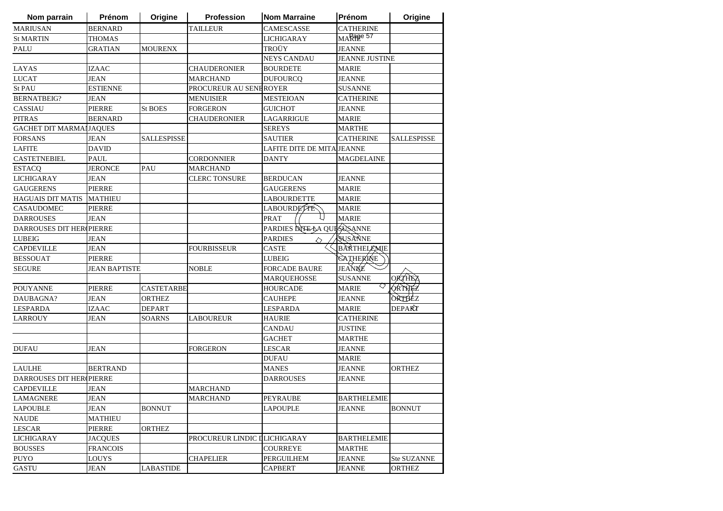| Nom parrain                     | Prénom               | Origine           | Profession                   | <b>Nom Marraine</b>        | <b>Prénom</b>      | Origine            |
|---------------------------------|----------------------|-------------------|------------------------------|----------------------------|--------------------|--------------------|
| <b>MARIUSAN</b>                 | <b>BERNARD</b>       |                   | <b>TAILLEUR</b>              | <b>CAMESCASSE</b>          | <b>CATHERINE</b>   |                    |
| <b>St MARTIN</b>                | <b>THOMAS</b>        |                   |                              | <b>LICHIGARAY</b>          | MARage 57          |                    |
| PALU                            | <b>GRATIAN</b>       | <b>MOURENX</b>    |                              | TROÜY                      | <b>JEANNE</b>      |                    |
|                                 |                      |                   |                              | <b>NEYS CANDAU</b>         | JEANNE JUSTINE     |                    |
| LAYAS                           | <b>IZAAC</b>         |                   | <b>CHAUDERONIER</b>          | <b>BOURDETE</b>            | <b>MARIE</b>       |                    |
| <b>LUCAT</b>                    | <b>JEAN</b>          |                   | <b>MARCHAND</b>              | <b>DUFOURCO</b>            | <b>JEANNE</b>      |                    |
| St PAU                          | <b>ESTIENNE</b>      |                   | PROCUREUR AU SENEROYER       |                            | <b>SUSANNE</b>     |                    |
| <b>BERNATBEIG?</b>              | <b>JEAN</b>          |                   | <b>MENUISIER</b>             | <b>MESTEIOAN</b>           | <b>CATHERINE</b>   |                    |
| <b>CASSIAU</b>                  | <b>PIERRE</b>        | <b>St BOES</b>    | <b>FORGERON</b>              | <b>GUICHOT</b>             | <b>JEANNE</b>      |                    |
| <b>PITRAS</b>                   | <b>BERNARD</b>       |                   | <b>CHAUDERONIER</b>          | LAGARRIGUE                 | <b>MARIE</b>       |                    |
| <b>GACHET DIT MARMALIAQUES</b>  |                      |                   |                              | <b>SEREYS</b>              | <b>MARTHE</b>      |                    |
| <b>FORSANS</b>                  | <b>JEAN</b>          | SALLESPISSE       |                              | <b>SAUTIER</b>             | <b>CATHERINE</b>   | <b>SALLESPISSE</b> |
| <b>LAFITE</b>                   | <b>DAVID</b>         |                   |                              | LAFITE DITE DE MITA]JEANNE |                    |                    |
| <b>CASTETNEBIEL</b>             | <b>PAUL</b>          |                   | <b>CORDONNIER</b>            | DANTY                      | MAGDELAINE         |                    |
| <b>ESTACQ</b>                   | <b>JERONCE</b>       | PAU               | <b>MARCHAND</b>              |                            |                    |                    |
| <b>LICHIGARAY</b>               | <b>JEAN</b>          |                   | <b>CLERC TONSURE</b>         | <b>BERDUCAN</b>            | JEANNE             |                    |
| <b>GAUGERENS</b>                | <b>PIERRE</b>        |                   |                              | <b>GAUGERENS</b>           | <b>MARIE</b>       |                    |
| <b>HAGUAIS DIT MATIS</b>        | <b>MATHIEU</b>       |                   |                              | LABOURDETTE                | <b>MARIE</b>       |                    |
| <b>CASAUDOMEC</b>               | <b>PIERRE</b>        |                   |                              | LABOURDETTE                | <b>MARIE</b>       |                    |
| <b>DARROUSES</b>                | <b>JEAN</b>          |                   |                              | L I<br><b>PRAT</b>         | <b>MARIE</b>       |                    |
| <b>DARROUSES DIT HER PIERRE</b> |                      |                   |                              | PARDIES DITE DA QUESUSANNE |                    |                    |
| <b>LUBEIG</b>                   | JEAN                 |                   |                              | <b>PARDIES</b><br>◇        | SUSANNE            |                    |
| <b>CAPDEVILLE</b>               | <b>JEAN</b>          |                   | <b>FOURBISSEUR</b>           | <b>CASTE</b>               | BARTHELEMIE        |                    |
| <b>BESSOUAT</b>                 | <b>PIERRE</b>        |                   |                              | LUBEIG                     | <b>GATHERINE</b>   |                    |
| <b>SEGURE</b>                   | <b>JEAN BAPTISTE</b> |                   | <b>NOBLE</b>                 | <b>FORCADE BAURE</b>       | JEANNE             |                    |
|                                 |                      |                   |                              | <b>MARQUEHOSSE</b>         | <b>SUSANNE</b>     | <b>ORTHEZ</b>      |
| <b>POUYANNE</b>                 | <b>PIERRE</b>        | <b>CASTETARBE</b> |                              | <b>HOURCADE</b>            | ♡<br><b>MARIE</b>  | <b>ORTHEZ</b>      |
| DAUBAGNA?                       | <b>JEAN</b>          | <b>ORTHEZ</b>     |                              | <b>CAUHEPE</b>             | <b>JEANNE</b>      | ORTHEZ             |
| LESPARDA                        | <b>IZAAC</b>         | <b>DEPART</b>     |                              | <b>LESPARDA</b>            | <b>MARIE</b>       | <b>DEPART</b>      |
| <b>LARROUY</b>                  | JEAN                 | <b>SOARNS</b>     | <b>LABOUREUR</b>             | HAURIE                     | <b>CATHERINE</b>   |                    |
|                                 |                      |                   |                              | CANDAU                     | <b>JUSTINE</b>     |                    |
|                                 |                      |                   |                              | GACHET                     | <b>MARTHE</b>      |                    |
| <b>DUFAU</b>                    | JEAN                 |                   | FORGERON                     | LESCAR                     | <b>JEANNE</b>      |                    |
|                                 |                      |                   |                              | <b>DUFAU</b>               | <b>MARIE</b>       |                    |
| <b>LAULHE</b>                   | <b>BERTRAND</b>      |                   |                              | <b>MANES</b>               | <b>JEANNE</b>      | <b>ORTHEZ</b>      |
| <b>DARROUSES DIT HERIPIERRE</b> |                      |                   |                              | <b>DARROUSES</b>           | JEANNE             |                    |
| <b>CAPDEVILLE</b>               | <b>JEAN</b>          |                   | <b>MARCHAND</b>              |                            |                    |                    |
| <b>LAMAGNERE</b>                | <b>JEAN</b>          |                   | <b>MARCHAND</b>              | <b>PEYRAUBE</b>            | <b>BARTHELEMIE</b> |                    |
| <b>LAPOUBLE</b>                 | JEAN                 | <b>BONNUT</b>     |                              | LAPOUPLE                   | <b>JEANNE</b>      | <b>BONNUT</b>      |
| <b>NAUDE</b>                    | <b>MATHIEU</b>       |                   |                              |                            |                    |                    |
| <b>LESCAR</b>                   | <b>PIERRE</b>        | <b>ORTHEZ</b>     |                              |                            |                    |                    |
| <b>LICHIGARAY</b>               | <b>JACQUES</b>       |                   | PROCUREUR LINDIC LLICHIGARAY |                            | <b>BARTHELEMIE</b> |                    |
| <b>BOUSSES</b>                  | <b>FRANCOIS</b>      |                   |                              | <b>COURREYE</b>            | <b>MARTHE</b>      |                    |
| <b>PUYO</b>                     | <b>LOUYS</b>         |                   | <b>CHAPELIER</b>             | <b>PERGUILHEM</b>          | <b>JEANNE</b>      | <b>Ste SUZANNE</b> |
| <b>GASTU</b>                    | <b>JEAN</b>          | <b>LABASTIDE</b>  |                              | <b>CAPBERT</b>             | <b>JEANNE</b>      | <b>ORTHEZ</b>      |
|                                 |                      |                   |                              |                            |                    |                    |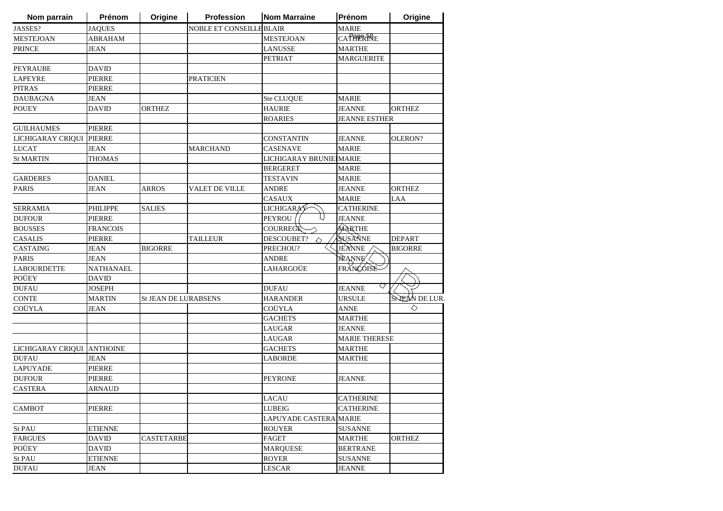| Nom parrain                | Prénom           | Origine                     | <b>Profession</b>       | <b>Nom Marraine</b>      | Prénom               | Origine        |
|----------------------------|------------------|-----------------------------|-------------------------|--------------------------|----------------------|----------------|
| JASSES?                    | <b>JAQUES</b>    |                             | NOBLE ET CONSEILLEBLAIR |                          | <b>MARIE</b>         |                |
| <b>MESTEJOAN</b>           | <b>ABRAHAM</b>   |                             |                         | <b>MESTEJOAN</b>         | <b>CATHERRE</b>      |                |
| <b>PRINCE</b>              | <b>JEAN</b>      |                             |                         | <b>LANUSSE</b>           | <b>MARTHE</b>        |                |
|                            |                  |                             |                         | <b>PETRIAT</b>           | <b>MARGUERITE</b>    |                |
| <b>PEYRAUBE</b>            | <b>DAVID</b>     |                             |                         |                          |                      |                |
| <b>LAPEYRE</b>             | <b>PIERRE</b>    |                             | <b>PRATICIEN</b>        |                          |                      |                |
| <b>PITRAS</b>              | <b>PIERRE</b>    |                             |                         |                          |                      |                |
| <b>DAUBAGNA</b>            | <b>JEAN</b>      |                             |                         | Ste CLUQUE               | <b>MARIE</b>         |                |
| <b>POUEY</b>               | <b>DAVID</b>     | <b>ORTHEZ</b>               |                         | <b>HAURIE</b>            | <b>JEANNE</b>        | <b>ORTHEZ</b>  |
|                            |                  |                             |                         | <b>ROARIES</b>           | <b>JEANNE ESTHER</b> |                |
| <b>GUILHAUMES</b>          | <b>PIERRE</b>    |                             |                         |                          |                      |                |
| LICHIGARAY CRIQUI          | <b>PIERRE</b>    |                             |                         | <b>CONSTANTIN</b>        | <b>JEANNE</b>        | OLERON?        |
| <b>LUCAT</b>               | <b>JEAN</b>      |                             | <b>MARCHAND</b>         | <b>CASENAVE</b>          | <b>MARIE</b>         |                |
| <b>St MARTIN</b>           | <b>THOMAS</b>    |                             |                         | LICHIGARAY BRUNIEI MARIE |                      |                |
|                            |                  |                             |                         | <b>BERGERET</b>          | <b>MARIE</b>         |                |
| <b>GARDERES</b>            | <b>DANIEL</b>    |                             |                         | <b>TESTAVIN</b>          | <b>MARIE</b>         |                |
| <b>PARIS</b>               | JEAN             | <b>ARROS</b>                | VALET DE VILLE          | ANDRE                    | <b>JEANNE</b>        | <b>ORTHEZ</b>  |
|                            |                  |                             |                         | <b>CASAUX</b>            | <b>MARIE</b>         | LAA            |
| <b>SERRAMIA</b>            | PHILIPPE         | <b>SALIES</b>               |                         | <b>LICHIGARAY</b>        | <b>CATHERINE</b>     |                |
| <b>DUFOUR</b>              | <b>PIERRE</b>    |                             |                         | <b>PEYROU</b>            | <b>JEANNE</b>        |                |
| <b>BOUSSES</b>             | <b>FRANCOIS</b>  |                             |                         | COURREGE                 | MARTHE               |                |
| <b>CASALIS</b>             | <b>PIERRE</b>    |                             | <b>TAILLEUR</b>         | DESCOUBET?<br>△          | SUSANNE              | <b>DEPART</b>  |
| CASTAING                   | <b>JEAN</b>      | <b>BIGORRE</b>              |                         | PRECHOU?                 | JEANNE               | <b>BIGORRE</b> |
| <b>PARIS</b>               | JEAN             |                             |                         | ANDRE                    | <b>JEANNE</b>        |                |
| <b>LABOURDETTE</b>         | <b>NATHANAEL</b> |                             |                         | LAHARGOÜE                | FRANCOISE            |                |
| POÜEY                      | <b>DAVID</b>     |                             |                         |                          |                      |                |
| <b>DUFAU</b>               | <b>JOSEPH</b>    |                             |                         | <b>DUFAU</b>             | ◇<br><b>JEANNE</b>   |                |
| <b>CONTE</b>               | <b>MARTIN</b>    | <b>St JEAN DE LURABSENS</b> |                         | <b>HARANDER</b>          | <b>URSULE</b>        | SNEAN DE LUR.  |
| COÜYLA                     | <b>JEAN</b>      |                             |                         | COÜYLA                   | <b>ANNE</b>          | ◇              |
|                            |                  |                             |                         | <b>GACHETS</b>           | <b>MARTHE</b>        |                |
|                            |                  |                             |                         | LAUGAR                   | <b>JEANNE</b>        |                |
|                            |                  |                             |                         | LAUGAR                   | <b>MARIE THERESE</b> |                |
| LICHIGARAY CRIQUI ANTHOINE |                  |                             |                         | <b>GACHETS</b>           | <b>MARTHE</b>        |                |
| <b>DUFAU</b>               | <b>JEAN</b>      |                             |                         | LABORDE                  | <b>MARTHE</b>        |                |
| <b>LAPUYADE</b>            | <b>PIERRE</b>    |                             |                         |                          |                      |                |
| <b>DUFOUR</b>              | PIERRE           |                             |                         | <b>PEYRONE</b>           | <b>JEANNE</b>        |                |
| <b>CASTERA</b>             | <b>ARNAUD</b>    |                             |                         |                          |                      |                |
|                            |                  |                             |                         | <b>LACAU</b>             | <b>CATHERINE</b>     |                |
| <b>CAMBOT</b>              | <b>PIERRE</b>    |                             |                         | <b>LUBEIG</b>            | <b>CATHERINE</b>     |                |
|                            |                  |                             |                         | LAPUYADE CASTERA MARIE   |                      |                |
| St PAU                     | <b>ETIENNE</b>   |                             |                         | <b>ROUYER</b>            | <b>SUSANNE</b>       |                |
| <b>FARGUES</b>             | <b>DAVID</b>     | CASTETARBE                  |                         | FAGET                    | <b>MARTHE</b>        | <b>ORTHEZ</b>  |
| POÜEY                      | <b>DAVID</b>     |                             |                         | <b>MARQUESE</b>          | <b>BERTRANE</b>      |                |
| St PAU                     | <b>ETIENNE</b>   |                             |                         | <b>ROYER</b>             | <b>SUSANNE</b>       |                |
|                            |                  |                             |                         |                          |                      |                |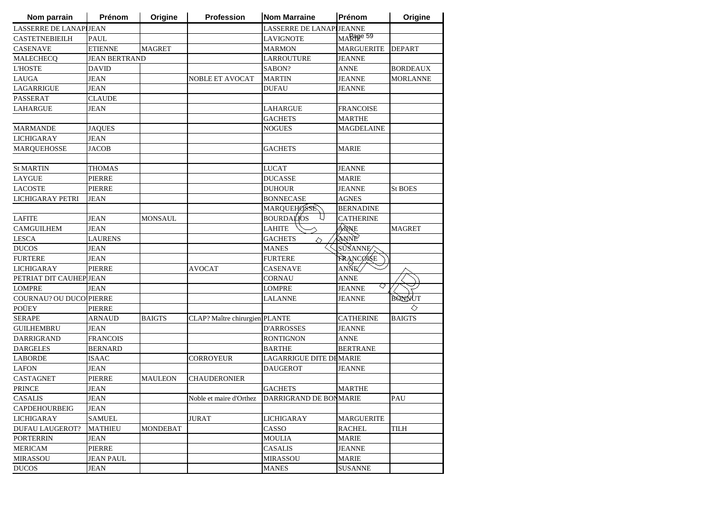| Nom parrain                    | Prénom               | Origine         | Profession                     | <b>Nom Marraine</b>                            | Prénom             | Origine         |
|--------------------------------|----------------------|-----------------|--------------------------------|------------------------------------------------|--------------------|-----------------|
| <b>LASSERRE DE LANAPIJEAN</b>  |                      |                 |                                | LASSERRE DE LANAPIJEANNE                       |                    |                 |
| <b>CASTETNEBIEILH</b>          | <b>PAUL</b>          |                 |                                | <b>LAVIGNOTE</b>                               | MARPER 59          |                 |
| <b>CASENAVE</b>                | <b>ETIENNE</b>       | <b>MAGRET</b>   |                                | <b>MARMON</b>                                  | <b>MARGUERITE</b>  | <b>DEPART</b>   |
| MALECHECQ                      | <b>JEAN BERTRAND</b> |                 |                                | <b>LARROUTURE</b>                              | <b>JEANNE</b>      |                 |
| <b>L'HOSTE</b>                 | DAVID                |                 |                                | SABON?                                         | <b>ANNE</b>        | <b>BORDEAUX</b> |
| <b>LAUGA</b>                   | <b>JEAN</b>          |                 | <b>NOBLE ET AVOCAT</b>         | <b>MARTIN</b>                                  | <b>JEANNE</b>      | <b>MORLANNE</b> |
| <b>LAGARRIGUE</b>              | <b>JEAN</b>          |                 |                                | <b>DUFAU</b>                                   | JEANNE             |                 |
| PASSERAT                       | <b>CLAUDE</b>        |                 |                                |                                                |                    |                 |
| <b>LAHARGUE</b>                | <b>JEAN</b>          |                 |                                | <b>LAHARGUE</b>                                | <b>FRANCOISE</b>   |                 |
|                                |                      |                 |                                | <b>GACHETS</b>                                 | <b>MARTHE</b>      |                 |
| <b>MARMANDE</b>                | <b>JAQUES</b>        |                 |                                | <b>NOGUES</b>                                  | MAGDELAINE         |                 |
| <b>LICHIGARAY</b>              | <b>JEAN</b>          |                 |                                |                                                |                    |                 |
| <b>MARQUEHOSSE</b>             | <b>JACOB</b>         |                 |                                | <b>GACHETS</b>                                 | <b>MARIE</b>       |                 |
|                                |                      |                 |                                |                                                |                    |                 |
| <b>St MARTIN</b>               | <b>THOMAS</b>        |                 |                                | <b>LUCAT</b>                                   | JEANNE             |                 |
| <b>LAYGUE</b>                  | <b>PIERRE</b>        |                 |                                | <b>DUCASSE</b>                                 | <b>MARIE</b>       |                 |
| <b>LACOSTE</b>                 | PIERRE               |                 |                                | <b>DUHOUR</b>                                  | <b>JEANNE</b>      | <b>St BOES</b>  |
| <b>LICHIGARAY PETRI</b>        | <b>JEAN</b>          |                 |                                | <b>BONNECASE</b>                               | <b>AGNES</b>       |                 |
|                                |                      |                 |                                | <b>MARQUEHOSSE</b>                             | <b>BERNADINE</b>   |                 |
| <b>LAFITE</b>                  | <b>JEAN</b>          | <b>MONSAUL</b>  |                                | U<br><b>BOURDALIOS</b>                         | <b>CATHERINE</b>   |                 |
| <b>CAMGUILHEM</b>              | <b>JEAN</b>          |                 |                                | <b>LAHITE</b>                                  | ANNE               | <b>MAGRET</b>   |
| <b>LESCA</b>                   | <b>LAURENS</b>       |                 |                                | <b>GACHETS</b><br>◇                            | ANNE               |                 |
| <b>DUCOS</b>                   | <b>JEAN</b>          |                 |                                | <b>MANES</b>                                   | SUSANNE            |                 |
| <b>FURTERE</b>                 | <b>JEAN</b>          |                 |                                | <b>FURTERE</b>                                 | <b>FRANCOISE</b>   |                 |
| <b>LICHIGARAY</b>              | <b>PIERRE</b>        |                 | <b>AVOCAT</b>                  | <b>CASENAVE</b>                                | ANNE               |                 |
| PETRIAT DIT CAUHEP JEAN        |                      |                 |                                | <b>CORNAU</b>                                  | <b>ANNE</b>        |                 |
| <b>LOMPRE</b>                  | <b>JEAN</b>          |                 |                                | <b>LOMPRE</b>                                  | ◇<br><b>JEANNE</b> |                 |
| <b>COURNAU? OU DUCO PIERRE</b> |                      |                 |                                | LALANNE                                        | <b>JEANNE</b>      | BOODVUT         |
| POÜEY                          | <b>PIERRE</b>        |                 |                                |                                                |                    | ◇               |
| <b>SERAPE</b>                  | ARNAUD               | <b>BAIGTS</b>   | CLAP? Maître chirurgien PLANTE |                                                | <b>CATHERINE</b>   | <b>BAIGTS</b>   |
| <b>GUILHEMBRU</b>              | JEAN                 |                 |                                | <b>D'ARROSSES</b>                              | JEANNE             |                 |
| DARRIGRAND                     | <b>FRANCOIS</b>      |                 |                                | <b>RONTIGNON</b>                               | ANNE               |                 |
| <b>DARGELES</b>                | <b>BERNARD</b>       |                 |                                | <b>BARTHE</b>                                  | <b>BERTRANE</b>    |                 |
| <b>LABORDE</b>                 | <b>ISAAC</b>         |                 | CORROYEUR                      | LAGARRIGUE DITE DEMARIE                        |                    |                 |
| <b>LAFON</b>                   | <b>JEAN</b>          |                 |                                | <b>DAUGEROT</b>                                | JEANNE             |                 |
| <b>CASTAGNET</b>               | <b>PIERRE</b>        | <b>MAULEON</b>  | <b>CHAUDERONIER</b>            |                                                |                    |                 |
| <b>PRINCE</b>                  | <b>JEAN</b>          |                 |                                | <b>GACHETS</b>                                 | <b>MARTHE</b>      |                 |
| CASALIS                        | <b>JEAN</b>          |                 |                                | Noble et maire d'Orthez DARRIGRAND DE BONMARIE |                    | PAU             |
| <b>CAPDEHOURBEIG</b>           | JEAN                 |                 |                                |                                                |                    |                 |
| <b>LICHIGARAY</b>              | <b>SAMUEL</b>        |                 | <b>JURAT</b>                   | <b>LICHIGARAY</b>                              | <b>MARGUERITE</b>  |                 |
| <b>DUFAU LAUGEROT?</b>         | <b>MATHIEU</b>       | <b>MONDEBAT</b> |                                | CASSO                                          | <b>RACHEL</b>      | <b>TILH</b>     |
| <b>PORTERRIN</b>               | <b>JEAN</b>          |                 |                                | <b>MOULIA</b>                                  | <b>MARIE</b>       |                 |
| <b>MERICAM</b>                 | <b>PIERRE</b>        |                 |                                | <b>CASALIS</b>                                 | <b>JEANNE</b>      |                 |
| <b>MIRASSOU</b>                | <b>JEAN PAUL</b>     |                 |                                | <b>MIRASSOU</b>                                | <b>MARIE</b>       |                 |
| <b>DUCOS</b>                   | JEAN                 |                 |                                | <b>MANES</b>                                   | <b>SUSANNE</b>     |                 |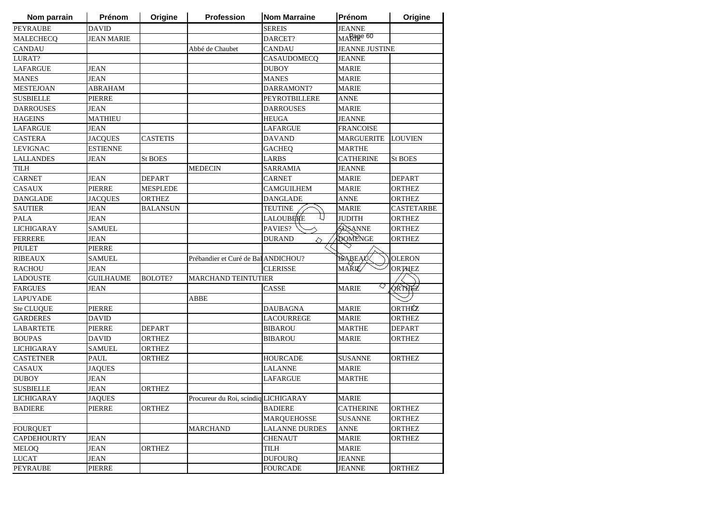| <b>DAVID</b><br><b>SEREIS</b><br><b>JEANNE</b><br>MARPER 60<br><b>JEAN MARIE</b><br>DARCET?<br>Abbé de Chaubet<br><b>CANDAU</b><br><b>JEANNE JUSTINE</b><br>CASAUDOMECQ<br><b>JEANNE</b><br><b>MARIE</b><br><b>JEAN</b><br><b>DUBOY</b><br><b>JEAN</b><br><b>MANES</b><br><b>MARIE</b><br>DARRAMONT?<br><b>MARIE</b><br>ABRAHAM<br><b>PIERRE</b><br>PEYROTBILLERE<br><b>ANNE</b><br><b>JEAN</b><br><b>MARIE</b><br><b>DARROUSES</b><br><b>MATHIEU</b><br><b>JEANNE</b><br><b>HEUGA</b><br><b>FRANCOISE</b><br>JEAN<br>LAFARGUE<br><b>MARGUERITE</b><br><b>JACQUES</b><br><b>CASTETIS</b><br><b>DAVAND</b><br><b>LOUVIEN</b><br><b>ESTIENNE</b><br><b>GACHEQ</b><br><b>MARTHE</b><br>JEAN<br><b>St BOES</b><br>LARBS<br><b>CATHERINE</b><br><b>St BOES</b><br><b>MEDECIN</b><br>JEANNE<br>SARRAMIA<br>JEAN<br><b>DEPART</b><br><b>CARNET</b><br><b>MARIE</b><br><b>DEPART</b><br><b>CAMGUILHEM</b><br>PIERRE<br><b>MESPLEDE</b><br><b>MARIE</b><br><b>ORTHEZ</b><br><b>JACQUES</b><br><b>ORTHEZ</b><br><b>DANGLADE</b><br><b>ANNE</b><br><b>ORTHEZ</b><br><b>JEAN</b><br><b>MARIE</b><br><b>BALANSUN</b><br><b>TEUTINE</b><br>CASTETARBE<br>LALOUBERE<br><b>JUDITH</b><br><b>ORTHEZ</b><br>JEAN<br>SUSANNE<br><b>SAMUEL</b><br>PAVIES?<br><b>ORTHEZ</b><br><b>DOMENGE</b><br><b>JEAN</b><br><b>DURAND</b><br>ORTHEZ<br>◇<br><b>PIERRE</b><br><b>ISAREAU&lt;</b><br><b>OLERON</b><br><b>SAMUEL</b><br>Prébandier et Curé de Bal ANDICHOU?<br><b>MARIÉ</b><br><b>ORTHEZ</b><br><b>CLERISSE</b><br>JEAN<br><b>GUILHAUME</b><br><b>BOLOTE?</b><br><b>MARCHAND TEINTUTIER</b><br>♡<br>Torthez<br><b>MARIE</b><br>JEAN<br><b>CASSE</b><br>ABBE<br><b>ORTHÉZ</b><br><b>PIERRE</b><br><b>MARIE</b><br>DAUBAGNA<br><b>DAVID</b><br><b>LACOURREGE</b><br><b>MARIE</b><br><b>ORTHEZ</b><br><b>DEPART</b><br>PIERRE<br><b>BIBAROU</b><br><b>MARTHE</b><br><b>DEPART</b><br>ORTHEZ<br>DAVID<br><b>BIBAROU</b><br><b>MARIE</b><br>ORTHEZ<br><b>SAMUEL</b><br><b>ORTHEZ</b><br><b>PAUL</b><br><b>ORTHEZ</b><br><b>HOURCADE</b><br><b>SUSANNE</b><br><b>ORTHEZ</b><br><b>LALANNE</b><br><b>MARIE</b><br><b>JAQUES</b><br><b>JEAN</b><br>LAFARGUE<br><b>MARTHE</b><br><b>JEAN</b><br><b>ORTHEZ</b><br><b>JAQUES</b><br>Procureur du Roi, scindiq LICHIGARAY<br><b>MARIE</b><br><b>CATHERINE</b><br><b>PIERRE</b><br><b>ORTHEZ</b><br><b>BADIERE</b><br><b>ORTHEZ</b><br><b>SUSANNE</b><br><b>MARQUEHOSSE</b><br><b>ORTHEZ</b><br><b>LALANNE DURDES</b><br><b>ORTHEZ</b><br><b>MARCHAND</b><br><b>ANNE</b><br><b>MARIE</b><br><b>JEAN</b><br><b>CHENAUT</b><br><b>ORTHEZ</b><br><b>JEAN</b><br>ORTHEZ<br>TILH<br><b>MARIE</b><br><b>JEAN</b><br><b>DUFOURQ</b><br><b>JEANNE</b><br>PIERRE<br><b>FOURCADE</b><br><b>JEANNE</b><br><b>ORTHEZ</b> | Nom parrain       | Prénom | Origine | <b>Profession</b> | <b>Nom Marraine</b> | Prénom | Origine |
|-----------------------------------------------------------------------------------------------------------------------------------------------------------------------------------------------------------------------------------------------------------------------------------------------------------------------------------------------------------------------------------------------------------------------------------------------------------------------------------------------------------------------------------------------------------------------------------------------------------------------------------------------------------------------------------------------------------------------------------------------------------------------------------------------------------------------------------------------------------------------------------------------------------------------------------------------------------------------------------------------------------------------------------------------------------------------------------------------------------------------------------------------------------------------------------------------------------------------------------------------------------------------------------------------------------------------------------------------------------------------------------------------------------------------------------------------------------------------------------------------------------------------------------------------------------------------------------------------------------------------------------------------------------------------------------------------------------------------------------------------------------------------------------------------------------------------------------------------------------------------------------------------------------------------------------------------------------------------------------------------------------------------------------------------------------------------------------------------------------------------------------------------------------------------------------------------------------------------------------------------------------------------------------------------------------------------------------------------------------------------------------------------------------------------------------------------------------------------------------------------------------------------------------------------------------------------------------------------------------------------------------------------------------------------------------------------------------------------------|-------------------|--------|---------|-------------------|---------------------|--------|---------|
|                                                                                                                                                                                                                                                                                                                                                                                                                                                                                                                                                                                                                                                                                                                                                                                                                                                                                                                                                                                                                                                                                                                                                                                                                                                                                                                                                                                                                                                                                                                                                                                                                                                                                                                                                                                                                                                                                                                                                                                                                                                                                                                                                                                                                                                                                                                                                                                                                                                                                                                                                                                                                                                                                                                             | <b>PEYRAUBE</b>   |        |         |                   |                     |        |         |
|                                                                                                                                                                                                                                                                                                                                                                                                                                                                                                                                                                                                                                                                                                                                                                                                                                                                                                                                                                                                                                                                                                                                                                                                                                                                                                                                                                                                                                                                                                                                                                                                                                                                                                                                                                                                                                                                                                                                                                                                                                                                                                                                                                                                                                                                                                                                                                                                                                                                                                                                                                                                                                                                                                                             | <b>MALECHECO</b>  |        |         |                   |                     |        |         |
|                                                                                                                                                                                                                                                                                                                                                                                                                                                                                                                                                                                                                                                                                                                                                                                                                                                                                                                                                                                                                                                                                                                                                                                                                                                                                                                                                                                                                                                                                                                                                                                                                                                                                                                                                                                                                                                                                                                                                                                                                                                                                                                                                                                                                                                                                                                                                                                                                                                                                                                                                                                                                                                                                                                             | <b>CANDAU</b>     |        |         |                   |                     |        |         |
|                                                                                                                                                                                                                                                                                                                                                                                                                                                                                                                                                                                                                                                                                                                                                                                                                                                                                                                                                                                                                                                                                                                                                                                                                                                                                                                                                                                                                                                                                                                                                                                                                                                                                                                                                                                                                                                                                                                                                                                                                                                                                                                                                                                                                                                                                                                                                                                                                                                                                                                                                                                                                                                                                                                             | LURAT?            |        |         |                   |                     |        |         |
|                                                                                                                                                                                                                                                                                                                                                                                                                                                                                                                                                                                                                                                                                                                                                                                                                                                                                                                                                                                                                                                                                                                                                                                                                                                                                                                                                                                                                                                                                                                                                                                                                                                                                                                                                                                                                                                                                                                                                                                                                                                                                                                                                                                                                                                                                                                                                                                                                                                                                                                                                                                                                                                                                                                             | <b>LAFARGUE</b>   |        |         |                   |                     |        |         |
|                                                                                                                                                                                                                                                                                                                                                                                                                                                                                                                                                                                                                                                                                                                                                                                                                                                                                                                                                                                                                                                                                                                                                                                                                                                                                                                                                                                                                                                                                                                                                                                                                                                                                                                                                                                                                                                                                                                                                                                                                                                                                                                                                                                                                                                                                                                                                                                                                                                                                                                                                                                                                                                                                                                             | <b>MANES</b>      |        |         |                   |                     |        |         |
|                                                                                                                                                                                                                                                                                                                                                                                                                                                                                                                                                                                                                                                                                                                                                                                                                                                                                                                                                                                                                                                                                                                                                                                                                                                                                                                                                                                                                                                                                                                                                                                                                                                                                                                                                                                                                                                                                                                                                                                                                                                                                                                                                                                                                                                                                                                                                                                                                                                                                                                                                                                                                                                                                                                             | <b>MESTEJOAN</b>  |        |         |                   |                     |        |         |
|                                                                                                                                                                                                                                                                                                                                                                                                                                                                                                                                                                                                                                                                                                                                                                                                                                                                                                                                                                                                                                                                                                                                                                                                                                                                                                                                                                                                                                                                                                                                                                                                                                                                                                                                                                                                                                                                                                                                                                                                                                                                                                                                                                                                                                                                                                                                                                                                                                                                                                                                                                                                                                                                                                                             | <b>SUSBIELLE</b>  |        |         |                   |                     |        |         |
|                                                                                                                                                                                                                                                                                                                                                                                                                                                                                                                                                                                                                                                                                                                                                                                                                                                                                                                                                                                                                                                                                                                                                                                                                                                                                                                                                                                                                                                                                                                                                                                                                                                                                                                                                                                                                                                                                                                                                                                                                                                                                                                                                                                                                                                                                                                                                                                                                                                                                                                                                                                                                                                                                                                             | <b>DARROUSES</b>  |        |         |                   |                     |        |         |
|                                                                                                                                                                                                                                                                                                                                                                                                                                                                                                                                                                                                                                                                                                                                                                                                                                                                                                                                                                                                                                                                                                                                                                                                                                                                                                                                                                                                                                                                                                                                                                                                                                                                                                                                                                                                                                                                                                                                                                                                                                                                                                                                                                                                                                                                                                                                                                                                                                                                                                                                                                                                                                                                                                                             | <b>HAGEINS</b>    |        |         |                   |                     |        |         |
|                                                                                                                                                                                                                                                                                                                                                                                                                                                                                                                                                                                                                                                                                                                                                                                                                                                                                                                                                                                                                                                                                                                                                                                                                                                                                                                                                                                                                                                                                                                                                                                                                                                                                                                                                                                                                                                                                                                                                                                                                                                                                                                                                                                                                                                                                                                                                                                                                                                                                                                                                                                                                                                                                                                             | <b>LAFARGUE</b>   |        |         |                   |                     |        |         |
|                                                                                                                                                                                                                                                                                                                                                                                                                                                                                                                                                                                                                                                                                                                                                                                                                                                                                                                                                                                                                                                                                                                                                                                                                                                                                                                                                                                                                                                                                                                                                                                                                                                                                                                                                                                                                                                                                                                                                                                                                                                                                                                                                                                                                                                                                                                                                                                                                                                                                                                                                                                                                                                                                                                             | <b>CASTERA</b>    |        |         |                   |                     |        |         |
|                                                                                                                                                                                                                                                                                                                                                                                                                                                                                                                                                                                                                                                                                                                                                                                                                                                                                                                                                                                                                                                                                                                                                                                                                                                                                                                                                                                                                                                                                                                                                                                                                                                                                                                                                                                                                                                                                                                                                                                                                                                                                                                                                                                                                                                                                                                                                                                                                                                                                                                                                                                                                                                                                                                             | <b>LEVIGNAC</b>   |        |         |                   |                     |        |         |
|                                                                                                                                                                                                                                                                                                                                                                                                                                                                                                                                                                                                                                                                                                                                                                                                                                                                                                                                                                                                                                                                                                                                                                                                                                                                                                                                                                                                                                                                                                                                                                                                                                                                                                                                                                                                                                                                                                                                                                                                                                                                                                                                                                                                                                                                                                                                                                                                                                                                                                                                                                                                                                                                                                                             | <b>LALLANDES</b>  |        |         |                   |                     |        |         |
|                                                                                                                                                                                                                                                                                                                                                                                                                                                                                                                                                                                                                                                                                                                                                                                                                                                                                                                                                                                                                                                                                                                                                                                                                                                                                                                                                                                                                                                                                                                                                                                                                                                                                                                                                                                                                                                                                                                                                                                                                                                                                                                                                                                                                                                                                                                                                                                                                                                                                                                                                                                                                                                                                                                             | <b>TILH</b>       |        |         |                   |                     |        |         |
|                                                                                                                                                                                                                                                                                                                                                                                                                                                                                                                                                                                                                                                                                                                                                                                                                                                                                                                                                                                                                                                                                                                                                                                                                                                                                                                                                                                                                                                                                                                                                                                                                                                                                                                                                                                                                                                                                                                                                                                                                                                                                                                                                                                                                                                                                                                                                                                                                                                                                                                                                                                                                                                                                                                             | <b>CARNET</b>     |        |         |                   |                     |        |         |
|                                                                                                                                                                                                                                                                                                                                                                                                                                                                                                                                                                                                                                                                                                                                                                                                                                                                                                                                                                                                                                                                                                                                                                                                                                                                                                                                                                                                                                                                                                                                                                                                                                                                                                                                                                                                                                                                                                                                                                                                                                                                                                                                                                                                                                                                                                                                                                                                                                                                                                                                                                                                                                                                                                                             | <b>CASAUX</b>     |        |         |                   |                     |        |         |
|                                                                                                                                                                                                                                                                                                                                                                                                                                                                                                                                                                                                                                                                                                                                                                                                                                                                                                                                                                                                                                                                                                                                                                                                                                                                                                                                                                                                                                                                                                                                                                                                                                                                                                                                                                                                                                                                                                                                                                                                                                                                                                                                                                                                                                                                                                                                                                                                                                                                                                                                                                                                                                                                                                                             | <b>DANGLADE</b>   |        |         |                   |                     |        |         |
|                                                                                                                                                                                                                                                                                                                                                                                                                                                                                                                                                                                                                                                                                                                                                                                                                                                                                                                                                                                                                                                                                                                                                                                                                                                                                                                                                                                                                                                                                                                                                                                                                                                                                                                                                                                                                                                                                                                                                                                                                                                                                                                                                                                                                                                                                                                                                                                                                                                                                                                                                                                                                                                                                                                             | <b>SAUTIER</b>    |        |         |                   |                     |        |         |
|                                                                                                                                                                                                                                                                                                                                                                                                                                                                                                                                                                                                                                                                                                                                                                                                                                                                                                                                                                                                                                                                                                                                                                                                                                                                                                                                                                                                                                                                                                                                                                                                                                                                                                                                                                                                                                                                                                                                                                                                                                                                                                                                                                                                                                                                                                                                                                                                                                                                                                                                                                                                                                                                                                                             | <b>PALA</b>       |        |         |                   |                     |        |         |
|                                                                                                                                                                                                                                                                                                                                                                                                                                                                                                                                                                                                                                                                                                                                                                                                                                                                                                                                                                                                                                                                                                                                                                                                                                                                                                                                                                                                                                                                                                                                                                                                                                                                                                                                                                                                                                                                                                                                                                                                                                                                                                                                                                                                                                                                                                                                                                                                                                                                                                                                                                                                                                                                                                                             | <b>LICHIGARAY</b> |        |         |                   |                     |        |         |
|                                                                                                                                                                                                                                                                                                                                                                                                                                                                                                                                                                                                                                                                                                                                                                                                                                                                                                                                                                                                                                                                                                                                                                                                                                                                                                                                                                                                                                                                                                                                                                                                                                                                                                                                                                                                                                                                                                                                                                                                                                                                                                                                                                                                                                                                                                                                                                                                                                                                                                                                                                                                                                                                                                                             | <b>FERRERE</b>    |        |         |                   |                     |        |         |
|                                                                                                                                                                                                                                                                                                                                                                                                                                                                                                                                                                                                                                                                                                                                                                                                                                                                                                                                                                                                                                                                                                                                                                                                                                                                                                                                                                                                                                                                                                                                                                                                                                                                                                                                                                                                                                                                                                                                                                                                                                                                                                                                                                                                                                                                                                                                                                                                                                                                                                                                                                                                                                                                                                                             | PIULET            |        |         |                   |                     |        |         |
|                                                                                                                                                                                                                                                                                                                                                                                                                                                                                                                                                                                                                                                                                                                                                                                                                                                                                                                                                                                                                                                                                                                                                                                                                                                                                                                                                                                                                                                                                                                                                                                                                                                                                                                                                                                                                                                                                                                                                                                                                                                                                                                                                                                                                                                                                                                                                                                                                                                                                                                                                                                                                                                                                                                             | <b>RIBEAUX</b>    |        |         |                   |                     |        |         |
|                                                                                                                                                                                                                                                                                                                                                                                                                                                                                                                                                                                                                                                                                                                                                                                                                                                                                                                                                                                                                                                                                                                                                                                                                                                                                                                                                                                                                                                                                                                                                                                                                                                                                                                                                                                                                                                                                                                                                                                                                                                                                                                                                                                                                                                                                                                                                                                                                                                                                                                                                                                                                                                                                                                             | <b>RACHOU</b>     |        |         |                   |                     |        |         |
|                                                                                                                                                                                                                                                                                                                                                                                                                                                                                                                                                                                                                                                                                                                                                                                                                                                                                                                                                                                                                                                                                                                                                                                                                                                                                                                                                                                                                                                                                                                                                                                                                                                                                                                                                                                                                                                                                                                                                                                                                                                                                                                                                                                                                                                                                                                                                                                                                                                                                                                                                                                                                                                                                                                             | <b>LADOUSTE</b>   |        |         |                   |                     |        |         |
|                                                                                                                                                                                                                                                                                                                                                                                                                                                                                                                                                                                                                                                                                                                                                                                                                                                                                                                                                                                                                                                                                                                                                                                                                                                                                                                                                                                                                                                                                                                                                                                                                                                                                                                                                                                                                                                                                                                                                                                                                                                                                                                                                                                                                                                                                                                                                                                                                                                                                                                                                                                                                                                                                                                             | <b>FARGUES</b>    |        |         |                   |                     |        |         |
|                                                                                                                                                                                                                                                                                                                                                                                                                                                                                                                                                                                                                                                                                                                                                                                                                                                                                                                                                                                                                                                                                                                                                                                                                                                                                                                                                                                                                                                                                                                                                                                                                                                                                                                                                                                                                                                                                                                                                                                                                                                                                                                                                                                                                                                                                                                                                                                                                                                                                                                                                                                                                                                                                                                             | <b>LAPUYADE</b>   |        |         |                   |                     |        |         |
|                                                                                                                                                                                                                                                                                                                                                                                                                                                                                                                                                                                                                                                                                                                                                                                                                                                                                                                                                                                                                                                                                                                                                                                                                                                                                                                                                                                                                                                                                                                                                                                                                                                                                                                                                                                                                                                                                                                                                                                                                                                                                                                                                                                                                                                                                                                                                                                                                                                                                                                                                                                                                                                                                                                             | Ste CLUQUE        |        |         |                   |                     |        |         |
|                                                                                                                                                                                                                                                                                                                                                                                                                                                                                                                                                                                                                                                                                                                                                                                                                                                                                                                                                                                                                                                                                                                                                                                                                                                                                                                                                                                                                                                                                                                                                                                                                                                                                                                                                                                                                                                                                                                                                                                                                                                                                                                                                                                                                                                                                                                                                                                                                                                                                                                                                                                                                                                                                                                             | <b>GARDERES</b>   |        |         |                   |                     |        |         |
|                                                                                                                                                                                                                                                                                                                                                                                                                                                                                                                                                                                                                                                                                                                                                                                                                                                                                                                                                                                                                                                                                                                                                                                                                                                                                                                                                                                                                                                                                                                                                                                                                                                                                                                                                                                                                                                                                                                                                                                                                                                                                                                                                                                                                                                                                                                                                                                                                                                                                                                                                                                                                                                                                                                             | <b>LABARTETE</b>  |        |         |                   |                     |        |         |
|                                                                                                                                                                                                                                                                                                                                                                                                                                                                                                                                                                                                                                                                                                                                                                                                                                                                                                                                                                                                                                                                                                                                                                                                                                                                                                                                                                                                                                                                                                                                                                                                                                                                                                                                                                                                                                                                                                                                                                                                                                                                                                                                                                                                                                                                                                                                                                                                                                                                                                                                                                                                                                                                                                                             | <b>BOUPAS</b>     |        |         |                   |                     |        |         |
|                                                                                                                                                                                                                                                                                                                                                                                                                                                                                                                                                                                                                                                                                                                                                                                                                                                                                                                                                                                                                                                                                                                                                                                                                                                                                                                                                                                                                                                                                                                                                                                                                                                                                                                                                                                                                                                                                                                                                                                                                                                                                                                                                                                                                                                                                                                                                                                                                                                                                                                                                                                                                                                                                                                             | <b>LICHIGARAY</b> |        |         |                   |                     |        |         |
|                                                                                                                                                                                                                                                                                                                                                                                                                                                                                                                                                                                                                                                                                                                                                                                                                                                                                                                                                                                                                                                                                                                                                                                                                                                                                                                                                                                                                                                                                                                                                                                                                                                                                                                                                                                                                                                                                                                                                                                                                                                                                                                                                                                                                                                                                                                                                                                                                                                                                                                                                                                                                                                                                                                             | <b>CASTETNER</b>  |        |         |                   |                     |        |         |
|                                                                                                                                                                                                                                                                                                                                                                                                                                                                                                                                                                                                                                                                                                                                                                                                                                                                                                                                                                                                                                                                                                                                                                                                                                                                                                                                                                                                                                                                                                                                                                                                                                                                                                                                                                                                                                                                                                                                                                                                                                                                                                                                                                                                                                                                                                                                                                                                                                                                                                                                                                                                                                                                                                                             | CASAUX            |        |         |                   |                     |        |         |
|                                                                                                                                                                                                                                                                                                                                                                                                                                                                                                                                                                                                                                                                                                                                                                                                                                                                                                                                                                                                                                                                                                                                                                                                                                                                                                                                                                                                                                                                                                                                                                                                                                                                                                                                                                                                                                                                                                                                                                                                                                                                                                                                                                                                                                                                                                                                                                                                                                                                                                                                                                                                                                                                                                                             | <b>DUBOY</b>      |        |         |                   |                     |        |         |
|                                                                                                                                                                                                                                                                                                                                                                                                                                                                                                                                                                                                                                                                                                                                                                                                                                                                                                                                                                                                                                                                                                                                                                                                                                                                                                                                                                                                                                                                                                                                                                                                                                                                                                                                                                                                                                                                                                                                                                                                                                                                                                                                                                                                                                                                                                                                                                                                                                                                                                                                                                                                                                                                                                                             | <b>SUSBIELLE</b>  |        |         |                   |                     |        |         |
|                                                                                                                                                                                                                                                                                                                                                                                                                                                                                                                                                                                                                                                                                                                                                                                                                                                                                                                                                                                                                                                                                                                                                                                                                                                                                                                                                                                                                                                                                                                                                                                                                                                                                                                                                                                                                                                                                                                                                                                                                                                                                                                                                                                                                                                                                                                                                                                                                                                                                                                                                                                                                                                                                                                             | <b>LICHIGARAY</b> |        |         |                   |                     |        |         |
|                                                                                                                                                                                                                                                                                                                                                                                                                                                                                                                                                                                                                                                                                                                                                                                                                                                                                                                                                                                                                                                                                                                                                                                                                                                                                                                                                                                                                                                                                                                                                                                                                                                                                                                                                                                                                                                                                                                                                                                                                                                                                                                                                                                                                                                                                                                                                                                                                                                                                                                                                                                                                                                                                                                             | <b>BADIERE</b>    |        |         |                   |                     |        |         |
|                                                                                                                                                                                                                                                                                                                                                                                                                                                                                                                                                                                                                                                                                                                                                                                                                                                                                                                                                                                                                                                                                                                                                                                                                                                                                                                                                                                                                                                                                                                                                                                                                                                                                                                                                                                                                                                                                                                                                                                                                                                                                                                                                                                                                                                                                                                                                                                                                                                                                                                                                                                                                                                                                                                             |                   |        |         |                   |                     |        |         |
|                                                                                                                                                                                                                                                                                                                                                                                                                                                                                                                                                                                                                                                                                                                                                                                                                                                                                                                                                                                                                                                                                                                                                                                                                                                                                                                                                                                                                                                                                                                                                                                                                                                                                                                                                                                                                                                                                                                                                                                                                                                                                                                                                                                                                                                                                                                                                                                                                                                                                                                                                                                                                                                                                                                             | <b>FOURQUET</b>   |        |         |                   |                     |        |         |
|                                                                                                                                                                                                                                                                                                                                                                                                                                                                                                                                                                                                                                                                                                                                                                                                                                                                                                                                                                                                                                                                                                                                                                                                                                                                                                                                                                                                                                                                                                                                                                                                                                                                                                                                                                                                                                                                                                                                                                                                                                                                                                                                                                                                                                                                                                                                                                                                                                                                                                                                                                                                                                                                                                                             | CAPDEHOURTY       |        |         |                   |                     |        |         |
|                                                                                                                                                                                                                                                                                                                                                                                                                                                                                                                                                                                                                                                                                                                                                                                                                                                                                                                                                                                                                                                                                                                                                                                                                                                                                                                                                                                                                                                                                                                                                                                                                                                                                                                                                                                                                                                                                                                                                                                                                                                                                                                                                                                                                                                                                                                                                                                                                                                                                                                                                                                                                                                                                                                             | <b>MELOQ</b>      |        |         |                   |                     |        |         |
|                                                                                                                                                                                                                                                                                                                                                                                                                                                                                                                                                                                                                                                                                                                                                                                                                                                                                                                                                                                                                                                                                                                                                                                                                                                                                                                                                                                                                                                                                                                                                                                                                                                                                                                                                                                                                                                                                                                                                                                                                                                                                                                                                                                                                                                                                                                                                                                                                                                                                                                                                                                                                                                                                                                             | <b>LUCAT</b>      |        |         |                   |                     |        |         |
|                                                                                                                                                                                                                                                                                                                                                                                                                                                                                                                                                                                                                                                                                                                                                                                                                                                                                                                                                                                                                                                                                                                                                                                                                                                                                                                                                                                                                                                                                                                                                                                                                                                                                                                                                                                                                                                                                                                                                                                                                                                                                                                                                                                                                                                                                                                                                                                                                                                                                                                                                                                                                                                                                                                             | <b>PEYRAUBE</b>   |        |         |                   |                     |        |         |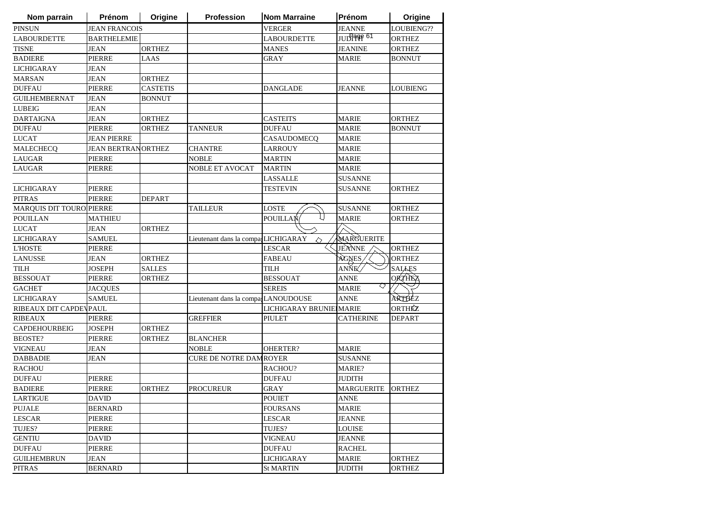| Nom parrain              | <b>Prénom</b>             | Origine         | Profession                           | <b>Nom Marraine</b>     | Prénom            | Origine         |
|--------------------------|---------------------------|-----------------|--------------------------------------|-------------------------|-------------------|-----------------|
| <b>PINSUN</b>            | <b>JEAN FRANCOIS</b>      |                 |                                      | <b>VERGER</b>           | <b>JEANNE</b>     | LOUBIENG??      |
| <b>LABOURDETTE</b>       | <b>BARTHELEMIE</b>        |                 |                                      | <b>LABOURDETTE</b>      | JUD1996 61        | <b>ORTHEZ</b>   |
| <b>TISNE</b>             | <b>JEAN</b>               | <b>ORTHEZ</b>   |                                      | <b>MANES</b>            | <b>JEANINE</b>    | <b>ORTHEZ</b>   |
| <b>BADIERE</b>           | <b>PIERRE</b>             | LAAS            |                                      | <b>GRAY</b>             | <b>MARIE</b>      | <b>BONNUT</b>   |
| <b>LICHIGARAY</b>        | <b>JEAN</b>               |                 |                                      |                         |                   |                 |
| <b>MARSAN</b>            | <b>JEAN</b>               | <b>ORTHEZ</b>   |                                      |                         |                   |                 |
| <b>DUFFAU</b>            | <b>PIERRE</b>             | <b>CASTETIS</b> |                                      | <b>DANGLADE</b>         | <b>JEANNE</b>     | <b>LOUBIENG</b> |
| <b>GUILHEMBERNAT</b>     | <b>JEAN</b>               | <b>BONNUT</b>   |                                      |                         |                   |                 |
| <b>LUBEIG</b>            | <b>JEAN</b>               |                 |                                      |                         |                   |                 |
| <b>DARTAIGNA</b>         | <b>JEAN</b>               | <b>ORTHEZ</b>   |                                      | <b>CASTEITS</b>         | <b>MARIE</b>      | <b>ORTHEZ</b>   |
| <b>DUFFAU</b>            | <b>PIERRE</b>             | <b>ORTHEZ</b>   | <b>TANNEUR</b>                       | <b>DUFFAU</b>           | <b>MARIE</b>      | <b>BONNUT</b>   |
| <b>LUCAT</b>             | <b>JEAN PIERRE</b>        |                 |                                      | CASAUDOMECQ             | <b>MARIE</b>      |                 |
| <b>MALECHECQ</b>         | <b>JEAN BERTRANORTHEZ</b> |                 | <b>CHANTRE</b>                       | <b>LARROUY</b>          | <b>MARIE</b>      |                 |
| <b>LAUGAR</b>            | <b>PIERRE</b>             |                 | <b>NOBLE</b>                         | <b>MARTIN</b>           | <b>MARIE</b>      |                 |
| <b>LAUGAR</b>            | <b>PIERRE</b>             |                 | NOBLE ET AVOCAT                      | <b>MARTIN</b>           | <b>MARIE</b>      |                 |
|                          |                           |                 |                                      | <b>LASSALLE</b>         | <b>SUSANNE</b>    |                 |
| <b>LICHIGARAY</b>        | <b>PIERRE</b>             |                 |                                      | TESTEVIN                | <b>SUSANNE</b>    | <b>ORTHEZ</b>   |
| <b>PITRAS</b>            | <b>PIERRE</b>             | <b>DEPART</b>   |                                      |                         |                   |                 |
| MARQUIS DIT TOURO PIERRE |                           |                 | <b>TAILLEUR</b>                      | <b>LOSTE</b>            | <b>SUSANNE</b>    | <b>ORTHEZ</b>   |
| <b>POUILLAN</b>          | <b>MATHIEU</b>            |                 |                                      | <b>POUILLAN</b>         | <b>MARIE</b>      | <b>ORTHEZ</b>   |
| <b>LUCAT</b>             | <b>JEAN</b>               | <b>ORTHEZ</b>   |                                      |                         |                   |                 |
| <b>LICHIGARAY</b>        | <b>SAMUEL</b>             |                 | Lieutenant dans la compa, LICHIGARAY |                         | MARGUERITE        |                 |
| <b>L'HOSTE</b>           | <b>PIERRE</b>             |                 |                                      | <b>LESCAR</b>           | JEANNE            | <b>ORTHEZ</b>   |
| <b>LANUSSE</b>           | <b>JEAN</b>               | <b>ORTHEZ</b>   |                                      | <b>FABEAU</b>           | AGNES             | <b>ORTHEZ</b>   |
| <b>TILH</b>              | <b>JOSEPH</b>             | <b>SALLES</b>   |                                      | <b>TILH</b>             | ANŇE⊄             | <b>SALAES</b>   |
| <b>BESSOUAT</b>          | <b>PIERRE</b>             | <b>ORTHEZ</b>   |                                      | <b>BESSOUAT</b>         | <b>ANNE</b>       | <b>ORTHEZ</b>   |
| <b>GACHET</b>            | <b>JACQUES</b>            |                 |                                      | <b>SEREIS</b>           | ♡<br><b>MARIE</b> |                 |
| <b>LICHIGARAY</b>        | <b>SAMUEL</b>             |                 | Lieutenant dans la compa LANOUDOUSE  |                         | <b>ANNE</b>       | ARTHEZ          |
| RIBEAUX DIT CAPDEVPAUL   |                           |                 |                                      | LICHIGARAY BRUNIE MARIE |                   | ORTHÉZ          |
| <b>RIBEAUX</b>           | <b>PIERRE</b>             |                 | <b>GREFFIER</b>                      | PIULET                  | <b>CATHERINE</b>  | DEPART          |
| CAPDEHOURBEIG            | <b>JOSEPH</b>             | <b>ORTHEZ</b>   |                                      |                         |                   |                 |
| <b>BEOSTE?</b>           | PIERRE                    | <b>ORTHEZ</b>   | <b>BLANCHER</b>                      |                         |                   |                 |
| <b>VIGNEAU</b>           | <b>JEAN</b>               |                 | <b>NOBLE</b>                         | OHERTER?                | <b>MARIE</b>      |                 |
| <b>DABBADIE</b>          | JEAN                      |                 | <b>CURE DE NOTRE DAMROYER</b>        |                         | <b>SUSANNE</b>    |                 |
| <b>RACHOU</b>            |                           |                 |                                      | RACHOU?                 | MARIE?            |                 |
| <b>DUFFAU</b>            | <b>PIERRE</b>             |                 |                                      | <b>DUFFAU</b>           | <b>JUDITH</b>     |                 |
| <b>BADIERE</b>           | <b>PIERRE</b>             | <b>ORTHEZ</b>   | <b>PROCUREUR</b>                     | <b>GRAY</b>             | <b>MARGUERITE</b> | <b>ORTHEZ</b>   |
| <b>LARTIGUE</b>          | <b>DAVID</b>              |                 |                                      | <b>POUIET</b>           | <b>ANNE</b>       |                 |
| <b>PUJALE</b>            | <b>BERNARD</b>            |                 |                                      | <b>FOURSANS</b>         | <b>MARIE</b>      |                 |
| <b>LESCAR</b>            | <b>PIERRE</b>             |                 |                                      | <b>LESCAR</b>           | <b>JEANNE</b>     |                 |
| TUJES?                   | <b>PIERRE</b>             |                 |                                      | TUJES?                  | <b>LOUISE</b>     |                 |
| <b>GENTIU</b>            | <b>DAVID</b>              |                 |                                      | <b>VIGNEAU</b>          | <b>JEANNE</b>     |                 |
| <b>DUFFAU</b>            | PIERRE                    |                 |                                      | <b>DUFFAU</b>           | <b>RACHEL</b>     |                 |
| <b>GUILHEMBRUN</b>       | JEAN                      |                 |                                      | <b>LICHIGARAY</b>       | <b>MARIE</b>      | <b>ORTHEZ</b>   |
| <b>PITRAS</b>            | <b>BERNARD</b>            |                 |                                      | <b>St MARTIN</b>        | <b>JUDITH</b>     | <b>ORTHEZ</b>   |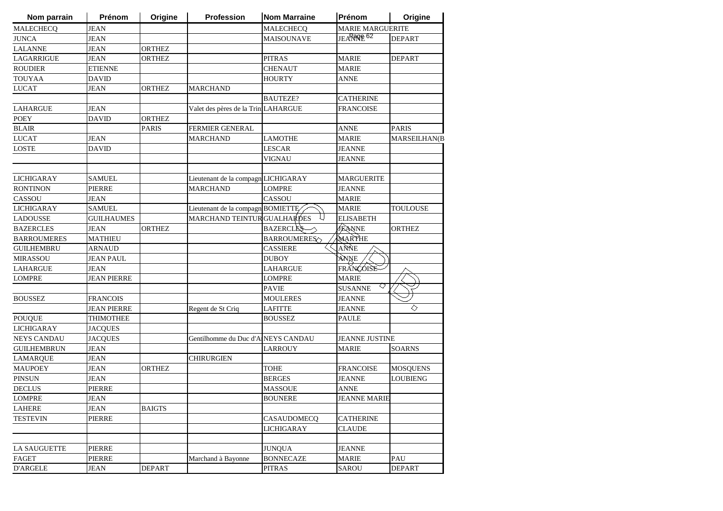| Nom parrain         | Prénom             | Origine       | <b>Profession</b>                   | <b>Nom Marraine</b> | Prénom                  | Origine             |
|---------------------|--------------------|---------------|-------------------------------------|---------------------|-------------------------|---------------------|
| <b>MALECHECQ</b>    | <b>JEAN</b>        |               |                                     | <b>MALECHECO</b>    | <b>MARIE MARGUERITE</b> |                     |
| <b>JUNCA</b>        | JEAN               |               |                                     | <b>MAISOUNAVE</b>   | JEARROPE <sup>62</sup>  | DEPART              |
| <b>LALANNE</b>      | JEAN               | <b>ORTHEZ</b> |                                     |                     |                         |                     |
| LAGARRIGUE          | JEAN               | ORTHEZ        |                                     | <b>PITRAS</b>       | <b>MARIE</b>            | <b>DEPART</b>       |
| <b>ROUDIER</b>      | <b>ETIENNE</b>     |               |                                     | <b>CHENAUT</b>      | <b>MARIE</b>            |                     |
| <b>TOUYAA</b>       | DAVID              |               |                                     | <b>HOURTY</b>       | ANNE                    |                     |
| <b>LUCAT</b>        | JEAN               | ORTHEZ        | MARCHAND                            |                     |                         |                     |
|                     |                    |               |                                     | <b>BAUTEZE?</b>     | <b>CATHERINE</b>        |                     |
| <b>LAHARGUE</b>     | JEAN               |               | Valet des pères de la TriniLAHARGUE |                     | <b>FRANCOISE</b>        |                     |
| POEY                | DAVID              | ORTHEZ        |                                     |                     |                         |                     |
| <b>BLAIR</b>        |                    | <b>PARIS</b>  | <b>FERMIER GENERAL</b>              |                     | ANNE                    | PARIS               |
| <b>LUCAT</b>        | JEAN               |               | <b>MARCHAND</b>                     | LAMOTHE             | <b>MARIE</b>            | <b>MARSEILHAN(B</b> |
| LOSTE               | DAVID              |               |                                     | LESCAR              | JEANNE                  |                     |
|                     |                    |               |                                     | <b>VIGNAU</b>       | <b>JEANNE</b>           |                     |
|                     |                    |               |                                     |                     |                         |                     |
| <b>LICHIGARAY</b>   | <b>SAMUEL</b>      |               | Lieutenant de la compagn LICHIGARAY |                     | <b>MARGUERITE</b>       |                     |
| <b>RONTINON</b>     | PIERRE             |               | <b>MARCHAND</b>                     | <b>LOMPRE</b>       | <b>JEANNE</b>           |                     |
| CASSOU              | JEAN               |               |                                     | <b>CASSOU</b>       | <b>MARIE</b>            |                     |
| <b>LICHIGARAY</b>   | <b>SAMUEL</b>      |               | Lieutenant de la compagn BOMIETTE   |                     | <b>MARIE</b>            | TOULOUSE            |
| <b>LADOUSSE</b>     | <b>GUILHAUMES</b>  |               | <b>MARCHAND TEINTUR GUALHARDES</b>  |                     | <b>ELISABETH</b>        |                     |
| <b>BAZERCLES</b>    | JEAN               | <b>ORTHEZ</b> |                                     | <b>BAZERCLES</b>    | <b>JEANNE</b>           | <b>ORTHEZ</b>       |
| <b>BARROUMERES</b>  | MATHIEU            |               |                                     | <b>BARROUMERES</b>  | MARTHE                  |                     |
| <b>GUILHEMBRU</b>   | ARNAUD             |               |                                     | <b>CASSIERE</b>     | ANNE                    |                     |
| <b>MIRASSOU</b>     | JEAN PAUL          |               |                                     | DUBOY               | ANNE                    |                     |
| <b>LAHARGUE</b>     | JEAN               |               |                                     | LAHARGUE            | FRANCOISE               |                     |
| <b>LOMPRE</b>       | <b>JEAN PIERRE</b> |               |                                     | LOMPRE              | <b>MARIE</b>            |                     |
|                     |                    |               |                                     | PAVIE               | ♡<br><b>SUSANNE</b>     |                     |
| <b>BOUSSEZ</b>      | <b>FRANCOIS</b>    |               |                                     | <b>MOULERES</b>     | JEANNE                  |                     |
|                     | JEAN PIERRE        |               | Regent de St Criq                   | LAFITTE             | JEANNE                  | ◇                   |
| <b>POUQUE</b>       | THIMOTHEE          |               |                                     | <b>BOUSSEZ</b>      | <b>PAULE</b>            |                     |
| <b>LICHIGARAY</b>   | <b>JACQUES</b>     |               |                                     |                     |                         |                     |
| <b>NEYS CANDAU</b>  | <b>JACQUES</b>     |               | Gentilhomme du Duc d'AINEYS CANDAU  |                     | <b>JEANNE JUSTINE</b>   |                     |
| <b>GUILHEMBRUN</b>  | <b>JEAN</b>        |               |                                     | LARROUY             | <b>MARIE</b>            | SOARNS              |
| <b>LAMARQUE</b>     | JEAN               |               | <b>CHIRURGIEN</b>                   |                     |                         |                     |
| <b>MAUPOEY</b>      | JEAN               | <b>ORTHEZ</b> |                                     | <b>TOHE</b>         | <b>FRANCOISE</b>        | <b>MOSQUENS</b>     |
| <b>PINSUN</b>       | JEAN               |               |                                     | <b>BERGES</b>       | <b>JEANNE</b>           | <b>LOUBIENG</b>     |
| <b>DECLUS</b>       | PIERRE             |               |                                     | <b>MASSOUE</b>      | <b>ANNE</b>             |                     |
| <b>LOMPRE</b>       | <b>JEAN</b>        |               |                                     | <b>BOUNERE</b>      | <b>JEANNE MARIE</b>     |                     |
| LAHERE              | <b>JEAN</b>        | <b>BAIGTS</b> |                                     |                     |                         |                     |
| <b>TESTEVIN</b>     | PIERRE             |               |                                     | <b>CASAUDOMECO</b>  | <b>CATHERINE</b>        |                     |
|                     |                    |               |                                     | <b>LICHIGARAY</b>   | CLAUDE                  |                     |
|                     |                    |               |                                     |                     |                         |                     |
| <b>LA SAUGUETTE</b> | <b>PIERRE</b>      |               |                                     | <b>JUNQUA</b>       | <b>JEANNE</b>           |                     |
| FAGET               | PIERRE             |               | Marchand à Bayonne                  | <b>BONNECAZE</b>    | <b>MARIE</b>            | PAU                 |
| <b>D'ARGELE</b>     | JEAN               | <b>DEPART</b> |                                     | <b>PITRAS</b>       | SAROU                   | <b>DEPART</b>       |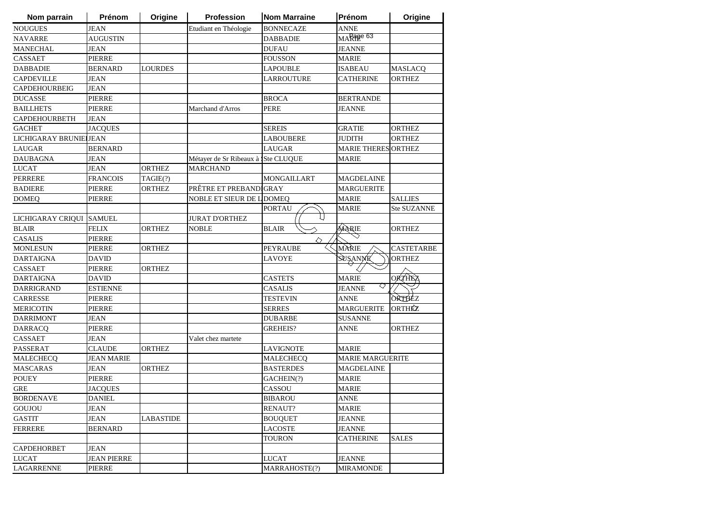| Nom parrain            | Prénom             | Origine          | <b>Profession</b>                  | <b>Nom Marraine</b> | Prénom                     | Origine            |
|------------------------|--------------------|------------------|------------------------------------|---------------------|----------------------------|--------------------|
| <b>NOUGUES</b>         | <b>JEAN</b>        |                  | Etudiant en Théologie              | <b>BONNECAZE</b>    | <b>ANNE</b>                |                    |
| <b>NAVARRE</b>         | <b>AUGUSTIN</b>    |                  |                                    | <b>DABBADIE</b>     | MARage 63                  |                    |
| <b>MANECHAL</b>        | JEAN               |                  |                                    | <b>DUFAU</b>        | <b>JEANNE</b>              |                    |
| <b>CASSAET</b>         | <b>PIERRE</b>      |                  |                                    | <b>FOUSSON</b>      | <b>MARIE</b>               |                    |
| <b>DABBADIE</b>        | <b>BERNARD</b>     | <b>LOURDES</b>   |                                    | <b>LAPOUBLE</b>     | <b>ISABEAU</b>             | <b>MASLACQ</b>     |
| <b>CAPDEVILLE</b>      | JEAN               |                  |                                    | <b>LARROUTURE</b>   | <b>CATHERINE</b>           | <b>ORTHEZ</b>      |
| <b>CAPDEHOURBEIG</b>   | JEAN               |                  |                                    |                     |                            |                    |
| <b>DUCASSE</b>         | <b>PIERRE</b>      |                  |                                    | <b>BROCA</b>        | <b>BERTRANDE</b>           |                    |
| <b>BAILLHETS</b>       | <b>PIERRE</b>      |                  | Marchand d'Arros                   | <b>PERE</b>         | <b>JEANNE</b>              |                    |
| CAPDEHOURBETH          | <b>JEAN</b>        |                  |                                    |                     |                            |                    |
| <b>GACHET</b>          | <b>JACQUES</b>     |                  |                                    | <b>SEREIS</b>       | <b>GRATIE</b>              | <b>ORTHEZ</b>      |
| LICHIGARAY BRUNIE JEAN |                    |                  |                                    | <b>LABOUBERE</b>    | <b>JUDITH</b>              | <b>ORTHEZ</b>      |
| <b>LAUGAR</b>          | <b>BERNARD</b>     |                  |                                    | <b>LAUGAR</b>       | <b>MARIE THERES ORTHEZ</b> |                    |
| <b>DAUBAGNA</b>        | JEAN               |                  | Métayer de Sr Ribeaux à Ste CLUQUE |                     | <b>MARIE</b>               |                    |
| <b>LUCAT</b>           | JEAN               | <b>ORTHEZ</b>    | MARCHAND                           |                     |                            |                    |
| <b>PERRERE</b>         | <b>FRANCOIS</b>    | TAGIE(?)         |                                    | <b>MONGAILLART</b>  | <b>MAGDELAINE</b>          |                    |
| <b>BADIERE</b>         | <b>PIERRE</b>      | <b>ORTHEZ</b>    | PRÊTRE ET PREBANDIGRAY             |                     | <b>MARGUERITE</b>          |                    |
| <b>DOMEQ</b>           | PIERRE             |                  | NOBLE ET SIEUR DE L DOMEQ          |                     | <b>MARIE</b>               | <b>SALLIES</b>     |
|                        |                    |                  |                                    | <b>PORTAU</b>       | <b>MARIE</b>               | <b>Ste SUZANNE</b> |
| LICHIGARAY CRIQUI      | <b>SAMUEL</b>      |                  | <b>JURAT D'ORTHEZ</b>              |                     |                            |                    |
| <b>BLAIR</b>           | <b>FELIX</b>       | <b>ORTHEZ</b>    | <b>NOBLE</b>                       | <b>BLAIR</b>        | MARIE                      | <b>ORTHEZ</b>      |
| <b>CASALIS</b>         | <b>PIERRE</b>      |                  |                                    | ◇                   |                            |                    |
| <b>MONLESUN</b>        | PIERRE             | <b>ORTHEZ</b>    |                                    | <b>PEYRAUBE</b>     | MARIE                      | <b>CASTETARBE</b>  |
| <b>DARTAIGNA</b>       | <b>DAVID</b>       |                  |                                    | <b>LAVOYE</b>       | SUSANNE                    | <b>ORTHEZ</b>      |
| CASSAET                | <b>PIERRE</b>      | <b>ORTHEZ</b>    |                                    |                     |                            |                    |
| <b>DARTAIGNA</b>       | <b>DAVID</b>       |                  |                                    | <b>CASTETS</b>      | <b>MARIE</b>               | <b>ORTHEZ</b>      |
| <b>DARRIGRAND</b>      | <b>ESTIENNE</b>    |                  |                                    | <b>CASALIS</b>      | ♡<br><b>JEANNE</b>         |                    |
| CARRESSE               | <b>PIERRE</b>      |                  |                                    | <b>TESTEVIN</b>     | <b>ANNE</b>                | ORTHEZ             |
| <b>MERICOTIN</b>       | PIERRE             |                  |                                    | <b>SERRES</b>       | <b>MARGUERITE</b>          | <b>ORTHÉZ</b>      |
| <b>DARRIMONT</b>       | <b>JEAN</b>        |                  |                                    | <b>DUBARBE</b>      | <b>SUSANNE</b>             |                    |
| <b>DARRACQ</b>         | <b>PIERRE</b>      |                  |                                    | <b>GREHEIS?</b>     | ANNE                       | <b>ORTHEZ</b>      |
| <b>CASSAET</b>         | JEAN               |                  | Valet chez martete                 |                     |                            |                    |
| PASSERAT               | <b>CLAUDE</b>      | <b>ORTHEZ</b>    |                                    | <b>LAVIGNOTE</b>    | <b>MARIE</b>               |                    |
| <b>MALECHECQ</b>       | <b>JEAN MARIE</b>  |                  |                                    | <b>MALECHECQ</b>    | <b>MARIE MARGUERITE</b>    |                    |
| <b>MASCARAS</b>        | JEAN               | <b>ORTHEZ</b>    |                                    | <b>BASTERDES</b>    | <b>MAGDELAINE</b>          |                    |
| <b>POUEY</b>           | <b>PIERRE</b>      |                  |                                    | GACHEIN(?)          | <b>MARIE</b>               |                    |
| <b>GRE</b>             | <b>JACQUES</b>     |                  |                                    | CASSOU              | <b>MARIE</b>               |                    |
| <b>BORDENAVE</b>       | <b>DANIEL</b>      |                  |                                    | <b>BIBAROU</b>      | <b>ANNE</b>                |                    |
| GOUJOU                 | JEAN               |                  |                                    | <b>RENAUT?</b>      | <b>MARIE</b>               |                    |
| <b>GASTIT</b>          | <b>JEAN</b>        | <b>LABASTIDE</b> |                                    | <b>BOUQUET</b>      | <b>JEANNE</b>              |                    |
| <b>FERRERE</b>         | <b>BERNARD</b>     |                  |                                    | <b>LACOSTE</b>      | <b>JEANNE</b>              |                    |
|                        |                    |                  |                                    | <b>TOURON</b>       | <b>CATHERINE</b>           | <b>SALES</b>       |
| <b>CAPDEHORBET</b>     | JEAN               |                  |                                    |                     |                            |                    |
| <b>LUCAT</b>           | <b>JEAN PIERRE</b> |                  |                                    | <b>LUCAT</b>        | JEANNE                     |                    |
| LAGARRENNE             | PIERRE             |                  |                                    | MARRAHOSTE(?)       | <b>MIRAMONDE</b>           |                    |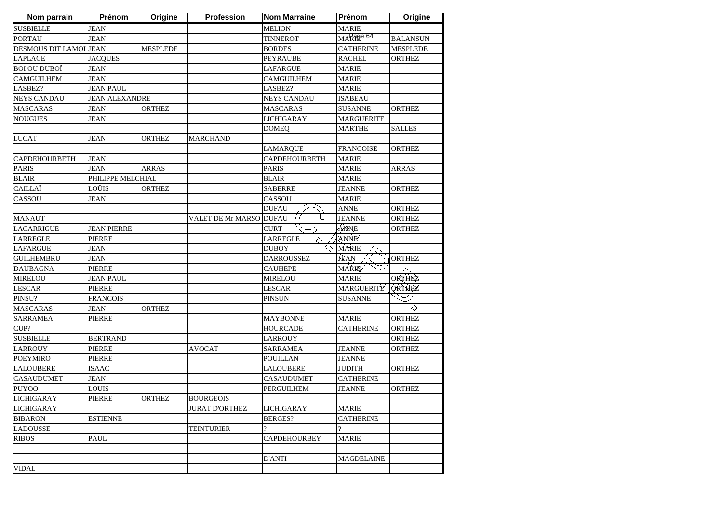| Nom parrain            | Prénom                | Origine         | Profession            | <b>Nom Marraine</b> | Prénom            | Origine         |
|------------------------|-----------------------|-----------------|-----------------------|---------------------|-------------------|-----------------|
| <b>SUSBIELLE</b>       | <b>JEAN</b>           |                 |                       | <b>MELION</b>       | MARIE             |                 |
| <b>PORTAU</b>          | <b>JEAN</b>           |                 |                       | <b>TINNEROT</b>     | MARage 64         | <b>BALANSUN</b> |
| DESMOUS DIT LAMOL JEAN |                       | <b>MESPLEDE</b> |                       | <b>BORDES</b>       | <b>CATHERINE</b>  | <b>MESPLEDE</b> |
| <b>LAPLACE</b>         | <b>JACQUES</b>        |                 |                       | PEYRAUBE            | <b>RACHEL</b>     | <b>ORTHEZ</b>   |
| <b>BOI OU DUBOÏ</b>    | <b>JEAN</b>           |                 |                       | LAFARGUE            | <b>MARIE</b>      |                 |
| <b>CAMGUILHEM</b>      | <b>JEAN</b>           |                 |                       | CAMGUILHEM          | <b>MARIE</b>      |                 |
| LASBEZ?                | <b>JEAN PAUL</b>      |                 |                       | LASBEZ?             | <b>MARIE</b>      |                 |
| <b>NEYS CANDAU</b>     | <b>JEAN ALEXANDRE</b> |                 |                       | <b>NEYS CANDAU</b>  | <b>ISABEAU</b>    |                 |
| <b>MASCARAS</b>        | <b>JEAN</b>           | <b>ORTHEZ</b>   |                       | <b>MASCARAS</b>     | <b>SUSANNE</b>    | <b>ORTHEZ</b>   |
| <b>NOUGUES</b>         | <b>JEAN</b>           |                 |                       | <b>LICHIGARAY</b>   | <b>MARGUERITE</b> |                 |
|                        |                       |                 |                       | <b>DOMEQ</b>        | <b>MARTHE</b>     | <b>SALLES</b>   |
| <b>LUCAT</b>           | <b>JEAN</b>           | <b>ORTHEZ</b>   | <b>MARCHAND</b>       |                     |                   |                 |
|                        |                       |                 |                       | <b>LAMARQUE</b>     | <b>FRANCOISE</b>  | <b>ORTHEZ</b>   |
| CAPDEHOURBETH          | <b>JEAN</b>           |                 |                       | CAPDEHOURBETH       | <b>MARIE</b>      |                 |
| <b>PARIS</b>           | <b>JEAN</b>           | <b>ARRAS</b>    |                       | <b>PARIS</b>        | <b>MARIE</b>      | ARRAS           |
| <b>BLAIR</b>           | PHILIPPE MELCHIAL     |                 |                       | BLAIR               | <b>MARIE</b>      |                 |
| CAILLAÏ                | LOÜIS                 | <b>ORTHEZ</b>   |                       | <b>SABERRE</b>      | <b>JEANNE</b>     | <b>ORTHEZ</b>   |
| CASSOU                 | <b>JEAN</b>           |                 |                       | CASSOU              | <b>MARIE</b>      |                 |
|                        |                       |                 |                       | <b>DUFAU</b>        | ANNE              | <b>ORTHEZ</b>   |
| <b>MANAUT</b>          |                       |                 | VALET DE Mr MARSO     | <b>DUFAU</b>        | <b>JEANNE</b>     | <b>ORTHEZ</b>   |
| LAGARRIGUE             | <b>JEAN PIERRE</b>    |                 |                       | <b>CURT</b>         | ÁÑNE              | <b>ORTHEZ</b>   |
| <b>LARREGLE</b>        | <b>PIERRE</b>         |                 |                       | <b>LARREGLE</b>     | ANNE              |                 |
| <b>LAFARGUE</b>        | <b>JEAN</b>           |                 |                       | <b>DUBOY</b>        | MÀRIE             |                 |
| <b>GUILHEMBRU</b>      | JEAN                  |                 |                       | <b>DARROUSSEZ</b>   | JÈAN              | <b>ORTHEZ</b>   |
| <b>DAUBAGNA</b>        | <b>PIERRE</b>         |                 |                       | <b>CAUHEPE</b>      | <b>MAŘIÉ</b>      |                 |
| <b>MIRELOU</b>         | <b>JEAN PAUL</b>      |                 |                       | <b>MIRELOU</b>      | <b>MARIE</b>      | <b>ORTHEZ</b>   |
| <b>LESCAR</b>          | <b>PIERRE</b>         |                 |                       | <b>LESCAR</b>       | MARGUERITE        | QRTHEZ          |
| PINSU?                 | <b>FRANCOIS</b>       |                 |                       | PINSUN              | <b>SUSANNE</b>    |                 |
| <b>MASCARAS</b>        | <b>JEAN</b>           | <b>ORTHEZ</b>   |                       |                     |                   | ◇               |
| <b>SARRAMEA</b>        | <b>PIERRE</b>         |                 |                       | MAYBONNE            | <b>MARIE</b>      | <b>ORTHEZ</b>   |
| CUP?                   |                       |                 |                       | <b>HOURCADE</b>     | <b>CATHERINE</b>  | <b>ORTHEZ</b>   |
| <b>SUSBIELLE</b>       | <b>BERTRAND</b>       |                 |                       | <b>LARROUY</b>      |                   | ORTHEZ          |
| <b>LARROUY</b>         | PIERRE                |                 | <b>AVOCAT</b>         | SARRAMEA            | <b>JEANNE</b>     | ORTHEZ          |
| <b>POEYMIRO</b>        | <b>PIERRE</b>         |                 |                       | POUILLAN            | <b>JEANNE</b>     |                 |
| <b>LALOUBERE</b>       | <b>ISAAC</b>          |                 |                       | LALOUBERE           | JUDITH            | <b>ORTHEZ</b>   |
| <b>CASAUDUMET</b>      | <b>JEAN</b>           |                 |                       | <b>CASAUDUMET</b>   | <b>CATHERINE</b>  |                 |
| <b>PUYOO</b>           | <b>LOUIS</b>          |                 |                       | PERGUILHEM          | JEANNE            | <b>ORTHEZ</b>   |
| LICHIGARAY             | PIERRE                | <b>ORTHEZ</b>   | <b>BOURGEOIS</b>      |                     |                   |                 |
| <b>LICHIGARAY</b>      |                       |                 | <b>JURAT D'ORTHEZ</b> | <b>LICHIGARAY</b>   | <b>MARIE</b>      |                 |
| <b>BIBARON</b>         | <b>ESTIENNE</b>       |                 |                       | <b>BERGES?</b>      | <b>CATHERINE</b>  |                 |
| <b>LADOUSSE</b>        |                       |                 | <b>TEINTURIER</b>     | 2                   | 2                 |                 |
| <b>RIBOS</b>           | PAUL                  |                 |                       | <b>CAPDEHOURBEY</b> | <b>MARIE</b>      |                 |
|                        |                       |                 |                       |                     |                   |                 |
|                        |                       |                 |                       | D'ANTI              | <b>MAGDELAINE</b> |                 |
| <b>VIDAL</b>           |                       |                 |                       |                     |                   |                 |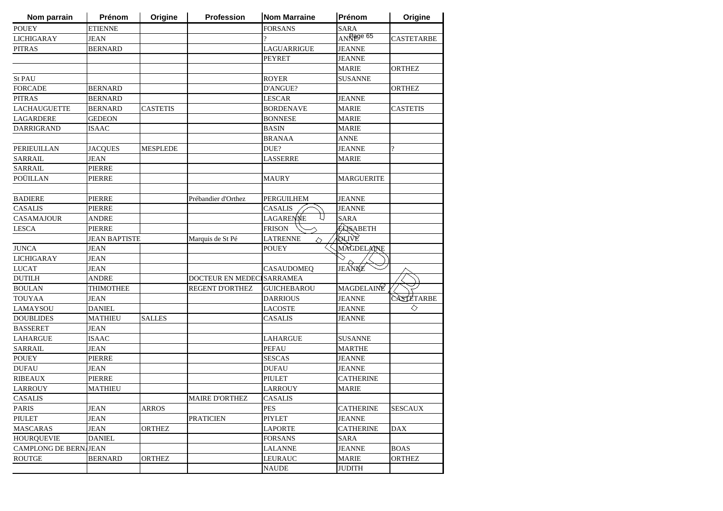| Nom parrain             | Prénom               | Origine         | Profession                | <b>Nom Marraine</b>  | Prénom            | Origine           |
|-------------------------|----------------------|-----------------|---------------------------|----------------------|-------------------|-------------------|
| <b>POUEY</b>            | <b>ETIENNE</b>       |                 |                           | <b>FORSANS</b>       | <b>SARA</b>       |                   |
| <b>LICHIGARAY</b>       | <b>JEAN</b>          |                 |                           |                      | $ANR$ age 65      | <b>CASTETARBE</b> |
| <b>PITRAS</b>           | <b>BERNARD</b>       |                 |                           | LAGUARRIGUE          | <b>JEANNE</b>     |                   |
|                         |                      |                 |                           | <b>PEYRET</b>        | <b>JEANNE</b>     |                   |
|                         |                      |                 |                           |                      | <b>MARIE</b>      | <b>ORTHEZ</b>     |
| <b>St PAU</b>           |                      |                 |                           | <b>ROYER</b>         | <b>SUSANNE</b>    |                   |
| <b>FORCADE</b>          | <b>BERNARD</b>       |                 |                           | D'ANGUE?             |                   | <b>ORTHEZ</b>     |
| <b>PITRAS</b>           | <b>BERNARD</b>       |                 |                           | <b>LESCAR</b>        | <b>JEANNE</b>     |                   |
| <b>LACHAUGUETTE</b>     | <b>BERNARD</b>       | <b>CASTETIS</b> |                           | <b>BORDENAVE</b>     | <b>MARIE</b>      | <b>CASTETIS</b>   |
| <b>LAGARDERE</b>        | <b>GEDEON</b>        |                 |                           | <b>BONNESE</b>       | <b>MARIE</b>      |                   |
| DARRIGRAND              | <b>ISAAC</b>         |                 |                           | <b>BASIN</b>         | <b>MARIE</b>      |                   |
|                         |                      |                 |                           | <b>BRANAA</b>        | <b>ANNE</b>       |                   |
| PERIEUILLAN             | <b>JACQUES</b>       | MESPLEDE        |                           | DUE?                 | JEANNE            | $\overline{?}$    |
| <b>SARRAIL</b>          | <b>JEAN</b>          |                 |                           | <b>LASSERRE</b>      | <b>MARIE</b>      |                   |
| SARRAIL                 | <b>PIERRE</b>        |                 |                           |                      |                   |                   |
| <b>POÜILLAN</b>         | PIERRE               |                 |                           | <b>MAURY</b>         | <b>MARGUERITE</b> |                   |
|                         |                      |                 |                           |                      |                   |                   |
| <b>BADIERE</b>          | <b>PIERRE</b>        |                 | Prébandier d'Orthez       | <b>PERGUILHEM</b>    | JEANNE            |                   |
| <b>CASALIS</b>          | <b>PIERRE</b>        |                 |                           | <b>CASALIS</b>       | <b>JEANNE</b>     |                   |
| <b>CASAMAJOUR</b>       | ANDRE                |                 |                           | LAGARENNE            | <b>SARA</b>       |                   |
| <b>LESCA</b>            | <b>PIERRE</b>        |                 |                           | <b>FRISON</b>        | ÉÀSABETH          |                   |
|                         | <b>JEAN BAPTISTE</b> |                 | Marquis de St Pé          | <b>LATRENNE</b><br>◇ | <b>OLIVE</b>      |                   |
| <b>JUNCA</b>            | <b>JEAN</b>          |                 |                           | <b>POUEY</b>         | MAGDELAINE        |                   |
| <b>LICHIGARAY</b>       | <b>JEAN</b>          |                 |                           |                      |                   |                   |
| <b>LUCAT</b>            | <b>JEAN</b>          |                 |                           | <b>CASAUDOMEQ</b>    | JEANNE            |                   |
| <b>DUTILH</b>           | <b>ANDRE</b>         |                 | DOCTEUR EN MEDECISARRAMEA |                      |                   |                   |
| <b>BOULAN</b>           | THIMOTHEE            |                 | <b>REGENT D'ORTHEZ</b>    | <b>GUICHEBAROU</b>   | MAGDELAINE        |                   |
| <b>TOUYAA</b>           | <b>JEAN</b>          |                 |                           | <b>DARRIOUS</b>      | <b>JEANNE</b>     | CASTETARBE        |
| <b>LAMAYSOU</b>         | <b>DANIEL</b>        |                 |                           | <b>LACOSTE</b>       | <b>JEANNE</b>     | ◇                 |
| <b>DOUBLIDES</b>        | <b>MATHIEU</b>       | <b>SALLES</b>   |                           | CASALIS              | JEANNE            |                   |
| <b>BASSERET</b>         | <b>JEAN</b>          |                 |                           |                      |                   |                   |
| <b>LAHARGUE</b>         | <b>ISAAC</b>         |                 |                           | <b>LAHARGUE</b>      | <b>SUSANNE</b>    |                   |
| SARRAIL                 | JEAN                 |                 |                           | <b>PEFAU</b>         | <b>MARTHE</b>     |                   |
| <b>POUEY</b>            | <b>PIERRE</b>        |                 |                           | <b>SESCAS</b>        | <b>JEANNE</b>     |                   |
| <b>DUFAU</b>            | <b>JEAN</b>          |                 |                           | <b>DUFAU</b>         | JEANNE            |                   |
| <b>RIBEAUX</b>          | <b>PIERRE</b>        |                 |                           | <b>PIULET</b>        | <b>CATHERINE</b>  |                   |
| <b>LARROUY</b>          | <b>MATHIEU</b>       |                 |                           | <b>LARROUY</b>       | <b>MARIE</b>      |                   |
| <b>CASALIS</b>          |                      |                 | <b>MAIRE D'ORTHEZ</b>     | <b>CASALIS</b>       |                   |                   |
| PARIS                   | <b>JEAN</b>          | <b>ARROS</b>    |                           | PES                  | <b>CATHERINE</b>  | <b>SESCAUX</b>    |
| PIULET                  | JEAN                 |                 | <b>PRATICIEN</b>          | PIYLET               | JEANNE            |                   |
| <b>MASCARAS</b>         | JEAN                 | <b>ORTHEZ</b>   |                           | <b>LAPORTE</b>       | <b>CATHERINE</b>  | DAX               |
| <b>HOURQUEVIE</b>       | <b>DANIEL</b>        |                 |                           | <b>FORSANS</b>       | SARA              |                   |
| <b>CAMPLONG DE BERN</b> | <b>JEAN</b>          |                 |                           | <b>LALANNE</b>       | <b>JEANNE</b>     | <b>BOAS</b>       |
| <b>ROUTGE</b>           | <b>BERNARD</b>       | <b>ORTHEZ</b>   |                           | <b>LEURAUC</b>       | <b>MARIE</b>      | <b>ORTHEZ</b>     |
|                         |                      |                 |                           | <b>NAUDE</b>         | JUDITH            |                   |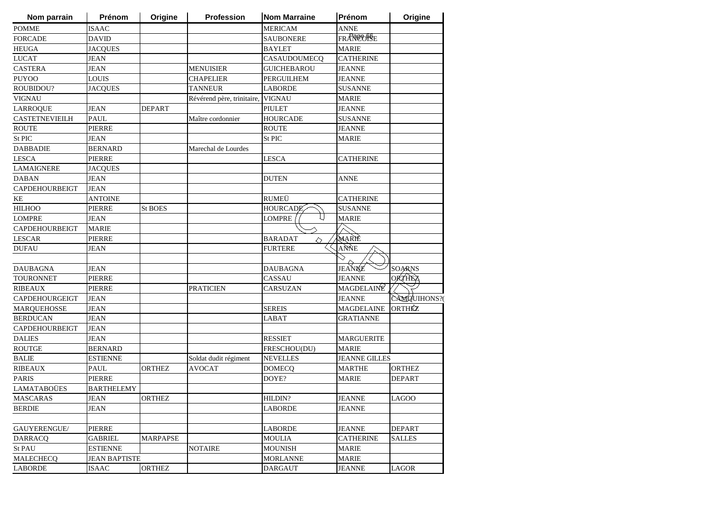| Nom parrain           | <b>Prénom</b>        | Origine         | <b>Profession</b>                 | <b>Nom Marraine</b> | Prénom               | Origine       |
|-----------------------|----------------------|-----------------|-----------------------------------|---------------------|----------------------|---------------|
| <b>POMME</b>          | <b>ISAAC</b>         |                 |                                   | <b>MERICAM</b>      | <b>ANNE</b>          |               |
| <b>FORCADE</b>        | <b>DAVID</b>         |                 |                                   | <b>SAUBONERE</b>    | FRAREOFSE            |               |
| <b>HEUGA</b>          | <b>JACQUES</b>       |                 |                                   | BAYLET              | <b>MARIE</b>         |               |
| <b>LUCAT</b>          | <b>JEAN</b>          |                 |                                   | CASAUDOUMECQ        | <b>CATHERINE</b>     |               |
| <b>CASTERA</b>        | <b>JEAN</b>          |                 | <b>MENUISIER</b>                  | <b>GUICHEBAROU</b>  | <b>JEANNE</b>        |               |
| <b>PUYOO</b>          | <b>LOUIS</b>         |                 | <b>CHAPELIER</b>                  | PERGUILHEM          | <b>JEANNE</b>        |               |
| ROUBIDOU?             | <b>JACQUES</b>       |                 | <b>TANNEUR</b>                    | <b>LABORDE</b>      | <b>SUSANNE</b>       |               |
| <b>VIGNAU</b>         |                      |                 | Révérend père, trinitaire, VIGNAU |                     | <b>MARIE</b>         |               |
| <b>LARROQUE</b>       | <b>JEAN</b>          | <b>DEPART</b>   |                                   | <b>PIULET</b>       | <b>JEANNE</b>        |               |
| <b>CASTETNEVIEILH</b> | <b>PAUL</b>          |                 | Maître cordonnier                 | <b>HOURCADE</b>     | <b>SUSANNE</b>       |               |
| <b>ROUTE</b>          | PIERRE               |                 |                                   | <b>ROUTE</b>        | <b>JEANNE</b>        |               |
| St PIC                | <b>JEAN</b>          |                 |                                   | St PIC              | <b>MARIE</b>         |               |
| <b>DABBADIE</b>       | <b>BERNARD</b>       |                 | Marechal de Lourdes               |                     |                      |               |
| <b>LESCA</b>          | <b>PIERRE</b>        |                 |                                   | LESCA               | CATHERINE            |               |
| <b>LAMAIGNERE</b>     | JACQUES              |                 |                                   |                     |                      |               |
| <b>DABAN</b>          | <b>JEAN</b>          |                 |                                   | <b>DUTEN</b>        | ANNE                 |               |
| CAPDEHOURBEIGT        | <b>JEAN</b>          |                 |                                   |                     |                      |               |
| KE                    | ANTOINE              |                 |                                   | <b>RUMEÜ</b>        | <b>CATHERINE</b>     |               |
| <b>HILHOO</b>         | <b>PIERRE</b>        | <b>St BOES</b>  |                                   | <b>HOURCADE</b>     | <b>SUSANNE</b>       |               |
| <b>LOMPRE</b>         | <b>JEAN</b>          |                 |                                   | <b>LOMPRE</b>       | <b>MARIE</b>         |               |
| <b>CAPDEHOURBEIGT</b> | <b>MARIE</b>         |                 |                                   |                     |                      |               |
| <b>LESCAR</b>         | <b>PIERRE</b>        |                 |                                   | <b>BARADAT</b><br>◇ | MARIE                |               |
| <b>DUFAU</b>          | <b>JEAN</b>          |                 |                                   | <b>FURTERE</b>      | ANNE                 |               |
|                       |                      |                 |                                   |                     |                      |               |
| <b>DAUBAGNA</b>       | <b>JEAN</b>          |                 |                                   | <b>DAUBAGNA</b>     | JEANNE               | <b>SOARNS</b> |
| <b>TOURONNET</b>      | <b>PIERRE</b>        |                 |                                   | CASSAU              | <b>JEANNE</b>        | <b>ORTHEZ</b> |
| <b>RIBEAUX</b>        | <b>PIERRE</b>        |                 | <b>PRATICIEN</b>                  | CARSUZAN            | MAGDELAINE           |               |
| CAPDEHOURGEIGT        | JEAN                 |                 |                                   |                     | <b>JEANNE</b>        | CAMQUIHONS?   |
| <b>MARQUEHOSSE</b>    | <b>JEAN</b>          |                 |                                   | <b>SEREIS</b>       | <b>MAGDELAINE</b>    | <b>ORTHÉZ</b> |
| <b>BERDUCAN</b>       | <b>JEAN</b>          |                 |                                   | LABAT               | GRATIANNE            |               |
| CAPDEHOURBEIGT        | JEAN                 |                 |                                   |                     |                      |               |
| <b>DALIES</b>         | JEAN                 |                 |                                   | <b>RESSIET</b>      | <b>MARGUERITE</b>    |               |
| <b>ROUTGE</b>         | <b>BERNARD</b>       |                 |                                   | FRESCHOU(DU)        | <b>MARIE</b>         |               |
| <b>BALIE</b>          | <b>ESTIENNE</b>      |                 | Soldat dudit régiment             | NEVELLES            | <b>JEANNE GILLES</b> |               |
| <b>RIBEAUX</b>        | PAUL                 | <b>ORTHEZ</b>   | AVOCAT                            | <b>DOMECQ</b>       | <b>MARTHE</b>        | <b>ORTHEZ</b> |
| <b>PARIS</b>          | <b>PIERRE</b>        |                 |                                   | DOYE?               | <b>MARIE</b>         | <b>DEPART</b> |
| <b>LAMATABOÜES</b>    | <b>BARTHELEMY</b>    |                 |                                   |                     |                      |               |
| <b>MASCARAS</b>       | JEAN                 | <b>ORTHEZ</b>   |                                   | HILDIN?             | <b>JEANNE</b>        | <b>LAGOO</b>  |
| <b>BERDIE</b>         | <b>JEAN</b>          |                 |                                   | LABORDE             | <b>JEANNE</b>        |               |
|                       |                      |                 |                                   |                     |                      |               |
|                       | <b>PIERRE</b>        |                 |                                   |                     |                      |               |
| GAUYERENGUE/          |                      |                 |                                   | LABORDE             | <b>JEANNE</b>        | <b>DEPART</b> |
| <b>DARRACQ</b>        | <b>GABRIEL</b>       | <b>MARPAPSE</b> |                                   | <b>MOULIA</b>       | <b>CATHERINE</b>     | <b>SALLES</b> |
| St PAU                | <b>ESTIENNE</b>      |                 | <b>NOTAIRE</b>                    | <b>MOUNISH</b>      | <b>MARIE</b>         |               |
| <b>MALECHECQ</b>      | <b>JEAN BAPTISTE</b> |                 |                                   | <b>MORLANNE</b>     | <b>MARIE</b>         |               |
| <b>LABORDE</b>        | <b>ISAAC</b>         | <b>ORTHEZ</b>   |                                   | <b>DARGAUT</b>      | <b>JEANNE</b>        | <b>LAGOR</b>  |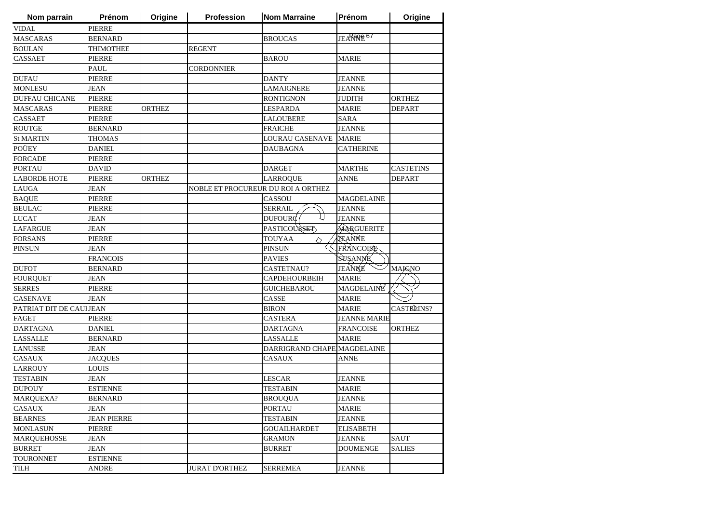| Nom parrain             | Prénom             | Origine       | <b>Profession</b>     | <b>Nom Marraine</b>                | Prénom              | Origine          |
|-------------------------|--------------------|---------------|-----------------------|------------------------------------|---------------------|------------------|
| <b>VIDAL</b>            | <b>PIERRE</b>      |               |                       |                                    |                     |                  |
| <b>MASCARAS</b>         | <b>BERNARD</b>     |               |                       | <b>BROUCAS</b>                     | JEARROR 67          |                  |
| <b>BOULAN</b>           | <b>THIMOTHEE</b>   |               | <b>REGENT</b>         |                                    |                     |                  |
| CASSAET                 | <b>PIERRE</b>      |               |                       | <b>BAROU</b>                       | <b>MARIE</b>        |                  |
|                         | <b>PAUL</b>        |               | <b>CORDONNIER</b>     |                                    |                     |                  |
| <b>DUFAU</b>            | <b>PIERRE</b>      |               |                       | <b>DANTY</b>                       | <b>JEANNE</b>       |                  |
| <b>MONLESU</b>          | <b>JEAN</b>        |               |                       | <b>LAMAIGNERE</b>                  | <b>JEANNE</b>       |                  |
| <b>DUFFAU CHICANE</b>   | <b>PIERRE</b>      |               |                       | <b>RONTIGNON</b>                   | <b>JUDITH</b>       | <b>ORTHEZ</b>    |
| <b>MASCARAS</b>         | <b>PIERRE</b>      | <b>ORTHEZ</b> |                       | <b>LESPARDA</b>                    | <b>MARIE</b>        | <b>DEPART</b>    |
| <b>CASSAET</b>          | <b>PIERRE</b>      |               |                       | <b>LALOUBERE</b>                   | <b>SARA</b>         |                  |
| <b>ROUTGE</b>           | <b>BERNARD</b>     |               |                       | <b>FRAICHE</b>                     | <b>JEANNE</b>       |                  |
| <b>St MARTIN</b>        | <b>THOMAS</b>      |               |                       | LOURAU CASENAVE                    | <b>MARIE</b>        |                  |
| POÜEY                   | <b>DANIEL</b>      |               |                       | <b>DAUBAGNA</b>                    | <b>CATHERINE</b>    |                  |
| <b>FORCADE</b>          | <b>PIERRE</b>      |               |                       |                                    |                     |                  |
| <b>PORTAU</b>           | <b>DAVID</b>       |               |                       | <b>DARGET</b>                      | <b>MARTHE</b>       | <b>CASTETINS</b> |
| <b>LABORDE HOTE</b>     | PIERRE             | <b>ORTHEZ</b> |                       | <b>LARROQUE</b>                    | ANNE                | <b>DEPART</b>    |
| LAUGA                   | <b>JEAN</b>        |               |                       | NOBLE ET PROCUREUR DU ROI A ORTHEZ |                     |                  |
| <b>BAQUE</b>            | <b>PIERRE</b>      |               |                       | <b>CASSOU</b>                      | <b>MAGDELAINE</b>   |                  |
| <b>BEULAC</b>           | <b>PIERRE</b>      |               |                       | <b>SERRAIL</b>                     | <b>JEANNE</b>       |                  |
| <b>LUCAT</b>            | JEAN               |               |                       | DUFOUR $\phi$                      | <b>JEANNE</b>       |                  |
| <b>LAFARGUE</b>         | <b>JEAN</b>        |               |                       | PASTICOUSSET                       | MARGUERITE          |                  |
| <b>FORSANS</b>          | <b>PIERRE</b>      |               |                       | <b>TOUYAA</b><br>◇                 | AEANNE              |                  |
| <b>PINSUN</b>           | <b>JEAN</b>        |               |                       | <b>PINSUN</b>                      | FRANCOISE           |                  |
|                         | <b>FRANCOIS</b>    |               |                       | <b>PAVIES</b>                      | SUSANNE             |                  |
| <b>DUFOT</b>            | <b>BERNARD</b>     |               |                       | CASTETNAU?                         | JEANNE              | <b>MAJGNO</b>    |
| <b>FOURQUET</b>         | <b>JEAN</b>        |               |                       | <b>CAPDEHOURBEIH</b>               | <b>MARIE</b>        |                  |
| <b>SERRES</b>           | <b>PIERRE</b>      |               |                       | <b>GUICHEBAROU</b>                 | MAGDELAINE          |                  |
| <b>CASENAVE</b>         | <b>JEAN</b>        |               |                       | <b>CASSE</b>                       | <b>MARIE</b>        |                  |
| PATRIAT DIT DE CAULJEAN |                    |               |                       | <b>BIRON</b>                       | <b>MARIE</b>        | CASTE LINS?      |
| <b>FAGET</b>            | <b>PIERRE</b>      |               |                       | <b>CASTERA</b>                     | <b>JEANNE MARIE</b> |                  |
| <b>DARTAGNA</b>         | <b>DANIEL</b>      |               |                       | <b>DARTAGNA</b>                    | <b>FRANCOISE</b>    | <b>ORTHEZ</b>    |
| <b>LASSALLE</b>         | <b>BERNARD</b>     |               |                       | LASSALLE                           | <b>MARIE</b>        |                  |
| <b>LANUSSE</b>          | JEAN               |               |                       | DARRIGRAND CHAPE MAGDELAINE        |                     |                  |
| <b>CASAUX</b>           | <b>JACQUES</b>     |               |                       | <b>CASAUX</b>                      | ANNE                |                  |
| <b>LARROUY</b>          | LOUIS              |               |                       |                                    |                     |                  |
| <b>TESTABIN</b>         | <b>JEAN</b>        |               |                       | <b>LESCAR</b>                      | JEANNE              |                  |
| <b>DUPOUY</b>           | <b>ESTIENNE</b>    |               |                       | <b>TESTABIN</b>                    | <b>MARIE</b>        |                  |
| MARQUEXA?               | <b>BERNARD</b>     |               |                       | <b>BROUQUA</b>                     | <b>JEANNE</b>       |                  |
| CASAUX                  | JEAN               |               |                       | <b>PORTAU</b>                      | <b>MARIE</b>        |                  |
| <b>BEARNES</b>          | <b>JEAN PIERRE</b> |               |                       | <b>TESTABIN</b>                    | <b>JEANNE</b>       |                  |
| <b>MONLASUN</b>         | <b>PIERRE</b>      |               |                       | <b>GOUAILHARDET</b>                | <b>ELISABETH</b>    |                  |
| <b>MARQUEHOSSE</b>      | JEAN               |               |                       | <b>GRAMON</b>                      | <b>JEANNE</b>       | <b>SAUT</b>      |
| <b>BURRET</b>           | <b>JEAN</b>        |               |                       | <b>BURRET</b>                      | <b>DOUMENGE</b>     | <b>SALIES</b>    |
| <b>TOURONNET</b>        | <b>ESTIENNE</b>    |               |                       |                                    |                     |                  |
| TILH                    | ANDRE              |               | <b>JURAT D'ORTHEZ</b> | <b>SERREMEA</b>                    | <b>JEANNE</b>       |                  |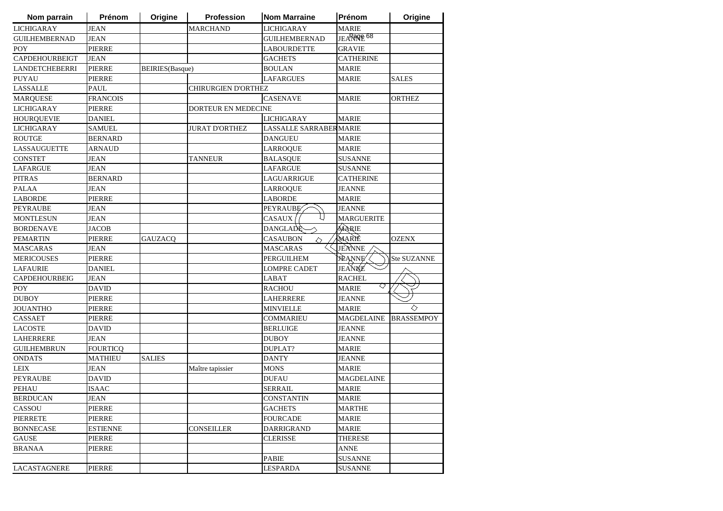| Nom parrain           | Prénom          | Origine                 | Profession                 | <b>Nom Marraine</b>    | Prénom            | Origine            |
|-----------------------|-----------------|-------------------------|----------------------------|------------------------|-------------------|--------------------|
| <b>LICHIGARAY</b>     | <b>JEAN</b>     |                         | <b>MARCHAND</b>            | <b>LICHIGARAY</b>      | <b>MARIE</b>      |                    |
| <b>GUILHEMBERNAD</b>  | <b>JEAN</b>     |                         |                            | <b>GUILHEMBERNAD</b>   | JEARROLE 68       |                    |
| <b>POY</b>            | <b>PIERRE</b>   |                         |                            | <b>LABOURDETTE</b>     | <b>GRAVIE</b>     |                    |
| <b>CAPDEHOURBEIGT</b> | <b>JEAN</b>     |                         |                            | <b>GACHETS</b>         | <b>CATHERINE</b>  |                    |
| <b>LANDETCHEBERRI</b> | <b>PIERRE</b>   | <b>BEIRIES</b> (Basque) |                            | <b>BOULAN</b>          | <b>MARIE</b>      |                    |
| PUYAU                 | <b>PIERRE</b>   |                         |                            | LAFARGUES              | <b>MARIE</b>      | <b>SALES</b>       |
| <b>LASSALLE</b>       | <b>PAUL</b>     |                         | CHIRURGIEN D'ORTHEZ        |                        |                   |                    |
| <b>MARQUESE</b>       | <b>FRANCOIS</b> |                         |                            | <b>CASENAVE</b>        | <b>MARIE</b>      | <b>ORTHEZ</b>      |
| <b>LICHIGARAY</b>     | <b>PIERRE</b>   |                         | <b>DORTEUR EN MEDECINE</b> |                        |                   |                    |
| <b>HOURQUEVIE</b>     | <b>DANIEL</b>   |                         |                            | <b>LICHIGARAY</b>      | <b>MARIE</b>      |                    |
| <b>LICHIGARAY</b>     | <b>SAMUEL</b>   |                         | <b>JURAT D'ORTHEZ</b>      | LASSALLE SARRABERMARIE |                   |                    |
| <b>ROUTGE</b>         | <b>BERNARD</b>  |                         |                            | <b>DANGUEU</b>         | <b>MARIE</b>      |                    |
| <b>LASSAUGUETTE</b>   | ARNAUD          |                         |                            | <b>LARROQUE</b>        | <b>MARIE</b>      |                    |
| <b>CONSTET</b>        | JEAN            |                         | TANNEUR                    | <b>BALASQUE</b>        | <b>SUSANNE</b>    |                    |
| <b>LAFARGUE</b>       | <b>JEAN</b>     |                         |                            | LAFARGUE               | <b>SUSANNE</b>    |                    |
| <b>PITRAS</b>         | <b>BERNARD</b>  |                         |                            | LAGUARRIGUE            | <b>CATHERINE</b>  |                    |
| <b>PALAA</b>          | <b>JEAN</b>     |                         |                            | <b>LARROQUE</b>        | <b>JEANNE</b>     |                    |
| <b>LABORDE</b>        | <b>PIERRE</b>   |                         |                            | <b>LABORDE</b>         | <b>MARIE</b>      |                    |
| <b>PEYRAUBE</b>       | <b>JEAN</b>     |                         |                            | <b>PEYRAUBE</b>        | <b>JEANNE</b>     |                    |
| <b>MONTLESUN</b>      | <b>JEAN</b>     |                         |                            | l i<br>CASAUX          | <b>MARGUERITE</b> |                    |
| <b>BORDENAVE</b>      | <b>JACOB</b>    |                         |                            | DANGLADE               | MARIE             |                    |
| <b>PEMARTIN</b>       | <b>PIERRE</b>   | <b>GAUZACQ</b>          |                            | <b>CASAUBON</b><br>♦   | MARIÈ             | <b>OZENX</b>       |
| <b>MASCARAS</b>       | <b>JEAN</b>     |                         |                            | <b>MASCARAS</b>        | JEANNE            |                    |
| <b>MERICOUSES</b>     | <b>PIERRE</b>   |                         |                            | <b>PERGUILHEM</b>      | <b>JEANNE</b>     | <b>Ste SUZANNE</b> |
| <b>LAFAURIE</b>       | <b>DANIEL</b>   |                         |                            | <b>LOMPRE CADET</b>    | JEANNE            |                    |
| CAPDEHOURBEIG         | <b>JEAN</b>     |                         |                            | LABAT                  | <b>RACHEL</b>     |                    |
| <b>POY</b>            | <b>DAVID</b>    |                         |                            | <b>RACHOU</b>          | ◇<br><b>MARIE</b> |                    |
| <b>DUBOY</b>          | <b>PIERRE</b>   |                         |                            | <b>LAHERRERE</b>       | <b>JEANNE</b>     |                    |
| <b>JOUANTHO</b>       | <b>PIERRE</b>   |                         |                            | <b>MINVIELLE</b>       | <b>MARIE</b>      | ♦                  |
| CASSAET               | PIERRE          |                         |                            | COMMARIEU              | <b>MAGDELAINE</b> | <b>BRASSEMPOY</b>  |
| <b>LACOSTE</b>        | DAVID           |                         |                            | <b>BERLUIGE</b>        | JEANNE            |                    |
| <b>LAHERRERE</b>      | <b>JEAN</b>     |                         |                            | DUBOY                  | JEANNE            |                    |
| <b>GUILHEMBRUN</b>    | <b>FOURTICQ</b> |                         |                            | <b>DUPLAT?</b>         | <b>MARIE</b>      |                    |
| <b>ONDATS</b>         | <b>MATHIEU</b>  | <b>SALIES</b>           |                            | <b>DANTY</b>           | <b>JEANNE</b>     |                    |
| <b>LEIX</b>           | <b>JEAN</b>     |                         | Maître tapissier           | <b>MONS</b>            | <b>MARIE</b>      |                    |
| <b>PEYRAUBE</b>       | <b>DAVID</b>    |                         |                            | <b>DUFAU</b>           | <b>MAGDELAINE</b> |                    |
| <b>PEHAU</b>          | <b>ISAAC</b>    |                         |                            | SERRAIL                | <b>MARIE</b>      |                    |
| <b>BERDUCAN</b>       | <b>JEAN</b>     |                         |                            | <b>CONSTANTIN</b>      | <b>MARIE</b>      |                    |
| CASSOU                | PIERRE          |                         |                            | <b>GACHETS</b>         | <b>MARTHE</b>     |                    |
| <b>PIERRETE</b>       | <b>PIERRE</b>   |                         |                            | <b>FOURCADE</b>        | <b>MARIE</b>      |                    |
| <b>BONNECASE</b>      | <b>ESTIENNE</b> |                         | <b>CONSEILLER</b>          | <b>DARRIGRAND</b>      | <b>MARIE</b>      |                    |
| <b>GAUSE</b>          | <b>PIERRE</b>   |                         |                            | <b>CLERISSE</b>        | <b>THERESE</b>    |                    |
| <b>BRANAA</b>         | <b>PIERRE</b>   |                         |                            |                        | <b>ANNE</b>       |                    |
|                       |                 |                         |                            | PABIE                  | <b>SUSANNE</b>    |                    |
| <b>LACASTAGNERE</b>   | <b>PIERRE</b>   |                         |                            | <b>LESPARDA</b>        | <b>SUSANNE</b>    |                    |
|                       |                 |                         |                            |                        |                   |                    |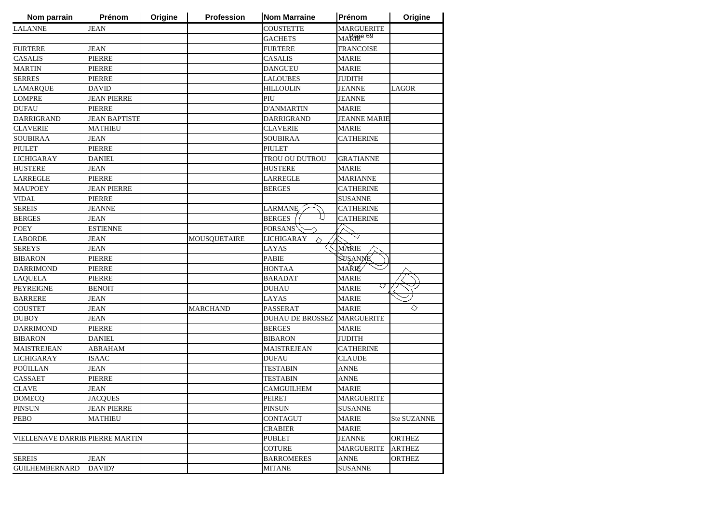| <b>COUSTETTE</b><br><b>MARGUERITE</b><br><b>JEAN</b><br>MARage 69<br><b>GACHETS</b><br><b>FRANCOISE</b><br><b>JEAN</b><br><b>FURTERE</b><br><b>MARIE</b><br><b>PIERRE</b><br>CASALIS<br><b>PIERRE</b><br><b>MARIE</b><br><b>DANGUEU</b><br><b>JUDITH</b><br><b>PIERRE</b><br><b>LALOUBES</b><br><b>DAVID</b><br><b>HILLOULIN</b><br>JEANNE<br><b>LAGOR</b><br><b>JEAN PIERRE</b><br>PIU<br>JEANNE<br><b>PIERRE</b><br><b>D'ANMARTIN</b><br><b>MARIE</b><br><b>JEAN BAPTISTE</b><br><b>DARRIGRAND</b><br><b>JEANNE MARIE</b><br><b>CLAVERIE</b><br><b>MARIE</b><br><b>MATHIEU</b><br><b>SOUBIRAA</b><br><b>CATHERINE</b><br><b>JEAN</b><br><b>PIERRE</b><br>PIULET<br><b>DANIEL</b><br>TROU OU DUTROU<br><b>GRATIANNE</b><br>JEAN<br><b>HUSTERE</b><br><b>MARIE</b><br>PIERRE<br>LARREGLE<br><b>MARIANNE</b><br><b>JEAN PIERRE</b><br><b>BERGES</b><br><b>CATHERINE</b><br><b>PIERRE</b><br><b>SUSANNE</b><br><b>JEANNE</b><br><b>CATHERINE</b><br>LARMANE<br><b>CATHERINE</b><br><b>JEAN</b><br><b>BERGES</b><br><b>ESTIENNE</b><br><b>FORSANS</b><br><b>MOUSQUETAIRE</b><br><b>JEAN</b><br><b>LICHIGARAY</b><br>◇<br>MÀRIE<br><b>JEAN</b><br>LAYAS<br>SUSANNE<br><b>PIERRE</b><br>PABIE<br><b>MARIÉ</b><br><b>PIERRE</b><br><b>HONTAA</b><br><b>PIERRE</b><br><b>MARIE</b><br><b>BARADAT</b><br>▽<br><b>MARIE</b><br><b>BENOIT</b><br><b>DUHAU</b><br><b>MARIE</b><br><b>JEAN</b><br>LAYAS<br>◇<br><b>PASSERAT</b><br><b>MARIE</b><br><b>JEAN</b><br><b>MARCHAND</b><br><b>MARGUERITE</b><br>JEAN<br><b>DUHAU DE BROSSEZ</b><br><b>PIERRE</b><br><b>BERGES</b><br><b>MARIE</b><br><b>DANIEL</b><br><b>JUDITH</b><br><b>BIBARON</b><br><b>ABRAHAM</b><br><b>MAISTREJEAN</b><br><b>CATHERINE</b><br><b>ISAAC</b><br><b>DUFAU</b><br><b>CLAUDE</b><br><b>JEAN</b><br><b>TESTABIN</b><br><b>ANNE</b><br><b>PIERRE</b><br><b>ANNE</b><br>TESTABIN<br><b>JEAN</b><br><b>MARIE</b><br>CAMGUILHEM<br><b>JACQUES</b><br>PEIRET<br><b>MARGUERITE</b><br><b>JEAN PIERRE</b><br><b>PINSUN</b><br><b>SUSANNE</b><br><b>MATHIEU</b><br><b>CONTAGUT</b><br><b>MARIE</b><br>Ste SUZANNE<br><b>CRABIER</b><br><b>MARIE</b><br><b>PUBLET</b><br><b>ORTHEZ</b><br>VIELLENAVE DARRIB PIERRE MARTIN<br><b>JEANNE</b><br><b>COTURE</b><br><b>ARTHEZ</b><br><b>MARGUERITE</b><br><b>JEAN</b><br><b>BARROMERES</b><br><b>ANNE</b><br><b>ORTHEZ</b><br>DAVID?<br><b>SUSANNE</b><br><b>MITANE</b> | Nom parrain           | Prénom | Origine | Profession | <b>Nom Marraine</b> | Prénom | Origine |
|--------------------------------------------------------------------------------------------------------------------------------------------------------------------------------------------------------------------------------------------------------------------------------------------------------------------------------------------------------------------------------------------------------------------------------------------------------------------------------------------------------------------------------------------------------------------------------------------------------------------------------------------------------------------------------------------------------------------------------------------------------------------------------------------------------------------------------------------------------------------------------------------------------------------------------------------------------------------------------------------------------------------------------------------------------------------------------------------------------------------------------------------------------------------------------------------------------------------------------------------------------------------------------------------------------------------------------------------------------------------------------------------------------------------------------------------------------------------------------------------------------------------------------------------------------------------------------------------------------------------------------------------------------------------------------------------------------------------------------------------------------------------------------------------------------------------------------------------------------------------------------------------------------------------------------------------------------------------------------------------------------------------------------------------------------------------------------------------------------------------------------------------------------------------------------------------------------------------------------------------------------------------------------------------------------------------------------------------------------------------------|-----------------------|--------|---------|------------|---------------------|--------|---------|
|                                                                                                                                                                                                                                                                                                                                                                                                                                                                                                                                                                                                                                                                                                                                                                                                                                                                                                                                                                                                                                                                                                                                                                                                                                                                                                                                                                                                                                                                                                                                                                                                                                                                                                                                                                                                                                                                                                                                                                                                                                                                                                                                                                                                                                                                                                                                                                          | <b>LALANNE</b>        |        |         |            |                     |        |         |
|                                                                                                                                                                                                                                                                                                                                                                                                                                                                                                                                                                                                                                                                                                                                                                                                                                                                                                                                                                                                                                                                                                                                                                                                                                                                                                                                                                                                                                                                                                                                                                                                                                                                                                                                                                                                                                                                                                                                                                                                                                                                                                                                                                                                                                                                                                                                                                          |                       |        |         |            |                     |        |         |
|                                                                                                                                                                                                                                                                                                                                                                                                                                                                                                                                                                                                                                                                                                                                                                                                                                                                                                                                                                                                                                                                                                                                                                                                                                                                                                                                                                                                                                                                                                                                                                                                                                                                                                                                                                                                                                                                                                                                                                                                                                                                                                                                                                                                                                                                                                                                                                          | <b>FURTERE</b>        |        |         |            |                     |        |         |
|                                                                                                                                                                                                                                                                                                                                                                                                                                                                                                                                                                                                                                                                                                                                                                                                                                                                                                                                                                                                                                                                                                                                                                                                                                                                                                                                                                                                                                                                                                                                                                                                                                                                                                                                                                                                                                                                                                                                                                                                                                                                                                                                                                                                                                                                                                                                                                          | <b>CASALIS</b>        |        |         |            |                     |        |         |
|                                                                                                                                                                                                                                                                                                                                                                                                                                                                                                                                                                                                                                                                                                                                                                                                                                                                                                                                                                                                                                                                                                                                                                                                                                                                                                                                                                                                                                                                                                                                                                                                                                                                                                                                                                                                                                                                                                                                                                                                                                                                                                                                                                                                                                                                                                                                                                          | <b>MARTIN</b>         |        |         |            |                     |        |         |
|                                                                                                                                                                                                                                                                                                                                                                                                                                                                                                                                                                                                                                                                                                                                                                                                                                                                                                                                                                                                                                                                                                                                                                                                                                                                                                                                                                                                                                                                                                                                                                                                                                                                                                                                                                                                                                                                                                                                                                                                                                                                                                                                                                                                                                                                                                                                                                          | <b>SERRES</b>         |        |         |            |                     |        |         |
|                                                                                                                                                                                                                                                                                                                                                                                                                                                                                                                                                                                                                                                                                                                                                                                                                                                                                                                                                                                                                                                                                                                                                                                                                                                                                                                                                                                                                                                                                                                                                                                                                                                                                                                                                                                                                                                                                                                                                                                                                                                                                                                                                                                                                                                                                                                                                                          | <b>LAMARQUE</b>       |        |         |            |                     |        |         |
|                                                                                                                                                                                                                                                                                                                                                                                                                                                                                                                                                                                                                                                                                                                                                                                                                                                                                                                                                                                                                                                                                                                                                                                                                                                                                                                                                                                                                                                                                                                                                                                                                                                                                                                                                                                                                                                                                                                                                                                                                                                                                                                                                                                                                                                                                                                                                                          | <b>LOMPRE</b>         |        |         |            |                     |        |         |
|                                                                                                                                                                                                                                                                                                                                                                                                                                                                                                                                                                                                                                                                                                                                                                                                                                                                                                                                                                                                                                                                                                                                                                                                                                                                                                                                                                                                                                                                                                                                                                                                                                                                                                                                                                                                                                                                                                                                                                                                                                                                                                                                                                                                                                                                                                                                                                          | <b>DUFAU</b>          |        |         |            |                     |        |         |
|                                                                                                                                                                                                                                                                                                                                                                                                                                                                                                                                                                                                                                                                                                                                                                                                                                                                                                                                                                                                                                                                                                                                                                                                                                                                                                                                                                                                                                                                                                                                                                                                                                                                                                                                                                                                                                                                                                                                                                                                                                                                                                                                                                                                                                                                                                                                                                          | <b>DARRIGRAND</b>     |        |         |            |                     |        |         |
|                                                                                                                                                                                                                                                                                                                                                                                                                                                                                                                                                                                                                                                                                                                                                                                                                                                                                                                                                                                                                                                                                                                                                                                                                                                                                                                                                                                                                                                                                                                                                                                                                                                                                                                                                                                                                                                                                                                                                                                                                                                                                                                                                                                                                                                                                                                                                                          | <b>CLAVERIE</b>       |        |         |            |                     |        |         |
|                                                                                                                                                                                                                                                                                                                                                                                                                                                                                                                                                                                                                                                                                                                                                                                                                                                                                                                                                                                                                                                                                                                                                                                                                                                                                                                                                                                                                                                                                                                                                                                                                                                                                                                                                                                                                                                                                                                                                                                                                                                                                                                                                                                                                                                                                                                                                                          | <b>SOUBIRAA</b>       |        |         |            |                     |        |         |
|                                                                                                                                                                                                                                                                                                                                                                                                                                                                                                                                                                                                                                                                                                                                                                                                                                                                                                                                                                                                                                                                                                                                                                                                                                                                                                                                                                                                                                                                                                                                                                                                                                                                                                                                                                                                                                                                                                                                                                                                                                                                                                                                                                                                                                                                                                                                                                          | <b>PIULET</b>         |        |         |            |                     |        |         |
|                                                                                                                                                                                                                                                                                                                                                                                                                                                                                                                                                                                                                                                                                                                                                                                                                                                                                                                                                                                                                                                                                                                                                                                                                                                                                                                                                                                                                                                                                                                                                                                                                                                                                                                                                                                                                                                                                                                                                                                                                                                                                                                                                                                                                                                                                                                                                                          | <b>LICHIGARAY</b>     |        |         |            |                     |        |         |
|                                                                                                                                                                                                                                                                                                                                                                                                                                                                                                                                                                                                                                                                                                                                                                                                                                                                                                                                                                                                                                                                                                                                                                                                                                                                                                                                                                                                                                                                                                                                                                                                                                                                                                                                                                                                                                                                                                                                                                                                                                                                                                                                                                                                                                                                                                                                                                          | <b>HUSTERE</b>        |        |         |            |                     |        |         |
|                                                                                                                                                                                                                                                                                                                                                                                                                                                                                                                                                                                                                                                                                                                                                                                                                                                                                                                                                                                                                                                                                                                                                                                                                                                                                                                                                                                                                                                                                                                                                                                                                                                                                                                                                                                                                                                                                                                                                                                                                                                                                                                                                                                                                                                                                                                                                                          | <b>LARREGLE</b>       |        |         |            |                     |        |         |
|                                                                                                                                                                                                                                                                                                                                                                                                                                                                                                                                                                                                                                                                                                                                                                                                                                                                                                                                                                                                                                                                                                                                                                                                                                                                                                                                                                                                                                                                                                                                                                                                                                                                                                                                                                                                                                                                                                                                                                                                                                                                                                                                                                                                                                                                                                                                                                          | <b>MAUPOEY</b>        |        |         |            |                     |        |         |
|                                                                                                                                                                                                                                                                                                                                                                                                                                                                                                                                                                                                                                                                                                                                                                                                                                                                                                                                                                                                                                                                                                                                                                                                                                                                                                                                                                                                                                                                                                                                                                                                                                                                                                                                                                                                                                                                                                                                                                                                                                                                                                                                                                                                                                                                                                                                                                          | <b>VIDAL</b>          |        |         |            |                     |        |         |
|                                                                                                                                                                                                                                                                                                                                                                                                                                                                                                                                                                                                                                                                                                                                                                                                                                                                                                                                                                                                                                                                                                                                                                                                                                                                                                                                                                                                                                                                                                                                                                                                                                                                                                                                                                                                                                                                                                                                                                                                                                                                                                                                                                                                                                                                                                                                                                          | <b>SEREIS</b>         |        |         |            |                     |        |         |
|                                                                                                                                                                                                                                                                                                                                                                                                                                                                                                                                                                                                                                                                                                                                                                                                                                                                                                                                                                                                                                                                                                                                                                                                                                                                                                                                                                                                                                                                                                                                                                                                                                                                                                                                                                                                                                                                                                                                                                                                                                                                                                                                                                                                                                                                                                                                                                          | <b>BERGES</b>         |        |         |            |                     |        |         |
|                                                                                                                                                                                                                                                                                                                                                                                                                                                                                                                                                                                                                                                                                                                                                                                                                                                                                                                                                                                                                                                                                                                                                                                                                                                                                                                                                                                                                                                                                                                                                                                                                                                                                                                                                                                                                                                                                                                                                                                                                                                                                                                                                                                                                                                                                                                                                                          | POEY                  |        |         |            |                     |        |         |
|                                                                                                                                                                                                                                                                                                                                                                                                                                                                                                                                                                                                                                                                                                                                                                                                                                                                                                                                                                                                                                                                                                                                                                                                                                                                                                                                                                                                                                                                                                                                                                                                                                                                                                                                                                                                                                                                                                                                                                                                                                                                                                                                                                                                                                                                                                                                                                          | <b>LABORDE</b>        |        |         |            |                     |        |         |
|                                                                                                                                                                                                                                                                                                                                                                                                                                                                                                                                                                                                                                                                                                                                                                                                                                                                                                                                                                                                                                                                                                                                                                                                                                                                                                                                                                                                                                                                                                                                                                                                                                                                                                                                                                                                                                                                                                                                                                                                                                                                                                                                                                                                                                                                                                                                                                          | <b>SEREYS</b>         |        |         |            |                     |        |         |
|                                                                                                                                                                                                                                                                                                                                                                                                                                                                                                                                                                                                                                                                                                                                                                                                                                                                                                                                                                                                                                                                                                                                                                                                                                                                                                                                                                                                                                                                                                                                                                                                                                                                                                                                                                                                                                                                                                                                                                                                                                                                                                                                                                                                                                                                                                                                                                          | <b>BIBARON</b>        |        |         |            |                     |        |         |
|                                                                                                                                                                                                                                                                                                                                                                                                                                                                                                                                                                                                                                                                                                                                                                                                                                                                                                                                                                                                                                                                                                                                                                                                                                                                                                                                                                                                                                                                                                                                                                                                                                                                                                                                                                                                                                                                                                                                                                                                                                                                                                                                                                                                                                                                                                                                                                          | <b>DARRIMOND</b>      |        |         |            |                     |        |         |
|                                                                                                                                                                                                                                                                                                                                                                                                                                                                                                                                                                                                                                                                                                                                                                                                                                                                                                                                                                                                                                                                                                                                                                                                                                                                                                                                                                                                                                                                                                                                                                                                                                                                                                                                                                                                                                                                                                                                                                                                                                                                                                                                                                                                                                                                                                                                                                          | <b>LAQUELA</b>        |        |         |            |                     |        |         |
|                                                                                                                                                                                                                                                                                                                                                                                                                                                                                                                                                                                                                                                                                                                                                                                                                                                                                                                                                                                                                                                                                                                                                                                                                                                                                                                                                                                                                                                                                                                                                                                                                                                                                                                                                                                                                                                                                                                                                                                                                                                                                                                                                                                                                                                                                                                                                                          | <b>PEYREIGNE</b>      |        |         |            |                     |        |         |
|                                                                                                                                                                                                                                                                                                                                                                                                                                                                                                                                                                                                                                                                                                                                                                                                                                                                                                                                                                                                                                                                                                                                                                                                                                                                                                                                                                                                                                                                                                                                                                                                                                                                                                                                                                                                                                                                                                                                                                                                                                                                                                                                                                                                                                                                                                                                                                          | <b>BARRERE</b>        |        |         |            |                     |        |         |
|                                                                                                                                                                                                                                                                                                                                                                                                                                                                                                                                                                                                                                                                                                                                                                                                                                                                                                                                                                                                                                                                                                                                                                                                                                                                                                                                                                                                                                                                                                                                                                                                                                                                                                                                                                                                                                                                                                                                                                                                                                                                                                                                                                                                                                                                                                                                                                          | <b>COUSTET</b>        |        |         |            |                     |        |         |
|                                                                                                                                                                                                                                                                                                                                                                                                                                                                                                                                                                                                                                                                                                                                                                                                                                                                                                                                                                                                                                                                                                                                                                                                                                                                                                                                                                                                                                                                                                                                                                                                                                                                                                                                                                                                                                                                                                                                                                                                                                                                                                                                                                                                                                                                                                                                                                          | <b>DUBOY</b>          |        |         |            |                     |        |         |
|                                                                                                                                                                                                                                                                                                                                                                                                                                                                                                                                                                                                                                                                                                                                                                                                                                                                                                                                                                                                                                                                                                                                                                                                                                                                                                                                                                                                                                                                                                                                                                                                                                                                                                                                                                                                                                                                                                                                                                                                                                                                                                                                                                                                                                                                                                                                                                          | <b>DARRIMOND</b>      |        |         |            |                     |        |         |
|                                                                                                                                                                                                                                                                                                                                                                                                                                                                                                                                                                                                                                                                                                                                                                                                                                                                                                                                                                                                                                                                                                                                                                                                                                                                                                                                                                                                                                                                                                                                                                                                                                                                                                                                                                                                                                                                                                                                                                                                                                                                                                                                                                                                                                                                                                                                                                          | <b>BIBARON</b>        |        |         |            |                     |        |         |
|                                                                                                                                                                                                                                                                                                                                                                                                                                                                                                                                                                                                                                                                                                                                                                                                                                                                                                                                                                                                                                                                                                                                                                                                                                                                                                                                                                                                                                                                                                                                                                                                                                                                                                                                                                                                                                                                                                                                                                                                                                                                                                                                                                                                                                                                                                                                                                          | <b>MAISTREJEAN</b>    |        |         |            |                     |        |         |
|                                                                                                                                                                                                                                                                                                                                                                                                                                                                                                                                                                                                                                                                                                                                                                                                                                                                                                                                                                                                                                                                                                                                                                                                                                                                                                                                                                                                                                                                                                                                                                                                                                                                                                                                                                                                                                                                                                                                                                                                                                                                                                                                                                                                                                                                                                                                                                          | <b>LICHIGARAY</b>     |        |         |            |                     |        |         |
|                                                                                                                                                                                                                                                                                                                                                                                                                                                                                                                                                                                                                                                                                                                                                                                                                                                                                                                                                                                                                                                                                                                                                                                                                                                                                                                                                                                                                                                                                                                                                                                                                                                                                                                                                                                                                                                                                                                                                                                                                                                                                                                                                                                                                                                                                                                                                                          | POÜILLAN              |        |         |            |                     |        |         |
|                                                                                                                                                                                                                                                                                                                                                                                                                                                                                                                                                                                                                                                                                                                                                                                                                                                                                                                                                                                                                                                                                                                                                                                                                                                                                                                                                                                                                                                                                                                                                                                                                                                                                                                                                                                                                                                                                                                                                                                                                                                                                                                                                                                                                                                                                                                                                                          | <b>CASSAET</b>        |        |         |            |                     |        |         |
|                                                                                                                                                                                                                                                                                                                                                                                                                                                                                                                                                                                                                                                                                                                                                                                                                                                                                                                                                                                                                                                                                                                                                                                                                                                                                                                                                                                                                                                                                                                                                                                                                                                                                                                                                                                                                                                                                                                                                                                                                                                                                                                                                                                                                                                                                                                                                                          | <b>CLAVE</b>          |        |         |            |                     |        |         |
|                                                                                                                                                                                                                                                                                                                                                                                                                                                                                                                                                                                                                                                                                                                                                                                                                                                                                                                                                                                                                                                                                                                                                                                                                                                                                                                                                                                                                                                                                                                                                                                                                                                                                                                                                                                                                                                                                                                                                                                                                                                                                                                                                                                                                                                                                                                                                                          | <b>DOMECQ</b>         |        |         |            |                     |        |         |
|                                                                                                                                                                                                                                                                                                                                                                                                                                                                                                                                                                                                                                                                                                                                                                                                                                                                                                                                                                                                                                                                                                                                                                                                                                                                                                                                                                                                                                                                                                                                                                                                                                                                                                                                                                                                                                                                                                                                                                                                                                                                                                                                                                                                                                                                                                                                                                          | <b>PINSUN</b>         |        |         |            |                     |        |         |
|                                                                                                                                                                                                                                                                                                                                                                                                                                                                                                                                                                                                                                                                                                                                                                                                                                                                                                                                                                                                                                                                                                                                                                                                                                                                                                                                                                                                                                                                                                                                                                                                                                                                                                                                                                                                                                                                                                                                                                                                                                                                                                                                                                                                                                                                                                                                                                          | <b>PEBO</b>           |        |         |            |                     |        |         |
|                                                                                                                                                                                                                                                                                                                                                                                                                                                                                                                                                                                                                                                                                                                                                                                                                                                                                                                                                                                                                                                                                                                                                                                                                                                                                                                                                                                                                                                                                                                                                                                                                                                                                                                                                                                                                                                                                                                                                                                                                                                                                                                                                                                                                                                                                                                                                                          |                       |        |         |            |                     |        |         |
|                                                                                                                                                                                                                                                                                                                                                                                                                                                                                                                                                                                                                                                                                                                                                                                                                                                                                                                                                                                                                                                                                                                                                                                                                                                                                                                                                                                                                                                                                                                                                                                                                                                                                                                                                                                                                                                                                                                                                                                                                                                                                                                                                                                                                                                                                                                                                                          |                       |        |         |            |                     |        |         |
|                                                                                                                                                                                                                                                                                                                                                                                                                                                                                                                                                                                                                                                                                                                                                                                                                                                                                                                                                                                                                                                                                                                                                                                                                                                                                                                                                                                                                                                                                                                                                                                                                                                                                                                                                                                                                                                                                                                                                                                                                                                                                                                                                                                                                                                                                                                                                                          |                       |        |         |            |                     |        |         |
|                                                                                                                                                                                                                                                                                                                                                                                                                                                                                                                                                                                                                                                                                                                                                                                                                                                                                                                                                                                                                                                                                                                                                                                                                                                                                                                                                                                                                                                                                                                                                                                                                                                                                                                                                                                                                                                                                                                                                                                                                                                                                                                                                                                                                                                                                                                                                                          | <b>SEREIS</b>         |        |         |            |                     |        |         |
|                                                                                                                                                                                                                                                                                                                                                                                                                                                                                                                                                                                                                                                                                                                                                                                                                                                                                                                                                                                                                                                                                                                                                                                                                                                                                                                                                                                                                                                                                                                                                                                                                                                                                                                                                                                                                                                                                                                                                                                                                                                                                                                                                                                                                                                                                                                                                                          | <b>GUILHEMBERNARD</b> |        |         |            |                     |        |         |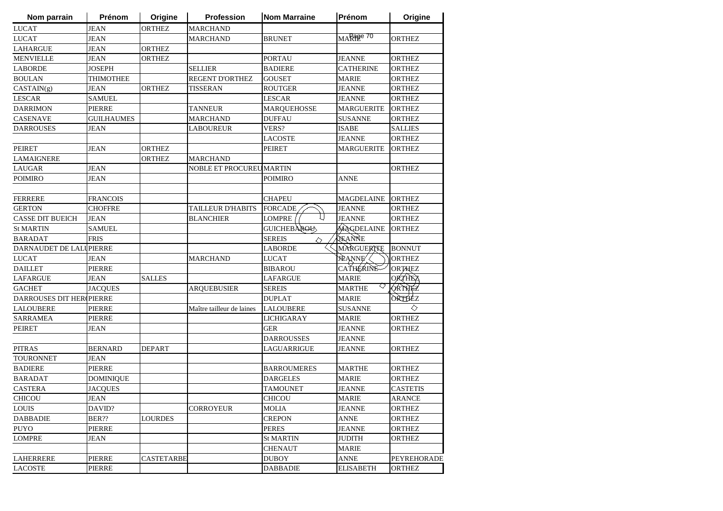| Nom parrain             | Prénom            | Origine           | <b>Profession</b>              | <b>Nom Marraine</b> | Prénom             | Origine         |
|-------------------------|-------------------|-------------------|--------------------------------|---------------------|--------------------|-----------------|
| <b>LUCAT</b>            | <b>JEAN</b>       | <b>ORTHEZ</b>     | <b>MARCHAND</b>                |                     |                    |                 |
| <b>LUCAT</b>            | <b>JEAN</b>       |                   | <b>MARCHAND</b>                | <b>BRUNET</b>       | $MA$ Rape 70       | <b>ORTHEZ</b>   |
| <b>LAHARGUE</b>         | <b>JEAN</b>       | <b>ORTHEZ</b>     |                                |                     |                    |                 |
| <b>MENVIELLE</b>        | <b>JEAN</b>       | <b>ORTHEZ</b>     |                                | <b>PORTAU</b>       | <b>JEANNE</b>      | <b>ORTHEZ</b>   |
| <b>LABORDE</b>          | <b>JOSEPH</b>     |                   | <b>SELLIER</b>                 | <b>BADIERE</b>      | <b>CATHERINE</b>   | <b>ORTHEZ</b>   |
| <b>BOULAN</b>           | THIMOTHEE         |                   | <b>REGENT D'ORTHEZ</b>         | <b>GOUSET</b>       | <b>MARIE</b>       | <b>ORTHEZ</b>   |
| CASTAIN(g)              | <b>JEAN</b>       | <b>ORTHEZ</b>     | <b>TISSERAN</b>                | <b>ROUTGER</b>      | <b>JEANNE</b>      | <b>ORTHEZ</b>   |
| <b>LESCAR</b>           | <b>SAMUEL</b>     |                   |                                | <b>LESCAR</b>       | <b>JEANNE</b>      | <b>ORTHEZ</b>   |
| <b>DARRIMON</b>         | <b>PIERRE</b>     |                   | <b>TANNEUR</b>                 | <b>MARQUEHOSSE</b>  | <b>MARGUERITE</b>  | <b>ORTHEZ</b>   |
| <b>CASENAVE</b>         | <b>GUILHAUMES</b> |                   | <b>MARCHAND</b>                | <b>DUFFAU</b>       | <b>SUSANNE</b>     | <b>ORTHEZ</b>   |
| <b>DARROUSES</b>        | <b>JEAN</b>       |                   | <b>LABOUREUR</b>               | VERS?               | <b>ISABE</b>       | <b>SALLIES</b>  |
|                         |                   |                   |                                | <b>LACOSTE</b>      | <b>JEANNE</b>      | <b>ORTHEZ</b>   |
| <b>PEIRET</b>           | <b>JEAN</b>       | <b>ORTHEZ</b>     |                                | <b>PEIRET</b>       | <b>MARGUERITE</b>  | ORTHEZ          |
| <b>LAMAIGNERE</b>       |                   | <b>ORTHEZ</b>     | <b>MARCHAND</b>                |                     |                    |                 |
| <b>LAUGAR</b>           | <b>JEAN</b>       |                   | <b>NOBLE ET PROCUREUMARTIN</b> |                     |                    | <b>ORTHEZ</b>   |
| <b>POIMIRO</b>          | JEAN              |                   |                                | <b>POIMIRO</b>      | <b>ANNE</b>        |                 |
|                         |                   |                   |                                |                     |                    |                 |
| <b>FERRERE</b>          | <b>FRANCOIS</b>   |                   |                                | <b>CHAPEU</b>       | <b>MAGDELAINE</b>  | <b>ORTHEZ</b>   |
| <b>GERTON</b>           | <b>CHOFFRE</b>    |                   | <b>TAILLEUR D'HABITS</b>       | <b>FORCADE</b>      | <b>JEANNE</b>      | <b>ORTHEZ</b>   |
| <b>CASSE DIT BUEICH</b> | <b>JEAN</b>       |                   | <b>BLANCHIER</b>               | <b>LOMPRE</b>       | <b>JEANNE</b>      | <b>ORTHEZ</b>   |
| <b>St MARTIN</b>        | <b>SAMUEL</b>     |                   |                                | <b>GUICHEBAROU</b>  | MAGDELAINE         | <b>ORTHEZ</b>   |
| <b>BARADAT</b>          | <b>FRIS</b>       |                   |                                | <b>SEREIS</b><br>◇  | JEANNE             |                 |
| DARNAUDET DE LALUPIERRE |                   |                   |                                | LABORDE             | MARGUERITE         | <b>BONNUT</b>   |
| <b>LUCAT</b>            | <b>JEAN</b>       |                   | <b>MARCHAND</b>                | <b>LUCAT</b>        | <b>JEANNE</b>      | <b>ORTHEZ</b>   |
| <b>DAILLET</b>          | <b>PIERRE</b>     |                   |                                | <b>BIBAROU</b>      | <b>CATHERINE</b>   | <b>ORTHEZ</b>   |
| <b>LAFARGUE</b>         | <b>JEAN</b>       | <b>SALLES</b>     |                                | <b>LAFARGUE</b>     | <b>MARIE</b>       | <b>ORTHEZ</b>   |
| <b>GACHET</b>           | <b>JACQUES</b>    |                   | <b>ARQUEBUSIER</b>             | <b>SEREIS</b>       | ◇<br><b>MARTHE</b> | ORTHEZ          |
| DARROUSES DIT HER       | <b>PIERRE</b>     |                   |                                | <b>DUPLAT</b>       | <b>MARIE</b>       | ÒRTHEZ          |
| <b>LALOUBERE</b>        | <b>PIERRE</b>     |                   | Maître tailleur de laines      | <b>LALOUBERE</b>    | <b>SUSANNE</b>     | ◇               |
| <b>SARRAMEA</b>         | PIERRE            |                   |                                | LICHIGARAY          | <b>MARIE</b>       | <b>ORTHEZ</b>   |
| <b>PEIRET</b>           | <b>JEAN</b>       |                   |                                | <b>GER</b>          | JEANNE             | ORTHEZ          |
|                         |                   |                   |                                | <b>DARROUSSES</b>   | JEANNE             |                 |
| <b>PITRAS</b>           | <b>BERNARD</b>    | <b>DEPART</b>     |                                | LAGUARRIGUE         | <b>JEANNE</b>      | ORTHEZ          |
| TOURONNET               | <b>JEAN</b>       |                   |                                |                     |                    |                 |
| <b>BADIERE</b>          | PIERRE            |                   |                                | <b>BARROUMERES</b>  | <b>MARTHE</b>      | <b>ORTHEZ</b>   |
| <b>BARADAT</b>          | <b>DOMINIQUE</b>  |                   |                                | <b>DARGELES</b>     | <b>MARIE</b>       | <b>ORTHEZ</b>   |
| <b>CASTERA</b>          | <b>JACOUES</b>    |                   |                                | <b>TAMOUNET</b>     | <b>JEANNE</b>      | <b>CASTETIS</b> |
| <b>CHICOU</b>           | <b>JEAN</b>       |                   |                                | CHICOU              | <b>MARIE</b>       | ARANCE          |
| LOUIS                   | DAVID?            |                   | <b>CORROYEUR</b>               | <b>MOLIA</b>        | JEANNE             | <b>ORTHEZ</b>   |
| <b>DABBADIE</b>         | BER??             | <b>LOURDES</b>    |                                | <b>CREPON</b>       | <b>ANNE</b>        | ORTHEZ          |
| <b>PUYO</b>             | <b>PIERRE</b>     |                   |                                | <b>PERES</b>        | <b>JEANNE</b>      | <b>ORTHEZ</b>   |
| <b>LOMPRE</b>           | <b>JEAN</b>       |                   |                                | <b>St MARTIN</b>    | <b>JUDITH</b>      | <b>ORTHEZ</b>   |
|                         |                   |                   |                                | <b>CHENAUT</b>      | <b>MARIE</b>       |                 |
| <b>LAHERRERE</b>        | <b>PIERRE</b>     | <b>CASTETARBE</b> |                                | <b>DUBOY</b>        | <b>ANNE</b>        | PEYREHORADE     |
| <b>LACOSTE</b>          | <b>PIERRE</b>     |                   |                                | <b>DABBADIE</b>     | <b>ELISABETH</b>   | ORTHEZ          |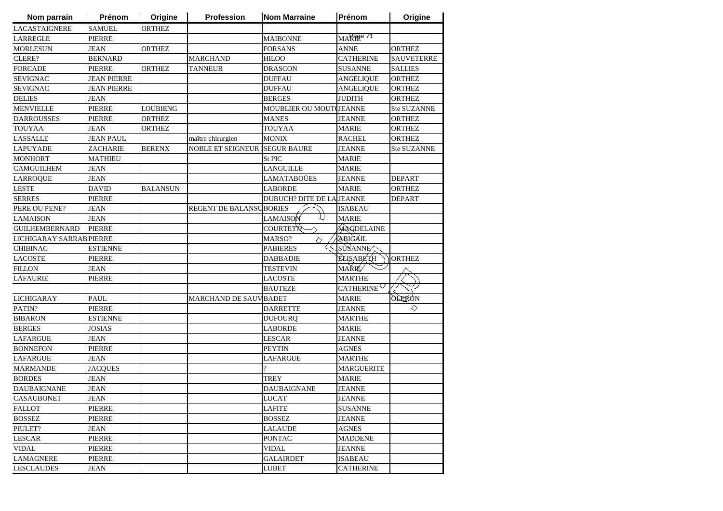| Nom parrain              | Prénom             | Origine         | Profession                           | <b>Nom Marraine</b>       | Prénom                                       | Origine            |
|--------------------------|--------------------|-----------------|--------------------------------------|---------------------------|----------------------------------------------|--------------------|
| <b>LACASTAIGNERE</b>     | <b>SAMUEL</b>      | <b>ORTHEZ</b>   |                                      |                           |                                              |                    |
| <b>LARREGLE</b>          | <b>PIERRE</b>      |                 |                                      | <b>MAIBONNE</b>           | MARage 71                                    |                    |
| <b>MORLESUN</b>          | <b>JEAN</b>        | <b>ORTHEZ</b>   |                                      | <b>FORSANS</b>            | <b>ANNE</b>                                  | <b>ORTHEZ</b>      |
| CLERE?                   | <b>BERNARD</b>     |                 | <b>MARCHAND</b>                      | <b>HILOO</b>              | <b>CATHERINE</b>                             | <b>SAUVETERRE</b>  |
| <b>FORCADE</b>           | <b>PIERRE</b>      | <b>ORTHEZ</b>   | <b>TANNEUR</b>                       | <b>DRASCON</b>            | <b>SUSANNE</b>                               | <b>SALLIES</b>     |
| <b>SEVIGNAC</b>          | <b>JEAN PIERRE</b> |                 |                                      | <b>DUFFAU</b>             | <b>ANGELIQUE</b>                             | <b>ORTHEZ</b>      |
| <b>SEVIGNAC</b>          | <b>JEAN PIERRE</b> |                 |                                      | <b>DUFFAU</b>             | <b>ANGELIQUE</b>                             | <b>ORTHEZ</b>      |
| <b>DELIES</b>            | <b>JEAN</b>        |                 |                                      | <b>BERGES</b>             | <b>JUDITH</b>                                | <b>ORTHEZ</b>      |
| <b>MENVIELLE</b>         | <b>PIERRE</b>      | <b>LOUBIENG</b> |                                      | MOUBLIER OU MOUT(JEANNE   |                                              | Ste SUZANNE        |
| <b>DARROUSSES</b>        | <b>PIERRE</b>      | <b>ORTHEZ</b>   |                                      | <b>MANES</b>              | <b>JEANNE</b>                                | <b>ORTHEZ</b>      |
| <b>TOUYAA</b>            | <b>JEAN</b>        | <b>ORTHEZ</b>   |                                      | <b>TOUYAA</b>             | <b>MARIE</b>                                 | <b>ORTHEZ</b>      |
| <b>LASSALLE</b>          | <b>JEAN PAUL</b>   |                 | maître chirurgien                    | <b>MONIX</b>              | <b>RACHEL</b>                                | <b>ORTHEZ</b>      |
| <b>LAPUYADE</b>          | <b>ZACHARIE</b>    | <b>BERENX</b>   | <b>NOBLE ET SEIGNEUR SEGUR BAURE</b> |                           | JEANNE                                       | <b>Ste SUZANNE</b> |
| <b>MONHORT</b>           | MATHIEU            |                 |                                      | St PIC                    | <b>MARIE</b>                                 |                    |
| <b>CAMGUILHEM</b>        | JEAN               |                 |                                      | LANGUILLE                 | <b>MARIE</b>                                 |                    |
| <b>LARROQUE</b>          | <b>JEAN</b>        |                 |                                      | LAMATABOÜES               | JEANNE                                       | <b>DEPART</b>      |
| <b>LESTE</b>             | <b>DAVID</b>       | <b>BALANSUN</b> |                                      | <b>LABORDE</b>            | <b>MARIE</b>                                 | <b>ORTHEZ</b>      |
| <b>SERRES</b>            | PIERRE             |                 |                                      | DUBUCH? DITE DE LA JEANNE |                                              | <b>DEPART</b>      |
| PERE OU PENE?            | JEAN               |                 | <b>REGENT DE BALANSUBORIES</b>       |                           | <b>ISABEAU</b>                               |                    |
| <b>LAMAISON</b>          | <b>JEAN</b>        |                 |                                      | LAMAISON                  | <b>MARIE</b>                                 |                    |
| <b>GUILHEMBERNARD</b>    | PIERRE             |                 |                                      | COURTET <sup>'</sup>      | MAGDELAINE                                   |                    |
| LICHIGARAY SARRAB PIERRE |                    |                 |                                      | MARSO?<br>◇               | <b>ABIGAIL</b>                               |                    |
| <b>CHIBINAC</b>          | <b>ESTIENNE</b>    |                 |                                      | <b>PABIERES</b>           | SUSANNE                                      |                    |
| <b>LACOSTE</b>           | <b>PIERRE</b>      |                 |                                      | <b>DABBADIE</b>           | <b>ELISABETH</b>                             | <b>ORTHEZ</b>      |
| <b>FILLON</b>            | <b>JEAN</b>        |                 |                                      | <b>TESTEVIN</b>           | <b>MARIÉ</b>                                 |                    |
| <b>LAFAURIE</b>          | <b>PIERRE</b>      |                 |                                      | <b>LACOSTE</b>            | <b>MARTHE</b>                                |                    |
|                          |                    |                 |                                      | <b>BAUTEZE</b>            | CATHERINE <sup><math>\heartsuit</math></sup> |                    |
| <b>LICHIGARAY</b>        | <b>PAUL</b>        |                 | <b>MARCHAND DE SAUVBADET</b>         |                           | <b>MARIE</b>                                 | <b>OLERON</b>      |
| PATIN?                   | PIERRE             |                 |                                      | <b>DARRETTE</b>           | JEANNE                                       | ◇                  |
| <b>BIBARON</b>           | <b>ESTIENNE</b>    |                 |                                      | <b>DUFOURQ</b>            | <b>MARTHE</b>                                |                    |
| <b>BERGES</b>            | <b>JOSIAS</b>      |                 |                                      | <b>LABORDE</b>            | <b>MARIE</b>                                 |                    |
| <b>LAFARGUE</b>          | JEAN               |                 |                                      | <b>LESCAR</b>             | JEANNE                                       |                    |
| <b>BONNEFON</b>          | <b>PIERRE</b>      |                 |                                      | <b>PEYTIN</b>             | <b>AGNES</b>                                 |                    |
| <b>LAFARGUE</b>          | <b>JEAN</b>        |                 |                                      | LAFARGUE                  | <b>MARTHE</b>                                |                    |
| <b>MARMANDE</b>          | <b>JACQUES</b>     |                 |                                      | $\overline{\mathcal{L}}$  | <b>MARGUERITE</b>                            |                    |
| <b>BORDES</b>            | <b>JEAN</b>        |                 |                                      | <b>TREY</b>               | <b>MARIE</b>                                 |                    |
| <b>DAUBAIGNANE</b>       | <b>JEAN</b>        |                 |                                      | <b>DAUBAIGNANE</b>        | <b>JEANNE</b>                                |                    |
| <b>CASAUBONET</b>        | <b>JEAN</b>        |                 |                                      | <b>LUCAT</b>              | <b>JEANNE</b>                                |                    |
| <b>FALLOT</b>            | PIERRE             |                 |                                      | LAFITE                    | <b>SUSANNE</b>                               |                    |
| <b>BOSSEZ</b>            | <b>PIERRE</b>      |                 |                                      | <b>BOSSEZ</b>             | JEANNE                                       |                    |
| PIULET?                  | <b>JEAN</b>        |                 |                                      | LALAUDE                   | <b>AGNES</b>                                 |                    |
| <b>LESCAR</b>            | PIERRE             |                 |                                      | <b>PONTAC</b>             | <b>MADDENE</b>                               |                    |
| <b>VIDAL</b>             | <b>PIERRE</b>      |                 |                                      | <b>VIDAL</b>              | <b>JEANNE</b>                                |                    |
| <b>LAMAGNERE</b>         | <b>PIERRE</b>      |                 |                                      | <b>GALAIRDET</b>          | <b>ISABEAU</b>                               |                    |
| <b>LESCLAUDES</b>        | <b>JEAN</b>        |                 |                                      | <b>LUBET</b>              | <b>CATHERINE</b>                             |                    |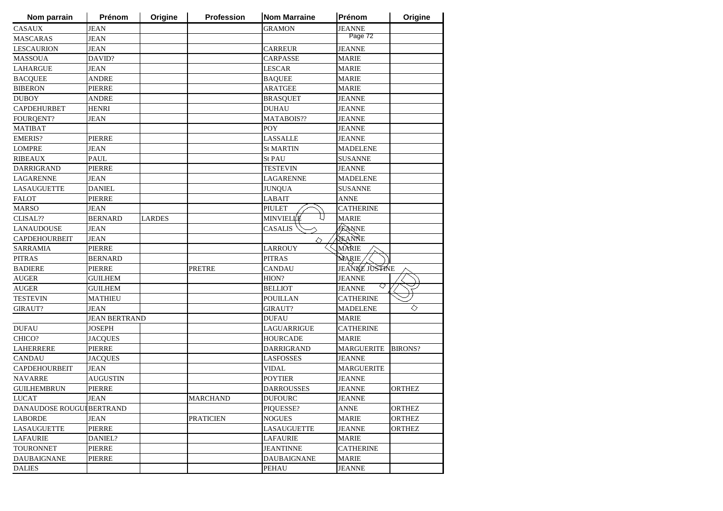| Nom parrain               | Prénom               | Origine       | Profession       | <b>Nom Marraine</b> | Prénom             | Origine       |
|---------------------------|----------------------|---------------|------------------|---------------------|--------------------|---------------|
| <b>CASAUX</b>             | <b>JEAN</b>          |               |                  | <b>GRAMON</b>       | <b>JEANNE</b>      |               |
| <b>MASCARAS</b>           | <b>JEAN</b>          |               |                  |                     | Page 72            |               |
| <b>LESCAURION</b>         | <b>JEAN</b>          |               |                  | CARREUR             | <b>JEANNE</b>      |               |
| <b>MASSOUA</b>            | DAVID?               |               |                  | <b>CARPASSE</b>     | <b>MARIE</b>       |               |
| <b>LAHARGUE</b>           | <b>JEAN</b>          |               |                  | <b>LESCAR</b>       | <b>MARIE</b>       |               |
| <b>BACQUEE</b>            | ANDRE                |               |                  | <b>BAQUEE</b>       | <b>MARIE</b>       |               |
| <b>BIBERON</b>            | <b>PIERRE</b>        |               |                  | <b>ARATGEE</b>      | <b>MARIE</b>       |               |
| <b>DUBOY</b>              | ANDRE                |               |                  | <b>BRASQUET</b>     | <b>JEANNE</b>      |               |
| <b>CAPDEHURBET</b>        | <b>HENRI</b>         |               |                  | <b>DUHAU</b>        | <b>JEANNE</b>      |               |
| <b>FOURQENT?</b>          | <b>JEAN</b>          |               |                  | MATABOIS??          | <b>JEANNE</b>      |               |
| <b>MATIBAT</b>            |                      |               |                  | POY                 | <b>JEANNE</b>      |               |
| <b>EMERIS?</b>            | <b>PIERRE</b>        |               |                  | <b>LASSALLE</b>     | <b>JEANNE</b>      |               |
| <b>LOMPRE</b>             | <b>JEAN</b>          |               |                  | <b>St MARTIN</b>    | <b>MADELENE</b>    |               |
| <b>RIBEAUX</b>            | <b>PAUL</b>          |               |                  | <b>St PAU</b>       | <b>SUSANNE</b>     |               |
| DARRIGRAND                | <b>PIERRE</b>        |               |                  | TESTEVIN            | <b>JEANNE</b>      |               |
| <b>LAGARENNE</b>          | <b>JEAN</b>          |               |                  | LAGARENNE           | <b>MADELENE</b>    |               |
| <b>LASAUGUETTE</b>        | <b>DANIEL</b>        |               |                  | <b>JUNQUA</b>       | <b>SUSANNE</b>     |               |
| <b>FALOT</b>              | PIERRE               |               |                  | <b>LABAIT</b>       | ANNE               |               |
| <b>MARSO</b>              | JEAN                 |               |                  | <b>PIULET</b>       | <b>CATHERINE</b>   |               |
| CLISAL??                  | <b>BERNARD</b>       | <b>LARDES</b> |                  | MINVIELI⊄É          | <b>MARIE</b>       |               |
| <b>LANAUDOUSE</b>         | <b>JEAN</b>          |               |                  | <b>CASALIS</b>      | <b>JEANNE</b>      |               |
| <b>CAPDEHOURBEIT</b>      | <b>JEAN</b>          |               |                  | ◇                   | <b>SEANNE</b>      |               |
| <b>SARRAMIA</b>           | <b>PIERRE</b>        |               |                  | LARROUY             | MARIE              |               |
| <b>PITRAS</b>             | <b>BERNARD</b>       |               |                  | <b>PITRAS</b>       | MARIE,             |               |
| <b>BADIERE</b>            | <b>PIERRE</b>        |               | <b>PRETRE</b>    | <b>CANDAU</b>       | JEANNE JUSTINE     |               |
| <b>AUGER</b>              | <b>GUILHEM</b>       |               |                  | HION?               | <b>JEANNE</b>      |               |
| <b>AUGER</b>              | <b>GUILHEM</b>       |               |                  | <b>BELLIOT</b>      | ◇<br><b>JEANNE</b> |               |
| <b>TESTEVIN</b>           | <b>MATHIEU</b>       |               |                  | <b>POUILLAN</b>     | <b>CATHERINE</b>   |               |
| <b>GIRAUT?</b>            | <b>JEAN</b>          |               |                  | <b>GIRAUT?</b>      | <b>MADELENE</b>    | ◇             |
|                           | <b>JEAN BERTRAND</b> |               |                  | <b>DUFAU</b>        | <b>MARIE</b>       |               |
| <b>DUFAU</b>              | JOSEPH               |               |                  | LAGUARRIGUE         | <b>CATHERINE</b>   |               |
| CHICO?                    | <b>JACQUES</b>       |               |                  | <b>HOURCADE</b>     | <b>MARIE</b>       |               |
| <b>LAHERRERE</b>          | <b>PIERRE</b>        |               |                  | <b>DARRIGRAND</b>   | <b>MARGUERITE</b>  | BIRONS?       |
| <b>CANDAU</b>             | <b>JACQUES</b>       |               |                  | <b>LASFOSSES</b>    | <b>JEANNE</b>      |               |
| <b>CAPDEHOURBEIT</b>      | <b>JEAN</b>          |               |                  | <b>VIDAL</b>        | <b>MARGUERITE</b>  |               |
| <b>NAVARRE</b>            | <b>AUGUSTIN</b>      |               |                  | POYTIER             | <b>JEANNE</b>      |               |
| <b>GUILHEMBRUN</b>        | <b>PIERRE</b>        |               |                  | DARROUSSES          | <b>JEANNE</b>      | <b>ORTHEZ</b> |
| LUCAT                     | <b>JEAN</b>          |               | <b>MARCHAND</b>  | <b>DUFOURC</b>      | <b>JEANNE</b>      |               |
| DANAUDOSE ROUGUI BERTRAND |                      |               |                  | PIQUESSE?           | <b>ANNE</b>        | <b>ORTHEZ</b> |
| <b>LABORDE</b>            | <b>JEAN</b>          |               | <b>PRATICIEN</b> | <b>NOGUES</b>       | MARIE              | <b>ORTHEZ</b> |
| <b>LASAUGUETTE</b>        | <b>PIERRE</b>        |               |                  | <b>LASAUGUETTE</b>  | <b>JEANNE</b>      | <b>ORTHEZ</b> |
| <b>LAFAURIE</b>           | DANIEL?              |               |                  | <b>LAFAURIE</b>     | MARIE              |               |
| <b>TOURONNET</b>          | <b>PIERRE</b>        |               |                  | <b>JEANTINNE</b>    | <b>CATHERINE</b>   |               |
| <b>DAUBAIGNANE</b>        | <b>PIERRE</b>        |               |                  | <b>DAUBAIGNANE</b>  | <b>MARIE</b>       |               |
| <b>DALIES</b>             |                      |               |                  | <b>PEHAU</b>        | <b>JEANNE</b>      |               |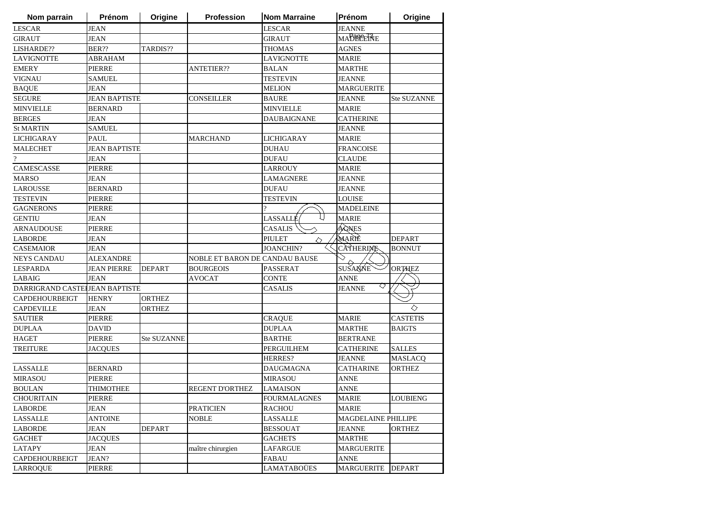| <b>JEAN</b><br><b>JEANNE</b><br><b>LESCAR</b><br><b>LESCAR</b><br>MABBEERE<br><b>JEAN</b><br><b>GIRAUT</b><br>GIRAUT<br>BER??<br>TARDIS??<br><b>AGNES</b><br>THOMAS<br><b>MARIE</b><br>ABRAHAM<br><b>LAVIGNOTTE</b><br><b>PIERRE</b><br><b>ANTETIER??</b><br><b>BALAN</b><br><b>MARTHE</b><br>TESTEVIN<br><b>JEANNE</b><br>SAMUEL<br><b>MARGUERITE</b><br><b>JEAN</b><br><b>MELION</b><br><b>JEAN BAPTISTE</b><br><b>CONSEILLER</b><br><b>BAURE</b><br><b>JEANNE</b><br><b>Ste SUZANNE</b><br><b>MINVIELLE</b><br><b>MARIE</b><br><b>BERNARD</b><br><b>DAUBAIGNANE</b><br><b>CATHERINE</b><br><b>JEAN</b><br><b>SAMUEL</b><br><b>JEANNE</b><br><b>PAUL</b><br><b>MARIE</b><br><b>MARCHAND</b><br><b>LICHIGARAY</b><br><b>FRANCOISE</b><br><b>JEAN BAPTISTE</b><br><b>DUHAU</b><br><b>JEAN</b><br><b>DUFAU</b><br><b>CLAUDE</b><br>PIERRE<br><b>LARROUY</b><br><b>MARIE</b><br><b>LAMAGNERE</b><br><b>JEAN</b><br>JEANNE<br><b>BERNARD</b><br><b>DUFAU</b><br><b>JEANNE</b> | Nom parrain |
|----------------------------------------------------------------------------------------------------------------------------------------------------------------------------------------------------------------------------------------------------------------------------------------------------------------------------------------------------------------------------------------------------------------------------------------------------------------------------------------------------------------------------------------------------------------------------------------------------------------------------------------------------------------------------------------------------------------------------------------------------------------------------------------------------------------------------------------------------------------------------------------------------------------------------------------------------------------------------|-------------|
|                                                                                                                                                                                                                                                                                                                                                                                                                                                                                                                                                                                                                                                                                                                                                                                                                                                                                                                                                                            |             |
| LISHARDE??<br><b>LAVIGNOTTE</b><br><b>EMERY</b><br><b>VIGNAU</b><br><b>BAQUE</b><br><b>SEGURE</b><br><b>MINVIELLE</b><br><b>BERGES</b><br><b>St MARTIN</b><br><b>LICHIGARAY</b><br><b>MALECHET</b>                                                                                                                                                                                                                                                                                                                                                                                                                                                                                                                                                                                                                                                                                                                                                                         |             |
|                                                                                                                                                                                                                                                                                                                                                                                                                                                                                                                                                                                                                                                                                                                                                                                                                                                                                                                                                                            |             |
|                                                                                                                                                                                                                                                                                                                                                                                                                                                                                                                                                                                                                                                                                                                                                                                                                                                                                                                                                                            |             |
|                                                                                                                                                                                                                                                                                                                                                                                                                                                                                                                                                                                                                                                                                                                                                                                                                                                                                                                                                                            |             |
|                                                                                                                                                                                                                                                                                                                                                                                                                                                                                                                                                                                                                                                                                                                                                                                                                                                                                                                                                                            |             |
|                                                                                                                                                                                                                                                                                                                                                                                                                                                                                                                                                                                                                                                                                                                                                                                                                                                                                                                                                                            |             |
|                                                                                                                                                                                                                                                                                                                                                                                                                                                                                                                                                                                                                                                                                                                                                                                                                                                                                                                                                                            |             |
|                                                                                                                                                                                                                                                                                                                                                                                                                                                                                                                                                                                                                                                                                                                                                                                                                                                                                                                                                                            |             |
|                                                                                                                                                                                                                                                                                                                                                                                                                                                                                                                                                                                                                                                                                                                                                                                                                                                                                                                                                                            |             |
|                                                                                                                                                                                                                                                                                                                                                                                                                                                                                                                                                                                                                                                                                                                                                                                                                                                                                                                                                                            |             |
|                                                                                                                                                                                                                                                                                                                                                                                                                                                                                                                                                                                                                                                                                                                                                                                                                                                                                                                                                                            |             |
| $\overline{?}$<br>CAMESCASSE<br><b>MARSO</b><br><b>LAROUSSE</b>                                                                                                                                                                                                                                                                                                                                                                                                                                                                                                                                                                                                                                                                                                                                                                                                                                                                                                            |             |
|                                                                                                                                                                                                                                                                                                                                                                                                                                                                                                                                                                                                                                                                                                                                                                                                                                                                                                                                                                            |             |
|                                                                                                                                                                                                                                                                                                                                                                                                                                                                                                                                                                                                                                                                                                                                                                                                                                                                                                                                                                            |             |
|                                                                                                                                                                                                                                                                                                                                                                                                                                                                                                                                                                                                                                                                                                                                                                                                                                                                                                                                                                            |             |
|                                                                                                                                                                                                                                                                                                                                                                                                                                                                                                                                                                                                                                                                                                                                                                                                                                                                                                                                                                            |             |
| <b>TESTEVIN</b><br><b>PIERRE</b><br>TESTEVIN<br>LOUISE                                                                                                                                                                                                                                                                                                                                                                                                                                                                                                                                                                                                                                                                                                                                                                                                                                                                                                                     |             |
| <b>GAGNERONS</b><br><b>PIERRE</b><br><b>MADELEINE</b>                                                                                                                                                                                                                                                                                                                                                                                                                                                                                                                                                                                                                                                                                                                                                                                                                                                                                                                      |             |
| LASSALLÉ<br><b>MARIE</b><br><b>GENTIU</b><br><b>JEAN</b>                                                                                                                                                                                                                                                                                                                                                                                                                                                                                                                                                                                                                                                                                                                                                                                                                                                                                                                   |             |
| <b>CASALIS</b><br>ÁGNES<br><b>PIERRE</b><br><b>ARNAUDOUSE</b>                                                                                                                                                                                                                                                                                                                                                                                                                                                                                                                                                                                                                                                                                                                                                                                                                                                                                                              |             |
| MARIÈ<br><b>DEPART</b><br><b>LABORDE</b><br><b>JEAN</b><br><b>PIULET</b><br>◇                                                                                                                                                                                                                                                                                                                                                                                                                                                                                                                                                                                                                                                                                                                                                                                                                                                                                              |             |
| CATHERINE<br><b>JOANCHIN?</b><br><b>CASEMAIOR</b><br><b>JEAN</b><br><b>BONNUT</b>                                                                                                                                                                                                                                                                                                                                                                                                                                                                                                                                                                                                                                                                                                                                                                                                                                                                                          |             |
| <b>NEYS CANDAU</b><br>NOBLE ET BARON DE CANDAU BAUSE<br><b>ALEXANDRE</b>                                                                                                                                                                                                                                                                                                                                                                                                                                                                                                                                                                                                                                                                                                                                                                                                                                                                                                   |             |
| SUSANNE<br><b>LESPARDA</b><br><b>JEAN PIERRE</b><br><b>DEPART</b><br><b>BOURGEOIS</b><br>PASSERAT<br><b>ORTHEZ</b>                                                                                                                                                                                                                                                                                                                                                                                                                                                                                                                                                                                                                                                                                                                                                                                                                                                         |             |
| LABAIG<br><b>JEAN</b><br><b>AVOCAT</b><br><b>CONTE</b><br><b>ANNE</b>                                                                                                                                                                                                                                                                                                                                                                                                                                                                                                                                                                                                                                                                                                                                                                                                                                                                                                      |             |
| ◇<br>DARRIGRAND CASTELLEAN BAPTISTE<br><b>CASALIS</b><br><b>JEANNE</b>                                                                                                                                                                                                                                                                                                                                                                                                                                                                                                                                                                                                                                                                                                                                                                                                                                                                                                     |             |
| <b>ORTHEZ</b><br>CAPDEHOURBEIGT<br><b>HENRY</b>                                                                                                                                                                                                                                                                                                                                                                                                                                                                                                                                                                                                                                                                                                                                                                                                                                                                                                                            |             |
| ◇<br><b>CAPDEVILLE</b><br><b>JEAN</b><br><b>ORTHEZ</b>                                                                                                                                                                                                                                                                                                                                                                                                                                                                                                                                                                                                                                                                                                                                                                                                                                                                                                                     |             |
| <b>MARIE</b><br><b>CASTETIS</b><br><b>SAUTIER</b><br><b>PIERRE</b><br><b>CRAQUE</b>                                                                                                                                                                                                                                                                                                                                                                                                                                                                                                                                                                                                                                                                                                                                                                                                                                                                                        |             |
| <b>DUPLAA</b><br><b>BAIGTS</b><br><b>DUPLAA</b><br><b>DAVID</b><br>MARTHE                                                                                                                                                                                                                                                                                                                                                                                                                                                                                                                                                                                                                                                                                                                                                                                                                                                                                                  |             |
| <b>HAGET</b><br><b>PIERRE</b><br>Ste SUZANNE<br><b>BARTHE</b><br><b>BERTRANE</b>                                                                                                                                                                                                                                                                                                                                                                                                                                                                                                                                                                                                                                                                                                                                                                                                                                                                                           |             |
| <b>PERGUILHEM</b><br><b>TREITURE</b><br><b>JACQUES</b><br><b>CATHERINE</b><br><b>SALLES</b>                                                                                                                                                                                                                                                                                                                                                                                                                                                                                                                                                                                                                                                                                                                                                                                                                                                                                |             |
| <b>MASLACQ</b><br><b>HERRES?</b><br>JEANNE                                                                                                                                                                                                                                                                                                                                                                                                                                                                                                                                                                                                                                                                                                                                                                                                                                                                                                                                 |             |
| <b>LASSALLE</b><br><b>DAUGMAGNA</b><br><b>CATHARINE</b><br><b>ORTHEZ</b><br><b>BERNARD</b>                                                                                                                                                                                                                                                                                                                                                                                                                                                                                                                                                                                                                                                                                                                                                                                                                                                                                 |             |
| <b>MIRASOU</b><br><b>PIERRE</b><br><b>MIRASOU</b><br><b>ANNE</b>                                                                                                                                                                                                                                                                                                                                                                                                                                                                                                                                                                                                                                                                                                                                                                                                                                                                                                           |             |
| <b>BOULAN</b><br>THIMOTHEE<br><b>REGENT D'ORTHEZ</b><br><b>LAMAISON</b><br><b>ANNE</b>                                                                                                                                                                                                                                                                                                                                                                                                                                                                                                                                                                                                                                                                                                                                                                                                                                                                                     |             |
| PIERRE<br><b>MARIE</b><br>LOUBIENG<br><b>CHOURITAIN</b><br><b>FOURMALAGNES</b>                                                                                                                                                                                                                                                                                                                                                                                                                                                                                                                                                                                                                                                                                                                                                                                                                                                                                             |             |
| <b>PRATICIEN</b><br>LABORDE<br>JEAN<br><b>RACHOU</b><br>MARIE                                                                                                                                                                                                                                                                                                                                                                                                                                                                                                                                                                                                                                                                                                                                                                                                                                                                                                              |             |
| <b>NOBLE</b><br><b>LASSALLE</b><br>LASSALLE<br><b>ANTOINE</b><br>MAGDELAINE PHILLIPE                                                                                                                                                                                                                                                                                                                                                                                                                                                                                                                                                                                                                                                                                                                                                                                                                                                                                       |             |
| <b>DEPART</b><br><b>BESSOUAT</b><br><b>LABORDE</b><br><b>JEAN</b><br><b>JEANNE</b><br><b>ORTHEZ</b>                                                                                                                                                                                                                                                                                                                                                                                                                                                                                                                                                                                                                                                                                                                                                                                                                                                                        |             |
| <b>GACHET</b><br><b>JACQUES</b><br><b>GACHETS</b><br><b>MARTHE</b>                                                                                                                                                                                                                                                                                                                                                                                                                                                                                                                                                                                                                                                                                                                                                                                                                                                                                                         |             |
| <b>LATAPY</b><br><b>JEAN</b><br>maître chirurgien<br><b>LAFARGUE</b><br><b>MARGUERITE</b>                                                                                                                                                                                                                                                                                                                                                                                                                                                                                                                                                                                                                                                                                                                                                                                                                                                                                  |             |
| CAPDEHOURBEIGT<br>JEAN?<br><b>FABAU</b><br><b>ANNE</b>                                                                                                                                                                                                                                                                                                                                                                                                                                                                                                                                                                                                                                                                                                                                                                                                                                                                                                                     |             |
| LAMATABOÜES<br><b>LARROQUE</b><br><b>PIERRE</b><br><b>MARGUERITE</b><br><b>DEPART</b>                                                                                                                                                                                                                                                                                                                                                                                                                                                                                                                                                                                                                                                                                                                                                                                                                                                                                      |             |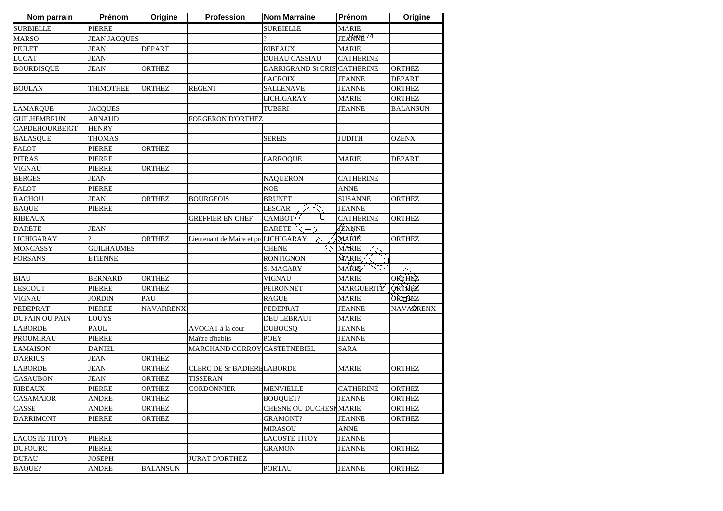| Nom parrain           | Prénom              | Origine          | <b>Profession</b>                    | <b>Nom Marraine</b>          | Prénom                 | Origine          |
|-----------------------|---------------------|------------------|--------------------------------------|------------------------------|------------------------|------------------|
| <b>SURBIELLE</b>      | <b>PIERRE</b>       |                  |                                      | <b>SURBIELLE</b>             | <b>MARIE</b>           |                  |
| <b>MARSO</b>          | <b>JEAN JACQUES</b> |                  |                                      | $\gamma$                     | JEARROPE <sup>74</sup> |                  |
| <b>PIULET</b>         | <b>JEAN</b>         | <b>DEPART</b>    |                                      | <b>RIBEAUX</b>               | <b>MARIE</b>           |                  |
| <b>LUCAT</b>          | <b>JEAN</b>         |                  |                                      | <b>DUHAU CASSIAU</b>         | <b>CATHERINE</b>       |                  |
| <b>BOURDISQUE</b>     | JEAN                | <b>ORTHEZ</b>    |                                      | DARRIGRAND St CRISTCATHERINE |                        | <b>ORTHEZ</b>    |
|                       |                     |                  |                                      | <b>LACROIX</b>               | <b>JEANNE</b>          | <b>DEPART</b>    |
| <b>BOULAN</b>         | THIMOTHEE           | <b>ORTHEZ</b>    | <b>REGENT</b>                        | <b>SALLENAVE</b>             | <b>JEANNE</b>          | <b>ORTHEZ</b>    |
|                       |                     |                  |                                      | <b>LICHIGARAY</b>            | <b>MARIE</b>           | <b>ORTHEZ</b>    |
| <b>LAMARQUE</b>       | <b>JACQUES</b>      |                  |                                      | <b>TUBERI</b>                | <b>JEANNE</b>          | <b>BALANSUN</b>  |
| <b>GUILHEMBRUN</b>    | <b>ARNAUD</b>       |                  | <b>FORGERON D'ORTHEZ</b>             |                              |                        |                  |
| <b>CAPDEHOURBEIGT</b> | <b>HENRY</b>        |                  |                                      |                              |                        |                  |
| <b>BALASQUE</b>       | <b>THOMAS</b>       |                  |                                      | <b>SEREIS</b>                | <b>JUDITH</b>          | <b>OZENX</b>     |
| <b>FALOT</b>          | <b>PIERRE</b>       | <b>ORTHEZ</b>    |                                      |                              |                        |                  |
| <b>PITRAS</b>         | PIERRE              |                  |                                      | LARROQUE                     | <b>MARIE</b>           | <b>DEPART</b>    |
| <b>VIGNAU</b>         | PIERRE              | <b>ORTHEZ</b>    |                                      |                              |                        |                  |
| <b>BERGES</b>         | JEAN                |                  |                                      | <b>NAQUERON</b>              | <b>CATHERINE</b>       |                  |
| <b>FALOT</b>          | PIERRE              |                  |                                      | <b>NOE</b>                   | <b>ANNE</b>            |                  |
| <b>RACHOU</b>         | JEAN                | <b>ORTHEZ</b>    | <b>BOURGEOIS</b>                     | <b>BRUNET</b>                | <b>SUSANNE</b>         | <b>ORTHEZ</b>    |
| <b>BAQUE</b>          | PIERRE              |                  |                                      | <b>LESCAR</b>                | <b>JEANNE</b>          |                  |
| <b>RIBEAUX</b>        |                     |                  | <b>GREFFIER EN CHEF</b>              | <b>CAMBOT</b>                | <b>CATHERINE</b>       | <b>ORTHEZ</b>    |
| <b>DARETE</b>         | <b>JEAN</b>         |                  |                                      | <b>DARETE</b>                | JEANNE                 |                  |
| <b>LICHIGARAY</b>     | $\gamma$            | <b>ORTHEZ</b>    | Lieutenant de Maire et proLICHIGARAY | △                            | MARIÈ                  | <b>ORTHEZ</b>    |
| MONCASSY              | <b>GUILHAUMES</b>   |                  |                                      | <b>CHENE</b>                 | MARIE                  |                  |
| <b>FORSANS</b>        | <b>ETIENNE</b>      |                  |                                      | <b>RONTIGNON</b>             | MARIE                  |                  |
|                       |                     |                  |                                      | <b>St MACARY</b>             | <b>MARIÉ</b>           |                  |
| <b>BIAU</b>           | <b>BERNARD</b>      | <b>ORTHEZ</b>    |                                      | <b>VIGNAU</b>                | <b>MARIE</b>           | ORTHEZ           |
| <b>LESCOUT</b>        | <b>PIERRE</b>       | <b>ORTHEZ</b>    |                                      | <b>PEIRONNET</b>             | MARGUERITE             | <b>ORTHEZ</b>    |
| <b>VIGNAU</b>         | <b>JORDIN</b>       | PAU              |                                      | <b>RAGUE</b>                 | <b>MARIE</b>           | ORTHEZ           |
| PEDEPRAT              | <b>PIERRE</b>       | <b>NAVARRENX</b> |                                      | PEDEPRAT                     | <b>JEANNE</b>          | <b>NAVARRENX</b> |
| <b>DUPAIN OU PAIN</b> | LOUYS               |                  |                                      | <b>DEU LEBRAUT</b>           | <b>MARIE</b>           |                  |
| <b>LABORDE</b>        | <b>PAUL</b>         |                  | AVOCAT à la cour                     | <b>DUBOCSQ</b>               | <b>JEANNE</b>          |                  |
| PROUMIRAU             | PIERRE              |                  | Maître d'habits                      | <b>POEY</b>                  | <b>JEANNE</b>          |                  |
| <b>LAMAISON</b>       | <b>DANIEL</b>       |                  | MARCHAND CORROY CASTETNEBIEL         |                              | SARA                   |                  |
| <b>DARRIUS</b>        | <b>JEAN</b>         | <b>ORTHEZ</b>    |                                      |                              |                        |                  |
| <b>LABORDE</b>        | JEAN                | <b>ORTHEZ</b>    | <b>CLERC DE Sr BADIERELABORDE</b>    |                              | <b>MARIE</b>           | <b>ORTHEZ</b>    |
| <b>CASAUBON</b>       | <b>JEAN</b>         | <b>ORTHEZ</b>    | <b>TISSERAN</b>                      |                              |                        |                  |
| <b>RIBEAUX</b>        | <b>PIERRE</b>       | <b>ORTHEZ</b>    | <b>CORDONNIER</b>                    | <b>MENVIELLE</b>             | <b>CATHERINE</b>       | <b>ORTHEZ</b>    |
| CASAMAIOR             | ANDRE               | <b>ORTHEZ</b>    |                                      | <b>BOUQUET?</b>              | <b>JEANNE</b>          | <b>ORTHEZ</b>    |
| CASSE                 | ANDRE               | ORTHEZ           |                                      | CHESNE OU DUCHESNMARIE       |                        | <b>ORTHEZ</b>    |
| <b>DARRIMONT</b>      | <b>PIERRE</b>       | <b>ORTHEZ</b>    |                                      | <b>GRAMONT?</b>              | <b>JEANNE</b>          | <b>ORTHEZ</b>    |
|                       |                     |                  |                                      | <b>MIRASOU</b>               | <b>ANNE</b>            |                  |
| <b>LACOSTE TITOY</b>  | <b>PIERRE</b>       |                  |                                      | <b>LACOSTE TITOY</b>         | <b>JEANNE</b>          |                  |
| <b>DUFOURC</b>        | PIERRE              |                  |                                      | <b>GRAMON</b>                | JEANNE                 | <b>ORTHEZ</b>    |
| <b>DUFAU</b>          | <b>JOSEPH</b>       |                  | <b>JURAT D'ORTHEZ</b>                |                              |                        |                  |
| <b>BAQUE?</b>         | ANDRE               | <b>BALANSUN</b>  |                                      | <b>PORTAU</b>                | <b>JEANNE</b>          | <b>ORTHEZ</b>    |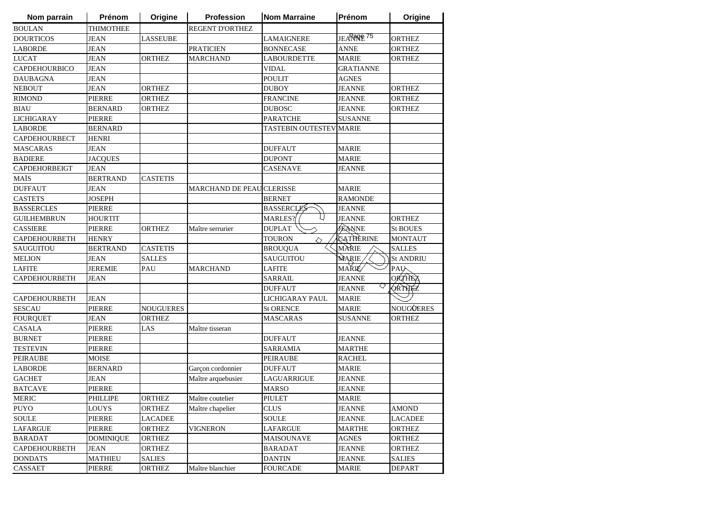| Nom parrain          | Prénom           | Origine          | Profession                       | <b>Nom Marraine</b>     | Prénom                 | Origine          |
|----------------------|------------------|------------------|----------------------------------|-------------------------|------------------------|------------------|
| <b>BOULAN</b>        | <b>THIMOTHEE</b> |                  | <b>REGENT D'ORTHEZ</b>           |                         |                        |                  |
| <b>DOURTICOS</b>     | <b>JEAN</b>      | <b>LASSEUBE</b>  |                                  | LAMAIGNERE              | JEARROPE <sup>75</sup> | <b>ORTHEZ</b>    |
| <b>LABORDE</b>       | <b>JEAN</b>      |                  | <b>PRATICIEN</b>                 | <b>BONNECASE</b>        | <b>ANNE</b>            | <b>ORTHEZ</b>    |
| <b>LUCAT</b>         | <b>JEAN</b>      | <b>ORTHEZ</b>    | <b>MARCHAND</b>                  | LABOURDETTE             | <b>MARIE</b>           | <b>ORTHEZ</b>    |
| <b>CAPDEHOURBICO</b> | <b>JEAN</b>      |                  |                                  | <b>VIDAL</b>            | <b>GRATIANNE</b>       |                  |
| <b>DAUBAGNA</b>      | JEAN             |                  |                                  | <b>POULIT</b>           | AGNES                  |                  |
| <b>NEBOUT</b>        | <b>JEAN</b>      | <b>ORTHEZ</b>    |                                  | <b>DUBOY</b>            | <b>JEANNE</b>          | <b>ORTHEZ</b>    |
| <b>RIMOND</b>        | <b>PIERRE</b>    | <b>ORTHEZ</b>    |                                  | <b>FRANCINE</b>         | <b>JEANNE</b>          | <b>ORTHEZ</b>    |
| <b>BIAU</b>          | <b>BERNARD</b>   | <b>ORTHEZ</b>    |                                  | <b>DUBOSC</b>           | <b>JEANNE</b>          | <b>ORTHEZ</b>    |
| <b>LICHIGARAY</b>    | <b>PIERRE</b>    |                  |                                  | <b>PARATCHE</b>         | <b>SUSANNE</b>         |                  |
| <b>LABORDE</b>       | <b>BERNARD</b>   |                  |                                  | TASTEBIN OUTESTEV MARIE |                        |                  |
| <b>CAPDEHOURBECT</b> | <b>HENRI</b>     |                  |                                  |                         |                        |                  |
| <b>MASCARAS</b>      | JEAN             |                  |                                  | <b>DUFFAUT</b>          | <b>MARIE</b>           |                  |
| <b>BADIERE</b>       | <b>JACOUES</b>   |                  |                                  | <b>DUPONT</b>           | <b>MARIE</b>           |                  |
| <b>CAPDEHORBEIGT</b> | <b>JEAN</b>      |                  |                                  | CASENAVE                | JEANNE                 |                  |
| MAÏS                 | <b>BERTRAND</b>  | <b>CASTETIS</b>  |                                  |                         |                        |                  |
| <b>DUFFAUT</b>       | <b>JEAN</b>      |                  | <b>MARCHAND DE PEAU CLERISSE</b> |                         | <b>MARIE</b>           |                  |
| <b>CASTETS</b>       | <b>JOSEPH</b>    |                  |                                  | <b>BERNET</b>           | <b>RAMONDE</b>         |                  |
| <b>BASSERCLES</b>    | <b>PIERRE</b>    |                  |                                  | <b>BASSERCLES</b>       | <b>JEANNE</b>          |                  |
| <b>GUILHEMBRUN</b>   | <b>HOURTIT</b>   |                  |                                  | <b>MARLES?</b>          | <b>JEANNE</b>          | <b>ORTHEZ</b>    |
| <b>CASSIERE</b>      | <b>PIERRE</b>    | <b>ORTHEZ</b>    | Maître serrurier                 | <b>DUPLAT</b>           | JEANNE                 | <b>St BOUES</b>  |
| <b>CAPDEHOURBETH</b> | <b>HENRY</b>     |                  |                                  | <b>TOURON</b><br>◇      | CATHERINE              | <b>MONTAUT</b>   |
| SAUGUITOU            | <b>BERTRAND</b>  | <b>CASTETIS</b>  |                                  | <b>BROUQUA</b>          | MÀRIE                  | <b>SALLES</b>    |
| <b>MELION</b>        | JEAN             | <b>SALLES</b>    |                                  | <b>SAUGUITOU</b>        | MARIE                  | <b>St ANDRIU</b> |
| <b>LAFITE</b>        | <b>JEREMIE</b>   | PAU              | <b>MARCHAND</b>                  | <b>LAFITE</b>           | <b>MARIÉ</b>           | <b>PAU</b>       |
| <b>CAPDEHOURBETH</b> | <b>JEAN</b>      |                  |                                  | <b>SARRAIL</b>          | <b>JEANNE</b>          | <b>ORTHEZ</b>    |
|                      |                  |                  |                                  | <b>DUFFAUT</b>          | ▽<br><b>JEANNE</b>     | <b>ORTHEZ</b>    |
| <b>CAPDEHOURBETH</b> | <b>JEAN</b>      |                  |                                  | <b>LICHIGARAY PAUL</b>  | <b>MARIE</b>           |                  |
| <b>SESCAU</b>        | <b>PIERRE</b>    | <b>NOUGUERES</b> |                                  | <b>St ORENCE</b>        | <b>MARIE</b>           | <b>NOUGÛERES</b> |
| <b>FOURQUET</b>      | JEAN             | <b>ORTHEZ</b>    |                                  | MASCARAS                | <b>SUSANNE</b>         | <b>ORTHEZ</b>    |
| <b>CASALA</b>        | <b>PIERRE</b>    | LAS              | Maître tisseran                  |                         |                        |                  |
| <b>BURNET</b>        | PIERRE           |                  |                                  | DUFFAUT                 | <b>JEANNE</b>          |                  |
| <b>TESTEVIN</b>      | <b>PIERRE</b>    |                  |                                  | <b>SARRAMIA</b>         | <b>MARTHE</b>          |                  |
| <b>PEIRAUBE</b>      | <b>MOISE</b>     |                  |                                  | <b>PEIRAUBE</b>         | <b>RACHEL</b>          |                  |
| <b>LABORDE</b>       | <b>BERNARD</b>   |                  | Garçon cordonnier                | <b>DUFFAUT</b>          | <b>MARIE</b>           |                  |
| <b>GACHET</b>        | <b>JEAN</b>      |                  | Maître arquebusier               | <b>LAGUARRIGUE</b>      | <b>JEANNE</b>          |                  |
| <b>BATCAVE</b>       | <b>PIERRE</b>    |                  |                                  | <b>MARSO</b>            | <b>JEANNE</b>          |                  |
| <b>MERIC</b>         | PHILLIPE         | <b>ORTHEZ</b>    | Maître coutelier                 | PIULET                  | <b>MARIE</b>           |                  |
| <b>PUYO</b>          | LOUYS            | <b>ORTHEZ</b>    | Maître chapelier                 | <b>CLUS</b>             | <b>JEANNE</b>          | <b>AMOND</b>     |
| <b>SOULE</b>         | PIERRE           | LACADEE          |                                  | SOULE                   | JEANNE                 | LACADEE          |
| LAFARGUE             | <b>PIERRE</b>    | <b>ORTHEZ</b>    | VIGNERON                         | <b>LAFARGUE</b>         | <b>MARTHE</b>          | <b>ORTHEZ</b>    |
| <b>BARADAT</b>       | <b>DOMINIQUE</b> | ORTHEZ           |                                  | MAISOUNAVE              | <b>AGNES</b>           | <b>ORTHEZ</b>    |
| <b>CAPDEHOURBETH</b> | JEAN             | <b>ORTHEZ</b>    |                                  | <b>BARADAT</b>          | <b>JEANNE</b>          | <b>ORTHEZ</b>    |
| <b>DONDATS</b>       | <b>MATHIEU</b>   | <b>SALIES</b>    |                                  | <b>DANTIN</b>           | <b>JEANNE</b>          | <b>SALIES</b>    |
| CASSAET              | <b>PIERRE</b>    | <b>ORTHEZ</b>    | Maître blanchier                 | <b>FOURCADE</b>         | MARIE                  | <b>DEPART</b>    |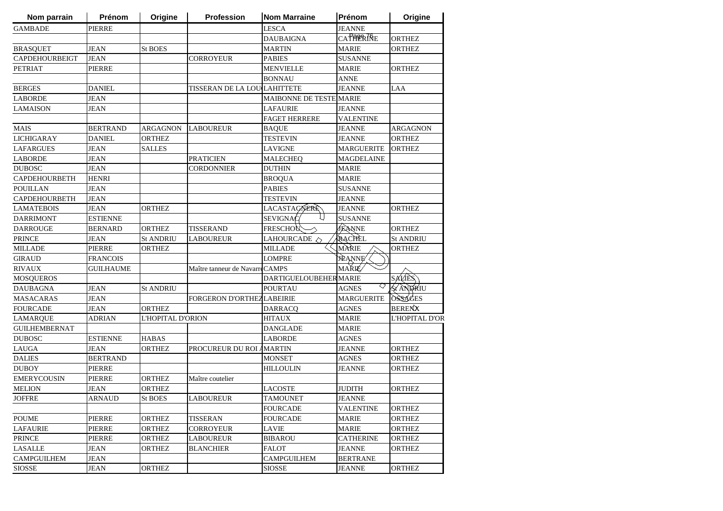| Nom parrain           | Prénom           | Origine           | <b>Profession</b>              | <b>Nom Marraine</b>            | Prénom            | Origine          |
|-----------------------|------------------|-------------------|--------------------------------|--------------------------------|-------------------|------------------|
| <b>GAMBADE</b>        | PIERRE           |                   |                                | <b>LESCA</b>                   | <b>JEANNE</b>     |                  |
|                       |                  |                   |                                | <b>DAUBAIGNA</b>               | CATARRIQE         | <b>ORTHEZ</b>    |
| <b>BRASQUET</b>       | <b>JEAN</b>      | <b>St BOES</b>    |                                | <b>MARTIN</b>                  | <b>MARIE</b>      | <b>ORTHEZ</b>    |
| <b>CAPDEHOURBEIGT</b> | <b>JEAN</b>      |                   | CORROYEUR                      | <b>PABIES</b>                  | <b>SUSANNE</b>    |                  |
| <b>PETRIAT</b>        | PIERRE           |                   |                                | <b>MENVIELLE</b>               | <b>MARIE</b>      | ORTHEZ           |
|                       |                  |                   |                                | <b>BONNAU</b>                  | ANNE              |                  |
| <b>BERGES</b>         | <b>DANIEL</b>    |                   | TISSERAN DE LA LOU LAHITTETE   |                                | JEANNE            | LAA              |
| <b>LABORDE</b>        | <b>JEAN</b>      |                   |                                | <b>MAIBONNE DE TESTE MARIE</b> |                   |                  |
| <b>LAMAISON</b>       | <b>JEAN</b>      |                   |                                | <b>LAFAURIE</b>                | <b>JEANNE</b>     |                  |
|                       |                  |                   |                                | <b>FAGET HERRERE</b>           | <b>VALENTINE</b>  |                  |
| <b>MAIS</b>           | <b>BERTRAND</b>  | <b>ARGAGNON</b>   | <b>LABOUREUR</b>               | <b>BAQUE</b>                   | <b>JEANNE</b>     | ARGAGNON         |
| <b>LICHIGARAY</b>     | <b>DANIEL</b>    | <b>ORTHEZ</b>     |                                | <b>TESTEVIN</b>                | <b>JEANNE</b>     | <b>ORTHEZ</b>    |
| <b>LAFARGUES</b>      | JEAN             | <b>SALLES</b>     |                                | <b>LAVIGNE</b>                 | <b>MARGUERITE</b> | <b>ORTHEZ</b>    |
| <b>LABORDE</b>        | JEAN             |                   | <b>PRATICIEN</b>               | <b>MALECHEQ</b>                | MAGDELAINE        |                  |
| <b>DUBOSC</b>         | <b>JEAN</b>      |                   | <b>CORDONNIER</b>              | <b>DUTHIN</b>                  | MARIE             |                  |
| <b>CAPDEHOURBETH</b>  | HENRI            |                   |                                | <b>BROQUA</b>                  | <b>MARIE</b>      |                  |
| <b>POUILLAN</b>       | <b>JEAN</b>      |                   |                                | <b>PABIES</b>                  | SUSANNE           |                  |
| <b>CAPDEHOURBETH</b>  | JEAN             |                   |                                | <b>TESTEVIN</b>                | <b>JEANNE</b>     |                  |
| <b>LAMATEBOIS</b>     | <b>JEAN</b>      | <b>ORTHEZ</b>     |                                | LACASTAGNERE                   | <b>JEANNE</b>     | ORTHEZ           |
| <b>DARRIMONT</b>      | <b>ESTIENNE</b>  |                   |                                | <b>SEVIGNAC</b>                | <b>SUSANNE</b>    |                  |
| <b>DARROUGE</b>       | <b>BERNARD</b>   | <b>ORTHEZ</b>     | <b>TISSERAND</b>               | <b>FRESCHOU</b>                | <b>JEANNE</b>     | ORTHEZ           |
| <b>PRINCE</b>         | <b>JEAN</b>      | <b>St ANDRIU</b>  | LABOUREUR                      | LAHOURCADE $\Diamond$          | RACHEL            | <b>St ANDRIU</b> |
| <b>MILLADE</b>        | <b>PIERRE</b>    | <b>ORTHEZ</b>     |                                | <b>MILLADE</b>                 | MÀRIE             | ORTHEZ           |
| <b>GIRAUD</b>         | <b>FRANCOIS</b>  |                   |                                | <b>LOMPRE</b>                  | <b>JEANNE</b>     |                  |
| <b>RIVAUX</b>         | <b>GUILHAUME</b> |                   | Maître tanneur de NavarreCAMPS |                                | <b>MARIÉ</b>      |                  |
| <b>MOSQUEROS</b>      |                  |                   |                                | <b>DARTIGUELOUBEHER MARIE</b>  |                   | SALIES           |
| <b>DAUBAGNA</b>       | <b>JEAN</b>      | <b>St ANDRIU</b>  |                                | <b>POURTAU</b>                 | ◇<br>AGNES        | AS ANDRIU        |
| <b>MASACARAS</b>      | <b>JEAN</b>      |                   | FORGERON D'ORTHEZLABEIRIE      |                                | <b>MARGUERITE</b> | <b>OSSAGES</b>   |
| <b>FOURCADE</b>       | <b>JEAN</b>      | <b>ORTHEZ</b>     |                                | <b>DARRACQ</b>                 | <b>AGNES</b>      | <b>BERENX</b>    |
| <b>LAMARQUE</b>       | ADRIAN           | L'HOPITAL D'ORION |                                | <b>HITAUX</b>                  | <b>MARIE</b>      | L'HOPITAL D'OR   |
| <b>GUILHEMBERNAT</b>  |                  |                   |                                | DANGLADE                       | MARIE             |                  |
| <b>DUBOSC</b>         | <b>ESTIENNE</b>  | <b>HABAS</b>      |                                | LABORDE                        | <b>AGNES</b>      |                  |
| <b>LAUGA</b>          | <b>JEAN</b>      | <b>ORTHEZ</b>     | PROCUREUR DU ROI AMARTIN       |                                | <b>JEANNE</b>     | <b>ORTHEZ</b>    |
| <b>DALIES</b>         | <b>BERTRAND</b>  |                   |                                | <b>MONSET</b>                  | <b>AGNES</b>      | ORTHEZ           |
| <b>DUBOY</b>          | <b>PIERRE</b>    |                   |                                | <b>HILLOULIN</b>               | <b>JEANNE</b>     | ORTHEZ           |
| <b>EMERYCOUSIN</b>    | <b>PIERRE</b>    | <b>ORTHEZ</b>     | Maître coutelier               |                                |                   |                  |
| <b>MELION</b>         | <b>JEAN</b>      | ORTHEZ            |                                | <b>LACOSTE</b>                 | JUDITH            | ORTHEZ           |
| <b>JOFFRE</b>         | ARNAUD           | St BOES           | <b>LABOUREUR</b>               | <b>TAMOUNET</b>                | <b>JEANNE</b>     |                  |
|                       |                  |                   |                                | <b>FOURCADE</b>                | VALENTINE         | <b>ORTHEZ</b>    |
| <b>POUME</b>          | <b>PIERRE</b>    | <b>ORTHEZ</b>     | <b>TISSERAN</b>                | <b>FOURCADE</b>                | MARIE             | <b>ORTHEZ</b>    |
| <b>LAFAURIE</b>       | <b>PIERRE</b>    | <b>ORTHEZ</b>     | <b>CORROYEUR</b>               | <b>LAVIE</b>                   | <b>MARIE</b>      | <b>ORTHEZ</b>    |
| <b>PRINCE</b>         | <b>PIERRE</b>    | <b>ORTHEZ</b>     | <b>LABOUREUR</b>               | <b>BIBAROU</b>                 | <b>CATHERINE</b>  | <b>ORTHEZ</b>    |
| <b>LASALLE</b>        | <b>JEAN</b>      | <b>ORTHEZ</b>     | <b>BLANCHIER</b>               | <b>FALOT</b>                   | <b>JEANNE</b>     | ORTHEZ           |
| <b>CAMPGUILHEM</b>    | <b>JEAN</b>      |                   |                                | <b>CAMPGUILHEM</b>             | <b>BERTRANE</b>   |                  |
| <b>SIOSSE</b>         |                  | <b>ORTHEZ</b>     |                                | <b>SIOSSE</b>                  |                   |                  |
|                       | JEAN             |                   |                                |                                | JEANNE            | ORTHEZ           |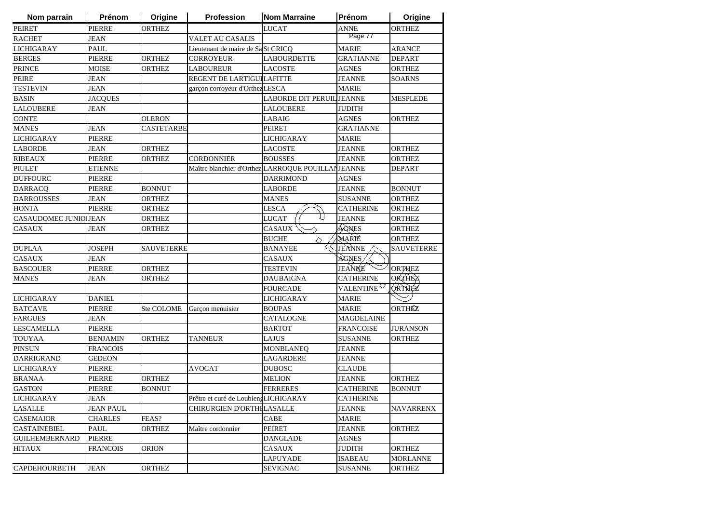| Nom parrain           | Prénom           | Origine           | Profession                                        | <b>Nom Marraine</b>       | Prénom                 | Origine           |
|-----------------------|------------------|-------------------|---------------------------------------------------|---------------------------|------------------------|-------------------|
| <b>PEIRET</b>         | <b>PIERRE</b>    | <b>ORTHEZ</b>     |                                                   | <b>LUCAT</b>              | <b>ANNE</b>            | <b>ORTHEZ</b>     |
| <b>RACHET</b>         | <b>JEAN</b>      |                   | <b>VALET AU CASALIS</b>                           |                           | Page 77                |                   |
| <b>LICHIGARAY</b>     | <b>PAUL</b>      |                   | Lieutenant de maire de SaSt CRICQ                 |                           | <b>MARIE</b>           | ARANCE            |
| <b>BERGES</b>         | <b>PIERRE</b>    | <b>ORTHEZ</b>     | <b>CORROYEUR</b>                                  | <b>LABOURDETTE</b>        | <b>GRATIANNE</b>       | <b>DEPART</b>     |
| <b>PRINCE</b>         | <b>MOISE</b>     | <b>ORTHEZ</b>     | <b>LABOUREUR</b>                                  | <b>LACOSTE</b>            | <b>AGNES</b>           | <b>ORTHEZ</b>     |
| PEIRE                 | JEAN             |                   | REGENT DE LARTIGUI LAFITTE                        |                           | <b>JEANNE</b>          | <b>SOARNS</b>     |
| <b>TESTEVIN</b>       | JEAN             |                   | garçon corroyeur d'Orthez LESCA                   |                           | <b>MARIE</b>           |                   |
| <b>BASIN</b>          | <b>JACQUES</b>   |                   |                                                   | LABORDE DIT PERUIL JEANNE |                        | <b>MESPLEDE</b>   |
| <b>LALOUBERE</b>      | <b>JEAN</b>      |                   |                                                   | <b>LALOUBERE</b>          | <b>JUDITH</b>          |                   |
| <b>CONTE</b>          |                  | <b>OLERON</b>     |                                                   | <b>LABAIG</b>             | <b>AGNES</b>           | <b>ORTHEZ</b>     |
| <b>MANES</b>          | <b>JEAN</b>      | <b>CASTETARBE</b> |                                                   | <b>PEIRET</b>             | <b>GRATIANNE</b>       |                   |
| <b>LICHIGARAY</b>     | PIERRE           |                   |                                                   | LICHIGARAY                | <b>MARIE</b>           |                   |
| <b>LABORDE</b>        | JEAN             | <b>ORTHEZ</b>     |                                                   | <b>LACOSTE</b>            | <b>JEANNE</b>          | <b>ORTHEZ</b>     |
| <b>RIBEAUX</b>        | <b>PIERRE</b>    | <b>ORTHEZ</b>     | <b>CORDONNIER</b>                                 | <b>BOUSSES</b>            | <b>JEANNE</b>          | <b>ORTHEZ</b>     |
| PIULET                | ETIENNE          |                   | Maître blanchier d'Orthez LARROQUE POUILLANJEANNE |                           |                        | DEPART            |
| <b>DUFFOURC</b>       | <b>PIERRE</b>    |                   |                                                   | <b>DARRIMOND</b>          | AGNES                  |                   |
| <b>DARRACQ</b>        | <b>PIERRE</b>    | <b>BONNUT</b>     |                                                   | <b>LABORDE</b>            | <b>JEANNE</b>          | <b>BONNUT</b>     |
| <b>DARROUSSES</b>     | JEAN             | <b>ORTHEZ</b>     |                                                   | <b>MANES</b>              | <b>SUSANNE</b>         | <b>ORTHEZ</b>     |
| <b>HONTA</b>          | <b>PIERRE</b>    | <b>ORTHEZ</b>     |                                                   | LESCA                     | <b>CATHERINE</b>       | <b>ORTHEZ</b>     |
| CASAUDOMEC JUNIOUEAN  |                  | <b>ORTHEZ</b>     |                                                   | <b>LUCAT</b>              | <b>JEANNE</b>          | <b>ORTHEZ</b>     |
| <b>CASAUX</b>         | JEAN             | <b>ORTHEZ</b>     |                                                   | <b>CASAUX</b>             | AGNES                  | <b>ORTHEZ</b>     |
|                       |                  |                   |                                                   | <b>BUCHE</b><br>◇         | MARIE                  | <b>ORTHEZ</b>     |
| <b>DUPLAA</b>         | JOSEPH           | <b>SAUVETERRE</b> |                                                   | <b>BANAYEE</b>            | <b>JEANNE</b>          | <b>SAUVETERRE</b> |
| <b>CASAUX</b>         | JEAN             |                   |                                                   | <b>CASAUX</b>             | AGNES,                 |                   |
| <b>BASCOUER</b>       | PIERRE           | <b>ORTHEZ</b>     |                                                   | <b>TESTEVIN</b>           | JEANNE                 | <b>ORTHEZ</b>     |
| <b>MANES</b>          | <b>JEAN</b>      | <b>ORTHEZ</b>     |                                                   | <b>DAUBAIGNA</b>          | <b>CATHERINE</b>       | <b>ORTHEZ</b>     |
|                       |                  |                   |                                                   | <b>FOURCADE</b>           | VALENTINE <sup>Q</sup> | <b>ORTHEZ</b>     |
| <b>LICHIGARAY</b>     | <b>DANIEL</b>    |                   |                                                   | <b>LICHIGARAY</b>         | <b>MARIE</b>           |                   |
| <b>BATCAVE</b>        | <b>PIERRE</b>    | <b>Ste COLOME</b> | Garçon menuisier                                  | <b>BOUPAS</b>             | <b>MARIE</b>           | ORTHÉZ            |
| <b>FARGUES</b>        | <b>JEAN</b>      |                   |                                                   | CATALOGNE                 | <b>MAGDELAINE</b>      |                   |
| <b>LESCAMELLA</b>     | <b>PIERRE</b>    |                   |                                                   | <b>BARTOT</b>             | <b>FRANCOISE</b>       | <b>JURANSON</b>   |
| <b>TOUYAA</b>         | BENJAMIN         | <b>ORTHEZ</b>     | TANNEUR                                           | LAJUS                     | SUSANNE                | <b>ORTHEZ</b>     |
| <b>PINSUN</b>         | <b>FRANCOIS</b>  |                   |                                                   | <b>MONBLANEQ</b>          | <b>JEANNE</b>          |                   |
| DARRIGRAND            | <b>GEDEON</b>    |                   |                                                   | LAGARDERE                 | <b>JEANNE</b>          |                   |
| <b>LICHIGARAY</b>     | <b>PIERRE</b>    |                   | <b>AVOCAT</b>                                     | <b>DUBOSC</b>             | <b>CLAUDE</b>          |                   |
| <b>BRANAA</b>         | <b>PIERRE</b>    | <b>ORTHEZ</b>     |                                                   | <b>MELION</b>             | <b>JEANNE</b>          | <b>ORTHEZ</b>     |
| <b>GASTON</b>         | PIERRE           | <b>BONNUT</b>     |                                                   | <b>FERRERES</b>           | <b>CATHERINE</b>       | <b>BONNUT</b>     |
| LICHIGARAY            | JEAN             |                   | Prêtre et curé de LoubiengLICHIGARAY              |                           | <b>CATHERINE</b>       |                   |
| LASALLE               | <b>JEAN PAUL</b> |                   | CHIRURGIEN D'ORTHELASALLE                         |                           | <b>JEANNE</b>          | <b>NAVARRENX</b>  |
| <b>CASEMAIOR</b>      | <b>CHARLES</b>   | FEAS?             |                                                   | CABE                      | <b>MARIE</b>           |                   |
| <b>CASTAINEBIEL</b>   | PAUL             | <b>ORTHEZ</b>     | Maître cordonnier                                 | <b>PEIRET</b>             | <b>JEANNE</b>          | <b>ORTHEZ</b>     |
| <b>GUILHEMBERNARD</b> | PIERRE           |                   |                                                   | <b>DANGLADE</b>           | <b>AGNES</b>           |                   |
| <b>HITAUX</b>         | <b>FRANCOIS</b>  | <b>ORION</b>      |                                                   | CASAUX                    | <b>JUDITH</b>          | <b>ORTHEZ</b>     |
|                       |                  |                   |                                                   | <b>LAPUYADE</b>           | <b>ISABEAU</b>         | <b>MORLANNE</b>   |
| <b>CAPDEHOURBETH</b>  | <b>JEAN</b>      | <b>ORTHEZ</b>     |                                                   | <b>SEVIGNAC</b>           | <b>SUSANNE</b>         | <b>ORTHEZ</b>     |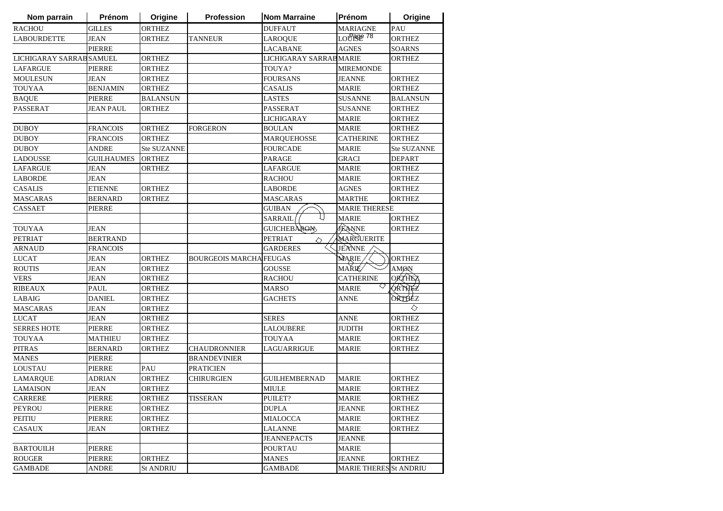| Nom parrain              | Prénom          | Origine            | <b>Profession</b>              | <b>Nom Marraine</b>          | Prénom                 | Origine            |
|--------------------------|-----------------|--------------------|--------------------------------|------------------------------|------------------------|--------------------|
| <b>RACHOU</b>            | <b>GILLES</b>   | <b>ORTHEZ</b>      |                                | <b>DUFFAUT</b>               | <b>MARIAGNE</b>        | PAU                |
| <b>LABOURDETTE</b>       | <b>JEAN</b>     | <b>ORTHEZ</b>      | <b>TANNEUR</b>                 | <b>LAROQUE</b>               | LOURSE <sup>78</sup>   | <b>ORTHEZ</b>      |
|                          | <b>PIERRE</b>   |                    |                                | <b>LACABANE</b>              | <b>AGNES</b>           | <b>SOARNS</b>      |
| LICHIGARAY SARRAB SAMUEL |                 | <b>ORTHEZ</b>      |                                | LICHIGARAY SARRAB MARIE      |                        | <b>ORTHEZ</b>      |
| <b>LAFARGUE</b>          | <b>PIERRE</b>   | <b>ORTHEZ</b>      |                                | TOUYA?                       | <b>MIREMONDE</b>       |                    |
| <b>MOULESUN</b>          | <b>JEAN</b>     | <b>ORTHEZ</b>      |                                | <b>FOURSANS</b>              | <b>JEANNE</b>          | <b>ORTHEZ</b>      |
| <b>TOUYAA</b>            | <b>BENJAMIN</b> | <b>ORTHEZ</b>      |                                | <b>CASALIS</b>               | <b>MARIE</b>           | <b>ORTHEZ</b>      |
| <b>BAQUE</b>             | <b>PIERRE</b>   | <b>BALANSUN</b>    |                                | <b>LASTES</b>                | <b>SUSANNE</b>         | <b>BALANSUN</b>    |
| <b>PASSERAT</b>          | JEAN PAUL       | <b>ORTHEZ</b>      |                                | <b>PASSERAT</b>              | <b>SUSANNE</b>         | <b>ORTHEZ</b>      |
|                          |                 |                    |                                | LICHIGARAY                   | <b>MARIE</b>           | <b>ORTHEZ</b>      |
| <b>DUBOY</b>             | <b>FRANCOIS</b> | <b>ORTHEZ</b>      | <b>FORGERON</b>                | <b>BOULAN</b>                | <b>MARIE</b>           | <b>ORTHEZ</b>      |
| <b>DUBOY</b>             | <b>FRANCOIS</b> | <b>ORTHEZ</b>      |                                | <b>MARQUEHOSSE</b>           | <b>CATHERINE</b>       | <b>ORTHEZ</b>      |
| <b>DUBOY</b>             | ANDRE           | <b>Ste SUZANNE</b> |                                | <b>FOURCADE</b>              | <b>MARIE</b>           | <b>Ste SUZANNE</b> |
| <b>LADOUSSE</b>          | GUILHAUMES      | <b>ORTHEZ</b>      |                                | <b>PARAGE</b>                | <b>GRACI</b>           | <b>DEPART</b>      |
| <b>LAFARGUE</b>          | <b>JEAN</b>     | <b>ORTHEZ</b>      |                                | LAFARGUE                     | <b>MARIE</b>           | <b>ORTHEZ</b>      |
| <b>LABORDE</b>           | <b>JEAN</b>     |                    |                                | <b>RACHOU</b>                | <b>MARIE</b>           | <b>ORTHEZ</b>      |
| <b>CASALIS</b>           | <b>ETIENNE</b>  | ORTHEZ             |                                | <b>LABORDE</b>               | AGNES                  | ORTHEZ             |
| <b>MASCARAS</b>          | <b>BERNARD</b>  | <b>ORTHEZ</b>      |                                | <b>MASCARAS</b>              | <b>MARTHE</b>          | <b>ORTHEZ</b>      |
| <b>CASSAET</b>           | <b>PIERRE</b>   |                    |                                | <b>GUIBAN</b>                | <b>MARIE THERESE</b>   |                    |
|                          |                 |                    |                                | L)<br><b>SARRAIL</b>         | <b>MARIE</b>           | <b>ORTHEZ</b>      |
| <b>TOUYAA</b>            | JEAN            |                    |                                | <b>GUICHEBAROM</b>           | JEANNE                 | <b>ORTHEZ</b>      |
| <b>PETRIAT</b>           | <b>BERTRAND</b> |                    |                                | <b>PETRIAT</b><br>$\Diamond$ | MARGUERITE             |                    |
| <b>ARNAUD</b>            | <b>FRANCOIS</b> |                    |                                | <b>GARDERES</b>              | JEANNE                 |                    |
| <b>LUCAT</b>             | <b>JEAN</b>     | <b>ORTHEZ</b>      | <b>BOURGEOIS MARCHA FEUGAS</b> |                              | <b>MARIE</b>           | <b>ORTHEZ</b>      |
| <b>ROUTIS</b>            | <b>JEAN</b>     | <b>ORTHEZ</b>      |                                | <b>GOUSSE</b>                | MAŘIÉ⁄                 | <b>AMØN</b>        |
| <b>VERS</b>              | <b>JEAN</b>     | <b>ORTHEZ</b>      |                                | <b>RACHOU</b>                | <b>CATHERINE</b>       | <b>ORTHEZ</b>      |
| <b>RIBEAUX</b>           | <b>PAUL</b>     | <b>ORTHEZ</b>      |                                | <b>MARSO</b>                 | <b>MARIE</b>           | QRTHEZ             |
| LABAIG                   | <b>DANIEL</b>   | <b>ORTHEZ</b>      |                                | <b>GACHETS</b>               | ANNE                   | <b>ORTHEZ</b>      |
| <b>MASCARAS</b>          | <b>JEAN</b>     | <b>ORTHEZ</b>      |                                |                              |                        | ◇                  |
| <b>LUCAT</b>             | <b>JEAN</b>     | <b>ORTHEZ</b>      |                                | <b>SERES</b>                 | <b>ANNE</b>            | <b>ORTHEZ</b>      |
| <b>SERRES HOTE</b>       | <b>PIERRE</b>   | <b>ORTHEZ</b>      |                                | <b>LALOUBERE</b>             | <b>JUDITH</b>          | <b>ORTHEZ</b>      |
| <b>TOUYAA</b>            | <b>MATHIEU</b>  | <b>ORTHEZ</b>      |                                | <b>TOUYAA</b>                | <b>MARIE</b>           | <b>ORTHEZ</b>      |
| <b>PITRAS</b>            | <b>BERNARD</b>  | <b>ORTHEZ</b>      | <b>CHAUDRONNIER</b>            | <b>LAGUARRIGUE</b>           | <b>MARIE</b>           | <b>ORTHEZ</b>      |
| <b>MANES</b>             | <b>PIERRE</b>   |                    | <b>BRANDEVINIER</b>            |                              |                        |                    |
| LOUSTAU                  | <b>PIERRE</b>   | PAU                | <b>PRATICIEN</b>               |                              |                        |                    |
| <b>LAMARQUE</b>          | <b>ADRIAN</b>   | <b>ORTHEZ</b>      | <b>CHIRURGIEN</b>              | <b>GUILHEMBERNAD</b>         | <b>MARIE</b>           | <b>ORTHEZ</b>      |
| <b>LAMAISON</b>          | <b>JEAN</b>     | <b>ORTHEZ</b>      |                                | <b>MIULE</b>                 | <b>MARIE</b>           | <b>ORTHEZ</b>      |
| CARRERE                  | <b>PIERRE</b>   | <b>ORTHEZ</b>      | <b>TISSERAN</b>                | PUILET?                      | <b>MARIE</b>           | <b>ORTHEZ</b>      |
| PEYROU                   | <b>PIERRE</b>   | <b>ORTHEZ</b>      |                                | <b>DUPLA</b>                 | <b>JEANNE</b>          | <b>ORTHEZ</b>      |
| PEITIU                   | <b>PIERRE</b>   | <b>ORTHEZ</b>      |                                | <b>MIALOCCA</b>              | <b>MARIE</b>           | <b>ORTHEZ</b>      |
| <b>CASAUX</b>            | <b>JEAN</b>     | <b>ORTHEZ</b>      |                                | <b>LALANNE</b>               | <b>MARIE</b>           | <b>ORTHEZ</b>      |
|                          |                 |                    |                                | <b>JEANNEPACTS</b>           | <b>JEANNE</b>          |                    |
| <b>BARTOUILH</b>         | <b>PIERRE</b>   |                    |                                | <b>POURTAU</b>               | MARIE                  |                    |
| <b>ROUGER</b>            | <b>PIERRE</b>   | <b>ORTHEZ</b>      |                                | <b>MANES</b>                 | <b>JEANNE</b>          | <b>ORTHEZ</b>      |
| <b>GAMBADE</b>           | <b>ANDRE</b>    | <b>St ANDRIU</b>   |                                | <b>GAMBADE</b>               | MARIE THERES St ANDRIU |                    |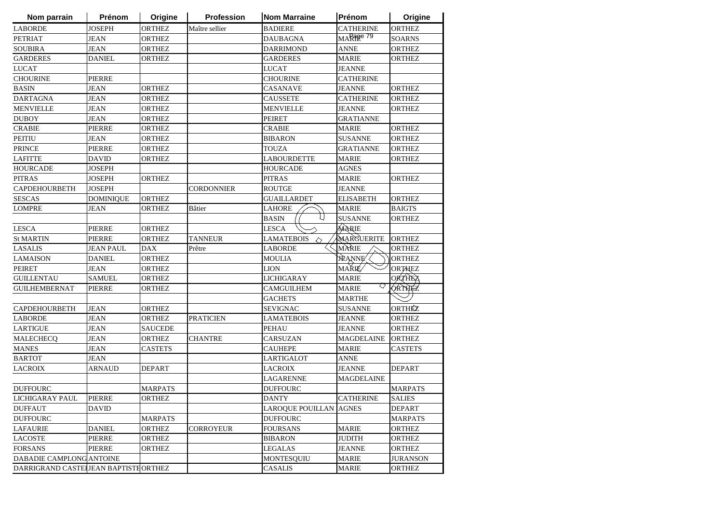| Nom parrain                           | Prénom           | Origine        | <b>Profession</b> | <b>Nom Marraine</b>    | Prénom            | Origine         |
|---------------------------------------|------------------|----------------|-------------------|------------------------|-------------------|-----------------|
| <b>LABORDE</b>                        | <b>JOSEPH</b>    | <b>ORTHEZ</b>  | Maître sellier    | <b>BADIERE</b>         | <b>CATHERINE</b>  | <b>ORTHEZ</b>   |
| <b>PETRIAT</b>                        | <b>JEAN</b>      | <b>ORTHEZ</b>  |                   | <b>DAUBAGNA</b>        | MARage 79         | <b>SOARNS</b>   |
| <b>SOUBIRA</b>                        | <b>JEAN</b>      | <b>ORTHEZ</b>  |                   | <b>DARRIMOND</b>       | <b>ANNE</b>       | <b>ORTHEZ</b>   |
| <b>GARDERES</b>                       | <b>DANIEL</b>    | <b>ORTHEZ</b>  |                   | <b>GARDERES</b>        | <b>MARIE</b>      | <b>ORTHEZ</b>   |
| <b>LUCAT</b>                          |                  |                |                   | <b>LUCAT</b>           | <b>JEANNE</b>     |                 |
| <b>CHOURINE</b>                       | <b>PIERRE</b>    |                |                   | <b>CHOURINE</b>        | <b>CATHERINE</b>  |                 |
| <b>BASIN</b>                          | <b>JEAN</b>      | <b>ORTHEZ</b>  |                   | <b>CASANAVE</b>        | <b>JEANNE</b>     | <b>ORTHEZ</b>   |
| <b>DARTAGNA</b>                       | <b>JEAN</b>      | <b>ORTHEZ</b>  |                   | <b>CAUSSETE</b>        | <b>CATHERINE</b>  | <b>ORTHEZ</b>   |
| <b>MENVIELLE</b>                      | <b>JEAN</b>      | <b>ORTHEZ</b>  |                   | <b>MENVIELLE</b>       | <b>JEANNE</b>     | <b>ORTHEZ</b>   |
| <b>DUBOY</b>                          | <b>JEAN</b>      | <b>ORTHEZ</b>  |                   | <b>PEIRET</b>          | <b>GRATIANNE</b>  |                 |
| <b>CRABIE</b>                         | <b>PIERRE</b>    | <b>ORTHEZ</b>  |                   | <b>CRABIE</b>          | <b>MARIE</b>      | <b>ORTHEZ</b>   |
| <b>PEITIU</b>                         | <b>JEAN</b>      | <b>ORTHEZ</b>  |                   | <b>BIBARON</b>         | <b>SUSANNE</b>    | <b>ORTHEZ</b>   |
| <b>PRINCE</b>                         | <b>PIERRE</b>    | ORTHEZ         |                   | <b>TOUZA</b>           | <b>GRATIANNE</b>  | <b>ORTHEZ</b>   |
| <b>LAFITTE</b>                        | <b>DAVID</b>     | ORTHEZ         |                   | <b>LABOURDETTE</b>     | MARIE             | ORTHEZ          |
| <b>HOURCADE</b>                       | <b>JOSEPH</b>    |                |                   | <b>HOURCADE</b>        | <b>AGNES</b>      |                 |
| <b>PITRAS</b>                         | <b>JOSEPH</b>    | ORTHEZ         |                   | <b>PITRAS</b>          | <b>MARIE</b>      | <b>ORTHEZ</b>   |
| <b>CAPDEHOURBETH</b>                  | <b>JOSEPH</b>    |                | <b>CORDONNIER</b> | <b>ROUTGE</b>          | <b>JEANNE</b>     |                 |
| <b>SESCAS</b>                         | <b>DOMINIQUE</b> | <b>ORTHEZ</b>  |                   | <b>GUAILLARDET</b>     | <b>ELISABETH</b>  | <b>ORTHEZ</b>   |
| <b>LOMPRE</b>                         | <b>JEAN</b>      | <b>ORTHEZ</b>  | <b>Bâtier</b>     | <b>LAHORE</b>          | <b>MARIE</b>      | <b>BAIGTS</b>   |
|                                       |                  |                |                   | l I<br><b>BASIN</b>    | <b>SUSANNE</b>    | <b>ORTHEZ</b>   |
| <b>LESCA</b>                          | <b>PIERRE</b>    | <b>ORTHEZ</b>  |                   | <b>LESCA</b>           | MARIE             |                 |
| <b>St MARTIN</b>                      | <b>PIERRE</b>    | <b>ORTHEZ</b>  | <b>TANNEUR</b>    | <b>LAMATEBOIS</b><br>◇ | MARGUERITE        | <b>ORTHEZ</b>   |
| <b>LASALIS</b>                        | <b>JEAN PAUL</b> | <b>DAX</b>     | Prêtre            | <b>LABORDE</b>         | MÀRIE             | <b>ORTHEZ</b>   |
| <b>LAMAISON</b>                       | <b>DANIEL</b>    | <b>ORTHEZ</b>  |                   | <b>MOULIA</b>          | <b>JEANNE</b>     | <b>ORTHEZ</b>   |
| <b>PEIRET</b>                         | <b>JEAN</b>      | <b>ORTHEZ</b>  |                   | <b>LION</b>            | MAŘIÉ⁄            | <b>ORTHEZ</b>   |
| <b>GUILLENTAU</b>                     | <b>SAMUEL</b>    | <b>ORTHEZ</b>  |                   | <b>LICHIGARAY</b>      | <b>MARIE</b>      | <b>ORTHEZ</b>   |
| <b>GUILHEMBERNAT</b>                  | <b>PIERRE</b>    | <b>ORTHEZ</b>  |                   | <b>CAMGUILHEM</b>      | ◇<br><b>MARIE</b> | <b>ORTHEZ</b>   |
|                                       |                  |                |                   | <b>GACHETS</b>         | <b>MARTHE</b>     |                 |
| <b>CAPDEHOURBETH</b>                  | <b>JEAN</b>      | <b>ORTHEZ</b>  |                   | <b>SEVIGNAC</b>        | <b>SUSANNE</b>    | ORTHÉZ          |
| <b>LABORDE</b>                        | <b>JEAN</b>      | ORTHEZ         | <b>PRATICIEN</b>  | <b>LAMATEBOIS</b>      | <b>JEANNE</b>     | <b>ORTHEZ</b>   |
| <b>LARTIGUE</b>                       | <b>JEAN</b>      | <b>SAUCEDE</b> |                   | <b>PEHAU</b>           | JEANNE            | <b>ORTHEZ</b>   |
| MALECHECQ                             | <b>JEAN</b>      | <b>ORTHEZ</b>  | <b>CHANTRE</b>    | <b>CARSUZAN</b>        | <b>MAGDELAINE</b> | <b>ORTHEZ</b>   |
| <b>MANES</b>                          | <b>JEAN</b>      | <b>CASTETS</b> |                   | <b>CAUHEPE</b>         | <b>MARIE</b>      | <b>CASTETS</b>  |
| <b>BARTOT</b>                         | <b>JEAN</b>      |                |                   | LARTIGALOT             | ANNE              |                 |
| <b>LACROIX</b>                        | ARNAUD           | <b>DEPART</b>  |                   | <b>LACROIX</b>         | <b>JEANNE</b>     | <b>DEPART</b>   |
|                                       |                  |                |                   | <b>LAGARENNE</b>       | <b>MAGDELAINE</b> |                 |
| <b>DUFFOURC</b>                       |                  | MARPATS        |                   | <b>DUFFOURC</b>        |                   | <b>MARPATS</b>  |
| LICHIGARAY PAUL                       | PIERRE           | <b>ORTHEZ</b>  |                   | <b>DANTY</b>           | <b>CATHERINE</b>  | <b>SALIES</b>   |
| <b>DUFFAUT</b>                        | DAVID            |                |                   | LAROQUE POUILLAN AGNES |                   | <b>DEPART</b>   |
| <b>DUFFOURC</b>                       |                  | <b>MARPATS</b> |                   | <b>DUFFOURC</b>        |                   | <b>MARPATS</b>  |
| <b>LAFAURIE</b>                       | <b>DANIEL</b>    | <b>ORTHEZ</b>  | <b>CORROYEUR</b>  | <b>FOURSANS</b>        | MARIE             | <b>ORTHEZ</b>   |
| <b>LACOSTE</b>                        | PIERRE           | ORTHEZ         |                   | <b>BIBARON</b>         | <b>JUDITH</b>     | <b>ORTHEZ</b>   |
| <b>FORSANS</b>                        | PIERRE           | <b>ORTHEZ</b>  |                   | <b>LEGALAS</b>         | <b>JEANNE</b>     | <b>ORTHEZ</b>   |
| DABADIE CAMPLONG ANTOINE              |                  |                |                   | <b>MONTESQUIU</b>      | MARIE             | <b>JURANSON</b> |
| DARRIGRAND CASTELLEAN BAPTISTE ORTHEZ |                  |                |                   | <b>CASALIS</b>         | <b>MARIE</b>      | ORTHEZ          |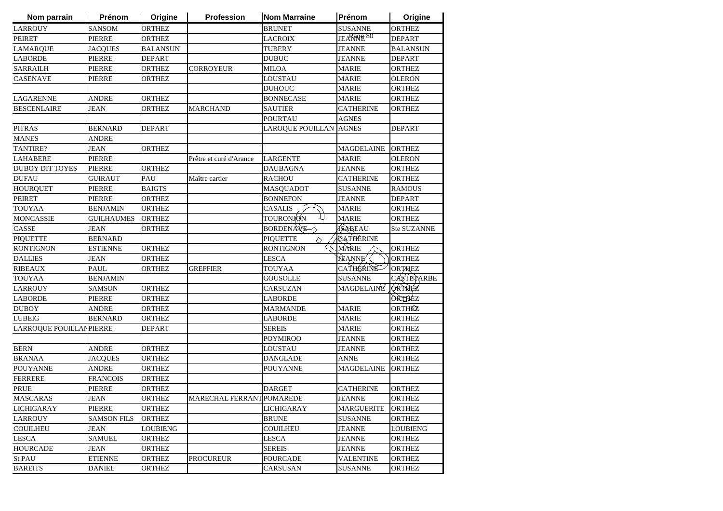| Nom parrain              | Prénom             | Origine         | <b>Profession</b>         | <b>Nom Marraine</b>  | Prénom                 | Origine            |
|--------------------------|--------------------|-----------------|---------------------------|----------------------|------------------------|--------------------|
| <b>LARROUY</b>           | <b>SANSOM</b>      | <b>ORTHEZ</b>   |                           | <b>BRUNET</b>        | <b>SUSANNE</b>         | <b>ORTHEZ</b>      |
| <b>PEIRET</b>            | <b>PIERRE</b>      | <b>ORTHEZ</b>   |                           | <b>LACROIX</b>       | JEARROPE <sup>80</sup> | <b>DEPART</b>      |
| <b>LAMARQUE</b>          | <b>JACQUES</b>     | <b>BALANSUN</b> |                           | <b>TUBERY</b>        | <b>JEANNE</b>          | <b>BALANSUN</b>    |
| <b>LABORDE</b>           | <b>PIERRE</b>      | <b>DEPART</b>   |                           | <b>DUBUC</b>         | <b>JEANNE</b>          | <b>DEPART</b>      |
| <b>SARRAILH</b>          | <b>PIERRE</b>      | <b>ORTHEZ</b>   | <b>CORROYEUR</b>          | <b>MILOA</b>         | <b>MARIE</b>           | ORTHEZ             |
| <b>CASENAVE</b>          | <b>PIERRE</b>      | <b>ORTHEZ</b>   |                           | LOUSTAU              | <b>MARIE</b>           | <b>OLERON</b>      |
|                          |                    |                 |                           | <b>DUHOUC</b>        | <b>MARIE</b>           | ORTHEZ             |
| <b>LAGARENNE</b>         | <b>ANDRE</b>       | <b>ORTHEZ</b>   |                           | <b>BONNECASE</b>     | <b>MARIE</b>           | <b>ORTHEZ</b>      |
| <b>BESCENLAIRE</b>       | <b>JEAN</b>        | <b>ORTHEZ</b>   | <b>MARCHAND</b>           | <b>SAUTIER</b>       | <b>CATHERINE</b>       | <b>ORTHEZ</b>      |
|                          |                    |                 |                           | <b>POURTAU</b>       | <b>AGNES</b>           |                    |
| <b>PITRAS</b>            | <b>BERNARD</b>     | <b>DEPART</b>   |                           | LAROQUE POUILLAN     | <b>AGNES</b>           | <b>DEPART</b>      |
| <b>MANES</b>             | ANDRE              |                 |                           |                      |                        |                    |
| TANTIRE?                 | JEAN               | <b>ORTHEZ</b>   |                           |                      | MAGDELAINE             | <b>ORTHEZ</b>      |
| <b>LAHABERE</b>          | <b>PIERRE</b>      |                 | Prêtre et curé d'Arance   | LARGENTE             | <b>MARIE</b>           | <b>OLERON</b>      |
| <b>DUBOY DIT TOYES</b>   | <b>PIERRE</b>      | <b>ORTHEZ</b>   |                           | <b>DAUBAGNA</b>      | <b>JEANNE</b>          | <b>ORTHEZ</b>      |
| <b>DUFAU</b>             | <b>GUIRAUT</b>     | PAU             | Maître cartier            | <b>RACHOU</b>        | <b>CATHERINE</b>       | <b>ORTHEZ</b>      |
| <b>HOURQUET</b>          | <b>PIERRE</b>      | <b>BAIGTS</b>   |                           | MASQUADOT            | <b>SUSANNE</b>         | <b>RAMOUS</b>      |
| <b>PEIRET</b>            | <b>PIERRE</b>      | <b>ORTHEZ</b>   |                           | <b>BONNEFON</b>      | <b>JEANNE</b>          | <b>DEPART</b>      |
| <b>TOUYAA</b>            | <b>BENJAMIN</b>    | <b>ORTHEZ</b>   |                           | <b>CASALIS</b>       | <b>MARIE</b>           | <b>ORTHEZ</b>      |
| <b>MONCASSIE</b>         | <b>GUILHAUMES</b>  | <b>ORTHEZ</b>   |                           | L)<br>TOURONJON      | <b>MARIE</b>           | <b>ORTHEZ</b>      |
| CASSE                    | <b>JEAN</b>        | <b>ORTHEZ</b>   |                           | <b>BORDENAVE</b>     | <b>SABEAU</b>          | <b>Ste SUZANNE</b> |
| <b>PIQUETTE</b>          | <b>BERNARD</b>     |                 |                           | <b>PIQUETTE</b><br>♦ | CATHÈRINE              |                    |
| <b>RONTIGNON</b>         | <b>ESTIENNE</b>    | <b>ORTHEZ</b>   |                           | <b>RONTIGNON</b>     | MARIE                  | <b>ORTHEZ</b>      |
| <b>DALLIES</b>           | <b>JEAN</b>        | <b>ORTHEZ</b>   |                           | <b>LESCA</b>         | <b>JÈANNE</b>          | <b>ORTHEZ</b>      |
| <b>RIBEAUX</b>           | <b>PAUL</b>        | <b>ORTHEZ</b>   | <b>GREFFIER</b>           | <b>TOUYAA</b>        | <b>CATHERINE</b>       | <b>ORTHEZ</b>      |
| <b>TOUYAA</b>            | <b>BENJAMIN</b>    |                 |                           | <b>GOUSOLLE</b>      | <b>SUSANNE</b>         | CASTETARBE         |
| <b>LARROUY</b>           | <b>SAMSON</b>      | <b>ORTHEZ</b>   |                           | CARSUZAN             | MAGDELAINE             | <b>ORTHEZ</b>      |
| <b>LABORDE</b>           | <b>PIERRE</b>      | <b>ORTHEZ</b>   |                           | LABORDE              |                        | ORTHEZ             |
| <b>DUBOY</b>             | ANDRE              | ORTHEZ          |                           | <b>MARMANDE</b>      | <b>MARIE</b>           | ORTHÉZ             |
| <b>LUBEIG</b>            | <b>BERNARD</b>     | ORTHEZ          |                           | LABORDE              | <b>MARIE</b>           | <b>ORTHEZ</b>      |
| LARROQUE POUILLAN PIERRE |                    | <b>DEPART</b>   |                           | <b>SEREIS</b>        | <b>MARIE</b>           | <b>ORTHEZ</b>      |
|                          |                    |                 |                           | <b>POYMIROO</b>      | <b>JEANNE</b>          | <b>ORTHEZ</b>      |
| <b>BERN</b>              | ANDRE              | <b>ORTHEZ</b>   |                           | LOUSTAU              | <b>JEANNE</b>          | <b>ORTHEZ</b>      |
| <b>BRANAA</b>            | <b>JACQUES</b>     | <b>ORTHEZ</b>   |                           | <b>DANGLADE</b>      | <b>ANNE</b>            | ORTHEZ             |
| <b>POUYANNE</b>          | <b>ANDRE</b>       | <b>ORTHEZ</b>   |                           | <b>POUYANNE</b>      | <b>MAGDELAINE</b>      | <b>ORTHEZ</b>      |
| <b>FERRERE</b>           | <b>FRANCOIS</b>    | <b>ORTHEZ</b>   |                           |                      |                        |                    |
| <b>PRUE</b>              | <b>PIERRE</b>      | <b>ORTHEZ</b>   |                           | <b>DARGET</b>        | <b>CATHERINE</b>       | <b>ORTHEZ</b>      |
| <b>MASCARAS</b>          | <b>JEAN</b>        | <b>ORTHEZ</b>   | MARECHAL FERRANT POMAREDE |                      | <b>JEANNE</b>          | <b>ORTHEZ</b>      |
| <b>LICHIGARAY</b>        | PIERRE             | ORTHEZ          |                           | LICHIGARAY           | <b>MARGUERITE</b>      | <b>ORTHEZ</b>      |
| <b>LARROUY</b>           | <b>SAMSON FILS</b> | <b>ORTHEZ</b>   |                           | <b>BRUNE</b>         | <b>SUSANNE</b>         | <b>ORTHEZ</b>      |
| <b>COUILHEU</b>          | <b>JEAN</b>        | <b>LOUBIENG</b> |                           | <b>COUILHEU</b>      | <b>JEANNE</b>          | <b>LOUBIENG</b>    |
| <b>LESCA</b>             | <b>SAMUEL</b>      | <b>ORTHEZ</b>   |                           | <b>LESCA</b>         | <b>JEANNE</b>          | <b>ORTHEZ</b>      |
| <b>HOURCADE</b>          | <b>JEAN</b>        | ORTHEZ          |                           | <b>SEREIS</b>        | <b>JEANNE</b>          | <b>ORTHEZ</b>      |
| <b>St PAU</b>            | <b>ETIENNE</b>     | ORTHEZ          | PROCUREUR                 | <b>FOURCADE</b>      | <b>VALENTINE</b>       | <b>ORTHEZ</b>      |
| <b>BAREITS</b>           | <b>DANIEL</b>      | <b>ORTHEZ</b>   |                           | <b>CARSUSAN</b>      | <b>SUSANNE</b>         | <b>ORTHEZ</b>      |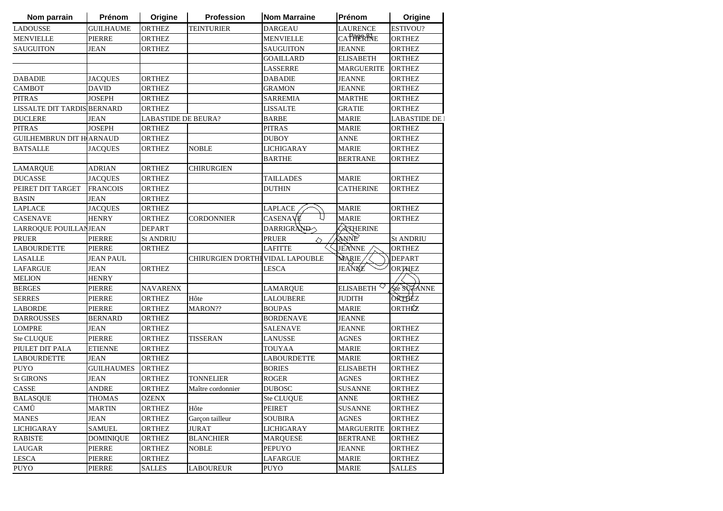| Nom parrain                        | Prénom            | Origine             | Profession                       | <b>Nom Marraine</b> | Prénom                 | Origine          |
|------------------------------------|-------------------|---------------------|----------------------------------|---------------------|------------------------|------------------|
| <b>LADOUSSE</b>                    | <b>GUILHAUME</b>  | <b>ORTHEZ</b>       | <b>TEINTURIER</b>                | <b>DARGEAU</b>      | LAURENCE               | ESTIVOU?         |
| <b>MENVIELLE</b>                   | <b>PIERRE</b>     | <b>ORTHEZ</b>       |                                  | <b>MENVIELLE</b>    | <b>CATHERINE</b>       | <b>ORTHEZ</b>    |
| <b>SAUGUITON</b>                   | <b>JEAN</b>       | ORTHEZ              |                                  | SAUGUITON           | <b>JEANNE</b>          | <b>ORTHEZ</b>    |
|                                    |                   |                     |                                  | <b>GOAILLARD</b>    | ELISABETH              | ORTHEZ           |
|                                    |                   |                     |                                  | LASSERRE            | <b>MARGUERITE</b>      | <b>ORTHEZ</b>    |
| <b>DABADIE</b>                     | <b>JACQUES</b>    | <b>ORTHEZ</b>       |                                  | <b>DABADIE</b>      | <b>JEANNE</b>          | ORTHEZ           |
| <b>CAMBOT</b>                      | <b>DAVID</b>      | <b>ORTHEZ</b>       |                                  | <b>GRAMON</b>       | <b>JEANNE</b>          | ORTHEZ           |
| <b>PITRAS</b>                      | <b>JOSEPH</b>     | <b>ORTHEZ</b>       |                                  | <b>SARREMIA</b>     | <b>MARTHE</b>          | <b>ORTHEZ</b>    |
| <b>LISSALTE DIT TARDIS BERNARD</b> |                   | <b>ORTHEZ</b>       |                                  | LISSALTE            | <b>GRATIE</b>          | <b>ORTHEZ</b>    |
| <b>DUCLERE</b>                     | <b>JEAN</b>       | LABASTIDE DE BEURA? |                                  | <b>BARBE</b>        | MARIE                  | LABASTIDE DE     |
| <b>PITRAS</b>                      | <b>JOSEPH</b>     | <b>ORTHEZ</b>       |                                  | PITRAS              | <b>MARIE</b>           | ORTHEZ           |
| <b>GUILHEMBRUN DIT HARNAUD</b>     |                   | <b>ORTHEZ</b>       |                                  | DUBOY               | <b>ANNE</b>            | <b>ORTHEZ</b>    |
| <b>BATSALLE</b>                    | JACQUES           | ORTHEZ              | <b>NOBLE</b>                     | LICHIGARAY          | MARIE                  | <b>ORTHEZ</b>    |
|                                    |                   |                     |                                  | BARTHE              | <b>BERTRANE</b>        | ORTHEZ           |
| <b>LAMARQUE</b>                    | <b>ADRIAN</b>     | <b>ORTHEZ</b>       | CHIRURGIEN                       |                     |                        |                  |
| <b>DUCASSE</b>                     | <b>JACQUES</b>    | <b>ORTHEZ</b>       |                                  | TAILLADES           | <b>MARIE</b>           | <b>ORTHEZ</b>    |
| PEIRET DIT TARGET                  | <b>FRANCOIS</b>   | <b>ORTHEZ</b>       |                                  | DUTHIN              | <b>CATHERINE</b>       | <b>ORTHEZ</b>    |
| <b>BASIN</b>                       | <b>JEAN</b>       | <b>ORTHEZ</b>       |                                  |                     |                        |                  |
| <b>LAPLACE</b>                     | <b>JACOUES</b>    | <b>ORTHEZ</b>       |                                  | LAPLACE             | <b>MARIE</b>           | <b>ORTHEZ</b>    |
| <b>CASENAVE</b>                    | <b>HENRY</b>      | <b>ORTHEZ</b>       | <b>CORDONNIER</b>                | CASENAVE            | <b>MARIE</b>           | <b>ORTHEZ</b>    |
| LARROQUE POUILLANJEAN              |                   | <b>DEPART</b>       |                                  | DARRIGRAND          | <b>CATHERINE</b>       |                  |
| PRUER                              | <b>PIERRE</b>     | <b>St ANDRIU</b>    |                                  | PRUER<br>♦          | ANNE                   | <b>St ANDRIU</b> |
| <b>LABOURDETTE</b>                 | <b>PIERRE</b>     | <b>ORTHEZ</b>       |                                  | <b>LAFITTE</b>      | JEANNE                 | <b>ORTHEZ</b>    |
| <b>LASALLE</b>                     | <b>JEAN PAUL</b>  |                     | CHIRURGIEN D'ORTHEVIDAL LAPOUBLE |                     | MARIE,                 | <b>DEPART</b>    |
| <b>LAFARGUE</b>                    | <b>JEAN</b>       | <b>ORTHEZ</b>       |                                  | <b>LESCA</b>        | JEANNE                 | <b>ORTHEZ</b>    |
| <b>MELION</b>                      | <b>HENRY</b>      |                     |                                  |                     |                        |                  |
| <b>BERGES</b>                      | PIERRE            | NAVARENX            |                                  | <b>LAMARQUE</b>     | ELISABETH <sup>V</sup> | Ste SUZANNE      |
| <b>SERRES</b>                      | PIERRE            | <b>ORTHEZ</b>       | Hôte                             | <b>LALOUBERE</b>    | <b>JUDITH</b>          | ORTHEZ           |
| <b>LABORDE</b>                     | <b>PIERRE</b>     | <b>ORTHEZ</b>       | MARON??                          | <b>BOUPAS</b>       | <b>MARIE</b>           | ORTHÉZ           |
| <b>DARROUSSES</b>                  | <b>BERNARD</b>    | <b>ORTHEZ</b>       |                                  | <b>BORDENAVE</b>    | <b>JEANNE</b>          |                  |
| <b>LOMPRE</b>                      | <b>JEAN</b>       | <b>ORTHEZ</b>       |                                  | SALENAVE            | JEANNE                 | <b>ORTHEZ</b>    |
| Ste CLUQUE                         | <b>PIERRE</b>     | <b>ORTHEZ</b>       | <b>TISSERAN</b>                  | <b>LANUSSE</b>      | <b>AGNES</b>           | <b>ORTHEZ</b>    |
| PIULET DIT PALA                    | <b>ETIENNE</b>    | <b>ORTHEZ</b>       |                                  | TOUYAA              | <b>MARIE</b>           | <b>ORTHEZ</b>    |
| <b>LABOURDETTE</b>                 | <b>JEAN</b>       | <b>ORTHEZ</b>       |                                  | <b>LABOURDETTE</b>  | MARIE                  | <b>ORTHEZ</b>    |
| <b>PUYO</b>                        | <b>GUILHAUMES</b> | <b>ORTHEZ</b>       |                                  | <b>BORIES</b>       | <b>ELISABETH</b>       | <b>ORTHEZ</b>    |
| <b>St GIRONS</b>                   | <b>JEAN</b>       | <b>ORTHEZ</b>       | <b>TONNELIER</b>                 | <b>ROGER</b>        | <b>AGNES</b>           | <b>ORTHEZ</b>    |
| CASSE                              | <b>ANDRE</b>      | <b>ORTHEZ</b>       | Maître cordonnier                | <b>DUBOSC</b>       | <b>SUSANNE</b>         | ORTHEZ           |
| <b>BALASQUE</b>                    | <b>THOMAS</b>     | <b>OZENX</b>        |                                  | Ste CLUQUE          | <b>ANNE</b>            | <b>ORTHEZ</b>    |
| <b>CAMU</b>                        | <b>MARTIN</b>     | <b>ORTHEZ</b>       | Hôte                             | PEIRET              | <b>SUSANNE</b>         | <b>ORTHEZ</b>    |
| <b>MANES</b>                       | <b>JEAN</b>       | <b>ORTHEZ</b>       | Garçon tailleur                  | <b>SOUBIRA</b>      | <b>AGNES</b>           | ORTHEZ           |
| <b>LICHIGARAY</b>                  | <b>SAMUEL</b>     | ORTHEZ              | <b>JURAT</b>                     | <b>LICHIGARAY</b>   | <b>MARGUERITE</b>      | <b>ORTHEZ</b>    |
| <b>RABISTE</b>                     | <b>DOMINIQUE</b>  | <b>ORTHEZ</b>       | <b>BLANCHIER</b>                 | <b>MARQUESE</b>     | <b>BERTRANE</b>        | <b>ORTHEZ</b>    |
| LAUGAR                             | PIERRE            | ORTHEZ              | <b>NOBLE</b>                     | <b>PEPUYO</b>       | <b>JEANNE</b>          | <b>ORTHEZ</b>    |
| <b>LESCA</b>                       | PIERRE            | <b>ORTHEZ</b>       |                                  | <b>LAFARGUE</b>     | <b>MARIE</b>           | <b>ORTHEZ</b>    |
| <b>PUYO</b>                        | PIERRE            |                     | <b>LABOUREUR</b>                 | <b>PUYO</b>         |                        |                  |
|                                    |                   | <b>SALLES</b>       |                                  |                     | <b>MARIE</b>           | <b>SALLES</b>    |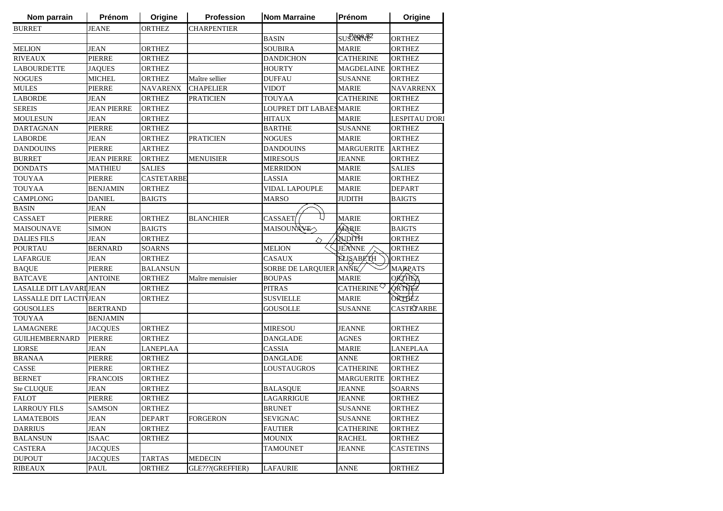| Nom parrain                    | Prénom             | Origine           | <b>Profession</b>  | <b>Nom Marraine</b>            | Prénom                 | Origine               |
|--------------------------------|--------------------|-------------------|--------------------|--------------------------------|------------------------|-----------------------|
| <b>BURRET</b>                  | <b>JEANE</b>       | ORTHEZ            | <b>CHARPENTIER</b> |                                |                        |                       |
|                                |                    |                   |                    | <b>BASIN</b>                   | SUS ANNE               | <b>ORTHEZ</b>         |
| <b>MELION</b>                  | <b>JEAN</b>        | <b>ORTHEZ</b>     |                    | <b>SOUBIRA</b>                 | <b>MARIE</b>           | <b>ORTHEZ</b>         |
| <b>RIVEAUX</b>                 | <b>PIERRE</b>      | ORTHEZ            |                    | <b>DANDICHON</b>               | <b>CATHERINE</b>       | <b>ORTHEZ</b>         |
| <b>LABOURDETTE</b>             | <b>JAQUES</b>      | <b>ORTHEZ</b>     |                    | <b>HOURTY</b>                  | <b>MAGDELAINE</b>      | <b>ORTHEZ</b>         |
| <b>NOGUES</b>                  | <b>MICHEL</b>      | <b>ORTHEZ</b>     | Maître sellier     | <b>DUFFAU</b>                  | <b>SUSANNE</b>         | <b>ORTHEZ</b>         |
| <b>MULES</b>                   | <b>PIERRE</b>      | <b>NAVARENX</b>   | <b>CHAPELIER</b>   | <b>VIDOT</b>                   | <b>MARIE</b>           | <b>NAVARRENX</b>      |
| <b>LABORDE</b>                 | <b>JEAN</b>        | <b>ORTHEZ</b>     | <b>PRATICIEN</b>   | <b>TOUYAA</b>                  | <b>CATHERINE</b>       | <b>ORTHEZ</b>         |
| <b>SEREIS</b>                  | <b>JEAN PIERRE</b> | <b>ORTHEZ</b>     |                    | <b>LOUPRET DIT LABAESMARIE</b> |                        | <b>ORTHEZ</b>         |
| <b>MOULESUN</b>                | <b>JEAN</b>        | <b>ORTHEZ</b>     |                    | <b>HITAUX</b>                  | <b>MARIE</b>           | <b>LESPITAU D'ORI</b> |
| <b>DARTAGNAN</b>               | <b>PIERRE</b>      | <b>ORTHEZ</b>     |                    | <b>BARTHE</b>                  | <b>SUSANNE</b>         | <b>ORTHEZ</b>         |
| <b>LABORDE</b>                 | <b>JEAN</b>        | <b>ORTHEZ</b>     | <b>PRATICIEN</b>   | <b>NOGUES</b>                  | <b>MARIE</b>           | <b>ORTHEZ</b>         |
| <b>DANDOUINS</b>               | <b>PIERRE</b>      | <b>ARTHEZ</b>     |                    | <b>DANDOUINS</b>               | <b>MARGUERITE</b>      | <b>ARTHEZ</b>         |
| <b>BURRET</b>                  | <b>JEAN PIERRE</b> | <b>ORTHEZ</b>     | <b>MENUISIER</b>   | <b>MIRESOUS</b>                | <b>JEANNE</b>          | <b>ORTHEZ</b>         |
| <b>DONDATS</b>                 | MATHIEU            | <b>SALIES</b>     |                    | MERRIDON                       | <b>MARIE</b>           | SALIES                |
| <b>TOUYAA</b>                  | <b>PIERRE</b>      | <b>CASTETARBE</b> |                    | LASSIA                         | <b>MARIE</b>           | <b>ORTHEZ</b>         |
| <b>TOUYAA</b>                  | <b>BENJAMIN</b>    | <b>ORTHEZ</b>     |                    | VIDAL LAPOUPLE                 | <b>MARIE</b>           | <b>DEPART</b>         |
| <b>CAMPLONG</b>                | <b>DANIEL</b>      | <b>BAIGTS</b>     |                    | <b>MARSO</b>                   | <b>JUDITH</b>          | <b>BAIGTS</b>         |
| <b>BASIN</b>                   | <b>JEAN</b>        |                   |                    |                                |                        |                       |
| <b>CASSAET</b>                 | <b>PIERRE</b>      | ORTHEZ            | <b>BLANCHIER</b>   | CASSAET                        | <b>MARIE</b>           | <b>ORTHEZ</b>         |
| MAISOUNAVE                     | <b>SIMON</b>       | <b>BAIGTS</b>     |                    | MAISOUNAVE                     | MARIE                  | <b>BAIGTS</b>         |
| <b>DALIES FILS</b>             | <b>JEAN</b>        | <b>ORTHEZ</b>     |                    | ◇                              | HYTOUT                 | <b>ORTHEZ</b>         |
| <b>POURTAU</b>                 | <b>BERNARD</b>     | <b>SOARNS</b>     |                    | <b>MELION</b>                  | JEANNE                 | <b>ORTHEZ</b>         |
| <b>LAFARGUE</b>                | JEAN               | <b>ORTHEZ</b>     |                    | <b>CASAUX</b>                  | <b>ELISABETH</b>       | <b>ORTHEZ</b>         |
| <b>BAQUE</b>                   | <b>PIERRE</b>      | <b>BALANSUN</b>   |                    | SORBE DE LARQUIER ANNE         |                        | <b>MARPATS</b>        |
| <b>BATCAVE</b>                 | <b>ANTOINE</b>     | <b>ORTHEZ</b>     | Maître menuisier   | <b>BOUPAS</b>                  | <b>MARIE</b>           | <b>ORTHEZ</b>         |
| LASALLE DIT LAVARI JEAN        |                    | <b>ORTHEZ</b>     |                    | <b>PITRAS</b>                  | CATHERINE <sup>V</sup> | <b>ORTHEZ</b>         |
| <b>LASSALLE DIT LACTIVJEAN</b> |                    | <b>ORTHEZ</b>     |                    | <b>SUSVIELLE</b>               | <b>MARIE</b>           | ORTHEZ                |
| <b>GOUSOLLES</b>               | <b>BERTRAND</b>    |                   |                    | <b>GOUSOLLE</b>                | <b>SUSANNE</b>         | CASTETARBE            |
| <b>TOUYAA</b>                  | <b>BENJAMIN</b>    |                   |                    |                                |                        |                       |
| <b>LAMAGNERE</b>               | <b>JACQUES</b>     | ORTHEZ            |                    | <b>MIRESOU</b>                 | <b>JEANNE</b>          | <b>ORTHEZ</b>         |
| <b>GUILHEMBERNARD</b>          | <b>PIERRE</b>      | ORTHEZ            |                    | DANGLADE                       | <b>AGNES</b>           | ORTHEZ                |
| <b>LIORSE</b>                  | JEAN               | LANEPLAA          |                    | <b>CASSIA</b>                  | MARIE                  | <b>LANEPLAA</b>       |
| <b>BRANAA</b>                  | <b>PIERRE</b>      | <b>ORTHEZ</b>     |                    | <b>DANGLADE</b>                | <b>ANNE</b>            | <b>ORTHEZ</b>         |
| CASSE                          | PIERRE             | <b>ORTHEZ</b>     |                    | LOUSTAUGROS                    | <b>CATHERINE</b>       | <b>ORTHEZ</b>         |
| <b>BERNET</b>                  | <b>FRANCOIS</b>    | ORTHEZ            |                    |                                | <b>MARGUERITE</b>      | <b>ORTHEZ</b>         |
| Ste CLUQUE                     | JEAN               | <b>ORTHEZ</b>     |                    | <b>BALASQUE</b>                | <b>JEANNE</b>          | <b>SOARNS</b>         |
| FALOT                          | PIERRE             | <b>ORTHEZ</b>     |                    | <b>LAGARRIGUE</b>              | <b>JEANNE</b>          | <b>ORTHEZ</b>         |
|                                |                    |                   |                    |                                |                        |                       |
| <b>LARROUY FILS</b>            | SAMSON             | ORTHEZ            |                    | <b>BRUNET</b>                  | SUSANNE                | ORTHEZ                |
| <b>LAMATEBOIS</b>              | JEAN               | DEPART            | FORGERON           | <b>SEVIGNAC</b>                | SUSANNE                | ORTHEZ                |
| <b>DARRIUS</b>                 | <b>JEAN</b>        | ORTHEZ            |                    | <b>FAUTIER</b>                 | <b>CATHERINE</b>       | ORTHEZ                |
| <b>BALANSUN</b>                | <b>ISAAC</b>       | ORTHEZ            |                    | <b>MOUNIX</b>                  | <b>RACHEL</b>          | <b>ORTHEZ</b>         |
| <b>CASTERA</b>                 | <b>JACQUES</b>     |                   |                    | <b>TAMOUNET</b>                | <b>JEANNE</b>          | <b>CASTETINS</b>      |
| <b>DUPOUT</b>                  | <b>JACQUES</b>     | <b>TARTAS</b>     | <b>MEDECIN</b>     |                                |                        |                       |
| <b>RIBEAUX</b>                 | PAUL               | <b>ORTHEZ</b>     | GLE???(GREFFIER)   | <b>LAFAURIE</b>                | <b>ANNE</b>            | <b>ORTHEZ</b>         |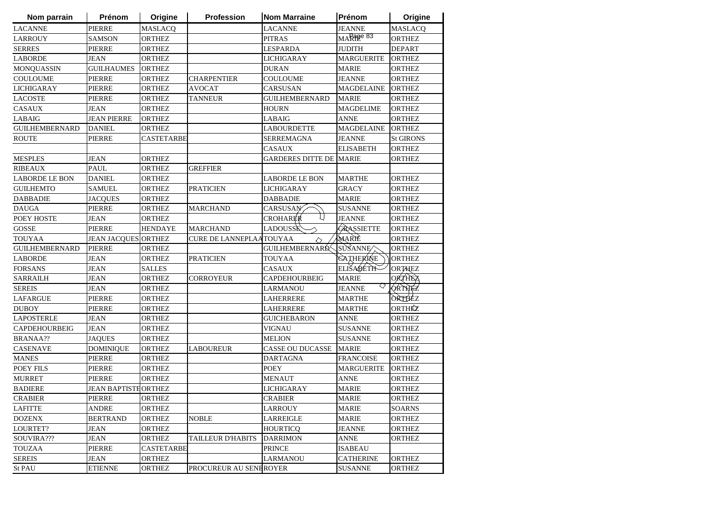| Nom parrain           | Prénom                     | Origine           | <b>Profession</b>       | <b>Nom Marraine</b>      | Prénom            | Origine          |
|-----------------------|----------------------------|-------------------|-------------------------|--------------------------|-------------------|------------------|
| <b>LACANNE</b>        | <b>PIERRE</b>              | <b>MASLACQ</b>    |                         | <b>LACANNE</b>           | <b>JEANNE</b>     | MASLACQ          |
| <b>LARROUY</b>        | <b>SAMSON</b>              | <b>ORTHEZ</b>     |                         | <b>PITRAS</b>            | MARPER 83         | <b>ORTHEZ</b>    |
| <b>SERRES</b>         | <b>PIERRE</b>              | <b>ORTHEZ</b>     |                         | <b>LESPARDA</b>          | <b>JUDITH</b>     | <b>DEPART</b>    |
| <b>LABORDE</b>        | JEAN                       | <b>ORTHEZ</b>     |                         | <b>LICHIGARAY</b>        | <b>MARGUERITE</b> | <b>ORTHEZ</b>    |
| <b>MONQUASSIN</b>     | <b>GUILHAUMES</b>          | <b>ORTHEZ</b>     |                         | <b>DURAN</b>             | <b>MARIE</b>      | <b>ORTHEZ</b>    |
| COULOUME              | <b>PIERRE</b>              | <b>ORTHEZ</b>     | <b>CHARPENTIER</b>      | <b>COULOUME</b>          | <b>JEANNE</b>     | <b>ORTHEZ</b>    |
| <b>LICHIGARAY</b>     | <b>PIERRE</b>              | <b>ORTHEZ</b>     | <b>AVOCAT</b>           | CARSUSAN                 | <b>MAGDELAINE</b> | <b>ORTHEZ</b>    |
| <b>LACOSTE</b>        | <b>PIERRE</b>              | <b>ORTHEZ</b>     | <b>TANNEUR</b>          | <b>GUILHEMBERNARD</b>    | <b>MARIE</b>      | <b>ORTHEZ</b>    |
| <b>CASAUX</b>         | JEAN                       | <b>ORTHEZ</b>     |                         | <b>HOURN</b>             | <b>MAGDELIME</b>  | <b>ORTHEZ</b>    |
| LABAIG                | <b>JEAN PIERRE</b>         | <b>ORTHEZ</b>     |                         | LABAIG                   | <b>ANNE</b>       | <b>ORTHEZ</b>    |
| <b>GUILHEMBERNARD</b> | <b>DANIEL</b>              | <b>ORTHEZ</b>     |                         | <b>LABOURDETTE</b>       | <b>MAGDELAINE</b> | <b>ORTHEZ</b>    |
| <b>ROUTE</b>          | PIERRE                     | <b>CASTETARBE</b> |                         | SERREMAGNA               | <b>JEANNE</b>     | <b>St GIRONS</b> |
|                       |                            |                   |                         | <b>CASAUX</b>            | <b>ELISABETH</b>  | <b>ORTHEZ</b>    |
| <b>MESPLES</b>        | JEAN                       | <b>ORTHEZ</b>     |                         | <b>GARDERES DITTE DE</b> | <b>MARIE</b>      | <b>ORTHEZ</b>    |
| <b>RIBEAUX</b>        | <b>PAUL</b>                | <b>ORTHEZ</b>     | <b>GREFFIER</b>         |                          |                   |                  |
| <b>LABORDE LE BON</b> | <b>DANIEL</b>              | <b>ORTHEZ</b>     |                         | <b>LABORDE LE BON</b>    | <b>MARTHE</b>     | <b>ORTHEZ</b>    |
| <b>GUILHEMTO</b>      | SAMUEL                     | <b>ORTHEZ</b>     | <b>PRATICIEN</b>        | LICHIGARAY               | <b>GRACY</b>      | <b>ORTHEZ</b>    |
| <b>DABBADIE</b>       | <b>JACQUES</b>             | <b>ORTHEZ</b>     |                         | <b>DABBADIE</b>          | <b>MARIE</b>      | <b>ORTHEZ</b>    |
| <b>DAUGA</b>          | <b>PIERRE</b>              | <b>ORTHEZ</b>     | <b>MARCHAND</b>         | <b>CARSUSAN</b>          | <b>SUSANNE</b>    | <b>ORTHEZ</b>    |
| POEY HOSTE            | <b>JEAN</b>                | <b>ORTHEZ</b>     |                         | U<br>CROHARER            | <b>JEANNE</b>     | <b>ORTHEZ</b>    |
| <b>GOSSE</b>          | PIERRE                     | <b>HENDAYE</b>    | <b>MARCHAND</b>         | <b>LADOUSSE</b>          | GRASSIETTE        | <b>ORTHEZ</b>    |
| <b>TOUYAA</b>         | <b>JEAN JACQUES ORTHEZ</b> |                   | CURE DE LANNEPLAATOUYAA | $\Diamond$               | MARIÈ             | <b>ORTHEZ</b>    |
| <b>GUILHEMBERNARD</b> | <b>PIERRE</b>              | <b>ORTHEZ</b>     |                         | GUILHEMBERNARD           | SUSANNE           | <b>ORTHEZ</b>    |
| <b>LABORDE</b>        | <b>JEAN</b>                | <b>ORTHEZ</b>     | <b>PRATICIEN</b>        | <b>TOUYAA</b>            | <b>GATHERINE</b>  | <b>ORTHEZ</b>    |
| <b>FORSANS</b>        | <b>JEAN</b>                | <b>SALLES</b>     |                         | <b>CASAUX</b>            | <b>ELIŠABETIF</b> | <b>ORTHEZ</b>    |
| <b>SARRAILH</b>       | JEAN                       | <b>ORTHEZ</b>     | <b>CORROYEUR</b>        | <b>CAPDEHOURBEIG</b>     | <b>MARIE</b>      | <b>ORTHEZ</b>    |
| <b>SEREIS</b>         | <b>JEAN</b>                | <b>ORTHEZ</b>     |                         | <b>LARMANOU</b>          | <b>JEANNE</b>     | QRTHEZ           |
| <b>LAFARGUE</b>       | <b>PIERRE</b>              | <b>ORTHEZ</b>     |                         | LAHERRERE                | <b>MARTHE</b>     | ORTHEZ           |
| <b>DUBOY</b>          | PIERRE                     | <b>ORTHEZ</b>     |                         | LAHERRERE                | <b>MARTHE</b>     | ORTHÉZ           |
| <b>LAPOSTERLE</b>     | JEAN                       | <b>ORTHEZ</b>     |                         | GUICHEBARON              | ANNE              | <b>ORTHEZ</b>    |
| <b>CAPDEHOURBEIG</b>  | <b>JEAN</b>                | <b>ORTHEZ</b>     |                         | <b>VIGNAU</b>            | <b>SUSANNE</b>    | <b>ORTHEZ</b>    |
| <b>BRANAA??</b>       | <b>JAQUES</b>              | <b>ORTHEZ</b>     |                         | MELION                   | <b>SUSANNE</b>    | <b>ORTHEZ</b>    |
| <b>CASENAVE</b>       | <b>DOMINIQUE</b>           | <b>ORTHEZ</b>     | <b>LABOUREUR</b>        | CASSE OU DUCASSE         | <b>MARIE</b>      | <b>ORTHEZ</b>    |
| <b>MANES</b>          | <b>PIERRE</b>              | <b>ORTHEZ</b>     |                         | <b>DARTAGNA</b>          | <b>FRANCOISE</b>  | <b>ORTHEZ</b>    |
| POEY FILS             | PIERRE                     | <b>ORTHEZ</b>     |                         | <b>POEY</b>              | <b>MARGUERITE</b> | <b>ORTHEZ</b>    |
| <b>MURRET</b>         | PIERRE                     | <b>ORTHEZ</b>     |                         | <b>MENAUT</b>            | <b>ANNE</b>       | <b>ORTHEZ</b>    |
| <b>BADIERE</b>        | <b>JEAN BAPTISTHORTHEZ</b> |                   |                         | <b>LICHIGARAY</b>        | <b>MARIE</b>      | <b>ORTHEZ</b>    |
| <b>CRABIER</b>        | <b>PIERRE</b>              | <b>ORTHEZ</b>     |                         | <b>CRABIER</b>           | <b>MARIE</b>      | <b>ORTHEZ</b>    |
| <b>LAFITTE</b>        | ANDRE                      | <b>ORTHEZ</b>     |                         | LARROUY                  | MARIE             | SOARNS           |
| <b>DOZENX</b>         | <b>BERTRAND</b>            | ORTHEZ            | <b>NOBLE</b>            | <b>LARREIGLE</b>         | <b>MARIE</b>      | <b>ORTHEZ</b>    |
| LOURTET?              | <b>JEAN</b>                | <b>ORTHEZ</b>     |                         | <b>HOURTICQ</b>          | <b>JEANNE</b>     | <b>ORTHEZ</b>    |
| SOUVIRA???            | JEAN                       | <b>ORTHEZ</b>     | TAILLEUR D'HABITS       | <b>DARRIMON</b>          | <b>ANNE</b>       | <b>ORTHEZ</b>    |
| <b>TOUZAA</b>         | PIERRE                     | <b>CASTETARBE</b> |                         | <b>PRINCE</b>            | <b>ISABEAU</b>    |                  |
| <b>SEREIS</b>         | JEAN                       | ORTHEZ            |                         | LARMANOU                 | <b>CATHERINE</b>  | ORTHEZ           |
| St PAU                | <b>ETIENNE</b>             | <b>ORTHEZ</b>     | PROCUREUR AU SENEROYER  |                          | <b>SUSANNE</b>    | <b>ORTHEZ</b>    |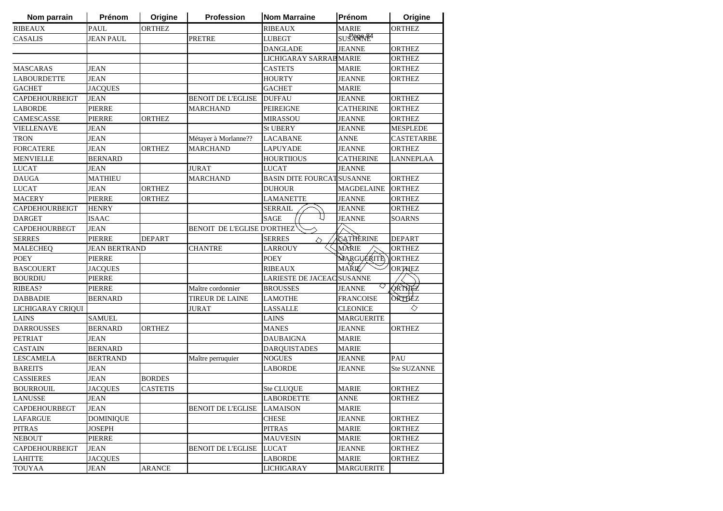| Nom parrain           | Prénom               | Origine         | Profession                         | <b>Nom Marraine</b>               | Prénom            | Origine           |
|-----------------------|----------------------|-----------------|------------------------------------|-----------------------------------|-------------------|-------------------|
| <b>RIBEAUX</b>        | <b>PAUL</b>          | <b>ORTHEZ</b>   |                                    | <b>RIBEAUX</b>                    | <b>MARIE</b>      | <b>ORTHEZ</b>     |
| <b>CASALIS</b>        | <b>JEAN PAUL</b>     |                 | <b>PRETRE</b>                      | <b>LUBEGT</b>                     | SUS ANNE          |                   |
|                       |                      |                 |                                    | <b>DANGLADE</b>                   | <b>JEANNE</b>     | <b>ORTHEZ</b>     |
|                       |                      |                 |                                    | LICHIGARAY SARRAB MARIE           |                   | <b>ORTHEZ</b>     |
| <b>MASCARAS</b>       | <b>JEAN</b>          |                 |                                    | <b>CASTETS</b>                    | <b>MARIE</b>      | <b>ORTHEZ</b>     |
| <b>LABOURDETTE</b>    | <b>JEAN</b>          |                 |                                    | <b>HOURTY</b>                     | <b>JEANNE</b>     | <b>ORTHEZ</b>     |
| <b>GACHET</b>         | <b>JACQUES</b>       |                 |                                    | <b>GACHET</b>                     | <b>MARIE</b>      |                   |
| <b>CAPDEHOURBEIGT</b> | <b>JEAN</b>          |                 | BENOIT DE L'EGLISE                 | <b>DUFFAU</b>                     | <b>JEANNE</b>     | <b>ORTHEZ</b>     |
| <b>LABORDE</b>        | PIERRE               |                 | <b>MARCHAND</b>                    | <b>PEIREIGNE</b>                  | <b>CATHERINE</b>  | <b>ORTHEZ</b>     |
| <b>CAMESCASSE</b>     | <b>PIERRE</b>        | <b>ORTHEZ</b>   |                                    | <b>MIRASSOU</b>                   | <b>JEANNE</b>     | <b>ORTHEZ</b>     |
| <b>VIELLENAVE</b>     | JEAN                 |                 |                                    | <b>St UBERY</b>                   | <b>JEANNE</b>     | <b>MESPLEDE</b>   |
| <b>TRON</b>           | JEAN                 |                 | Métayer à Morlanne??               | LACABANE                          | <b>ANNE</b>       | <b>CASTETARBE</b> |
| <b>FORCATERE</b>      | JEAN                 | <b>ORTHEZ</b>   | MARCHAND                           | LAPUYADE                          | JEANNE            | <b>ORTHEZ</b>     |
| <b>MENVIELLE</b>      | <b>BERNARD</b>       |                 |                                    | <b>HOURTIIOUS</b>                 | <b>CATHERINE</b>  | LANNEPLAA         |
| <b>LUCAT</b>          | <b>JEAN</b>          |                 | <b>JURAT</b>                       | <b>LUCAT</b>                      | <b>JEANNE</b>     |                   |
| <b>DAUGA</b>          | <b>MATHIEU</b>       |                 | <b>MARCHAND</b>                    | <b>BASIN DITE FOURCAT SUSANNE</b> |                   | <b>ORTHEZ</b>     |
| <b>LUCAT</b>          | JEAN                 | <b>ORTHEZ</b>   |                                    | <b>DUHOUR</b>                     | <b>MAGDELAINE</b> | <b>ORTHEZ</b>     |
| <b>MACERY</b>         | <b>PIERRE</b>        | <b>ORTHEZ</b>   |                                    | <b>LAMANETTE</b>                  | <b>JEANNE</b>     | <b>ORTHEZ</b>     |
| <b>CAPDEHOURBEIGT</b> | <b>HENRY</b>         |                 |                                    | <b>SERRAIL</b>                    | <b>JEANNE</b>     | <b>ORTHEZ</b>     |
| <b>DARGET</b>         | ISAAC                |                 |                                    | L)<br><b>SAGE</b>                 | <b>JEANNE</b>     | <b>SOARNS</b>     |
| <b>CAPDEHOURBEGT</b>  | <b>JEAN</b>          |                 | <b>BENOIT DE L'EGLISE D'ORTHEZ</b> |                                   |                   |                   |
| <b>SERRES</b>         | <b>PIERRE</b>        | <b>DEPART</b>   |                                    | <b>SERRES</b><br>◇                | CATHERINE         | <b>DEPART</b>     |
| <b>MALECHEQ</b>       | <b>JEAN BERTRAND</b> |                 | <b>CHANTRE</b>                     | <b>LARROUY</b>                    | MARIE             | <b>ORTHEZ</b>     |
| <b>POEY</b>           | <b>PIERRE</b>        |                 |                                    | <b>POEY</b>                       | <b>MARGUERITE</b> | <b>ORTHEZ</b>     |
| <b>BASCOUERT</b>      | <b>JACQUES</b>       |                 |                                    | <b>RIBEAUX</b>                    | MARIE/            | <b>ORTHEZ</b>     |
| <b>BOURDIU</b>        | PIERRE               |                 |                                    | LARIESTE DE JACEAC SUSANNE        |                   |                   |
| RIBEAS?               | PIERRE               |                 | Maître cordonnier                  | <b>BROUSSES</b>                   | <b>JEANNE</b>     | ORTHEZ            |
| <b>DABBADIE</b>       | <b>BERNARD</b>       |                 | <b>TIREUR DE LAINE</b>             | LAMOTHE                           | <b>FRANCOISE</b>  | ORTHEZ            |
| LICHIGARAY CRIQUI     |                      |                 | <b>JURAT</b>                       | <b>LASSALLE</b>                   | <b>CLEONICE</b>   | ◇                 |
| <b>LAINS</b>          | <b>SAMUEL</b>        |                 |                                    | LAINS                             | <b>MARGUERITE</b> |                   |
| <b>DARROUSSES</b>     | <b>BERNARD</b>       | <b>ORTHEZ</b>   |                                    | <b>MANES</b>                      | <b>JEANNE</b>     | <b>ORTHEZ</b>     |
| <b>PETRIAT</b>        | JEAN                 |                 |                                    | <b>DAUBAIGNA</b>                  | <b>MARIE</b>      |                   |
| <b>CASTAIN</b>        | <b>BERNARD</b>       |                 |                                    | <b>DARQUISTADES</b>               | <b>MARIE</b>      |                   |
| <b>LESCAMELA</b>      | <b>BERTRAND</b>      |                 | Maître perruquier                  | <b>NOGUES</b>                     | <b>JEANNE</b>     | PAU               |
| <b>BAREITS</b>        | <b>JEAN</b>          |                 |                                    | <b>LABORDE</b>                    | <b>JEANNE</b>     | Ste SUZANNE       |
| <b>CASSIERES</b>      | <b>JEAN</b>          | <b>BORDES</b>   |                                    |                                   |                   |                   |
| <b>BOURROUIL</b>      | <b>JACQUES</b>       | <b>CASTETIS</b> |                                    | <b>Ste CLUQUE</b>                 | <b>MARIE</b>      | <b>ORTHEZ</b>     |
| LANUSSE               | <b>JEAN</b>          |                 |                                    | <b>LABORDETTE</b>                 | <b>ANNE</b>       | <b>ORTHEZ</b>     |
| <b>CAPDEHOURBEGT</b>  | JEAN                 |                 | <b>BENOIT DE L'EGLISE</b>          | <b>LAMAISON</b>                   | <b>MARIE</b>      |                   |
| <b>LAFARGUE</b>       | <b>DOMINIQUE</b>     |                 |                                    | <b>CHESE</b>                      | <b>JEANNE</b>     | <b>ORTHEZ</b>     |
| PITRAS                | <b>JOSEPH</b>        |                 |                                    | <b>PITRAS</b>                     | <b>MARIE</b>      | <b>ORTHEZ</b>     |
| <b>NEBOUT</b>         | <b>PIERRE</b>        |                 |                                    | <b>MAUVESIN</b>                   | <b>MARIE</b>      | ORTHEZ            |
| CAPDEHOURBEIGT        | JEAN                 |                 | <b>BENOIT DE L'EGLISE</b>          | <b>LUCAT</b>                      | <b>JEANNE</b>     | ORTHEZ            |
| <b>LAHITTE</b>        | <b>JACOUES</b>       |                 |                                    | <b>LABORDE</b>                    | MARIE             | ORTHEZ            |
| TOUYAA                | <b>JEAN</b>          | <b>ARANCE</b>   |                                    | <b>LICHIGARAY</b>                 | <b>MARGUERITE</b> |                   |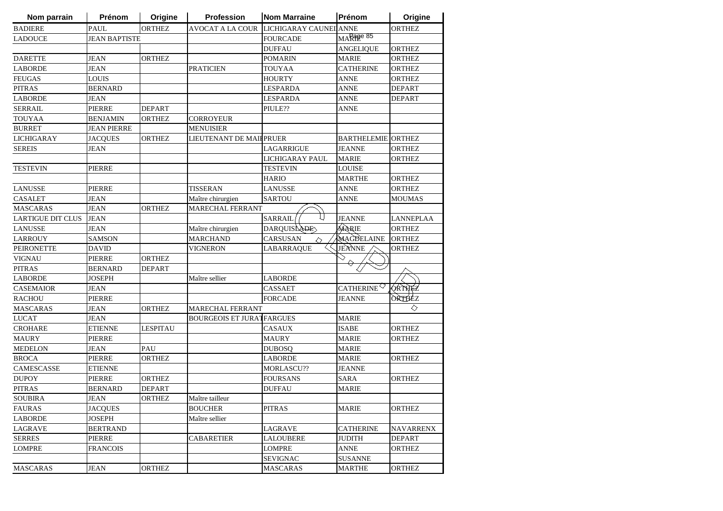| Nom parrain              | Prénom               | Origine       | Profession                       | <b>Nom Marraine</b>    | Prénom                                       | Origine          |
|--------------------------|----------------------|---------------|----------------------------------|------------------------|----------------------------------------------|------------------|
| <b>BADIERE</b>           | <b>PAUL</b>          | <b>ORTHEZ</b> | AVOCAT A LA COUR                 | LICHIGARAY CAUNEI ANNE |                                              | <b>ORTHEZ</b>    |
| <b>LADOUCE</b>           | <b>JEAN BAPTISTE</b> |               |                                  | <b>FOURCADE</b>        | MARage 85                                    |                  |
|                          |                      |               |                                  | <b>DUFFAU</b>          | <b>ANGELIQUE</b>                             | <b>ORTHEZ</b>    |
| <b>DARETTE</b>           | JEAN                 | <b>ORTHEZ</b> |                                  | <b>POMARIN</b>         | <b>MARIE</b>                                 | <b>ORTHEZ</b>    |
| <b>LABORDE</b>           | <b>JEAN</b>          |               | <b>PRATICIEN</b>                 | <b>TOUYAA</b>          | <b>CATHERINE</b>                             | <b>ORTHEZ</b>    |
| <b>FEUGAS</b>            | <b>LOUIS</b>         |               |                                  | <b>HOURTY</b>          | <b>ANNE</b>                                  | <b>ORTHEZ</b>    |
| <b>PITRAS</b>            | <b>BERNARD</b>       |               |                                  | <b>LESPARDA</b>        | <b>ANNE</b>                                  | <b>DEPART</b>    |
| <b>LABORDE</b>           | <b>JEAN</b>          |               |                                  | <b>LESPARDA</b>        | <b>ANNE</b>                                  | <b>DEPART</b>    |
| <b>SERRAIL</b>           | <b>PIERRE</b>        | <b>DEPART</b> |                                  | PIULE??                | <b>ANNE</b>                                  |                  |
| <b>TOUYAA</b>            | <b>BENJAMIN</b>      | <b>ORTHEZ</b> | <b>CORROYEUR</b>                 |                        |                                              |                  |
| <b>BURRET</b>            | <b>JEAN PIERRE</b>   |               | <b>MENUISIER</b>                 |                        |                                              |                  |
| <b>LICHIGARAY</b>        | <b>JACQUES</b>       | <b>ORTHEZ</b> | LIEUTENANT DE MAIFPRUER          |                        | <b>BARTHELEMIE ORTHEZ</b>                    |                  |
| <b>SEREIS</b>            | JEAN                 |               |                                  | <b>LAGARRIGUE</b>      | <b>JEANNE</b>                                | <b>ORTHEZ</b>    |
|                          |                      |               |                                  | LICHIGARAY PAUL        | <b>MARIE</b>                                 | <b>ORTHEZ</b>    |
| <b>TESTEVIN</b>          | PIERRE               |               |                                  | TESTEVIN               | LOUISE                                       |                  |
|                          |                      |               |                                  | <b>HARIO</b>           | <b>MARTHE</b>                                | <b>ORTHEZ</b>    |
| <b>LANUSSE</b>           | <b>PIERRE</b>        |               | <b>TISSERAN</b>                  | <b>LANUSSE</b>         | <b>ANNE</b>                                  | <b>ORTHEZ</b>    |
| <b>CASALET</b>           | <b>JEAN</b>          |               | Maître chirurgien                | <b>SARTOU</b>          | ANNE                                         | <b>MOUMAS</b>    |
| <b>MASCARAS</b>          | <b>JEAN</b>          | <b>ORTHEZ</b> | <b>MARECHAL FERRANT</b>          |                        |                                              |                  |
| <b>LARTIGUE DIT CLUS</b> | <b>JEAN</b>          |               |                                  | <b>SARRAIL</b>         | <b>JEANNE</b>                                | <b>LANNEPLAA</b> |
| <b>LANUSSE</b>           | JEAN                 |               | Maître chirurgien                | DARQUISLADE            | MARIE                                        | <b>ORTHEZ</b>    |
| <b>LARROUY</b>           | <b>SAMSON</b>        |               | <b>MARCHAND</b>                  | CARSUSAN<br>◇          | MAGDELAINE                                   | <b>ORTHEZ</b>    |
| <b>PEIRONETTE</b>        | <b>DAVID</b>         |               | <b>VIGNERON</b>                  | <b>LABARRAQUE</b>      | JEANNE                                       | <b>ORTHEZ</b>    |
| <b>VIGNAU</b>            | <b>PIERRE</b>        | <b>ORTHEZ</b> |                                  |                        |                                              |                  |
| <b>PITRAS</b>            | <b>BERNARD</b>       | <b>DEPART</b> |                                  |                        |                                              |                  |
| <b>LABORDE</b>           | <b>JOSEPH</b>        |               | Maître sellier                   | <b>LABORDE</b>         |                                              |                  |
| CASEMAIOR                | <b>JEAN</b>          |               |                                  | <b>CASSAET</b>         | CATHERINE <sup><math>\heartsuit</math></sup> | <b>ORTHEZ</b>    |
| <b>RACHOU</b>            | <b>PIERRE</b>        |               |                                  | <b>FORCADE</b>         | <b>JEANNE</b>                                | ORTHEZ           |
| <b>MASCARAS</b>          | <b>JEAN</b>          | <b>ORTHEZ</b> | MARECHAL FERRANT                 |                        |                                              | ◇                |
| <b>LUCAT</b>             | <b>JEAN</b>          |               | <b>BOURGEOIS ET JURATFARGUES</b> |                        | <b>MARIE</b>                                 |                  |
| <b>CROHARE</b>           | <b>ETIENNE</b>       | LESPITAU      |                                  | <b>CASAUX</b>          | <b>ISABE</b>                                 | <b>ORTHEZ</b>    |
| <b>MAURY</b>             | PIERRE               |               |                                  | <b>MAURY</b>           | <b>MARIE</b>                                 | <b>ORTHEZ</b>    |
| <b>MEDELON</b>           | <b>JEAN</b>          | PAU           |                                  | <b>DUBOSQ</b>          | <b>MARIE</b>                                 |                  |
| <b>BROCA</b>             | PIERRE               | <b>ORTHEZ</b> |                                  | <b>LABORDE</b>         | <b>MARIE</b>                                 | <b>ORTHEZ</b>    |
| CAMESCASSE               | <b>ETIENNE</b>       |               |                                  | MORLASCU??             | <b>JEANNE</b>                                |                  |
| <b>DUPOY</b>             | <b>PIERRE</b>        | <b>ORTHEZ</b> |                                  | <b>FOURSANS</b>        | <b>SARA</b>                                  | <b>ORTHEZ</b>    |
| <b>PITRAS</b>            | <b>BERNARD</b>       | <b>DEPART</b> |                                  | <b>DUFFAU</b>          | <b>MARIE</b>                                 |                  |
| <b>SOUBIRA</b>           | JEAN                 | <b>ORTHEZ</b> | Maître tailleur                  |                        |                                              |                  |
| FAURAS                   | <b>JACQUES</b>       |               | <b>BOUCHER</b>                   | <b>PITRAS</b>          | <b>MARIE</b>                                 | <b>ORTHEZ</b>    |
| <b>LABORDE</b>           | <b>JOSEPH</b>        |               | Maître sellier                   |                        |                                              |                  |
| LAGRAVE                  | <b>BERTRAND</b>      |               |                                  | <b>LAGRAVE</b>         | <b>CATHERINE</b>                             | <b>NAVARRENX</b> |
| <b>SERRES</b>            | PIERRE               |               | <b>CABARETIER</b>                | <b>LALOUBERE</b>       | <b>JUDITH</b>                                | <b>DEPART</b>    |
| <b>LOMPRE</b>            | <b>FRANCOIS</b>      |               |                                  | <b>LOMPRE</b>          | <b>ANNE</b>                                  | <b>ORTHEZ</b>    |
|                          |                      |               |                                  | <b>SEVIGNAC</b>        | <b>SUSANNE</b>                               |                  |
| <b>MASCARAS</b>          | JEAN                 | <b>ORTHEZ</b> |                                  | <b>MASCARAS</b>        | <b>MARTHE</b>                                | <b>ORTHEZ</b>    |